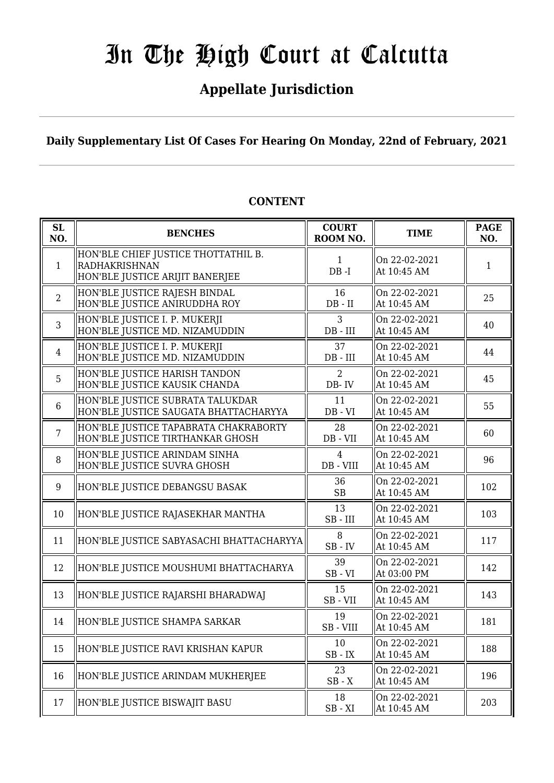# In The High Court at Calcutta

### **Appellate Jurisdiction**

**Daily Supplementary List Of Cases For Hearing On Monday, 22nd of February, 2021**

| SL<br>NO.      | <b>BENCHES</b>                                                                          | <b>COURT</b><br>ROOM NO.    | <b>TIME</b>                  | <b>PAGE</b><br>NO. |
|----------------|-----------------------------------------------------------------------------------------|-----------------------------|------------------------------|--------------------|
| $\mathbf{1}$   | HON'BLE CHIEF JUSTICE THOTTATHIL B.<br>RADHAKRISHNAN<br>HON'BLE JUSTICE ARIJIT BANERJEE | 1<br>$DB - I$               | On 22-02-2021<br>At 10:45 AM | 1                  |
| $\overline{2}$ | HON'BLE JUSTICE RAJESH BINDAL<br>HON'BLE JUSTICE ANIRUDDHA ROY                          | 16<br>$DB - II$             | On 22-02-2021<br>At 10:45 AM | 25                 |
| 3              | HON'BLE JUSTICE I. P. MUKERJI<br>HON'BLE JUSTICE MD. NIZAMUDDIN                         | 3<br>$DB$ - $III$           | On 22-02-2021<br>At 10:45 AM | 40                 |
| $\overline{4}$ | HON'BLE JUSTICE I. P. MUKERJI<br>HON'BLE JUSTICE MD. NIZAMUDDIN                         | 37<br>$DB$ - $III$          | On 22-02-2021<br>At 10:45 AM | 44                 |
| 5              | HON'BLE JUSTICE HARISH TANDON<br>HON'BLE JUSTICE KAUSIK CHANDA                          | 2<br>DB-IV                  | On 22-02-2021<br>At 10:45 AM | 45                 |
| 6              | HON'BLE JUSTICE SUBRATA TALUKDAR<br>HON'BLE JUSTICE SAUGATA BHATTACHARYYA               | 11<br>$DB - VI$             | On 22-02-2021<br>At 10:45 AM | 55                 |
| $\overline{7}$ | HON'BLE JUSTICE TAPABRATA CHAKRABORTY<br>HON'BLE JUSTICE TIRTHANKAR GHOSH               | 28<br>DB - VII              | On 22-02-2021<br>At 10:45 AM | 60                 |
| 8              | HON'BLE JUSTICE ARINDAM SINHA<br>HON'BLE JUSTICE SUVRA GHOSH                            | $\overline{4}$<br>DB - VIII | On 22-02-2021<br>At 10:45 AM | 96                 |
| 9              | HON'BLE JUSTICE DEBANGSU BASAK                                                          | 36<br><b>SB</b>             | On 22-02-2021<br>At 10:45 AM | 102                |
| 10             | HON'BLE JUSTICE RAJASEKHAR MANTHA                                                       | 13<br>$SB$ - $III$          | On 22-02-2021<br>At 10:45 AM | 103                |
| 11             | HON'BLE JUSTICE SABYASACHI BHATTACHARYYA                                                | 8<br>$SB$ - $IV$            | On 22-02-2021<br>At 10:45 AM | 117                |
| 12             | HON'BLE JUSTICE MOUSHUMI BHATTACHARYA                                                   | 39<br>$SB - VI$             | On 22-02-2021<br>At 03:00 PM | 142                |
| 13             | HON'BLE JUSTICE RAJARSHI BHARADWAJ                                                      | 15<br>SB-VII                | On 22-02-2021<br>At 10:45 AM | 143                |
| 14             | HON'BLE JUSTICE SHAMPA SARKAR                                                           | 19<br>SB - VIII             | On 22-02-2021<br>At 10:45 AM | 181                |
| 15             | HON'BLE JUSTICE RAVI KRISHAN KAPUR                                                      | 10<br>$SB$ - $IX$           | On 22-02-2021<br>At 10:45 AM | 188                |
| 16             | HON'BLE JUSTICE ARINDAM MUKHERJEE                                                       | 23<br>$SB - X$              | On 22-02-2021<br>At 10:45 AM | 196                |
| 17             | HON'BLE JUSTICE BISWAJIT BASU                                                           | 18<br>$SB - XI$             | On 22-02-2021<br>At 10:45 AM | 203                |

#### **CONTENT**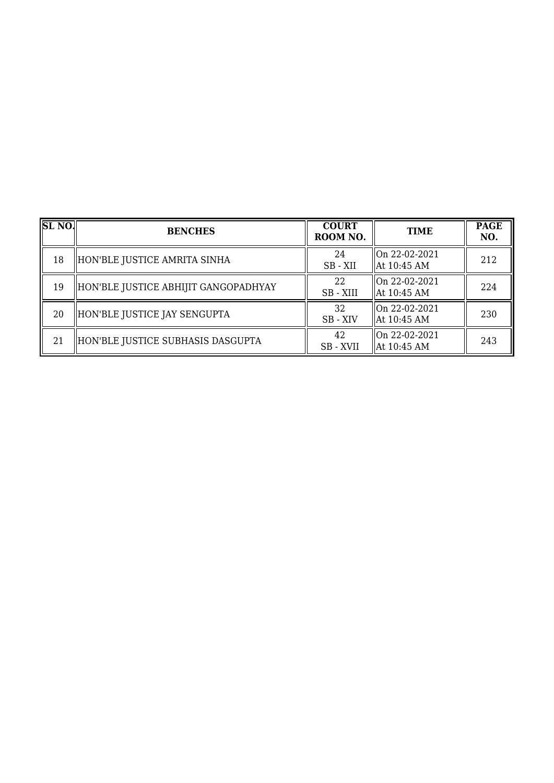| SLNO | <b>BENCHES</b>                       | <b>COURT</b><br>ROOM NO. | <b>TIME</b>                    | <b>PAGE</b><br>NO. |
|------|--------------------------------------|--------------------------|--------------------------------|--------------------|
| 18   | HON'BLE JUSTICE AMRITA SINHA         | 24<br>SB - XII           | On 22-02-2021<br>  At 10:45 AM | 212                |
| 19   | HON'BLE JUSTICE ABHIJIT GANGOPADHYAY | 22<br>SB-XIII            | On 22-02-2021<br>  At 10:45 AM | 224                |
| 20   | HON'BLE JUSTICE JAY SENGUPTA         | 32<br>SB - XIV           | On 22-02-2021<br>  At 10:45 AM | 230                |
| 21   | HON'BLE JUSTICE SUBHASIS DASGUPTA    | 42<br>SB - XVII          | On 22-02-2021<br>  At 10:45 AM | 243                |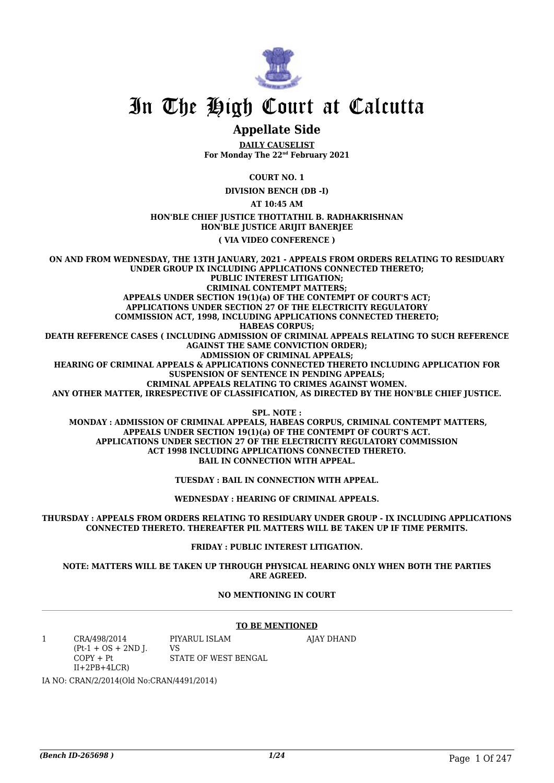

## In The High Court at Calcutta

#### **Appellate Side**

**DAILY CAUSELIST For Monday The 22nd February 2021**

**COURT NO. 1**

**DIVISION BENCH (DB -I)**

**AT 10:45 AM**

#### **HON'BLE CHIEF JUSTICE THOTTATHIL B. RADHAKRISHNAN HON'BLE JUSTICE ARIJIT BANERJEE**

**( VIA VIDEO CONFERENCE )**

**ON AND FROM WEDNESDAY, THE 13TH JANUARY, 2021 - APPEALS FROM ORDERS RELATING TO RESIDUARY UNDER GROUP IX INCLUDING APPLICATIONS CONNECTED THERETO; PUBLIC INTEREST LITIGATION; CRIMINAL CONTEMPT MATTERS; APPEALS UNDER SECTION 19(1)(a) OF THE CONTEMPT OF COURT'S ACT; APPLICATIONS UNDER SECTION 27 OF THE ELECTRICITY REGULATORY COMMISSION ACT, 1998, INCLUDING APPLICATIONS CONNECTED THERETO; HABEAS CORPUS; DEATH REFERENCE CASES ( INCLUDING ADMISSION OF CRIMINAL APPEALS RELATING TO SUCH REFERENCE AGAINST THE SAME CONVICTION ORDER); ADMISSION OF CRIMINAL APPEALS; HEARING OF CRIMINAL APPEALS & APPLICATIONS CONNECTED THERETO INCLUDING APPLICATION FOR SUSPENSION OF SENTENCE IN PENDING APPEALS; CRIMINAL APPEALS RELATING TO CRIMES AGAINST WOMEN. ANY OTHER MATTER, IRRESPECTIVE OF CLASSIFICATION, AS DIRECTED BY THE HON'BLE CHIEF JUSTICE. SPL. NOTE :**

 **MONDAY : ADMISSION OF CRIMINAL APPEALS, HABEAS CORPUS, CRIMINAL CONTEMPT MATTERS, APPEALS UNDER SECTION 19(1)(a) OF THE CONTEMPT OF COURT'S ACT. APPLICATIONS UNDER SECTION 27 OF THE ELECTRICITY REGULATORY COMMISSION ACT 1998 INCLUDING APPLICATIONS CONNECTED THERETO. BAIL IN CONNECTION WITH APPEAL.**

**TUESDAY : BAIL IN CONNECTION WITH APPEAL.**

**WEDNESDAY : HEARING OF CRIMINAL APPEALS.**

**THURSDAY : APPEALS FROM ORDERS RELATING TO RESIDUARY UNDER GROUP - IX INCLUDING APPLICATIONS CONNECTED THERETO. THEREAFTER PIL MATTERS WILL BE TAKEN UP IF TIME PERMITS.**

**FRIDAY : PUBLIC INTEREST LITIGATION.**

**NOTE: MATTERS WILL BE TAKEN UP THROUGH PHYSICAL HEARING ONLY WHEN BOTH THE PARTIES ARE AGREED.**

#### **NO MENTIONING IN COURT**

#### **TO BE MENTIONED**

1 CRA/498/2014  $(Pt-1 + OS + 2ND I)$  $COPY + Pt$  $II+2PB+4LCR$ PIYARUL ISLAM VS STATE OF WEST BENGAL AJAY DHAND

IA NO: CRAN/2/2014(Old No:CRAN/4491/2014)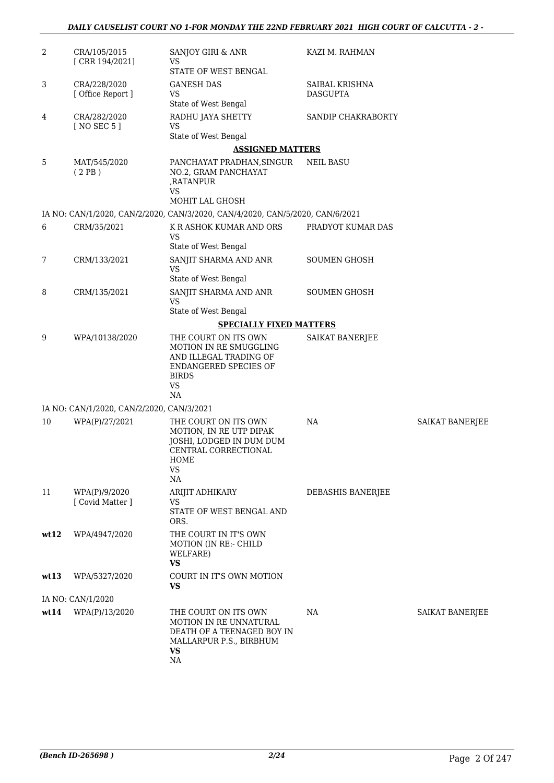| $\overline{2}$ | CRA/105/2015<br>[CRR 194/2021]            | SANJOY GIRI & ANR<br>VS<br>STATE OF WEST BENGAL                                                                                             | KAZI M. RAHMAN                    |                 |
|----------------|-------------------------------------------|---------------------------------------------------------------------------------------------------------------------------------------------|-----------------------------------|-----------------|
| 3              | CRA/228/2020<br>[ Office Report ]         | <b>GANESH DAS</b><br><b>VS</b><br>State of West Bengal                                                                                      | SAIBAL KRISHNA<br><b>DASGUPTA</b> |                 |
| 4              | CRA/282/2020<br>[ NO SEC 5 ]              | RADHU JAYA SHETTY<br><b>VS</b><br>State of West Bengal                                                                                      | SANDIP CHAKRABORTY                |                 |
|                |                                           | <b>ASSIGNED MATTERS</b>                                                                                                                     |                                   |                 |
| 5              | MAT/545/2020<br>(2PB)                     | PANCHAYAT PRADHAN, SINGUR<br>NO.2, GRAM PANCHAYAT<br>,RATANPUR<br><b>VS</b><br>MOHIT LAL GHOSH                                              | <b>NEIL BASU</b>                  |                 |
|                |                                           | IA NO: CAN/1/2020, CAN/2/2020, CAN/3/2020, CAN/4/2020, CAN/5/2020, CAN/6/2021                                                               |                                   |                 |
| 6              | CRM/35/2021                               | K R ASHOK KUMAR AND ORS                                                                                                                     | PRADYOT KUMAR DAS                 |                 |
|                |                                           | VS<br>State of West Bengal                                                                                                                  |                                   |                 |
| 7              | CRM/133/2021                              | SANJIT SHARMA AND ANR<br><b>VS</b><br>State of West Bengal                                                                                  | <b>SOUMEN GHOSH</b>               |                 |
| 8              | CRM/135/2021                              | SANJIT SHARMA AND ANR<br><b>VS</b><br>State of West Bengal                                                                                  | <b>SOUMEN GHOSH</b>               |                 |
|                |                                           | <b>SPECIALLY FIXED MATTERS</b>                                                                                                              |                                   |                 |
|                |                                           |                                                                                                                                             |                                   |                 |
| 9              | WPA/10138/2020                            | THE COURT ON ITS OWN<br><b>MOTION IN RE SMUGGLING</b><br>AND ILLEGAL TRADING OF<br>ENDANGERED SPECIES OF<br><b>BIRDS</b><br><b>VS</b><br>NA | SAIKAT BANERJEE                   |                 |
|                | IA NO: CAN/1/2020, CAN/2/2020, CAN/3/2021 |                                                                                                                                             |                                   |                 |
| 10             | WPA(P)/27/2021                            | THE COURT ON ITS OWN<br>MOTION, IN RE UTP DIPAK<br>JOSHI, LODGED IN DUM DUM<br>CENTRAL CORRECTIONAL<br>HOME<br>VS<br>NA                     | NA                                | SAIKAT BANERJEE |
| 11             | WPA(P)/9/2020<br>[ Covid Matter ]         | ARIJIT ADHIKARY<br>VS<br>STATE OF WEST BENGAL AND<br>ORS.                                                                                   | DEBASHIS BANERJEE                 |                 |
| wt12           | WPA/4947/2020                             | THE COURT IN IT'S OWN<br><b>MOTION (IN RE:- CHILD</b><br>WELFARE)<br>VS                                                                     |                                   |                 |
| wt13           | WPA/5327/2020                             | COURT IN IT'S OWN MOTION<br><b>VS</b>                                                                                                       |                                   |                 |
|                | IA NO: CAN/1/2020                         |                                                                                                                                             |                                   |                 |
| wt14           | WPA(P)/13/2020                            | THE COURT ON ITS OWN<br><b>MOTION IN RE UNNATURAL</b><br>DEATH OF A TEENAGED BOY IN<br>MALLARPUR P.S., BIRBHUM<br><b>VS</b><br>NA           | NA                                | SAIKAT BANERJEE |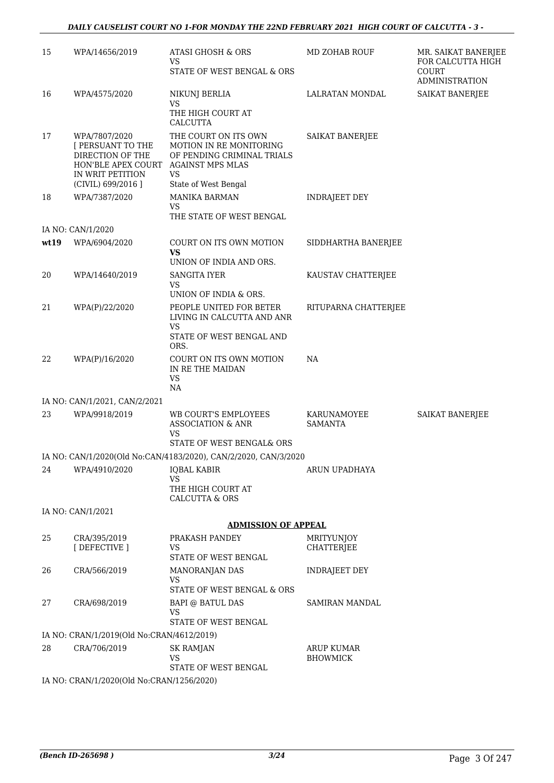| 15   | WPA/14656/2019                                                                                                         | ATASI GHOSH & ORS<br>VS                                                                                                                | MD ZOHAB ROUF                          | MR. SAIKAT BANERJEE<br>FOR CALCUTTA HIGH |
|------|------------------------------------------------------------------------------------------------------------------------|----------------------------------------------------------------------------------------------------------------------------------------|----------------------------------------|------------------------------------------|
|      |                                                                                                                        | STATE OF WEST BENGAL & ORS                                                                                                             |                                        | COURT<br><b>ADMINISTRATION</b>           |
| 16   | WPA/4575/2020                                                                                                          | NIKUNJ BERLIA<br>VS<br>THE HIGH COURT AT<br>CALCUTTA                                                                                   | LALRATAN MONDAL                        | SAIKAT BANERJEE                          |
| 17   | WPA/7807/2020<br>[ PERSUANT TO THE<br>DIRECTION OF THE<br>HON'BLE APEX COURT<br>IN WRIT PETITION<br>(CIVIL) 699/2016 ] | THE COURT ON ITS OWN<br>MOTION IN RE MONITORING<br>OF PENDING CRIMINAL TRIALS<br><b>AGAINST MPS MLAS</b><br>VS<br>State of West Bengal | <b>SAIKAT BANERJEE</b>                 |                                          |
| 18   | WPA/7387/2020                                                                                                          | <b>MANIKA BARMAN</b><br><b>VS</b><br>THE STATE OF WEST BENGAL                                                                          | <b>INDRAJEET DEY</b>                   |                                          |
|      | IA NO: CAN/1/2020                                                                                                      |                                                                                                                                        |                                        |                                          |
| wt19 | WPA/6904/2020                                                                                                          | COURT ON ITS OWN MOTION<br>VS<br>UNION OF INDIA AND ORS.                                                                               | SIDDHARTHA BANERJEE                    |                                          |
| 20   | WPA/14640/2019                                                                                                         | SANGITA IYER<br>VS                                                                                                                     | KAUSTAV CHATTERJEE                     |                                          |
|      |                                                                                                                        | UNION OF INDIA & ORS.                                                                                                                  |                                        |                                          |
| 21   | WPA(P)/22/2020                                                                                                         | PEOPLE UNITED FOR BETER<br>LIVING IN CALCUTTA AND ANR<br>VS.                                                                           | RITUPARNA CHATTERJEE                   |                                          |
|      |                                                                                                                        | STATE OF WEST BENGAL AND<br>ORS.                                                                                                       |                                        |                                          |
| 22   | WPA(P)/16/2020                                                                                                         | COURT ON ITS OWN MOTION<br>IN RE THE MAIDAN<br><b>VS</b>                                                                               | NA                                     |                                          |
|      |                                                                                                                        | NA                                                                                                                                     |                                        |                                          |
|      | IA NO: CAN/1/2021, CAN/2/2021                                                                                          |                                                                                                                                        |                                        |                                          |
| 23   | WPA/9918/2019                                                                                                          | WB COURT'S EMPLOYEES<br><b>ASSOCIATION &amp; ANR</b><br>VS                                                                             | KARUNAMOYEE<br><b>SAMANTA</b>          | SAIKAT BANERJEE                          |
|      |                                                                                                                        | STATE OF WEST BENGAL& ORS                                                                                                              |                                        |                                          |
|      |                                                                                                                        | IA NO: CAN/1/2020(Old No:CAN/4183/2020), CAN/2/2020, CAN/3/2020                                                                        |                                        |                                          |
| 24   | WPA/4910/2020                                                                                                          | <b>IQBAL KABIR</b><br><b>VS</b><br>THE HIGH COURT AT                                                                                   | ARUN UPADHAYA                          |                                          |
|      |                                                                                                                        | <b>CALCUTTA &amp; ORS</b>                                                                                                              |                                        |                                          |
|      | IA NO: CAN/1/2021                                                                                                      |                                                                                                                                        |                                        |                                          |
|      |                                                                                                                        | <b>ADMISSION OF APPEAL</b>                                                                                                             |                                        |                                          |
| 25   | CRA/395/2019<br>[DEFECTIVE ]                                                                                           | PRAKASH PANDEY<br>VS<br>STATE OF WEST BENGAL                                                                                           | <b>MRITYUNJOY</b><br><b>CHATTERJEE</b> |                                          |
| 26   | CRA/566/2019                                                                                                           | MANORANJAN DAS<br><b>VS</b>                                                                                                            | <b>INDRAJEET DEY</b>                   |                                          |
|      |                                                                                                                        | STATE OF WEST BENGAL & ORS                                                                                                             |                                        |                                          |
| 27   | CRA/698/2019                                                                                                           | <b>BAPI @ BATUL DAS</b><br>VS<br>STATE OF WEST BENGAL                                                                                  | <b>SAMIRAN MANDAL</b>                  |                                          |
|      | IA NO: CRAN/1/2019(Old No:CRAN/4612/2019)                                                                              |                                                                                                                                        |                                        |                                          |
| 28   | CRA/706/2019                                                                                                           | <b>SK RAMJAN</b><br><b>VS</b>                                                                                                          | ARUP KUMAR<br><b>BHOWMICK</b>          |                                          |
|      | IA NO: CRAN/1/2020(Old No:CRAN/1256/2020)                                                                              | STATE OF WEST BENGAL                                                                                                                   |                                        |                                          |
|      |                                                                                                                        |                                                                                                                                        |                                        |                                          |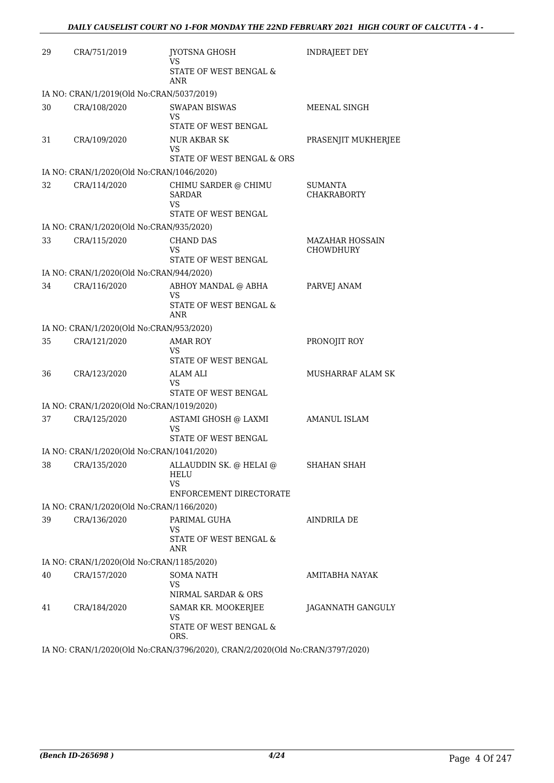| 29 | CRA/751/2019                              | <b>JYOTSNA GHOSH</b><br>VS<br><b>STATE OF WEST BENGAL &amp;</b><br>ANR | <b>INDRAJEET DEY</b>                |
|----|-------------------------------------------|------------------------------------------------------------------------|-------------------------------------|
|    | IA NO: CRAN/1/2019(Old No:CRAN/5037/2019) |                                                                        |                                     |
| 30 | CRA/108/2020                              | <b>SWAPAN BISWAS</b><br>VS<br>STATE OF WEST BENGAL                     | MEENAL SINGH                        |
| 31 | CRA/109/2020                              | <b>NUR AKBAR SK</b><br>VS<br>STATE OF WEST BENGAL & ORS                | PRASENJIT MUKHERJEE                 |
|    | IA NO: CRAN/1/2020(Old No:CRAN/1046/2020) |                                                                        |                                     |
| 32 | CRA/114/2020                              | CHIMU SARDER @ CHIMU<br><b>SARDAR</b><br>VS<br>STATE OF WEST BENGAL    | SUMANTA<br><b>CHAKRABORTY</b>       |
|    | IA NO: CRAN/1/2020(Old No:CRAN/935/2020)  |                                                                        |                                     |
| 33 | CRA/115/2020                              | <b>CHAND DAS</b><br>VS<br><b>STATE OF WEST BENGAL</b>                  | <b>MAZAHAR HOSSAIN</b><br>CHOWDHURY |
|    | IA NO: CRAN/1/2020(Old No:CRAN/944/2020)  |                                                                        |                                     |
| 34 | CRA/116/2020                              | ABHOY MANDAL @ ABHA<br>VS                                              | PARVEJ ANAM                         |
|    |                                           | <b>STATE OF WEST BENGAL &amp;</b><br><b>ANR</b>                        |                                     |
|    | IA NO: CRAN/1/2020(Old No:CRAN/953/2020)  |                                                                        |                                     |
| 35 | CRA/121/2020                              | AMAR ROY<br>VS<br>STATE OF WEST BENGAL                                 | PRONOJIT ROY                        |
| 36 | CRA/123/2020                              | ALAM ALI<br>VS                                                         | MUSHARRAF ALAM SK                   |
|    |                                           | STATE OF WEST BENGAL                                                   |                                     |
|    | IA NO: CRAN/1/2020(Old No:CRAN/1019/2020) |                                                                        |                                     |
| 37 | CRA/125/2020                              | ASTAMI GHOSH @ LAXMI<br>VS<br><b>STATE OF WEST BENGAL</b>              | <b>AMANUL ISLAM</b>                 |
|    | IA NO: CRAN/1/2020(Old No:CRAN/1041/2020) |                                                                        |                                     |
| 38 | CRA/135/2020                              | ALLAUDDIN SK. @ HELAI @<br>HELU<br>VS                                  | SHAHAN SHAH                         |
|    |                                           | ENFORCEMENT DIRECTORATE                                                |                                     |
|    | IA NO: CRAN/1/2020(Old No:CRAN/1166/2020) |                                                                        |                                     |
| 39 | CRA/136/2020                              | PARIMAL GUHA<br>VS<br>STATE OF WEST BENGAL &<br>ANR                    | AINDRILA DE                         |
|    | IA NO: CRAN/1/2020(Old No:CRAN/1185/2020) |                                                                        |                                     |
| 40 | CRA/157/2020                              | <b>SOMA NATH</b><br>VS<br>NIRMAL SARDAR & ORS                          | AMITABHA NAYAK                      |
| 41 | CRA/184/2020                              | SAMAR KR. MOOKERJEE<br>VS<br>STATE OF WEST BENGAL &<br>ORS.            | JAGANNATH GANGULY                   |
|    |                                           | IA NO, CRANIS CONSUMING CRANICIOSO CRANICIONOLO NG CRANICATO CON       |                                     |

IA NO: CRAN/1/2020(Old No:CRAN/3796/2020), CRAN/2/2020(Old No:CRAN/3797/2020)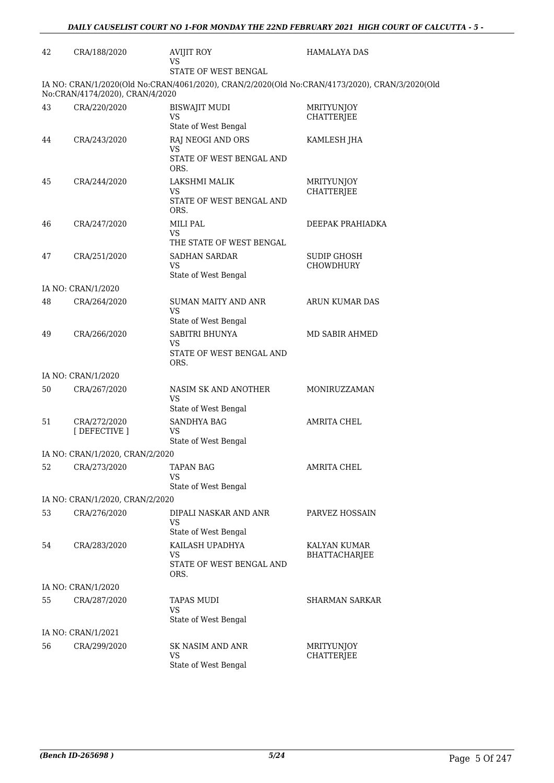| 42 | CRA/188/2020                    | <b>AVIJIT ROY</b><br><b>VS</b>                              | <b>HAMALAYA DAS</b>                                                                            |
|----|---------------------------------|-------------------------------------------------------------|------------------------------------------------------------------------------------------------|
|    |                                 | STATE OF WEST BENGAL                                        |                                                                                                |
|    | No:CRAN/4174/2020), CRAN/4/2020 |                                                             | IA NO: CRAN/1/2020(Old No:CRAN/4061/2020), CRAN/2/2020(Old No:CRAN/4173/2020), CRAN/3/2020(Old |
| 43 | CRA/220/2020                    | <b>BISWAJIT MUDI</b><br><b>VS</b><br>State of West Bengal   | MRITYUNJOY<br>CHATTERJEE                                                                       |
| 44 | CRA/243/2020                    | RAJ NEOGI AND ORS<br>VS<br>STATE OF WEST BENGAL AND<br>ORS. | KAMLESH JHA                                                                                    |
| 45 | CRA/244/2020                    | LAKSHMI MALIK<br>VS<br>STATE OF WEST BENGAL AND<br>ORS.     | <b>MRITYUNJOY</b><br><b>CHATTERJEE</b>                                                         |
| 46 | CRA/247/2020                    | MILI PAL<br>VS<br>THE STATE OF WEST BENGAL                  | DEEPAK PRAHIADKA                                                                               |
| 47 | CRA/251/2020                    | SADHAN SARDAR<br><b>VS</b><br>State of West Bengal          | <b>SUDIP GHOSH</b><br>CHOWDHURY                                                                |
|    | IA NO: CRAN/1/2020              |                                                             |                                                                                                |
| 48 | CRA/264/2020                    | SUMAN MAITY AND ANR<br>VS<br>State of West Bengal           | ARUN KUMAR DAS                                                                                 |
| 49 | CRA/266/2020                    | SABITRI BHUNYA<br>VS<br>STATE OF WEST BENGAL AND<br>ORS.    | MD SABIR AHMED                                                                                 |
|    | IA NO: CRAN/1/2020              |                                                             |                                                                                                |
| 50 | CRA/267/2020                    | NASIM SK AND ANOTHER<br>VS<br>State of West Bengal          | MONIRUZZAMAN                                                                                   |
| 51 | CRA/272/2020<br>[ DEFECTIVE ]   | <b>SANDHYA BAG</b><br>VS<br>State of West Bengal            | AMRITA CHEL                                                                                    |
|    | IA NO: CRAN/1/2020, CRAN/2/2020 |                                                             |                                                                                                |
| 52 | CRA/273/2020                    | <b>TAPAN BAG</b><br>VS<br>State of West Bengal              | <b>AMRITA CHEL</b>                                                                             |
|    | IA NO: CRAN/1/2020, CRAN/2/2020 |                                                             |                                                                                                |
| 53 | CRA/276/2020                    | DIPALI NASKAR AND ANR<br>VS<br>State of West Bengal         | PARVEZ HOSSAIN                                                                                 |
| 54 | CRA/283/2020                    | KAILASH UPADHYA<br>VS<br>STATE OF WEST BENGAL AND<br>ORS.   | KALYAN KUMAR<br>BHATTACHARJEE                                                                  |
|    | IA NO: CRAN/1/2020              |                                                             |                                                                                                |
| 55 | CRA/287/2020                    | <b>TAPAS MUDI</b><br>VS<br>State of West Bengal             | <b>SHARMAN SARKAR</b>                                                                          |
|    | IA NO: CRAN/1/2021              |                                                             |                                                                                                |
| 56 | CRA/299/2020                    | <b>SK NASIM AND ANR</b><br>VS<br>State of West Bengal       | MRITYUNJOY<br>CHATTERJEE                                                                       |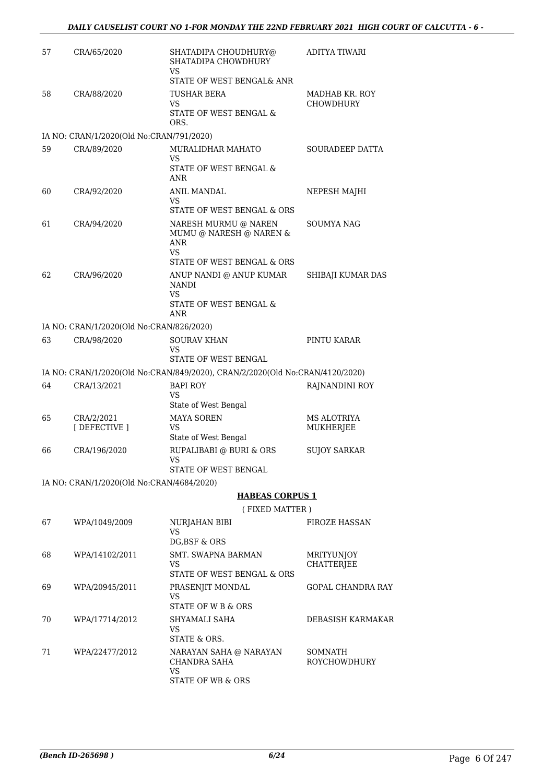| 57 | CRA/65/2020                               | SHATADIPA CHOUDHURY@<br>SHATADIPA CHOWDHURY<br>VS                            | <b>ADITYA TIWARI</b>        |
|----|-------------------------------------------|------------------------------------------------------------------------------|-----------------------------|
|    |                                           | STATE OF WEST BENGAL& ANR                                                    |                             |
| 58 | CRA/88/2020                               | TUSHAR BERA<br>VS                                                            | MADHAB KR. ROY<br>CHOWDHURY |
|    |                                           | STATE OF WEST BENGAL &<br>ORS.                                               |                             |
|    | IA NO: CRAN/1/2020(Old No:CRAN/791/2020)  |                                                                              |                             |
| 59 | CRA/89/2020                               | MURALIDHAR MAHATO<br>VS                                                      | <b>SOURADEEP DATTA</b>      |
|    |                                           | STATE OF WEST BENGAL &<br><b>ANR</b>                                         |                             |
| 60 | CRA/92/2020                               | <b>ANIL MANDAL</b><br>VS                                                     | NEPESH MAJHI                |
|    |                                           | STATE OF WEST BENGAL & ORS                                                   |                             |
| 61 | CRA/94/2020                               | NARESH MURMU @ NAREN<br>MUMU @ NARESH @ NAREN &<br>ANR<br>VS                 | SOUMYA NAG                  |
|    |                                           | STATE OF WEST BENGAL & ORS                                                   |                             |
| 62 | CRA/96/2020                               | ANUP NANDI @ ANUP KUMAR<br>NANDI                                             | SHIBAJI KUMAR DAS           |
|    |                                           | VS<br>STATE OF WEST BENGAL &<br>ANR                                          |                             |
|    | IA NO: CRAN/1/2020(Old No:CRAN/826/2020)  |                                                                              |                             |
| 63 | CRA/98/2020                               | <b>SOURAV KHAN</b><br>VS                                                     | PINTU KARAR                 |
|    |                                           | STATE OF WEST BENGAL                                                         |                             |
|    |                                           | IA NO: CRAN/1/2020(Old No:CRAN/849/2020), CRAN/2/2020(Old No:CRAN/4120/2020) |                             |
| 64 | CRA/13/2021                               | <b>BAPI ROY</b><br>VS                                                        | RAJNANDINI ROY              |
|    |                                           | State of West Bengal                                                         |                             |
| 65 | CRA/2/2021<br>[DEFECTIVE ]                | <b>MAYA SOREN</b><br>VS                                                      | MS ALOTRIYA<br>MUKHERJEE    |
|    |                                           | State of West Bengal                                                         |                             |
| 66 | CRA/196/2020                              | RUPALIBABI @ BURI & ORS<br>VS                                                | <b>SUJOY SARKAR</b>         |
|    |                                           | STATE OF WEST BENGAL                                                         |                             |
|    | IA NO: CRAN/1/2020(Old No:CRAN/4684/2020) | <b>HABEAS CORPUS 1</b>                                                       |                             |
|    |                                           |                                                                              |                             |
|    | WPA/1049/2009                             | (FIXED MATTER)                                                               | <b>FIROZE HASSAN</b>        |
| 67 |                                           | NURJAHAN BIBI<br>VS<br>DG, BSF & ORS                                         |                             |
| 68 | WPA/14102/2011                            | <b>SMT. SWAPNA BARMAN</b>                                                    | <b>MRITYUNJOY</b>           |
|    |                                           | VS<br>STATE OF WEST BENGAL & ORS                                             | <b>CHATTERJEE</b>           |
| 69 | WPA/20945/2011                            | PRASENJIT MONDAL<br>VS                                                       | <b>GOPAL CHANDRA RAY</b>    |
|    |                                           | STATE OF W B & ORS                                                           |                             |
| 70 | WPA/17714/2012                            | SHYAMALI SAHA<br>VS<br>STATE & ORS.                                          | DEBASISH KARMAKAR           |
| 71 | WPA/22477/2012                            | NARAYAN SAHA @ NARAYAN                                                       | <b>SOMNATH</b>              |
|    |                                           | CHANDRA SAHA<br><b>VS</b>                                                    | ROYCHOWDHURY                |

STATE OF WB & ORS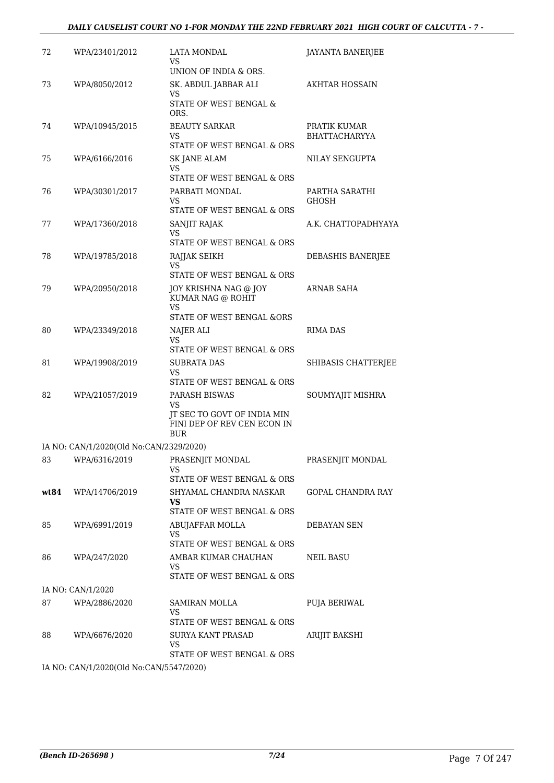#### *DAILY CAUSELIST COURT NO 1-FOR MONDAY THE 22ND FEBRUARY 2021 HIGH COURT OF CALCUTTA - 7 -*

| 72   | WPA/23401/2012                          | LATA MONDAL<br>VS                                                                               | JAYANTA BANERJEE                     |
|------|-----------------------------------------|-------------------------------------------------------------------------------------------------|--------------------------------------|
| 73   | WPA/8050/2012                           | UNION OF INDIA & ORS.<br>SK. ABDUL JABBAR ALI<br>VS                                             | <b>AKHTAR HOSSAIN</b>                |
|      |                                         | STATE OF WEST BENGAL &<br>ORS.                                                                  |                                      |
| 74   | WPA/10945/2015                          | <b>BEAUTY SARKAR</b><br>VS<br>STATE OF WEST BENGAL & ORS                                        | PRATIK KUMAR<br><b>BHATTACHARYYA</b> |
| 75   | WPA/6166/2016                           | <b>SK JANE ALAM</b><br>VS<br>STATE OF WEST BENGAL & ORS                                         | NILAY SENGUPTA                       |
| 76   | WPA/30301/2017                          | PARBATI MONDAL<br>VS<br>STATE OF WEST BENGAL & ORS                                              | PARTHA SARATHI<br>GHOSH              |
| 77   | WPA/17360/2018                          | SANJIT RAJAK<br>VS<br>STATE OF WEST BENGAL & ORS                                                | A.K. CHATTOPADHYAYA                  |
| 78   | WPA/19785/2018                          | RAJJAK SEIKH<br>VS<br>STATE OF WEST BENGAL & ORS                                                | DEBASHIS BANERJEE                    |
| 79   | WPA/20950/2018                          | JOY KRISHNA NAG @ JOY<br>KUMAR NAG @ ROHIT<br>VS<br>STATE OF WEST BENGAL &ORS                   | <b>ARNAB SAHA</b>                    |
| 80   | WPA/23349/2018                          | NAJER ALI<br>VS<br>STATE OF WEST BENGAL & ORS                                                   | RIMA DAS                             |
| 81   | WPA/19908/2019                          | <b>SUBRATA DAS</b><br>VS<br>STATE OF WEST BENGAL & ORS                                          | SHIBASIS CHATTERJEE                  |
| 82   | WPA/21057/2019                          | PARASH BISWAS<br>VS<br>JT SEC TO GOVT OF INDIA MIN<br>FINI DEP OF REV CEN ECON IN<br><b>BUR</b> | SOUMYAJIT MISHRA                     |
|      | IA NO: CAN/1/2020(Old No:CAN/2329/2020) |                                                                                                 |                                      |
| 83   |                                         | WPA/6316/2019 PRASENJIT MONDAL<br>VS<br>STATE OF WEST BENGAL & ORS                              | PRASENJIT MONDAL                     |
| wt84 | WPA/14706/2019                          | SHYAMAL CHANDRA NASKAR<br>VS.<br>STATE OF WEST BENGAL & ORS                                     | GOPAL CHANDRA RAY                    |
| 85   | WPA/6991/2019                           | ABUJAFFAR MOLLA<br>VS<br>STATE OF WEST BENGAL & ORS                                             | DEBAYAN SEN                          |
| 86   | WPA/247/2020                            | AMBAR KUMAR CHAUHAN<br>VS<br>STATE OF WEST BENGAL & ORS                                         | NEIL BASU                            |
|      | IA NO: CAN/1/2020                       |                                                                                                 |                                      |
| 87   | WPA/2886/2020                           | SAMIRAN MOLLA<br>VS<br>STATE OF WEST BENGAL & ORS                                               | <b>PUJA BERIWAL</b>                  |
| 88   | WPA/6676/2020                           | <b>SURYA KANT PRASAD</b><br>VS<br>STATE OF WEST BENGAL & ORS                                    | ARIJIT BAKSHI                        |
|      | IA NO CANILIZOZOCO No CANI5547/2020)    |                                                                                                 |                                      |

IA NO: CAN/1/2020(Old No:CAN/5547/2020)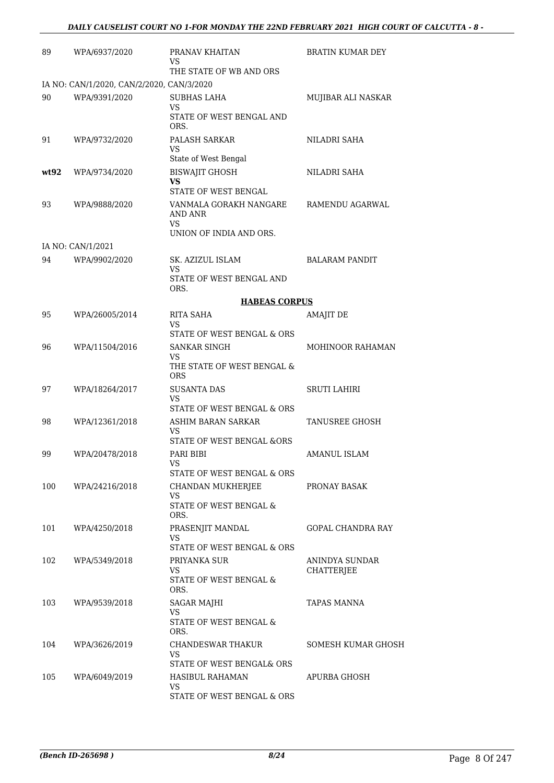| 89   | WPA/6937/2020                             | PRANAV KHAITAN<br>VS<br>THE STATE OF WB AND ORS     | <b>BRATIN KUMAR DEY</b> |
|------|-------------------------------------------|-----------------------------------------------------|-------------------------|
|      | IA NO: CAN/1/2020, CAN/2/2020, CAN/3/2020 |                                                     |                         |
| 90   | WPA/9391/2020                             | SUBHAS LAHA<br>VS                                   | MUJIBAR ALI NASKAR      |
|      |                                           | STATE OF WEST BENGAL AND<br>ORS.                    |                         |
| 91   | WPA/9732/2020                             | PALASH SARKAR<br>VS                                 | NILADRI SAHA            |
|      |                                           | State of West Bengal                                |                         |
| wt92 | WPA/9734/2020                             | <b>BISWAJIT GHOSH</b><br>VS<br>STATE OF WEST BENGAL | NILADRI SAHA            |
| 93   | WPA/9888/2020                             | VANMALA GORAKH NANGARE<br>AND ANR                   | RAMENDU AGARWAL         |
|      |                                           | VS<br>UNION OF INDIA AND ORS.                       |                         |
|      | IA NO: CAN/1/2021                         |                                                     |                         |
| 94   | WPA/9902/2020                             | SK. AZIZUL ISLAM<br>VS                              | <b>BALARAM PANDIT</b>   |
|      |                                           | STATE OF WEST BENGAL AND<br>ORS.                    |                         |
|      |                                           | <b>HABEAS CORPUS</b>                                |                         |
| 95   | WPA/26005/2014                            | RITA SAHA<br>VS                                     | <b>AMAJIT DE</b>        |
|      |                                           | STATE OF WEST BENGAL & ORS                          |                         |
| 96   | WPA/11504/2016                            | <b>SANKAR SINGH</b><br>VS                           | MOHINOOR RAHAMAN        |
|      |                                           | THE STATE OF WEST BENGAL &<br><b>ORS</b>            |                         |
| 97   | WPA/18264/2017                            | <b>SUSANTA DAS</b><br>VS                            | SRUTI LAHIRI            |
|      |                                           | STATE OF WEST BENGAL & ORS                          |                         |
| 98   | WPA/12361/2018                            | ASHIM BARAN SARKAR                                  | <b>TANUSREE GHOSH</b>   |
|      |                                           | VS<br>STATE OF WEST BENGAL &ORS                     |                         |
| 99   | WPA/20478/2018                            | PARI BIBI                                           | <b>AMANUL ISLAM</b>     |
|      |                                           | VS<br>STATE OF WEST BENGAL & ORS                    |                         |
| 100  | WPA/24216/2018                            | CHANDAN MUKHERJEE                                   | PRONAY BASAK            |
|      |                                           | VS<br>STATE OF WEST BENGAL &                        |                         |
| 101  | WPA/4250/2018                             | ORS.<br>PRASENJIT MANDAL                            | GOPAL CHANDRA RAY       |
|      |                                           | VS<br>STATE OF WEST BENGAL & ORS                    |                         |
| 102  | WPA/5349/2018                             | PRIYANKA SUR                                        | ANINDYA SUNDAR          |
|      |                                           | VS<br>STATE OF WEST BENGAL &<br>ORS.                | <b>CHATTERJEE</b>       |
| 103  | WPA/9539/2018                             | SAGAR MAJHI                                         | <b>TAPAS MANNA</b>      |
|      |                                           | VS<br>STATE OF WEST BENGAL &<br>ORS.                |                         |
| 104  | WPA/3626/2019                             | CHANDESWAR THAKUR                                   | SOMESH KUMAR GHOSH      |
|      |                                           | VS<br>STATE OF WEST BENGAL& ORS                     |                         |
| 105  | WPA/6049/2019                             | HASIBUL RAHAMAN                                     | APURBA GHOSH            |
|      |                                           | VS                                                  |                         |
|      |                                           | STATE OF WEST BENGAL & ORS                          |                         |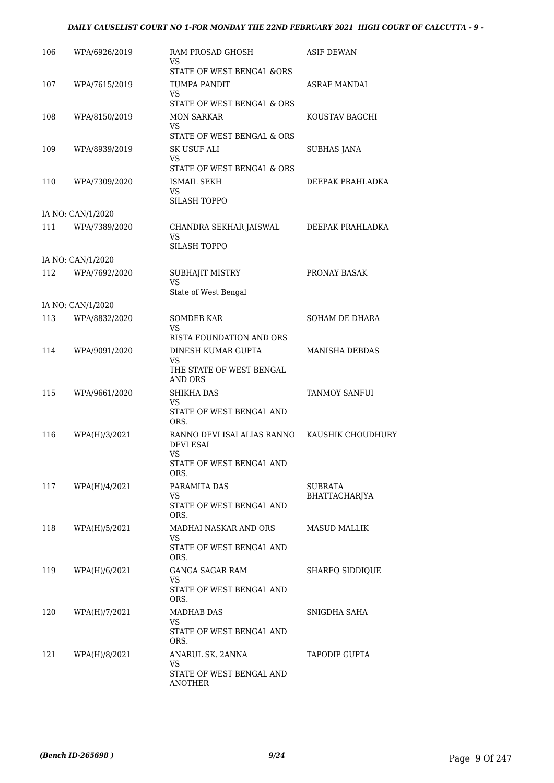#### *DAILY CAUSELIST COURT NO 1-FOR MONDAY THE 22ND FEBRUARY 2021 HIGH COURT OF CALCUTTA - 9 -*

| 106 | WPA/6926/2019     | RAM PROSAD GHOSH<br>VS.                                                | ASIF DEWAN            |
|-----|-------------------|------------------------------------------------------------------------|-----------------------|
|     |                   | <b>STATE OF WEST BENGAL &amp;ORS</b>                                   |                       |
| 107 | WPA/7615/2019     | TUMPA PANDIT<br>VS.                                                    | ASRAF MANDAL          |
|     |                   | STATE OF WEST BENGAL & ORS                                             |                       |
| 108 | WPA/8150/2019     | <b>MON SARKAR</b><br>VS                                                | KOUSTAV BAGCHI        |
|     |                   | STATE OF WEST BENGAL & ORS                                             |                       |
| 109 | WPA/8939/2019     | SK USUF ALI<br>VS                                                      | SUBHAS JANA           |
|     |                   | STATE OF WEST BENGAL & ORS                                             |                       |
| 110 | WPA/7309/2020     | <b>ISMAIL SEKH</b><br>VS.<br><b>SILASH TOPPO</b>                       | DEEPAK PRAHLADKA      |
|     | IA NO: CAN/1/2020 |                                                                        |                       |
| 111 | WPA/7389/2020     | CHANDRA SEKHAR JAISWAL<br>VS                                           | DEEPAK PRAHLADKA      |
|     |                   | <b>SILASH TOPPO</b>                                                    |                       |
|     | IA NO: CAN/1/2020 |                                                                        |                       |
| 112 | WPA/7692/2020     | SUBHAJIT MISTRY<br>VS                                                  | PRONAY BASAK          |
|     |                   | State of West Bengal                                                   |                       |
|     | IA NO: CAN/1/2020 |                                                                        |                       |
| 113 | WPA/8832/2020     | <b>SOMDEB KAR</b><br>VS.                                               | SOHAM DE DHARA        |
|     |                   | RISTA FOUNDATION AND ORS                                               |                       |
| 114 | WPA/9091/2020     | DINESH KUMAR GUPTA<br>VS<br>THE STATE OF WEST BENGAL<br><b>AND ORS</b> | <b>MANISHA DEBDAS</b> |
| 115 | WPA/9661/2020     | SHIKHA DAS                                                             | TANMOY SANFUI         |
|     |                   | VS.<br>STATE OF WEST BENGAL AND                                        |                       |
|     |                   | ORS.                                                                   |                       |
| 116 | WPA(H)/3/2021     | RANNO DEVI ISAI ALIAS RANNO<br><b>DEVI ESAI</b><br><b>VS</b>           | KAUSHIK CHOUDHURY     |
|     |                   | STATE OF WEST BENGAL AND<br>ORS.                                       |                       |
| 117 | WPA(H)/4/2021     | PARAMITA DAS                                                           | SUBRATA               |
|     |                   | VS<br>STATE OF WEST BENGAL AND<br>ORS.                                 | BHATTACHARJYA         |
| 118 | WPA(H)/5/2021     | MADHAI NASKAR AND ORS                                                  | <b>MASUD MALLIK</b>   |
|     |                   | VS.<br>STATE OF WEST BENGAL AND<br>ORS.                                |                       |
| 119 | WPA(H)/6/2021     | GANGA SAGAR RAM<br>VS.                                                 | SHAREQ SIDDIQUE       |
|     |                   | STATE OF WEST BENGAL AND<br>ORS.                                       |                       |
| 120 | WPA(H)/7/2021     | <b>MADHAB DAS</b>                                                      | SNIGDHA SAHA          |
|     |                   | VS.<br>STATE OF WEST BENGAL AND<br>ORS.                                |                       |
| 121 | WPA(H)/8/2021     | ANARUL SK. 2ANNA<br>VS.                                                | <b>TAPODIP GUPTA</b>  |
|     |                   | STATE OF WEST BENGAL AND<br><b>ANOTHER</b>                             |                       |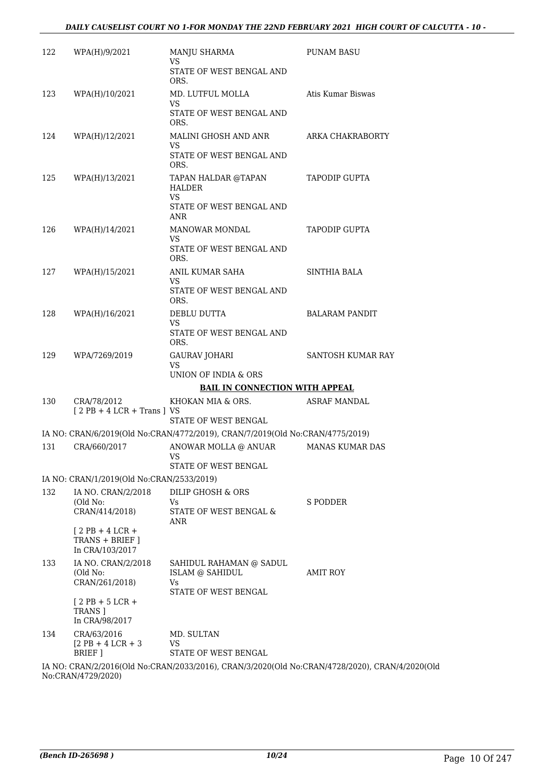| 122 | WPA(H)/9/2021                                      | MANJU SHARMA<br>VS                                                                             | <b>PUNAM BASU</b>      |
|-----|----------------------------------------------------|------------------------------------------------------------------------------------------------|------------------------|
|     |                                                    | STATE OF WEST BENGAL AND<br>ORS.                                                               |                        |
| 123 | WPA(H)/10/2021                                     | MD. LUTFUL MOLLA<br>VS.                                                                        | Atis Kumar Biswas      |
|     |                                                    | STATE OF WEST BENGAL AND<br>ORS.                                                               |                        |
| 124 | WPA(H)/12/2021                                     | MALINI GHOSH AND ANR<br>VS                                                                     | ARKA CHAKRABORTY       |
|     |                                                    | STATE OF WEST BENGAL AND<br>ORS.                                                               |                        |
| 125 | WPA(H)/13/2021                                     | TAPAN HALDAR @TAPAN<br>HALDER<br>VS.<br>STATE OF WEST BENGAL AND                               | <b>TAPODIP GUPTA</b>   |
|     |                                                    | ANR                                                                                            |                        |
| 126 | WPA(H)/14/2021                                     | MANOWAR MONDAL<br>VS.                                                                          | <b>TAPODIP GUPTA</b>   |
|     |                                                    | STATE OF WEST BENGAL AND<br>ORS.                                                               |                        |
| 127 | WPA(H)/15/2021                                     | ANIL KUMAR SAHA<br>VS.                                                                         | SINTHIA BALA           |
|     |                                                    | STATE OF WEST BENGAL AND<br>ORS.                                                               |                        |
| 128 | WPA(H)/16/2021                                     | DEBLU DUTTA<br><b>VS</b>                                                                       | <b>BALARAM PANDIT</b>  |
|     |                                                    | STATE OF WEST BENGAL AND<br>ORS.                                                               |                        |
| 129 | WPA/7269/2019                                      | GAURAV JOHARI<br><b>VS</b>                                                                     | SANTOSH KUMAR RAY      |
|     |                                                    | UNION OF INDIA & ORS<br><b>BAIL IN CONNECTION WITH APPEAL</b>                                  |                        |
| 130 | CRA/78/2012                                        | KHOKAN MIA & ORS.                                                                              | <b>ASRAF MANDAL</b>    |
|     | $[2PB + 4LCR + Trans]VS$                           | STATE OF WEST BENGAL                                                                           |                        |
|     |                                                    | IA NO: CRAN/6/2019(Old No:CRAN/4772/2019), CRAN/7/2019(Old No:CRAN/4775/2019)                  |                        |
| 131 | CRA/660/2017                                       | ANOWAR MOLLA @ ANUAR<br><b>VS</b>                                                              | <b>MANAS KUMAR DAS</b> |
|     |                                                    | STATE OF WEST BENGAL                                                                           |                        |
|     | IA NO: CRAN/1/2019(Old No:CRAN/2533/2019)          |                                                                                                |                        |
| 132 | IA NO. CRAN/2/2018<br>(Old No:                     | DILIP GHOSH & ORS<br>Vs                                                                        | S PODDER               |
|     | CRAN/414/2018)                                     | STATE OF WEST BENGAL &<br>ANR                                                                  |                        |
|     | $[2PB+4LCR+$<br>TRANS + BRIEF ]<br>In CRA/103/2017 |                                                                                                |                        |
| 133 | IA NO. CRAN/2/2018<br>(Old No:<br>CRAN/261/2018)   | SAHIDUL RAHAMAN @ SADUL<br>ISLAM @ SAHIDUL<br>Vs                                               | AMIT ROY               |
|     | $[2$ PB + 5 LCR +<br>TRANS ]                       | STATE OF WEST BENGAL                                                                           |                        |
|     | In CRA/98/2017                                     |                                                                                                |                        |
| 134 | CRA/63/2016<br>$[2$ PB + 4 LCR + 3<br>BRIEF ]      | MD. SULTAN<br>VS<br>STATE OF WEST BENGAL                                                       |                        |
|     | No:CRAN/4729/2020)                                 | IA NO: CRAN/2/2016(Old No:CRAN/2033/2016), CRAN/3/2020(Old No:CRAN/4728/2020), CRAN/4/2020(Old |                        |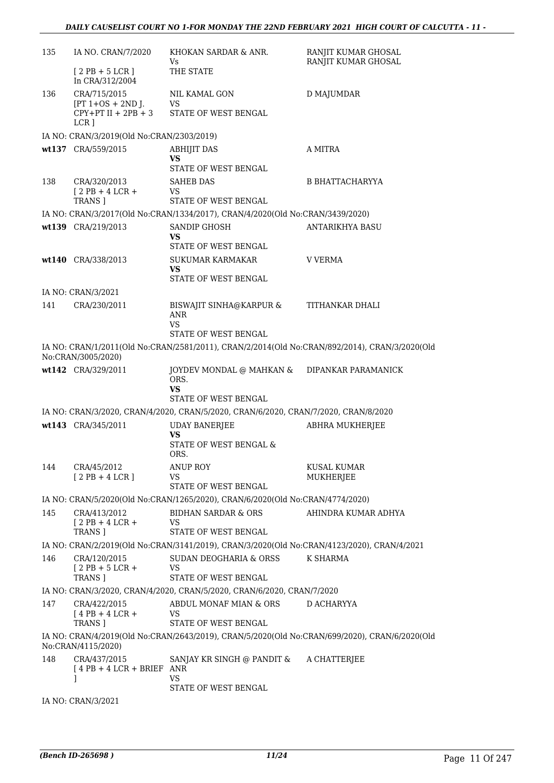| 135 | IA NO. CRAN/7/2020                                     | KHOKAN SARDAR & ANR.<br>Vs.                                                                   | RANJIT KUMAR GHOSAL<br>RANJIT KUMAR GHOSAL |
|-----|--------------------------------------------------------|-----------------------------------------------------------------------------------------------|--------------------------------------------|
|     | $[2PB + 5LCR]$<br>In CRA/312/2004                      | THE STATE                                                                                     |                                            |
| 136 | CRA/715/2015                                           | NIL KAMAL GON                                                                                 | D MAJUMDAR                                 |
|     | $[PT 1+OS + 2ND ]$ .<br>$CPY+PT II + 2PB + 3$<br>LCR ] | <b>VS</b><br>STATE OF WEST BENGAL                                                             |                                            |
|     | IA NO: CRAN/3/2019(Old No:CRAN/2303/2019)              |                                                                                               |                                            |
|     | wt137 CRA/559/2015                                     | <b>ABHIJIT DAS</b>                                                                            | A MITRA                                    |
|     |                                                        | VS<br>STATE OF WEST BENGAL                                                                    |                                            |
| 138 | CRA/320/2013                                           | <b>SAHEB DAS</b>                                                                              | <b>B BHATTACHARYYA</b>                     |
|     | $[2PB+4LCR+$                                           | VS<br>STATE OF WEST BENGAL                                                                    |                                            |
|     | TRANS ]                                                | IA NO: CRAN/3/2017(Old No:CRAN/1334/2017), CRAN/4/2020(Old No:CRAN/3439/2020)                 |                                            |
|     | wt139 CRA/219/2013                                     | SANDIP GHOSH                                                                                  | <b>ANTARIKHYA BASU</b>                     |
|     |                                                        | VS<br>STATE OF WEST BENGAL                                                                    |                                            |
|     | wt140 CRA/338/2013                                     | SUKUMAR KARMAKAR                                                                              | <b>V VERMA</b>                             |
|     |                                                        | VS.<br>STATE OF WEST BENGAL                                                                   |                                            |
|     | IA NO: CRAN/3/2021                                     |                                                                                               |                                            |
| 141 | CRA/230/2011                                           | BISWAJIT SINHA@KARPUR &                                                                       | TITHANKAR DHALI                            |
|     |                                                        | ANR                                                                                           |                                            |
|     |                                                        | VS<br>STATE OF WEST BENGAL                                                                    |                                            |
|     |                                                        | IA NO: CRAN/1/2011(Old No:CRAN/2581/2011), CRAN/2/2014(Old No:CRAN/892/2014), CRAN/3/2020(Old |                                            |
|     | No:CRAN/3005/2020)                                     |                                                                                               |                                            |
|     | wt142 CRA/329/2011                                     | JOYDEV MONDAL @ MAHKAN &<br>ORS.                                                              | DIPANKAR PARAMANICK                        |
|     |                                                        | VS.                                                                                           |                                            |
|     |                                                        | STATE OF WEST BENGAL                                                                          |                                            |
|     |                                                        | IA NO: CRAN/3/2020, CRAN/4/2020, CRAN/5/2020, CRAN/6/2020, CRAN/7/2020, CRAN/8/2020           |                                            |
|     | wt143 CRA/345/2011                                     | <b>UDAY BANERJEE</b><br>VS                                                                    | <b>ABHRA MUKHERJEE</b>                     |
|     |                                                        | STATE OF WEST BENGAL &                                                                        |                                            |
|     |                                                        | ORS.                                                                                          |                                            |
| 144 | CRA/45/2012<br>$[2PB+4LCR]$                            | <b>ANUP ROY</b><br>VS                                                                         | <b>KUSAL KUMAR</b><br>MUKHERJEE            |
|     |                                                        | STATE OF WEST BENGAL                                                                          |                                            |
|     |                                                        | IA NO: CRAN/5/2020(Old No:CRAN/1265/2020), CRAN/6/2020(Old No:CRAN/4774/2020)                 |                                            |
| 145 | CRA/413/2012<br>$12$ PB + 4 LCR +                      | BIDHAN SARDAR & ORS<br>VS.                                                                    | AHINDRA KUMAR ADHYA                        |
|     | TRANS <sub>1</sub>                                     | STATE OF WEST BENGAL                                                                          |                                            |
|     |                                                        | IA NO: CRAN/2/2019(Old No:CRAN/3141/2019), CRAN/3/2020(Old No:CRAN/4123/2020), CRAN/4/2021    |                                            |
| 146 | CRA/120/2015                                           | SUDAN DEOGHARIA & ORSS                                                                        | K SHARMA                                   |
|     | $[2PB + 5LCR +$<br>TRANS ]                             | <b>VS</b><br>STATE OF WEST BENGAL                                                             |                                            |
|     |                                                        | IA NO: CRAN/3/2020, CRAN/4/2020, CRAN/5/2020, CRAN/6/2020, CRAN/7/2020                        |                                            |
| 147 | CRA/422/2015                                           | ABDUL MONAF MIAN & ORS                                                                        | D ACHARYYA                                 |
|     | $[4$ PB + 4 LCR +                                      | VS                                                                                            |                                            |
|     | TRANS ]                                                | STATE OF WEST BENGAL                                                                          |                                            |
|     | No:CRAN/4115/2020)                                     | IA NO: CRAN/4/2019(Old No:CRAN/2643/2019), CRAN/5/2020(Old No:CRAN/699/2020), CRAN/6/2020(Old |                                            |
| 148 | CRA/437/2015<br>$[4PB + 4LCR + BRIEF ANR]$             | SANJAY KR SINGH @ PANDIT &                                                                    | A CHATTERJEE                               |
|     | 1                                                      | VS                                                                                            |                                            |
|     |                                                        | STATE OF WEST BENGAL                                                                          |                                            |

IA NO: CRAN/3/2021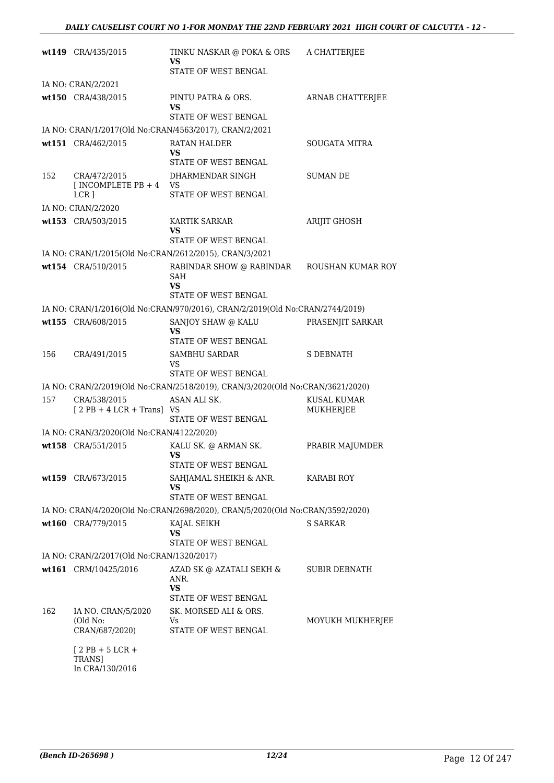|     | wt149 CRA/435/2015                             | TINKU NASKAR @ POKA & ORS<br>VS                                               | A CHATTERJEE            |
|-----|------------------------------------------------|-------------------------------------------------------------------------------|-------------------------|
|     |                                                | STATE OF WEST BENGAL                                                          |                         |
|     | IA NO: CRAN/2/2021                             |                                                                               |                         |
|     | wt150 CRA/438/2015                             | PINTU PATRA & ORS.<br>VS<br>STATE OF WEST BENGAL                              | <b>ARNAB CHATTERJEE</b> |
|     |                                                | IA NO: CRAN/1/2017(Old No:CRAN/4563/2017), CRAN/2/2021                        |                         |
|     | wt151 CRA/462/2015                             | RATAN HALDER                                                                  | <b>SOUGATA MITRA</b>    |
|     |                                                | VS<br>STATE OF WEST BENGAL                                                    |                         |
| 152 | CRA/472/2015                                   | DHARMENDAR SINGH                                                              | <b>SUMAN DE</b>         |
|     | $[INCOMPLETE PB + 4 \tVS]$                     |                                                                               |                         |
|     | $LCR$ ]                                        | STATE OF WEST BENGAL                                                          |                         |
|     | IA NO: CRAN/2/2020                             |                                                                               |                         |
|     | wt153 CRA/503/2015                             | KARTIK SARKAR<br>VS                                                           | ARIJIT GHOSH            |
|     |                                                | STATE OF WEST BENGAL                                                          |                         |
|     |                                                | IA NO: CRAN/1/2015(Old No:CRAN/2612/2015), CRAN/3/2021                        |                         |
|     | wt154 CRA/510/2015                             | RABINDAR SHOW @ RABINDAR<br>SAH<br>VS<br>STATE OF WEST BENGAL                 | ROUSHAN KUMAR ROY       |
|     |                                                | IA NO: CRAN/1/2016(Old No:CRAN/970/2016), CRAN/2/2019(Old No:CRAN/2744/2019)  |                         |
|     | wt155 CRA/608/2015                             | SANJOY SHAW @ KALU                                                            | PRASENJIT SARKAR        |
|     |                                                | VS<br>STATE OF WEST BENGAL                                                    |                         |
| 156 | CRA/491/2015                                   | <b>SAMBHU SARDAR</b>                                                          | S DEBNATH               |
|     |                                                | VS<br>STATE OF WEST BENGAL                                                    |                         |
|     |                                                | IA NO: CRAN/2/2019(Old No:CRAN/2518/2019), CRAN/3/2020(Old No:CRAN/3621/2020) |                         |
| 157 | CRA/538/2015                                   | ASAN ALI SK.                                                                  | KUSAL KUMAR             |
|     | $[2PB + 4LCR + Trans]$ VS                      | STATE OF WEST BENGAL                                                          | <b>MUKHERJEE</b>        |
|     | IA NO: CRAN/3/2020(Old No:CRAN/4122/2020)      |                                                                               |                         |
|     | wt158 CRA/551/2015                             | KALU SK. @ ARMAN SK.<br><b>VS</b>                                             | PRABIR MAJUMDER         |
|     |                                                | STATE OF WEST BENGAL                                                          |                         |
|     | wt159 CRA/673/2015                             | SAHJAMAL SHEIKH & ANR.<br>VS                                                  | KARABI ROY              |
|     |                                                | <b>STATE OF WEST BENGAL</b>                                                   |                         |
|     |                                                | IA NO: CRAN/4/2020(Old No:CRAN/2698/2020), CRAN/5/2020(Old No:CRAN/3592/2020) |                         |
|     | wt160 CRA/779/2015                             | KAJAL SEIKH<br>VS<br>STATE OF WEST BENGAL                                     | <b>S SARKAR</b>         |
|     | IA NO: CRAN/2/2017(Old No:CRAN/1320/2017)      |                                                                               |                         |
|     | wt161 CRM/10425/2016                           | AZAD SK @ AZATALI SEKH &                                                      | <b>SUBIR DEBNATH</b>    |
|     |                                                | ANR.<br><b>VS</b><br>STATE OF WEST BENGAL                                     |                         |
| 162 | IA NO. CRAN/5/2020                             | SK. MORSED ALI & ORS.                                                         |                         |
|     | (Old No:<br>CRAN/687/2020)                     | Vs<br>STATE OF WEST BENGAL                                                    | MOYUKH MUKHERJEE        |
|     | $[2$ PB + 5 LCR +<br>TRANS]<br>In CRA/130/2016 |                                                                               |                         |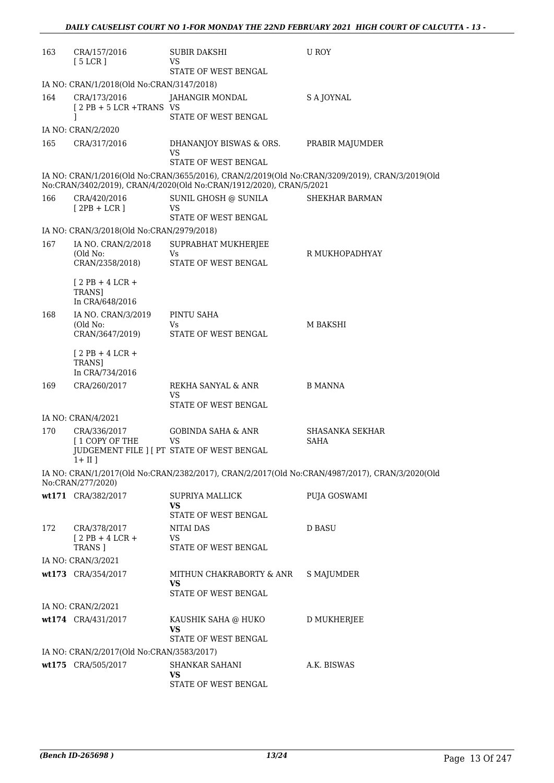| 163 | CRA/157/2016<br>[5 LCR]                           | <b>SUBIR DAKSHI</b><br>VS.<br>STATE OF WEST BENGAL                  | U ROY                                                                                          |
|-----|---------------------------------------------------|---------------------------------------------------------------------|------------------------------------------------------------------------------------------------|
|     | IA NO: CRAN/1/2018(Old No:CRAN/3147/2018)         |                                                                     |                                                                                                |
| 164 | CRA/173/2016<br>$[2PB + 5LCR + TRANSVS]$          | JAHANGIR MONDAL<br>STATE OF WEST BENGAL                             | S A JOYNAL                                                                                     |
|     | 1<br>IA NO: CRAN/2/2020                           |                                                                     |                                                                                                |
| 165 | CRA/317/2016                                      | DHANANJOY BISWAS & ORS.<br>VS                                       | PRABIR MAJUMDER                                                                                |
|     |                                                   | STATE OF WEST BENGAL                                                |                                                                                                |
|     |                                                   | No:CRAN/3402/2019), CRAN/4/2020(Old No:CRAN/1912/2020), CRAN/5/2021 | IA NO: CRAN/1/2016(Old No:CRAN/3655/2016), CRAN/2/2019(Old No:CRAN/3209/2019), CRAN/3/2019(Old |
| 166 | CRA/420/2016<br>$[2PB + LCR]$                     | SUNIL GHOSH @ SUNILA<br>VS<br>STATE OF WEST BENGAL                  | SHEKHAR BARMAN                                                                                 |
|     | IA NO: CRAN/3/2018(Old No:CRAN/2979/2018)         |                                                                     |                                                                                                |
| 167 | IA NO. CRAN/2/2018<br>(Old No:<br>CRAN/2358/2018) | SUPRABHAT MUKHERJEE<br>Vs.<br>STATE OF WEST BENGAL                  | R MUKHOPADHYAY                                                                                 |
|     | $[2PB+4LCR+$<br><b>TRANS1</b><br>In CRA/648/2016  |                                                                     |                                                                                                |
| 168 | IA NO. CRAN/3/2019                                | PINTU SAHA                                                          |                                                                                                |
|     | (Old No:<br>CRAN/3647/2019)                       | Vs<br>STATE OF WEST BENGAL                                          | M BAKSHI                                                                                       |
|     | $[2PB+4LCR+$<br>TRANS]<br>In CRA/734/2016         |                                                                     |                                                                                                |
| 169 | CRA/260/2017                                      | REKHA SANYAL & ANR                                                  | <b>B MANNA</b>                                                                                 |
|     |                                                   | VS.<br>STATE OF WEST BENGAL                                         |                                                                                                |
|     | IA NO: CRAN/4/2021                                |                                                                     |                                                                                                |
| 170 | CRA/336/2017                                      | <b>GOBINDA SAHA &amp; ANR</b>                                       | <b>SHASANKA SEKHAR</b>                                                                         |
|     | [1 COPY OF THE<br>$1 + II$ 1                      | <b>VS</b><br>JUDGEMENT FILE ] [ PT STATE OF WEST BENGAL             | <b>SAHA</b>                                                                                    |
|     | No:CRAN/277/2020)                                 |                                                                     | IA NO: CRAN/1/2017(Old No:CRAN/2382/2017), CRAN/2/2017(Old No:CRAN/4987/2017), CRAN/3/2020(Old |
|     | wt171 CRA/382/2017                                | SUPRIYA MALLICK<br>VS                                               | PUJA GOSWAMI                                                                                   |
|     |                                                   | STATE OF WEST BENGAL                                                |                                                                                                |
| 172 | CRA/378/2017<br>$12$ PB + 4 LCR +                 | NITAI DAS<br><b>VS</b>                                              | <b>D BASU</b>                                                                                  |
|     | TRANS ]                                           | STATE OF WEST BENGAL                                                |                                                                                                |
|     | IA NO: CRAN/3/2021                                |                                                                     |                                                                                                |
|     | wt173 CRA/354/2017                                | MITHUN CHAKRABORTY & ANR<br>VS.<br>STATE OF WEST BENGAL             | S MAJUMDER                                                                                     |
|     | IA NO: CRAN/2/2021                                |                                                                     |                                                                                                |
|     | wt174 CRA/431/2017                                | KAUSHIK SAHA @ HUKO<br>VS                                           | D MUKHERJEE                                                                                    |
|     |                                                   | STATE OF WEST BENGAL                                                |                                                                                                |
|     | IA NO: CRAN/2/2017(Old No:CRAN/3583/2017)         |                                                                     |                                                                                                |
|     | wt175 CRA/505/2017                                | SHANKAR SAHANI<br>VS.<br>STATE OF WEST BENGAL                       | A.K. BISWAS                                                                                    |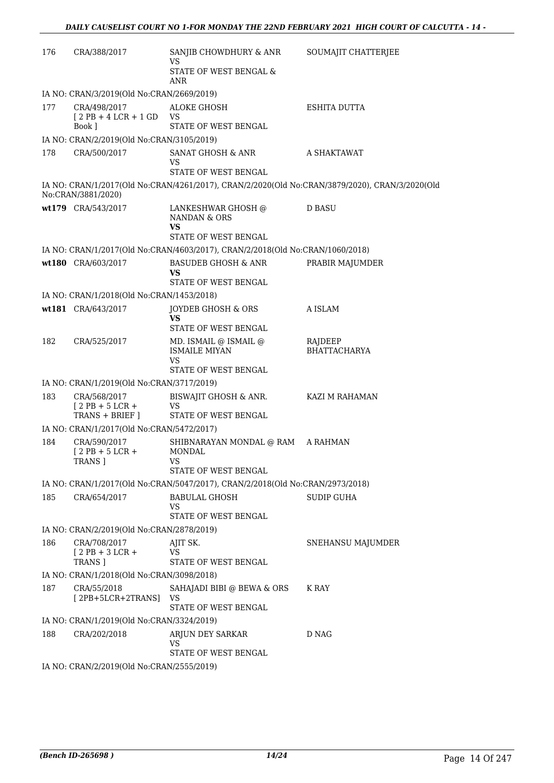| 176 | CRA/388/2017                                     | SANJIB CHOWDHURY & ANR<br>VS                                                  | SOUMAJIT CHATTERJEE                                                                            |
|-----|--------------------------------------------------|-------------------------------------------------------------------------------|------------------------------------------------------------------------------------------------|
|     |                                                  | STATE OF WEST BENGAL &<br>ANR                                                 |                                                                                                |
|     | IA NO: CRAN/3/2019(Old No:CRAN/2669/2019)        |                                                                               |                                                                                                |
| 177 | CRA/498/2017<br>$[2PB + 4LCR + 1GD$ VS<br>Book 1 | ALOKE GHOSH<br>STATE OF WEST BENGAL                                           | <b>ESHITA DUTTA</b>                                                                            |
|     | IA NO: CRAN/2/2019(Old No:CRAN/3105/2019)        |                                                                               |                                                                                                |
| 178 | CRA/500/2017                                     | SANAT GHOSH & ANR<br>VS                                                       | A SHAKTAWAT                                                                                    |
|     |                                                  | STATE OF WEST BENGAL                                                          |                                                                                                |
|     | No:CRAN/3881/2020)                               |                                                                               | IA NO: CRAN/1/2017(Old No:CRAN/4261/2017), CRAN/2/2020(Old No:CRAN/3879/2020), CRAN/3/2020(Old |
|     | wt179 CRA/543/2017                               | LANKESHWAR GHOSH @<br>NANDAN & ORS<br>VS                                      | <b>D BASU</b>                                                                                  |
|     |                                                  | <b>STATE OF WEST BENGAL</b>                                                   |                                                                                                |
|     |                                                  | IA NO: CRAN/1/2017(Old No:CRAN/4603/2017), CRAN/2/2018(Old No:CRAN/1060/2018) |                                                                                                |
|     | wt180 CRA/603/2017                               | <b>BASUDEB GHOSH &amp; ANR</b><br>VS                                          | PRABIR MAJUMDER                                                                                |
|     |                                                  | STATE OF WEST BENGAL                                                          |                                                                                                |
|     | IA NO: CRAN/1/2018(Old No:CRAN/1453/2018)        |                                                                               |                                                                                                |
|     | wt181 CRA/643/2017                               | JOYDEB GHOSH & ORS<br>VS                                                      | A ISLAM                                                                                        |
|     |                                                  | STATE OF WEST BENGAL                                                          |                                                                                                |
| 182 | CRA/525/2017                                     | MD. ISMAIL @ ISMAIL @<br><b>ISMAILE MIYAN</b><br>VS<br>STATE OF WEST BENGAL   | RAJDEEP<br><b>BHATTACHARYA</b>                                                                 |
|     | IA NO: CRAN/1/2019(Old No:CRAN/3717/2019)        |                                                                               |                                                                                                |
| 183 | CRA/568/2017<br>$12$ PB + 5 LCR +                | BISWAJIT GHOSH & ANR.<br>VS                                                   | KAZI M RAHAMAN                                                                                 |
|     | TRANS + BRIEF ]                                  | STATE OF WEST BENGAL                                                          |                                                                                                |
|     | IA NO: CRAN/1/2017(Old No:CRAN/5472/2017)        |                                                                               |                                                                                                |
| 184 | CRA/590/2017<br>$[2PB + 5LCR +$<br>TRANS ]       | SHIBNARAYAN MONDAL @ RAM A RAHMAN<br><b>MONDAL</b><br>VS.                     |                                                                                                |
|     |                                                  | STATE OF WEST BENGAL                                                          |                                                                                                |
|     |                                                  | IA NO: CRAN/1/2017(Old No:CRAN/5047/2017), CRAN/2/2018(Old No:CRAN/2973/2018) |                                                                                                |
| 185 | CRA/654/2017                                     | BABULAL GHOSH<br>VS                                                           | <b>SUDIP GUHA</b>                                                                              |
|     |                                                  | STATE OF WEST BENGAL                                                          |                                                                                                |
|     | IA NO: CRAN/2/2019(Old No:CRAN/2878/2019)        |                                                                               |                                                                                                |
| 186 | CRA/708/2017<br>$[2$ PB + 3 LCR +<br>TRANS ]     | AJIT SK.<br>VS<br>STATE OF WEST BENGAL                                        | SNEHANSU MAJUMDER                                                                              |
|     | IA NO: CRAN/1/2018(Old No:CRAN/3098/2018)        |                                                                               |                                                                                                |
| 187 | CRA/55/2018                                      | SAHAJADI BIBI @ BEWA & ORS                                                    | K RAY                                                                                          |
|     | [2PB+5LCR+2TRANS]                                | VS<br>STATE OF WEST BENGAL                                                    |                                                                                                |
|     | IA NO: CRAN/1/2019(Old No:CRAN/3324/2019)        |                                                                               |                                                                                                |
| 188 | CRA/202/2018                                     | ARJUN DEY SARKAR<br>VS                                                        | D NAG                                                                                          |
|     | IA NO: CRAN/2/2019(Old No:CRAN/2555/2019)        | STATE OF WEST BENGAL                                                          |                                                                                                |
|     |                                                  |                                                                               |                                                                                                |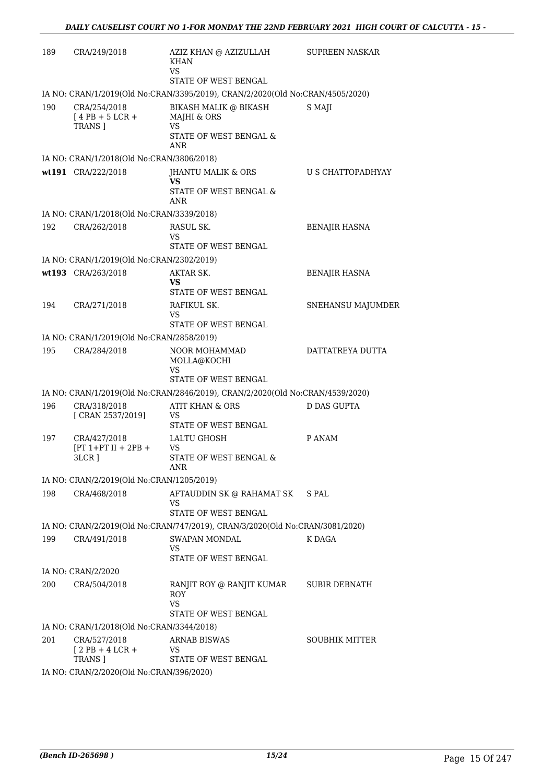| 189 | CRA/249/2018                                               | AZIZ KHAN @ AZIZULLAH<br>KHAN<br><b>VS</b>                                    | <b>SUPREEN NASKAR</b>    |
|-----|------------------------------------------------------------|-------------------------------------------------------------------------------|--------------------------|
|     |                                                            | STATE OF WEST BENGAL                                                          |                          |
|     |                                                            | IA NO: CRAN/1/2019(Old No:CRAN/3395/2019), CRAN/2/2020(Old No:CRAN/4505/2020) |                          |
| 190 | CRA/254/2018<br>$[4$ PB + 5 LCR +<br>TRANS ]               | BIKASH MALIK @ BIKASH<br>MAJHI & ORS<br>VS<br>STATE OF WEST BENGAL &          | S MAJI                   |
|     |                                                            | <b>ANR</b>                                                                    |                          |
|     | IA NO: CRAN/1/2018(Old No:CRAN/3806/2018)                  |                                                                               |                          |
|     | wt191 CRA/222/2018                                         | JHANTU MALIK & ORS<br><b>VS</b><br>STATE OF WEST BENGAL &<br><b>ANR</b>       | <b>U S CHATTOPADHYAY</b> |
|     | IA NO: CRAN/1/2018(Old No:CRAN/3339/2018)                  |                                                                               |                          |
| 192 | CRA/262/2018                                               | RASUL SK.<br>VS<br>STATE OF WEST BENGAL                                       | <b>BENAJIR HASNA</b>     |
|     | IA NO: CRAN/1/2019(Old No:CRAN/2302/2019)                  |                                                                               |                          |
|     | wt193 CRA/263/2018                                         | AKTAR SK.                                                                     | BENAJIR HASNA            |
|     |                                                            | VS<br>STATE OF WEST BENGAL                                                    |                          |
| 194 | CRA/271/2018                                               | RAFIKUL SK.<br>VS<br>STATE OF WEST BENGAL                                     | SNEHANSU MAJUMDER        |
|     | IA NO: CRAN/1/2019(Old No:CRAN/2858/2019)                  |                                                                               |                          |
| 195 | CRA/284/2018                                               | <b>NOOR MOHAMMAD</b><br>MOLLA@KOCHI<br><b>VS</b><br>STATE OF WEST BENGAL      | DATTATREYA DUTTA         |
|     |                                                            | IA NO: CRAN/1/2019(Old No:CRAN/2846/2019), CRAN/2/2020(Old No:CRAN/4539/2020) |                          |
| 196 | CRA/318/2018                                               | <b>ATIT KHAN &amp; ORS</b>                                                    | <b>D DAS GUPTA</b>       |
|     | [ CRAN 2537/2019]                                          | <b>VS</b><br>STATE OF WEST BENGAL                                             |                          |
| 197 | CRA/427/2018<br>$[PT 1+PT II + 2PB +$<br>3LCR ]            | <b>LALTU GHOSH</b><br>VS<br>STATE OF WEST BENGAL &<br>ANR                     | P ANAM                   |
|     | IA NO: CRAN/2/2019(Old No:CRAN/1205/2019)                  |                                                                               |                          |
| 198 | CRA/468/2018                                               | AFTAUDDIN SK @ RAHAMAT SK<br>VS                                               | S PAL                    |
|     |                                                            | STATE OF WEST BENGAL                                                          |                          |
|     |                                                            | IA NO: CRAN/2/2019(Old No:CRAN/747/2019), CRAN/3/2020(Old No:CRAN/3081/2020)  |                          |
| 199 | CRA/491/2018                                               | <b>SWAPAN MONDAL</b><br><b>VS</b><br>STATE OF WEST BENGAL                     | K DAGA                   |
|     | IA NO: CRAN/2/2020                                         |                                                                               |                          |
| 200 | CRA/504/2018                                               | RANJIT ROY @ RANJIT KUMAR<br><b>ROY</b><br><b>VS</b><br>STATE OF WEST BENGAL  | SUBIR DEBNATH            |
|     | IA NO: CRAN/1/2018(Old No:CRAN/3344/2018)                  |                                                                               |                          |
| 201 | CRA/527/2018<br>$[2$ PB + 4 LCR +                          | <b>ARNAB BISWAS</b><br>VS                                                     | SOUBHIK MITTER           |
|     | <b>TRANS</b> ]<br>IA NO: CRAN/2/2020(Old No:CRAN/396/2020) | STATE OF WEST BENGAL                                                          |                          |
|     |                                                            |                                                                               |                          |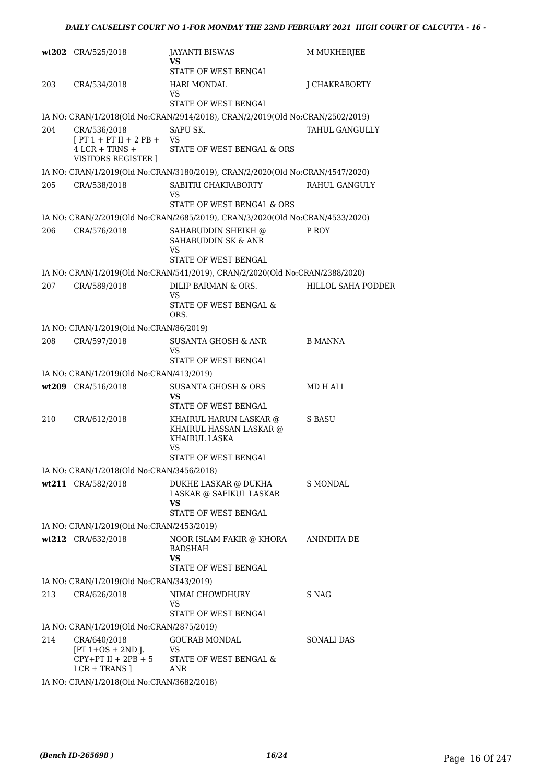|     | wt202 CRA/525/2018                                                                  | <b>JAYANTI BISWAS</b><br>VS<br>STATE OF WEST BENGAL                                              | M MUKHERJEE               |
|-----|-------------------------------------------------------------------------------------|--------------------------------------------------------------------------------------------------|---------------------------|
| 203 | CRA/534/2018                                                                        | <b>HARI MONDAL</b>                                                                               | J CHAKRABORTY             |
|     |                                                                                     | VS<br>STATE OF WEST BENGAL                                                                       |                           |
|     |                                                                                     | IA NO: CRAN/1/2018(Old No:CRAN/2914/2018), CRAN/2/2019(Old No:CRAN/2502/2019)                    |                           |
| 204 | CRA/536/2018<br>$[PT 1 + PT II + 2 PB +$<br>$4$ LCR + TRNS +<br>VISITORS REGISTER ] | SAPU SK.<br><b>VS</b><br>STATE OF WEST BENGAL & ORS                                              | TAHUL GANGULLY            |
|     |                                                                                     | IA NO: CRAN/1/2019(Old No:CRAN/3180/2019), CRAN/2/2020(Old No:CRAN/4547/2020)                    |                           |
| 205 | CRA/538/2018                                                                        | SABITRI CHAKRABORTY<br>VS<br>STATE OF WEST BENGAL & ORS                                          | RAHUL GANGULY             |
|     |                                                                                     | IA NO: CRAN/2/2019(Old No:CRAN/2685/2019), CRAN/3/2020(Old No:CRAN/4533/2020)                    |                           |
| 206 | CRA/576/2018                                                                        | SAHABUDDIN SHEIKH @<br>SAHABUDDIN SK & ANR<br><b>VS</b><br>STATE OF WEST BENGAL                  | P ROY                     |
|     |                                                                                     | IA NO: CRAN/1/2019(Old No:CRAN/541/2019), CRAN/2/2020(Old No:CRAN/2388/2020)                     |                           |
| 207 | CRA/589/2018                                                                        | DILIP BARMAN & ORS.<br>VS                                                                        | <b>HILLOL SAHA PODDER</b> |
|     |                                                                                     | STATE OF WEST BENGAL &<br>ORS.                                                                   |                           |
|     | IA NO: CRAN/1/2019(Old No:CRAN/86/2019)                                             |                                                                                                  |                           |
| 208 | CRA/597/2018                                                                        | SUSANTA GHOSH & ANR<br>VS<br>STATE OF WEST BENGAL                                                | B MANNA                   |
|     | IA NO: CRAN/1/2019(Old No:CRAN/413/2019)                                            |                                                                                                  |                           |
|     | wt209 CRA/516/2018                                                                  | <b>SUSANTA GHOSH &amp; ORS</b>                                                                   | MD H ALI                  |
|     |                                                                                     | VS<br>STATE OF WEST BENGAL                                                                       |                           |
| 210 | CRA/612/2018                                                                        | KHAIRUL HARUN LASKAR @<br>KHAIRUL HASSAN LASKAR @<br>KHAIRUL LASKA<br>VS<br>STATE OF WEST BENGAL | S BASU                    |
|     | IA NO: CRAN/1/2018(Old No:CRAN/3456/2018)                                           |                                                                                                  |                           |
|     | wt211 CRA/582/2018                                                                  | DUKHE LASKAR @ DUKHA<br>LASKAR @ SAFIKUL LASKAR<br>VS                                            | S MONDAL                  |
|     |                                                                                     | STATE OF WEST BENGAL                                                                             |                           |
|     | IA NO: CRAN/1/2019(Old No:CRAN/2453/2019)                                           |                                                                                                  |                           |
|     | wt212 CRA/632/2018                                                                  | NOOR ISLAM FAKIR @ KHORA<br><b>BADSHAH</b><br>VS.<br>STATE OF WEST BENGAL                        | ANINDITA DE               |
|     | IA NO: CRAN/1/2019(Old No:CRAN/343/2019)                                            |                                                                                                  |                           |
| 213 | CRA/626/2018                                                                        | NIMAI CHOWDHURY<br>VS                                                                            | S NAG                     |
|     |                                                                                     | STATE OF WEST BENGAL                                                                             |                           |
|     | IA NO: CRAN/1/2019(Old No:CRAN/2875/2019)                                           |                                                                                                  |                           |
| 214 | CRA/640/2018<br>$[PT 1+OS + 2ND J.$<br>$CPY+PT II + 2PB + 5$<br>$LCR + TRANS$ ]     | <b>GOURAB MONDAL</b><br>VS<br>STATE OF WEST BENGAL &<br>ANR                                      | SONALI DAS                |
|     | IA NO: CRAN/1/2018(Old No:CRAN/3682/2018)                                           |                                                                                                  |                           |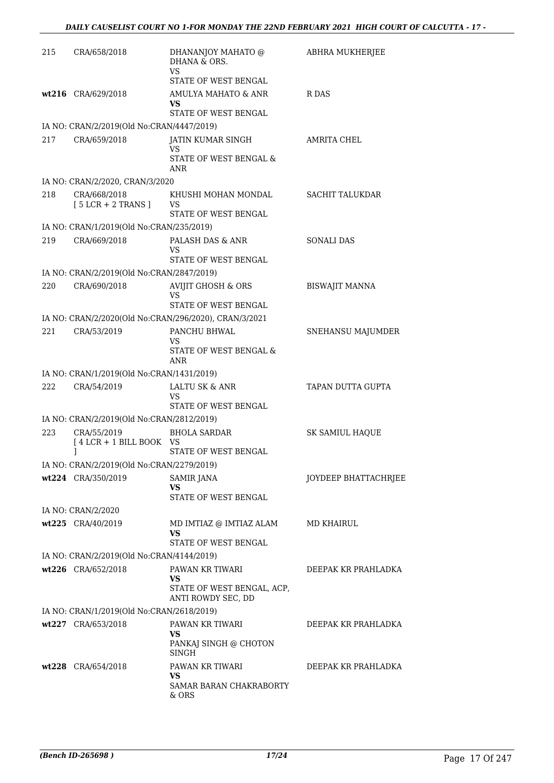| 215 | CRA/658/2018                                                    | DHANANJOY MAHATO @<br>DHANA & ORS.<br>VS                               | ABHRA MUKHERJEE        |
|-----|-----------------------------------------------------------------|------------------------------------------------------------------------|------------------------|
|     |                                                                 | STATE OF WEST BENGAL                                                   |                        |
|     | wt216 CRA/629/2018                                              | AMULYA MAHATO & ANR<br>VS<br>STATE OF WEST BENGAL                      | R DAS                  |
|     | IA NO: CRAN/2/2019(Old No:CRAN/4447/2019)                       |                                                                        |                        |
| 217 | CRA/659/2018                                                    | JATIN KUMAR SINGH<br><b>VS</b><br>STATE OF WEST BENGAL &<br><b>ANR</b> | AMRITA CHEL            |
|     | IA NO: CRAN/2/2020, CRAN/3/2020                                 |                                                                        |                        |
| 218 | CRA/668/2018<br>$[5 LCR + 2 TRANS]$                             | KHUSHI MOHAN MONDAL<br>VS<br>STATE OF WEST BENGAL                      | <b>SACHIT TALUKDAR</b> |
|     | IA NO: CRAN/1/2019(Old No:CRAN/235/2019)                        |                                                                        |                        |
| 219 | CRA/669/2018                                                    | PALASH DAS & ANR<br>VS<br>STATE OF WEST BENGAL                         | <b>SONALI DAS</b>      |
|     | IA NO: CRAN/2/2019(Old No:CRAN/2847/2019)                       |                                                                        |                        |
| 220 | CRA/690/2018                                                    | <b>AVIJIT GHOSH &amp; ORS</b><br>VS                                    | <b>BISWAJIT MANNA</b>  |
|     |                                                                 | STATE OF WEST BENGAL                                                   |                        |
| 221 | CRA/53/2019                                                     | IA NO: CRAN/2/2020(Old No:CRAN/296/2020), CRAN/3/2021<br>PANCHU BHWAL  |                        |
|     |                                                                 | VS<br>STATE OF WEST BENGAL &<br>ANR                                    | SNEHANSU MAJUMDER      |
|     | IA NO: CRAN/1/2019(Old No:CRAN/1431/2019)                       |                                                                        |                        |
| 222 | CRA/54/2019                                                     | LALTU SK & ANR<br>VS                                                   | TAPAN DUTTA GUPTA      |
|     |                                                                 | STATE OF WEST BENGAL                                                   |                        |
|     | IA NO: CRAN/2/2019(Old No:CRAN/2812/2019)                       |                                                                        |                        |
| 223 | CRA/55/2019<br>[4 LCR + 1 BILL BOOK VS<br>1                     | <b>BHOLA SARDAR</b><br>STATE OF WEST BENGAL                            | <b>SK SAMIUL HAOUE</b> |
|     | IA NO: CRAN/2/2019(Old No:CRAN/2279/2019)                       |                                                                        |                        |
|     | wt224 CRA/350/2019                                              | <b>SAMIR JANA</b><br>VS<br>STATE OF WEST BENGAL                        | JOYDEEP BHATTACHRJEE   |
|     | IA NO: CRAN/2/2020                                              |                                                                        |                        |
|     | wt225 CRA/40/2019                                               | MD IMTIAZ @ IMTIAZ ALAM<br>VS                                          | MD KHAIRUL             |
|     |                                                                 | STATE OF WEST BENGAL                                                   |                        |
|     | IA NO: CRAN/2/2019(Old No:CRAN/4144/2019)<br>wt226 CRA/652/2018 | PAWAN KR TIWARI                                                        | DEEPAK KR PRAHLADKA    |
|     |                                                                 | VS<br>STATE OF WEST BENGAL, ACP,<br>ANTI ROWDY SEC, DD                 |                        |
|     | IA NO: CRAN/1/2019(Old No:CRAN/2618/2019)                       |                                                                        |                        |
|     | wt227 CRA/653/2018                                              | PAWAN KR TIWARI                                                        | DEEPAK KR PRAHLADKA    |
|     |                                                                 | VS<br>PANKAJ SINGH @ CHOTON<br>SINGH                                   |                        |
|     | wt228 CRA/654/2018                                              | PAWAN KR TIWARI                                                        | DEEPAK KR PRAHLADKA    |
|     |                                                                 | VS.<br>SAMAR BARAN CHAKRABORTY<br>& ORS                                |                        |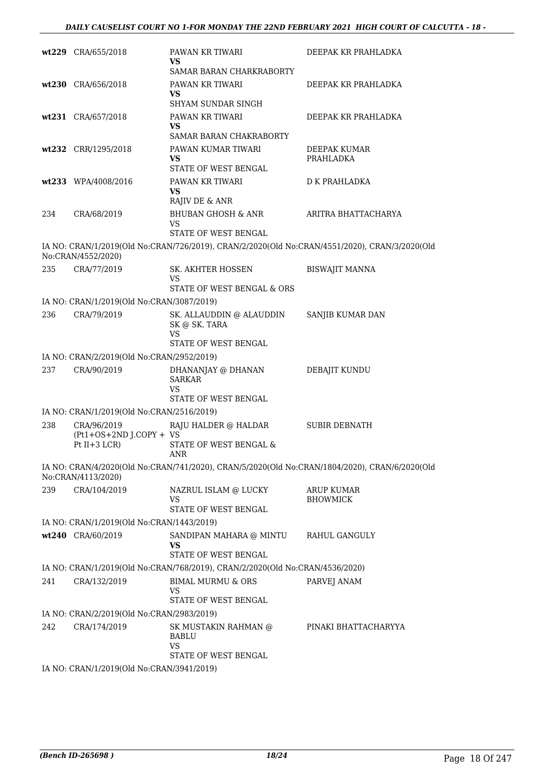|     | wt229 CRA/655/2018                        | PAWAN KR TIWARI<br>VS                                                                         | DEEPAK KR PRAHLADKA           |
|-----|-------------------------------------------|-----------------------------------------------------------------------------------------------|-------------------------------|
|     |                                           | SAMAR BARAN CHARKRABORTY                                                                      |                               |
|     | wt230 CRA/656/2018                        | PAWAN KR TIWARI<br>VS                                                                         | DEEPAK KR PRAHLADKA           |
|     |                                           | SHYAM SUNDAR SINGH                                                                            |                               |
|     | wt231 CRA/657/2018                        | PAWAN KR TIWARI<br>VS                                                                         | DEEPAK KR PRAHLADKA           |
|     |                                           | SAMAR BARAN CHAKRABORTY                                                                       |                               |
|     | wt232 CRR/1295/2018                       | PAWAN KUMAR TIWARI<br>VS.<br>STATE OF WEST BENGAL                                             | DEEPAK KUMAR<br>PRAHLADKA     |
|     |                                           | PAWAN KR TIWARI                                                                               | D K PRAHLADKA                 |
|     | wt233 WPA/4008/2016                       | VS<br>RAJIV DE & ANR                                                                          |                               |
| 234 | CRA/68/2019                               | <b>BHUBAN GHOSH &amp; ANR</b><br>VS                                                           | ARITRA BHATTACHARYA           |
|     |                                           | <b>STATE OF WEST BENGAL</b>                                                                   |                               |
|     | No:CRAN/4552/2020)                        | IA NO: CRAN/1/2019(Old No:CRAN/726/2019), CRAN/2/2020(Old No:CRAN/4551/2020), CRAN/3/2020(Old |                               |
| 235 | CRA/77/2019                               | SK. AKHTER HOSSEN<br>VS                                                                       | <b>BISWAJIT MANNA</b>         |
|     |                                           | STATE OF WEST BENGAL & ORS                                                                    |                               |
|     | IA NO: CRAN/1/2019(Old No:CRAN/3087/2019) |                                                                                               |                               |
| 236 | CRA/79/2019                               | SK. ALLAUDDIN @ ALAUDDIN<br>SK @ SK. TARA<br>VS                                               | SANJIB KUMAR DAN              |
|     |                                           | STATE OF WEST BENGAL                                                                          |                               |
|     | IA NO: CRAN/2/2019(Old No:CRAN/2952/2019) |                                                                                               |                               |
| 237 | CRA/90/2019                               | DHANANJAY @ DHANAN<br><b>SARKAR</b><br>VS<br>STATE OF WEST BENGAL                             | DEBAJIT KUNDU                 |
|     | IA NO: CRAN/1/2019(Old No:CRAN/2516/2019) |                                                                                               |                               |
| 238 | CRA/96/2019                               | RAJU HALDER @ HALDAR                                                                          | <b>SUBIR DEBNATH</b>          |
|     | (Pt1+OS+2ND J.COPY + VS<br>Pt $II+3$ LCR) | STATE OF WEST BENGAL &<br>ANR                                                                 |                               |
|     | No:CRAN/4113/2020)                        | IA NO: CRAN/4/2020(Old No:CRAN/741/2020), CRAN/5/2020(Old No:CRAN/1804/2020), CRAN/6/2020(Old |                               |
| 239 | CRA/104/2019                              | NAZRUL ISLAM @ LUCKY<br><b>VS</b><br>STATE OF WEST BENGAL                                     | ARUP KUMAR<br><b>BHOWMICK</b> |
|     | IA NO: CRAN/1/2019(Old No:CRAN/1443/2019) |                                                                                               |                               |
|     | wt240 CRA/60/2019                         | SANDIPAN MAHARA @ MINTU                                                                       | RAHUL GANGULY                 |
|     |                                           | VS<br>STATE OF WEST BENGAL                                                                    |                               |
|     |                                           | IA NO: CRAN/1/2019(Old No:CRAN/768/2019), CRAN/2/2020(Old No:CRAN/4536/2020)                  |                               |
| 241 | CRA/132/2019                              | <b>BIMAL MURMU &amp; ORS</b><br>VS                                                            | PARVEJ ANAM                   |
|     |                                           | STATE OF WEST BENGAL                                                                          |                               |
|     | IA NO: CRAN/2/2019(Old No:CRAN/2983/2019) |                                                                                               |                               |
| 242 | CRA/174/2019                              | SK MUSTAKIN RAHMAN @<br>BABLU<br><b>VS</b>                                                    | PINAKI BHATTACHARYYA          |
|     |                                           | STATE OF WEST BENGAL                                                                          |                               |
|     | IA NO: CRAN/1/2019(Old No:CRAN/3941/2019) |                                                                                               |                               |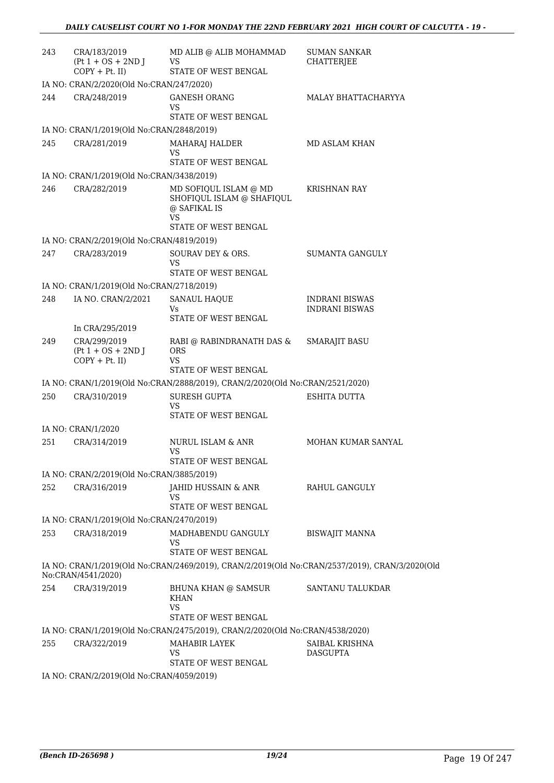| 243 | CRA/183/2019<br>$(Pt 1 + OS + 2ND J)$<br>$COPY + Pt.$ II) | MD ALIB @ ALIB MOHAMMAD<br>VS<br>STATE OF WEST BENGAL                         | <b>SUMAN SANKAR</b><br><b>CHATTERJEE</b>                                                       |
|-----|-----------------------------------------------------------|-------------------------------------------------------------------------------|------------------------------------------------------------------------------------------------|
|     | IA NO: CRAN/2/2020(Old No:CRAN/247/2020)                  |                                                                               |                                                                                                |
| 244 | CRA/248/2019                                              | <b>GANESH ORANG</b><br>VS<br>STATE OF WEST BENGAL                             | MALAY BHATTACHARYYA                                                                            |
|     | IA NO: CRAN/1/2019(Old No:CRAN/2848/2019)                 |                                                                               |                                                                                                |
| 245 | CRA/281/2019                                              | MAHARAJ HALDER<br>VS                                                          | MD ASLAM KHAN                                                                                  |
|     |                                                           | STATE OF WEST BENGAL                                                          |                                                                                                |
| 246 | IA NO: CRAN/1/2019(Old No:CRAN/3438/2019)                 |                                                                               |                                                                                                |
|     | CRA/282/2019                                              | MD SOFIQUL ISLAM @ MD<br>SHOFIQUL ISLAM @ SHAFIQUL<br>@ SAFIKAL IS<br>VS      | <b>KRISHNAN RAY</b>                                                                            |
|     |                                                           | STATE OF WEST BENGAL                                                          |                                                                                                |
|     | IA NO: CRAN/2/2019(Old No:CRAN/4819/2019)                 |                                                                               |                                                                                                |
| 247 | CRA/283/2019                                              | SOURAV DEY & ORS.<br>VS<br>STATE OF WEST BENGAL                               | <b>SUMANTA GANGULY</b>                                                                         |
|     | IA NO: CRAN/1/2019(Old No:CRAN/2718/2019)                 |                                                                               |                                                                                                |
| 248 | IA NO. CRAN/2/2021                                        | <b>SANAUL HAQUE</b>                                                           | INDRANI BISWAS                                                                                 |
|     |                                                           | Vs                                                                            | <b>INDRANI BISWAS</b>                                                                          |
|     | In CRA/295/2019                                           | STATE OF WEST BENGAL                                                          |                                                                                                |
| 249 | CRA/299/2019                                              | RABI @ RABINDRANATH DAS &                                                     | <b>SMARAJIT BASU</b>                                                                           |
|     | $(Pt 1 + OS + 2ND J)$<br>$COPY + Pt.$ II)                 | <b>ORS</b><br>VS.                                                             |                                                                                                |
|     |                                                           | STATE OF WEST BENGAL                                                          |                                                                                                |
|     |                                                           | IA NO: CRAN/1/2019(Old No:CRAN/2888/2019), CRAN/2/2020(Old No:CRAN/2521/2020) |                                                                                                |
| 250 | CRA/310/2019                                              | SURESH GUPTA<br>VS.<br>STATE OF WEST BENGAL                                   | ESHITA DUTTA                                                                                   |
|     | IA NO: CRAN/1/2020                                        |                                                                               |                                                                                                |
| 251 | CRA/314/2019                                              | NURUL ISLAM & ANR<br>VS                                                       | MOHAN KUMAR SANYAL                                                                             |
|     |                                                           | STATE OF WEST BENGAL                                                          |                                                                                                |
|     | IA NO: CRAN/2/2019(Old No:CRAN/3885/2019)                 |                                                                               |                                                                                                |
| 252 | CRA/316/2019                                              | JAHID HUSSAIN & ANR<br>VS<br>STATE OF WEST BENGAL                             | RAHUL GANGULY                                                                                  |
|     | IA NO: CRAN/1/2019(Old No:CRAN/2470/2019)                 |                                                                               |                                                                                                |
| 253 | CRA/318/2019                                              | MADHABENDU GANGULY                                                            | <b>BISWAJIT MANNA</b>                                                                          |
|     |                                                           | VS<br>STATE OF WEST BENGAL                                                    |                                                                                                |
|     | No:CRAN/4541/2020)                                        |                                                                               | IA NO: CRAN/1/2019(Old No:CRAN/2469/2019), CRAN/2/2019(Old No:CRAN/2537/2019), CRAN/3/2020(Old |
| 254 | CRA/319/2019                                              | BHUNA KHAN @ SAMSUR<br><b>KHAN</b><br><b>VS</b><br>STATE OF WEST BENGAL       | SANTANU TALUKDAR                                                                               |
|     |                                                           | IA NO: CRAN/1/2019(Old No:CRAN/2475/2019), CRAN/2/2020(Old No:CRAN/4538/2020) |                                                                                                |
| 255 | CRA/322/2019                                              | MAHABIR LAYEK<br>VS                                                           | SAIBAL KRISHNA<br><b>DASGUPTA</b>                                                              |
|     |                                                           | STATE OF WEST BENGAL                                                          |                                                                                                |
|     | IA NO: CRAN/2/2019(Old No:CRAN/4059/2019)                 |                                                                               |                                                                                                |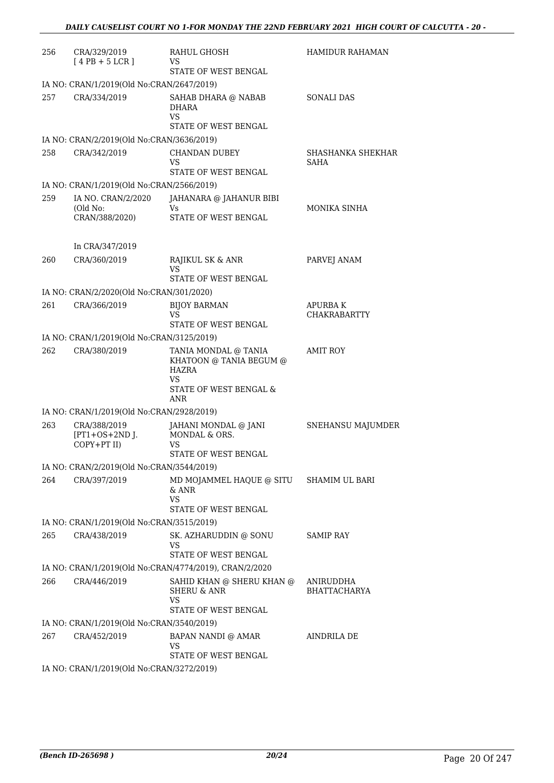| 256 | CRA/329/2019<br>$[4PB+5LCR]$                    | RAHUL GHOSH<br>VS<br>STATE OF WEST BENGAL                                                       | <b>HAMIDUR RAHAMAN</b>                |
|-----|-------------------------------------------------|-------------------------------------------------------------------------------------------------|---------------------------------------|
|     | IA NO: CRAN/1/2019(Old No:CRAN/2647/2019)       |                                                                                                 |                                       |
| 257 | CRA/334/2019                                    | SAHAB DHARA @ NABAB<br><b>DHARA</b><br><b>VS</b><br>STATE OF WEST BENGAL                        | <b>SONALI DAS</b>                     |
|     | IA NO: CRAN/2/2019(Old No:CRAN/3636/2019)       |                                                                                                 |                                       |
| 258 | CRA/342/2019                                    | <b>CHANDAN DUBEY</b><br>VS<br>STATE OF WEST BENGAL                                              | SHASHANKA SHEKHAR<br><b>SAHA</b>      |
|     | IA NO: CRAN/1/2019(Old No:CRAN/2566/2019)       |                                                                                                 |                                       |
| 259 | IA NO. CRAN/2/2020                              | JAHANARA @ JAHANUR BIBI                                                                         |                                       |
|     | (Old No:<br>CRAN/388/2020)                      | Vs<br>STATE OF WEST BENGAL                                                                      | MONIKA SINHA                          |
|     | In CRA/347/2019                                 |                                                                                                 |                                       |
| 260 | CRA/360/2019                                    | RAJIKUL SK & ANR<br>VS<br>STATE OF WEST BENGAL                                                  | PARVEJ ANAM                           |
|     | IA NO: CRAN/2/2020(Old No:CRAN/301/2020)        |                                                                                                 |                                       |
| 261 | CRA/366/2019                                    | <b>BIJOY BARMAN</b><br>VS<br>STATE OF WEST BENGAL                                               | <b>APURBAK</b><br><b>CHAKRABARTTY</b> |
|     | IA NO: CRAN/1/2019(Old No:CRAN/3125/2019)       |                                                                                                 |                                       |
| 262 | CRA/380/2019                                    | TANIA MONDAL @ TANIA<br>KHATOON @ TANIA BEGUM @<br>HAZRA<br>VS<br>STATE OF WEST BENGAL &<br>ANR | <b>AMIT ROY</b>                       |
|     | IA NO: CRAN/1/2019(Old No:CRAN/2928/2019)       |                                                                                                 |                                       |
| 263 | CRA/388/2019<br>$[PT1+OS+2ND$ J.<br>COPY+PT II) | JAHANI MONDAL @ JANI<br>MONDAL & ORS.<br>VS<br>STATE OF WEST BENGAL                             | SNEHANSU MAJUMDER                     |
|     | IA NO: CRAN/2/2019(Old No:CRAN/3544/2019)       |                                                                                                 |                                       |
| 264 | CRA/397/2019                                    | MD MOJAMMEL HAQUE @ SITU SHAMIM UL BARI<br>& ANR<br>VS<br>STATE OF WEST BENGAL                  |                                       |
|     | IA NO: CRAN/1/2019(Old No:CRAN/3515/2019)       |                                                                                                 |                                       |
| 265 | CRA/438/2019                                    | SK. AZHARUDDIN @ SONU<br><b>VS</b>                                                              | <b>SAMIP RAY</b>                      |
|     |                                                 | STATE OF WEST BENGAL                                                                            |                                       |
|     |                                                 | IA NO: CRAN/1/2019(Old No:CRAN/4774/2019), CRAN/2/2020                                          |                                       |
| 266 | CRA/446/2019                                    | SAHID KHAN @ SHERU KHAN @<br><b>SHERU &amp; ANR</b><br>VS<br>STATE OF WEST BENGAL               | ANIRUDDHA<br><b>BHATTACHARYA</b>      |
|     | IA NO: CRAN/1/2019(Old No:CRAN/3540/2019)       |                                                                                                 |                                       |
| 267 | CRA/452/2019                                    | BAPAN NANDI @ AMAR<br><b>VS</b><br>STATE OF WEST BENGAL                                         | AINDRILA DE                           |
|     | IA NO: CRAN/1/2019(Old No:CRAN/3272/2019)       |                                                                                                 |                                       |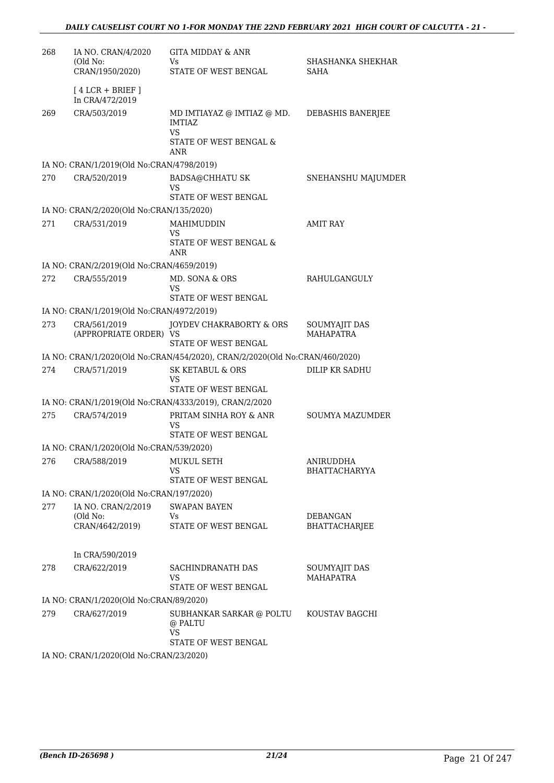| 268 | IA NO. CRAN/4/2020                                     | <b>GITA MIDDAY &amp; ANR</b>                                                |                                   |
|-----|--------------------------------------------------------|-----------------------------------------------------------------------------|-----------------------------------|
|     | (Old No:<br>CRAN/1950/2020)                            | Vs<br>STATE OF WEST BENGAL                                                  | SHASHANKA SHEKHAR<br>SAHA         |
|     | $[4 LCR + BRIEF]$<br>In CRA/472/2019                   |                                                                             |                                   |
| 269 | CRA/503/2019                                           | MD IMTIAYAZ @ IMTIAZ @ MD.<br>IMTIAZ<br>VS                                  | DEBASHIS BANERJEE                 |
|     |                                                        | <b>STATE OF WEST BENGAL &amp;</b><br>ANR                                    |                                   |
|     | IA NO: CRAN/1/2019(Old No:CRAN/4798/2019)              |                                                                             |                                   |
| 270 | CRA/520/2019                                           | <b>BADSA@CHHATU SK</b><br>VS<br>STATE OF WEST BENGAL                        | SNEHANSHU MAJUMDER                |
|     | IA NO: CRAN/2/2020(Old No:CRAN/135/2020)               |                                                                             |                                   |
| 271 | CRA/531/2019                                           | MAHIMUDDIN                                                                  | <b>AMIT RAY</b>                   |
|     |                                                        | VS<br>STATE OF WEST BENGAL &<br>ANR                                         |                                   |
|     | IA NO: CRAN/2/2019(Old No:CRAN/4659/2019)              |                                                                             |                                   |
| 272 | CRA/555/2019                                           | MD. SONA & ORS<br>VS                                                        | RAHULGANGULY                      |
|     |                                                        | STATE OF WEST BENGAL                                                        |                                   |
|     | IA NO: CRAN/1/2019(Old No:CRAN/4972/2019)              |                                                                             |                                   |
| 273 | CRA/561/2019<br>(APPROPRIATE ORDER) VS                 | JOYDEV CHAKRABORTY & ORS<br>STATE OF WEST BENGAL                            | SOUMYAJIT DAS<br><b>MAHAPATRA</b> |
|     |                                                        | IA NO: CRAN/1/2020(Old No:CRAN/454/2020), CRAN/2/2020(Old No:CRAN/460/2020) |                                   |
| 274 | CRA/571/2019                                           | <b>SK KETABUL &amp; ORS</b><br>VS<br>STATE OF WEST BENGAL                   | DILIP KR SADHU                    |
|     |                                                        | IA NO: CRAN/1/2019(Old No:CRAN/4333/2019), CRAN/2/2020                      |                                   |
| 275 | CRA/574/2019                                           | PRITAM SINHA ROY & ANR                                                      | <b>SOUMYA MAZUMDER</b>            |
|     |                                                        | VS<br>STATE OF WEST BENGAL                                                  |                                   |
|     | IA NO: CRAN/1/2020(Old No:CRAN/539/2020)               |                                                                             |                                   |
|     | 276 CRA/588/2019 MUKUL SETH                            | VS                                                                          | ANIRUDDHA<br><b>BHATTACHARYYA</b> |
|     |                                                        | STATE OF WEST BENGAL                                                        |                                   |
|     | IA NO: CRAN/1/2020(Old No:CRAN/197/2020)               |                                                                             |                                   |
| 277 | IA NO. CRAN/2/2019                                     | <b>SWAPAN BAYEN</b>                                                         |                                   |
|     | (Old No:<br>CRAN/4642/2019)                            | Vs<br>STATE OF WEST BENGAL                                                  | <b>DEBANGAN</b><br>BHATTACHARJEE  |
|     | In CRA/590/2019                                        |                                                                             |                                   |
| 278 | CRA/622/2019                                           | SACHINDRANATH DAS<br><b>VS</b>                                              | SOUMYAJIT DAS<br><b>MAHAPATRA</b> |
|     |                                                        | STATE OF WEST BENGAL                                                        |                                   |
|     | IA NO: CRAN/1/2020(Old No:CRAN/89/2020)                |                                                                             |                                   |
| 279 | CRA/627/2019                                           | SUBHANKAR SARKAR @ POLTU<br>@ PALTU<br>VS                                   | KOUSTAV BAGCHI                    |
|     |                                                        | STATE OF WEST BENGAL                                                        |                                   |
|     | IA NO $\cdot$ CRAN/1/2020(Old No $\cdot$ CRAN/23/2020) |                                                                             |                                   |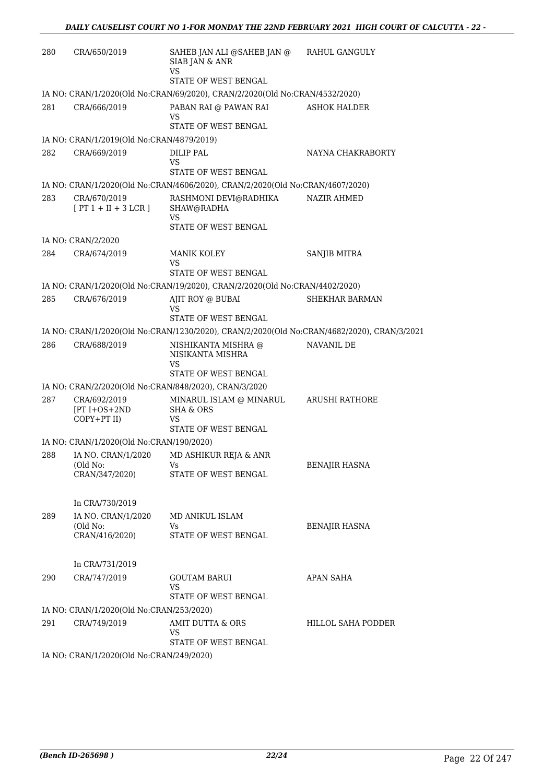| 280 | CRA/650/2019                                       | SAHEB JAN ALI @SAHEB JAN @<br>SIAB JAN & ANR<br><b>VS</b>                                  | RAHUL GANGULY         |
|-----|----------------------------------------------------|--------------------------------------------------------------------------------------------|-----------------------|
|     |                                                    | STATE OF WEST BENGAL                                                                       |                       |
|     |                                                    | IA NO: CRAN/1/2020(Old No:CRAN/69/2020), CRAN/2/2020(Old No:CRAN/4532/2020)                |                       |
| 281 | CRA/666/2019                                       | PABAN RAI @ PAWAN RAI<br>VS<br>STATE OF WEST BENGAL                                        | <b>ASHOK HALDER</b>   |
|     | IA NO: CRAN/1/2019(Old No:CRAN/4879/2019)          |                                                                                            |                       |
| 282 | CRA/669/2019                                       | <b>DILIP PAL</b><br>VS<br>STATE OF WEST BENGAL                                             | NAYNA CHAKRABORTY     |
|     |                                                    | IA NO: CRAN/1/2020(Old No:CRAN/4606/2020), CRAN/2/2020(Old No:CRAN/4607/2020)              |                       |
| 283 | CRA/670/2019<br>$[PT 1 + II + 3 LCR]$              | RASHMONI DEVI@RADHIKA<br>SHAW@RADHA<br>VS<br>STATE OF WEST BENGAL                          | <b>NAZIR AHMED</b>    |
|     | IA NO: CRAN/2/2020                                 |                                                                                            |                       |
| 284 | CRA/674/2019                                       | <b>MANIK KOLEY</b><br>VS                                                                   | SANJIB MITRA          |
|     |                                                    | STATE OF WEST BENGAL                                                                       |                       |
|     |                                                    | IA NO: CRAN/1/2020(Old No:CRAN/19/2020), CRAN/2/2020(Old No:CRAN/4402/2020)                |                       |
| 285 | CRA/676/2019                                       | AJIT ROY @ BUBAI<br>VS<br>STATE OF WEST BENGAL                                             | <b>SHEKHAR BARMAN</b> |
|     |                                                    | IA NO: CRAN/1/2020(Old No:CRAN/1230/2020), CRAN/2/2020(Old No:CRAN/4682/2020), CRAN/3/2021 |                       |
| 286 | CRA/688/2019                                       | NISHIKANTA MISHRA @<br>NISIKANTA MISHRA<br>VS                                              | NAVANIL DE            |
|     |                                                    | STATE OF WEST BENGAL                                                                       |                       |
|     |                                                    | IA NO: CRAN/2/2020(Old No:CRAN/848/2020), CRAN/3/2020                                      |                       |
| 287 | CRA/692/2019<br>$[PT I + OS + 2ND]$<br>COPY+PT II) | MINARUL ISLAM @ MINARUL<br><b>SHA &amp; ORS</b><br>VS<br>STATE OF WEST BENGAL              | ARUSHI RATHORE        |
|     | IA NO: CRAN/1/2020(Old No:CRAN/190/2020)           |                                                                                            |                       |
| 288 | IA NO. CRAN/1/2020<br>(Old No:<br>CRAN/347/2020)   | MD ASHIKUR REJA & ANR<br>Vs<br>STATE OF WEST BENGAL                                        | BENAJIR HASNA         |
|     | In CRA/730/2019                                    |                                                                                            |                       |
| 289 | IA NO. CRAN/1/2020<br>(Old No:<br>CRAN/416/2020)   | MD ANIKUL ISLAM<br>Vs<br>STATE OF WEST BENGAL                                              | <b>BENAJIR HASNA</b>  |
|     | In CRA/731/2019                                    |                                                                                            |                       |
| 290 | CRA/747/2019                                       | <b>GOUTAM BARUI</b><br>VS<br>STATE OF WEST BENGAL                                          | APAN SAHA             |
|     | IA NO: CRAN/1/2020(Old No:CRAN/253/2020)           |                                                                                            |                       |
| 291 | CRA/749/2019                                       | AMIT DUTTA & ORS<br>VS<br>STATE OF WEST BENGAL                                             | HILLOL SAHA PODDER    |
|     | IA NO: CRAN/1/2020(Old No:CRAN/249/2020)           |                                                                                            |                       |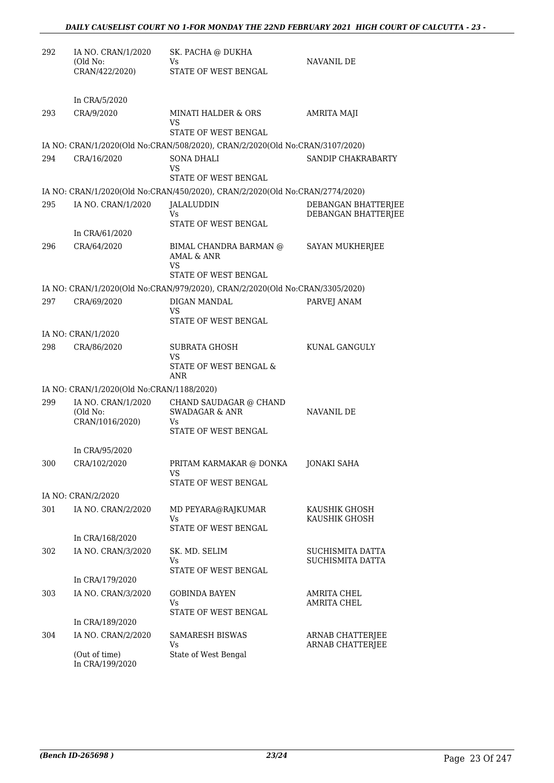| 292 | IA NO. CRAN/1/2020<br>(Old No:<br>CRAN/422/2020)  | SK. PACHA @ DUKHA<br>Vs.<br>STATE OF WEST BENGAL                                                     | NAVANIL DE                                 |
|-----|---------------------------------------------------|------------------------------------------------------------------------------------------------------|--------------------------------------------|
|     | In CRA/5/2020                                     |                                                                                                      |                                            |
| 293 | CRA/9/2020                                        | <b>MINATI HALDER &amp; ORS</b><br>VS                                                                 | AMRITA MAJI                                |
|     |                                                   | STATE OF WEST BENGAL<br>IA NO: CRAN/1/2020(Old No:CRAN/508/2020), CRAN/2/2020(Old No:CRAN/3107/2020) |                                            |
| 294 | CRA/16/2020                                       | <b>SONA DHALI</b><br>VS<br>STATE OF WEST BENGAL                                                      | SANDIP CHAKRABARTY                         |
|     |                                                   | IA NO: CRAN/1/2020(Old No:CRAN/450/2020), CRAN/2/2020(Old No:CRAN/2774/2020)                         |                                            |
| 295 | IA NO. CRAN/1/2020                                | JALALUDDIN<br>Vs.                                                                                    | DEBANGAN BHATTERJEE<br>DEBANGAN BHATTERJEE |
|     |                                                   | STATE OF WEST BENGAL                                                                                 |                                            |
| 296 | In CRA/61/2020<br>CRA/64/2020                     | BIMAL CHANDRA BARMAN @<br>AMAL & ANR                                                                 | SAYAN MUKHERJEE                            |
|     |                                                   | VS<br>STATE OF WEST BENGAL                                                                           |                                            |
|     |                                                   | IA NO: CRAN/1/2020(Old No:CRAN/979/2020), CRAN/2/2020(Old No:CRAN/3305/2020)                         |                                            |
| 297 | CRA/69/2020                                       | DIGAN MANDAL<br>VS<br>STATE OF WEST BENGAL                                                           | PARVEJ ANAM                                |
|     | IA NO: CRAN/1/2020                                |                                                                                                      |                                            |
| 298 | CRA/86/2020                                       | <b>SUBRATA GHOSH</b><br>VS                                                                           | KUNAL GANGULY                              |
|     |                                                   | STATE OF WEST BENGAL &<br>ANR                                                                        |                                            |
|     | IA NO: CRAN/1/2020(Old No:CRAN/1188/2020)         |                                                                                                      |                                            |
| 299 | IA NO. CRAN/1/2020<br>(Old No:<br>CRAN/1016/2020) | CHAND SAUDAGAR @ CHAND<br><b>SWADAGAR &amp; ANR</b><br>Vs                                            | NAVANIL DE                                 |
|     |                                                   | STATE OF WEST BENGAL                                                                                 |                                            |
|     | In CRA/95/2020                                    |                                                                                                      |                                            |
| 300 | CRA/102/2020                                      | PRITAM KARMAKAR @ DONKA<br>VS<br>STATE OF WEST BENGAL                                                | JONAKI SAHA                                |
|     | IA NO: CRAN/2/2020                                |                                                                                                      |                                            |
| 301 | IA NO. CRAN/2/2020                                | MD PEYARA@RAJKUMAR<br>Vs<br>STATE OF WEST BENGAL                                                     | KAUSHIK GHOSH<br>KAUSHIK GHOSH             |
|     | In CRA/168/2020                                   |                                                                                                      |                                            |
| 302 | IA NO. CRAN/3/2020                                | SK. MD. SELIM<br>Vs                                                                                  | SUCHISMITA DATTA<br>SUCHISMITA DATTA       |
|     | In CRA/179/2020                                   | STATE OF WEST BENGAL                                                                                 |                                            |
| 303 | IA NO. CRAN/3/2020                                | <b>GOBINDA BAYEN</b><br>Vs.                                                                          | AMRITA CHEL<br><b>AMRITA CHEL</b>          |
|     | In CRA/189/2020                                   | STATE OF WEST BENGAL                                                                                 |                                            |
| 304 | IA NO. CRAN/2/2020                                | <b>SAMARESH BISWAS</b><br>Vs                                                                         | ARNAB CHATTERJEE<br>ARNAB CHATTERJEE       |
|     | (Out of time)<br>In CRA/199/2020                  | State of West Bengal                                                                                 |                                            |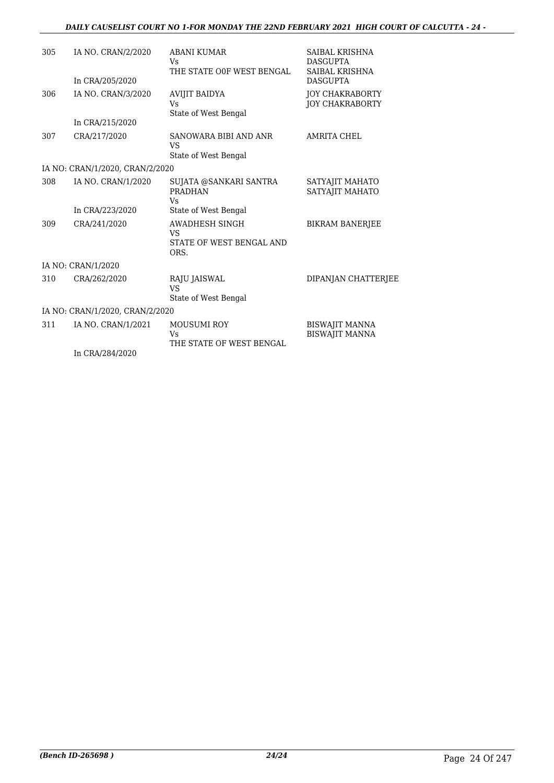#### *DAILY CAUSELIST COURT NO 1-FOR MONDAY THE 22ND FEBRUARY 2021 HIGH COURT OF CALCUTTA - 24 -*

| 305 | IA NO. CRAN/2/2020              | <b>ABANI KUMAR</b><br>Vs.                                  | SAIBAL KRISHNA<br><b>DASGUPTA</b>                |
|-----|---------------------------------|------------------------------------------------------------|--------------------------------------------------|
|     | In CRA/205/2020                 | THE STATE OOF WEST BENGAL                                  | SAIBAL KRISHNA<br><b>DASGUPTA</b>                |
| 306 | IA NO. CRAN/3/2020              | <b>AVIJIT BAIDYA</b><br><b>Vs</b>                          | <b>JOY CHAKRABORTY</b><br><b>JOY CHAKRABORTY</b> |
|     | In CRA/215/2020                 | State of West Bengal                                       |                                                  |
| 307 | CRA/217/2020                    | SANOWARA BIBI AND ANR<br><b>VS</b><br>State of West Bengal | AMRITA CHEL                                      |
|     | IA NO: CRAN/1/2020, CRAN/2/2020 |                                                            |                                                  |
|     |                                 |                                                            |                                                  |
| 308 | IA NO. CRAN/1/2020              | SUJATA @SANKARI SANTRA<br><b>PRADHAN</b><br>Vs             | SATYAJIT MAHATO<br>SATYAJIT MAHATO               |
|     | In CRA/223/2020                 | State of West Bengal                                       |                                                  |
| 309 | CRA/241/2020                    | AWADHESH SINGH<br>VS<br>STATE OF WEST BENGAL AND<br>ORS.   | <b>BIKRAM BANERJEE</b>                           |
|     | IA NO: CRAN/1/2020              |                                                            |                                                  |
| 310 | CRA/262/2020                    | RAJU JAISWAL<br>VS<br>State of West Bengal                 | DIPANJAN CHATTERJEE                              |
|     | IA NO: CRAN/1/2020, CRAN/2/2020 |                                                            |                                                  |
| 311 | IA NO. CRAN/1/2021              | <b>MOUSUMI ROY</b><br>Vs<br>THE STATE OF WEST BENGAL       | <b>BISWAJIT MANNA</b><br><b>BISWAJIT MANNA</b>   |
|     | In CRA/284/2020                 |                                                            |                                                  |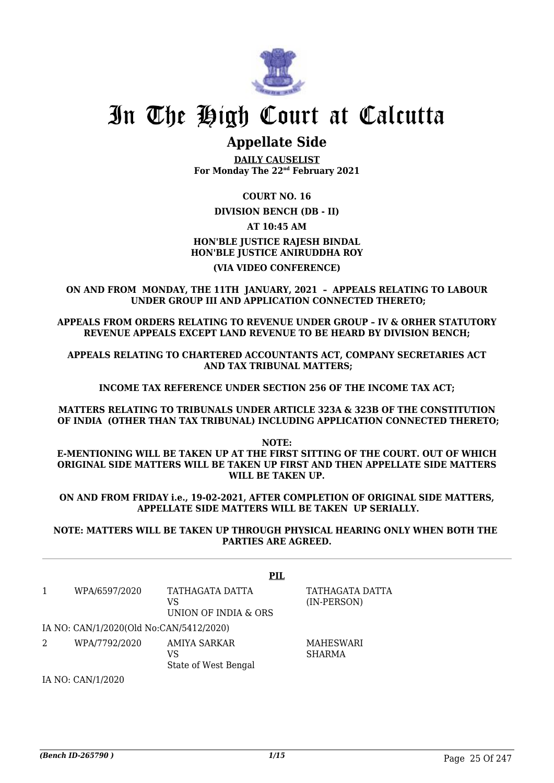

## In The High Court at Calcutta

### **Appellate Side**

**DAILY CAUSELIST For Monday The 22nd February 2021**

#### **COURT NO. 16**

#### **DIVISION BENCH (DB - II)**

#### **AT 10:45 AM HON'BLE JUSTICE RAJESH BINDAL HON'BLE JUSTICE ANIRUDDHA ROY**

#### **(VIA VIDEO CONFERENCE)**

**ON AND FROM MONDAY, THE 11TH JANUARY, 2021 – APPEALS RELATING TO LABOUR UNDER GROUP III AND APPLICATION CONNECTED THERETO;**

**APPEALS FROM ORDERS RELATING TO REVENUE UNDER GROUP – IV & ORHER STATUTORY REVENUE APPEALS EXCEPT LAND REVENUE TO BE HEARD BY DIVISION BENCH;**

**APPEALS RELATING TO CHARTERED ACCOUNTANTS ACT, COMPANY SECRETARIES ACT AND TAX TRIBUNAL MATTERS;**

**INCOME TAX REFERENCE UNDER SECTION 256 OF THE INCOME TAX ACT;**

**MATTERS RELATING TO TRIBUNALS UNDER ARTICLE 323A & 323B OF THE CONSTITUTION OF INDIA (OTHER THAN TAX TRIBUNAL) INCLUDING APPLICATION CONNECTED THERETO;**

**NOTE: E-MENTIONING WILL BE TAKEN UP AT THE FIRST SITTING OF THE COURT. OUT OF WHICH ORIGINAL SIDE MATTERS WILL BE TAKEN UP FIRST AND THEN APPELLATE SIDE MATTERS WILL BE TAKEN UP.**

**ON AND FROM FRIDAY i.e., 19-02-2021, AFTER COMPLETION OF ORIGINAL SIDE MATTERS, APPELLATE SIDE MATTERS WILL BE TAKEN UP SERIALLY.**

**NOTE: MATTERS WILL BE TAKEN UP THROUGH PHYSICAL HEARING ONLY WHEN BOTH THE PARTIES ARE AGREED.**

|   |                                         | PIL                                           |                                |
|---|-----------------------------------------|-----------------------------------------------|--------------------------------|
| 1 | WPA/6597/2020                           | TATHAGATA DATTA<br>VS<br>UNION OF INDIA & ORS | TATHAGATA DATTA<br>(IN-PERSON) |
|   | IA NO: CAN/1/2020(Old No:CAN/5412/2020) |                                               |                                |
|   | WPA/7792/2020                           | AMIYA SARKAR<br>VS<br>State of West Bengal    | MAHESWARI<br><b>SHARMA</b>     |
|   | IA NO: CAN/1/2020                       |                                               |                                |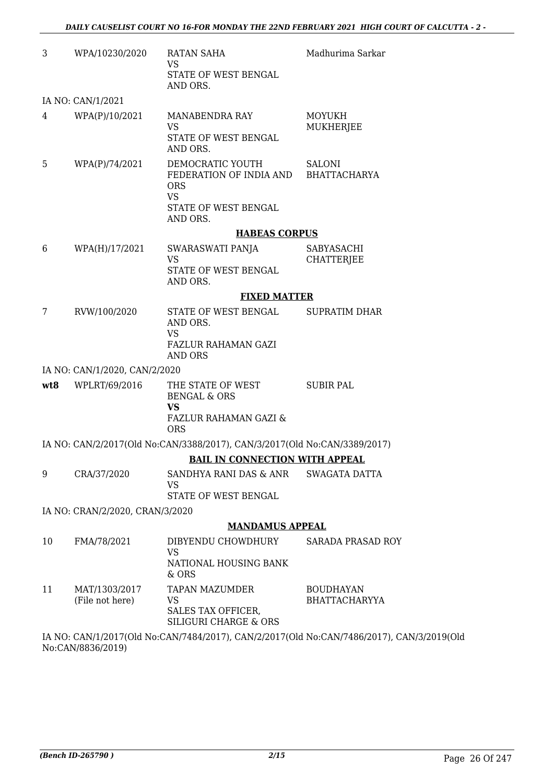| 3   | WPA/10230/2020                   | <b>RATAN SAHA</b><br>VS<br>STATE OF WEST BENGAL                                                             | Madhurima Sarkar                                                                          |
|-----|----------------------------------|-------------------------------------------------------------------------------------------------------------|-------------------------------------------------------------------------------------------|
|     |                                  | AND ORS.                                                                                                    |                                                                                           |
|     | IA NO: CAN/1/2021                |                                                                                                             |                                                                                           |
| 4   | WPA(P)/10/2021                   | MANABENDRA RAY<br><b>VS</b><br>STATE OF WEST BENGAL<br>AND ORS.                                             | <b>MOYUKH</b><br>MUKHERJEE                                                                |
| 5   | WPA(P)/74/2021                   | DEMOCRATIC YOUTH<br>FEDERATION OF INDIA AND BHATTACHARYA<br><b>ORS</b><br><b>VS</b><br>STATE OF WEST BENGAL | SALONI                                                                                    |
|     |                                  | AND ORS.                                                                                                    |                                                                                           |
|     |                                  | <b>HABEAS CORPUS</b>                                                                                        |                                                                                           |
| 6   | WPA(H)/17/2021                   | SWARASWATI PANJA                                                                                            | SABYASACHI                                                                                |
|     |                                  | VS<br>STATE OF WEST BENGAL<br>AND ORS.                                                                      | <b>CHATTERJEE</b>                                                                         |
|     |                                  | <b>FIXED MATTER</b>                                                                                         |                                                                                           |
| 7   | RVW/100/2020                     | STATE OF WEST BENGAL<br>AND ORS.<br><b>VS</b>                                                               | <b>SUPRATIM DHAR</b>                                                                      |
|     |                                  | FAZLUR RAHAMAN GAZI<br>AND ORS                                                                              |                                                                                           |
|     | IA NO: CAN/1/2020, CAN/2/2020    |                                                                                                             |                                                                                           |
| wt8 | WPLRT/69/2016                    | THE STATE OF WEST<br><b>BENGAL &amp; ORS</b><br><b>VS</b>                                                   | <b>SUBIR PAL</b>                                                                          |
|     |                                  | <b>FAZLUR RAHAMAN GAZI &amp;</b><br><b>ORS</b>                                                              |                                                                                           |
|     |                                  | IA NO: CAN/2/2017(Old No:CAN/3388/2017), CAN/3/2017(Old No:CAN/3389/2017)                                   |                                                                                           |
|     |                                  | <b>BAIL IN CONNECTION WITH APPEAL</b>                                                                       |                                                                                           |
| 9   | CRA/37/2020                      | SANDHYA RANI DAS & ANR<br>VS                                                                                | <b>SWAGATA DATTA</b>                                                                      |
|     |                                  | STATE OF WEST BENGAL                                                                                        |                                                                                           |
|     | IA NO: CRAN/2/2020, CRAN/3/2020  |                                                                                                             |                                                                                           |
|     |                                  | <b>MANDAMUS APPEAL</b>                                                                                      |                                                                                           |
| 10  | FMA/78/2021                      | DIBYENDU CHOWDHURY<br><b>VS</b><br>NATIONAL HOUSING BANK<br>& ORS                                           | SARADA PRASAD ROY                                                                         |
| 11  | MAT/1303/2017<br>(File not here) | <b>TAPAN MAZUMDER</b><br>VS<br>SALES TAX OFFICER,<br>SILIGURI CHARGE & ORS                                  | <b>BOUDHAYAN</b><br><b>BHATTACHARYYA</b>                                                  |
|     |                                  |                                                                                                             | IA NO: CAN/1/2017(Old No:CAN/7484/2017), CAN/2/2017(Old No:CAN/7486/2017), CAN/3/2019(Old |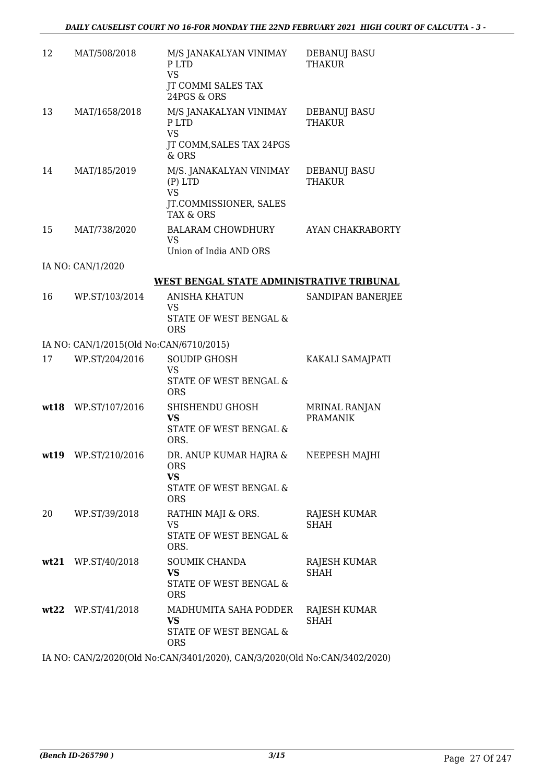| 12   | MAT/508/2018                            | M/S JANAKALYAN VINIMAY<br>P LTD<br><b>VS</b><br><b>JT COMMI SALES TAX</b><br>24PGS & ORS | DEBANUJ BASU<br><b>THAKUR</b>           |
|------|-----------------------------------------|------------------------------------------------------------------------------------------|-----------------------------------------|
| 13   | MAT/1658/2018                           | M/S JANAKALYAN VINIMAY<br>P LTD<br><b>VS</b><br>JT COMM, SALES TAX 24PGS<br>$&$ ORS      | DEBANUJ BASU<br><b>THAKUR</b>           |
| 14   | MAT/185/2019                            | M/S. JANAKALYAN VINIMAY<br>$(P)$ LTD<br><b>VS</b><br>JT.COMMISSIONER, SALES<br>TAX & ORS | <b>DEBANUJ BASU</b><br><b>THAKUR</b>    |
| 15   | MAT/738/2020                            | <b>BALARAM CHOWDHURY</b><br>VS<br>Union of India AND ORS                                 | AYAN CHAKRABORTY                        |
|      | IA NO: CAN/1/2020                       |                                                                                          |                                         |
|      |                                         | WEST BENGAL STATE ADMINISTRATIVE TRIBUNAL                                                |                                         |
| 16   | WP.ST/103/2014                          | <b>ANISHA KHATUN</b><br>VS<br>STATE OF WEST BENGAL &                                     | SANDIPAN BANERJEE                       |
|      |                                         | <b>ORS</b>                                                                               |                                         |
|      | IA NO: CAN/1/2015(Old No:CAN/6710/2015) |                                                                                          |                                         |
| 17   | WP.ST/204/2016                          | <b>SOUDIP GHOSH</b><br><b>VS</b><br>STATE OF WEST BENGAL &<br><b>ORS</b>                 | KAKALI SAMAJPATI                        |
|      | wt18 WP.ST/107/2016                     | SHISHENDU GHOSH<br>VS<br>STATE OF WEST BENGAL &<br>ORS.                                  | <b>MRINAL RANJAN</b><br><b>PRAMANIK</b> |
| wt19 | WP.ST/210/2016                          | DR. ANUP KUMAR HAJRA &<br><b>ORS</b><br>VS<br>STATE OF WEST BENGAL &<br><b>ORS</b>       | NEEPESH MAJHI                           |
| 20   | WP.ST/39/2018                           | RATHIN MAJI & ORS.<br>VS<br>STATE OF WEST BENGAL &<br>ORS.                               | RAJESH KUMAR<br>SHAH                    |
|      | wt21 WP.ST/40/2018                      | SOUMIK CHANDA<br>VS<br>STATE OF WEST BENGAL &<br><b>ORS</b>                              | RAJESH KUMAR<br>SHAH                    |
|      | wt22 WP.ST/41/2018                      | MADHUMITA SAHA PODDER<br>VS.<br>STATE OF WEST BENGAL &<br><b>ORS</b>                     | RAJESH KUMAR<br>SHAH                    |

IA NO: CAN/2/2020(Old No:CAN/3401/2020), CAN/3/2020(Old No:CAN/3402/2020)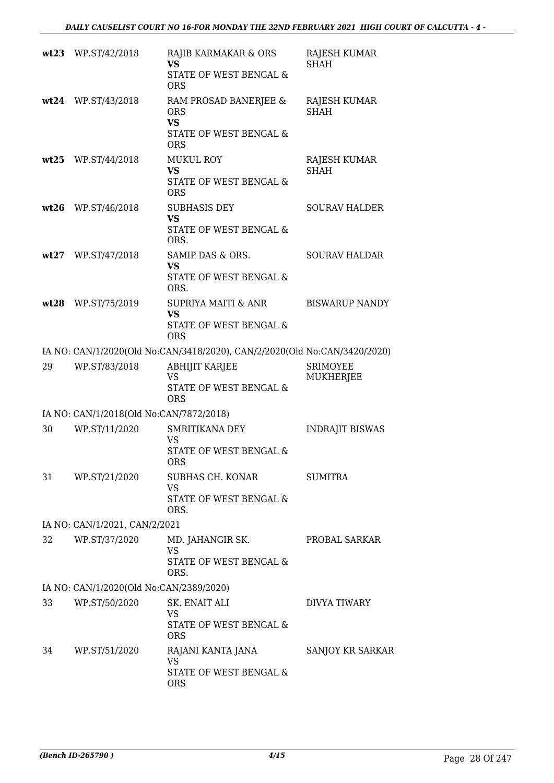|      | wt23 WP.ST/42/2018                      | RAJIB KARMAKAR & ORS<br><b>VS</b><br>STATE OF WEST BENGAL &<br><b>ORS</b>                | RAJESH KUMAR<br><b>SHAH</b>        |
|------|-----------------------------------------|------------------------------------------------------------------------------------------|------------------------------------|
|      | wt24 WP.ST/43/2018                      | RAM PROSAD BANERJEE &<br><b>ORS</b><br><b>VS</b><br>STATE OF WEST BENGAL &<br><b>ORS</b> | <b>RAJESH KUMAR</b><br><b>SHAH</b> |
| wt25 | WP.ST/44/2018                           | <b>MUKUL ROY</b><br><b>VS</b><br>STATE OF WEST BENGAL &<br><b>ORS</b>                    | RAJESH KUMAR<br><b>SHAH</b>        |
| wt26 | WP.ST/46/2018                           | <b>SUBHASIS DEY</b><br><b>VS</b><br>STATE OF WEST BENGAL &<br>ORS.                       | <b>SOURAV HALDER</b>               |
|      | wt27 WP.ST/47/2018                      | SAMIP DAS & ORS.<br><b>VS</b><br>STATE OF WEST BENGAL &<br>ORS.                          | <b>SOURAV HALDAR</b>               |
| wt28 | WP.ST/75/2019                           | <b>SUPRIYA MAITI &amp; ANR</b><br><b>VS</b><br>STATE OF WEST BENGAL &<br><b>ORS</b>      | <b>BISWARUP NANDY</b>              |
|      |                                         | IA NO: CAN/1/2020(Old No:CAN/3418/2020), CAN/2/2020(Old No:CAN/3420/2020)                |                                    |
| 29   | WP.ST/83/2018                           | <b>ABHIJIT KARJEE</b><br><b>VS</b><br>STATE OF WEST BENGAL &<br><b>ORS</b>               | <b>SRIMOYEE</b><br>MUKHERJEE       |
|      | IA NO: CAN/1/2018(Old No:CAN/7872/2018) |                                                                                          |                                    |
| 30   | WP.ST/11/2020                           | <b>SMRITIKANA DEY</b><br>VS<br><b>STATE OF WEST BENGAL &amp;</b><br><b>ORS</b>           | <b>INDRAJIT BISWAS</b>             |
| 31   | WP.ST/21/2020                           | SUBHAS CH. KONAR<br><b>VS</b><br>STATE OF WEST BENGAL &<br>ORS.                          | <b>SUMITRA</b>                     |
|      | IA NO: CAN/1/2021, CAN/2/2021           |                                                                                          |                                    |
| 32   | WP.ST/37/2020                           | MD. JAHANGIR SK.<br>VS.<br>STATE OF WEST BENGAL &<br>ORS.                                | PROBAL SARKAR                      |
|      | IA NO: CAN/1/2020(Old No:CAN/2389/2020) |                                                                                          |                                    |
| 33   | WP.ST/50/2020                           | SK. ENAIT ALI<br>VS<br>STATE OF WEST BENGAL &                                            | DIVYA TIWARY                       |
| 34   | WP.ST/51/2020                           | <b>ORS</b><br>RAJANI KANTA JANA<br>VS<br>STATE OF WEST BENGAL &<br><b>ORS</b>            | SANJOY KR SARKAR                   |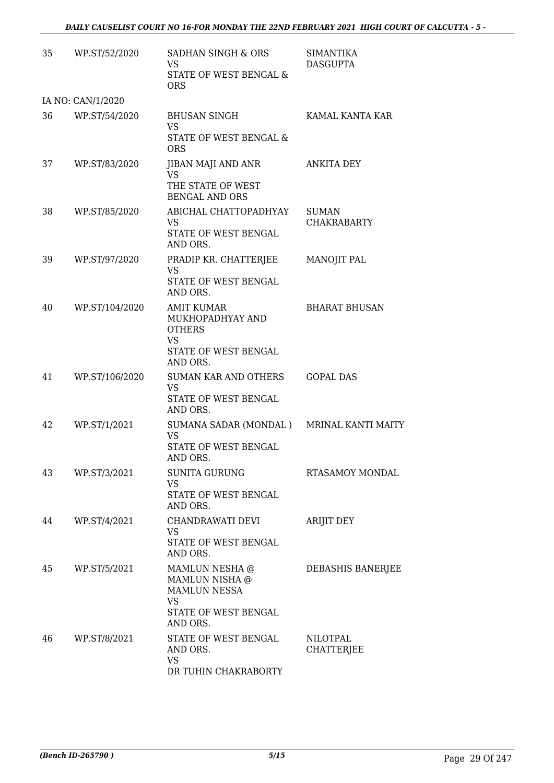| 35 | WP.ST/52/2020     | SADHAN SINGH & ORS<br><b>VS</b><br>STATE OF WEST BENGAL &<br><b>ORS</b>                           | <b>SIMANTIKA</b><br><b>DASGUPTA</b> |
|----|-------------------|---------------------------------------------------------------------------------------------------|-------------------------------------|
|    | IA NO: CAN/1/2020 |                                                                                                   |                                     |
| 36 | WP.ST/54/2020     | <b>BHUSAN SINGH</b><br>VS.<br>STATE OF WEST BENGAL &<br><b>ORS</b>                                | KAMAL KANTA KAR                     |
| 37 | WP.ST/83/2020     | JIBAN MAJI AND ANR<br><b>VS</b><br>THE STATE OF WEST                                              | <b>ANKITA DEY</b>                   |
| 38 | WP.ST/85/2020     | <b>BENGAL AND ORS</b><br>ABICHAL CHATTOPADHYAY<br>VS<br>STATE OF WEST BENGAL<br>AND ORS.          | <b>SUMAN</b><br><b>CHAKRABARTY</b>  |
| 39 | WP.ST/97/2020     | PRADIP KR. CHATTERJEE<br><b>VS</b><br>STATE OF WEST BENGAL<br>AND ORS.                            | <b>MANOJIT PAL</b>                  |
| 40 | WP.ST/104/2020    | AMIT KUMAR<br>MUKHOPADHYAY AND<br><b>OTHERS</b><br><b>VS</b><br>STATE OF WEST BENGAL<br>AND ORS.  | <b>BHARAT BHUSAN</b>                |
| 41 | WP.ST/106/2020    | SUMAN KAR AND OTHERS<br><b>VS</b><br>STATE OF WEST BENGAL<br>AND ORS.                             | <b>GOPAL DAS</b>                    |
| 42 | WP.ST/1/2021      | SUMANA SADAR (MONDAL) MRINAL KANTI MAITY<br><b>VS</b><br>STATE OF WEST BENGAL<br>AND ORS.         |                                     |
| 43 | WP.ST/3/2021      | <b>SUNITA GURUNG</b><br><b>VS</b><br>STATE OF WEST BENGAL<br>AND ORS.                             | RTASAMOY MONDAL                     |
| 44 | WP.ST/4/2021      | CHANDRAWATI DEVI<br>VS<br>STATE OF WEST BENGAL<br>AND ORS.                                        | <b>ARIJIT DEY</b>                   |
| 45 | WP.ST/5/2021      | MAMLUN NESHA @<br>MAMLUN NISHA @<br>MAMLUN NESSA<br><b>VS</b><br>STATE OF WEST BENGAL<br>AND ORS. | DEBASHIS BANERJEE                   |
| 46 | WP.ST/8/2021      | STATE OF WEST BENGAL<br>AND ORS.<br><b>VS</b><br>DR TUHIN CHAKRABORTY                             | NILOTPAL<br><b>CHATTERJEE</b>       |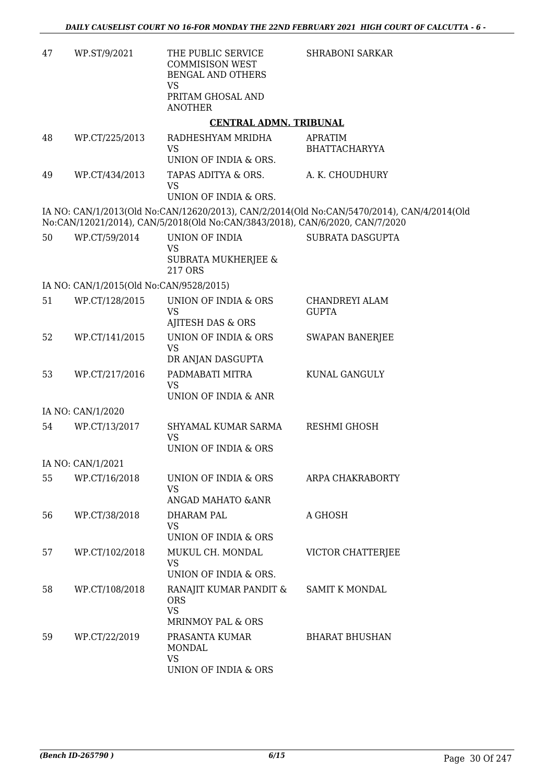| 47 | WP.ST/9/2021                            | THE PUBLIC SERVICE<br><b>COMMISISON WEST</b><br>BENGAL AND OTHERS<br><b>VS</b><br>PRITAM GHOSAL AND | <b>SHRABONI SARKAR</b>                                                                     |
|----|-----------------------------------------|-----------------------------------------------------------------------------------------------------|--------------------------------------------------------------------------------------------|
|    |                                         | <b>ANOTHER</b>                                                                                      |                                                                                            |
|    |                                         | <b>CENTRAL ADMN. TRIBUNAL</b>                                                                       |                                                                                            |
| 48 | WP.CT/225/2013                          | RADHESHYAM MRIDHA<br><b>VS</b>                                                                      | APRATIM<br><b>BHATTACHARYYA</b>                                                            |
|    |                                         | UNION OF INDIA & ORS.                                                                               |                                                                                            |
| 49 | WP.CT/434/2013                          | TAPAS ADITYA & ORS.<br>VS<br>UNION OF INDIA & ORS.                                                  | A. K. CHOUDHURY                                                                            |
|    |                                         |                                                                                                     |                                                                                            |
|    |                                         | No:CAN/12021/2014), CAN/5/2018(Old No:CAN/3843/2018), CAN/6/2020, CAN/7/2020                        | IA NO: CAN/1/2013(Old No:CAN/12620/2013), CAN/2/2014(Old No:CAN/5470/2014), CAN/4/2014(Old |
| 50 | WP.CT/59/2014                           | UNION OF INDIA                                                                                      | SUBRATA DASGUPTA                                                                           |
|    |                                         | <b>VS</b><br><b>SUBRATA MUKHERJEE &amp;</b><br>217 ORS                                              |                                                                                            |
|    | IA NO: CAN/1/2015(Old No:CAN/9528/2015) |                                                                                                     |                                                                                            |
| 51 | WP.CT/128/2015                          | UNION OF INDIA & ORS                                                                                | CHANDREYI ALAM                                                                             |
|    |                                         | <b>VS</b><br>AJITESH DAS & ORS                                                                      | <b>GUPTA</b>                                                                               |
| 52 | WP.CT/141/2015                          | UNION OF INDIA & ORS                                                                                | <b>SWAPAN BANERJEE</b>                                                                     |
|    |                                         | <b>VS</b><br>DR ANJAN DASGUPTA                                                                      |                                                                                            |
| 53 | WP.CT/217/2016                          | PADMABATI MITRA<br><b>VS</b>                                                                        | KUNAL GANGULY                                                                              |
|    |                                         | UNION OF INDIA & ANR                                                                                |                                                                                            |
|    | IA NO: CAN/1/2020                       |                                                                                                     |                                                                                            |
| 54 | WP.CT/13/2017                           | SHYAMAL KUMAR SARMA<br><b>VS</b>                                                                    | <b>RESHMI GHOSH</b>                                                                        |
|    |                                         | UNION OF INDIA & ORS                                                                                |                                                                                            |
|    | IA NO: CAN/1/2021                       |                                                                                                     |                                                                                            |
| 55 | WP.CT/16/2018                           | UNION OF INDIA & ORS<br><b>VS</b>                                                                   | ARPA CHAKRABORTY                                                                           |
|    |                                         | ANGAD MAHATO & ANR                                                                                  |                                                                                            |
| 56 | WP.CT/38/2018                           | DHARAM PAL<br><b>VS</b>                                                                             | A GHOSH                                                                                    |
|    |                                         | UNION OF INDIA & ORS                                                                                |                                                                                            |
| 57 | WP.CT/102/2018                          | MUKUL CH. MONDAL<br>VS                                                                              | VICTOR CHATTERJEE                                                                          |
|    |                                         | UNION OF INDIA & ORS.                                                                               |                                                                                            |
| 58 | WP.CT/108/2018                          | RANAJIT KUMAR PANDIT &<br><b>ORS</b><br><b>VS</b>                                                   | <b>SAMIT K MONDAL</b>                                                                      |
|    |                                         | MRINMOY PAL & ORS                                                                                   |                                                                                            |
| 59 | WP.CT/22/2019                           | PRASANTA KUMAR<br><b>MONDAL</b><br><b>VS</b>                                                        | <b>BHARAT BHUSHAN</b>                                                                      |
|    |                                         | UNION OF INDIA & ORS                                                                                |                                                                                            |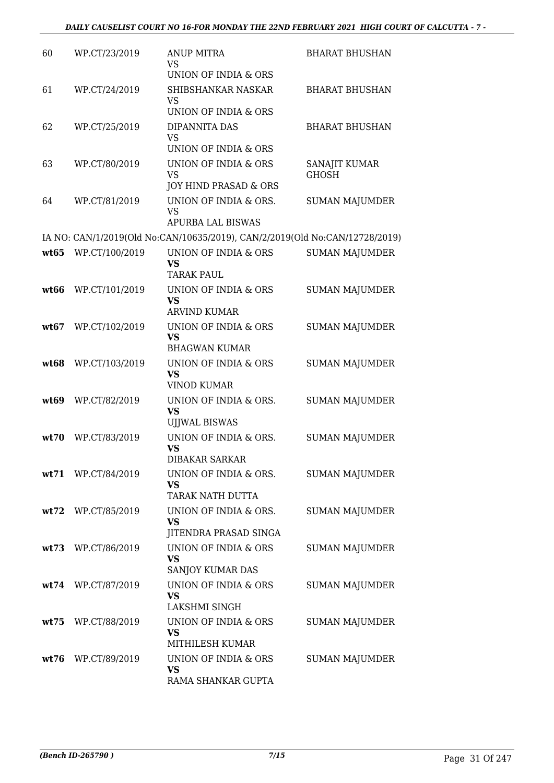| 60   | WP.CT/23/2019      | <b>ANUP MITRA</b><br>VS                                                     | <b>BHARAT BHUSHAN</b>         |
|------|--------------------|-----------------------------------------------------------------------------|-------------------------------|
|      |                    | UNION OF INDIA & ORS                                                        |                               |
| 61   | WP.CT/24/2019      | SHIBSHANKAR NASKAR<br>VS<br>UNION OF INDIA & ORS                            | <b>BHARAT BHUSHAN</b>         |
|      |                    |                                                                             |                               |
| 62   | WP.CT/25/2019      | DIPANNITA DAS<br>VS<br>UNION OF INDIA & ORS                                 | <b>BHARAT BHUSHAN</b>         |
| 63   | WP.CT/80/2019      | <b>UNION OF INDIA &amp; ORS</b><br><b>VS</b>                                | SANAJIT KUMAR<br><b>GHOSH</b> |
|      |                    | JOY HIND PRASAD & ORS                                                       |                               |
| 64   | WP.CT/81/2019      | UNION OF INDIA & ORS.<br><b>VS</b><br><b>APURBA LAL BISWAS</b>              | <b>SUMAN MAJUMDER</b>         |
|      |                    | IA NO: CAN/1/2019(Old No:CAN/10635/2019), CAN/2/2019(Old No:CAN/12728/2019) |                               |
|      |                    |                                                                             |                               |
| wt65 | WP.CT/100/2019     | UNION OF INDIA & ORS<br><b>VS</b><br><b>TARAK PAUL</b>                      | <b>SUMAN MAJUMDER</b>         |
| wt66 | WP.CT/101/2019     | UNION OF INDIA & ORS<br><b>VS</b>                                           | <b>SUMAN MAJUMDER</b>         |
|      |                    | <b>ARVIND KUMAR</b>                                                         |                               |
| wt67 | WP.CT/102/2019     | UNION OF INDIA & ORS<br><b>VS</b>                                           | <b>SUMAN MAJUMDER</b>         |
|      |                    | <b>BHAGWAN KUMAR</b>                                                        |                               |
| wt68 | WP.CT/103/2019     | UNION OF INDIA & ORS<br><b>VS</b><br><b>VINOD KUMAR</b>                     | <b>SUMAN MAJUMDER</b>         |
| wt69 | WP.CT/82/2019      | UNION OF INDIA & ORS.                                                       | <b>SUMAN MAJUMDER</b>         |
|      |                    | <b>VS</b><br><b>UJJWAL BISWAS</b>                                           |                               |
| wt70 | WP.CT/83/2019      | UNION OF INDIA & ORS.<br><b>VS</b><br><b>DIBAKAR SARKAR</b>                 | <b>SUMAN MAJUMDER</b>         |
|      |                    | UNION OF INDIA & ORS.                                                       |                               |
|      | wt71 WP.CT/84/2019 | <b>VS</b><br>TARAK NATH DUTTA                                               | <b>SUMAN MAJUMDER</b>         |
|      | wt72 WP.CT/85/2019 | UNION OF INDIA & ORS.                                                       | <b>SUMAN MAJUMDER</b>         |
|      |                    | <b>VS</b><br>JITENDRA PRASAD SINGA                                          |                               |
|      | wt73 WP.CT/86/2019 | UNION OF INDIA & ORS<br><b>VS</b><br>SANJOY KUMAR DAS                       | <b>SUMAN MAJUMDER</b>         |
|      |                    | UNION OF INDIA & ORS                                                        |                               |
|      | wt74 WP.CT/87/2019 | <b>VS</b><br>LAKSHMI SINGH                                                  | <b>SUMAN MAJUMDER</b>         |
| wt75 | WP.CT/88/2019      | UNION OF INDIA & ORS                                                        | <b>SUMAN MAJUMDER</b>         |
|      |                    | <b>VS</b><br>MITHILESH KUMAR                                                |                               |
|      | wt76 WP.CT/89/2019 | UNION OF INDIA & ORS<br><b>VS</b><br>RAMA SHANKAR GUPTA                     | <b>SUMAN MAJUMDER</b>         |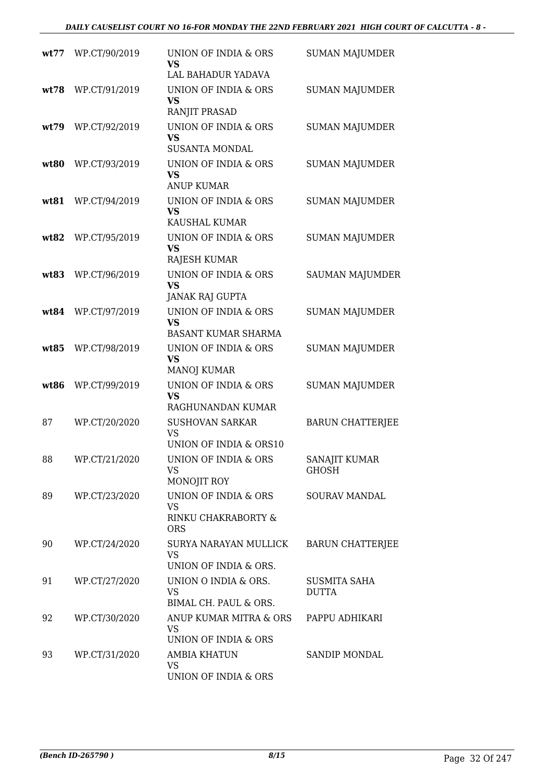| wt77 | WP.CT/90/2019 | UNION OF INDIA & ORS<br>VS                                             | <b>SUMAN MAJUMDER</b>               |
|------|---------------|------------------------------------------------------------------------|-------------------------------------|
|      |               | LAL BAHADUR YADAVA                                                     |                                     |
| wt78 | WP.CT/91/2019 | UNION OF INDIA & ORS<br><b>VS</b><br>RANJIT PRASAD                     | <b>SUMAN MAJUMDER</b>               |
| wt79 | WP.CT/92/2019 | UNION OF INDIA & ORS<br><b>VS</b><br><b>SUSANTA MONDAL</b>             | <b>SUMAN MAJUMDER</b>               |
| wt80 | WP.CT/93/2019 | UNION OF INDIA & ORS<br>VS<br><b>ANUP KUMAR</b>                        | <b>SUMAN MAJUMDER</b>               |
| wt81 | WP.CT/94/2019 | UNION OF INDIA & ORS<br><b>VS</b><br>KAUSHAL KUMAR                     | <b>SUMAN MAJUMDER</b>               |
| wt82 | WP.CT/95/2019 | UNION OF INDIA & ORS<br><b>VS</b><br>RAJESH KUMAR                      | <b>SUMAN MAJUMDER</b>               |
| wt83 | WP.CT/96/2019 | <b>UNION OF INDIA &amp; ORS</b><br><b>VS</b><br><b>JANAK RAJ GUPTA</b> | <b>SAUMAN MAJUMDER</b>              |
| wt84 | WP.CT/97/2019 | UNION OF INDIA & ORS<br><b>VS</b><br><b>BASANT KUMAR SHARMA</b>        | <b>SUMAN MAJUMDER</b>               |
| wt85 | WP.CT/98/2019 | UNION OF INDIA & ORS<br><b>VS</b><br><b>MANOJ KUMAR</b>                | <b>SUMAN MAJUMDER</b>               |
| wt86 | WP.CT/99/2019 | UNION OF INDIA & ORS<br><b>VS</b><br>RAGHUNANDAN KUMAR                 | <b>SUMAN MAJUMDER</b>               |
| 87   | WP.CT/20/2020 | <b>SUSHOVAN SARKAR</b><br><b>VS</b><br>UNION OF INDIA & ORS10          | <b>BARUN CHATTERJEE</b>             |
| 88   | WP.CT/21/2020 | UNION OF INDIA & ORS<br>VS<br>MONOJIT ROY                              | SANAJIT KUMAR<br>GHOSH              |
| 89   | WP.CT/23/2020 | UNION OF INDIA & ORS<br><b>VS</b><br>RINKU CHAKRABORTY &<br><b>ORS</b> | SOURAV MANDAL                       |
| 90   | WP.CT/24/2020 | SURYA NARAYAN MULLICK<br>VS<br>UNION OF INDIA & ORS.                   | <b>BARUN CHATTERJEE</b>             |
| 91   | WP.CT/27/2020 | UNION O INDIA & ORS.<br><b>VS</b><br>BIMAL CH. PAUL & ORS.             | <b>SUSMITA SAHA</b><br><b>DUTTA</b> |
| 92   | WP.CT/30/2020 | ANUP KUMAR MITRA & ORS<br>VS<br>UNION OF INDIA & ORS                   | PAPPU ADHIKARI                      |
| 93   | WP.CT/31/2020 | <b>AMBIA KHATUN</b><br>VS<br>UNION OF INDIA & ORS                      | SANDIP MONDAL                       |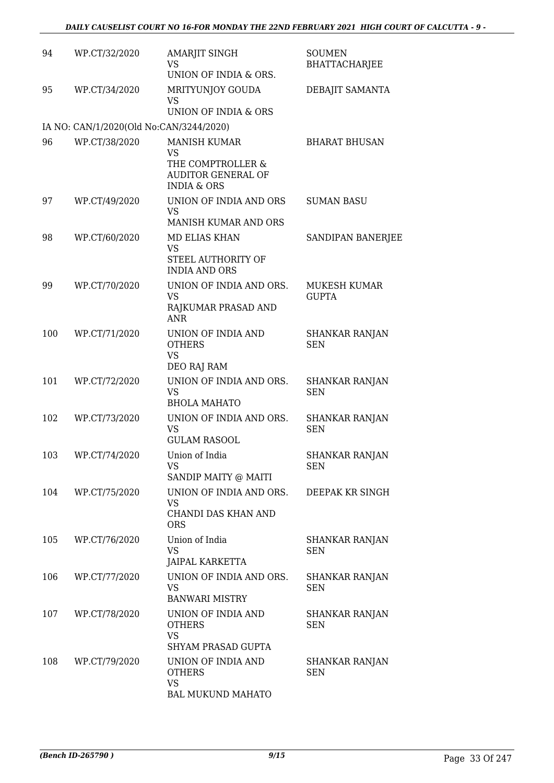| 94  | WP.CT/32/2020                           | AMARJIT SINGH<br>VS<br>UNION OF INDIA & ORS.                                                                 | <b>SOUMEN</b><br><b>BHATTACHARJEE</b> |
|-----|-----------------------------------------|--------------------------------------------------------------------------------------------------------------|---------------------------------------|
| 95  | WP.CT/34/2020                           | MRITYUNJOY GOUDA<br><b>VS</b><br>UNION OF INDIA & ORS                                                        | DEBAJIT SAMANTA                       |
|     | IA NO: CAN/1/2020(Old No:CAN/3244/2020) |                                                                                                              |                                       |
| 96  | WP.CT/38/2020                           | <b>MANISH KUMAR</b><br><b>VS</b><br>THE COMPTROLLER &<br><b>AUDITOR GENERAL OF</b><br><b>INDIA &amp; ORS</b> | <b>BHARAT BHUSAN</b>                  |
| 97  | WP.CT/49/2020                           | UNION OF INDIA AND ORS<br>VS<br>MANISH KUMAR AND ORS                                                         | <b>SUMAN BASU</b>                     |
| 98  | WP.CT/60/2020                           | <b>MD ELIAS KHAN</b><br><b>VS</b><br>STEEL AUTHORITY OF<br><b>INDIA AND ORS</b>                              | SANDIPAN BANERJEE                     |
| 99  | WP.CT/70/2020                           | UNION OF INDIA AND ORS.<br>VS<br>RAJKUMAR PRASAD AND<br><b>ANR</b>                                           | MUKESH KUMAR<br><b>GUPTA</b>          |
| 100 | WP.CT/71/2020                           | UNION OF INDIA AND<br><b>OTHERS</b><br><b>VS</b><br>DEO RAJ RAM                                              | <b>SHANKAR RANJAN</b><br><b>SEN</b>   |
| 101 | WP.CT/72/2020                           | UNION OF INDIA AND ORS.<br><b>VS</b><br><b>BHOLA MAHATO</b>                                                  | <b>SHANKAR RANJAN</b><br><b>SEN</b>   |
| 102 | WP.CT/73/2020                           | UNION OF INDIA AND ORS.<br>VS<br><b>GULAM RASOOL</b>                                                         | <b>SHANKAR RANJAN</b><br><b>SEN</b>   |
| 103 | WP.CT/74/2020                           | Union of India<br><b>VS</b><br>SANDIP MAITY @ MAITI                                                          | <b>SHANKAR RANJAN</b><br><b>SEN</b>   |
| 104 | WP.CT/75/2020                           | UNION OF INDIA AND ORS.<br>VS<br>CHANDI DAS KHAN AND<br><b>ORS</b>                                           | DEEPAK KR SINGH                       |
| 105 | WP.CT/76/2020                           | Union of India<br><b>VS</b><br><b>JAIPAL KARKETTA</b>                                                        | SHANKAR RANJAN<br><b>SEN</b>          |
| 106 | WP.CT/77/2020                           | UNION OF INDIA AND ORS.<br><b>VS</b><br><b>BANWARI MISTRY</b>                                                | SHANKAR RANJAN<br><b>SEN</b>          |
| 107 | WP.CT/78/2020                           | UNION OF INDIA AND<br><b>OTHERS</b><br><b>VS</b><br>SHYAM PRASAD GUPTA                                       | SHANKAR RANJAN<br><b>SEN</b>          |
| 108 | WP.CT/79/2020                           | UNION OF INDIA AND<br><b>OTHERS</b><br><b>VS</b><br>BAL MUKUND MAHATO                                        | SHANKAR RANJAN<br><b>SEN</b>          |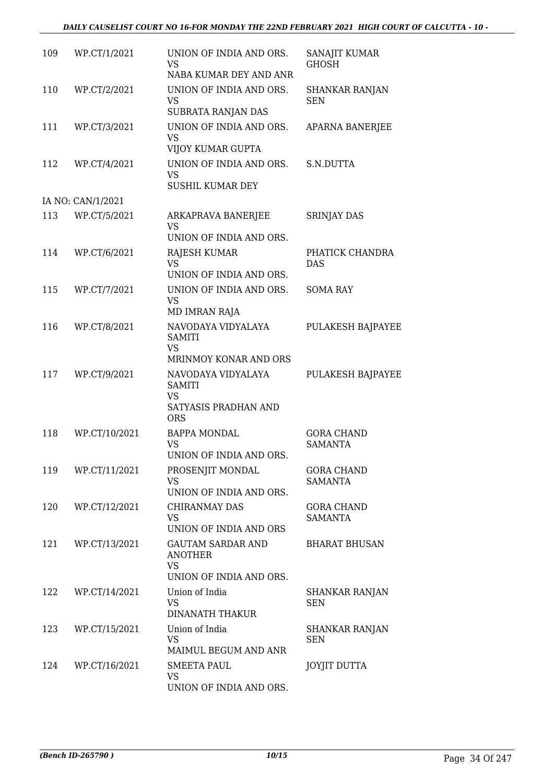#### *DAILY CAUSELIST COURT NO 16-FOR MONDAY THE 22ND FEBRUARY 2021 HIGH COURT OF CALCUTTA - 10 -*

| 109 | WP.CT/1/2021      | UNION OF INDIA AND ORS.<br><b>VS</b><br>NABA KUMAR DEY AND ANR                         | SANAJIT KUMAR<br><b>GHOSH</b>       |
|-----|-------------------|----------------------------------------------------------------------------------------|-------------------------------------|
| 110 | WP.CT/2/2021      | UNION OF INDIA AND ORS.<br><b>VS</b><br>SUBRATA RANJAN DAS                             | <b>SHANKAR RANJAN</b><br><b>SEN</b> |
| 111 | WP.CT/3/2021      | UNION OF INDIA AND ORS.<br>VS<br>VIJOY KUMAR GUPTA                                     | APARNA BANERJEE                     |
| 112 | WP.CT/4/2021      | UNION OF INDIA AND ORS.<br><b>VS</b><br>SUSHIL KUMAR DEY                               | S.N.DUTTA                           |
|     | IA NO: CAN/1/2021 |                                                                                        |                                     |
| 113 | WP.CT/5/2021      | ARKAPRAVA BANERJEE<br><b>VS</b><br>UNION OF INDIA AND ORS.                             | <b>SRINJAY DAS</b>                  |
| 114 | WP.CT/6/2021      | RAJESH KUMAR<br><b>VS</b><br>UNION OF INDIA AND ORS.                                   | PHATICK CHANDRA<br>DAS              |
| 115 | WP.CT/7/2021      | UNION OF INDIA AND ORS.<br><b>VS</b><br><b>MD IMRAN RAJA</b>                           | <b>SOMA RAY</b>                     |
| 116 | WP.CT/8/2021      | NAVODAYA VIDYALAYA<br><b>SAMITI</b><br>VS<br>MRINMOY KONAR AND ORS                     | PULAKESH BAJPAYEE                   |
| 117 | WP.CT/9/2021      | NAVODAYA VIDYALAYA<br><b>SAMITI</b><br><b>VS</b><br>SATYASIS PRADHAN AND<br><b>ORS</b> | PULAKESH BAJPAYEE                   |
| 118 | WP.CT/10/2021     | <b>BAPPA MONDAL</b><br><b>VS</b><br>UNION OF INDIA AND ORS.                            | <b>GORA CHAND</b><br><b>SAMANTA</b> |
| 119 | WP.CT/11/2021     | PROSENJIT MONDAL<br><b>VS</b><br>UNION OF INDIA AND ORS.                               | <b>GORA CHAND</b><br><b>SAMANTA</b> |
| 120 | WP.CT/12/2021     | <b>CHIRANMAY DAS</b><br><b>VS</b><br>UNION OF INDIA AND ORS                            | <b>GORA CHAND</b><br><b>SAMANTA</b> |
| 121 | WP.CT/13/2021     | <b>GAUTAM SARDAR AND</b><br><b>ANOTHER</b><br><b>VS</b><br>UNION OF INDIA AND ORS.     | <b>BHARAT BHUSAN</b>                |
| 122 | WP.CT/14/2021     | Union of India<br><b>VS</b><br>DINANATH THAKUR                                         | SHANKAR RANJAN<br><b>SEN</b>        |
| 123 | WP.CT/15/2021     | Union of India<br><b>VS</b><br>MAIMUL BEGUM AND ANR                                    | <b>SHANKAR RANJAN</b><br><b>SEN</b> |
| 124 | WP.CT/16/2021     | SMEETA PAUL<br><b>VS</b><br>UNION OF INDIA AND ORS.                                    | <b>JOYJIT DUTTA</b>                 |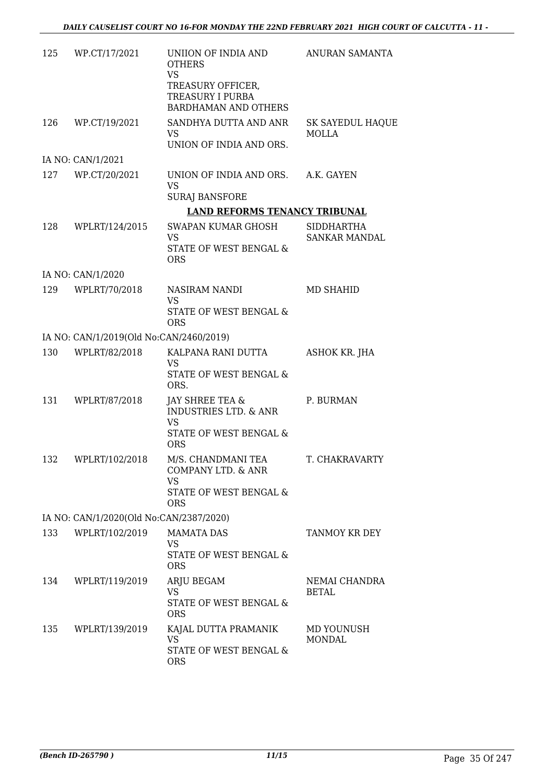|     | 125 WP.CT/17/2021                       | UNIION OF INDIA AND<br><b>OTHERS</b><br><b>VS</b><br>TREASURY OFFICER,<br><b>TREASURY I PURBA</b><br><b>BARDHAMAN AND OTHERS</b> | ANURAN SAMANTA                   |
|-----|-----------------------------------------|----------------------------------------------------------------------------------------------------------------------------------|----------------------------------|
|     | 126 WP.CT/19/2021                       | SANDHYA DUTTA AND ANR<br>VS.                                                                                                     | <b>SK SAYEDUL HAQUE</b><br>MOLLA |
|     |                                         | UNION OF INDIA AND ORS.                                                                                                          |                                  |
|     | IA NO: CAN/1/2021                       |                                                                                                                                  |                                  |
|     | 127 WP.CT/20/2021                       | UNION OF INDIA AND ORS. A.K. GAYEN<br>VS                                                                                         |                                  |
|     |                                         | <b>SURAJ BANSFORE</b><br><b>LAND REFORMS TENANCY TRIBUNAL</b>                                                                    |                                  |
| 128 | WPLRT/124/2015                          | <b>SWAPAN KUMAR GHOSH</b>                                                                                                        | <b>SIDDHARTHA</b>                |
|     |                                         | <b>VS</b>                                                                                                                        | <b>SANKAR MANDAL</b>             |
|     |                                         | STATE OF WEST BENGAL &<br><b>ORS</b>                                                                                             |                                  |
|     | IA NO: CAN/1/2020                       |                                                                                                                                  |                                  |
|     | 129 WPLRT/70/2018                       | NASIRAM NANDI<br><b>VS</b>                                                                                                       | MD SHAHID                        |
|     |                                         | STATE OF WEST BENGAL &<br><b>ORS</b>                                                                                             |                                  |
|     | IA NO: CAN/1/2019(Old No:CAN/2460/2019) |                                                                                                                                  |                                  |
| 130 | WPLRT/82/2018                           | KALPANA RANI DUTTA<br>VS<br>STATE OF WEST BENGAL &                                                                               | ASHOK KR. JHA                    |
|     | 131 WPLRT/87/2018                       | ORS.<br>JAY SHREE TEA &<br><b>INDUSTRIES LTD. &amp; ANR</b><br>VS<br>STATE OF WEST BENGAL &<br><b>ORS</b>                        | P. BURMAN                        |
| 132 | WPLRT/102/2018                          | M/S. CHANDMANI TEA<br>COMPANY LTD. & ANR<br><b>VS</b><br>STATE OF WEST BENGAL &<br><b>ORS</b>                                    | T. CHAKRAVARTY                   |
|     | IA NO: CAN/1/2020(Old No:CAN/2387/2020) |                                                                                                                                  |                                  |
| 133 | WPLRT/102/2019                          | <b>MAMATA DAS</b><br>VS.<br>STATE OF WEST BENGAL &<br><b>ORS</b>                                                                 | TANMOY KR DEY                    |
| 134 | WPLRT/119/2019                          | ARJU BEGAM<br><b>VS</b><br>STATE OF WEST BENGAL &<br><b>ORS</b>                                                                  | NEMAI CHANDRA<br><b>BETAL</b>    |
|     | 135 WPLRT/139/2019                      | KAJAL DUTTA PRAMANIK<br><b>VS</b><br>STATE OF WEST BENGAL &<br><b>ORS</b>                                                        | MD YOUNUSH<br><b>MONDAL</b>      |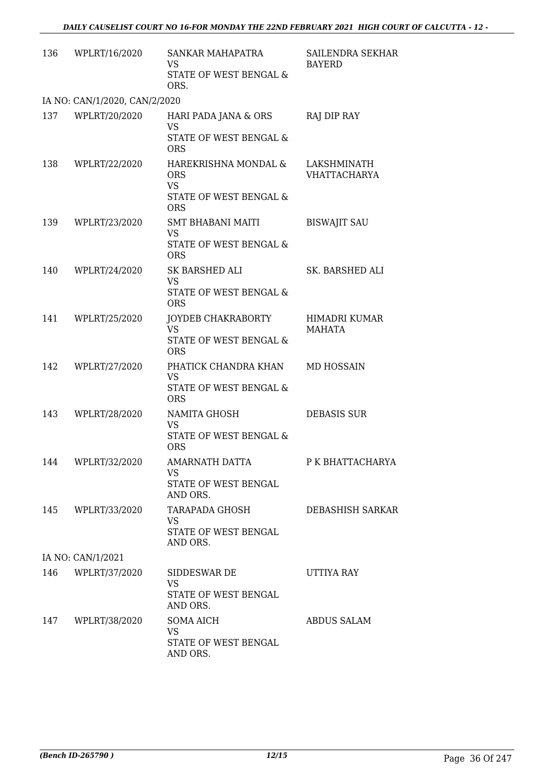| 136 | WPLRT/16/2020                 | SANKAR MAHAPATRA<br>VS.                         | SAILENDRA SEKHAR<br><b>BAYERD</b>  |
|-----|-------------------------------|-------------------------------------------------|------------------------------------|
|     |                               | STATE OF WEST BENGAL &<br>ORS.                  |                                    |
|     | IA NO: CAN/1/2020, CAN/2/2020 |                                                 |                                    |
| 137 | WPLRT/20/2020                 | HARI PADA JANA & ORS<br><b>VS</b>               | RAJ DIP RAY                        |
|     |                               | STATE OF WEST BENGAL &<br><b>ORS</b>            |                                    |
| 138 | WPLRT/22/2020                 | HAREKRISHNA MONDAL &<br><b>ORS</b><br><b>VS</b> | LAKSHMINATH<br><b>VHATTACHARYA</b> |
|     |                               | STATE OF WEST BENGAL &<br><b>ORS</b>            |                                    |
| 139 | WPLRT/23/2020                 | <b>SMT BHABANI MAITI</b><br><b>VS</b>           | <b>BISWAJIT SAU</b>                |
|     |                               | STATE OF WEST BENGAL &<br><b>ORS</b>            |                                    |
| 140 | WPLRT/24/2020                 | SK BARSHED ALI<br><b>VS</b>                     | SK. BARSHED ALI                    |
|     |                               | <b>STATE OF WEST BENGAL &amp;</b><br><b>ORS</b> |                                    |
| 141 | WPLRT/25/2020                 | JOYDEB CHAKRABORTY<br><b>VS</b>                 | HIMADRI KUMAR<br>MAHATA            |
|     |                               | STATE OF WEST BENGAL &<br><b>ORS</b>            |                                    |
| 142 | WPLRT/27/2020                 | PHATICK CHANDRA KHAN<br><b>VS</b>               | MD HOSSAIN                         |
|     |                               | STATE OF WEST BENGAL &<br><b>ORS</b>            |                                    |
| 143 | WPLRT/28/2020                 | NAMITA GHOSH<br><b>VS</b>                       | <b>DEBASIS SUR</b>                 |
|     |                               | STATE OF WEST BENGAL &<br><b>ORS</b>            |                                    |
|     | 144 WPLRT/32/2020             | <b>AMARNATH DATTA</b><br>VS.                    | P K BHATTACHARYA                   |
|     |                               | STATE OF WEST BENGAL<br>AND ORS.                |                                    |
| 145 | WPLRT/33/2020                 | TARAPADA GHOSH<br><b>VS</b>                     | DEBASHISH SARKAR                   |
|     |                               | STATE OF WEST BENGAL<br>AND ORS.                |                                    |
|     | IA NO: CAN/1/2021             |                                                 |                                    |
| 146 | WPLRT/37/2020                 | SIDDESWAR DE<br>VS                              | UTTIYA RAY                         |
|     |                               | STATE OF WEST BENGAL<br>AND ORS.                |                                    |
| 147 | WPLRT/38/2020                 | <b>SOMA AICH</b><br><b>VS</b>                   | <b>ABDUS SALAM</b>                 |
|     |                               | STATE OF WEST BENGAL<br>AND ORS.                |                                    |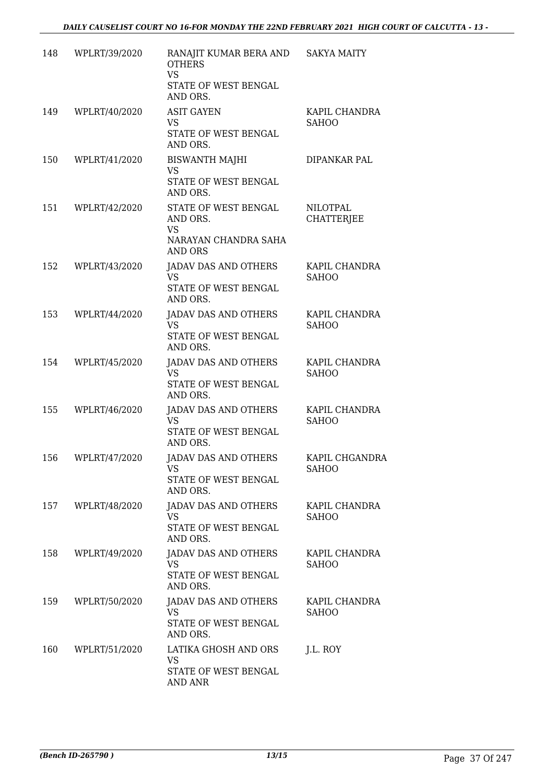| 148 | WPLRT/39/2020 | RANAJIT KUMAR BERA AND<br><b>OTHERS</b><br>VS<br>STATE OF WEST BENGAL<br>AND ORS.       | <b>SAKYA MAITY</b>                   |
|-----|---------------|-----------------------------------------------------------------------------------------|--------------------------------------|
| 149 | WPLRT/40/2020 | <b>ASIT GAYEN</b><br><b>VS</b><br>STATE OF WEST BENGAL<br>AND ORS.                      | KAPIL CHANDRA<br><b>SAHOO</b>        |
| 150 | WPLRT/41/2020 | <b>BISWANTH MAJHI</b><br><b>VS</b><br>STATE OF WEST BENGAL<br>AND ORS.                  | DIPANKAR PAL                         |
| 151 | WPLRT/42/2020 | STATE OF WEST BENGAL<br>AND ORS.<br><b>VS</b><br>NARAYAN CHANDRA SAHA<br><b>AND ORS</b> | <b>NILOTPAL</b><br><b>CHATTERJEE</b> |
| 152 | WPLRT/43/2020 | <b>JADAV DAS AND OTHERS</b><br>VS.<br>STATE OF WEST BENGAL<br>AND ORS.                  | KAPIL CHANDRA<br><b>SAHOO</b>        |
| 153 | WPLRT/44/2020 | JADAV DAS AND OTHERS<br><b>VS</b><br>STATE OF WEST BENGAL<br>AND ORS.                   | KAPIL CHANDRA<br><b>SAHOO</b>        |
| 154 | WPLRT/45/2020 | <b>JADAV DAS AND OTHERS</b><br><b>VS</b><br>STATE OF WEST BENGAL<br>AND ORS.            | KAPIL CHANDRA<br><b>SAHOO</b>        |
| 155 | WPLRT/46/2020 | JADAV DAS AND OTHERS<br>VS<br>STATE OF WEST BENGAL<br>AND ORS.                          | KAPIL CHANDRA<br><b>SAHOO</b>        |
| 156 | WPLRT/47/2020 | <b>JADAV DAS AND OTHERS</b><br><b>VS</b><br>STATE OF WEST BENGAL<br>AND ORS.            | KAPIL CHGANDRA<br><b>SAHOO</b>       |
| 157 | WPLRT/48/2020 | JADAV DAS AND OTHERS<br>VS.<br>STATE OF WEST BENGAL<br>AND ORS.                         | KAPIL CHANDRA<br><b>SAHOO</b>        |
| 158 | WPLRT/49/2020 | <b>JADAV DAS AND OTHERS</b><br>VS<br>STATE OF WEST BENGAL<br>AND ORS.                   | KAPIL CHANDRA<br><b>SAHOO</b>        |
| 159 | WPLRT/50/2020 | JADAV DAS AND OTHERS<br><b>VS</b><br>STATE OF WEST BENGAL<br>AND ORS.                   | KAPIL CHANDRA<br><b>SAHOO</b>        |
| 160 | WPLRT/51/2020 | LATIKA GHOSH AND ORS<br>VS<br>STATE OF WEST BENGAL<br><b>AND ANR</b>                    | J.L. ROY                             |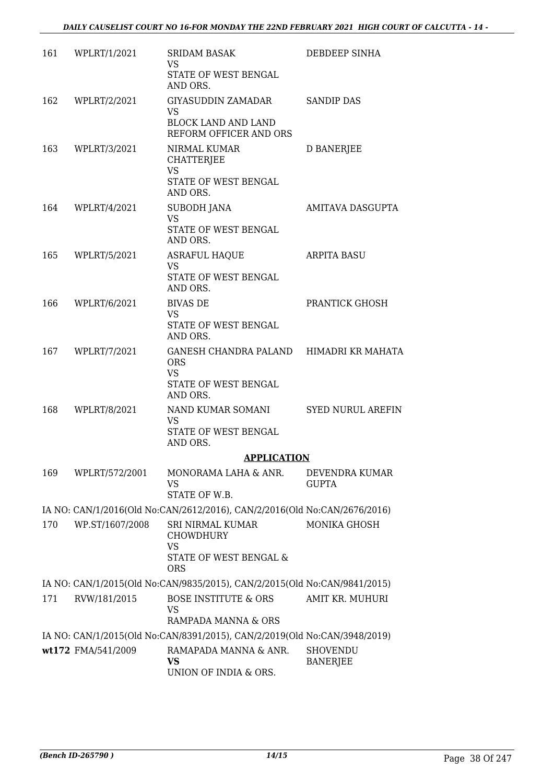| 161 | WPLRT/1/2021       | <b>SRIDAM BASAK</b><br><b>VS</b>                                                                 | DEBDEEP SINHA                  |
|-----|--------------------|--------------------------------------------------------------------------------------------------|--------------------------------|
|     |                    | STATE OF WEST BENGAL<br>AND ORS.                                                                 |                                |
| 162 | WPLRT/2/2021       | GIYASUDDIN ZAMADAR<br>VS.                                                                        | <b>SANDIP DAS</b>              |
|     |                    | <b>BLOCK LAND AND LAND</b><br>REFORM OFFICER AND ORS                                             |                                |
| 163 | WPLRT/3/2021       | NIRMAL KUMAR<br><b>CHATTERJEE</b><br><b>VS</b>                                                   | D BANERJEE                     |
|     |                    | STATE OF WEST BENGAL<br>AND ORS.                                                                 |                                |
| 164 | WPLRT/4/2021       | SUBODH JANA<br><b>VS</b><br>STATE OF WEST BENGAL                                                 | AMITAVA DASGUPTA               |
| 165 | WPLRT/5/2021       | AND ORS.<br><b>ASRAFUL HAQUE</b>                                                                 | <b>ARPITA BASU</b>             |
|     |                    | <b>VS</b><br>STATE OF WEST BENGAL<br>AND ORS.                                                    |                                |
| 166 | WPLRT/6/2021       | <b>BIVAS DE</b><br><b>VS</b>                                                                     | PRANTICK GHOSH                 |
|     |                    | STATE OF WEST BENGAL<br>AND ORS.                                                                 |                                |
|     | 167 WPLRT/7/2021   | GANESH CHANDRA PALAND HIMADRI KR MAHATA<br><b>ORS</b><br><b>VS</b>                               |                                |
|     |                    | STATE OF WEST BENGAL<br>AND ORS.                                                                 |                                |
| 168 | WPLRT/8/2021       | NAND KUMAR SOMANI<br><b>VS</b><br>STATE OF WEST BENGAL<br>AND ORS.                               | <b>SYED NURUL AREFIN</b>       |
|     |                    | <b>APPLICATION</b>                                                                               |                                |
| 169 | WPLRT/572/2001     | MONORAMA LAHA & ANR.<br>VS<br>STATE OF W.B.                                                      | DEVENDRA KUMAR<br><b>GUPTA</b> |
|     |                    | IA NO: CAN/1/2016(Old No:CAN/2612/2016), CAN/2/2016(Old No:CAN/2676/2016)                        |                                |
| 170 | WP.ST/1607/2008    | SRI NIRMAL KUMAR<br><b>CHOWDHURY</b>                                                             | MONIKA GHOSH                   |
|     |                    | <b>VS</b><br>STATE OF WEST BENGAL &<br><b>ORS</b>                                                |                                |
|     |                    | IA NO: CAN/1/2015(Old No:CAN/9835/2015), CAN/2/2015(Old No:CAN/9841/2015)                        |                                |
| 171 | RVW/181/2015       | <b>BOSE INSTITUTE &amp; ORS</b><br><b>VS</b>                                                     | AMIT KR. MUHURI                |
|     |                    | RAMPADA MANNA & ORS<br>IA NO: CAN/1/2015(Old No:CAN/8391/2015), CAN/2/2019(Old No:CAN/3948/2019) |                                |
|     | wt172 FMA/541/2009 | RAMAPADA MANNA & ANR.                                                                            | <b>SHOVENDU</b>                |
|     |                    | VS<br>UNION OF INDIA & ORS.                                                                      | <b>BANERJEE</b>                |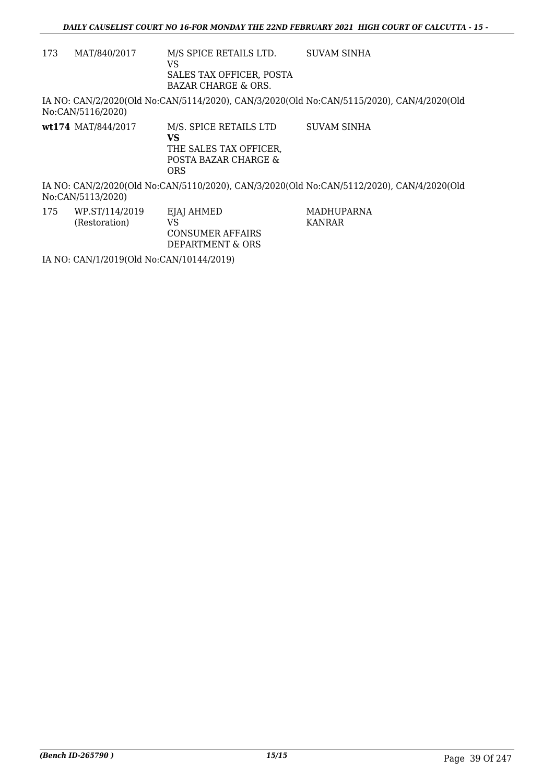173 MAT/840/2017 M/S SPICE RETAILS LTD. VS SALES TAX OFFICER, POSTA BAZAR CHARGE & ORS. SUVAM SINHA

IA NO: CAN/2/2020(Old No:CAN/5114/2020), CAN/3/2020(Old No:CAN/5115/2020), CAN/4/2020(Old No:CAN/5116/2020)

**wt174** MAT/844/2017 M/S. SPICE RETAILS LTD **VS** THE SALES TAX OFFICER, POSTA BAZAR CHARGE & ORS SUVAM SINHA

IA NO: CAN/2/2020(Old No:CAN/5110/2020), CAN/3/2020(Old No:CAN/5112/2020), CAN/4/2020(Old No:CAN/5113/2020)

> MADHUPARNA KANRAR

175 WP.ST/114/2019 (Restoration) EJAJ AHMED VS CONSUMER AFFAIRS DEPARTMENT & ORS

IA NO: CAN/1/2019(Old No:CAN/10144/2019)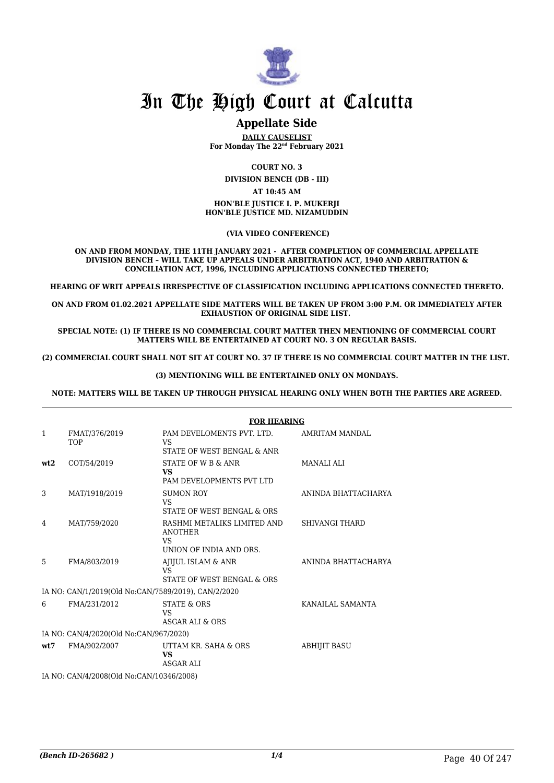

### **Appellate Side**

**DAILY CAUSELIST For Monday The 22nd February 2021**

**COURT NO. 3**

**DIVISION BENCH (DB - III)**

#### **AT 10:45 AM**

#### **HON'BLE JUSTICE I. P. MUKERJI HON'BLE JUSTICE MD. NIZAMUDDIN**

 **(VIA VIDEO CONFERENCE)**

**ON AND FROM MONDAY, THE 11TH JANUARY 2021 - AFTER COMPLETION OF COMMERCIAL APPELLATE DIVISION BENCH – WILL TAKE UP APPEALS UNDER ARBITRATION ACT, 1940 AND ARBITRATION & CONCILIATION ACT, 1996, INCLUDING APPLICATIONS CONNECTED THERETO;**

**HEARING OF WRIT APPEALS IRRESPECTIVE OF CLASSIFICATION INCLUDING APPLICATIONS CONNECTED THERETO.**

**ON AND FROM 01.02.2021 APPELLATE SIDE MATTERS WILL BE TAKEN UP FROM 3:00 P.M. OR IMMEDIATELY AFTER EXHAUSTION OF ORIGINAL SIDE LIST.** 

**SPECIAL NOTE: (1) IF THERE IS NO COMMERCIAL COURT MATTER THEN MENTIONING OF COMMERCIAL COURT MATTERS WILL BE ENTERTAINED AT COURT NO. 3 ON REGULAR BASIS.**

**(2) COMMERCIAL COURT SHALL NOT SIT AT COURT NO. 37 IF THERE IS NO COMMERCIAL COURT MATTER IN THE LIST.** 

#### **(3) MENTIONING WILL BE ENTERTAINED ONLY ON MONDAYS.**

**NOTE: MATTERS WILL BE TAKEN UP THROUGH PHYSICAL HEARING ONLY WHEN BOTH THE PARTIES ARE AGREED.**

|              |                                                     | <b>FOR HEARING</b>                                                              |                       |
|--------------|-----------------------------------------------------|---------------------------------------------------------------------------------|-----------------------|
| $\mathbf{1}$ | FMAT/376/2019<br><b>TOP</b>                         | PAM DEVELOMENTS PVT. LTD.<br>VS.<br>STATE OF WEST BENGAL & ANR                  | AMRITAM MANDAL        |
| wt2          | COT/54/2019                                         | STATE OF W B & ANR<br><b>VS</b><br>PAM DEVELOPMENTS PVT LTD                     | MANALI ALI            |
| 3            | MAT/1918/2019                                       | <b>SUMON ROY</b><br>VS<br>STATE OF WEST BENGAL & ORS                            | ANINDA BHATTACHARYA   |
| 4            | MAT/759/2020                                        | RASHMI METALIKS LIMITED AND<br><b>ANOTHER</b><br>VS.<br>UNION OF INDIA AND ORS. | <b>SHIVANGI THARD</b> |
| 5            | FMA/803/2019                                        | AJIJUL ISLAM & ANR<br>VS.<br>STATE OF WEST BENGAL & ORS                         | ANINDA BHATTACHARYA   |
|              | IA NO: CAN/1/2019(Old No:CAN/7589/2019), CAN/2/2020 |                                                                                 |                       |
| 6            | FMA/231/2012                                        | <b>STATE &amp; ORS</b><br><b>VS</b><br>ASGAR ALI & ORS                          | KANAILAL SAMANTA      |
|              | IA NO: CAN/4/2020(Old No:CAN/967/2020)              |                                                                                 |                       |
| wt:7         | FMA/902/2007                                        | UTTAM KR. SAHA & ORS<br><b>VS</b><br>ASGAR ALI                                  | <b>ABHIJIT BASU</b>   |
|              | IA NO: CAN/4/2008(Old No:CAN/10346/2008)            |                                                                                 |                       |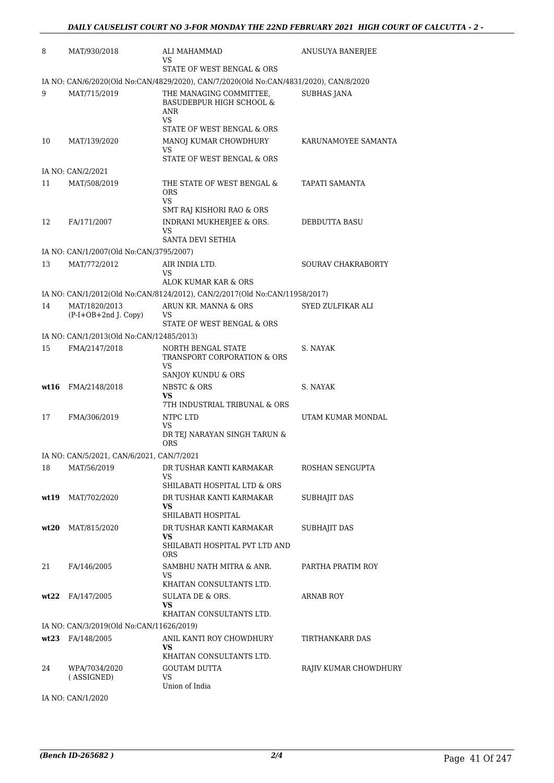| 8    | MAT/930/2018                                             | <b>ALI MAHAMMAD</b><br>VS                                                                                        | ANUSUYA BANERJEE          |
|------|----------------------------------------------------------|------------------------------------------------------------------------------------------------------------------|---------------------------|
|      |                                                          | STATE OF WEST BENGAL & ORS                                                                                       |                           |
|      |                                                          | IA NO: CAN/6/2020(Old No:CAN/4829/2020), CAN/7/2020(Old No:CAN/4831/2020), CAN/8/2020                            |                           |
| 9    | MAT/715/2019                                             | THE MANAGING COMMITTEE,<br><b>BASUDEBPUR HIGH SCHOOL &amp;</b><br>ANR<br><b>VS</b><br>STATE OF WEST BENGAL & ORS | <b>SUBHAS JANA</b>        |
| 10   | MAT/139/2020                                             | MANOJ KUMAR CHOWDHURY<br>VS<br>STATE OF WEST BENGAL & ORS                                                        | KARUNAMOYEE SAMANTA       |
|      | IA NO: CAN/2/2021                                        |                                                                                                                  |                           |
| 11   | MAT/508/2019                                             | THE STATE OF WEST BENGAL &<br><b>ORS</b><br>VS<br>SMT RAJ KISHORI RAO & ORS                                      | TAPATI SAMANTA            |
| 12   | FA/171/2007                                              | INDRANI MUKHERJEE & ORS.<br>VS<br>SANTA DEVI SETHIA                                                              | DEBDUTTA BASU             |
|      | IA NO: CAN/1/2007(Old No:CAN/3795/2007)                  |                                                                                                                  |                           |
| 13   | MAT/772/2012                                             | AIR INDIA LTD.<br><b>VS</b>                                                                                      | <b>SOURAV CHAKRABORTY</b> |
|      |                                                          | ALOK KUMAR KAR & ORS<br>IA NO: CAN/1/2012(Old No:CAN/8124/2012), CAN/2/2017(Old No:CAN/11958/2017)               |                           |
| 14   | MAT/1820/2013                                            | ARUN KR. MANNA & ORS                                                                                             | SYED ZULFIKAR ALI         |
|      | $(P-I+OB+2nd J. Copy)$                                   | VS<br>STATE OF WEST BENGAL & ORS                                                                                 |                           |
|      | IA NO: CAN/1/2013(Old No:CAN/12485/2013)                 |                                                                                                                  |                           |
| 15   | FMA/2147/2018                                            | NORTH BENGAL STATE<br>TRANSPORT CORPORATION & ORS<br><b>VS</b><br>SANJOY KUNDU & ORS                             | S. NAYAK                  |
| wt16 | FMA/2148/2018                                            | NBSTC & ORS<br>VS                                                                                                | S. NAYAK                  |
| 17   | FMA/306/2019                                             | 7TH INDUSTRIAL TRIBUNAL & ORS<br>NTPC LTD<br>VS<br>DR TEJ NARAYAN SINGH TARUN &                                  | UTAM KUMAR MONDAL         |
|      |                                                          | <b>ORS</b>                                                                                                       |                           |
| 18   | IA NO: CAN/5/2021, CAN/6/2021, CAN/7/2021<br>MAT/56/2019 | DR TUSHAR KANTI KARMAKAR                                                                                         | ROSHAN SENGUPTA           |
|      |                                                          | VS<br>SHILABATI HOSPITAL LTD & ORS                                                                               |                           |
| wt19 | MAT/702/2020                                             | DR TUSHAR KANTI KARMAKAR<br>VS.<br>SHILABATI HOSPITAL                                                            | <b>SUBHAJIT DAS</b>       |
|      | $wt20$ MAT/815/2020                                      | DR TUSHAR KANTI KARMAKAR<br>VS.<br>SHILABATI HOSPITAL PVT LTD AND<br><b>ORS</b>                                  | <b>SUBHAJIT DAS</b>       |
| 21   | FA/146/2005                                              | SAMBHU NATH MITRA & ANR.<br>VS<br>KHAITAN CONSULTANTS LTD.                                                       | PARTHA PRATIM ROY         |
|      | $wt22$ FA/147/2005                                       | SULATA DE & ORS.<br>VS<br>KHAITAN CONSULTANTS LTD.                                                               | ARNAB ROY                 |
|      | IA NO: CAN/3/2019(Old No:CAN/11626/2019)                 |                                                                                                                  |                           |
|      | $wt23$ FA/148/2005                                       | ANIL KANTI ROY CHOWDHURY<br>VS.<br>KHAITAN CONSULTANTS LTD.                                                      | TIRTHANKARR DAS           |
| 24   | WPA/7034/2020<br>(ASSIGNED)                              | <b>GOUTAM DUTTA</b><br>VS<br>Union of India                                                                      | RAJIV KUMAR CHOWDHURY     |

IA NO: CAN/1/2020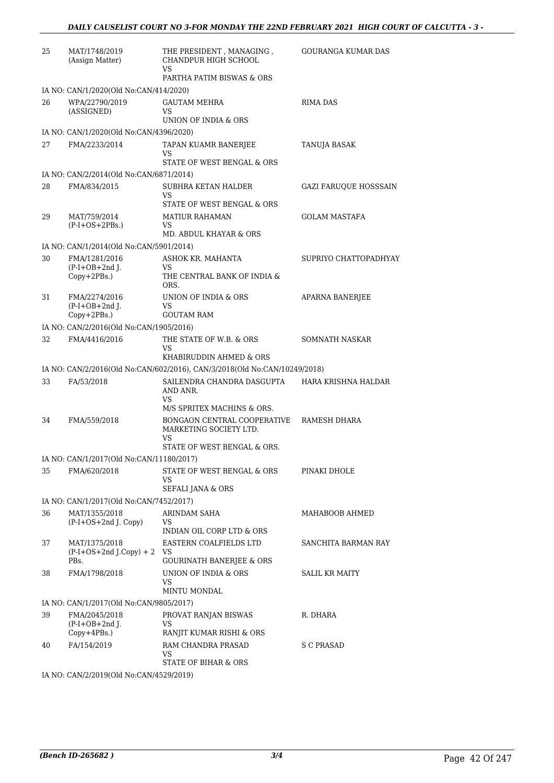| 25 | MAT/1748/2019<br>(Assign Matter)                    | THE PRESIDENT, MANAGING,<br>CHANDPUR HIGH SCHOOL                          | GOURANGA KUMAR DAS    |
|----|-----------------------------------------------------|---------------------------------------------------------------------------|-----------------------|
|    |                                                     | VS<br>PARTHA PATIM BISWAS & ORS                                           |                       |
|    | IA NO: CAN/1/2020(Old No:CAN/414/2020)              |                                                                           |                       |
| 26 | WPA/22790/2019                                      | <b>GAUTAM MEHRA</b>                                                       | <b>RIMA DAS</b>       |
|    | (ASSIGNED)                                          | VS<br>UNION OF INDIA & ORS                                                |                       |
|    | IA NO: CAN/1/2020(Old No:CAN/4396/2020)             |                                                                           |                       |
| 27 | FMA/2233/2014                                       | TAPAN KUAMR BANERJEE<br>VS<br>STATE OF WEST BENGAL & ORS                  | <b>TANUJA BASAK</b>   |
|    | IA NO: CAN/2/2014(Old No:CAN/6871/2014)             |                                                                           |                       |
| 28 | FMA/834/2015                                        | SUBHRA KETAN HALDER<br>VS<br>STATE OF WEST BENGAL & ORS                   | GAZI FARUQUE HOSSSAIN |
| 29 | MAT/759/2014<br>$(P-I+OS+2PBs.)$                    | <b>MATIUR RAHAMAN</b><br>VS                                               | <b>GOLAM MASTAFA</b>  |
|    |                                                     | MD. ABDUL KHAYAR & ORS                                                    |                       |
|    | IA NO: CAN/1/2014(Old No:CAN/5901/2014)             |                                                                           |                       |
| 30 | FMA/1281/2016<br>$(P-I+OB+2nd$ J.<br>$Copy+2PBs.$ ) | ASHOK KR. MAHANTA<br>VS<br>THE CENTRAL BANK OF INDIA &<br>ORS.            | SUPRIYO CHATTOPADHYAY |
| 31 | FMA/2274/2016<br>$(P-I+OB+2nd I.$                   | UNION OF INDIA & ORS<br>VS                                                | APARNA BANERJEE       |
|    | Copy+2PBs.)                                         | <b>GOUTAM RAM</b>                                                         |                       |
|    | IA NO: CAN/2/2016(Old No:CAN/1905/2016)             |                                                                           |                       |
| 32 | FMA/4416/2016                                       | THE STATE OF W.B. & ORS<br>VS<br>KHABIRUDDIN AHMED & ORS                  | SOMNATH NASKAR        |
|    |                                                     | IA NO: CAN/2/2016(Old No:CAN/602/2016), CAN/3/2018(Old No:CAN/10249/2018) |                       |
| 33 | FA/53/2018                                          | SAILENDRA CHANDRA DASGUPTA<br>AND ANR.                                    | HARA KRISHNA HALDAR   |
|    |                                                     | VS<br>M/S SPRITEX MACHINS & ORS.                                          |                       |
| 34 | FMA/559/2018                                        | BONGAON CENTRAL COOPERATIVE<br>MARKETING SOCIETY LTD.<br>VS               | RAMESH DHARA          |
|    |                                                     | STATE OF WEST BENGAL & ORS.                                               |                       |
|    | IA NO: CAN/1/2017(Old No:CAN/11180/2017)            |                                                                           |                       |
| 35 | FMA/620/2018                                        | STATE OF WEST BENGAL & ORS<br>VS<br>SEFALI JANA & ORS                     | PINAKI DHOLE          |
|    | IA NO: CAN/1/2017(Old No:CAN/7452/2017)             |                                                                           |                       |
| 36 | MAT/1355/2018                                       | ARINDAM SAHA                                                              | MAHABOOB AHMED        |
|    | $(P-I+OS+2nd J. Copy)$                              | VS<br><b>INDIAN OIL CORP LTD &amp; ORS</b>                                |                       |
| 37 | MAT/1375/2018<br>$(P-I+OS+2nd J.Copy) + 2$          | EASTERN COALFIELDS LTD<br>VS                                              | SANCHITA BARMAN RAY   |
| 38 | PBs.<br>FMA/1798/2018                               | <b>GOURINATH BANERJEE &amp; ORS</b><br>UNION OF INDIA & ORS               | <b>SALIL KR MAITY</b> |
|    |                                                     | VS<br>MINTU MONDAL                                                        |                       |
|    | IA NO: CAN/1/2017(Old No:CAN/9805/2017)             |                                                                           |                       |
| 39 | FMA/2045/2018<br>$(P-I+OB+2nd$ J.                   | PROVAT RANJAN BISWAS<br>VS                                                | R. DHARA              |
| 40 | Copy+4PBs.)<br>FA/154/2019                          | RANJIT KUMAR RISHI & ORS<br>RAM CHANDRA PRASAD<br>VS                      | S C PRASAD            |
|    |                                                     | STATE OF BIHAR & ORS                                                      |                       |

IA NO: CAN/2/2019(Old No:CAN/4529/2019)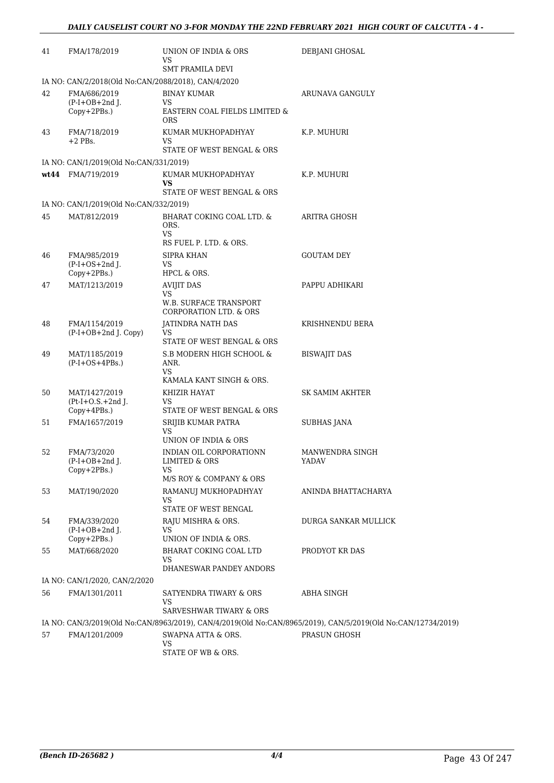| 41 | FMA/178/2019                                        | UNION OF INDIA & ORS<br>VS<br><b>SMT PRAMILA DEVI</b>                | DEBJANI GHOSAL                                                                                               |  |  |
|----|-----------------------------------------------------|----------------------------------------------------------------------|--------------------------------------------------------------------------------------------------------------|--|--|
|    | IA NO: CAN/2/2018(Old No:CAN/2088/2018), CAN/4/2020 |                                                                      |                                                                                                              |  |  |
| 42 | FMA/686/2019<br>$(P-I+OB+2nd J.$<br>Copy+2PBs.)     | <b>BINAY KUMAR</b><br>VS<br>EASTERN COAL FIELDS LIMITED $\&$         | ARUNAVA GANGULY                                                                                              |  |  |
| 43 | FMA/718/2019<br>$+2$ PBs.                           | <b>ORS</b><br>KUMAR MUKHOPADHYAY<br>VS<br>STATE OF WEST BENGAL & ORS | K.P. MUHURI                                                                                                  |  |  |
|    | IA NO: CAN/1/2019(Old No:CAN/331/2019)              |                                                                      |                                                                                                              |  |  |
|    | wt44 FMA/719/2019                                   | KUMAR MUKHOPADHYAY                                                   | K.P. MUHURI                                                                                                  |  |  |
|    |                                                     | <b>VS</b><br>STATE OF WEST BENGAL & ORS                              |                                                                                                              |  |  |
|    | IA NO: CAN/1/2019(Old No:CAN/332/2019)              |                                                                      |                                                                                                              |  |  |
| 45 | MAT/812/2019                                        | BHARAT COKING COAL LTD. &<br>ORS.<br><b>VS</b>                       | ARITRA GHOSH                                                                                                 |  |  |
|    |                                                     | RS FUEL P. LTD. & ORS.                                               |                                                                                                              |  |  |
| 46 | FMA/985/2019<br>$(P-I+OS+2nd)$ .                    | <b>SIPRA KHAN</b><br>VS.                                             | <b>GOUTAM DEY</b>                                                                                            |  |  |
| 47 | Copy+2PBs.)<br>MAT/1213/2019                        | HPCL & ORS.<br><b>AVIJIT DAS</b>                                     | PAPPU ADHIKARI                                                                                               |  |  |
|    |                                                     | <b>VS</b><br><b>W.B. SURFACE TRANSPORT</b><br>CORPORATION LTD. & ORS |                                                                                                              |  |  |
| 48 | FMA/1154/2019<br>$(P-I+OB+2nd J. Copy)$             | JATINDRA NATH DAS<br>VS.                                             | KRISHNENDU BERA                                                                                              |  |  |
| 49 | MAT/1185/2019<br>$(P-I+OS+4PBs.)$                   | STATE OF WEST BENGAL & ORS<br>S.B MODERN HIGH SCHOOL &<br>ANR.       | <b>BISWAJIT DAS</b>                                                                                          |  |  |
|    |                                                     | VS.<br>KAMALA KANT SINGH & ORS.                                      |                                                                                                              |  |  |
| 50 | MAT/1427/2019<br>$Pt-I+O.S.+2nd J.$<br>Copy+4PBs.)  | KHIZIR HAYAT<br>VS<br>STATE OF WEST BENGAL & ORS                     | SK SAMIM AKHTER                                                                                              |  |  |
| 51 | FMA/1657/2019                                       | SRIJIB KUMAR PATRA                                                   | SUBHAS JANA                                                                                                  |  |  |
|    |                                                     | VS<br>UNION OF INDIA & ORS                                           |                                                                                                              |  |  |
| 52 | FMA/73/2020<br>$(P-I+OB+2nd J.$<br>Copy+2PBs.)      | INDIAN OIL CORPORATIONN<br>LIMITED & ORS<br>VS                       | MANWENDRA SINGH<br>YADAV                                                                                     |  |  |
|    |                                                     | M/S ROY & COMPANY & ORS                                              |                                                                                                              |  |  |
| 53 | MAT/190/2020                                        | RAMANUJ MUKHOPADHYAY<br><b>VS</b><br>STATE OF WEST BENGAL            | ANINDA BHATTACHARYA                                                                                          |  |  |
| 54 | FMA/339/2020<br>$(P-I+OB+2nd J.$<br>Copy+2PBs.)     | RAJU MISHRA & ORS.<br>VS<br>UNION OF INDIA & ORS.                    | DURGA SANKAR MULLICK                                                                                         |  |  |
| 55 | MAT/668/2020                                        | BHARAT COKING COAL LTD                                               | PRODYOT KR DAS                                                                                               |  |  |
|    |                                                     | VS.<br>DHANESWAR PANDEY ANDORS                                       |                                                                                                              |  |  |
|    | IA NO: CAN/1/2020, CAN/2/2020                       |                                                                      |                                                                                                              |  |  |
| 56 | FMA/1301/2011                                       | SATYENDRA TIWARY & ORS<br>VS.                                        | ABHA SINGH                                                                                                   |  |  |
|    |                                                     | SARVESHWAR TIWARY & ORS                                              |                                                                                                              |  |  |
|    |                                                     |                                                                      | IA NO: CAN/3/2019(Old No:CAN/8963/2019), CAN/4/2019(Old No:CAN/8965/2019), CAN/5/2019(Old No:CAN/12734/2019) |  |  |
| 57 | FMA/1201/2009                                       | SWAPNA ATTA & ORS.<br><b>VS</b>                                      | PRASUN GHOSH                                                                                                 |  |  |

STATE OF WB & ORS.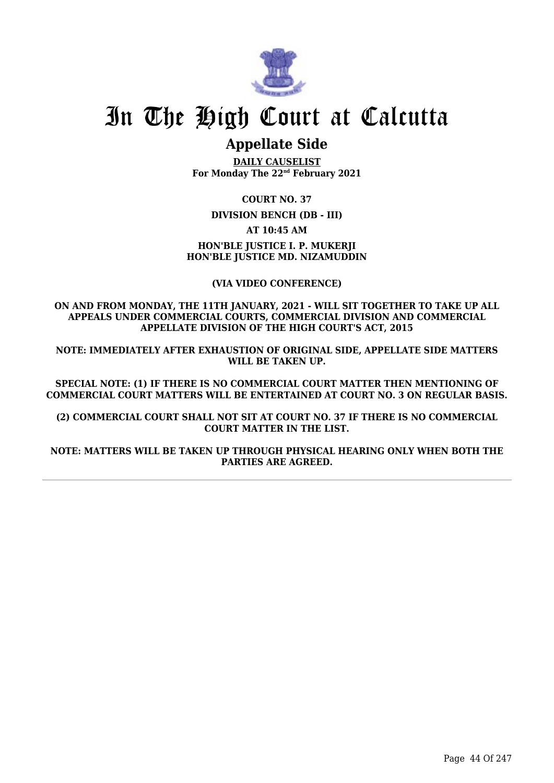

## **Appellate Side**

**DAILY CAUSELIST For Monday The 22nd February 2021**

**COURT NO. 37**

**DIVISION BENCH (DB - III)**

**AT 10:45 AM**

**HON'BLE JUSTICE I. P. MUKERJI HON'BLE JUSTICE MD. NIZAMUDDIN**

**(VIA VIDEO CONFERENCE)**

**ON AND FROM MONDAY, THE 11TH JANUARY, 2021 - WILL SIT TOGETHER TO TAKE UP ALL APPEALS UNDER COMMERCIAL COURTS, COMMERCIAL DIVISION AND COMMERCIAL APPELLATE DIVISION OF THE HIGH COURT'S ACT, 2015**

**NOTE: IMMEDIATELY AFTER EXHAUSTION OF ORIGINAL SIDE, APPELLATE SIDE MATTERS WILL BE TAKEN UP.**

**SPECIAL NOTE: (1) IF THERE IS NO COMMERCIAL COURT MATTER THEN MENTIONING OF COMMERCIAL COURT MATTERS WILL BE ENTERTAINED AT COURT NO. 3 ON REGULAR BASIS.**

**(2) COMMERCIAL COURT SHALL NOT SIT AT COURT NO. 37 IF THERE IS NO COMMERCIAL COURT MATTER IN THE LIST.**

**NOTE: MATTERS WILL BE TAKEN UP THROUGH PHYSICAL HEARING ONLY WHEN BOTH THE PARTIES ARE AGREED.**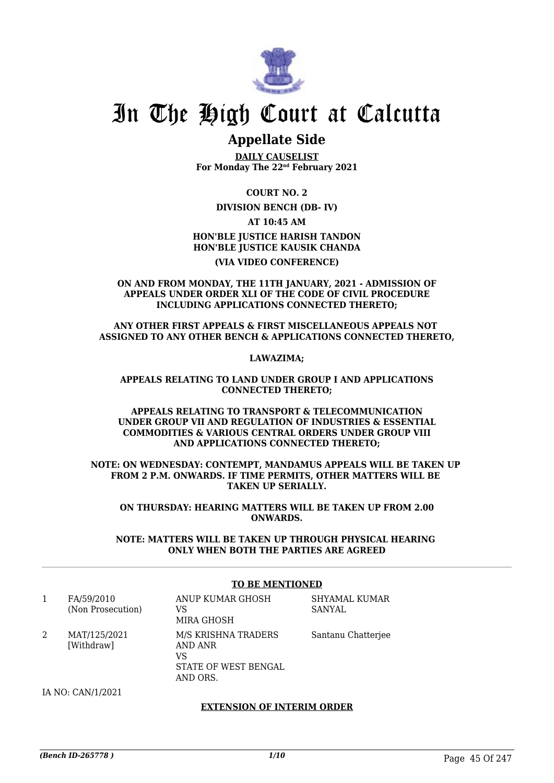

## **Appellate Side**

**DAILY CAUSELIST For Monday The 22nd February 2021**

**COURT NO. 2**

**DIVISION BENCH (DB- IV)**

**AT 10:45 AM**

**HON'BLE JUSTICE HARISH TANDON HON'BLE JUSTICE KAUSIK CHANDA**

**(VIA VIDEO CONFERENCE)**

**ON AND FROM MONDAY, THE 11TH JANUARY, 2021 - ADMISSION OF APPEALS UNDER ORDER XLI OF THE CODE OF CIVIL PROCEDURE INCLUDING APPLICATIONS CONNECTED THERETO;**

**ANY OTHER FIRST APPEALS & FIRST MISCELLANEOUS APPEALS NOT ASSIGNED TO ANY OTHER BENCH & APPLICATIONS CONNECTED THERETO,**

**LAWAZIMA;**

**APPEALS RELATING TO LAND UNDER GROUP I AND APPLICATIONS CONNECTED THERETO;**

**APPEALS RELATING TO TRANSPORT & TELECOMMUNICATION UNDER GROUP VII AND REGULATION OF INDUSTRIES & ESSENTIAL COMMODITIES & VARIOUS CENTRAL ORDERS UNDER GROUP VIII AND APPLICATIONS CONNECTED THERETO;**

**NOTE: ON WEDNESDAY: CONTEMPT, MANDAMUS APPEALS WILL BE TAKEN UP FROM 2 P.M. ONWARDS. IF TIME PERMITS, OTHER MATTERS WILL BE TAKEN UP SERIALLY.**

**ON THURSDAY: HEARING MATTERS WILL BE TAKEN UP FROM 2.00 ONWARDS.**

**NOTE: MATTERS WILL BE TAKEN UP THROUGH PHYSICAL HEARING ONLY WHEN BOTH THE PARTIES ARE AGREED**

### **TO BE MENTIONED**

|   | FA/59/2010<br>(Non Prosecution) | ANUP KUMAR GHOSH<br>VS<br>MIRA GHOSH                                     | SHYAMAL KUMAR<br>SANYAL |
|---|---------------------------------|--------------------------------------------------------------------------|-------------------------|
| 2 | MAT/125/2021<br>[Withdraw]      | M/S KRISHNA TRADERS<br>AND ANR<br>VS<br>STATE OF WEST BENGAL<br>AND ORS. | Santanu Chatterjee      |

IA NO: CAN/1/2021

#### **EXTENSION OF INTERIM ORDER**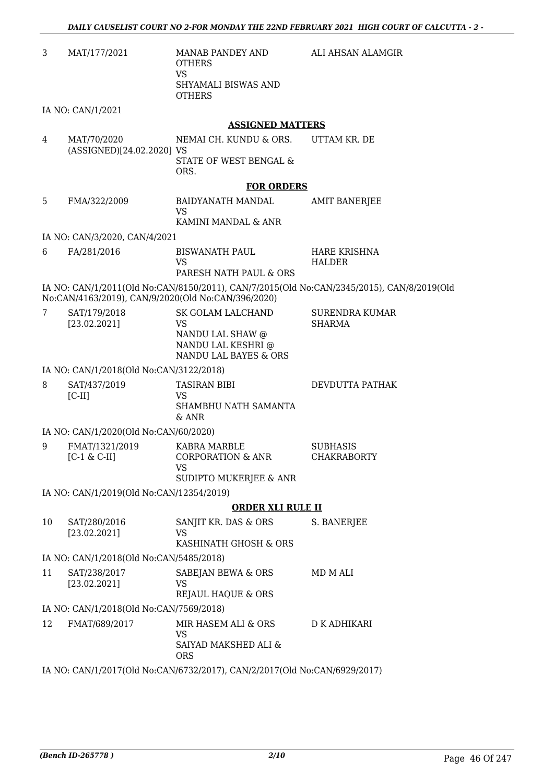| 3  | MAT/177/2021                                                              | MANAB PANDEY AND<br><b>OTHERS</b><br><b>VS</b>  | ALI AHSAN ALAMGIR                                                                         |  |  |
|----|---------------------------------------------------------------------------|-------------------------------------------------|-------------------------------------------------------------------------------------------|--|--|
|    |                                                                           | SHYAMALI BISWAS AND<br><b>OTHERS</b>            |                                                                                           |  |  |
|    | IA NO: CAN/1/2021                                                         |                                                 |                                                                                           |  |  |
|    |                                                                           | <b>ASSIGNED MATTERS</b>                         |                                                                                           |  |  |
| 4  | MAT/70/2020<br>(ASSIGNED)[24.02.2020] VS                                  | NEMAI CH. KUNDU & ORS.                          | UTTAM KR. DE                                                                              |  |  |
|    |                                                                           | STATE OF WEST BENGAL &<br>ORS.                  |                                                                                           |  |  |
|    |                                                                           | <b>FOR ORDERS</b>                               |                                                                                           |  |  |
| 5  | FMA/322/2009                                                              | BAIDYANATH MANDAL<br><b>VS</b>                  | <b>AMIT BANERJEE</b>                                                                      |  |  |
|    |                                                                           | KAMINI MANDAL & ANR                             |                                                                                           |  |  |
|    | IA NO: CAN/3/2020, CAN/4/2021                                             |                                                 |                                                                                           |  |  |
| 6  | FA/281/2016                                                               | <b>BISWANATH PAUL</b><br><b>VS</b>              | <b>HARE KRISHNA</b><br><b>HALDER</b>                                                      |  |  |
|    |                                                                           | PARESH NATH PAUL & ORS                          |                                                                                           |  |  |
|    | No:CAN/4163/2019), CAN/9/2020(Old No:CAN/396/2020)                        |                                                 | IA NO: CAN/1/2011(Old No:CAN/8150/2011), CAN/7/2015(Old No:CAN/2345/2015), CAN/8/2019(Old |  |  |
| 7  | SAT/179/2018<br>[23.02.2021]                                              | SK GOLAM LALCHAND<br><b>VS</b>                  | <b>SURENDRA KUMAR</b><br><b>SHARMA</b>                                                    |  |  |
|    |                                                                           | NANDU LAL SHAW @                                |                                                                                           |  |  |
|    |                                                                           | NANDU LAL KESHRI @<br>NANDU LAL BAYES & ORS     |                                                                                           |  |  |
|    | IA NO: CAN/1/2018(Old No:CAN/3122/2018)                                   |                                                 |                                                                                           |  |  |
| 8  | SAT/437/2019                                                              | <b>TASIRAN BIBI</b>                             | DEVDUTTA PATHAK                                                                           |  |  |
|    | $[C-II]$                                                                  | <b>VS</b><br>SHAMBHU NATH SAMANTA<br>& ANR      |                                                                                           |  |  |
|    | IA NO: CAN/1/2020(Old No:CAN/60/2020)                                     |                                                 |                                                                                           |  |  |
| 9  | FMAT/1321/2019                                                            | KABRA MARBLE                                    | <b>SUBHASIS</b>                                                                           |  |  |
|    | $[C-1 \& C-II]$                                                           | CORPORATION & ANR<br><b>VS</b>                  | CHAKRABORTY                                                                               |  |  |
|    |                                                                           | <b>SUDIPTO MUKERJEE &amp; ANR</b>               |                                                                                           |  |  |
|    | IA NO: CAN/1/2019(Old No:CAN/12354/2019)                                  |                                                 |                                                                                           |  |  |
|    |                                                                           | <b>ORDER XLI RULE II</b>                        |                                                                                           |  |  |
| 10 | SAT/280/2016                                                              | SANJIT KR. DAS & ORS                            | S. BANERJEE                                                                               |  |  |
|    | [23.02.2021]                                                              | <b>VS</b><br>KASHINATH GHOSH & ORS              |                                                                                           |  |  |
|    | IA NO: CAN/1/2018(Old No:CAN/5485/2018)                                   |                                                 |                                                                                           |  |  |
| 11 | SAT/238/2017                                                              | SABEJAN BEWA & ORS                              | MD M ALI                                                                                  |  |  |
|    | [23.02.2021]                                                              | <b>VS</b><br>REJAUL HAQUE & ORS                 |                                                                                           |  |  |
|    | IA NO: CAN/1/2018(Old No:CAN/7569/2018)                                   |                                                 |                                                                                           |  |  |
| 12 | FMAT/689/2017                                                             | MIR HASEM ALI & ORS                             | D K ADHIKARI                                                                              |  |  |
|    |                                                                           | <b>VS</b><br>SAIYAD MAKSHED ALI &<br><b>ORS</b> |                                                                                           |  |  |
|    | IA NO: CAN/1/2017(Old No:CAN/6732/2017), CAN/2/2017(Old No:CAN/6929/2017) |                                                 |                                                                                           |  |  |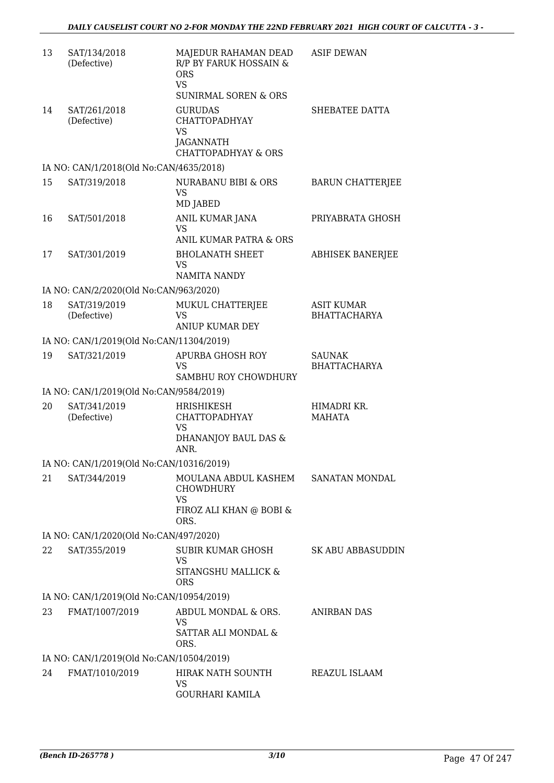| 13 | SAT/134/2018<br>(Defective)              | MAJEDUR RAHAMAN DEAD<br>R/P BY FARUK HOSSAIN &<br><b>ORS</b><br><b>VS</b>                          | <b>ASIF DEWAN</b>                        |
|----|------------------------------------------|----------------------------------------------------------------------------------------------------|------------------------------------------|
|    |                                          | <b>SUNIRMAL SOREN &amp; ORS</b>                                                                    |                                          |
| 14 | SAT/261/2018<br>(Defective)              | <b>GURUDAS</b><br><b>CHATTOPADHYAY</b><br><b>VS</b><br>JAGANNATH<br><b>CHATTOPADHYAY &amp; ORS</b> | SHEBATEE DATTA                           |
|    | IA NO: CAN/1/2018(Old No:CAN/4635/2018)  |                                                                                                    |                                          |
| 15 | SAT/319/2018                             | NURABANU BIBI & ORS<br><b>VS</b><br>MD JABED                                                       | <b>BARUN CHATTERJEE</b>                  |
| 16 | SAT/501/2018                             | ANIL KUMAR JANA<br><b>VS</b><br>ANIL KUMAR PATRA & ORS                                             | PRIYABRATA GHOSH                         |
| 17 | SAT/301/2019                             | <b>BHOLANATH SHEET</b><br><b>VS</b><br><b>NAMITA NANDY</b>                                         | <b>ABHISEK BANERJEE</b>                  |
|    | IA NO: CAN/2/2020(Old No:CAN/963/2020)   |                                                                                                    |                                          |
| 18 | SAT/319/2019<br>(Defective)              | MUKUL CHATTERJEE<br>VS<br><b>ANIUP KUMAR DEY</b>                                                   | <b>ASIT KUMAR</b><br><b>BHATTACHARYA</b> |
|    | IA NO: CAN/1/2019(Old No:CAN/11304/2019) |                                                                                                    |                                          |
| 19 | SAT/321/2019                             | APURBA GHOSH ROY<br>VS.<br>SAMBHU ROY CHOWDHURY                                                    | <b>SAUNAK</b><br><b>BHATTACHARYA</b>     |
|    | IA NO: CAN/1/2019(Old No:CAN/9584/2019)  |                                                                                                    |                                          |
| 20 | SAT/341/2019<br>(Defective)              | HRISHIKESH<br><b>CHATTOPADHYAY</b><br><b>VS</b><br>DHANANJOY BAUL DAS &<br>ANR.                    | HIMADRI KR.<br><b>MAHATA</b>             |
|    | IA NO: CAN/1/2019(Old No:CAN/10316/2019) |                                                                                                    |                                          |
| 21 | SAT/344/2019                             | MOULANA ABDUL KASHEM<br><b>CHOWDHURY</b><br>VS<br>FIROZ ALI KHAN @ BOBI &<br>ORS.                  | SANATAN MONDAL                           |
|    | IA NO: CAN/1/2020(Old No:CAN/497/2020)   |                                                                                                    |                                          |
| 22 | SAT/355/2019                             | SUBIR KUMAR GHOSH<br>VS<br>SITANGSHU MALLICK &<br><b>ORS</b>                                       | <b>SK ABU ABBASUDDIN</b>                 |
|    | IA NO: CAN/1/2019(Old No:CAN/10954/2019) |                                                                                                    |                                          |
| 23 | FMAT/1007/2019                           | ABDUL MONDAL & ORS.<br><b>VS</b><br>SATTAR ALI MONDAL &<br>ORS.                                    | <b>ANIRBAN DAS</b>                       |
|    | IA NO: CAN/1/2019(Old No:CAN/10504/2019) |                                                                                                    |                                          |
| 24 | FMAT/1010/2019                           | HIRAK NATH SOUNTH<br>VS<br><b>GOURHARI KAMILA</b>                                                  | REAZUL ISLAAM                            |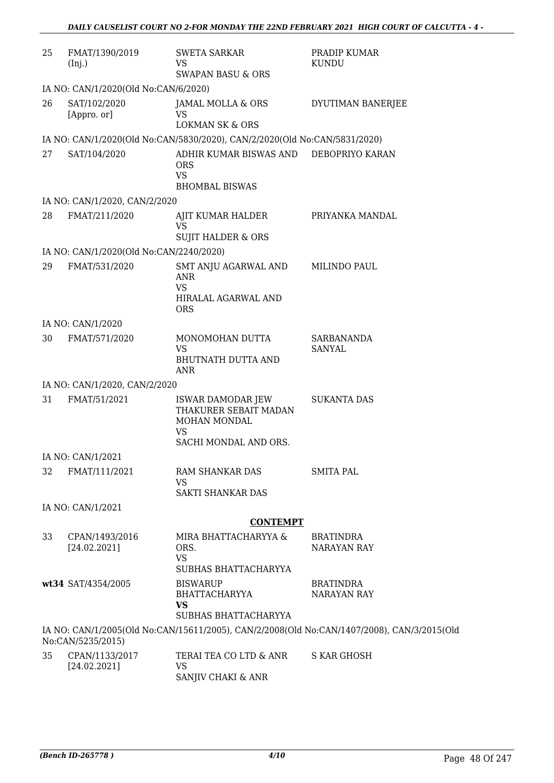| 25 | FMAT/1390/2019<br>(Inj.)                | <b>SWETA SARKAR</b><br><b>VS</b><br><b>SWAPAN BASU &amp; ORS</b>                                 | PRADIP KUMAR<br><b>KUNDU</b>                                                               |
|----|-----------------------------------------|--------------------------------------------------------------------------------------------------|--------------------------------------------------------------------------------------------|
|    | IA NO: CAN/1/2020(Old No:CAN/6/2020)    |                                                                                                  |                                                                                            |
| 26 | SAT/102/2020<br>[Appro. or]             | JAMAL MOLLA & ORS<br><b>VS</b><br><b>LOKMAN SK &amp; ORS</b>                                     | DYUTIMAN BANERJEE                                                                          |
|    |                                         | IA NO: CAN/1/2020(Old No:CAN/5830/2020), CAN/2/2020(Old No:CAN/5831/2020)                        |                                                                                            |
| 27 | SAT/104/2020                            | ADHIR KUMAR BISWAS AND DEBOPRIYO KARAN<br><b>ORS</b><br><b>VS</b><br><b>BHOMBAL BISWAS</b>       |                                                                                            |
|    | IA NO: CAN/1/2020, CAN/2/2020           |                                                                                                  |                                                                                            |
| 28 | FMAT/211/2020                           | AJIT KUMAR HALDER<br><b>VS</b><br><b>SUJIT HALDER &amp; ORS</b>                                  | PRIYANKA MANDAL                                                                            |
|    | IA NO: CAN/1/2020(Old No:CAN/2240/2020) |                                                                                                  |                                                                                            |
| 29 | FMAT/531/2020                           | SMT ANJU AGARWAL AND<br>ANR<br><b>VS</b><br>HIRALAL AGARWAL AND<br><b>ORS</b>                    | MILINDO PAUL                                                                               |
|    | IA NO: CAN/1/2020                       |                                                                                                  |                                                                                            |
| 30 | FMAT/571/2020                           | MONOMOHAN DUTTA<br><b>VS</b><br>BHUTNATH DUTTA AND<br>ANR                                        | SARBANANDA<br>SANYAL                                                                       |
|    | IA NO: CAN/1/2020, CAN/2/2020           |                                                                                                  |                                                                                            |
| 31 | FMAT/51/2021                            | ISWAR DAMODAR JEW<br>THAKURER SEBAIT MADAN<br>MOHAN MONDAL<br><b>VS</b><br>SACHI MONDAL AND ORS. | <b>SUKANTA DAS</b>                                                                         |
|    | IA NO: CAN/1/2021                       |                                                                                                  |                                                                                            |
| 32 | FMAT/111/2021                           | RAM SHANKAR DAS<br>VS.<br>SAKTI SHANKAR DAS                                                      | <b>SMITA PAL</b>                                                                           |
|    | IA NO: CAN/1/2021                       |                                                                                                  |                                                                                            |
|    |                                         | <b>CONTEMPT</b>                                                                                  |                                                                                            |
| 33 | CPAN/1493/2016<br>[24.02.2021]          | MIRA BHATTACHARYYA &<br>ORS.<br>VS.<br>SUBHAS BHATTACHARYYA                                      | <b>BRATINDRA</b><br><b>NARAYAN RAY</b>                                                     |
|    | wt34 SAT/4354/2005                      | <b>BISWARUP</b><br>BHATTACHARYYA<br><b>VS</b><br>SUBHAS BHATTACHARYYA                            | <b>BRATINDRA</b><br><b>NARAYAN RAY</b>                                                     |
|    | No:CAN/5235/2015)                       |                                                                                                  | IA NO: CAN/1/2005(Old No:CAN/15611/2005), CAN/2/2008(Old No:CAN/1407/2008), CAN/3/2015(Old |
| 35 | CPAN/1133/2017<br>[24.02.2021]          | TERAI TEA CO LTD & ANR<br>VS.<br>SANJIV CHAKI & ANR                                              | S KAR GHOSH                                                                                |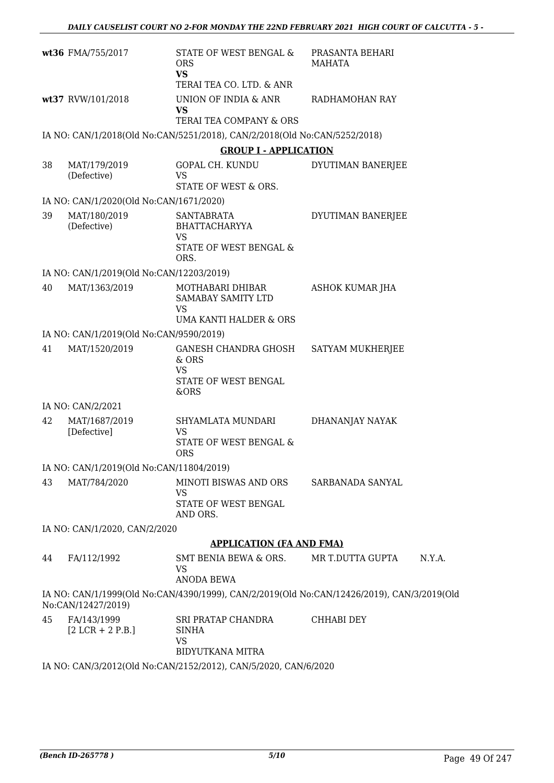|    | wt36 FMA/755/2017                        | STATE OF WEST BENGAL &<br><b>ORS</b><br><b>VS</b>                                        | PRASANTA BEHARI<br>MAHATA                                                                  |
|----|------------------------------------------|------------------------------------------------------------------------------------------|--------------------------------------------------------------------------------------------|
|    |                                          | TERAI TEA CO. LTD. & ANR                                                                 |                                                                                            |
|    | wt37 RVW/101/2018                        | UNION OF INDIA & ANR<br><b>VS</b><br>TERAI TEA COMPANY & ORS                             | RADHAMOHAN RAY                                                                             |
|    |                                          |                                                                                          |                                                                                            |
|    |                                          | IA NO: CAN/1/2018(Old No:CAN/5251/2018), CAN/2/2018(Old No:CAN/5252/2018)                |                                                                                            |
|    |                                          | <b>GROUP I - APPLICATION</b>                                                             |                                                                                            |
| 38 | MAT/179/2019<br>(Defective)              | GOPAL CH. KUNDU<br><b>VS</b><br>STATE OF WEST & ORS.                                     | DYUTIMAN BANERJEE                                                                          |
|    | IA NO: CAN/1/2020(Old No:CAN/1671/2020)  |                                                                                          |                                                                                            |
| 39 | MAT/180/2019<br>(Defective)              | <b>SANTABRATA</b><br><b>BHATTACHARYYA</b><br><b>VS</b><br>STATE OF WEST BENGAL &<br>ORS. | DYUTIMAN BANERJEE                                                                          |
|    | IA NO: CAN/1/2019(Old No:CAN/12203/2019) |                                                                                          |                                                                                            |
| 40 | MAT/1363/2019                            | MOTHABARI DHIBAR<br>SAMABAY SAMITY LTD<br><b>VS</b><br>UMA KANTI HALDER & ORS            | ASHOK KUMAR JHA                                                                            |
|    | IA NO: CAN/1/2019(Old No:CAN/9590/2019)  |                                                                                          |                                                                                            |
| 41 | MAT/1520/2019                            | GANESH CHANDRA GHOSH<br>& ORS<br>VS.<br>STATE OF WEST BENGAL<br>&ORS                     | SATYAM MUKHERJEE                                                                           |
|    | IA NO: CAN/2/2021                        |                                                                                          |                                                                                            |
| 42 | MAT/1687/2019<br>[Defective]             | SHYAMLATA MUNDARI<br><b>VS</b><br>STATE OF WEST BENGAL &<br><b>ORS</b>                   | DHANANJAY NAYAK                                                                            |
|    | IA NO: CAN/1/2019(Old No:CAN/11804/2019) |                                                                                          |                                                                                            |
| 43 | MAT/784/2020                             | MINOTI BISWAS AND ORS<br><b>VS</b><br>STATE OF WEST BENGAL<br>AND ORS.                   | SARBANADA SANYAL                                                                           |
|    | IA NO: CAN/1/2020, CAN/2/2020            |                                                                                          |                                                                                            |
|    |                                          | <b>APPLICATION (FA AND FMA)</b>                                                          |                                                                                            |
| 44 | FA/112/1992                              | SMT BENIA BEWA & ORS.<br><b>VS</b><br><b>ANODA BEWA</b>                                  | MR T.DUTTA GUPTA<br>N.Y.A.                                                                 |
|    | No:CAN/12427/2019)                       |                                                                                          | IA NO: CAN/1/1999(Old No:CAN/4390/1999), CAN/2/2019(Old No:CAN/12426/2019), CAN/3/2019(Old |
| 45 | FA/143/1999<br>$[2 LCR + 2 P.B.]$        | SRI PRATAP CHANDRA<br><b>SINHA</b><br><b>VS</b><br><b>BIDYUTKANA MITRA</b>               | CHHABI DEY                                                                                 |
|    |                                          | IA NO: CAN/3/2012(Old No:CAN/2152/2012), CAN/5/2020, CAN/6/2020                          |                                                                                            |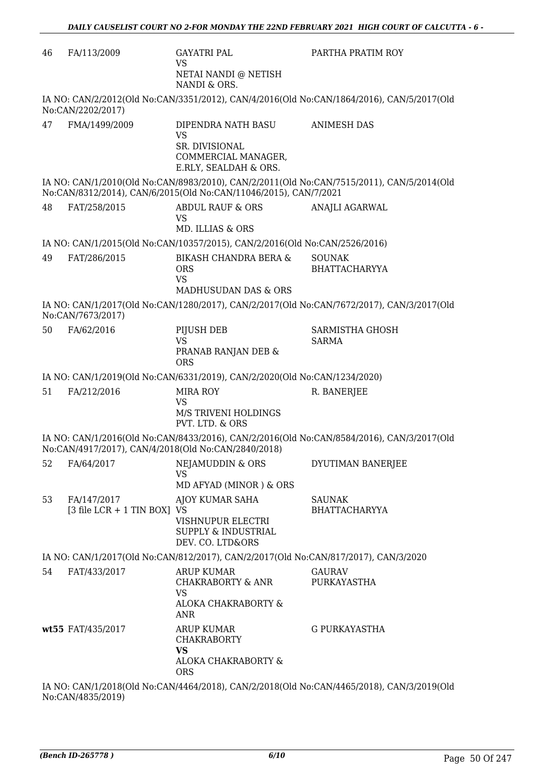| 46 | FA/113/2009                                | <b>GAYATRI PAL</b><br><b>VS</b><br>NETAI NANDI @ NETISH<br>NANDI & ORS.                                  | PARTHA PRATIM ROY                                                                         |
|----|--------------------------------------------|----------------------------------------------------------------------------------------------------------|-------------------------------------------------------------------------------------------|
|    | No:CAN/2202/2017)                          |                                                                                                          | IA NO: CAN/2/2012(Old No:CAN/3351/2012), CAN/4/2016(Old No:CAN/1864/2016), CAN/5/2017(Old |
| 47 | FMA/1499/2009                              | DIPENDRA NATH BASU<br><b>VS</b><br><b>SR. DIVISIONAL</b><br>COMMERCIAL MANAGER,<br>E.RLY, SEALDAH & ORS. | <b>ANIMESH DAS</b>                                                                        |
|    |                                            | No:CAN/8312/2014), CAN/6/2015(Old No:CAN/11046/2015), CAN/7/2021                                         | IA NO: CAN/1/2010(Old No:CAN/8983/2010), CAN/2/2011(Old No:CAN/7515/2011), CAN/5/2014(Old |
| 48 | FAT/258/2015                               | <b>ABDUL RAUF &amp; ORS</b><br><b>VS</b><br>MD. ILLIAS & ORS                                             | ANAJLI AGARWAL                                                                            |
|    |                                            | IA NO: CAN/1/2015(Old No:CAN/10357/2015), CAN/2/2016(Old No:CAN/2526/2016)                               |                                                                                           |
| 49 | FAT/286/2015                               | BIKASH CHANDRA BERA &<br><b>ORS</b><br><b>VS</b><br>MADHUSUDAN DAS & ORS                                 | <b>SOUNAK</b><br><b>BHATTACHARYYA</b>                                                     |
|    | No:CAN/7673/2017)                          |                                                                                                          | IA NO: CAN/1/2017(Old No:CAN/1280/2017), CAN/2/2017(Old No:CAN/7672/2017), CAN/3/2017(Old |
| 50 | FA/62/2016                                 | PIJUSH DEB<br><b>VS</b><br>PRANAB RANJAN DEB &<br><b>ORS</b>                                             | <b>SARMISTHA GHOSH</b><br><b>SARMA</b>                                                    |
|    |                                            | IA NO: CAN/1/2019(Old No:CAN/6331/2019), CAN/2/2020(Old No:CAN/1234/2020)                                |                                                                                           |
| 51 | FA/212/2016                                | MIRA ROY<br>VS<br><b>M/S TRIVENI HOLDINGS</b><br>PVT. LTD. & ORS                                         | R. BANERJEE                                                                               |
|    |                                            | No:CAN/4917/2017), CAN/4/2018(Old No:CAN/2840/2018)                                                      | IA NO: CAN/1/2016(Old No:CAN/8433/2016), CAN/2/2016(Old No:CAN/8584/2016), CAN/3/2017(Old |
| 52 | FA/64/2017                                 | <b>NEJAMUDDIN &amp; ORS</b><br><b>VS</b><br>MD AFYAD (MINOR) & ORS                                       | DYUTIMAN BANERJEE                                                                         |
| 53 | FA/147/2017<br>[3 file LCR + 1 TIN BOX] VS | AJOY KUMAR SAHA<br>VISHNUPUR ELECTRI<br>SUPPLY & INDUSTRIAL<br>DEV. CO. LTD&ORS                          | <b>SAUNAK</b><br><b>BHATTACHARYYA</b>                                                     |
|    |                                            | IA NO: CAN/1/2017(Old No:CAN/812/2017), CAN/2/2017(Old No:CAN/817/2017), CAN/3/2020                      |                                                                                           |
| 54 | FAT/433/2017                               | <b>ARUP KUMAR</b><br><b>CHAKRABORTY &amp; ANR</b><br><b>VS</b><br>ALOKA CHAKRABORTY &<br><b>ANR</b>      | <b>GAURAV</b><br>PURKAYASTHA                                                              |
|    | wt55 FAT/435/2017                          | <b>ARUP KUMAR</b><br><b>CHAKRABORTY</b><br><b>VS</b><br>ALOKA CHAKRABORTY &<br><b>ORS</b>                | <b>G PURKAYASTHA</b>                                                                      |
|    |                                            |                                                                                                          | IA NO: CAN/1/2018(Old No:CAN/4464/2018), CAN/2/2018(Old No:CAN/4465/2018), CAN/3/2019(Old |

No:CAN/4835/2019)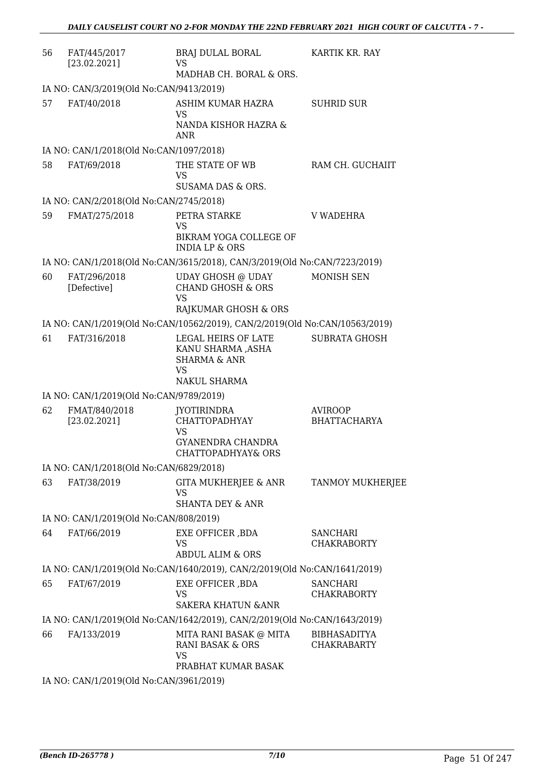| 56 | FAT/445/2017<br>[23.02.2021]            | BRAJ DULAL BORAL<br>VS.<br>MADHAB CH. BORAL & ORS.                                               | KARTIK KR. RAY                        |
|----|-----------------------------------------|--------------------------------------------------------------------------------------------------|---------------------------------------|
|    | IA NO: CAN/3/2019(Old No:CAN/9413/2019) |                                                                                                  |                                       |
| 57 | FAT/40/2018                             | ASHIM KUMAR HAZRA<br><b>VS</b>                                                                   | <b>SUHRID SUR</b>                     |
|    |                                         | NANDA KISHOR HAZRA &<br>ANR                                                                      |                                       |
|    | IA NO: CAN/1/2018(Old No:CAN/1097/2018) |                                                                                                  |                                       |
| 58 | FAT/69/2018                             | THE STATE OF WB<br><b>VS</b><br>SUSAMA DAS & ORS.                                                | RAM CH. GUCHAIIT                      |
|    | IA NO: CAN/2/2018(Old No:CAN/2745/2018) |                                                                                                  |                                       |
| 59 | FMAT/275/2018                           | PETRA STARKE                                                                                     | <b>V WADEHRA</b>                      |
|    |                                         | <b>VS</b><br>BIKRAM YOGA COLLEGE OF<br><b>INDIA LP &amp; ORS</b>                                 |                                       |
|    |                                         | IA NO: CAN/1/2018(Old No:CAN/3615/2018), CAN/3/2019(Old No:CAN/7223/2019)                        |                                       |
| 60 | FAT/296/2018<br>[Defective]             | <b>UDAY GHOSH @ UDAY</b><br><b>CHAND GHOSH &amp; ORS</b><br><b>VS</b>                            | <b>MONISH SEN</b>                     |
|    |                                         | RAJKUMAR GHOSH & ORS                                                                             |                                       |
|    |                                         | IA NO: CAN/1/2019(Old No:CAN/10562/2019), CAN/2/2019(Old No:CAN/10563/2019)                      |                                       |
| 61 | FAT/316/2018                            | LEGAL HEIRS OF LATE<br>KANU SHARMA ,ASHA<br><b>SHARMA &amp; ANR</b><br><b>VS</b><br>NAKUL SHARMA | <b>SUBRATA GHOSH</b>                  |
|    | IA NO: CAN/1/2019(Old No:CAN/9789/2019) |                                                                                                  |                                       |
| 62 | FMAT/840/2018<br>[23.02.2021]           | <b>JYOTIRINDRA</b><br><b>CHATTOPADHYAY</b><br><b>VS</b>                                          | <b>AVIROOP</b><br><b>BHATTACHARYA</b> |
|    |                                         | GYANENDRA CHANDRA<br><b>CHATTOPADHYAY&amp; ORS</b>                                               |                                       |
|    | IA NO: CAN/1/2018(Old No:CAN/6829/2018) |                                                                                                  |                                       |
| 63 | FAT/38/2019                             | GITA MUKHERJEE & ANR<br>VS<br><b>SHANTA DEY &amp; ANR</b>                                        | <b>TANMOY MUKHERJEE</b>               |
|    | IA NO: CAN/1/2019(Old No:CAN/808/2019)  |                                                                                                  |                                       |
| 64 | FAT/66/2019                             | EXE OFFICER , BDA<br>VS                                                                          | <b>SANCHARI</b><br><b>CHAKRABORTY</b> |
|    |                                         | <b>ABDUL ALIM &amp; ORS</b>                                                                      |                                       |
|    |                                         | IA NO: CAN/1/2019(Old No:CAN/1640/2019), CAN/2/2019(Old No:CAN/1641/2019)                        |                                       |
| 65 | FAT/67/2019                             | EXE OFFICER , BDA<br><b>VS</b><br><b>SAKERA KHATUN &amp;ANR</b>                                  | <b>SANCHARI</b><br>CHAKRABORTY        |
|    |                                         | IA NO: CAN/1/2019(Old No:CAN/1642/2019), CAN/2/2019(Old No:CAN/1643/2019)                        |                                       |
| 66 | FA/133/2019                             | MITA RANI BASAK @ MITA                                                                           | <b>BIBHASADITYA</b>                   |
|    |                                         | RANI BASAK & ORS<br><b>VS</b><br>PRABHAT KUMAR BASAK                                             | <b>CHAKRABARTY</b>                    |
|    | IA NO: CAN/1/2019(Old No:CAN/3961/2019) |                                                                                                  |                                       |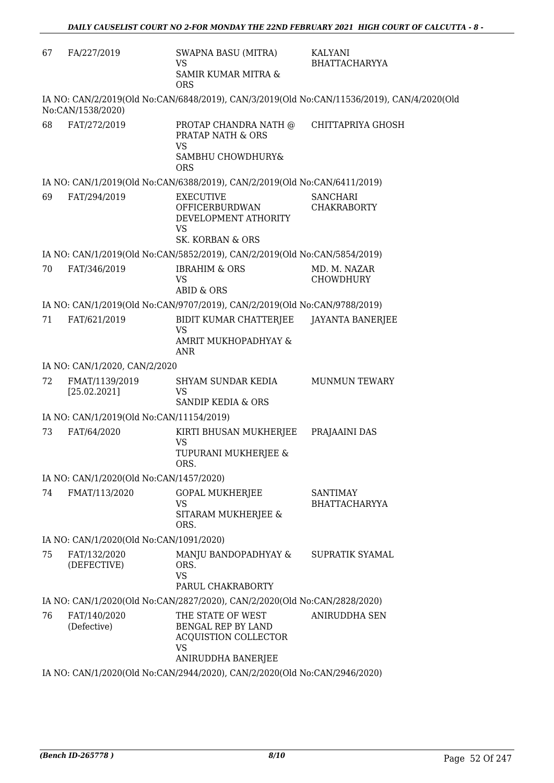| 67 | FA/227/2019                              | <b>SWAPNA BASU (MITRA)</b><br><b>VS</b><br>SAMIR KUMAR MITRA &<br><b>ORS</b>                              | KALYANI<br><b>BHATTACHARYYA</b>                                                            |
|----|------------------------------------------|-----------------------------------------------------------------------------------------------------------|--------------------------------------------------------------------------------------------|
|    | No:CAN/1538/2020)                        |                                                                                                           | IA NO: CAN/2/2019(Old No:CAN/6848/2019), CAN/3/2019(Old No:CAN/11536/2019), CAN/4/2020(Old |
| 68 | FAT/272/2019                             | PROTAP CHANDRA NATH @<br>PRATAP NATH & ORS<br><b>VS</b><br>SAMBHU CHOWDHURY&<br><b>ORS</b>                | CHITTAPRIYA GHOSH                                                                          |
|    |                                          | IA NO: CAN/1/2019(Old No:CAN/6388/2019), CAN/2/2019(Old No:CAN/6411/2019)                                 |                                                                                            |
| 69 | FAT/294/2019                             | <b>EXECUTIVE</b><br>OFFICERBURDWAN<br>DEVELOPMENT ATHORITY<br><b>VS</b><br><b>SK. KORBAN &amp; ORS</b>    | <b>SANCHARI</b><br><b>CHAKRABORTY</b>                                                      |
|    |                                          | IA NO: CAN/1/2019(Old No:CAN/5852/2019), CAN/2/2019(Old No:CAN/5854/2019)                                 |                                                                                            |
| 70 | FAT/346/2019                             | <b>IBRAHIM &amp; ORS</b><br><b>VS</b><br><b>ABID &amp; ORS</b>                                            | MD. M. NAZAR<br><b>CHOWDHURY</b>                                                           |
|    |                                          | IA NO: CAN/1/2019(Old No:CAN/9707/2019), CAN/2/2019(Old No:CAN/9788/2019)                                 |                                                                                            |
| 71 | FAT/621/2019                             | BIDIT KUMAR CHATTERJEE<br><b>VS</b><br>AMRIT MUKHOPADHYAY &<br><b>ANR</b>                                 | JAYANTA BANERJEE                                                                           |
|    | IA NO: CAN/1/2020, CAN/2/2020            |                                                                                                           |                                                                                            |
| 72 | FMAT/1139/2019<br>[25.02.2021]           | SHYAM SUNDAR KEDIA<br><b>VS</b><br><b>SANDIP KEDIA &amp; ORS</b>                                          | <b>MUNMUN TEWARY</b>                                                                       |
|    | IA NO: CAN/1/2019(Old No:CAN/11154/2019) |                                                                                                           |                                                                                            |
| 73 | FAT/64/2020                              | KIRTI BHUSAN MUKHERJEE<br><b>VS</b><br>TUPURANI MUKHERJEE &<br>ORS.                                       | PRAJAAINI DAS                                                                              |
|    | IA NO: CAN/1/2020(Old No:CAN/1457/2020)  |                                                                                                           |                                                                                            |
| 74 | FMAT/113/2020                            | <b>GOPAL MUKHERJEE</b><br><b>VS</b><br>SITARAM MUKHERJEE &<br>ORS.                                        | <b>SANTIMAY</b><br><b>BHATTACHARYYA</b>                                                    |
|    | IA NO: CAN/1/2020(Old No:CAN/1091/2020)  |                                                                                                           |                                                                                            |
| 75 | FAT/132/2020<br>(DEFECTIVE)              | MANJU BANDOPADHYAY &<br>ORS.<br><b>VS</b><br>PARUL CHAKRABORTY                                            | SUPRATIK SYAMAL                                                                            |
|    |                                          | IA NO: CAN/1/2020(Old No:CAN/2827/2020), CAN/2/2020(Old No:CAN/2828/2020)                                 |                                                                                            |
| 76 | FAT/140/2020<br>(Defective)              | THE STATE OF WEST<br><b>BENGAL REP BY LAND</b><br>ACQUISTION COLLECTOR<br><b>VS</b><br>ANIRUDDHA BANERJEE | ANIRUDDHA SEN                                                                              |
|    |                                          | IA NO: CAN/1/2020(Old No:CAN/2944/2020), CAN/2/2020(Old No:CAN/2946/2020)                                 |                                                                                            |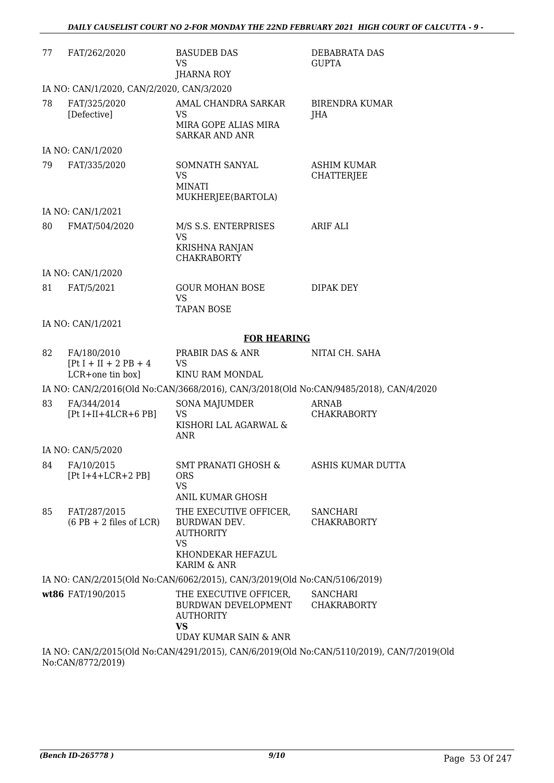| 77                                                                                    | FAT/262/2020                                                | <b>BASUDEB DAS</b>                                                                                          | DEBABRATA DAS                                                                             |
|---------------------------------------------------------------------------------------|-------------------------------------------------------------|-------------------------------------------------------------------------------------------------------------|-------------------------------------------------------------------------------------------|
|                                                                                       |                                                             | <b>VS</b><br>JHARNA ROY                                                                                     | <b>GUPTA</b>                                                                              |
|                                                                                       | IA NO: CAN/1/2020, CAN/2/2020, CAN/3/2020                   |                                                                                                             |                                                                                           |
| 78                                                                                    | FAT/325/2020<br>[Defective]                                 | AMAL CHANDRA SARKAR<br><b>VS</b><br>MIRA GOPE ALIAS MIRA<br><b>SARKAR AND ANR</b>                           | BIRENDRA KUMAR<br>JHA                                                                     |
|                                                                                       | IA NO: CAN/1/2020                                           |                                                                                                             |                                                                                           |
| 79                                                                                    | FAT/335/2020                                                | SOMNATH SANYAL<br><b>VS</b><br><b>MINATI</b><br>MUKHERJEE(BARTOLA)                                          | <b>ASHIM KUMAR</b><br><b>CHATTERJEE</b>                                                   |
|                                                                                       | IA NO: CAN/1/2021                                           |                                                                                                             |                                                                                           |
| 80                                                                                    | FMAT/504/2020                                               | M/S S.S. ENTERPRISES<br><b>VS</b><br>KRISHNA RANJAN<br><b>CHAKRABORTY</b>                                   | ARIF ALI                                                                                  |
|                                                                                       | IA NO: CAN/1/2020                                           |                                                                                                             |                                                                                           |
| 81                                                                                    | FAT/5/2021                                                  | <b>GOUR MOHAN BOSE</b><br><b>VS</b><br><b>TAPAN BOSE</b>                                                    | DIPAK DEY                                                                                 |
|                                                                                       | IA NO: CAN/1/2021                                           |                                                                                                             |                                                                                           |
|                                                                                       |                                                             | <b>FOR HEARING</b>                                                                                          |                                                                                           |
| 82                                                                                    | FA/180/2010<br>$[Pt I + II + 2 PB + 4]$<br>LCR+one tin box] | PRABIR DAS & ANR<br><b>VS</b><br>KINU RAM MONDAL                                                            | NITAI CH. SAHA                                                                            |
| IA NO: CAN/2/2016(Old No:CAN/3668/2016), CAN/3/2018(Old No:CAN/9485/2018), CAN/4/2020 |                                                             |                                                                                                             |                                                                                           |
| 83                                                                                    | FA/344/2014<br>$[Pt I+II+4LCR+6 PB]$                        | <b>SONA MAJUMDER</b><br><b>VS</b><br>KISHORI LAL AGARWAL &<br><b>ANR</b>                                    | <b>ARNAB</b><br><b>CHAKRABORTY</b>                                                        |
|                                                                                       | IA NO: CAN/5/2020                                           |                                                                                                             |                                                                                           |
| 84                                                                                    | FA/10/2015<br>$[Pt I+4+LCR+2 PB]$                           | <b>SMT PRANATI GHOSH &amp;</b><br><b>ORS</b><br>VS.<br><b>ANIL KUMAR GHOSH</b>                              | ASHIS KUMAR DUTTA                                                                         |
| 85                                                                                    | FAT/287/2015<br>$(6 PB + 2$ files of LCR)                   | THE EXECUTIVE OFFICER.<br>BURDWAN DEV.<br><b>AUTHORITY</b><br><b>VS</b><br>KHONDEKAR HEFAZUL<br>KARIM & ANR | SANCHARI<br><b>CHAKRABORTY</b>                                                            |
|                                                                                       |                                                             | IA NO: CAN/2/2015(Old No:CAN/6062/2015), CAN/3/2019(Old No:CAN/5106/2019)                                   |                                                                                           |
|                                                                                       | wt86 FAT/190/2015                                           | THE EXECUTIVE OFFICER,<br>BURDWAN DEVELOPMENT<br><b>AUTHORITY</b><br><b>VS</b><br>UDAY KUMAR SAIN & ANR     | SANCHARI<br><b>CHAKRABORTY</b>                                                            |
|                                                                                       | No:CAN/8772/2019)                                           |                                                                                                             | IA NO: CAN/2/2015(Old No:CAN/4291/2015), CAN/6/2019(Old No:CAN/5110/2019), CAN/7/2019(Old |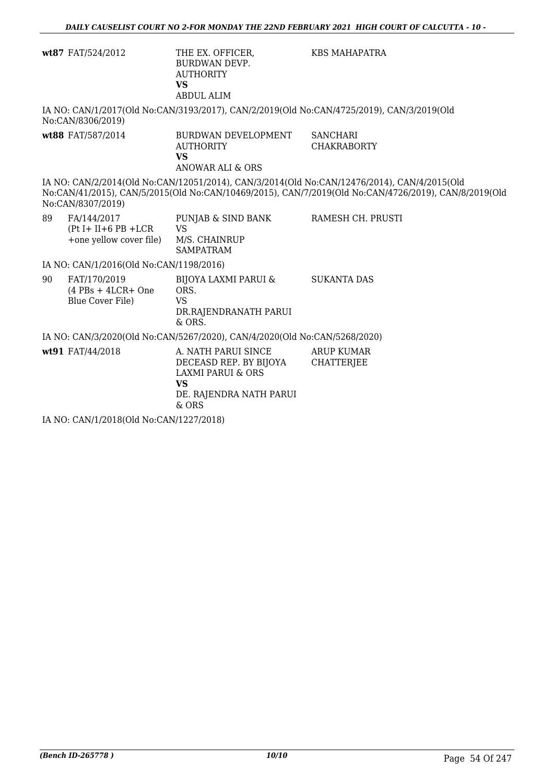|    | wt87 FAT/524/2012                                                   | THE EX. OFFICER,<br><b>BURDWAN DEVP.</b><br><b>AUTHORITY</b><br><b>VS</b><br><b>ABDUL ALIM</b>                        | KBS MAHAPATRA                                                                                                                                                                                       |
|----|---------------------------------------------------------------------|-----------------------------------------------------------------------------------------------------------------------|-----------------------------------------------------------------------------------------------------------------------------------------------------------------------------------------------------|
|    | No:CAN/8306/2019)                                                   |                                                                                                                       | IA NO: CAN/1/2017(Old No:CAN/3193/2017), CAN/2/2019(Old No:CAN/4725/2019), CAN/3/2019(Old                                                                                                           |
|    | wt88 FAT/587/2014                                                   | BURDWAN DEVELOPMENT<br><b>AUTHORITY</b><br><b>VS</b><br>ANOWAR ALI & ORS                                              | <b>SANCHARI</b><br><b>CHAKRABORTY</b>                                                                                                                                                               |
|    | No:CAN/8307/2019)                                                   |                                                                                                                       | IA NO: CAN/2/2014(Old No:CAN/12051/2014), CAN/3/2014(Old No:CAN/12476/2014), CAN/4/2015(Old<br>No:CAN/41/2015), CAN/5/2015(Old No:CAN/10469/2015), CAN/7/2019(Old No:CAN/4726/2019), CAN/8/2019(Old |
| 89 | FA/144/2017<br>$(Pt I + II + 6 PB + LCR$<br>+one yellow cover file) | PUNJAB & SIND BANK<br><b>VS</b><br>M/S. CHAINRUP<br><b>SAMPATRAM</b>                                                  | RAMESH CH. PRUSTI                                                                                                                                                                                   |
|    | IA NO: CAN/1/2016(Old No:CAN/1198/2016)                             |                                                                                                                       |                                                                                                                                                                                                     |
| 90 | FAT/170/2019<br>$(4$ PBs + 4LCR+ One<br>Blue Cover File)            | BIJOYA LAXMI PARUI &<br>ORS.<br><b>VS</b><br>DR.RAJENDRANATH PARUI<br>& ORS.                                          | <b>SUKANTA DAS</b>                                                                                                                                                                                  |
|    |                                                                     | IA NO: CAN/3/2020(Old No:CAN/5267/2020), CAN/4/2020(Old No:CAN/5268/2020)                                             |                                                                                                                                                                                                     |
|    | wt91 FAT/44/2018                                                    | A. NATH PARUI SINCE<br>DECEASD REP. BY BIJOYA<br>LAXMI PARUI & ORS<br><b>VS</b><br>DE. RAJENDRA NATH PARUI<br>$&$ ORS | <b>ARUP KUMAR</b><br><b>CHATTERJEE</b>                                                                                                                                                              |
|    | IA NO: CAN/1/2018(Old No:CAN/1227/2018)                             |                                                                                                                       |                                                                                                                                                                                                     |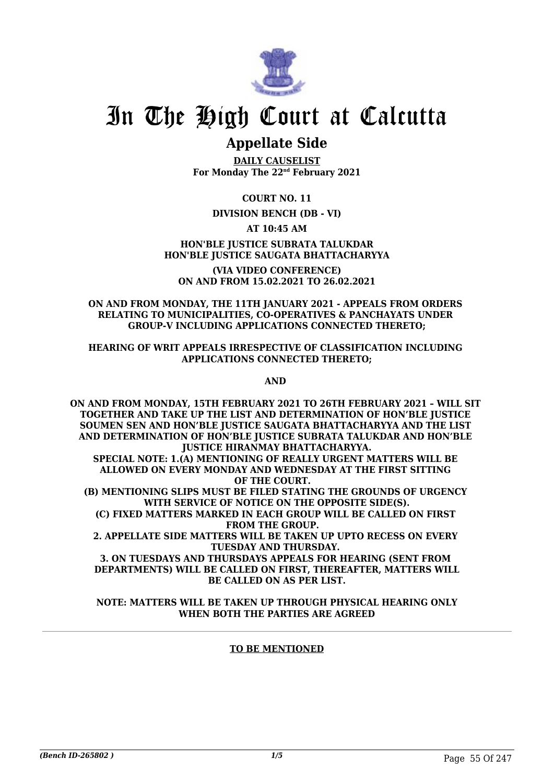

## **Appellate Side**

**DAILY CAUSELIST For Monday The 22nd February 2021**

**COURT NO. 11**

### **DIVISION BENCH (DB - VI)**

### **AT 10:45 AM**

#### **HON'BLE JUSTICE SUBRATA TALUKDAR HON'BLE JUSTICE SAUGATA BHATTACHARYYA**

**(VIA VIDEO CONFERENCE) ON AND FROM 15.02.2021 TO 26.02.2021**

#### **ON AND FROM MONDAY, THE 11TH JANUARY 2021 - APPEALS FROM ORDERS RELATING TO MUNICIPALITIES, CO-OPERATIVES & PANCHAYATS UNDER GROUP-V INCLUDING APPLICATIONS CONNECTED THERETO;**

#### **HEARING OF WRIT APPEALS IRRESPECTIVE OF CLASSIFICATION INCLUDING APPLICATIONS CONNECTED THERETO;**

**AND** 

**ON AND FROM MONDAY, 15TH FEBRUARY 2021 TO 26TH FEBRUARY 2021 – WILL SIT TOGETHER AND TAKE UP THE LIST AND DETERMINATION OF HON'BLE JUSTICE SOUMEN SEN AND HON'BLE JUSTICE SAUGATA BHATTACHARYYA AND THE LIST AND DETERMINATION OF HON'BLE JUSTICE SUBRATA TALUKDAR AND HON'BLE JUSTICE HIRANMAY BHATTACHARYYA. SPECIAL NOTE: 1.(A) MENTIONING OF REALLY URGENT MATTERS WILL BE ALLOWED ON EVERY MONDAY AND WEDNESDAY AT THE FIRST SITTING OF THE COURT. (B) MENTIONING SLIPS MUST BE FILED STATING THE GROUNDS OF URGENCY WITH SERVICE OF NOTICE ON THE OPPOSITE SIDE(S). (C) FIXED MATTERS MARKED IN EACH GROUP WILL BE CALLED ON FIRST FROM THE GROUP. 2. APPELLATE SIDE MATTERS WILL BE TAKEN UP UPTO RECESS ON EVERY TUESDAY AND THURSDAY. 3. ON TUESDAYS AND THURSDAYS APPEALS FOR HEARING (SENT FROM DEPARTMENTS) WILL BE CALLED ON FIRST, THEREAFTER, MATTERS WILL**

**BE CALLED ON AS PER LIST. NOTE: MATTERS WILL BE TAKEN UP THROUGH PHYSICAL HEARING ONLY**

#### **WHEN BOTH THE PARTIES ARE AGREED**

### **TO BE MENTIONED**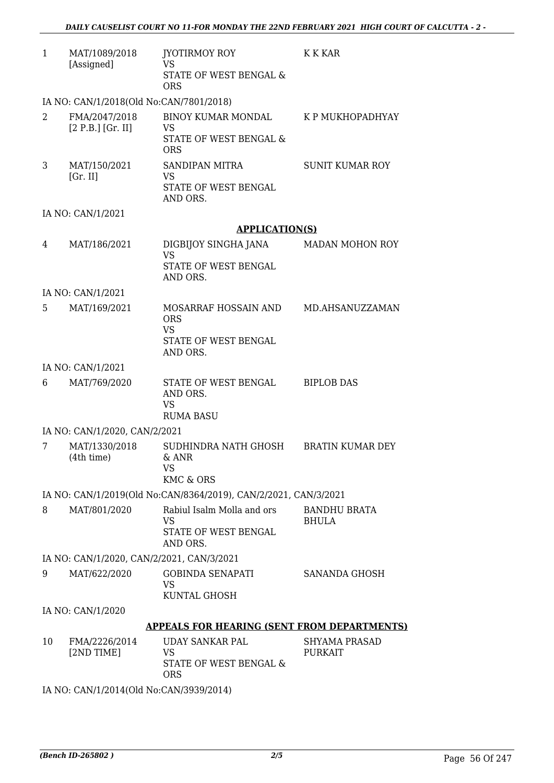| $\mathbf{1}$ | MAT/1089/2018<br>[Assigned]               | JYOTIRMOY ROY<br><b>VS</b><br><b>STATE OF WEST BENGAL &amp;</b><br><b>ORS</b> | <b>K K KAR</b>                         |
|--------------|-------------------------------------------|-------------------------------------------------------------------------------|----------------------------------------|
|              | IA NO: CAN/1/2018(Old No:CAN/7801/2018)   |                                                                               |                                        |
| 2            | FMA/2047/2018<br>$[2 P.B.]$ [Gr. II]      | <b>BINOY KUMAR MONDAL</b><br>VS<br>STATE OF WEST BENGAL &<br><b>ORS</b>       | K P MUKHOPADHYAY                       |
| 3            | MAT/150/2021<br>[Gr. II]                  | SANDIPAN MITRA<br><b>VS</b><br>STATE OF WEST BENGAL<br>AND ORS.               | <b>SUNIT KUMAR ROY</b>                 |
|              | IA NO: CAN/1/2021                         |                                                                               |                                        |
|              |                                           | <b>APPLICATION(S)</b>                                                         |                                        |
| 4            | MAT/186/2021                              | DIGBIJOY SINGHA JANA<br><b>VS</b><br>STATE OF WEST BENGAL<br>AND ORS.         | <b>MADAN MOHON ROY</b>                 |
|              | IA NO: CAN/1/2021                         |                                                                               |                                        |
| 5.           | MAT/169/2021                              | MOSARRAF HOSSAIN AND<br><b>ORS</b><br><b>VS</b><br>STATE OF WEST BENGAL       | MD.AHSANUZZAMAN                        |
|              |                                           | AND ORS.                                                                      |                                        |
|              | IA NO: CAN/1/2021                         |                                                                               |                                        |
| 6            | MAT/769/2020                              | STATE OF WEST BENGAL<br>AND ORS.<br><b>VS</b><br><b>RUMA BASU</b>             | <b>BIPLOB DAS</b>                      |
|              | IA NO: CAN/1/2020, CAN/2/2021             |                                                                               |                                        |
| 7            | MAT/1330/2018<br>(4th time)<br>6. ANR     | SUDHINDRA NATH GHOSH<br>VS<br>KMC & ORS                                       | <b>BRATIN KUMAR DEY</b>                |
|              |                                           | IA NO: CAN/1/2019(Old No:CAN/8364/2019), CAN/2/2021, CAN/3/2021               |                                        |
| 8            | MAT/801/2020                              | Rabiul Isalm Molla and ors<br><b>VS</b><br>STATE OF WEST BENGAL<br>AND ORS.   | <b>BANDHU BRATA</b><br><b>BHULA</b>    |
|              | IA NO: CAN/1/2020, CAN/2/2021, CAN/3/2021 |                                                                               |                                        |
| 9            | MAT/622/2020                              | <b>GOBINDA SENAPATI</b><br><b>VS</b><br>KUNTAL GHOSH                          | SANANDA GHOSH                          |
|              | IA NO: CAN/1/2020                         |                                                                               |                                        |
|              |                                           | <b>APPEALS FOR HEARING (SENT FROM DEPARTMENTS)</b>                            |                                        |
| 10           | FMA/2226/2014<br>[2ND TIME]               | <b>UDAY SANKAR PAL</b><br><b>VS</b><br>STATE OF WEST BENGAL &<br><b>ORS</b>   | <b>SHYAMA PRASAD</b><br><b>PURKAIT</b> |

IA NO: CAN/1/2014(Old No:CAN/3939/2014)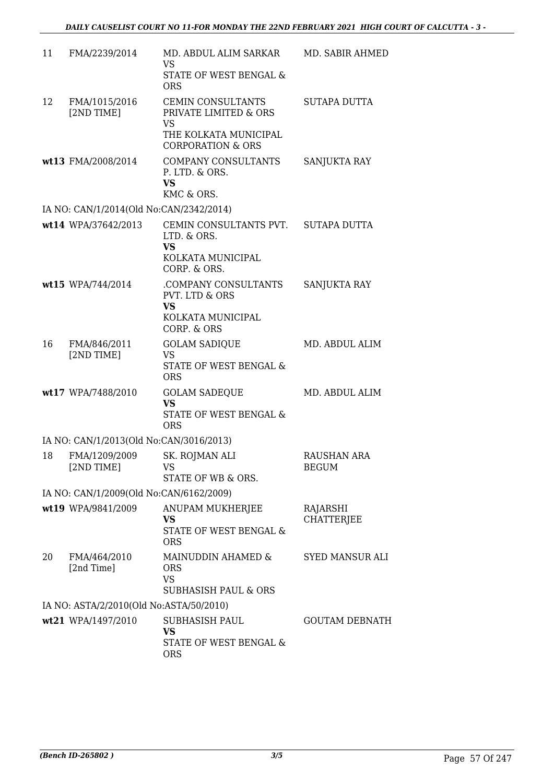| 11 | FMA/2239/2014                           | MD. ABDUL ALIM SARKAR<br>VS                                                                                      | MD. SABIR AHMED                    |
|----|-----------------------------------------|------------------------------------------------------------------------------------------------------------------|------------------------------------|
|    |                                         | STATE OF WEST BENGAL &<br><b>ORS</b>                                                                             |                                    |
| 12 | FMA/1015/2016<br>[2ND TIME]             | CEMIN CONSULTANTS<br>PRIVATE LIMITED & ORS<br><b>VS</b><br>THE KOLKATA MUNICIPAL<br><b>CORPORATION &amp; ORS</b> | SUTAPA DUTTA                       |
|    | wt13 FMA/2008/2014                      | COMPANY CONSULTANTS<br>P. LTD. & ORS.<br><b>VS</b><br>KMC & ORS.                                                 | SANJUKTA RAY                       |
|    | IA NO: CAN/1/2014(Old No:CAN/2342/2014) |                                                                                                                  |                                    |
|    | wt14 WPA/37642/2013                     | CEMIN CONSULTANTS PVT. SUTAPA DUTTA<br>LTD. & ORS.<br><b>VS</b><br>KOLKATA MUNICIPAL                             |                                    |
|    |                                         | CORP. & ORS.                                                                                                     |                                    |
|    | wt15 WPA/744/2014                       | .COMPANY CONSULTANTS<br><b>PVT. LTD &amp; ORS</b><br><b>VS</b><br>KOLKATA MUNICIPAL<br>CORP. & ORS               | SANJUKTA RAY                       |
| 16 | FMA/846/2011<br>[2ND TIME]              | <b>GOLAM SADIQUE</b><br><b>VS</b><br>STATE OF WEST BENGAL &<br><b>ORS</b>                                        | MD. ABDUL ALIM                     |
|    | wt17 WPA/7488/2010                      | <b>GOLAM SADEQUE</b><br><b>VS</b><br><b>STATE OF WEST BENGAL &amp;</b><br><b>ORS</b>                             | MD. ABDUL ALIM                     |
|    | IA NO: CAN/1/2013(Old No:CAN/3016/2013) |                                                                                                                  |                                    |
| 18 | FMA/1209/2009<br>[2ND TIME]             | SK. ROJMAN ALI<br>VS<br>STATE OF WB & ORS.                                                                       | <b>RAUSHAN ARA</b><br><b>BEGUM</b> |
|    | IA NO: CAN/1/2009(Old No:CAN/6162/2009) |                                                                                                                  |                                    |
|    | wt19 WPA/9841/2009                      | <b>ANUPAM MUKHERJEE</b><br><b>VS</b><br>STATE OF WEST BENGAL &<br><b>ORS</b>                                     | RAJARSHI<br><b>CHATTERJEE</b>      |
| 20 | FMA/464/2010<br>[2nd Time]              | MAINUDDIN AHAMED &<br><b>ORS</b><br><b>VS</b><br><b>SUBHASISH PAUL &amp; ORS</b>                                 | <b>SYED MANSUR ALI</b>             |
|    | IA NO: ASTA/2/2010(Old No:ASTA/50/2010) |                                                                                                                  |                                    |
|    | wt21 WPA/1497/2010                      | SUBHASISH PAUL<br>VS<br>STATE OF WEST BENGAL &<br><b>ORS</b>                                                     | <b>GOUTAM DEBNATH</b>              |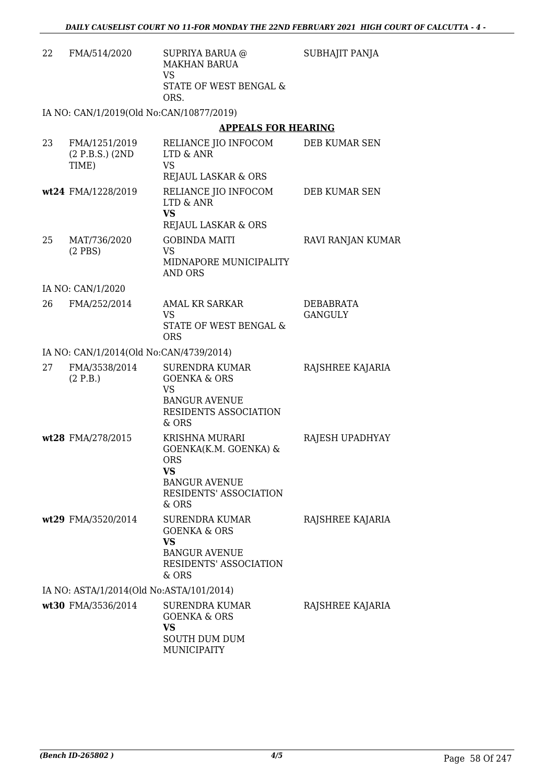SUBHAJIT PANJA

22 FMA/514/2020 SUPRIYA BARUA @ MAKHAN BARUA VS STATE OF WEST BENGAL & ORS.

IA NO: CAN/1/2019(Old No:CAN/10877/2019)

### **APPEALS FOR HEARING**

| 23 | FMA/1251/2019<br>(2 P.B.S.) (2ND)<br>TIME) | RELIANCE JIO INFOCOM<br>LTD & ANR<br><b>VS</b><br>REJAUL LASKAR & ORS                                                                       | DEB KUMAR SEN               |
|----|--------------------------------------------|---------------------------------------------------------------------------------------------------------------------------------------------|-----------------------------|
|    | wt24 FMA/1228/2019                         | RELIANCE JIO INFOCOM<br>LTD & ANR<br><b>VS</b><br>REJAUL LASKAR & ORS                                                                       | DEB KUMAR SEN               |
| 25 | MAT/736/2020<br>$(2$ PBS)                  | <b>GOBINDA MAITI</b><br><b>VS</b><br>MIDNAPORE MUNICIPALITY<br><b>AND ORS</b>                                                               | RAVI RANJAN KUMAR           |
|    | IA NO: CAN/1/2020                          |                                                                                                                                             |                             |
| 26 | FMA/252/2014                               | <b>AMAL KR SARKAR</b><br><b>VS</b><br>STATE OF WEST BENGAL &<br><b>ORS</b>                                                                  | DEBABRATA<br><b>GANGULY</b> |
|    | IA NO: CAN/1/2014(Old No:CAN/4739/2014)    |                                                                                                                                             |                             |
| 27 | FMA/3538/2014<br>(2 P.B.)                  | SURENDRA KUMAR<br><b>GOENKA &amp; ORS</b><br><b>VS</b><br><b>BANGUR AVENUE</b><br>RESIDENTS ASSOCIATION<br>& ORS                            | RAJSHREE KAJARIA            |
|    | wt28 FMA/278/2015                          | <b>KRISHNA MURARI</b><br>GOENKA(K.M. GOENKA) &<br><b>ORS</b><br><b>VS</b><br><b>BANGUR AVENUE</b><br><b>RESIDENTS' ASSOCIATION</b><br>& ORS | RAJESH UPADHYAY             |
|    | wt29 FMA/3520/2014                         | <b>SURENDRA KUMAR</b><br><b>GOENKA &amp; ORS</b><br>VS<br><b>BANGUR AVENUE</b><br>RESIDENTS' ASSOCIATION<br>& ORS                           | RAJSHREE KAJARIA            |
|    | IA NO: ASTA/1/2014(Old No:ASTA/101/2014)   |                                                                                                                                             |                             |
|    | wt30 FMA/3536/2014                         | <b>SURENDRA KUMAR</b><br><b>GOENKA &amp; ORS</b><br><b>VS</b><br><b>SOUTH DUM DUM</b><br><b>MUNICIPAITY</b>                                 | RAJSHREE KAJARIA            |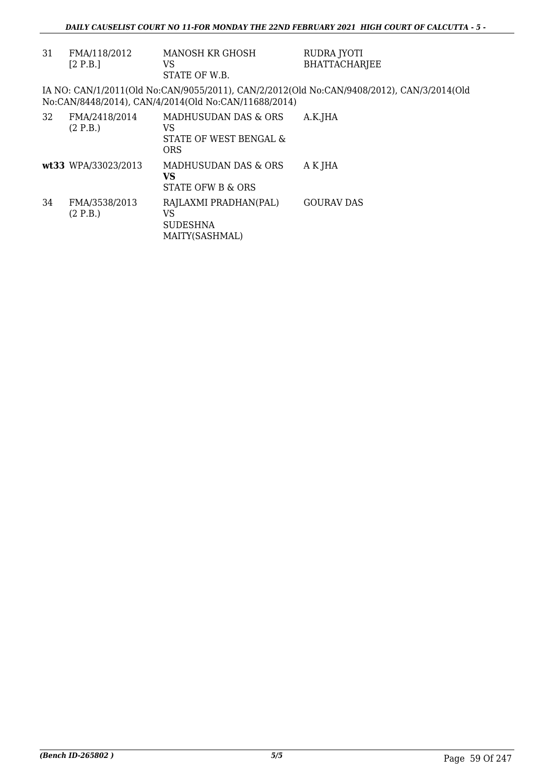| 31 | FMA/118/2012<br>[2 P.B.]  | MANOSH KR GHOSH<br>VS<br>STATE OF W.B.                             | RUDRA JYOTI<br><b>BHATTACHARJEE</b>                                                       |
|----|---------------------------|--------------------------------------------------------------------|-------------------------------------------------------------------------------------------|
|    |                           | No:CAN/8448/2014), CAN/4/2014(Old No:CAN/11688/2014)               | IA NO: CAN/1/2011(Old No:CAN/9055/2011), CAN/2/2012(Old No:CAN/9408/2012), CAN/3/2014(Old |
| 32 | FMA/2418/2014<br>(2 P.B.) | MADHUSUDAN DAS & ORS<br>VS<br>STATE OF WEST BENGAL &<br><b>ORS</b> | A.K.JHA                                                                                   |
|    | wt33 WPA/33023/2013       | MADHUSUDAN DAS & ORS<br>VS<br>STATE OFW B & ORS                    | A K JHA                                                                                   |
| 34 | FMA/3538/2013<br>(2 P.B.) | RAJLAXMI PRADHAN(PAL)<br>VS<br><b>SUDESHNA</b><br>MAITY(SASHMAL)   | <b>GOURAV DAS</b>                                                                         |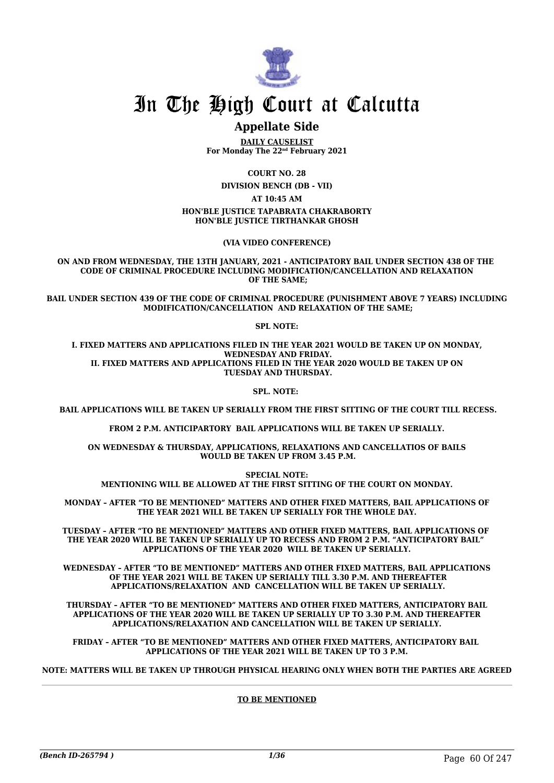

## **Appellate Side**

**DAILY CAUSELIST For Monday The 22nd February 2021**

**COURT NO. 28**

**DIVISION BENCH (DB - VII)**

**AT 10:45 AM**

**HON'BLE JUSTICE TAPABRATA CHAKRABORTY HON'BLE JUSTICE TIRTHANKAR GHOSH**

**(VIA VIDEO CONFERENCE)**

**ON AND FROM WEDNESDAY, THE 13TH JANUARY, 2021 - ANTICIPATORY BAIL UNDER SECTION 438 OF THE CODE OF CRIMINAL PROCEDURE INCLUDING MODIFICATION/CANCELLATION AND RELAXATION OF THE SAME;**

**BAIL UNDER SECTION 439 OF THE CODE OF CRIMINAL PROCEDURE (PUNISHMENT ABOVE 7 YEARS) INCLUDING MODIFICATION/CANCELLATION AND RELAXATION OF THE SAME;**

**SPL NOTE:**

**I. FIXED MATTERS AND APPLICATIONS FILED IN THE YEAR 2021 WOULD BE TAKEN UP ON MONDAY, WEDNESDAY AND FRIDAY. II. FIXED MATTERS AND APPLICATIONS FILED IN THE YEAR 2020 WOULD BE TAKEN UP ON TUESDAY AND THURSDAY.**

**SPL. NOTE:** 

 **BAIL APPLICATIONS WILL BE TAKEN UP SERIALLY FROM THE FIRST SITTING OF THE COURT TILL RECESS.**

**FROM 2 P.M. ANTICIPARTORY BAIL APPLICATIONS WILL BE TAKEN UP SERIALLY.**

**ON WEDNESDAY & THURSDAY, APPLICATIONS, RELAXATIONS AND CANCELLATIOS OF BAILS WOULD BE TAKEN UP FROM 3.45 P.M.**

**SPECIAL NOTE:**

**MENTIONING WILL BE ALLOWED AT THE FIRST SITTING OF THE COURT ON MONDAY.**

**MONDAY – AFTER "TO BE MENTIONED" MATTERS AND OTHER FIXED MATTERS, BAIL APPLICATIONS OF THE YEAR 2021 WILL BE TAKEN UP SERIALLY FOR THE WHOLE DAY.**

**TUESDAY – AFTER "TO BE MENTIONED" MATTERS AND OTHER FIXED MATTERS, BAIL APPLICATIONS OF THE YEAR 2020 WILL BE TAKEN UP SERIALLY UP TO RECESS AND FROM 2 P.M. "ANTICIPATORY BAIL" APPLICATIONS OF THE YEAR 2020 WILL BE TAKEN UP SERIALLY.**

**WEDNESDAY – AFTER "TO BE MENTIONED" MATTERS AND OTHER FIXED MATTERS, BAIL APPLICATIONS OF THE YEAR 2021 WILL BE TAKEN UP SERIALLY TILL 3.30 P.M. AND THEREAFTER APPLICATIONS/RELAXATION AND CANCELLATION WILL BE TAKEN UP SERIALLY.**

**THURSDAY – AFTER "TO BE MENTIONED" MATTERS AND OTHER FIXED MATTERS, ANTICIPATORY BAIL APPLICATIONS OF THE YEAR 2020 WILL BE TAKEN UP SERIALLY UP TO 3.30 P.M. AND THEREAFTER APPLICATIONS/RELAXATION AND CANCELLATION WILL BE TAKEN UP SERIALLY.**

**FRIDAY – AFTER "TO BE MENTIONED" MATTERS AND OTHER FIXED MATTERS, ANTICIPATORY BAIL APPLICATIONS OF THE YEAR 2021 WILL BE TAKEN UP TO 3 P.M.**

**NOTE: MATTERS WILL BE TAKEN UP THROUGH PHYSICAL HEARING ONLY WHEN BOTH THE PARTIES ARE AGREED**

#### **TO BE MENTIONED**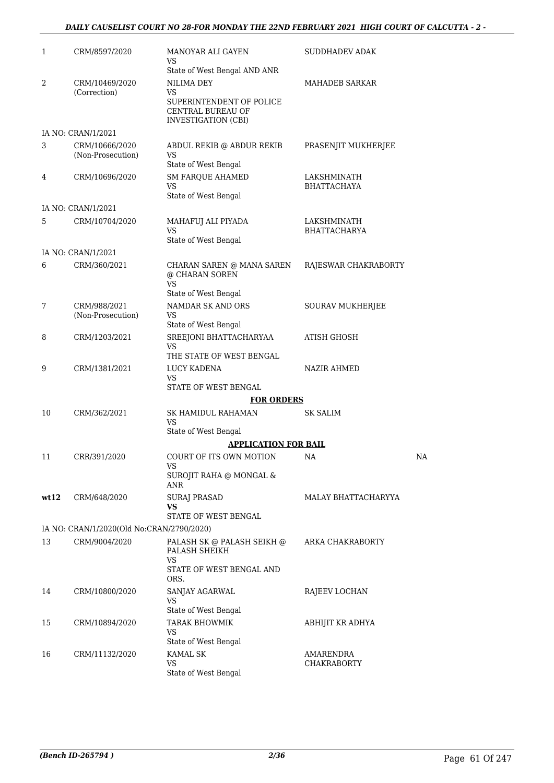#### *DAILY CAUSELIST COURT NO 28-FOR MONDAY THE 22ND FEBRUARY 2021 HIGH COURT OF CALCUTTA - 2 -*

| 1    | CRM/8597/2020                             | MANOYAR ALI GAYEN<br>VS                                                     | SUDDHADEV ADAK       |           |
|------|-------------------------------------------|-----------------------------------------------------------------------------|----------------------|-----------|
|      |                                           | State of West Bengal AND ANR                                                |                      |           |
| 2    | CRM/10469/2020<br>(Correction)            | NILIMA DEY<br>VS                                                            | MAHADEB SARKAR       |           |
|      |                                           | SUPERINTENDENT OF POLICE<br>CENTRAL BUREAU OF<br><b>INVESTIGATION (CBI)</b> |                      |           |
|      | IA NO: CRAN/1/2021                        |                                                                             |                      |           |
| 3    | CRM/10666/2020<br>(Non-Prosecution)       | ABDUL REKIB @ ABDUR REKIB<br>VS                                             | PRASENJIT MUKHERJEE  |           |
| 4    | CRM/10696/2020                            | State of West Bengal                                                        | LAKSHMINATH          |           |
|      |                                           | <b>SM FARQUE AHAMED</b><br>VS<br>State of West Bengal                       | BHATTACHAYA          |           |
|      | IA NO: CRAN/1/2021                        |                                                                             |                      |           |
| 5    | CRM/10704/2020                            | MAHAFUJ ALI PIYADA                                                          | LAKSHMINATH          |           |
|      |                                           | VS<br>State of West Bengal                                                  | BHATTACHARYA         |           |
|      | IA NO: CRAN/1/2021                        |                                                                             |                      |           |
| 6    | CRM/360/2021                              | CHARAN SAREN @ MANA SAREN<br>@ CHARAN SOREN<br>VS                           | RAJESWAR CHAKRABORTY |           |
|      |                                           | State of West Bengal                                                        |                      |           |
| 7    | CRM/988/2021<br>(Non-Prosecution)         | NAMDAR SK AND ORS<br>VS                                                     | SOURAV MUKHERJEE     |           |
|      |                                           | State of West Bengal                                                        |                      |           |
| 8    | CRM/1203/2021                             | SREEJONI BHATTACHARYAA<br>VS<br>THE STATE OF WEST BENGAL                    | <b>ATISH GHOSH</b>   |           |
|      | CRM/1381/2021                             | LUCY KADENA                                                                 | <b>NAZIR AHMED</b>   |           |
| 9    |                                           | VS<br>STATE OF WEST BENGAL                                                  |                      |           |
|      |                                           | <b>FOR ORDERS</b>                                                           |                      |           |
| 10   | CRM/362/2021                              | SK HAMIDUL RAHAMAN<br>VS                                                    | <b>SK SALIM</b>      |           |
|      |                                           | State of West Bengal                                                        |                      |           |
|      |                                           | <b>APPLICATION FOR BAIL</b>                                                 |                      |           |
| 11   | CRR/391/2020                              | COURT OF ITS OWN MOTION<br><b>VS</b>                                        | NA                   | <b>NA</b> |
|      |                                           | SUROJIT RAHA @ MONGAL &<br>ANR                                              |                      |           |
| wt12 | CRM/648/2020                              | <b>SURAJ PRASAD</b><br>VS                                                   | MALAY BHATTACHARYYA  |           |
|      |                                           | STATE OF WEST BENGAL                                                        |                      |           |
|      | IA NO: CRAN/1/2020(Old No:CRAN/2790/2020) |                                                                             |                      |           |
| 13   | CRM/9004/2020                             | PALASH SK @ PALASH SEIKH @<br>PALASH SHEIKH<br>VS                           | ARKA CHAKRABORTY     |           |
|      |                                           | STATE OF WEST BENGAL AND<br>ORS.                                            |                      |           |
| 14   | CRM/10800/2020                            | SANJAY AGARWAL<br>VS                                                        | RAJEEV LOCHAN        |           |
|      |                                           | State of West Bengal                                                        |                      |           |
| 15   | CRM/10894/2020                            | <b>TARAK BHOWMIK</b><br>VS<br>State of West Bengal                          | ABHIJIT KR ADHYA     |           |
| 16   | CRM/11132/2020                            | <b>KAMAL SK</b>                                                             | AMARENDRA            |           |
|      |                                           | VS<br>State of West Bengal                                                  | CHAKRABORTY          |           |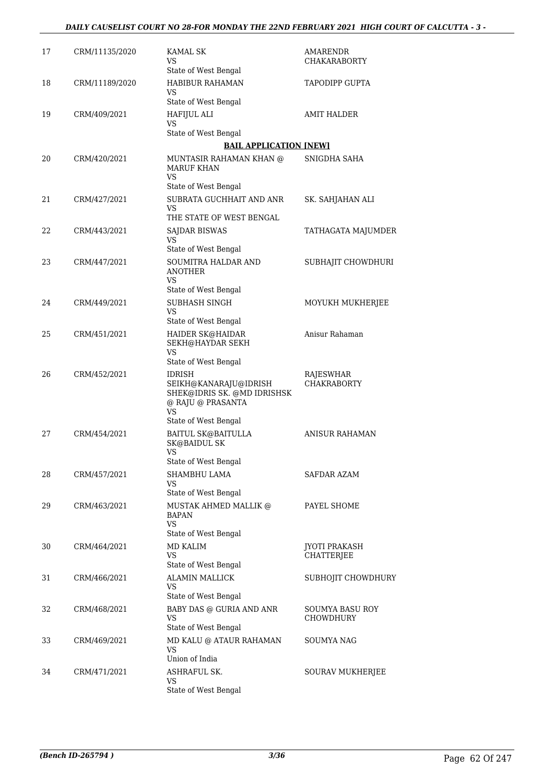| 17 | CRM/11135/2020 | <b>KAMAL SK</b><br>VS<br>State of West Bengal                                                    | AMARENDR<br>CHAKARABORTY        |
|----|----------------|--------------------------------------------------------------------------------------------------|---------------------------------|
| 18 | CRM/11189/2020 | HABIBUR RAHAMAN<br>VS                                                                            | TAPODIPP GUPTA                  |
|    |                | State of West Bengal                                                                             |                                 |
| 19 | CRM/409/2021   | HAFIJUL ALI<br>VS                                                                                | <b>AMIT HALDER</b>              |
|    |                | State of West Bengal                                                                             |                                 |
|    |                | <b>BAIL APPLICATION [NEW]</b>                                                                    |                                 |
| 20 | CRM/420/2021   | MUNTASIR RAHAMAN KHAN @<br><b>MARUF KHAN</b><br>VS                                               | SNIGDHA SAHA                    |
|    |                | State of West Bengal                                                                             |                                 |
| 21 | CRM/427/2021   | SUBRATA GUCHHAIT AND ANR<br>VS                                                                   | SK. SAHJAHAN ALI                |
|    |                | THE STATE OF WEST BENGAL                                                                         |                                 |
| 22 | CRM/443/2021   | SAJDAR BISWAS<br>VS                                                                              | TATHAGATA MAJUMDER              |
|    |                | State of West Bengal                                                                             |                                 |
| 23 | CRM/447/2021   | SOUMITRA HALDAR AND<br><b>ANOTHER</b><br>VS                                                      | SUBHAJIT CHOWDHURI              |
|    |                | State of West Bengal                                                                             |                                 |
| 24 | CRM/449/2021   | SUBHASH SINGH<br>VS                                                                              | MOYUKH MUKHERJEE                |
|    |                | State of West Bengal                                                                             |                                 |
| 25 | CRM/451/2021   | HAIDER SK@HAIDAR<br>SEKH@HAYDAR SEKH<br>VS                                                       | Anisur Rahaman                  |
|    |                | State of West Bengal                                                                             |                                 |
| 26 | CRM/452/2021   | <b>IDRISH</b><br>SEIKH@KANARAJU@IDRISH<br>SHEK@IDRIS SK. @MD IDRISHSK<br>@ RAJU @ PRASANTA<br>VS | RAJESWHAR<br><b>CHAKRABORTY</b> |
|    |                | State of West Bengal                                                                             |                                 |
| 27 | CRM/454/2021   | <b>BAITUL SK@BAITULLA</b><br><b>SK@BAIDUL SK</b><br>VS<br>State of West Bengal                   | ANISUR RAHAMAN                  |
| 28 | CRM/457/2021   | SHAMBHU LAMA                                                                                     | SAFDAR AZAM                     |
|    |                | VS<br>State of West Bengal                                                                       |                                 |
| 29 | CRM/463/2021   | MUSTAK AHMED MALLIK @<br><b>BAPAN</b><br>VS                                                      | PAYEL SHOME                     |
| 30 | CRM/464/2021   | State of West Bengal<br><b>MD KALIM</b>                                                          | JYOTI PRAKASH                   |
|    |                | VS                                                                                               | CHATTERJEE                      |
|    |                | State of West Bengal                                                                             |                                 |
| 31 | CRM/466/2021   | <b>ALAMIN MALLICK</b><br>VS                                                                      | SUBHOJIT CHOWDHURY              |
| 32 | CRM/468/2021   | State of West Bengal<br>BABY DAS @ GURIA AND ANR                                                 | SOUMYA BASU ROY                 |
|    |                | VS<br>State of West Bengal                                                                       | CHOWDHURY                       |
| 33 | CRM/469/2021   | MD KALU @ ATAUR RAHAMAN<br>VS                                                                    | <b>SOUMYA NAG</b>               |
|    |                | Union of India                                                                                   |                                 |
| 34 | CRM/471/2021   | ASHRAFUL SK.<br>VS<br>State of West Bengal                                                       | SOURAV MUKHERJEE                |
|    |                |                                                                                                  |                                 |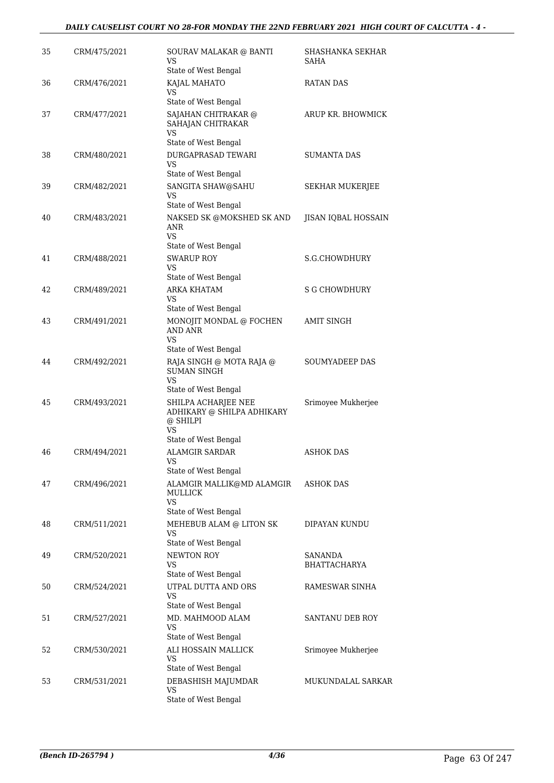| 35 | CRM/475/2021 | SOURAV MALAKAR @ BANTI<br>VS<br>State of West Bengal                                               | SHASHANKA SEKHAR<br>SAHA       |
|----|--------------|----------------------------------------------------------------------------------------------------|--------------------------------|
| 36 | CRM/476/2021 | KAJAL MAHATO<br>VS                                                                                 | <b>RATAN DAS</b>               |
| 37 | CRM/477/2021 | State of West Bengal<br>SAJAHAN CHITRAKAR @<br>SAHAJAN CHITRAKAR<br>VS                             | ARUP KR. BHOWMICK              |
| 38 | CRM/480/2021 | State of West Bengal<br>DURGAPRASAD TEWARI<br>VS                                                   | <b>SUMANTA DAS</b>             |
| 39 | CRM/482/2021 | State of West Bengal<br>SANGITA SHAW@SAHU<br>VS                                                    | SEKHAR MUKERJEE                |
| 40 | CRM/483/2021 | State of West Bengal<br>NAKSED SK @MOKSHED SK AND<br>ANR<br>VS<br>State of West Bengal             | JISAN IQBAL HOSSAIN            |
| 41 | CRM/488/2021 | <b>SWARUP ROY</b><br>VS                                                                            | S.G.CHOWDHURY                  |
| 42 | CRM/489/2021 | State of West Bengal<br><b>ARKA KHATAM</b><br>VS                                                   | S G CHOWDHURY                  |
| 43 | CRM/491/2021 | State of West Bengal<br>MONOJIT MONDAL @ FOCHEN<br>AND ANR<br>VS                                   | AMIT SINGH                     |
| 44 | CRM/492/2021 | State of West Bengal<br>RAJA SINGH @ MOTA RAJA @<br><b>SUMAN SINGH</b><br><b>VS</b>                | SOUMYADEEP DAS                 |
| 45 | CRM/493/2021 | State of West Bengal<br>SHILPA ACHARJEE NEE<br>ADHIKARY @ SHILPA ADHIKARY<br>@ SHILPI<br><b>VS</b> | Srimoyee Mukherjee             |
| 46 | CRM/494/2021 | State of West Bengal<br>ALAMGIR SARDAR<br>VS                                                       | ASHOK DAS                      |
| 47 | CRM/496/2021 | State of West Bengal<br>ALAMGIR MALLIK@MD ALAMGIR<br>MULLICK<br><b>VS</b><br>State of West Bengal  | <b>ASHOK DAS</b>               |
| 48 | CRM/511/2021 | MEHEBUB ALAM @ LITON SK<br><b>VS</b><br>State of West Bengal                                       | DIPAYAN KUNDU                  |
| 49 | CRM/520/2021 | <b>NEWTON ROY</b><br><b>VS</b><br>State of West Bengal                                             | SANANDA<br><b>BHATTACHARYA</b> |
| 50 | CRM/524/2021 | UTPAL DUTTA AND ORS<br>VS<br>State of West Bengal                                                  | RAMESWAR SINHA                 |
| 51 | CRM/527/2021 | MD. MAHMOOD ALAM<br>VS                                                                             | <b>SANTANU DEB ROY</b>         |
| 52 | CRM/530/2021 | State of West Bengal<br>ALI HOSSAIN MALLICK<br>VS                                                  | Srimoyee Mukherjee             |
| 53 | CRM/531/2021 | State of West Bengal<br>DEBASHISH MAJUMDAR<br>VS<br>State of West Bengal                           | MUKUNDALAL SARKAR              |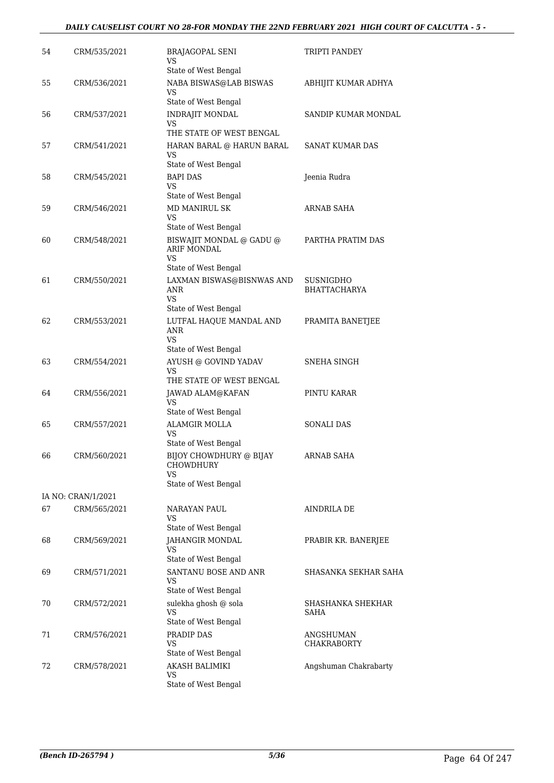| 54 | CRM/535/2021                       | <b>BRAJAGOPAL SENI</b><br>VS<br>State of West Bengal                           | TRIPTI PANDEY                    |
|----|------------------------------------|--------------------------------------------------------------------------------|----------------------------------|
| 55 | CRM/536/2021                       | NABA BISWAS@LAB BISWAS<br>VS                                                   | ABHIJIT KUMAR ADHYA              |
| 56 | CRM/537/2021                       | State of West Bengal<br><b>INDRAJIT MONDAL</b><br>VS                           | SANDIP KUMAR MONDAL              |
| 57 | CRM/541/2021                       | THE STATE OF WEST BENGAL<br>HARAN BARAL @ HARUN BARAL<br>VS                    | <b>SANAT KUMAR DAS</b>           |
| 58 | CRM/545/2021                       | State of West Bengal<br><b>BAPI DAS</b><br>VS                                  | Jeenia Rudra                     |
| 59 | CRM/546/2021                       | State of West Bengal<br>MD MANIRUL SK<br><b>VS</b>                             | ARNAB SAHA                       |
| 60 | CRM/548/2021                       | State of West Bengal<br>BISWAJIT MONDAL @ GADU @<br><b>ARIF MONDAL</b><br>VS.  | PARTHA PRATIM DAS                |
| 61 | CRM/550/2021                       | State of West Bengal<br>LAXMAN BISWAS@BISNWAS AND<br><b>ANR</b><br><b>VS</b>   | SUSNIGDHO<br><b>BHATTACHARYA</b> |
| 62 | CRM/553/2021                       | State of West Bengal<br>LUTFAL HAQUE MANDAL AND<br><b>ANR</b><br><b>VS</b>     | PRAMITA BANETJEE                 |
| 63 | CRM/554/2021                       | State of West Bengal<br>AYUSH @ GOVIND YADAV<br>VS<br>THE STATE OF WEST BENGAL | SNEHA SINGH                      |
| 64 | CRM/556/2021                       | JAWAD ALAM@KAFAN<br><b>VS</b>                                                  | PINTU KARAR                      |
| 65 | CRM/557/2021                       | State of West Bengal<br><b>ALAMGIR MOLLA</b><br>VS<br>State of West Bengal     | <b>SONALI DAS</b>                |
| 66 | CRM/560/2021                       | BIJOY CHOWDHURY @ BIJAY<br>CHOWDHURY<br>VS                                     | ARNAB SAHA                       |
|    |                                    | State of West Bengal                                                           |                                  |
| 67 | IA NO: CRAN/1/2021<br>CRM/565/2021 | NARAYAN PAUL<br>VS.                                                            | AINDRILA DE                      |
| 68 | CRM/569/2021                       | State of West Bengal<br>JAHANGIR MONDAL<br>VS<br>State of West Bengal          | PRABIR KR. BANERJEE              |
| 69 | CRM/571/2021                       | SANTANU BOSE AND ANR<br>VS<br>State of West Bengal                             | SHASANKA SEKHAR SAHA             |
| 70 | CRM/572/2021                       | sulekha ghosh @ sola<br><b>VS</b><br>State of West Bengal                      | SHASHANKA SHEKHAR<br>SAHA        |
| 71 | CRM/576/2021                       | PRADIP DAS<br>VS.<br>State of West Bengal                                      | ANGSHUMAN<br><b>CHAKRABORTY</b>  |
| 72 | CRM/578/2021                       | AKASH BALIMIKI<br>VS<br>State of West Bengal                                   | Angshuman Chakrabarty            |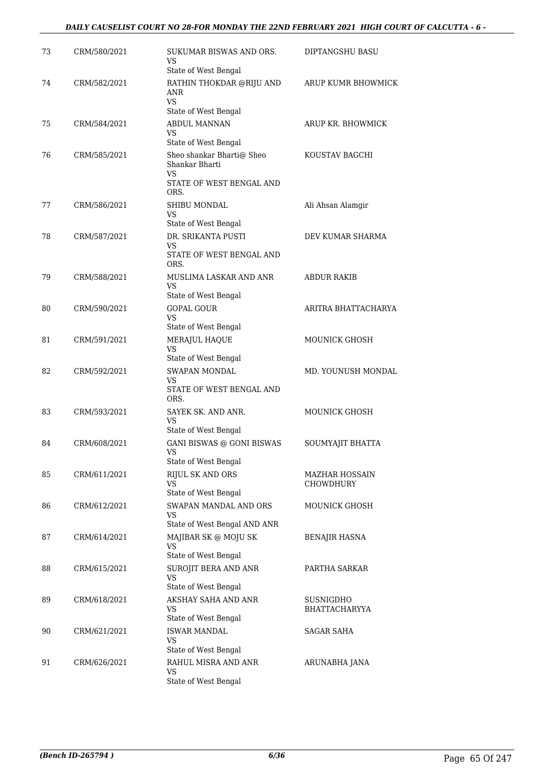| 73 | CRM/580/2021 | SUKUMAR BISWAS AND ORS.<br>VS<br>State of West Bengal          | DIPTANGSHU BASU                           |
|----|--------------|----------------------------------------------------------------|-------------------------------------------|
| 74 | CRM/582/2021 | RATHIN THOKDAR @RIJU AND<br>ANR<br>VS.                         | ARUP KUMR BHOWMICK                        |
| 75 | CRM/584/2021 | State of West Bengal<br><b>ABDUL MANNAN</b>                    | ARUP KR. BHOWMICK                         |
|    |              | VS                                                             |                                           |
|    |              | State of West Bengal                                           |                                           |
| 76 | CRM/585/2021 | Sheo shankar Bharti@ Sheo<br>Shankar Bharti<br>VS              | KOUSTAV BAGCHI                            |
|    |              | STATE OF WEST BENGAL AND<br>ORS.                               |                                           |
| 77 | CRM/586/2021 | SHIBU MONDAL<br>VS                                             | Ali Ahsan Alamgir                         |
|    |              | State of West Bengal<br>DR. SRIKANTA PUSTI                     |                                           |
| 78 | CRM/587/2021 | VS<br>STATE OF WEST BENGAL AND<br>ORS.                         | DEV KUMAR SHARMA                          |
| 79 | CRM/588/2021 | MUSLIMA LASKAR AND ANR<br>VS<br>State of West Bengal           | <b>ABDUR RAKIB</b>                        |
| 80 | CRM/590/2021 | <b>GOPAL GOUR</b>                                              | ARITRA BHATTACHARYA                       |
|    |              | VS<br>State of West Bengal                                     |                                           |
| 81 | CRM/591/2021 | MERAJUL HAQUE                                                  | <b>MOUNICK GHOSH</b>                      |
|    |              | VS<br>State of West Bengal                                     |                                           |
| 82 | CRM/592/2021 | SWAPAN MONDAL<br>VS<br>STATE OF WEST BENGAL AND<br>ORS.        | MD. YOUNUSH MONDAL                        |
| 83 | CRM/593/2021 | SAYEK SK. AND ANR.<br>VS<br>State of West Bengal               | <b>MOUNICK GHOSH</b>                      |
| 84 | CRM/608/2021 | GANI BISWAS @ GONI BISWAS<br><b>VS</b><br>State of West Bengal | SOUMYAJIT BHATTA                          |
| 85 | CRM/611/2021 | RIJUL SK AND ORS<br>VS                                         | <b>MAZHAR HOSSAIN</b><br><b>CHOWDHURY</b> |
| 86 | CRM/612/2021 | State of West Bengal<br>SWAPAN MANDAL AND ORS                  | <b>MOUNICK GHOSH</b>                      |
|    |              | VS<br>State of West Bengal AND ANR                             |                                           |
| 87 | CRM/614/2021 | MAJIBAR SK @ MOJU SK<br>VS                                     | BENAJIR HASNA                             |
| 88 | CRM/615/2021 | State of West Bengal<br>SUROJIT BERA AND ANR                   | PARTHA SARKAR                             |
|    |              | VS<br>State of West Bengal                                     |                                           |
| 89 | CRM/618/2021 | AKSHAY SAHA AND ANR<br>VS<br>State of West Bengal              | SUSNIGDHO<br>BHATTACHARYYA                |
| 90 | CRM/621/2021 | <b>ISWAR MANDAL</b><br>VS<br>State of West Bengal              | SAGAR SAHA                                |
| 91 | CRM/626/2021 | RAHUL MISRA AND ANR<br>VS<br>State of West Bengal              | ARUNABHA JANA                             |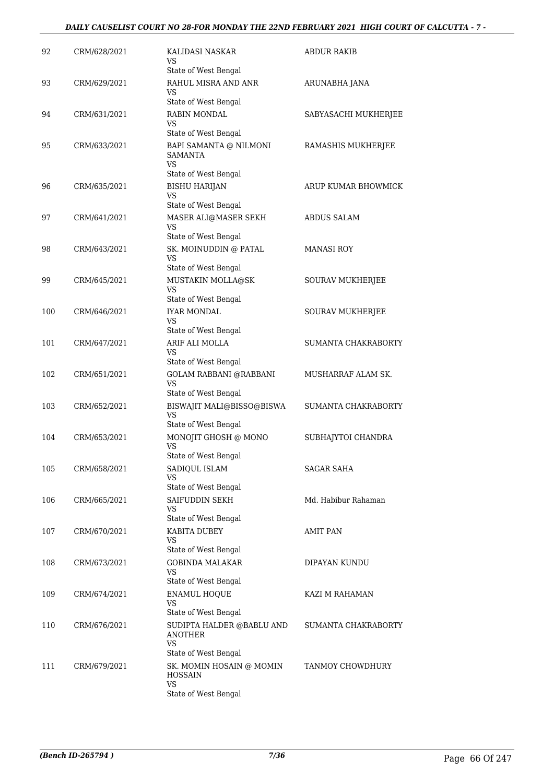#### *DAILY CAUSELIST COURT NO 28-FOR MONDAY THE 22ND FEBRUARY 2021 HIGH COURT OF CALCUTTA - 7 -*

| 92  | CRM/628/2021 | KALIDASI NASKAR<br>VS                                      | <b>ABDUR RAKIB</b>   |
|-----|--------------|------------------------------------------------------------|----------------------|
|     |              | State of West Bengal                                       |                      |
| 93  | CRM/629/2021 | RAHUL MISRA AND ANR<br>VS                                  | ARUNABHA JANA        |
|     |              | State of West Bengal                                       |                      |
| 94  | CRM/631/2021 | <b>RABIN MONDAL</b>                                        | SABYASACHI MUKHERJEE |
|     |              | VS                                                         |                      |
|     |              | State of West Bengal                                       |                      |
| 95  | CRM/633/2021 | BAPI SAMANTA @ NILMONI<br><b>SAMANTA</b><br>VS.            | RAMASHIS MUKHERJEE   |
|     |              | State of West Bengal                                       |                      |
| 96  | CRM/635/2021 | <b>BISHU HARIJAN</b><br><b>VS</b>                          | ARUP KUMAR BHOWMICK  |
|     |              | State of West Bengal                                       |                      |
| 97  | CRM/641/2021 | MASER ALI@MASER SEKH<br><b>VS</b>                          | <b>ABDUS SALAM</b>   |
|     |              | State of West Bengal                                       |                      |
| 98  | CRM/643/2021 | SK. MOINUDDIN @ PATAL<br><b>VS</b><br>State of West Bengal | MANASI ROY           |
| 99  | CRM/645/2021 | MUSTAKIN MOLLA@SK                                          | SOURAV MUKHERJEE     |
|     |              | <b>VS</b>                                                  |                      |
|     |              | State of West Bengal                                       |                      |
| 100 | CRM/646/2021 | <b>IYAR MONDAL</b><br>VS<br>State of West Bengal           | SOURAV MUKHERJEE     |
| 101 | CRM/647/2021 | ARIF ALI MOLLA                                             | SUMANTA CHAKRABORTY  |
|     |              | VS                                                         |                      |
|     |              | State of West Bengal                                       |                      |
| 102 | CRM/651/2021 | <b>GOLAM RABBANI @RABBANI</b><br><b>VS</b>                 | MUSHARRAF ALAM SK.   |
| 103 | CRM/652/2021 | State of West Bengal                                       | SUMANTA CHAKRABORTY  |
|     |              | BISWAJIT MALI@BISSO@BISWA<br>VS<br>State of West Bengal    |                      |
| 104 | CRM/653/2021 | MONOJIT GHOSH @ MONO                                       | SUBHAJYTOI CHANDRA   |
|     |              | VS<br>State of West Bengal                                 |                      |
| 105 | CRM/658/2021 | SADIQUL ISLAM                                              | <b>SAGAR SAHA</b>    |
|     |              | VS                                                         |                      |
|     |              | State of West Bengal                                       |                      |
| 106 | CRM/665/2021 | SAIFUDDIN SEKH<br><b>VS</b>                                | Md. Habibur Rahaman  |
|     |              | State of West Bengal                                       |                      |
| 107 | CRM/670/2021 | KABITA DUBEY<br>VS                                         | <b>AMIT PAN</b>      |
|     |              | State of West Bengal                                       |                      |
| 108 | CRM/673/2021 | <b>GOBINDA MALAKAR</b><br>VS                               | DIPAYAN KUNDU        |
|     |              | State of West Bengal                                       |                      |
| 109 | CRM/674/2021 | <b>ENAMUL HOQUE</b><br>VS<br>State of West Bengal          | KAZI M RAHAMAN       |
| 110 | CRM/676/2021 | SUDIPTA HALDER @BABLU AND                                  | SUMANTA CHAKRABORTY  |
|     |              | ANOTHER<br><b>VS</b>                                       |                      |
|     |              | State of West Bengal                                       |                      |
| 111 | CRM/679/2021 | SK. MOMIN HOSAIN @ MOMIN<br><b>HOSSAIN</b><br><b>VS</b>    | TANMOY CHOWDHURY     |
|     |              | State of West Bengal                                       |                      |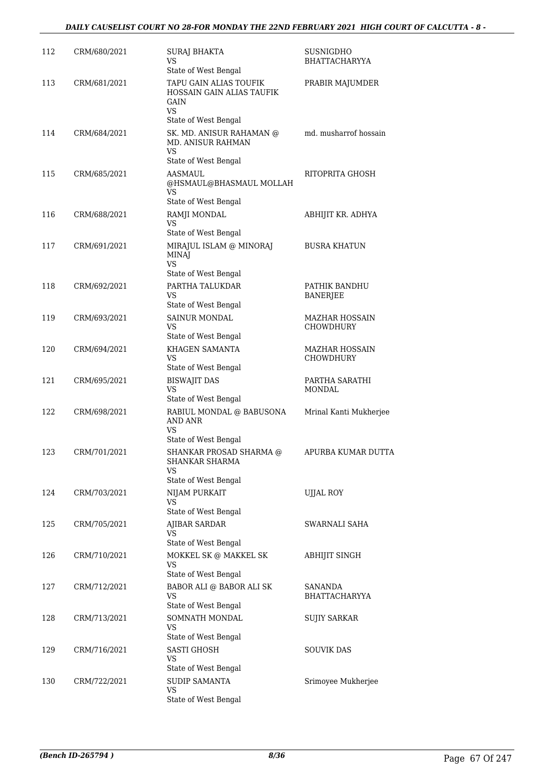| 112 | CRM/680/2021 | <b>SURAJ BHAKTA</b>                                                      | <b>SUSNIGDHO</b>                   |
|-----|--------------|--------------------------------------------------------------------------|------------------------------------|
|     |              | VS<br>State of West Bengal                                               | <b>BHATTACHARYYA</b>               |
| 113 | CRM/681/2021 | TAPU GAIN ALIAS TOUFIK<br>HOSSAIN GAIN ALIAS TAUFIK<br>GAIN<br><b>VS</b> | PRABIR MAJUMDER                    |
|     |              | State of West Bengal                                                     |                                    |
| 114 | CRM/684/2021 | SK. MD. ANISUR RAHAMAN @<br><b>MD. ANISUR RAHMAN</b><br><b>VS</b>        | md. musharrof hossain              |
|     |              | State of West Bengal                                                     |                                    |
| 115 | CRM/685/2021 | <b>AASMAUL</b><br>@HSMAUL@BHASMAUL MOLLAH<br>VS                          | RITOPRITA GHOSH                    |
|     |              | State of West Bengal                                                     |                                    |
| 116 | CRM/688/2021 | RAMJI MONDAL<br>VS.<br>State of West Bengal                              | ABHIJIT KR. ADHYA                  |
| 117 | CRM/691/2021 | MIRAJUL ISLAM @ MINORAJ<br><b>MINAJ</b><br><b>VS</b>                     | <b>BUSRA KHATUN</b>                |
|     |              | State of West Bengal                                                     |                                    |
| 118 | CRM/692/2021 | PARTHA TALUKDAR<br>VS<br>State of West Bengal                            | PATHIK BANDHU<br><b>BANERJEE</b>   |
| 119 | CRM/693/2021 | SAINUR MONDAL<br>VS.                                                     | MAZHAR HOSSAIN<br><b>CHOWDHURY</b> |
| 120 | CRM/694/2021 | State of West Bengal<br>KHAGEN SAMANTA                                   | <b>MAZHAR HOSSAIN</b>              |
|     |              | <b>VS</b><br>State of West Bengal                                        | <b>CHOWDHURY</b>                   |
| 121 | CRM/695/2021 | <b>BISWAJIT DAS</b><br><b>VS</b><br>State of West Bengal                 | PARTHA SARATHI<br><b>MONDAL</b>    |
| 122 | CRM/698/2021 | RABIUL MONDAL @ BABUSONA<br>AND ANR<br>VS<br>State of West Bengal        | Mrinal Kanti Mukherjee             |
| 123 | CRM/701/2021 | SHANKAR PROSAD SHARMA @<br>SHANKAR SHARMA<br>VS                          | APURBA KUMAR DUTTA                 |
|     |              | State of West Bengal                                                     |                                    |
| 124 | CRM/703/2021 | NIJAM PURKAIT<br><b>VS</b><br>State of West Bengal                       | UJJAL ROY                          |
| 125 | CRM/705/2021 | AJIBAR SARDAR<br>VS                                                      | SWARNALI SAHA                      |
|     |              | State of West Bengal                                                     |                                    |
| 126 | CRM/710/2021 | MOKKEL SK @ MAKKEL SK<br>VS.<br>State of West Bengal                     | <b>ABHIJIT SINGH</b>               |
| 127 | CRM/712/2021 | BABOR ALI @ BABOR ALI SK<br>VS                                           | SANANDA<br><b>BHATTACHARYYA</b>    |
| 128 | CRM/713/2021 | State of West Bengal<br>SOMNATH MONDAL<br>VS                             | SUJIY SARKAR                       |
|     |              | State of West Bengal                                                     |                                    |
| 129 | CRM/716/2021 | <b>SASTI GHOSH</b><br>VS<br>State of West Bengal                         | SOUVIK DAS                         |
| 130 | CRM/722/2021 | <b>SUDIP SAMANTA</b><br>VS                                               | Srimoyee Mukherjee                 |
|     |              | State of West Bengal                                                     |                                    |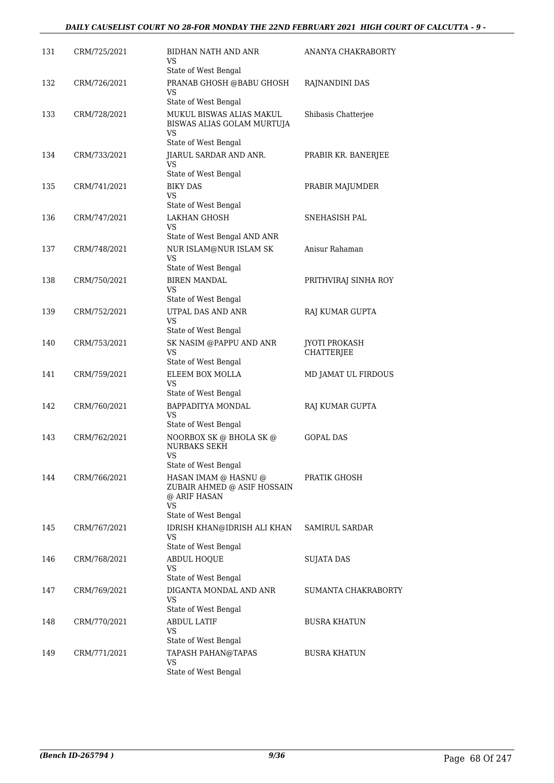| 131 | CRM/725/2021 | BIDHAN NATH AND ANR<br>VS<br>State of West Bengal                                    | ANANYA CHAKRABORTY                        |
|-----|--------------|--------------------------------------------------------------------------------------|-------------------------------------------|
| 132 | CRM/726/2021 | PRANAB GHOSH @BABU GHOSH<br>VS                                                       | RAJNANDINI DAS                            |
| 133 | CRM/728/2021 | State of West Bengal<br>MUKUL BISWAS ALIAS MAKUL<br>BISWAS ALIAS GOLAM MURTUJA<br>VS | Shibasis Chatterjee                       |
| 134 | CRM/733/2021 | State of West Bengal<br>JIARUL SARDAR AND ANR.<br>VS                                 | PRABIR KR. BANERJEE                       |
| 135 | CRM/741/2021 | State of West Bengal<br><b>BIKY DAS</b><br>VS.<br>State of West Bengal               | PRABIR MAJUMDER                           |
| 136 | CRM/747/2021 | <b>LAKHAN GHOSH</b><br>VS<br>State of West Bengal AND ANR                            | SNEHASISH PAL                             |
| 137 | CRM/748/2021 | NUR ISLAM@NUR ISLAM SK<br><b>VS</b><br>State of West Bengal                          | Anisur Rahaman                            |
| 138 | CRM/750/2021 | <b>BIREN MANDAL</b><br>VS<br>State of West Bengal                                    | PRITHVIRAJ SINHA ROY                      |
| 139 | CRM/752/2021 | UTPAL DAS AND ANR<br>VS<br>State of West Bengal                                      | RAJ KUMAR GUPTA                           |
| 140 | CRM/753/2021 | SK NASIM @PAPPU AND ANR<br>VS<br>State of West Bengal                                | <b>JYOTI PROKASH</b><br><b>CHATTERJEE</b> |
| 141 | CRM/759/2021 | ELEEM BOX MOLLA<br>VS                                                                | MD JAMAT UL FIRDOUS                       |
| 142 | CRM/760/2021 | State of West Bengal<br>BAPPADITYA MONDAL<br>VS<br>State of West Bengal              | RAJ KUMAR GUPTA                           |
| 143 | CRM/762/2021 | NOORBOX SK @ BHOLA SK @<br><b>NURBAKS SEKH</b><br>VS<br>State of West Bengal         | <b>GOPAL DAS</b>                          |
| 144 | CRM/766/2021 | HASAN IMAM @ HASNU @<br>ZUBAIR AHMED @ ASIF HOSSAIN<br>@ ARIF HASAN<br>VS.           | PRATIK GHOSH                              |
| 145 | CRM/767/2021 | State of West Bengal<br>IDRISH KHAN@IDRISH ALI KHAN<br>VS<br>State of West Bengal    | SAMIRUL SARDAR                            |
| 146 | CRM/768/2021 | <b>ABDUL HOQUE</b><br>VS<br>State of West Bengal                                     | SUJATA DAS                                |
| 147 | CRM/769/2021 | DIGANTA MONDAL AND ANR<br><b>VS</b><br>State of West Bengal                          | SUMANTA CHAKRABORTY                       |
| 148 | CRM/770/2021 | <b>ABDUL LATIF</b><br>VS<br>State of West Bengal                                     | <b>BUSRA KHATUN</b>                       |
| 149 | CRM/771/2021 | TAPASH PAHAN@TAPAS<br><b>VS</b><br>State of West Bengal                              | <b>BUSRA KHATUN</b>                       |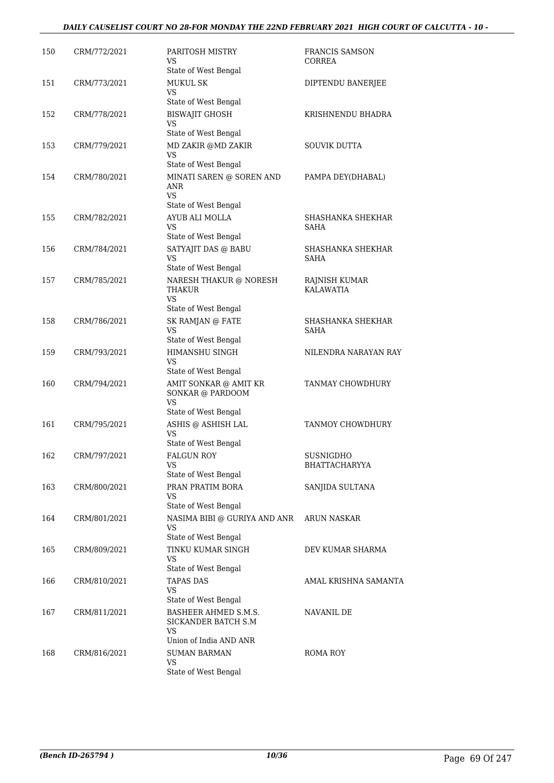#### *DAILY CAUSELIST COURT NO 28-FOR MONDAY THE 22ND FEBRUARY 2021 HIGH COURT OF CALCUTTA - 10 -*

| 150 | CRM/772/2021 | PARITOSH MISTRY<br>VS<br>State of West Bengal                                         | FRANCIS SAMSON<br>CORREA          |
|-----|--------------|---------------------------------------------------------------------------------------|-----------------------------------|
| 151 | CRM/773/2021 | <b>MUKUL SK</b><br>VS                                                                 | DIPTENDU BANERJEE                 |
| 152 | CRM/778/2021 | State of West Bengal<br><b>BISWAJIT GHOSH</b><br>VS<br>State of West Bengal           | KRISHNENDU BHADRA                 |
| 153 | CRM/779/2021 | MD ZAKIR @MD ZAKIR<br><b>VS</b>                                                       | <b>SOUVIK DUTTA</b>               |
| 154 | CRM/780/2021 | State of West Bengal<br>MINATI SAREN @ SOREN AND<br>ANR<br>VS<br>State of West Bengal | PAMPA DEY(DHABAL)                 |
| 155 | CRM/782/2021 | AYUB ALI MOLLA<br>VS<br>State of West Bengal                                          | SHASHANKA SHEKHAR<br>SAHA         |
| 156 | CRM/784/2021 | SATYAJIT DAS @ BABU<br>VS<br>State of West Bengal                                     | SHASHANKA SHEKHAR<br>SAHA         |
| 157 | CRM/785/2021 | NARESH THAKUR @ NORESH<br>THAKUR<br>VS<br>State of West Bengal                        | RAJNISH KUMAR<br><b>KALAWATIA</b> |
| 158 | CRM/786/2021 | SK RAMJAN @ FATE<br>VS                                                                | SHASHANKA SHEKHAR<br>SAHA         |
| 159 | CRM/793/2021 | State of West Bengal<br>HIMANSHU SINGH<br><b>VS</b><br>State of West Bengal           | NILENDRA NARAYAN RAY              |
| 160 | CRM/794/2021 | AMIT SONKAR @ AMIT KR<br>SONKAR @ PARDOOM<br>VS<br>State of West Bengal               | TANMAY CHOWDHURY                  |
| 161 | CRM/795/2021 | ASHIS @ ASHISH LAL<br><b>VS</b><br>State of West Bengal                               | TANMOY CHOWDHURY                  |
| 162 | CRM/797/2021 | FALGUN ROY<br>VS<br>State of West Bengal                                              | SUSNIGDHO<br><b>BHATTACHARYYA</b> |
| 163 | CRM/800/2021 | PRAN PRATIM BORA<br>VS<br>State of West Bengal                                        | SANJIDA SULTANA                   |
| 164 | CRM/801/2021 | NASIMA BIBI @ GURIYA AND ANR<br>VS                                                    | <b>ARUN NASKAR</b>                |
| 165 | CRM/809/2021 | State of West Bengal<br>TINKU KUMAR SINGH<br>VS                                       | DEV KUMAR SHARMA                  |
| 166 | CRM/810/2021 | State of West Bengal<br><b>TAPAS DAS</b><br>VS<br>State of West Bengal                | AMAL KRISHNA SAMANTA              |
| 167 | CRM/811/2021 | BASHEER AHMED S.M.S.<br>SICKANDER BATCH S.M<br>VS                                     | NAVANIL DE                        |
| 168 | CRM/816/2021 | Union of India AND ANR<br><b>SUMAN BARMAN</b><br>VS<br>State of West Bengal           | ROMA ROY                          |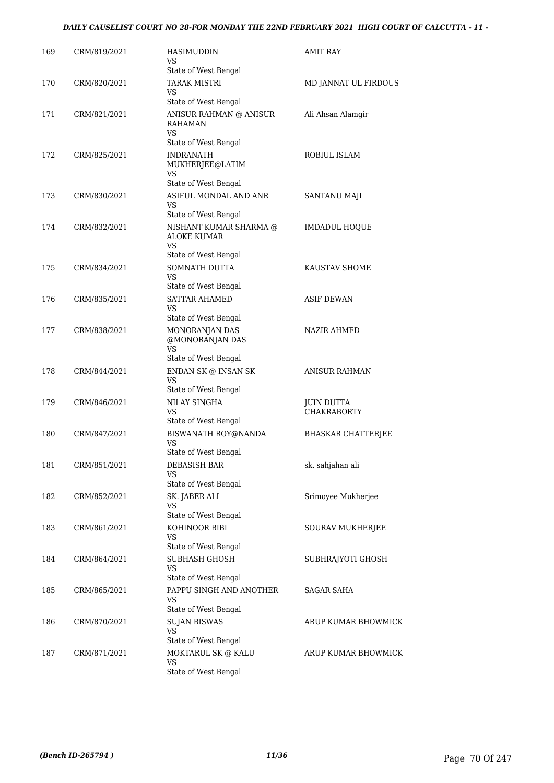#### *DAILY CAUSELIST COURT NO 28-FOR MONDAY THE 22ND FEBRUARY 2021 HIGH COURT OF CALCUTTA - 11 -*

| 169 | CRM/819/2021 | HASIMUDDIN<br>VS<br>State of West Bengal                                          | AMIT RAY                         |
|-----|--------------|-----------------------------------------------------------------------------------|----------------------------------|
| 170 | CRM/820/2021 | <b>TARAK MISTRI</b><br>VS                                                         | MD JANNAT UL FIRDOUS             |
| 171 | CRM/821/2021 | State of West Bengal<br>ANISUR RAHMAN @ ANISUR<br>RAHAMAN                         | Ali Ahsan Alamgir                |
| 172 | CRM/825/2021 | VS<br>State of West Bengal<br>INDRANATH                                           | ROBIUL ISLAM                     |
|     |              | MUKHERJEE@LATIM<br>VS<br>State of West Bengal                                     |                                  |
| 173 | CRM/830/2021 | ASIFUL MONDAL AND ANR<br>VS<br>State of West Bengal                               | SANTANU MAJI                     |
| 174 | CRM/832/2021 | NISHANT KUMAR SHARMA @<br><b>ALOKE KUMAR</b><br><b>VS</b><br>State of West Bengal | <b>IMDADUL HOQUE</b>             |
| 175 | CRM/834/2021 | SOMNATH DUTTA<br>VS<br>State of West Bengal                                       | KAUSTAV SHOME                    |
| 176 | CRM/835/2021 | <b>SATTAR AHAMED</b><br>VS<br>State of West Bengal                                | <b>ASIF DEWAN</b>                |
| 177 | CRM/838/2021 | MONORANJAN DAS<br>@MONORANJAN DAS<br><b>VS</b><br>State of West Bengal            | NAZIR AHMED                      |
| 178 | CRM/844/2021 | ENDAN SK @ INSAN SK<br>VS<br>State of West Bengal                                 | ANISUR RAHMAN                    |
| 179 | CRM/846/2021 | NILAY SINGHA<br><b>VS</b><br>State of West Bengal                                 | JUIN DUTTA<br><b>CHAKRABORTY</b> |
| 180 | CRM/847/2021 | BISWANATH ROY@NANDA<br><b>VS</b><br>State of West Bengal                          | <b>BHASKAR CHATTERJEE</b>        |
| 181 | CRM/851/2021 | <b>DEBASISH BAR</b><br>VS<br>State of West Bengal                                 | sk. sahjahan ali                 |
| 182 | CRM/852/2021 | SK. JABER ALI<br>VS<br>State of West Bengal                                       | Srimoyee Mukherjee               |
| 183 | CRM/861/2021 | KOHINOOR BIBI<br>VS<br>State of West Bengal                                       | SOURAV MUKHERJEE                 |
| 184 | CRM/864/2021 | SUBHASH GHOSH<br>VS<br>State of West Bengal                                       | SUBHRAJYOTI GHOSH                |
| 185 | CRM/865/2021 | PAPPU SINGH AND ANOTHER<br>VS<br>State of West Bengal                             | SAGAR SAHA                       |
| 186 | CRM/870/2021 | <b>SUJAN BISWAS</b><br>VS<br>State of West Bengal                                 | ARUP KUMAR BHOWMICK              |
| 187 | CRM/871/2021 | MOKTARUL SK @ KALU<br>VS<br>State of West Bengal                                  | ARUP KUMAR BHOWMICK              |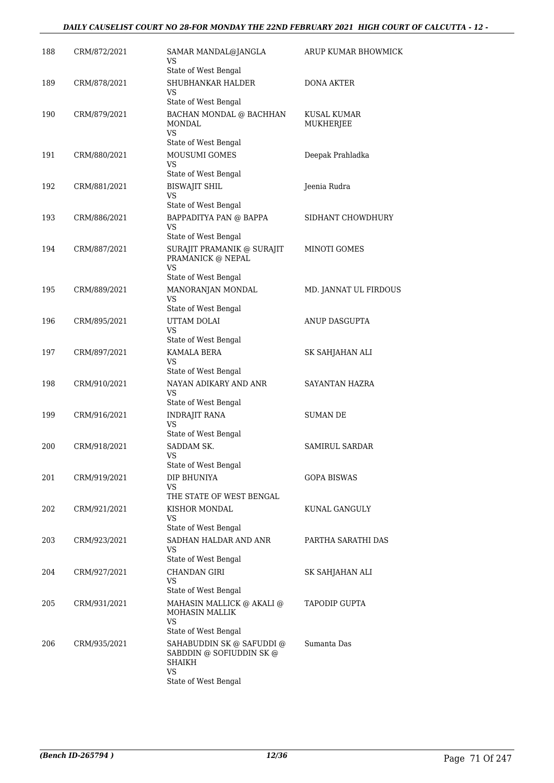#### *DAILY CAUSELIST COURT NO 28-FOR MONDAY THE 22ND FEBRUARY 2021 HIGH COURT OF CALCUTTA - 12 -*

| 188 | CRM/872/2021 | SAMAR MANDAL@JANGLA<br>VS<br>State of West Bengal                                                    | ARUP KUMAR BHOWMICK      |
|-----|--------------|------------------------------------------------------------------------------------------------------|--------------------------|
| 189 | CRM/878/2021 | SHUBHANKAR HALDER<br>VS                                                                              | <b>DONA AKTER</b>        |
| 190 | CRM/879/2021 | State of West Bengal<br>BACHAN MONDAL @ BACHHAN<br>MONDAL<br>VS                                      | KUSAL KUMAR<br>MUKHERJEE |
| 191 | CRM/880/2021 | State of West Bengal<br>MOUSUMI GOMES<br>VS                                                          | Deepak Prahladka         |
| 192 | CRM/881/2021 | State of West Bengal<br><b>BISWAJIT SHIL</b><br>VS                                                   | Jeenia Rudra             |
| 193 | CRM/886/2021 | State of West Bengal<br>BAPPADITYA PAN @ BAPPA<br>VS                                                 | SIDHANT CHOWDHURY        |
| 194 | CRM/887/2021 | State of West Bengal<br>SURAJIT PRAMANIK @ SURAJIT<br>PRAMANICK @ NEPAL<br>VS                        | MINOTI GOMES             |
| 195 | CRM/889/2021 | State of West Bengal<br>MANORANJAN MONDAL<br>VS                                                      | MD. JANNAT UL FIRDOUS    |
| 196 | CRM/895/2021 | State of West Bengal<br>UTTAM DOLAI<br>VS                                                            | ANUP DASGUPTA            |
| 197 | CRM/897/2021 | State of West Bengal<br>KAMALA BERA<br>VS                                                            | SK SAHJAHAN ALI          |
| 198 | CRM/910/2021 | State of West Bengal<br>NAYAN ADIKARY AND ANR<br>VS<br>State of West Bengal                          | SAYANTAN HAZRA           |
| 199 | CRM/916/2021 | <b>INDRAJIT RANA</b><br><b>VS</b><br>State of West Bengal                                            | <b>SUMAN DE</b>          |
| 200 | CRM/918/2021 | SADDAM SK.<br>VS<br>State of West Bengal                                                             | <b>SAMIRUL SARDAR</b>    |
| 201 | CRM/919/2021 | DIP BHUNIYA<br>VS.<br>THE STATE OF WEST BENGAL                                                       | GOPA BISWAS              |
| 202 | CRM/921/2021 | KISHOR MONDAL<br>VS<br>State of West Bengal                                                          | KUNAL GANGULY            |
| 203 | CRM/923/2021 | SADHAN HALDAR AND ANR<br>VS<br>State of West Bengal                                                  | PARTHA SARATHI DAS       |
| 204 | CRM/927/2021 | <b>CHANDAN GIRI</b><br>VS<br>State of West Bengal                                                    | SK SAHJAHAN ALI          |
| 205 | CRM/931/2021 | MAHASIN MALLICK @ AKALI @<br><b>MOHASIN MALLIK</b><br><b>VS</b><br>State of West Bengal              | TAPODIP GUPTA            |
| 206 | CRM/935/2021 | SAHABUDDIN SK @ SAFUDDI @<br>SABDDIN @ SOFIUDDIN SK @<br>SHAIKH<br><b>VS</b><br>State of West Bengal | Sumanta Das              |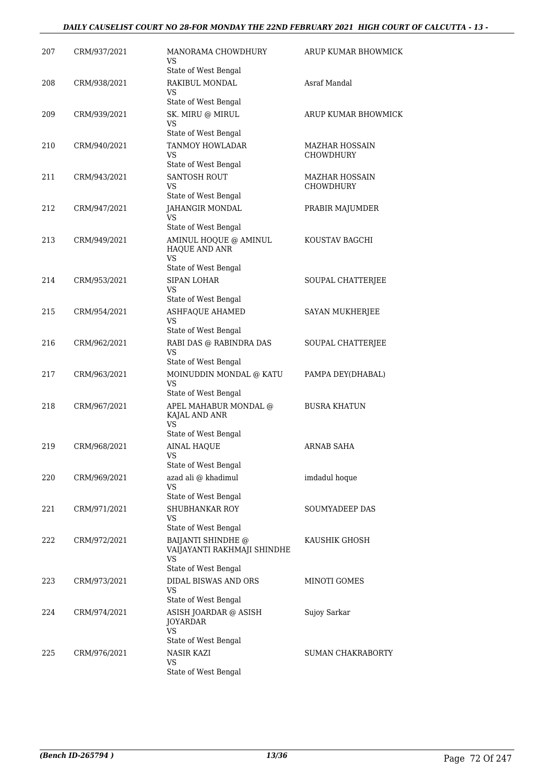#### *DAILY CAUSELIST COURT NO 28-FOR MONDAY THE 22ND FEBRUARY 2021 HIGH COURT OF CALCUTTA - 13 -*

| 207 | CRM/937/2021 | MANORAMA CHOWDHURY<br>VS                                                                            | ARUP KUMAR BHOWMICK                       |
|-----|--------------|-----------------------------------------------------------------------------------------------------|-------------------------------------------|
| 208 | CRM/938/2021 | State of West Bengal<br>RAKIBUL MONDAL                                                              | Asraf Mandal                              |
|     |              | VS<br>State of West Bengal                                                                          |                                           |
| 209 | CRM/939/2021 | SK. MIRU @ MIRUL<br>VS                                                                              | ARUP KUMAR BHOWMICK                       |
|     |              | State of West Bengal                                                                                |                                           |
| 210 | CRM/940/2021 | <b>TANMOY HOWLADAR</b><br>VS                                                                        | <b>MAZHAR HOSSAIN</b><br><b>CHOWDHURY</b> |
| 211 | CRM/943/2021 | State of West Bengal<br>SANTOSH ROUT                                                                | <b>MAZHAR HOSSAIN</b>                     |
|     |              | VS<br>State of West Bengal                                                                          | <b>CHOWDHURY</b>                          |
| 212 | CRM/947/2021 | JAHANGIR MONDAL<br>VS                                                                               | PRABIR MAJUMDER                           |
| 213 | CRM/949/2021 | State of West Bengal<br>AMINUL HOQUE @ AMINUL<br>HAQUE AND ANR<br><b>VS</b><br>State of West Bengal | KOUSTAV BAGCHI                            |
| 214 | CRM/953/2021 | <b>SIPAN LOHAR</b><br>VS                                                                            | SOUPAL CHATTERJEE                         |
|     |              | State of West Bengal                                                                                |                                           |
| 215 | CRM/954/2021 | <b>ASHFAQUE AHAMED</b><br>VS<br>State of West Bengal                                                | SAYAN MUKHERJEE                           |
| 216 | CRM/962/2021 | RABI DAS @ RABINDRA DAS<br>VS<br>State of West Bengal                                               | SOUPAL CHATTERJEE                         |
| 217 | CRM/963/2021 | MOINUDDIN MONDAL @ KATU<br>VS                                                                       | PAMPA DEY(DHABAL)                         |
| 218 | CRM/967/2021 | State of West Bengal<br>APEL MAHABUR MONDAL @<br>KAJAL AND ANR<br>VS.                               | <b>BUSRA KHATUN</b>                       |
|     |              | State of West Bengal                                                                                |                                           |
| 219 | CRM/968/2021 | <b>AINAL HAQUE</b><br>VS<br>State of West Bengal                                                    | <b>ARNAB SAHA</b>                         |
| 220 | CRM/969/2021 | azad ali @ khadimul<br>VS<br>State of West Bengal                                                   | imdadul hoque                             |
| 221 | CRM/971/2021 | SHUBHANKAR ROY<br>VS                                                                                | SOUMYADEEP DAS                            |
| 222 | CRM/972/2021 | State of West Bengal<br><b>BAIJANTI SHINDHE</b> @<br>VAIJAYANTI RAKHMAJI SHINDHE<br>VS              | KAUSHIK GHOSH                             |
|     |              | State of West Bengal                                                                                |                                           |
| 223 | CRM/973/2021 | DIDAL BISWAS AND ORS<br>VS<br>State of West Bengal                                                  | MINOTI GOMES                              |
| 224 | CRM/974/2021 | ASISH JOARDAR @ ASISH<br><b>JOYARDAR</b><br><b>VS</b>                                               | Sujoy Sarkar                              |
| 225 | CRM/976/2021 | State of West Bengal<br><b>NASIR KAZI</b>                                                           | <b>SUMAN CHAKRABORTY</b>                  |
|     |              | VS<br>State of West Bengal                                                                          |                                           |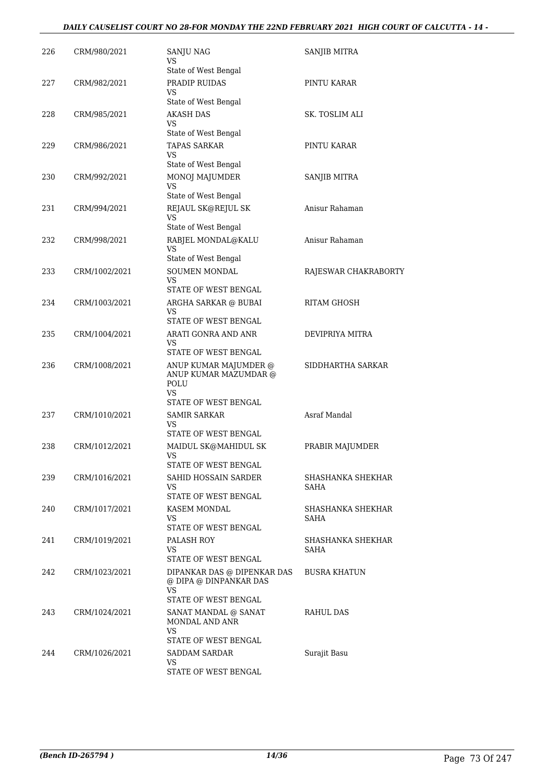#### *DAILY CAUSELIST COURT NO 28-FOR MONDAY THE 22ND FEBRUARY 2021 HIGH COURT OF CALCUTTA - 14 -*

| 226 | CRM/980/2021  | SANJU NAG<br>VS<br>State of West Bengal                                                    | SANJIB MITRA              |
|-----|---------------|--------------------------------------------------------------------------------------------|---------------------------|
| 227 | CRM/982/2021  | PRADIP RUIDAS<br>VS                                                                        | PINTU KARAR               |
|     |               | State of West Bengal                                                                       |                           |
| 228 | CRM/985/2021  | <b>AKASH DAS</b><br>VS<br>State of West Bengal                                             | SK. TOSLIM ALI            |
| 229 | CRM/986/2021  | TAPAS SARKAR<br>VS                                                                         | PINTU KARAR               |
|     |               | State of West Bengal                                                                       |                           |
| 230 | CRM/992/2021  | MONOJ MAJUMDER<br>VS<br>State of West Bengal                                               | SANJIB MITRA              |
| 231 | CRM/994/2021  | REJAUL SK@REJUL SK<br>VS                                                                   | Anisur Rahaman            |
| 232 | CRM/998/2021  | State of West Bengal<br>RABJEL MONDAL@KALU<br><b>VS</b>                                    | Anisur Rahaman            |
|     |               | State of West Bengal                                                                       |                           |
| 233 | CRM/1002/2021 | SOUMEN MONDAL<br><b>VS</b><br>STATE OF WEST BENGAL                                         | RAJESWAR CHAKRABORTY      |
|     |               |                                                                                            | RITAM GHOSH               |
| 234 | CRM/1003/2021 | ARGHA SARKAR @ BUBAI<br>VS<br>STATE OF WEST BENGAL                                         |                           |
| 235 | CRM/1004/2021 | ARATI GONRA AND ANR                                                                        | DEVIPRIYA MITRA           |
|     |               | VS<br>STATE OF WEST BENGAL                                                                 |                           |
| 236 | CRM/1008/2021 | ANUP KUMAR MAJUMDER @<br>ANUP KUMAR MAZUMDAR @<br>POLU<br>VS                               | SIDDHARTHA SARKAR         |
|     |               | STATE OF WEST BENGAL                                                                       |                           |
| 237 | CRM/1010/2021 | <b>SAMIR SARKAR</b><br>VS<br>STATE OF WEST BENGAL                                          | Asraf Mandal              |
| 238 | CRM/1012/2021 | MAIDUL SK@MAHIDUL SK                                                                       |                           |
|     |               | <b>VS</b><br>STATE OF WEST BENGAL                                                          | PRABIR MAJUMDER           |
| 239 | CRM/1016/2021 | SAHID HOSSAIN SARDER<br>VS<br>STATE OF WEST BENGAL                                         | SHASHANKA SHEKHAR<br>SAHA |
| 240 | CRM/1017/2021 | KASEM MONDAL<br>VS                                                                         | SHASHANKA SHEKHAR<br>SAHA |
|     |               | STATE OF WEST BENGAL                                                                       |                           |
| 241 | CRM/1019/2021 | PALASH ROY<br>VS<br>STATE OF WEST BENGAL                                                   | SHASHANKA SHEKHAR<br>SAHA |
| 242 | CRM/1023/2021 | DIPANKAR DAS @ DIPENKAR DAS<br>@ DIPA @ DINPANKAR DAS<br><b>VS</b><br>STATE OF WEST BENGAL | <b>BUSRA KHATUN</b>       |
| 243 | CRM/1024/2021 | SANAT MANDAL @ SANAT<br>MONDAL AND ANR<br><b>VS</b>                                        | RAHUL DAS                 |
| 244 | CRM/1026/2021 | STATE OF WEST BENGAL<br><b>SADDAM SARDAR</b><br>VS<br>STATE OF WEST BENGAL                 | Surajit Basu              |
|     |               |                                                                                            |                           |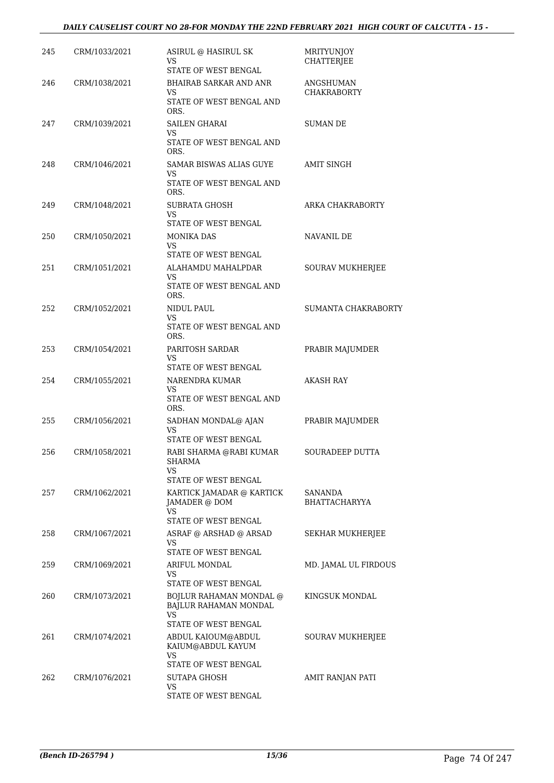#### *DAILY CAUSELIST COURT NO 28-FOR MONDAY THE 22ND FEBRUARY 2021 HIGH COURT OF CALCUTTA - 15 -*

| 245 | CRM/1033/2021 | ASIRUL @ HASIRUL SK<br>VS<br>STATE OF WEST BENGAL                               | <b>MRITYUNJOY</b><br><b>CHATTERJEE</b> |
|-----|---------------|---------------------------------------------------------------------------------|----------------------------------------|
| 246 | CRM/1038/2021 | <b>BHAIRAB SARKAR AND ANR</b><br>VS                                             | ANGSHUMAN<br><b>CHAKRABORTY</b>        |
| 247 | CRM/1039/2021 | STATE OF WEST BENGAL AND<br>ORS.<br><b>SAILEN GHARAI</b><br>VS                  | <b>SUMAN DE</b>                        |
|     |               | STATE OF WEST BENGAL AND<br>ORS.                                                |                                        |
| 248 | CRM/1046/2021 | SAMAR BISWAS ALIAS GUYE<br>VS<br>STATE OF WEST BENGAL AND<br>ORS.               | <b>AMIT SINGH</b>                      |
| 249 | CRM/1048/2021 | SUBRATA GHOSH<br>VS<br>STATE OF WEST BENGAL                                     | ARKA CHAKRABORTY                       |
| 250 | CRM/1050/2021 | <b>MONIKA DAS</b><br>VS.<br>STATE OF WEST BENGAL                                | NAVANIL DE                             |
| 251 | CRM/1051/2021 | ALAHAMDU MAHALPDAR<br>VS<br>STATE OF WEST BENGAL AND<br>ORS.                    | SOURAV MUKHERJEE                       |
| 252 | CRM/1052/2021 | NIDUL PAUL<br>VS<br>STATE OF WEST BENGAL AND<br>ORS.                            | SUMANTA CHAKRABORTY                    |
| 253 | CRM/1054/2021 | PARITOSH SARDAR<br>VS<br>STATE OF WEST BENGAL                                   | PRABIR MAJUMDER                        |
| 254 | CRM/1055/2021 | NARENDRA KUMAR<br>VS<br>STATE OF WEST BENGAL AND<br>ORS.                        | <b>AKASH RAY</b>                       |
| 255 | CRM/1056/2021 | SADHAN MONDAL@ AJAN<br>VS<br>STATE OF WEST BENGAL                               | PRABIR MAJUMDER                        |
| 256 | CRM/1058/2021 | RABI SHARMA @RABI KUMAR<br><b>SHARMA</b><br>VS.<br>STATE OF WEST BENGAL         | <b>SOURADEEP DUTTA</b>                 |
| 257 | CRM/1062/2021 | KARTICK JAMADAR @ KARTICK<br>JAMADER @ DOM<br>VS.<br>STATE OF WEST BENGAL       | SANANDA<br><b>BHATTACHARYYA</b>        |
| 258 | CRM/1067/2021 | ASRAF @ ARSHAD @ ARSAD<br>VS.<br>STATE OF WEST BENGAL                           | SEKHAR MUKHERJEE                       |
| 259 | CRM/1069/2021 | ARIFUL MONDAL<br>VS<br>STATE OF WEST BENGAL                                     | MD. JAMAL UL FIRDOUS                   |
| 260 | CRM/1073/2021 | BOJLUR RAHAMAN MONDAL @<br>BAJLUR RAHAMAN MONDAL<br>VS.<br>STATE OF WEST BENGAL | KINGSUK MONDAL                         |
| 261 | CRM/1074/2021 | ABDUL KAIOUM@ABDUL<br>KAIUM@ABDUL KAYUM<br>VS<br>STATE OF WEST BENGAL           | SOURAV MUKHERJEE                       |
| 262 | CRM/1076/2021 | SUTAPA GHOSH<br>VS<br>STATE OF WEST BENGAL                                      | AMIT RANJAN PATI                       |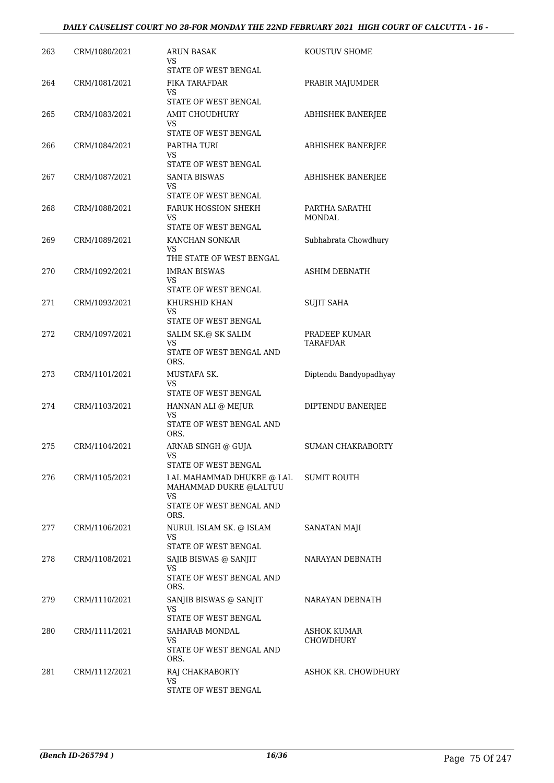| 263 | CRM/1080/2021 | ARUN BASAK<br>VS                                  | KOUSTUV SHOME                   |
|-----|---------------|---------------------------------------------------|---------------------------------|
| 264 | CRM/1081/2021 | STATE OF WEST BENGAL<br>FIKA TARAFDAR             | PRABIR MAJUMDER                 |
|     |               | VS<br>STATE OF WEST BENGAL                        |                                 |
| 265 | CRM/1083/2021 | <b>AMIT CHOUDHURY</b><br>VS                       | ABHISHEK BANERJEE               |
|     |               | STATE OF WEST BENGAL                              |                                 |
| 266 | CRM/1084/2021 | PARTHA TURI<br>VS<br>STATE OF WEST BENGAL         | <b>ABHISHEK BANERJEE</b>        |
| 267 | CRM/1087/2021 | <b>SANTA BISWAS</b><br>VS<br>STATE OF WEST BENGAL | <b>ABHISHEK BANERJEE</b>        |
| 268 | CRM/1088/2021 | <b>FARUK HOSSION SHEKH</b><br>VS                  | PARTHA SARATHI<br><b>MONDAL</b> |
|     |               | STATE OF WEST BENGAL                              |                                 |
| 269 | CRM/1089/2021 | KANCHAN SONKAR<br>VS<br>THE STATE OF WEST BENGAL  | Subhabrata Chowdhury            |
| 270 | CRM/1092/2021 | <b>IMRAN BISWAS</b><br><b>VS</b>                  | <b>ASHIM DEBNATH</b>            |
|     |               | STATE OF WEST BENGAL                              |                                 |
| 271 | CRM/1093/2021 | KHURSHID KHAN<br>VS<br>STATE OF WEST BENGAL       | <b>SUJIT SAHA</b>               |
| 272 | CRM/1097/2021 | SALIM SK.@ SK SALIM                               | PRADEEP KUMAR                   |
|     |               | <b>VS</b><br>STATE OF WEST BENGAL AND<br>ORS.     | <b>TARAFDAR</b>                 |
| 273 | CRM/1101/2021 | MUSTAFA SK.<br>VS<br>STATE OF WEST BENGAL         | Diptendu Bandyopadhyay          |
| 274 | CRM/1103/2021 | HANNAN ALI @ MEJUR                                | DIPTENDU BANERJEE               |
|     |               | VS<br>STATE OF WEST BENGAL AND<br>ORS.            |                                 |
| 275 | CRM/1104/2021 | ARNAB SINGH @ GUJA<br><b>VS</b>                   | <b>SUMAN CHAKRABORTY</b>        |
| 276 | CRM/1105/2021 | STATE OF WEST BENGAL<br>LAL MAHAMMAD DHUKRE @ LAL | SUMIT ROUTH                     |
|     |               | MAHAMMAD DUKRE @LALTUU<br>VS                      |                                 |
|     |               | STATE OF WEST BENGAL AND<br>ORS.                  |                                 |
| 277 | CRM/1106/2021 | NURUL ISLAM SK. @ ISLAM<br>VS                     | SANATAN MAJI                    |
| 278 | CRM/1108/2021 | STATE OF WEST BENGAL<br>SAJIB BISWAS @ SANJIT     | NARAYAN DEBNATH                 |
|     |               | VS<br>STATE OF WEST BENGAL AND<br>ORS.            |                                 |
| 279 | CRM/1110/2021 | SANJIB BISWAS @ SANJIT                            | NARAYAN DEBNATH                 |
|     |               | VS<br>STATE OF WEST BENGAL                        |                                 |
| 280 | CRM/1111/2021 | SAHARAB MONDAL<br>VS                              | ASHOK KUMAR<br><b>CHOWDHURY</b> |
|     |               | STATE OF WEST BENGAL AND<br>ORS.                  |                                 |
| 281 | CRM/1112/2021 | RAJ CHAKRABORTY                                   | ASHOK KR. CHOWDHURY             |
|     |               | VS<br>STATE OF WEST BENGAL                        |                                 |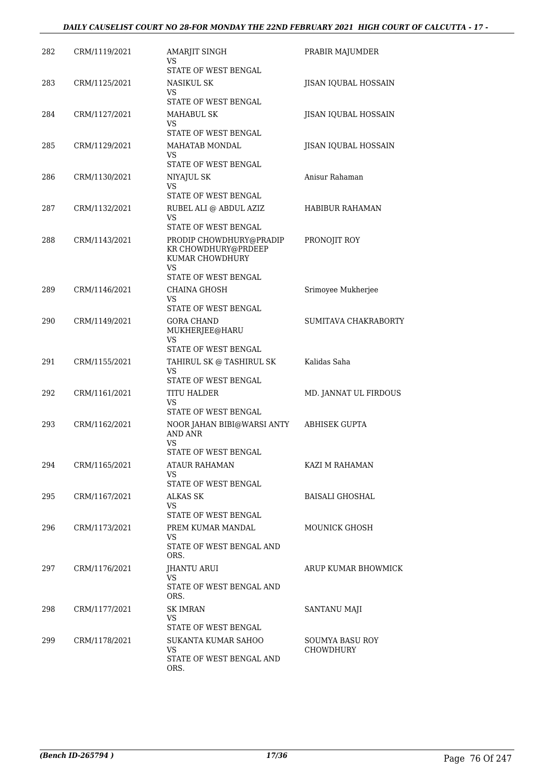#### *DAILY CAUSELIST COURT NO 28-FOR MONDAY THE 22ND FEBRUARY 2021 HIGH COURT OF CALCUTTA - 17 -*

| 282 | CRM/1119/2021 | AMARJIT SINGH<br>VS<br>STATE OF WEST BENGAL                                    | PRABIR MAJUMDER       |
|-----|---------------|--------------------------------------------------------------------------------|-----------------------|
| 283 | CRM/1125/2021 | NASIKUL SK<br>VS                                                               | JISAN IQUBAL HOSSAIN  |
|     |               | STATE OF WEST BENGAL                                                           |                       |
| 284 | CRM/1127/2021 | <b>MAHABUL SK</b><br>VS                                                        | JISAN IQUBAL HOSSAIN  |
|     |               | STATE OF WEST BENGAL                                                           |                       |
| 285 | CRM/1129/2021 | MAHATAB MONDAL<br>VS.<br>STATE OF WEST BENGAL                                  | JISAN IQUBAL HOSSAIN  |
| 286 | CRM/1130/2021 | NIYAJUL SK                                                                     | Anisur Rahaman        |
|     |               | VS<br>STATE OF WEST BENGAL                                                     |                       |
| 287 | CRM/1132/2021 | RUBEL ALI @ ABDUL AZIZ<br>VS.                                                  | HABIBUR RAHAMAN       |
|     |               | STATE OF WEST BENGAL                                                           |                       |
| 288 | CRM/1143/2021 | PRODIP CHOWDHURY@PRADIP<br>KR CHOWDHURY@PRDEEP<br>KUMAR CHOWDHURY<br><b>VS</b> | PRONOJIT ROY          |
|     |               | STATE OF WEST BENGAL                                                           |                       |
| 289 | CRM/1146/2021 | <b>CHAINA GHOSH</b>                                                            | Srimoyee Mukherjee    |
|     |               | VS<br>STATE OF WEST BENGAL                                                     |                       |
| 290 | CRM/1149/2021 | <b>GORA CHAND</b><br>MUKHERJEE@HARU                                            | SUMITAVA CHAKRABORTY  |
|     |               | VS<br>STATE OF WEST BENGAL                                                     |                       |
| 291 | CRM/1155/2021 | TAHIRUL SK @ TASHIRUL SK                                                       | Kalidas Saha          |
|     |               | VS<br>STATE OF WEST BENGAL                                                     |                       |
| 292 | CRM/1161/2021 | TITU HALDER                                                                    | MD. JANNAT UL FIRDOUS |
|     |               | VS.<br>STATE OF WEST BENGAL                                                    |                       |
| 293 | CRM/1162/2021 | NOOR JAHAN BIBI@WARSI ANTY<br><b>AND ANR</b><br>VS                             | <b>ABHISEK GUPTA</b>  |
|     |               | STATE OF WEST BENGAL                                                           |                       |
| 294 | CRM/1165/2021 | <b>ATAUR RAHAMAN</b><br>VS<br>STATE OF WEST BENGAL                             | KAZI M RAHAMAN        |
| 295 | CRM/1167/2021 | <b>ALKAS SK</b>                                                                | BAISALI GHOSHAL       |
|     |               | VS.<br>STATE OF WEST BENGAL                                                    |                       |
| 296 | CRM/1173/2021 | PREM KUMAR MANDAL                                                              | MOUNICK GHOSH         |
|     |               | VS<br>STATE OF WEST BENGAL AND<br>ORS.                                         |                       |
| 297 | CRM/1176/2021 | JHANTU ARUI<br>VS.                                                             | ARUP KUMAR BHOWMICK   |
|     |               | STATE OF WEST BENGAL AND<br>ORS.                                               |                       |
| 298 | CRM/1177/2021 | <b>SK IMRAN</b>                                                                | SANTANU MAJI          |
|     |               | <b>VS</b><br>STATE OF WEST BENGAL                                              |                       |
| 299 | CRM/1178/2021 | SUKANTA KUMAR SAHOO                                                            | SOUMYA BASU ROY       |
|     |               | VS<br>STATE OF WEST BENGAL AND<br>ORS.                                         | <b>CHOWDHURY</b>      |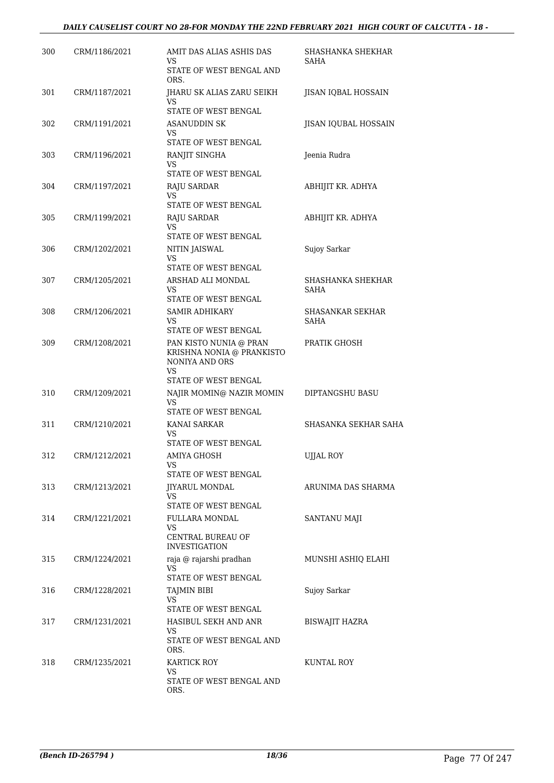#### *DAILY CAUSELIST COURT NO 28-FOR MONDAY THE 22ND FEBRUARY 2021 HIGH COURT OF CALCUTTA - 18 -*

| 300 | CRM/1186/2021 | AMIT DAS ALIAS ASHIS DAS<br>VS<br>STATE OF WEST BENGAL AND                  | SHASHANKA SHEKHAR<br>SAHA |
|-----|---------------|-----------------------------------------------------------------------------|---------------------------|
|     |               | ORS.                                                                        |                           |
| 301 | CRM/1187/2021 | JHARU SK ALIAS ZARU SEIKH<br>VS                                             | JISAN IQBAL HOSSAIN       |
|     |               | STATE OF WEST BENGAL                                                        |                           |
| 302 | CRM/1191/2021 | ASANUDDIN SK<br>VS<br>STATE OF WEST BENGAL                                  | JISAN IQUBAL HOSSAIN      |
| 303 | CRM/1196/2021 | RANJIT SINGHA                                                               | Jeenia Rudra              |
|     |               | VS<br>STATE OF WEST BENGAL                                                  |                           |
| 304 | CRM/1197/2021 | RAJU SARDAR<br>VS                                                           | ABHIJIT KR. ADHYA         |
|     |               | STATE OF WEST BENGAL                                                        |                           |
| 305 | CRM/1199/2021 | RAJU SARDAR<br>VS<br>STATE OF WEST BENGAL                                   | ABHIJIT KR. ADHYA         |
| 306 | CRM/1202/2021 |                                                                             | Sujoy Sarkar              |
|     |               | NITIN JAISWAL<br>VS<br>STATE OF WEST BENGAL                                 |                           |
| 307 | CRM/1205/2021 | ARSHAD ALI MONDAL                                                           | SHASHANKA SHEKHAR         |
|     |               | VS<br>STATE OF WEST BENGAL                                                  | <b>SAHA</b>               |
| 308 | CRM/1206/2021 | <b>SAMIR ADHIKARY</b>                                                       | <b>SHASANKAR SEKHAR</b>   |
|     |               | VS<br>STATE OF WEST BENGAL                                                  | SAHA                      |
| 309 | CRM/1208/2021 | PAN KISTO NUNIA @ PRAN<br>KRISHNA NONIA @ PRANKISTO<br>NONIYA AND ORS<br>VS | PRATIK GHOSH              |
|     |               | STATE OF WEST BENGAL                                                        |                           |
| 310 | CRM/1209/2021 | NAJIR MOMIN@ NAZIR MOMIN<br>VS<br>STATE OF WEST BENGAL                      | DIPTANGSHU BASU           |
| 311 | CRM/1210/2021 | KANAI SARKAR                                                                | SHASANKA SEKHAR SAHA      |
|     |               | VS<br>STATE OF WEST BENGAL                                                  |                           |
| 312 | CRM/1212/2021 | AMIYA GHOSH                                                                 | UJJAL ROY                 |
|     |               | VS.<br>STATE OF WEST BENGAL                                                 |                           |
| 313 | CRM/1213/2021 | <b>JIYARUL MONDAL</b><br>VS                                                 | ARUNIMA DAS SHARMA        |
|     |               | STATE OF WEST BENGAL                                                        |                           |
| 314 | CRM/1221/2021 | FULLARA MONDAL<br>VS                                                        | SANTANU MAJI              |
|     |               | CENTRAL BUREAU OF<br><b>INVESTIGATION</b>                                   |                           |
| 315 | CRM/1224/2021 | raja @ rajarshi pradhan<br>VS.                                              | MUNSHI ASHIQ ELAHI        |
|     |               | STATE OF WEST BENGAL                                                        |                           |
| 316 | CRM/1228/2021 | <b>TAJMIN BIBI</b><br>VS<br>STATE OF WEST BENGAL                            | Sujoy Sarkar              |
| 317 | CRM/1231/2021 | HASIBUL SEKH AND ANR                                                        | <b>BISWAJIT HAZRA</b>     |
|     |               | VS.<br>STATE OF WEST BENGAL AND                                             |                           |
| 318 | CRM/1235/2021 | ORS.<br><b>KARTICK ROY</b>                                                  | KUNTAL ROY                |
|     |               | VS<br>STATE OF WEST BENGAL AND<br>ORS.                                      |                           |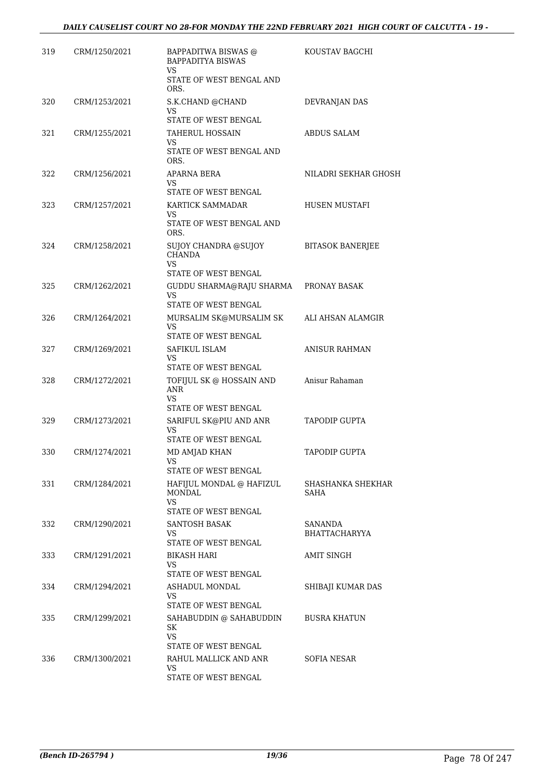| 319 | CRM/1250/2021 | BAPPADITWA BISWAS @<br><b>BAPPADITYA BISWAS</b><br>VS                          | KOUSTAV BAGCHI            |
|-----|---------------|--------------------------------------------------------------------------------|---------------------------|
|     |               | STATE OF WEST BENGAL AND<br>ORS.                                               |                           |
| 320 | CRM/1253/2021 | S.K.CHAND @CHAND<br>VS<br>STATE OF WEST BENGAL                                 | DEVRANJAN DAS             |
| 321 | CRM/1255/2021 | TAHERUL HOSSAIN<br>VS.<br>STATE OF WEST BENGAL AND<br>ORS.                     | ABDUS SALAM               |
| 322 | CRM/1256/2021 | APARNA BERA<br>VS.<br>STATE OF WEST BENGAL                                     | NILADRI SEKHAR GHOSH      |
| 323 | CRM/1257/2021 | KARTICK SAMMADAR<br>VS.<br>STATE OF WEST BENGAL AND                            | HUSEN MUSTAFI             |
| 324 | CRM/1258/2021 | ORS.<br>SUJOY CHANDRA @SUJOY<br><b>CHANDA</b><br>VS                            | <b>BITASOK BANERJEE</b>   |
| 325 | CRM/1262/2021 | STATE OF WEST BENGAL<br>GUDDU SHARMA@RAJU SHARMA<br>VS<br>STATE OF WEST BENGAL | PRONAY BASAK              |
| 326 | CRM/1264/2021 | MURSALIM SK@MURSALIM SK<br>VS<br>STATE OF WEST BENGAL                          | ALI AHSAN ALAMGIR         |
| 327 | CRM/1269/2021 | SAFIKUL ISLAM<br><b>VS</b><br>STATE OF WEST BENGAL                             | <b>ANISUR RAHMAN</b>      |
| 328 | CRM/1272/2021 | TOFIJUL SK @ HOSSAIN AND<br>ANR<br>VS<br>STATE OF WEST BENGAL                  | Anisur Rahaman            |
| 329 | CRM/1273/2021 | SARIFUL SK@PIU AND ANR<br>VS<br>STATE OF WEST BENGAL                           | <b>TAPODIP GUPTA</b>      |
| 330 | CRM/1274/2021 | MD AMJAD KHAN<br>VS<br>STATE OF WEST BENGAL                                    | <b>TAPODIP GUPTA</b>      |
| 331 | CRM/1284/2021 | HAFIJUL MONDAL @ HAFIZUL<br>MONDAL<br>VS.<br>STATE OF WEST BENGAL              | SHASHANKA SHEKHAR<br>SAHA |
| 332 | CRM/1290/2021 | SANTOSH BASAK<br>VS.<br>STATE OF WEST BENGAL                                   | SANANDA<br>BHATTACHARYYA  |
| 333 | CRM/1291/2021 | <b>BIKASH HARI</b><br>VS<br>STATE OF WEST BENGAL                               | <b>AMIT SINGH</b>         |
| 334 | CRM/1294/2021 | ASHADUL MONDAL<br>VS.<br>STATE OF WEST BENGAL                                  | SHIBAJI KUMAR DAS         |
| 335 | CRM/1299/2021 | SAHABUDDIN @ SAHABUDDIN<br>SK<br>VS.<br>STATE OF WEST BENGAL                   | <b>BUSRA KHATUN</b>       |
| 336 | CRM/1300/2021 | RAHUL MALLICK AND ANR<br>VS<br>STATE OF WEST BENGAL                            | <b>SOFIA NESAR</b>        |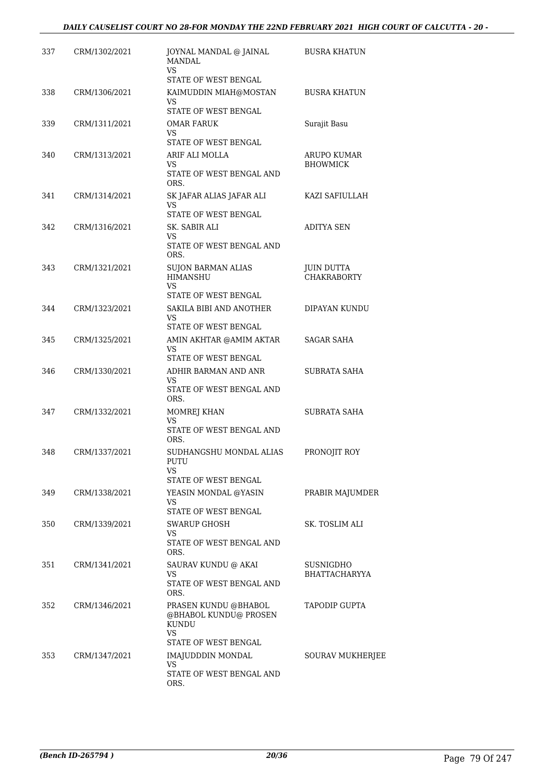| 337 | CRM/1302/2021 | JOYNAL MANDAL @ JAINAL<br><b>MANDAL</b><br>VS.                | <b>BUSRA KHATUN</b>                     |
|-----|---------------|---------------------------------------------------------------|-----------------------------------------|
|     |               | STATE OF WEST BENGAL                                          |                                         |
| 338 | CRM/1306/2021 | KAIMUDDIN MIAH@MOSTAN<br>VS                                   | <b>BUSRA KHATUN</b>                     |
|     |               | <b>STATE OF WEST BENGAL</b>                                   |                                         |
| 339 | CRM/1311/2021 | <b>OMAR FARUK</b><br>VS                                       | Surajit Basu                            |
|     |               | STATE OF WEST BENGAL                                          |                                         |
| 340 | CRM/1313/2021 | ARIF ALI MOLLA<br>VS.                                         | ARUPO KUMAR<br><b>BHOWMICK</b>          |
|     |               | STATE OF WEST BENGAL AND<br>ORS.                              |                                         |
| 341 | CRM/1314/2021 | SK JAFAR ALIAS JAFAR ALI<br>VS                                | KAZI SAFIULLAH                          |
|     |               | STATE OF WEST BENGAL                                          |                                         |
| 342 | CRM/1316/2021 | SK. SABIR ALI<br>VS                                           | <b>ADITYA SEN</b>                       |
|     |               | STATE OF WEST BENGAL AND<br>ORS.                              |                                         |
| 343 | CRM/1321/2021 | <b>SUJON BARMAN ALIAS</b><br><b>HIMANSHU</b>                  | <b>JUIN DUTTA</b><br><b>CHAKRABORTY</b> |
|     |               | VS.                                                           |                                         |
|     |               | <b>STATE OF WEST BENGAL</b>                                   |                                         |
| 344 | CRM/1323/2021 | SAKILA BIBI AND ANOTHER<br>VS<br>STATE OF WEST BENGAL         | DIPAYAN KUNDU                           |
| 345 | CRM/1325/2021 | AMIN AKHTAR @AMIM AKTAR                                       | SAGAR SAHA                              |
|     |               | VS.                                                           |                                         |
|     |               | STATE OF WEST BENGAL                                          |                                         |
| 346 | CRM/1330/2021 | ADHIR BARMAN AND ANR<br>VS.<br>STATE OF WEST BENGAL AND       | <b>SUBRATA SAHA</b>                     |
|     |               | ORS.                                                          |                                         |
| 347 | CRM/1332/2021 | MOMREJ KHAN<br><b>VS</b>                                      | SUBRATA SAHA                            |
|     |               | STATE OF WEST BENGAL AND<br>ORS.                              |                                         |
| 348 | CRM/1337/2021 | SUDHANGSHU MONDAL ALIAS<br>PUTU                               | PRONOJIT ROY                            |
|     |               | VS<br>STATE OF WEST BENGAL                                    |                                         |
| 349 | CRM/1338/2021 | YEASIN MONDAL @YASIN                                          | PRABIR MAJUMDER                         |
|     |               | VS<br>STATE OF WEST BENGAL                                    |                                         |
| 350 | CRM/1339/2021 | SWARUP GHOSH                                                  | SK. TOSLIM ALI                          |
|     |               | VS<br>STATE OF WEST BENGAL AND                                |                                         |
| 351 |               | ORS.                                                          |                                         |
|     | CRM/1341/2021 | SAURAV KUNDU @ AKAI<br>VS                                     | SUSNIGDHO<br><b>BHATTACHARYYA</b>       |
|     |               | STATE OF WEST BENGAL AND<br>ORS.                              |                                         |
| 352 | CRM/1346/2021 | PRASEN KUNDU @BHABOL<br>@BHABOL KUNDU@ PROSEN<br><b>KUNDU</b> | TAPODIP GUPTA                           |
|     |               | VS<br>STATE OF WEST BENGAL                                    |                                         |
| 353 | CRM/1347/2021 | IMAJUDDDIN MONDAL<br>VS                                       | <b>SOURAV MUKHERJEE</b>                 |
|     |               | STATE OF WEST BENGAL AND<br>ORS.                              |                                         |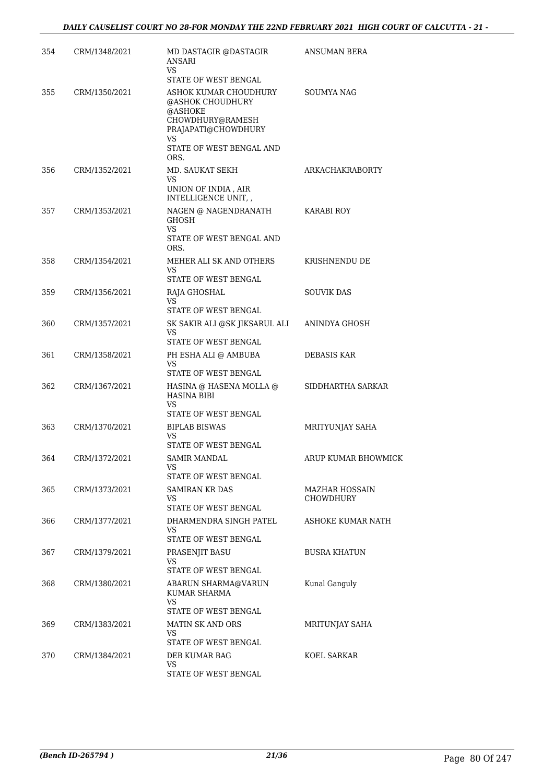| 354 | CRM/1348/2021 | MD DASTAGIR @DASTAGIR<br>ANSARI<br>VS.                                      | ANSUMAN BERA                       |
|-----|---------------|-----------------------------------------------------------------------------|------------------------------------|
| 355 | CRM/1350/2021 | STATE OF WEST BENGAL<br>ASHOK KUMAR CHOUDHURY                               | SOUMYA NAG                         |
|     |               | @ASHOK CHOUDHURY<br>@ASHOKE<br>CHOWDHURY@RAMESH<br>PRAJAPATI@CHOWDHURY      |                                    |
|     |               | <b>VS</b><br>STATE OF WEST BENGAL AND<br>ORS.                               |                                    |
| 356 | CRM/1352/2021 | MD. SAUKAT SEKH<br><b>VS</b><br>UNION OF INDIA, AIR<br>INTELLIGENCE UNIT, , | <b>ARKACHAKRABORTY</b>             |
| 357 | CRM/1353/2021 | NAGEN @ NAGENDRANATH<br><b>GHOSH</b><br>VS.                                 | <b>KARABI ROY</b>                  |
|     |               | STATE OF WEST BENGAL AND<br>ORS.                                            |                                    |
| 358 | CRM/1354/2021 | MEHER ALI SK AND OTHERS<br><b>VS</b><br>STATE OF WEST BENGAL                | KRISHNENDU DE                      |
| 359 | CRM/1356/2021 | RAJA GHOSHAL                                                                | <b>SOUVIK DAS</b>                  |
|     |               | VS<br>STATE OF WEST BENGAL                                                  |                                    |
| 360 | CRM/1357/2021 | SK SAKIR ALI @SK JIKSARUL ALI<br><b>VS</b><br>STATE OF WEST BENGAL          | ANINDYA GHOSH                      |
| 361 | CRM/1358/2021 | PH ESHA ALI @ AMBUBA<br>VS<br>STATE OF WEST BENGAL                          | DEBASIS KAR                        |
| 362 | CRM/1367/2021 | HASINA @ HASENA MOLLA @<br><b>HASINA BIBI</b><br><b>VS</b>                  | SIDDHARTHA SARKAR                  |
| 363 | CRM/1370/2021 | STATE OF WEST BENGAL<br><b>BIPLAB BISWAS</b><br>VS                          | MRITYUNJAY SAHA                    |
| 364 | CRM/1372/2021 | STATE OF WEST BENGAL<br><b>SAMIR MANDAL</b><br>VS                           | ARUP KUMAR BHOWMICK                |
|     |               | STATE OF WEST BENGAL                                                        |                                    |
| 365 | CRM/1373/2021 | <b>SAMIRAN KR DAS</b><br>VS<br>STATE OF WEST BENGAL                         | MAZHAR HOSSAIN<br><b>CHOWDHURY</b> |
| 366 | CRM/1377/2021 | DHARMENDRA SINGH PATEL<br>VS<br>STATE OF WEST BENGAL                        | ASHOKE KUMAR NATH                  |
| 367 | CRM/1379/2021 | PRASENJIT BASU<br>VS                                                        | <b>BUSRA KHATUN</b>                |
| 368 | CRM/1380/2021 | STATE OF WEST BENGAL<br>ABARUN SHARMA@VARUN                                 | Kunal Ganguly                      |
|     |               | KUMAR SHARMA<br>VS.                                                         |                                    |
| 369 | CRM/1383/2021 | STATE OF WEST BENGAL<br><b>MATIN SK AND ORS</b><br>VS                       | MRITUNJAY SAHA                     |
|     |               | STATE OF WEST BENGAL                                                        |                                    |
| 370 | CRM/1384/2021 | DEB KUMAR BAG<br><b>VS</b>                                                  | KOEL SARKAR                        |
|     |               | STATE OF WEST BENGAL                                                        |                                    |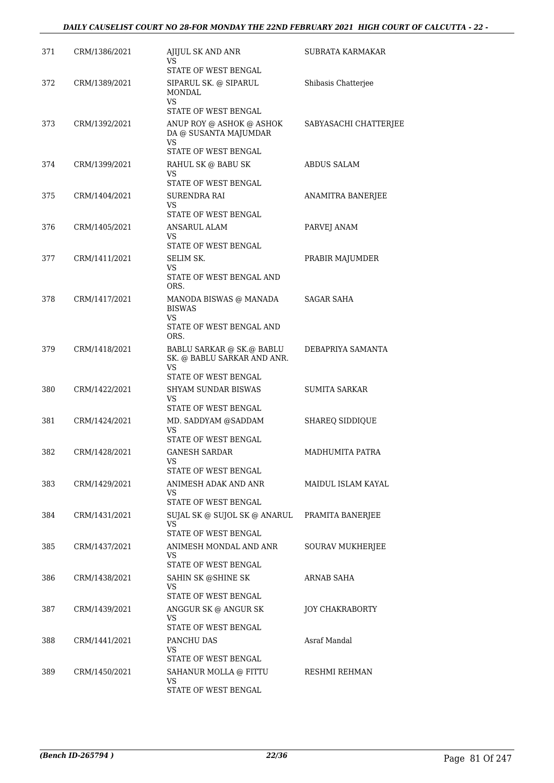#### *DAILY CAUSELIST COURT NO 28-FOR MONDAY THE 22ND FEBRUARY 2021 HIGH COURT OF CALCUTTA - 22 -*

| 371 | CRM/1386/2021 | AJIJUL SK AND ANR<br>VS                                                                | SUBRATA KARMAKAR       |
|-----|---------------|----------------------------------------------------------------------------------------|------------------------|
|     |               | STATE OF WEST BENGAL                                                                   |                        |
| 372 | CRM/1389/2021 | SIPARUL SK. @ SIPARUL<br><b>MONDAL</b><br>VS.                                          | Shibasis Chatterjee    |
|     |               | STATE OF WEST BENGAL                                                                   |                        |
| 373 | CRM/1392/2021 | ANUP ROY @ ASHOK @ ASHOK<br>DA @ SUSANTA MAJUMDAR<br><b>VS</b><br>STATE OF WEST BENGAL | SABYASACHI CHATTERJEE  |
| 374 | CRM/1399/2021 | RAHUL SK @ BABU SK<br>VS                                                               | ABDUS SALAM            |
|     |               | STATE OF WEST BENGAL                                                                   |                        |
| 375 | CRM/1404/2021 | SURENDRA RAI<br>VS                                                                     | ANAMITRA BANERJEE      |
|     |               | STATE OF WEST BENGAL                                                                   |                        |
| 376 | CRM/1405/2021 | <b>ANSARUL ALAM</b><br>VS<br>STATE OF WEST BENGAL                                      | PARVEJ ANAM            |
| 377 | CRM/1411/2021 | <b>SELIM SK.</b>                                                                       |                        |
|     |               | VS.<br>STATE OF WEST BENGAL AND                                                        | PRABIR MAJUMDER        |
|     |               | ORS.                                                                                   |                        |
| 378 | CRM/1417/2021 | MANODA BISWAS @ MANADA<br><b>BISWAS</b><br>VS                                          | SAGAR SAHA             |
|     |               | STATE OF WEST BENGAL AND<br>ORS.                                                       |                        |
| 379 | CRM/1418/2021 | BABLU SARKAR @ SK.@ BABLU<br>SK. @ BABLU SARKAR AND ANR.<br><b>VS</b>                  | DEBAPRIYA SAMANTA      |
|     |               | STATE OF WEST BENGAL                                                                   |                        |
| 380 | CRM/1422/2021 | SHYAM SUNDAR BISWAS<br>VS                                                              | <b>SUMITA SARKAR</b>   |
|     |               | STATE OF WEST BENGAL                                                                   |                        |
| 381 | CRM/1424/2021 | MD. SADDYAM @SADDAM<br>VS<br>STATE OF WEST BENGAL                                      | <b>SHAREQ SIDDIQUE</b> |
| 382 | CRM/1428/2021 | GANESH SARDAR                                                                          | MADHUMITA PATRA        |
|     |               | VS<br>STATE OF WEST BENGAL                                                             |                        |
| 383 | CRM/1429/2021 | ANIMESH ADAK AND ANR<br>VS.                                                            | MAIDUL ISLAM KAYAL     |
|     |               | STATE OF WEST BENGAL                                                                   |                        |
| 384 | CRM/1431/2021 | SUJAL SK @ SUJOL SK @ ANARUL<br>VS<br>STATE OF WEST BENGAL                             | PRAMITA BANERJEE       |
| 385 | CRM/1437/2021 | ANIMESH MONDAL AND ANR<br>VS                                                           | SOURAV MUKHERJEE       |
|     |               | STATE OF WEST BENGAL                                                                   |                        |
| 386 | CRM/1438/2021 | SAHIN SK @SHINE SK<br>VS                                                               | ARNAB SAHA             |
|     |               | STATE OF WEST BENGAL                                                                   |                        |
| 387 | CRM/1439/2021 | ANGGUR SK @ ANGUR SK<br>VS.<br>STATE OF WEST BENGAL                                    | <b>JOY CHAKRABORTY</b> |
| 388 | CRM/1441/2021 | PANCHU DAS                                                                             | Asraf Mandal           |
|     |               | VS<br>STATE OF WEST BENGAL                                                             |                        |
| 389 | CRM/1450/2021 | SAHANUR MOLLA @ FITTU                                                                  | RESHMI REHMAN          |
|     |               | VS<br>STATE OF WEST BENGAL                                                             |                        |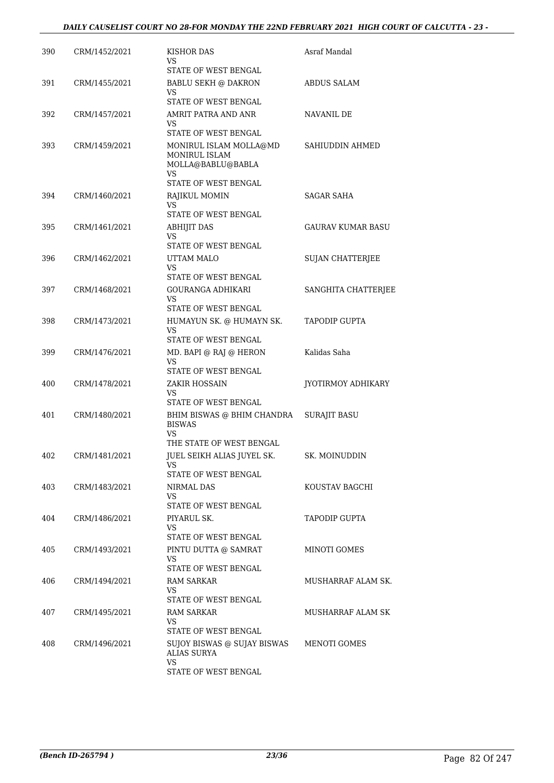#### *DAILY CAUSELIST COURT NO 28-FOR MONDAY THE 22ND FEBRUARY 2021 HIGH COURT OF CALCUTTA - 23 -*

| 390 | CRM/1452/2021 | KISHOR DAS<br>VS<br>STATE OF WEST BENGAL                                  | Asraf Mandal             |
|-----|---------------|---------------------------------------------------------------------------|--------------------------|
| 391 | CRM/1455/2021 | <b>BABLU SEKH @ DAKRON</b><br>VS                                          | <b>ABDUS SALAM</b>       |
|     |               | STATE OF WEST BENGAL                                                      |                          |
| 392 | CRM/1457/2021 | AMRIT PATRA AND ANR<br>VS.<br>STATE OF WEST BENGAL                        | NAVANIL DE               |
|     |               |                                                                           |                          |
| 393 | CRM/1459/2021 | MONIRUL ISLAM MOLLA@MD<br><b>MONIRUL ISLAM</b><br>MOLLA@BABLU@BABLA<br>VS | SAHIUDDIN AHMED          |
|     |               | STATE OF WEST BENGAL                                                      |                          |
| 394 | CRM/1460/2021 | RAJIKUL MOMIN<br>VS.<br>STATE OF WEST BENGAL                              | <b>SAGAR SAHA</b>        |
| 395 | CRM/1461/2021 | <b>ABHIJIT DAS</b>                                                        | <b>GAURAV KUMAR BASU</b> |
|     |               | VS<br>STATE OF WEST BENGAL                                                |                          |
| 396 | CRM/1462/2021 | UTTAM MALO                                                                | <b>SUJAN CHATTERJEE</b>  |
|     |               | VS.<br>STATE OF WEST BENGAL                                               |                          |
| 397 | CRM/1468/2021 | GOURANGA ADHIKARI                                                         | SANGHITA CHATTERJEE      |
|     |               | VS<br>STATE OF WEST BENGAL                                                |                          |
| 398 | CRM/1473/2021 | HUMAYUN SK. @ HUMAYN SK.                                                  | <b>TAPODIP GUPTA</b>     |
|     |               | VS.                                                                       |                          |
|     |               | STATE OF WEST BENGAL                                                      |                          |
| 399 | CRM/1476/2021 | MD. BAPI @ RAJ @ HERON<br>VS.<br>STATE OF WEST BENGAL                     | Kalidas Saha             |
| 400 | CRM/1478/2021 | ZAKIR HOSSAIN                                                             | JYOTIRMOY ADHIKARY       |
|     |               | VS<br>STATE OF WEST BENGAL                                                |                          |
| 401 | CRM/1480/2021 | BHIM BISWAS @ BHIM CHANDRA                                                | <b>SURAJIT BASU</b>      |
|     |               | <b>BISWAS</b><br>VS.                                                      |                          |
|     |               | THE STATE OF WEST BENGAL                                                  |                          |
| 402 | CRM/1481/2021 | JUEL SEIKH ALIAS JUYEL SK.<br>VS                                          | SK. MOINUDDIN            |
|     |               | STATE OF WEST BENGAL                                                      |                          |
| 403 | CRM/1483/2021 | NIRMAL DAS<br>VS.<br>STATE OF WEST BENGAL                                 | KOUSTAV BAGCHI           |
| 404 | CRM/1486/2021 | PIYARUL SK.                                                               | <b>TAPODIP GUPTA</b>     |
|     |               | VS                                                                        |                          |
|     |               | STATE OF WEST BENGAL                                                      |                          |
| 405 | CRM/1493/2021 | PINTU DUTTA @ SAMRAT<br>VS.<br>STATE OF WEST BENGAL                       | MINOTI GOMES             |
| 406 | CRM/1494/2021 | RAM SARKAR                                                                | MUSHARRAF ALAM SK.       |
|     |               | VS.<br>STATE OF WEST BENGAL                                               |                          |
| 407 | CRM/1495/2021 | RAM SARKAR                                                                | MUSHARRAF ALAM SK        |
|     |               | VS.<br>STATE OF WEST BENGAL                                               |                          |
| 408 | CRM/1496/2021 | SUJOY BISWAS @ SUJAY BISWAS<br><b>ALIAS SURYA</b>                         | MENOTI GOMES             |
|     |               | VS<br>STATE OF WEST BENGAL                                                |                          |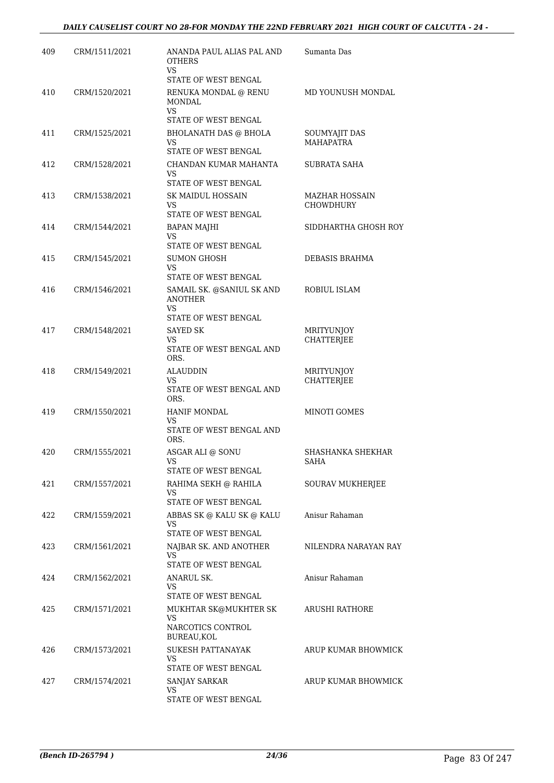| 409 | CRM/1511/2021 | ANANDA PAUL ALIAS PAL AND<br><b>OTHERS</b><br>VS.                          | Sumanta Das                               |
|-----|---------------|----------------------------------------------------------------------------|-------------------------------------------|
| 410 | CRM/1520/2021 | STATE OF WEST BENGAL<br>RENUKA MONDAL @ RENU<br>MONDAL                     | MD YOUNUSH MONDAL                         |
| 411 | CRM/1525/2021 | <b>VS</b><br>STATE OF WEST BENGAL<br><b>BHOLANATH DAS @ BHOLA</b>          | SOUMYAJIT DAS                             |
|     |               | VS<br>STATE OF WEST BENGAL                                                 | MAHAPATRA                                 |
| 412 | CRM/1528/2021 | CHANDAN KUMAR MAHANTA<br>VS<br>STATE OF WEST BENGAL                        | SUBRATA SAHA                              |
| 413 | CRM/1538/2021 | <b>SK MAIDUL HOSSAIN</b><br>VS<br>STATE OF WEST BENGAL                     | <b>MAZHAR HOSSAIN</b><br><b>CHOWDHURY</b> |
| 414 | CRM/1544/2021 | <b>BAPAN MAJHI</b><br><b>VS</b>                                            | SIDDHARTHA GHOSH ROY                      |
| 415 | CRM/1545/2021 | STATE OF WEST BENGAL<br><b>SUMON GHOSH</b><br>VS<br>STATE OF WEST BENGAL   | DEBASIS BRAHMA                            |
| 416 | CRM/1546/2021 | SAMAIL SK. @SANIUL SK AND<br><b>ANOTHER</b><br>VS.<br>STATE OF WEST BENGAL | ROBIUL ISLAM                              |
| 417 | CRM/1548/2021 | SAYED SK<br>VS<br>STATE OF WEST BENGAL AND<br>ORS.                         | <b>MRITYUNJOY</b><br>CHATTERJEE           |
| 418 | CRM/1549/2021 | ALAUDDIN<br><b>VS</b><br>STATE OF WEST BENGAL AND<br>ORS.                  | MRITYUNJOY<br><b>CHATTERJEE</b>           |
| 419 | CRM/1550/2021 | <b>HANIF MONDAL</b><br>VS<br>STATE OF WEST BENGAL AND<br>ORS.              | MINOTI GOMES                              |
| 420 | CRM/1555/2021 | ASGAR ALI @ SONU<br>STATE OF WEST BENGAL                                   | SHASHANKA SHEKHAR<br>SAHA                 |
| 421 | CRM/1557/2021 | RAHIMA SEKH @ RAHILA<br>VS.<br>STATE OF WEST BENGAL                        | SOURAV MUKHERJEE                          |
| 422 | CRM/1559/2021 | ABBAS SK @ KALU SK @ KALU<br>VS<br>STATE OF WEST BENGAL                    | Anisur Rahaman                            |
| 423 | CRM/1561/2021 | NAJBAR SK. AND ANOTHER<br>VS<br>STATE OF WEST BENGAL                       | NILENDRA NARAYAN RAY                      |
| 424 | CRM/1562/2021 | <b>ANARUL SK.</b><br>VS<br>STATE OF WEST BENGAL                            | Anisur Rahaman                            |
| 425 | CRM/1571/2021 | MUKHTAR SK@MUKHTER SK<br>VS<br>NARCOTICS CONTROL<br>BUREAU, KOL            | ARUSHI RATHORE                            |
| 426 | CRM/1573/2021 | SUKESH PATTANAYAK<br>VS.<br>STATE OF WEST BENGAL                           | ARUP KUMAR BHOWMICK                       |
| 427 | CRM/1574/2021 | SANJAY SARKAR<br>VS.<br>STATE OF WEST BENGAL                               | ARUP KUMAR BHOWMICK                       |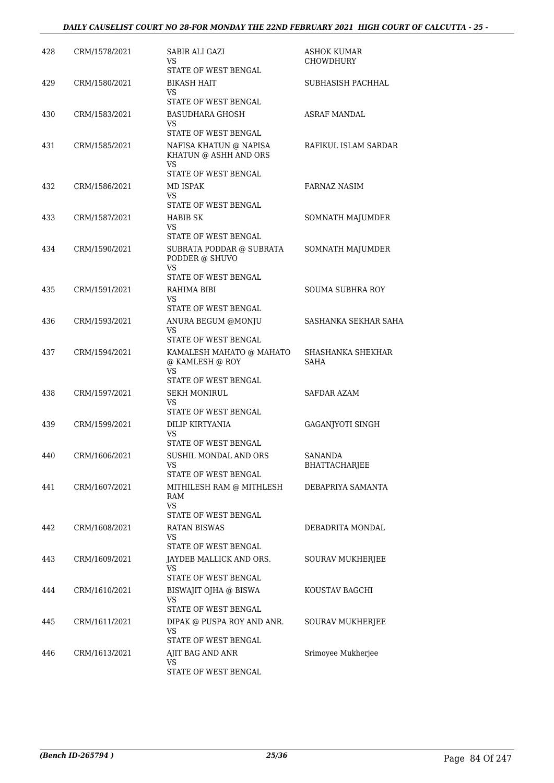| 428 | CRM/1578/2021 | SABIR ALI GAZI<br>VS<br>STATE OF WEST BENGAL                                  | <b>ASHOK KUMAR</b><br><b>CHOWDHURY</b> |
|-----|---------------|-------------------------------------------------------------------------------|----------------------------------------|
| 429 | CRM/1580/2021 | BIKASH HAIT<br>VS.<br>STATE OF WEST BENGAL                                    | SUBHASISH PACHHAL                      |
| 430 | CRM/1583/2021 | <b>BASUDHARA GHOSH</b><br>VS<br>STATE OF WEST BENGAL                          | <b>ASRAF MANDAL</b>                    |
| 431 | CRM/1585/2021 | NAFISA KHATUN @ NAPISA<br>KHATUN @ ASHH AND ORS<br>VS<br>STATE OF WEST BENGAL | RAFIKUL ISLAM SARDAR                   |
| 432 | CRM/1586/2021 | MD ISPAK<br>VS<br>STATE OF WEST BENGAL                                        | FARNAZ NASIM                           |
| 433 | CRM/1587/2021 | HABIB SK<br>VS<br>STATE OF WEST BENGAL                                        | SOMNATH MAJUMDER                       |
| 434 | CRM/1590/2021 | SUBRATA PODDAR @ SUBRATA<br>PODDER @ SHUVO<br>VS                              | SOMNATH MAJUMDER                       |
| 435 | CRM/1591/2021 | STATE OF WEST BENGAL<br>RAHIMA BIBI<br>VS<br>STATE OF WEST BENGAL             | SOUMA SUBHRA ROY                       |
| 436 | CRM/1593/2021 | ANURA BEGUM @MONJU<br>VS<br>STATE OF WEST BENGAL                              | SASHANKA SEKHAR SAHA                   |
| 437 | CRM/1594/2021 | KAMALESH MAHATO @ MAHATO<br>@ KAMLESH @ ROY<br>VS<br>STATE OF WEST BENGAL     | SHASHANKA SHEKHAR<br><b>SAHA</b>       |
| 438 | CRM/1597/2021 | SEKH MONIRUL<br>VS<br>STATE OF WEST BENGAL                                    | SAFDAR AZAM                            |
| 439 | CRM/1599/2021 | <b>DILIP KIRTYANIA</b><br>VS<br>STATE OF WEST BENGAL                          | <b>GAGANJYOTI SINGH</b>                |
| 440 | CRM/1606/2021 | SUSHIL MONDAL AND ORS<br>VS<br>STATE OF WEST BENGAL                           | SANANDA<br>BHATTACHARJEE               |
| 441 | CRM/1607/2021 | MITHILESH RAM @ MITHLESH<br>RAM<br>VS<br>STATE OF WEST BENGAL                 | DEBAPRIYA SAMANTA                      |
| 442 | CRM/1608/2021 | <b>RATAN BISWAS</b><br>VS<br>STATE OF WEST BENGAL                             | DEBADRITA MONDAL                       |
| 443 | CRM/1609/2021 | JAYDEB MALLICK AND ORS.<br>VS<br>STATE OF WEST BENGAL                         | SOURAV MUKHERJEE                       |
| 444 | CRM/1610/2021 | BISWAJIT OJHA @ BISWA<br>VS<br>STATE OF WEST BENGAL                           | KOUSTAV BAGCHI                         |
| 445 | CRM/1611/2021 | DIPAK @ PUSPA ROY AND ANR.<br>VS<br>STATE OF WEST BENGAL                      | SOURAV MUKHERJEE                       |
| 446 | CRM/1613/2021 | AJIT BAG AND ANR<br>VS<br>STATE OF WEST BENGAL                                | Srimoyee Mukherjee                     |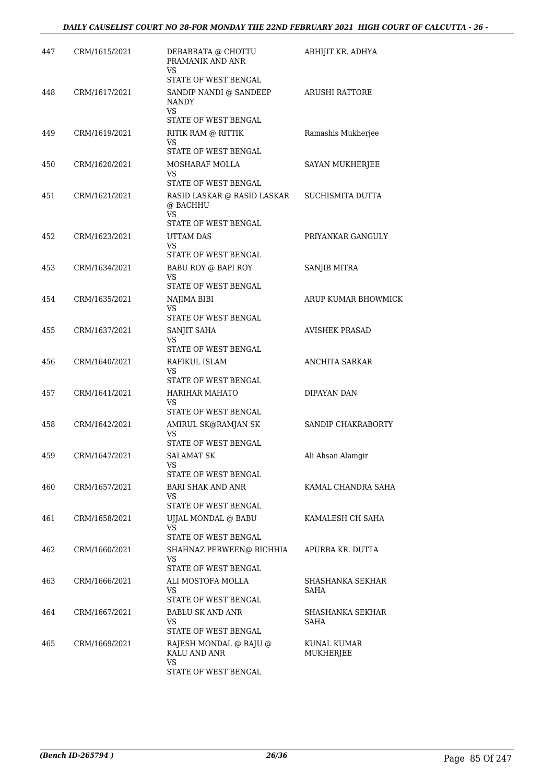| 447 | CRM/1615/2021 | DEBABRATA @ CHOTTU<br>PRAMANIK AND ANR<br>VS           | ABHIJIT KR. ADHYA        |
|-----|---------------|--------------------------------------------------------|--------------------------|
|     |               | STATE OF WEST BENGAL                                   |                          |
| 448 | CRM/1617/2021 | SANDIP NANDI @ SANDEEP<br><b>NANDY</b><br>VS           | <b>ARUSHI RATTORE</b>    |
|     |               | STATE OF WEST BENGAL                                   |                          |
| 449 | CRM/1619/2021 | RITIK RAM @ RITTIK                                     | Ramashis Mukherjee       |
|     |               | VS<br>STATE OF WEST BENGAL                             |                          |
| 450 | CRM/1620/2021 | MOSHARAF MOLLA                                         | SAYAN MUKHERJEE          |
|     |               | VS<br>STATE OF WEST BENGAL                             |                          |
| 451 | CRM/1621/2021 | RASID LASKAR @ RASID LASKAR<br>@ BACHHU<br>VS          | SUCHISMITA DUTTA         |
|     |               | STATE OF WEST BENGAL                                   |                          |
| 452 | CRM/1623/2021 | UTTAM DAS<br><b>VS</b>                                 | PRIYANKAR GANGULY        |
| 453 | CRM/1634/2021 | STATE OF WEST BENGAL<br>BABU ROY @ BAPI ROY            | SANJIB MITRA             |
|     |               | VS                                                     |                          |
|     |               | STATE OF WEST BENGAL                                   |                          |
| 454 | CRM/1635/2021 | NAJIMA BIBI<br><b>VS</b>                               | ARUP KUMAR BHOWMICK      |
|     |               | STATE OF WEST BENGAL                                   |                          |
| 455 | CRM/1637/2021 | SANJIT SAHA<br>VS<br>STATE OF WEST BENGAL              | <b>AVISHEK PRASAD</b>    |
| 456 | CRM/1640/2021 | RAFIKUL ISLAM                                          | <b>ANCHITA SARKAR</b>    |
|     |               | VS                                                     |                          |
| 457 | CRM/1641/2021 | STATE OF WEST BENGAL<br>HARIHAR MAHATO                 | DIPAYAN DAN              |
|     |               | VS<br>STATE OF WEST BENGAL                             |                          |
| 458 | CRM/1642/2021 | AMIRUL SK@RAMJAN SK                                    | SANDIP CHAKRABORTY       |
|     |               | VS<br>STATE OF WEST BENGAL                             |                          |
| 459 | CRM/1647/2021 | <b>SALAMAT SK</b>                                      | Ali Ahsan Alamgir        |
|     |               | VS                                                     |                          |
| 460 | CRM/1657/2021 | STATE OF WEST BENGAL<br>BARI SHAK AND ANR              | KAMAL CHANDRA SAHA       |
|     |               | VS                                                     |                          |
| 461 |               | STATE OF WEST BENGAL                                   | KAMALESH CH SAHA         |
|     | CRM/1658/2021 | UJJAL MONDAL @ BABU<br>VS                              |                          |
|     |               | STATE OF WEST BENGAL                                   |                          |
| 462 | CRM/1660/2021 | SHAHNAZ PERWEEN@ BICHHIA<br>VS<br>STATE OF WEST BENGAL | APURBA KR. DUTTA         |
| 463 | CRM/1666/2021 | ALI MOSTOFA MOLLA                                      | SHASHANKA SEKHAR         |
|     |               | VS<br>STATE OF WEST BENGAL                             | SAHA                     |
| 464 | CRM/1667/2021 | BABLU SK AND ANR                                       | SHASHANKA SEKHAR         |
|     |               | VS<br>STATE OF WEST BENGAL                             | SAHA                     |
| 465 | CRM/1669/2021 | RAJESH MONDAL @ RAJU @<br>KALU AND ANR                 | KUNAL KUMAR<br>MUKHERJEE |
|     |               | VS<br>STATE OF WEST BENGAL                             |                          |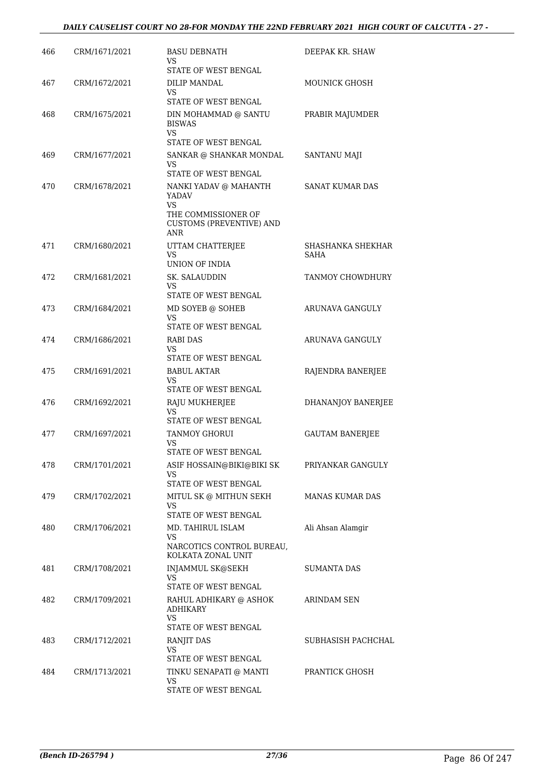#### *DAILY CAUSELIST COURT NO 28-FOR MONDAY THE 22ND FEBRUARY 2021 HIGH COURT OF CALCUTTA - 27 -*

| 466 | CRM/1671/2021 | <b>BASU DEBNATH</b><br>VS<br>STATE OF WEST BENGAL                                                                   | DEEPAK KR. SHAW           |
|-----|---------------|---------------------------------------------------------------------------------------------------------------------|---------------------------|
| 467 | CRM/1672/2021 | DILIP MANDAL                                                                                                        | MOUNICK GHOSH             |
| 468 | CRM/1675/2021 | VS<br>STATE OF WEST BENGAL<br>DIN MOHAMMAD @ SANTU<br><b>BISWAS</b>                                                 | PRABIR MAJUMDER           |
|     |               | VS.<br>STATE OF WEST BENGAL                                                                                         |                           |
| 469 | CRM/1677/2021 | SANKAR @ SHANKAR MONDAL<br>VS.<br><b>STATE OF WEST BENGAL</b>                                                       | <b>SANTANU MAJI</b>       |
| 470 | CRM/1678/2021 | NANKI YADAV @ MAHANTH<br>YADAV<br><b>VS</b><br>THE COMMISSIONER OF<br><b>CUSTOMS (PREVENTIVE) AND</b><br><b>ANR</b> | <b>SANAT KUMAR DAS</b>    |
| 471 | CRM/1680/2021 | UTTAM CHATTERJEE<br><b>VS</b><br>UNION OF INDIA                                                                     | SHASHANKA SHEKHAR<br>SAHA |
| 472 | CRM/1681/2021 | SK. SALAUDDIN<br>VS<br>STATE OF WEST BENGAL                                                                         | TANMOY CHOWDHURY          |
| 473 | CRM/1684/2021 | MD SOYEB @ SOHEB<br>VS<br>STATE OF WEST BENGAL                                                                      | ARUNAVA GANGULY           |
| 474 | CRM/1686/2021 | RABI DAS<br>VS<br>STATE OF WEST BENGAL                                                                              | ARUNAVA GANGULY           |
| 475 | CRM/1691/2021 | BABUL AKTAR<br>VS<br>STATE OF WEST BENGAL                                                                           | RAJENDRA BANERJEE         |
| 476 | CRM/1692/2021 | RAJU MUKHERJEE<br><b>VS</b><br>STATE OF WEST BENGAL                                                                 | <b>DHANANJOY BANERJEE</b> |
| 477 | CRM/1697/2021 | <b>TANMOY GHORUI</b><br>VS<br>STATE OF WEST BENGAL                                                                  | <b>GAUTAM BANERJEE</b>    |
| 478 | CRM/1701/2021 | ASIF HOSSAIN@BIKI@BIKI SK<br>VS<br>STATE OF WEST BENGAL                                                             | PRIYANKAR GANGULY         |
| 479 | CRM/1702/2021 | MITUL SK @ MITHUN SEKH<br>VS<br>STATE OF WEST BENGAL                                                                | <b>MANAS KUMAR DAS</b>    |
| 480 | CRM/1706/2021 | MD. TAHIRUL ISLAM<br>VS<br>NARCOTICS CONTROL BUREAU,<br>KOLKATA ZONAL UNIT                                          | Ali Ahsan Alamgir         |
| 481 | CRM/1708/2021 | INJAMMUL SK@SEKH<br>VS<br>STATE OF WEST BENGAL                                                                      | <b>SUMANTA DAS</b>        |
| 482 | CRM/1709/2021 | RAHUL ADHIKARY @ ASHOK<br><b>ADHIKARY</b><br><b>VS</b><br>STATE OF WEST BENGAL                                      | ARINDAM SEN               |
| 483 | CRM/1712/2021 | RANJIT DAS<br>VS<br>STATE OF WEST BENGAL                                                                            | SUBHASISH PACHCHAL        |
| 484 | CRM/1713/2021 | TINKU SENAPATI @ MANTI<br>VS<br>STATE OF WEST BENGAL                                                                | PRANTICK GHOSH            |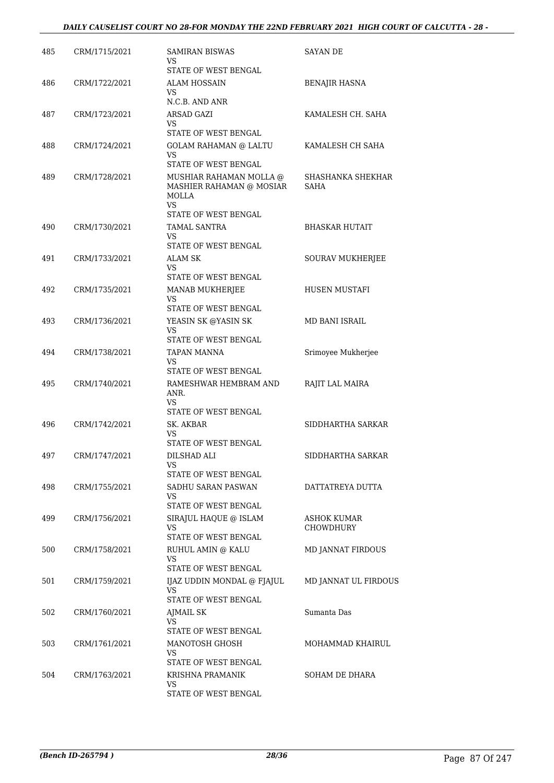| 485 | CRM/1715/2021 | <b>SAMIRAN BISWAS</b><br>VS<br>STATE OF WEST BENGAL                       | SAYAN DE                        |
|-----|---------------|---------------------------------------------------------------------------|---------------------------------|
| 486 | CRM/1722/2021 | ALAM HOSSAIN<br>VS.<br>N.C.B. AND ANR                                     | BENAJIR HASNA                   |
| 487 | CRM/1723/2021 | ARSAD GAZI<br>VS<br>STATE OF WEST BENGAL                                  | KAMALESH CH. SAHA               |
| 488 | CRM/1724/2021 | <b>GOLAM RAHAMAN @ LALTU</b><br>VS.<br>STATE OF WEST BENGAL               | KAMALESH CH SAHA                |
| 489 | CRM/1728/2021 | MUSHIAR RAHAMAN MOLLA @<br>MASHIER RAHAMAN @ MOSIAR<br>MOLLA<br><b>VS</b> | SHASHANKA SHEKHAR<br>SAHA       |
| 490 | CRM/1730/2021 | STATE OF WEST BENGAL<br>TAMAL SANTRA<br>VS<br>STATE OF WEST BENGAL        | <b>BHASKAR HUTAIT</b>           |
| 491 | CRM/1733/2021 | ALAM SK<br>VS<br>STATE OF WEST BENGAL                                     | SOURAV MUKHERJEE                |
| 492 | CRM/1735/2021 | <b>MANAB MUKHERJEE</b><br>VS<br>STATE OF WEST BENGAL                      | HUSEN MUSTAFI                   |
| 493 | CRM/1736/2021 | YEASIN SK @YASIN SK<br>VS<br>STATE OF WEST BENGAL                         | MD BANI ISRAIL                  |
| 494 | CRM/1738/2021 | TAPAN MANNA<br>VS<br>STATE OF WEST BENGAL                                 | Srimoyee Mukherjee              |
| 495 | CRM/1740/2021 | RAMESHWAR HEMBRAM AND<br>ANR.<br><b>VS</b><br>STATE OF WEST BENGAL        | RAJIT LAL MAIRA                 |
| 496 | CRM/1742/2021 | SK. AKBAR<br>VS<br>STATE OF WEST BENGAL                                   | SIDDHARTHA SARKAR               |
| 497 | CRM/1747/2021 | DILSHAD ALI<br>VS<br>STATE OF WEST BENGAL                                 | SIDDHARTHA SARKAR               |
| 498 | CRM/1755/2021 | SADHU SARAN PASWAN<br>VS<br>STATE OF WEST BENGAL                          | DATTATREYA DUTTA                |
| 499 | CRM/1756/2021 | SIRAJUL HAQUE @ ISLAM<br>VS<br>STATE OF WEST BENGAL                       | ASHOK KUMAR<br><b>CHOWDHURY</b> |
| 500 | CRM/1758/2021 | RUHUL AMIN @ KALU<br>VS<br>STATE OF WEST BENGAL                           | MD JANNAT FIRDOUS               |
| 501 | CRM/1759/2021 | IJAZ UDDIN MONDAL @ FJAJUL<br>VS                                          | MD JANNAT UL FIRDOUS            |
| 502 | CRM/1760/2021 | STATE OF WEST BENGAL<br>AJMAIL SK<br>VS                                   | Sumanta Das                     |
| 503 | CRM/1761/2021 | STATE OF WEST BENGAL<br>MANOTOSH GHOSH<br>VS                              | MOHAMMAD KHAIRUL                |
| 504 | CRM/1763/2021 | STATE OF WEST BENGAL<br>KRISHNA PRAMANIK<br>VS<br>STATE OF WEST BENGAL    | SOHAM DE DHARA                  |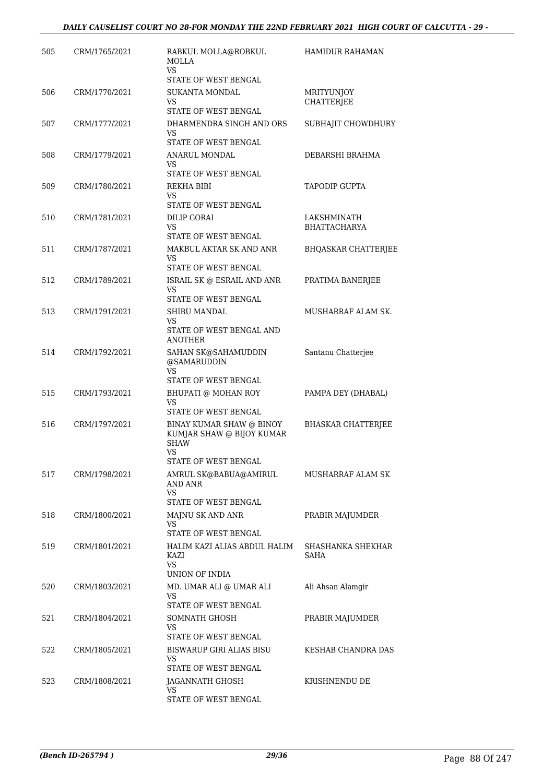| 505 | CRM/1765/2021 | RABKUL MOLLA@ROBKUL<br><b>MOLLA</b><br>VS.                                                         | <b>HAMIDUR RAHAMAN</b>             |
|-----|---------------|----------------------------------------------------------------------------------------------------|------------------------------------|
| 506 | CRM/1770/2021 | STATE OF WEST BENGAL<br><b>SUKANTA MONDAL</b><br>VS                                                | <b>MRITYUNJOY</b><br>CHATTERJEE    |
| 507 | CRM/1777/2021 | STATE OF WEST BENGAL<br>DHARMENDRA SINGH AND ORS<br>VS<br>STATE OF WEST BENGAL                     | SUBHAJIT CHOWDHURY                 |
| 508 | CRM/1779/2021 | ANARUL MONDAL<br>VS<br>STATE OF WEST BENGAL                                                        | DEBARSHI BRAHMA                    |
| 509 | CRM/1780/2021 | REKHA BIBI<br>VS<br>STATE OF WEST BENGAL                                                           | <b>TAPODIP GUPTA</b>               |
| 510 | CRM/1781/2021 | DILIP GORAI<br>VS.<br>STATE OF WEST BENGAL                                                         | LAKSHMINATH<br><b>BHATTACHARYA</b> |
| 511 | CRM/1787/2021 | MAKBUL AKTAR SK AND ANR<br>VS<br>STATE OF WEST BENGAL                                              | <b>BHQASKAR CHATTERJEE</b>         |
| 512 | CRM/1789/2021 | ISRAIL SK @ ESRAIL AND ANR<br>VS<br>STATE OF WEST BENGAL                                           | PRATIMA BANERJEE                   |
| 513 | CRM/1791/2021 | SHIBU MANDAL<br>VS<br>STATE OF WEST BENGAL AND<br><b>ANOTHER</b>                                   | MUSHARRAF ALAM SK.                 |
| 514 | CRM/1792/2021 | SAHAN SK@SAHAMUDDIN<br>@SAMARUDDIN<br><b>VS</b><br>STATE OF WEST BENGAL                            | Santanu Chatterjee                 |
| 515 | CRM/1793/2021 | BHUPATI @ MOHAN ROY<br>VS<br>STATE OF WEST BENGAL                                                  | PAMPA DEY (DHABAL)                 |
| 516 | CRM/1797/2021 | BINAY KUMAR SHAW @ BINOY<br>KUMJAR SHAW @ BIJOY KUMAR<br><b>SHAW</b><br>VS<br>STATE OF WEST BENGAL | <b>BHASKAR CHATTERJEE</b>          |
| 517 | CRM/1798/2021 | AMRUL SK@BABUA@AMIRUL<br>AND ANR<br>VS.<br>STATE OF WEST BENGAL                                    | MUSHARRAF ALAM SK                  |
| 518 | CRM/1800/2021 | MAJNU SK AND ANR<br>VS<br>STATE OF WEST BENGAL                                                     | PRABIR MAJUMDER                    |
| 519 | CRM/1801/2021 | HALIM KAZI ALIAS ABDUL HALIM<br>KAZI<br><b>VS</b><br>UNION OF INDIA                                | SHASHANKA SHEKHAR<br>SAHA          |
| 520 | CRM/1803/2021 | MD. UMAR ALI @ UMAR ALI<br>VS<br>STATE OF WEST BENGAL                                              | Ali Ahsan Alamgir                  |
| 521 | CRM/1804/2021 | SOMNATH GHOSH<br>VS.<br>STATE OF WEST BENGAL                                                       | PRABIR MAJUMDER                    |
| 522 | CRM/1805/2021 | BISWARUP GIRI ALIAS BISU<br>VS<br>STATE OF WEST BENGAL                                             | KESHAB CHANDRA DAS                 |
| 523 | CRM/1808/2021 | JAGANNATH GHOSH<br>VS<br>STATE OF WEST BENGAL                                                      | KRISHNENDU DE                      |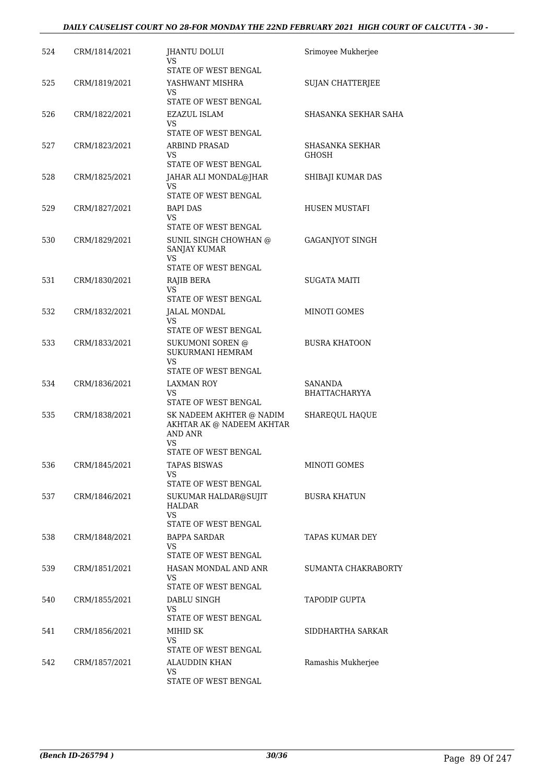#### *DAILY CAUSELIST COURT NO 28-FOR MONDAY THE 22ND FEBRUARY 2021 HIGH COURT OF CALCUTTA - 30 -*

| 524 | CRM/1814/2021 | JHANTU DOLUI<br>VS                                                            | Srimoyee Mukherjee                     |
|-----|---------------|-------------------------------------------------------------------------------|----------------------------------------|
|     |               | STATE OF WEST BENGAL                                                          |                                        |
| 525 | CRM/1819/2021 | YASHWANT MISHRA<br>VS                                                         | <b>SUJAN CHATTERJEE</b>                |
|     |               | STATE OF WEST BENGAL                                                          |                                        |
| 526 | CRM/1822/2021 | EZAZUL ISLAM<br>VS                                                            | SHASANKA SEKHAR SAHA                   |
|     |               | STATE OF WEST BENGAL                                                          |                                        |
| 527 | CRM/1823/2021 | <b>ARBIND PRASAD</b><br>VS<br>STATE OF WEST BENGAL                            | <b>SHASANKA SEKHAR</b><br><b>GHOSH</b> |
| 528 | CRM/1825/2021 | JAHAR ALI MONDAL@JHAR                                                         | SHIBAJI KUMAR DAS                      |
|     |               | VS                                                                            |                                        |
|     |               | STATE OF WEST BENGAL                                                          |                                        |
| 529 | CRM/1827/2021 | <b>BAPI DAS</b><br>VS.<br>STATE OF WEST BENGAL                                | HUSEN MUSTAFI                          |
| 530 | CRM/1829/2021 | SUNIL SINGH CHOWHAN @<br><b>SANJAY KUMAR</b>                                  | GAGANJYOT SINGH                        |
|     |               | VS<br>STATE OF WEST BENGAL                                                    |                                        |
| 531 | CRM/1830/2021 | RAJIB BERA                                                                    | <b>SUGATA MAITI</b>                    |
|     |               | VS<br>STATE OF WEST BENGAL                                                    |                                        |
| 532 | CRM/1832/2021 | JALAL MONDAL                                                                  | <b>MINOTI GOMES</b>                    |
|     |               | VS                                                                            |                                        |
|     |               | STATE OF WEST BENGAL                                                          |                                        |
| 533 | CRM/1833/2021 | <b>SUKUMONI SOREN @</b><br><b>SUKURMANI HEMRAM</b><br>VS                      | <b>BUSRA KHATOON</b>                   |
|     |               | STATE OF WEST BENGAL                                                          |                                        |
| 534 | CRM/1836/2021 | LAXMAN ROY<br>VS.<br>STATE OF WEST BENGAL                                     | SANANDA<br><b>BHATTACHARYYA</b>        |
| 535 | CRM/1838/2021 | SK NADEEM AKHTER @ NADIM<br>AKHTAR AK @ NADEEM AKHTAR<br><b>AND ANR</b><br>VS | SHAREQUL HAQUE                         |
|     |               | STATE OF WEST BENGAL                                                          |                                        |
| 536 | CRM/1845/2021 | <b>TAPAS BISWAS</b><br>VS<br>STATE OF WEST BENGAL                             | MINOTI GOMES                           |
| 537 | CRM/1846/2021 | SUKUMAR HALDAR@SUJIT<br>HALDAR                                                | <b>BUSRA KHATUN</b>                    |
|     |               | VS.<br>STATE OF WEST BENGAL                                                   |                                        |
| 538 | CRM/1848/2021 | BAPPA SARDAR                                                                  | TAPAS KUMAR DEY                        |
|     |               | VS<br>STATE OF WEST BENGAL                                                    |                                        |
| 539 | CRM/1851/2021 | HASAN MONDAL AND ANR                                                          | SUMANTA CHAKRABORTY                    |
|     |               | VS<br>STATE OF WEST BENGAL                                                    |                                        |
| 540 | CRM/1855/2021 | DABLU SINGH                                                                   | <b>TAPODIP GUPTA</b>                   |
|     |               | VS.                                                                           |                                        |
| 541 | CRM/1856/2021 | STATE OF WEST BENGAL<br>MIHID SK                                              | SIDDHARTHA SARKAR                      |
|     |               | <b>VS</b>                                                                     |                                        |
|     |               | STATE OF WEST BENGAL                                                          |                                        |
| 542 | CRM/1857/2021 | ALAUDDIN KHAN<br>VS.                                                          | Ramashis Mukherjee                     |
|     |               | STATE OF WEST BENGAL                                                          |                                        |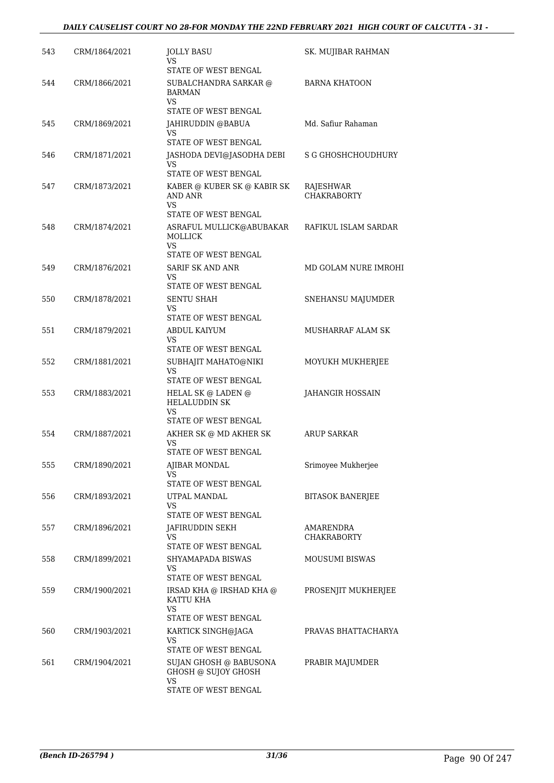| 543 | CRM/1864/2021 | <b>JOLLY BASU</b><br>VS<br>STATE OF WEST BENGAL                               | SK. MUJIBAR RAHMAN              |
|-----|---------------|-------------------------------------------------------------------------------|---------------------------------|
| 544 | CRM/1866/2021 | SUBALCHANDRA SARKAR @<br><b>BARMAN</b><br><b>VS</b><br>STATE OF WEST BENGAL   | <b>BARNA KHATOON</b>            |
| 545 | CRM/1869/2021 | JAHIRUDDIN @BABUA<br>VS<br>STATE OF WEST BENGAL                               | Md. Safiur Rahaman              |
| 546 | CRM/1871/2021 | JASHODA DEVI@JASODHA DEBI<br>VS<br>STATE OF WEST BENGAL                       | S G GHOSHCHOUDHURY              |
| 547 | CRM/1873/2021 | KABER @ KUBER SK @ KABIR SK<br>AND ANR<br><b>VS</b><br>STATE OF WEST BENGAL   | RAJESHWAR<br><b>CHAKRABORTY</b> |
| 548 | CRM/1874/2021 | ASRAFUL MULLICK@ABUBAKAR<br>MOLLICK<br>VS                                     | RAFIKUL ISLAM SARDAR            |
| 549 | CRM/1876/2021 | STATE OF WEST BENGAL<br><b>SARIF SK AND ANR</b><br>VS<br>STATE OF WEST BENGAL | MD GOLAM NURE IMROHI            |
| 550 | CRM/1878/2021 | <b>SENTU SHAH</b><br>VS<br>STATE OF WEST BENGAL                               | SNEHANSU MAJUMDER               |
| 551 | CRM/1879/2021 | ABDUL KAIYUM<br>VS<br>STATE OF WEST BENGAL                                    | MUSHARRAF ALAM SK               |
| 552 | CRM/1881/2021 | SUBHAJIT MAHATO@NIKI<br><b>VS</b><br>STATE OF WEST BENGAL                     | MOYUKH MUKHERJEE                |
| 553 | CRM/1883/2021 | HELAL SK @ LADEN @<br><b>HELALUDDIN SK</b><br>VS<br>STATE OF WEST BENGAL      | JAHANGIR HOSSAIN                |
| 554 | CRM/1887/2021 | AKHER SK @ MD AKHER SK<br>VS<br><b>STATE OF WEST BENGAL</b>                   | ARUP SARKAR                     |
| 555 | CRM/1890/2021 | AJIBAR MONDAL<br>VS<br>STATE OF WEST BENGAL                                   | Srimoyee Mukherjee              |
| 556 | CRM/1893/2021 | UTPAL MANDAL<br>VS.<br>STATE OF WEST BENGAL                                   | <b>BITASOK BANERJEE</b>         |
| 557 | CRM/1896/2021 | JAFIRUDDIN SEKH<br>VS<br>STATE OF WEST BENGAL                                 | AMARENDRA<br><b>CHAKRABORTY</b> |
| 558 | CRM/1899/2021 | SHYAMAPADA BISWAS<br>VS<br>STATE OF WEST BENGAL                               | MOUSUMI BISWAS                  |
| 559 | CRM/1900/2021 | IRSAD KHA @ IRSHAD KHA @<br>KATTU KHA<br>VS<br>STATE OF WEST BENGAL           | PROSENJIT MUKHERJEE             |
| 560 | CRM/1903/2021 | KARTICK SINGH@JAGA<br>VS<br>STATE OF WEST BENGAL                              | PRAVAS BHATTACHARYA             |
| 561 | CRM/1904/2021 | SUJAN GHOSH @ BABUSONA<br>GHOSH @ SUJOY GHOSH<br>VS<br>STATE OF WEST BENGAL   | PRABIR MAJUMDER                 |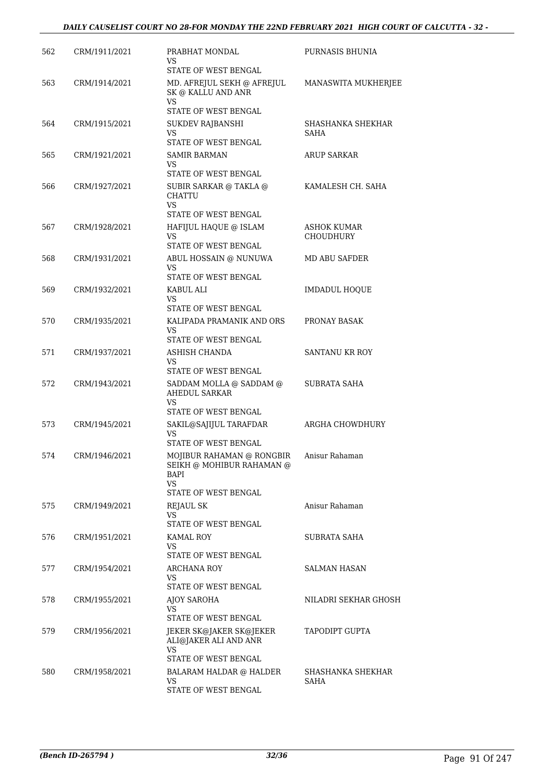| 562 | CRM/1911/2021 | PRABHAT MONDAL<br>VS<br>STATE OF WEST BENGAL                                                  | PURNASIS BHUNIA           |
|-----|---------------|-----------------------------------------------------------------------------------------------|---------------------------|
| 563 | CRM/1914/2021 | MD. AFREJUL SEKH @ AFREJUL<br>SK @ KALLU AND ANR<br>VS.                                       | MANASWITA MUKHERJEE       |
| 564 | CRM/1915/2021 | STATE OF WEST BENGAL<br><b>SUKDEV RAJBANSHI</b><br>VS<br>STATE OF WEST BENGAL                 | SHASHANKA SHEKHAR<br>SAHA |
| 565 | CRM/1921/2021 | <b>SAMIR BARMAN</b><br>VS<br>STATE OF WEST BENGAL                                             | <b>ARUP SARKAR</b>        |
| 566 | CRM/1927/2021 | SUBIR SARKAR @ TAKLA @<br>CHATTU<br>VS.<br>STATE OF WEST BENGAL                               | KAMALESH CH. SAHA         |
| 567 | CRM/1928/2021 | HAFIJUL HAQUE @ ISLAM<br>VS<br>STATE OF WEST BENGAL                                           | ASHOK KUMAR<br>CHOUDHURY  |
| 568 | CRM/1931/2021 | ABUL HOSSAIN @ NUNUWA<br>VS<br>STATE OF WEST BENGAL                                           | MD ABU SAFDER             |
| 569 | CRM/1932/2021 | KABUL ALI<br>VS<br>STATE OF WEST BENGAL                                                       | <b>IMDADUL HOQUE</b>      |
| 570 | CRM/1935/2021 | KALIPADA PRAMANIK AND ORS<br>VS<br>STATE OF WEST BENGAL                                       | PRONAY BASAK              |
| 571 | CRM/1937/2021 | ASHISH CHANDA<br>VS<br>STATE OF WEST BENGAL                                                   | <b>SANTANU KR ROY</b>     |
| 572 | CRM/1943/2021 | SADDAM MOLLA @ SADDAM @<br>AHEDUL SARKAR<br>VS                                                | SUBRATA SAHA              |
| 573 | CRM/1945/2021 | STATE OF WEST BENGAL<br>SAKIL@SAJIJUL TARAFDAR<br>VS.<br>STATE OF WEST BENGAL                 | ARGHA CHOWDHURY           |
| 574 | CRM/1946/2021 | MOJIBUR RAHAMAN @ RONGBIR<br>SEIKH @ MOHIBUR RAHAMAN @<br>BAPI<br>VS.<br>STATE OF WEST BENGAL | Anisur Rahaman            |
| 575 | CRM/1949/2021 | REJAUL SK<br>VS.<br>STATE OF WEST BENGAL                                                      | Anisur Rahaman            |
| 576 | CRM/1951/2021 | KAMAL ROY<br>VS<br>STATE OF WEST BENGAL                                                       | SUBRATA SAHA              |
| 577 | CRM/1954/2021 | ARCHANA ROY<br>VS<br>STATE OF WEST BENGAL                                                     | <b>SALMAN HASAN</b>       |
| 578 | CRM/1955/2021 | AJOY SAROHA<br>VS<br>STATE OF WEST BENGAL                                                     | NILADRI SEKHAR GHOSH      |
| 579 | CRM/1956/2021 | JEKER SK@JAKER SK@JEKER<br>ALI@JAKER ALI AND ANR<br>VS.                                       | TAPODIPT GUPTA            |
| 580 | CRM/1958/2021 | STATE OF WEST BENGAL<br><b>BALARAM HALDAR @ HALDER</b><br>VS<br>STATE OF WEST BENGAL          | SHASHANKA SHEKHAR<br>SAHA |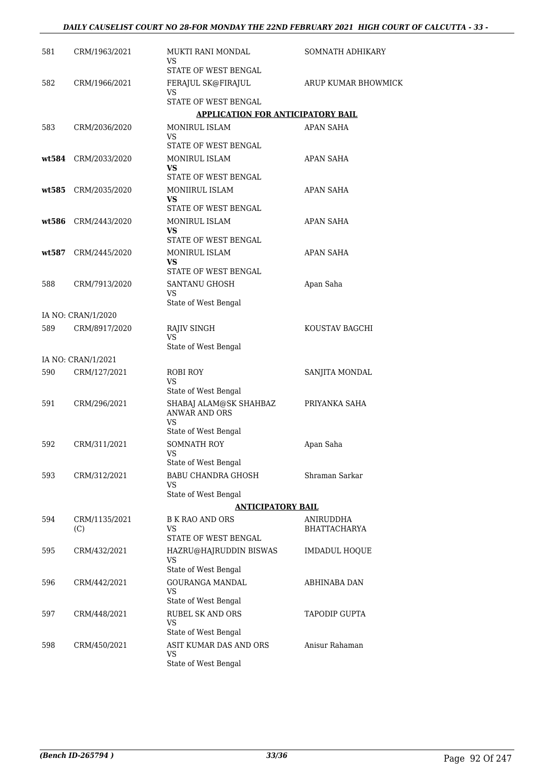| 581   | CRM/1963/2021        | MUKTI RANI MONDAL<br>VS                                                  | SOMNATH ADHIKARY                 |
|-------|----------------------|--------------------------------------------------------------------------|----------------------------------|
| 582   | CRM/1966/2021        | STATE OF WEST BENGAL<br>FERAJUL SK@FIRAJUL                               | ARUP KUMAR BHOWMICK              |
|       |                      | VS<br>STATE OF WEST BENGAL                                               |                                  |
|       |                      | <b>APPLICATION FOR ANTICIPATORY BAIL</b>                                 |                                  |
| 583   | CRM/2036/2020        | MONIRUL ISLAM<br>VS                                                      | <b>APAN SAHA</b>                 |
| wt584 | CRM/2033/2020        | STATE OF WEST BENGAL<br>MONIRUL ISLAM<br>VS.<br>STATE OF WEST BENGAL     | <b>APAN SAHA</b>                 |
| wt585 | CRM/2035/2020        | MONIIRUL ISLAM<br>VS<br>STATE OF WEST BENGAL                             | APAN SAHA                        |
| wt586 | CRM/2443/2020        | MONIRUL ISLAM<br><b>VS</b><br>STATE OF WEST BENGAL                       | APAN SAHA                        |
|       | wt587 CRM/2445/2020  | MONIRUL ISLAM<br>VS.                                                     | APAN SAHA                        |
| 588   | CRM/7913/2020        | STATE OF WEST BENGAL<br>SANTANU GHOSH<br>VS<br>State of West Bengal      | Apan Saha                        |
|       | IA NO: CRAN/1/2020   |                                                                          |                                  |
| 589   | CRM/8917/2020        | <b>RAJIV SINGH</b><br>VS<br>State of West Bengal                         | KOUSTAV BAGCHI                   |
|       | IA NO: CRAN/1/2021   |                                                                          |                                  |
| 590   | CRM/127/2021         | <b>ROBI ROY</b><br>VS<br>State of West Bengal                            | SANJITA MONDAL                   |
| 591   | CRM/296/2021         | SHABAJ ALAM@SK SHAHBAZ<br>ANWAR AND ORS<br><b>VS</b>                     | PRIYANKA SAHA                    |
| 592   | CRM/311/2021         | State of West Bengal<br><b>SOMNATH ROY</b><br><b>VS</b>                  | Apan Saha                        |
| 593   | CRM/312/2021         | State of West Bengal<br>BABU CHANDRA GHOSH<br>VS<br>State of West Bengal | Shraman Sarkar                   |
|       |                      | <b>ANTICIPATORY BAIL</b>                                                 |                                  |
| 594   | CRM/1135/2021<br>(C) | <b>B K RAO AND ORS</b><br>VS<br>STATE OF WEST BENGAL                     | ANIRUDDHA<br><b>BHATTACHARYA</b> |
| 595   | CRM/432/2021         | HAZRU@HAJRUDDIN BISWAS<br>VS<br>State of West Bengal                     | <b>IMDADUL HOQUE</b>             |
| 596   | CRM/442/2021         | <b>GOURANGA MANDAL</b><br>VS<br>State of West Bengal                     | ABHINABA DAN                     |
| 597   | CRM/448/2021         | <b>RUBEL SK AND ORS</b><br><b>VS</b><br>State of West Bengal             | TAPODIP GUPTA                    |
| 598   | CRM/450/2021         | ASIT KUMAR DAS AND ORS<br>VS<br>State of West Bengal                     | Anisur Rahaman                   |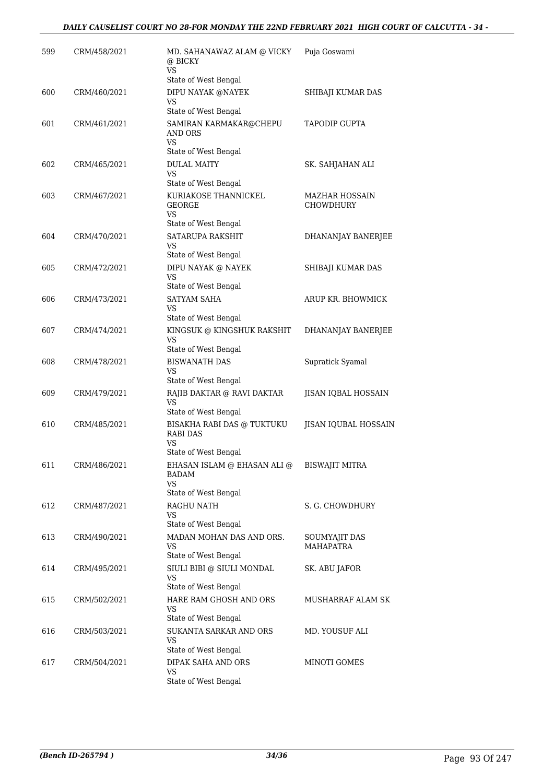| 599 | CRM/458/2021 | MD. SAHANAWAZ ALAM @ VICKY<br>@ BICKY<br><b>VS</b>                     | Puja Goswami                       |
|-----|--------------|------------------------------------------------------------------------|------------------------------------|
|     |              | State of West Bengal                                                   |                                    |
| 600 | CRM/460/2021 | DIPU NAYAK @NAYEK<br>VS                                                | SHIBAJI KUMAR DAS                  |
|     |              | State of West Bengal                                                   |                                    |
| 601 | CRM/461/2021 | SAMIRAN KARMAKAR@CHEPU<br>AND ORS<br><b>VS</b><br>State of West Bengal | <b>TAPODIP GUPTA</b>               |
| 602 | CRM/465/2021 | <b>DULAL MAITY</b><br>VS                                               | SK. SAHJAHAN ALI                   |
|     |              | State of West Bengal                                                   |                                    |
| 603 | CRM/467/2021 | KURIAKOSE THANNICKEL<br><b>GEORGE</b><br>VS                            | MAZHAR HOSSAIN<br><b>CHOWDHURY</b> |
|     |              | State of West Bengal                                                   |                                    |
| 604 | CRM/470/2021 | SATARUPA RAKSHIT<br>VS                                                 | DHANANJAY BANERJEE                 |
|     |              | State of West Bengal                                                   |                                    |
| 605 | CRM/472/2021 | DIPU NAYAK @ NAYEK<br>VS<br>State of West Bengal                       | SHIBAJI KUMAR DAS                  |
| 606 | CRM/473/2021 | SATYAM SAHA                                                            | ARUP KR. BHOWMICK                  |
|     |              | VS                                                                     |                                    |
|     |              | State of West Bengal                                                   |                                    |
| 607 | CRM/474/2021 | KINGSUK @ KINGSHUK RAKSHIT<br><b>VS</b><br>State of West Bengal        | DHANANJAY BANERJEE                 |
| 608 | CRM/478/2021 | <b>BISWANATH DAS</b>                                                   | Supratick Syamal                   |
|     |              | <b>VS</b><br>State of West Bengal                                      |                                    |
| 609 | CRM/479/2021 | RAJIB DAKTAR @ RAVI DAKTAR<br>VS                                       | JISAN IQBAL HOSSAIN                |
|     |              | State of West Bengal                                                   |                                    |
| 610 | CRM/485/2021 | BISAKHA RABI DAS @ TUKTUKU<br><b>RABI DAS</b><br>VS                    | <b>JISAN IQUBAL HOSSAIN</b>        |
|     |              | State of West Bengal                                                   |                                    |
| 611 | CRM/486/2021 | EHASAN ISLAM @ EHASAN ALI @<br>BADAM<br>VS                             | <b>BISWAJIT MITRA</b>              |
|     |              | State of West Bengal                                                   |                                    |
| 612 | CRM/487/2021 | RAGHU NATH<br>VS                                                       | S. G. CHOWDHURY                    |
|     |              | State of West Bengal                                                   |                                    |
| 613 | CRM/490/2021 | MADAN MOHAN DAS AND ORS.<br>VS<br>State of West Bengal                 | SOUMYAJIT DAS<br><b>MAHAPATRA</b>  |
| 614 | CRM/495/2021 | SIULI BIBI @ SIULI MONDAL<br><b>VS</b>                                 | SK. ABU JAFOR                      |
|     |              | State of West Bengal                                                   |                                    |
| 615 | CRM/502/2021 | HARE RAM GHOSH AND ORS<br>VS<br>State of West Bengal                   | MUSHARRAF ALAM SK                  |
| 616 | CRM/503/2021 | SUKANTA SARKAR AND ORS                                                 | MD. YOUSUF ALI                     |
|     |              | VS<br>State of West Bengal                                             |                                    |
| 617 | CRM/504/2021 | DIPAK SAHA AND ORS                                                     | MINOTI GOMES                       |
|     |              | VS<br>State of West Bengal                                             |                                    |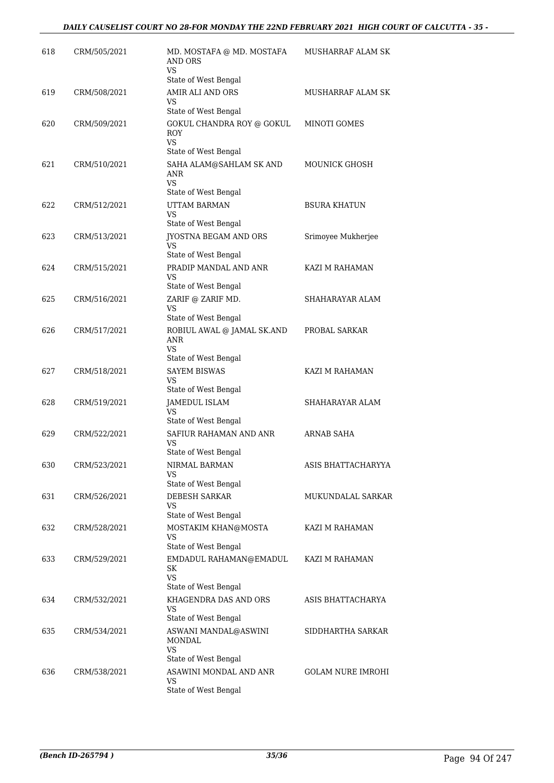| 618 | CRM/505/2021 | MD. MOSTAFA @ MD. MOSTAFA<br>AND ORS<br>VS                             | MUSHARRAF ALAM SK        |
|-----|--------------|------------------------------------------------------------------------|--------------------------|
|     |              | State of West Bengal                                                   |                          |
| 619 | CRM/508/2021 | AMIR ALI AND ORS<br>VS<br>State of West Bengal                         | MUSHARRAF ALAM SK        |
| 620 | CRM/509/2021 | GOKUL CHANDRA ROY @ GOKUL<br>ROY<br><b>VS</b>                          | <b>MINOTI GOMES</b>      |
|     |              | State of West Bengal                                                   |                          |
| 621 | CRM/510/2021 | SAHA ALAM@SAHLAM SK AND<br>ANR<br>VS                                   | MOUNICK GHOSH            |
| 622 | CRM/512/2021 | State of West Bengal<br>UTTAM BARMAN<br><b>VS</b>                      | <b>BSURA KHATUN</b>      |
|     |              | State of West Bengal                                                   |                          |
| 623 | CRM/513/2021 | JYOSTNA BEGAM AND ORS<br>VS<br>State of West Bengal                    | Srimoyee Mukherjee       |
| 624 | CRM/515/2021 | PRADIP MANDAL AND ANR                                                  | KAZI M RAHAMAN           |
|     |              | VS<br>State of West Bengal                                             |                          |
| 625 | CRM/516/2021 | ZARIF @ ZARIF MD.                                                      | SHAHARAYAR ALAM          |
|     |              | VS<br>State of West Bengal                                             |                          |
| 626 | CRM/517/2021 | ROBIUL AWAL @ JAMAL SK.AND<br>ANR<br><b>VS</b><br>State of West Bengal | PROBAL SARKAR            |
| 627 | CRM/518/2021 | <b>SAYEM BISWAS</b>                                                    | KAZI M RAHAMAN           |
|     |              | VS                                                                     |                          |
|     |              | State of West Bengal                                                   |                          |
| 628 | CRM/519/2021 | JAMEDUL ISLAM<br>VS<br>State of West Bengal                            | SHAHARAYAR ALAM          |
| 629 | CRM/522/2021 | SAFIUR RAHAMAN AND ANR<br>VS                                           | ARNAB SAHA               |
|     |              | State of West Bengal                                                   |                          |
| 630 | CRM/523/2021 | NIRMAL BARMAN<br>VS<br>State of West Bengal                            | ASIS BHATTACHARYYA       |
| 631 | CRM/526/2021 | DEBESH SARKAR                                                          | MUKUNDALAL SARKAR        |
|     |              | VS<br>State of West Bengal                                             |                          |
| 632 | CRM/528/2021 | MOSTAKIM KHAN@MOSTA<br>VS<br>State of West Bengal                      | KAZI M RAHAMAN           |
| 633 | CRM/529/2021 | EMDADUL RAHAMAN@EMADUL<br>SK<br><b>VS</b>                              | KAZI M RAHAMAN           |
|     |              | State of West Bengal                                                   |                          |
| 634 | CRM/532/2021 | KHAGENDRA DAS AND ORS<br>VS<br>State of West Bengal                    | ASIS BHATTACHARYA        |
| 635 | CRM/534/2021 | ASWANI MANDAL@ASWINI<br>MONDAL<br>VS                                   | SIDDHARTHA SARKAR        |
|     |              | State of West Bengal                                                   |                          |
| 636 | CRM/538/2021 | ASAWINI MONDAL AND ANR<br>VS<br>State of West Bengal                   | <b>GOLAM NURE IMROHI</b> |
|     |              |                                                                        |                          |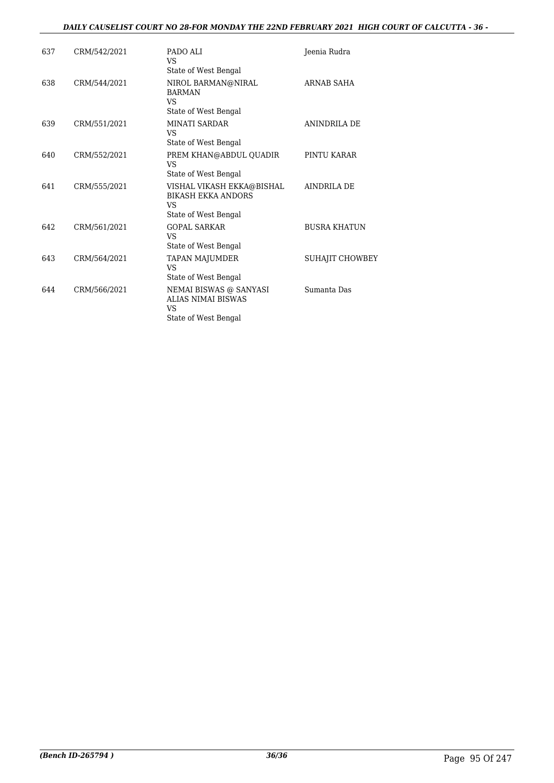#### *DAILY CAUSELIST COURT NO 28-FOR MONDAY THE 22ND FEBRUARY 2021 HIGH COURT OF CALCUTTA - 36 -*

| 637 | CRM/542/2021 | PADO ALI<br>VS                                                                                   | Jeenia Rudra        |
|-----|--------------|--------------------------------------------------------------------------------------------------|---------------------|
| 638 | CRM/544/2021 | State of West Bengal<br>NIROL BARMAN@NIRAL<br><b>BARMAN</b><br><b>VS</b><br>State of West Bengal | ARNAB SAHA          |
| 639 | CRM/551/2021 | <b>MINATI SARDAR</b><br>VS.<br>State of West Bengal                                              | ANINDRILA DE        |
| 640 | CRM/552/2021 | PREM KHAN@ABDUL QUADIR<br>VS.<br>State of West Bengal                                            | PINTU KARAR         |
| 641 | CRM/555/2021 | VISHAL VIKASH EKKA@BISHAL<br><b>BIKASH EKKA ANDORS</b><br>VS<br>State of West Bengal             | <b>AINDRILA DE</b>  |
| 642 | CRM/561/2021 | <b>GOPAL SARKAR</b><br>VS<br>State of West Bengal                                                | <b>BUSRA KHATUN</b> |
| 643 | CRM/564/2021 | <b>TAPAN MAJUMDER</b><br><b>VS</b><br>State of West Bengal                                       | SUHAJIT CHOWBEY     |
| 644 | CRM/566/2021 | NEMAI BISWAS @ SANYASI<br><b>ALIAS NIMAI BISWAS</b><br>VS<br>State of West Bengal                | Sumanta Das         |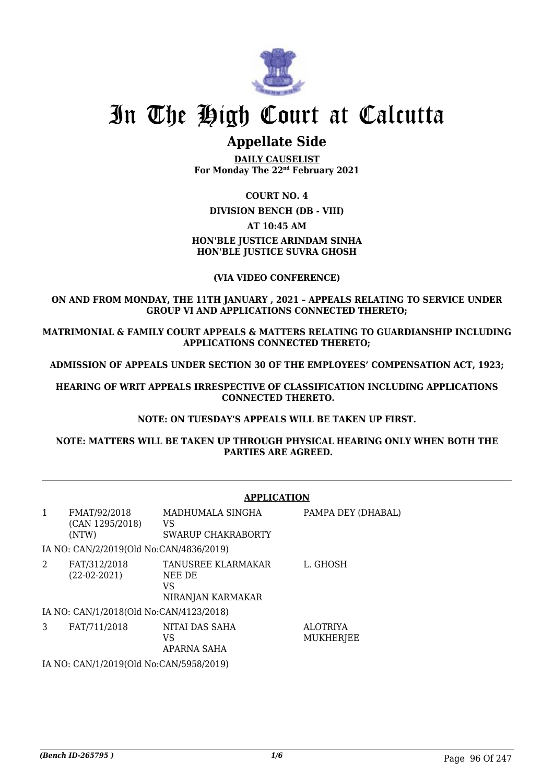

## In The High Court at Calcutta

### **Appellate Side**

**DAILY CAUSELIST For Monday The 22nd February 2021**

#### **COURT NO. 4**

**DIVISION BENCH (DB - VIII)**

#### **AT 10:45 AM**

#### **HON'BLE JUSTICE ARINDAM SINHA HON'BLE JUSTICE SUVRA GHOSH**

#### **(VIA VIDEO CONFERENCE)**

#### **ON AND FROM MONDAY, THE 11TH JANUARY , 2021 – APPEALS RELATING TO SERVICE UNDER GROUP VI AND APPLICATIONS CONNECTED THERETO;**

**MATRIMONIAL & FAMILY COURT APPEALS & MATTERS RELATING TO GUARDIANSHIP INCLUDING APPLICATIONS CONNECTED THERETO;**

**ADMISSION OF APPEALS UNDER SECTION 30 OF THE EMPLOYEES' COMPENSATION ACT, 1923;**

**HEARING OF WRIT APPEALS IRRESPECTIVE OF CLASSIFICATION INCLUDING APPLICATIONS CONNECTED THERETO.**

#### **NOTE: ON TUESDAY'S APPEALS WILL BE TAKEN UP FIRST.**

**NOTE: MATTERS WILL BE TAKEN UP THROUGH PHYSICAL HEARING ONLY WHEN BOTH THE PARTIES ARE AGREED.**

|              |                                          | <b>APPLICATION</b>                                      |                              |
|--------------|------------------------------------------|---------------------------------------------------------|------------------------------|
| $\mathbf{1}$ | FMAT/92/2018<br>(CAN 1295/2018)<br>(NTW) | MADHUMALA SINGHA<br>VS<br>SWARUP CHAKRABORTY            | PAMPA DEY (DHABAL)           |
|              | IA NO: CAN/2/2019(Old No:CAN/4836/2019)  |                                                         |                              |
| 2            | FAT/312/2018<br>$(22-02-2021)$           | TANUSREE KLARMAKAR<br>NEE DE<br>VS<br>NIRANJAN KARMAKAR | L. GHOSH                     |
|              | IA NO: CAN/1/2018(Old No:CAN/4123/2018)  |                                                         |                              |
| 3            | FAT/711/2018                             | NITAI DAS SAHA<br>VS<br>APARNA SAHA                     | <b>ALOTRIYA</b><br>MUKHERJEE |
|              | IA NO: CAN/1/2019(Old No:CAN/5958/2019)  |                                                         |                              |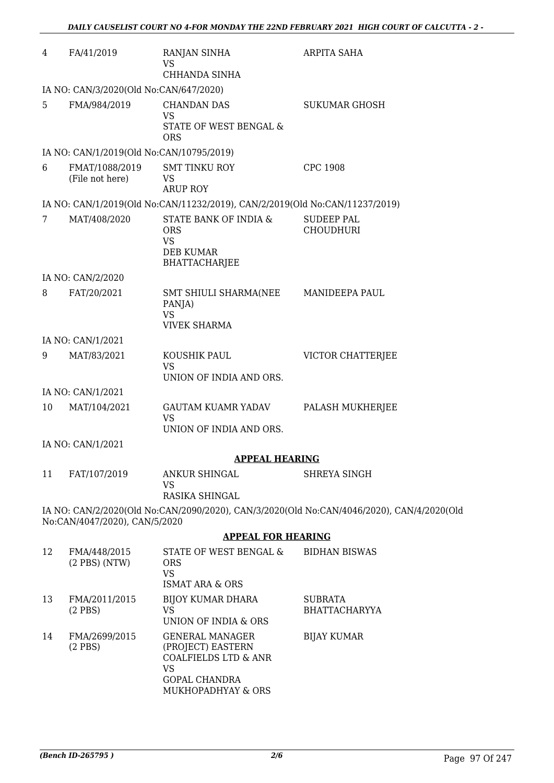| 4  | FA/41/2019                               | RANJAN SINHA<br>VS<br>CHHANDA SINHA                                                                                 | ARPITA SAHA                                                                               |
|----|------------------------------------------|---------------------------------------------------------------------------------------------------------------------|-------------------------------------------------------------------------------------------|
|    | IA NO: CAN/3/2020(Old No:CAN/647/2020)   |                                                                                                                     |                                                                                           |
| 5  | FMA/984/2019                             | <b>CHANDAN DAS</b><br><b>VS</b><br>STATE OF WEST BENGAL &<br><b>ORS</b>                                             | <b>SUKUMAR GHOSH</b>                                                                      |
|    | IA NO: CAN/1/2019(Old No:CAN/10795/2019) |                                                                                                                     |                                                                                           |
| 6  | FMAT/1088/2019<br>(File not here)        | <b>SMT TINKU ROY</b><br>VS<br><b>ARUP ROY</b>                                                                       | <b>CPC 1908</b>                                                                           |
|    |                                          | IA NO: CAN/1/2019(Old No:CAN/11232/2019), CAN/2/2019(Old No:CAN/11237/2019)                                         |                                                                                           |
| 7  | MAT/408/2020                             | STATE BANK OF INDIA &<br><b>ORS</b><br><b>VS</b><br><b>DEB KUMAR</b><br><b>BHATTACHARJEE</b>                        | <b>SUDEEP PAL</b><br><b>CHOUDHURI</b>                                                     |
|    | IA NO: CAN/2/2020                        |                                                                                                                     |                                                                                           |
| 8  | FAT/20/2021                              | SMT SHIULI SHARMA(NEE MANIDEEPA PAUL<br>PANJA)<br>VS<br><b>VIVEK SHARMA</b>                                         |                                                                                           |
|    | IA NO: CAN/1/2021                        |                                                                                                                     |                                                                                           |
| 9  | MAT/83/2021                              | KOUSHIK PAUL<br><b>VS</b><br>UNION OF INDIA AND ORS.                                                                | VICTOR CHATTERJEE                                                                         |
|    | IA NO: CAN/1/2021                        |                                                                                                                     |                                                                                           |
| 10 | MAT/104/2021                             | <b>GAUTAM KUAMR YADAV</b><br><b>VS</b><br>UNION OF INDIA AND ORS.                                                   | PALASH MUKHERJEE                                                                          |
|    | IA NO: CAN/1/2021                        |                                                                                                                     |                                                                                           |
|    |                                          | <b>APPEAL HEARING</b>                                                                                               |                                                                                           |
| 11 | FAT/107/2019                             | ANKUR SHINGAL<br>VS<br>RASIKA SHINGAL                                                                               | <b>SHREYA SINGH</b>                                                                       |
|    | No:CAN/4047/2020), CAN/5/2020            |                                                                                                                     | IA NO: CAN/2/2020(Old No:CAN/2090/2020), CAN/3/2020(Old No:CAN/4046/2020), CAN/4/2020(Old |
|    |                                          | <b>APPEAL FOR HEARING</b>                                                                                           |                                                                                           |
| 12 | FMA/448/2015<br>$(2$ PBS $)$ (NTW)       | STATE OF WEST BENGAL &<br><b>ORS</b><br><b>VS</b><br><b>ISMAT ARA &amp; ORS</b>                                     | <b>BIDHAN BISWAS</b>                                                                      |
| 13 | FMA/2011/2015<br>$(2$ PBS)               | <b>BIJOY KUMAR DHARA</b><br>VS<br>UNION OF INDIA & ORS                                                              | <b>SUBRATA</b><br><b>BHATTACHARYYA</b>                                                    |
| 14 | FMA/2699/2015<br>$(2$ PBS)               | <b>GENERAL MANAGER</b><br>(PROJECT) EASTERN<br><b>COALFIELDS LTD &amp; ANR</b><br><b>VS</b><br><b>GOPAL CHANDRA</b> | <b>BIJAY KUMAR</b>                                                                        |

MUKHOPADHYAY & ORS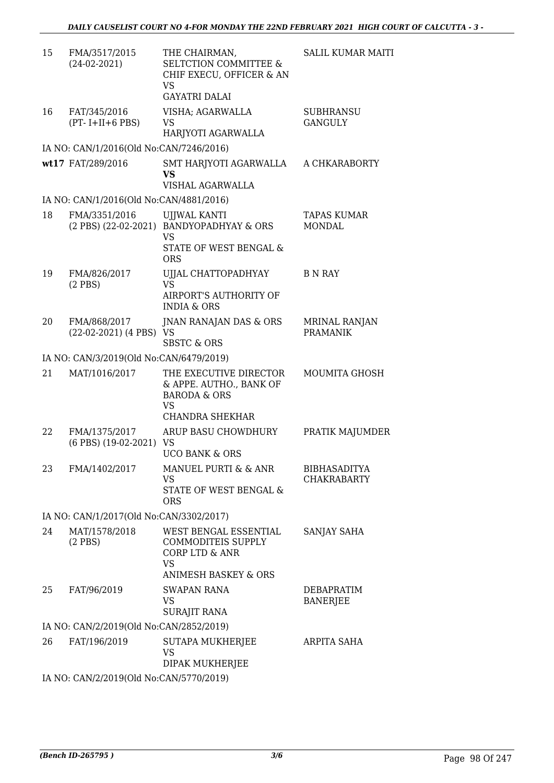| 15 | FMA/3517/2015<br>$(24-02-2021)$          | THE CHAIRMAN,<br><b>SELTCTION COMMITTEE &amp;</b><br>CHIF EXECU, OFFICER & AN<br>VS                                  | SALIL KUMAR MAITI                       |
|----|------------------------------------------|----------------------------------------------------------------------------------------------------------------------|-----------------------------------------|
|    |                                          | <b>GAYATRI DALAI</b>                                                                                                 |                                         |
| 16 | FAT/345/2016<br>$(PT - I + II + 6$ PBS)  | VISHA; AGARWALLA<br>VS                                                                                               | <b>SUBHRANSU</b><br><b>GANGULY</b>      |
|    |                                          | HARJYOTI AGARWALLA                                                                                                   |                                         |
|    | IA NO: CAN/1/2016(Old No:CAN/7246/2016)  |                                                                                                                      |                                         |
|    | wt17 FAT/289/2016                        | SMT HARJYOTI AGARWALLA<br><b>VS</b><br>VISHAL AGARWALLA                                                              | A CHKARABORTY                           |
|    | IA NO: CAN/1/2016(Old No:CAN/4881/2016)  |                                                                                                                      |                                         |
| 18 | FMA/3351/2016                            | <b>UJJWAL KANTI</b><br>(2 PBS) (22-02-2021) BANDYOPADHYAY & ORS<br><b>VS</b><br>STATE OF WEST BENGAL &<br><b>ORS</b> | TAPAS KUMAR<br><b>MONDAL</b>            |
| 19 | FMA/826/2017                             | UJJAL CHATTOPADHYAY                                                                                                  | <b>B N RAY</b>                          |
|    | $(2$ PBS)                                | VS<br>AIRPORT'S AUTHORITY OF<br><b>INDIA &amp; ORS</b>                                                               |                                         |
| 20 | FMA/868/2017<br>(22-02-2021) (4 PBS) VS  | JNAN RANAJAN DAS & ORS<br><b>SBSTC &amp; ORS</b>                                                                     | <b>MRINAL RANJAN</b><br><b>PRAMANIK</b> |
|    | IA NO: CAN/3/2019(Old No:CAN/6479/2019)  |                                                                                                                      |                                         |
| 21 | MAT/1016/2017                            | THE EXECUTIVE DIRECTOR<br>& APPE. AUTHO., BANK OF<br><b>BARODA &amp; ORS</b><br><b>VS</b><br>CHANDRA SHEKHAR         | <b>MOUMITA GHOSH</b>                    |
| 22 | FMA/1375/2017<br>(6 PBS) (19-02-2021) VS | ARUP BASU CHOWDHURY                                                                                                  | PRATIK MAJUMDER                         |
| 23 | FMA/1402/2017                            | <b>UCO BANK &amp; ORS</b><br>MANUEL PURTI & & ANR<br>VS<br>STATE OF WEST BENGAL &<br><b>ORS</b>                      | BIBHASADITYA<br>CHAKRABARTY             |
|    | IA NO: CAN/1/2017(Old No:CAN/3302/2017)  |                                                                                                                      |                                         |
| 24 | MAT/1578/2018<br>$(2$ PBS)               | WEST BENGAL ESSENTIAL<br>COMMODITEIS SUPPLY<br>CORP LTD & ANR<br><b>VS</b>                                           | SANJAY SAHA                             |
|    |                                          | <b>ANIMESH BASKEY &amp; ORS</b>                                                                                      |                                         |
| 25 | FAT/96/2019                              | <b>SWAPAN RANA</b><br><b>VS</b><br><b>SURAJIT RANA</b>                                                               | DEBAPRATIM<br><b>BANERJEE</b>           |
|    | IA NO: CAN/2/2019(Old No:CAN/2852/2019)  |                                                                                                                      |                                         |
| 26 | FAT/196/2019                             | SUTAPA MUKHERJEE<br><b>VS</b><br>DIPAK MUKHERJEE                                                                     | ARPITA SAHA                             |
|    | IA NO: CAN/2/2019(Old No:CAN/5770/2019)  |                                                                                                                      |                                         |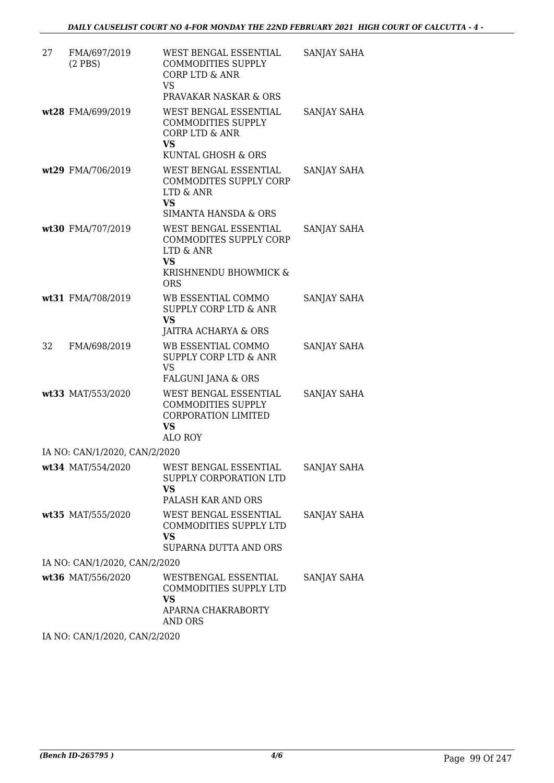| 27 | FMA/697/2019<br>$(2$ PBS $)$  | WEST BENGAL ESSENTIAL<br><b>COMMODITIES SUPPLY</b><br>CORP LTD & ANR<br><b>VS</b><br>PRAVAKAR NASKAR & ORS       | SANJAY SAHA |
|----|-------------------------------|------------------------------------------------------------------------------------------------------------------|-------------|
|    | wt28 FMA/699/2019             | WEST BENGAL ESSENTIAL<br><b>COMMODITIES SUPPLY</b><br>CORP LTD & ANR<br><b>VS</b><br>KUNTAL GHOSH & ORS          | SANJAY SAHA |
|    | wt29 FMA/706/2019             | WEST BENGAL ESSENTIAL<br>COMMODITES SUPPLY CORP<br>LTD & ANR<br><b>VS</b><br>SIMANTA HANSDA & ORS                | SANJAY SAHA |
|    | wt30 FMA/707/2019             | WEST BENGAL ESSENTIAL<br>COMMODITES SUPPLY CORP<br>LTD & ANR<br><b>VS</b><br>KRISHNENDU BHOWMICK &<br><b>ORS</b> | SANJAY SAHA |
|    | wt31 FMA/708/2019             | WB ESSENTIAL COMMO<br><b>SUPPLY CORP LTD &amp; ANR</b><br><b>VS</b><br>JAITRA ACHARYA & ORS                      | SANJAY SAHA |
| 32 | FMA/698/2019                  | WB ESSENTIAL COMMO<br><b>SUPPLY CORP LTD &amp; ANR</b><br><b>VS</b><br>FALGUNI JANA & ORS                        | SANJAY SAHA |
|    | wt33 MAT/553/2020             | WEST BENGAL ESSENTIAL<br><b>COMMODITIES SUPPLY</b><br><b>CORPORATION LIMITED</b><br>VS.<br><b>ALO ROY</b>        | SANJAY SAHA |
|    | IA NO: CAN/1/2020, CAN/2/2020 |                                                                                                                  |             |
|    | wt34 MAT/554/2020             | WEST BENGAL ESSENTIAL<br>SUPPLY CORPORATION LTD<br><b>VS</b><br>PALASH KAR AND ORS                               | SANJAY SAHA |
|    | wt35 MAT/555/2020             | WEST BENGAL ESSENTIAL<br>COMMODITIES SUPPLY LTD<br><b>VS</b><br>SUPARNA DUTTA AND ORS                            | SANJAY SAHA |
|    | IA NO: CAN/1/2020, CAN/2/2020 |                                                                                                                  |             |
|    | wt36 MAT/556/2020             | WESTBENGAL ESSENTIAL<br>COMMODITIES SUPPLY LTD<br>VS.<br>APARNA CHAKRABORTY<br>AND ORS                           | SANJAY SAHA |

IA NO: CAN/1/2020, CAN/2/2020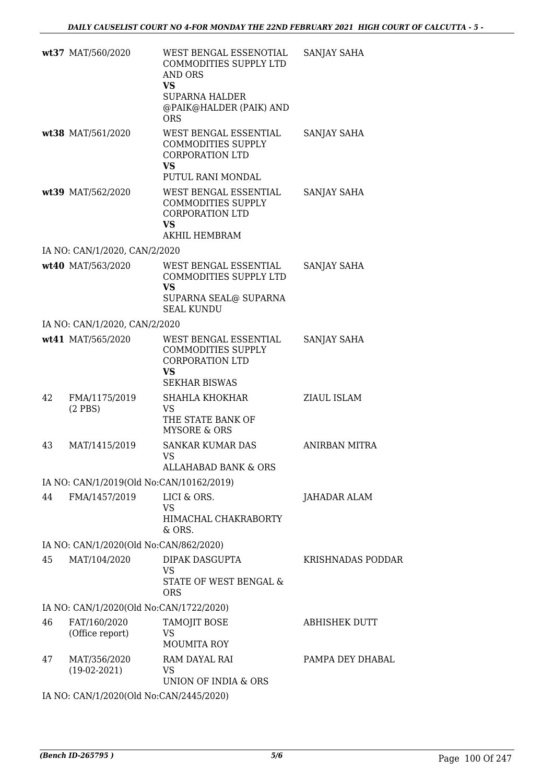|    | wt37 MAT/560/2020                        | WEST BENGAL ESSENOTIAL<br>COMMODITIES SUPPLY LTD<br>AND ORS<br><b>VS</b>                                       | SANJAY SAHA          |
|----|------------------------------------------|----------------------------------------------------------------------------------------------------------------|----------------------|
|    |                                          | <b>SUPARNA HALDER</b><br>@PAIK@HALDER (PAIK) AND<br><b>ORS</b>                                                 |                      |
|    | wt38 MAT/561/2020                        | WEST BENGAL ESSENTIAL<br><b>COMMODITIES SUPPLY</b><br><b>CORPORATION LTD</b><br><b>VS</b><br>PUTUL RANI MONDAL | SANJAY SAHA          |
|    | wt39 MAT/562/2020                        | WEST BENGAL ESSENTIAL<br><b>COMMODITIES SUPPLY</b><br><b>CORPORATION LTD</b><br><b>VS</b><br>AKHIL HEMBRAM     | SANJAY SAHA          |
|    | IA NO: CAN/1/2020, CAN/2/2020            |                                                                                                                |                      |
|    | wt40 MAT/563/2020                        | WEST BENGAL ESSENTIAL<br>COMMODITIES SUPPLY LTD<br><b>VS</b><br>SUPARNA SEAL@ SUPARNA<br><b>SEAL KUNDU</b>     | SANJAY SAHA          |
|    | IA NO: CAN/1/2020, CAN/2/2020            |                                                                                                                |                      |
|    | wt41 MAT/565/2020                        | WEST BENGAL ESSENTIAL<br>COMMODITIES SUPPLY<br><b>CORPORATION LTD</b><br><b>VS</b><br><b>SEKHAR BISWAS</b>     | SANJAY SAHA          |
| 42 | FMA/1175/2019<br>$(2$ PBS)               | SHAHLA KHOKHAR<br>VS.<br>THE STATE BANK OF<br>MYSORE & ORS                                                     | ZIAUL ISLAM          |
| 43 | MAT/1415/2019                            | <b>SANKAR KUMAR DAS</b><br>VS<br><b>ALLAHABAD BANK &amp; ORS</b>                                               | ANIRBAN MITRA        |
|    | IA NO: CAN/1/2019(Old No:CAN/10162/2019) |                                                                                                                |                      |
| 44 | FMA/1457/2019                            | LICI & ORS.<br>VS<br>HIMACHAL CHAKRABORTY<br>& ORS.                                                            | JAHADAR ALAM         |
|    | IA NO: CAN/1/2020(Old No:CAN/862/2020)   |                                                                                                                |                      |
| 45 | MAT/104/2020                             | DIPAK DASGUPTA<br>VS<br>STATE OF WEST BENGAL &<br><b>ORS</b>                                                   | KRISHNADAS PODDAR    |
|    | IA NO: CAN/1/2020(Old No:CAN/1722/2020)  |                                                                                                                |                      |
| 46 | FAT/160/2020<br>(Office report)          | <b>TAMOJIT BOSE</b><br>VS<br><b>MOUMITA ROY</b>                                                                | <b>ABHISHEK DUTT</b> |
| 47 | MAT/356/2020<br>$(19-02-2021)$           | RAM DAYAL RAI<br>VS<br>UNION OF INDIA & ORS                                                                    | PAMPA DEY DHABAL     |
|    | IA NO: CAN/1/2020(Old No:CAN/2445/2020)  |                                                                                                                |                      |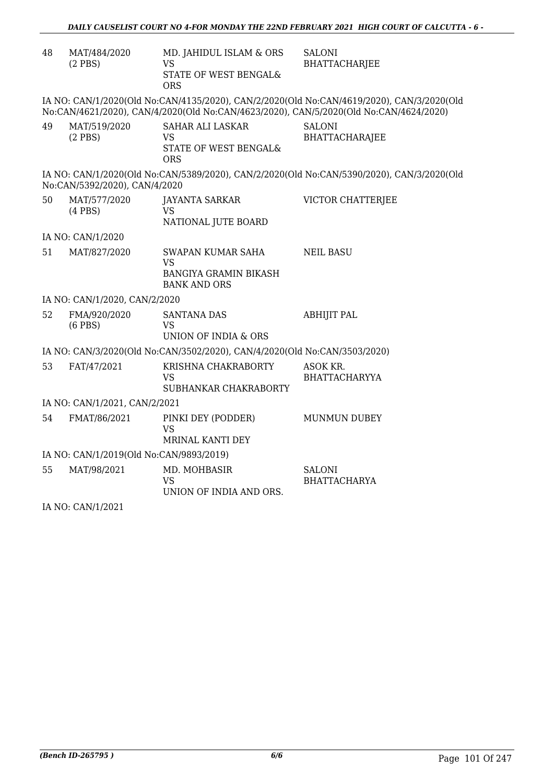| 48 | MAT/484/2020<br>$(2$ PBS $)$            | MD. JAHIDUL ISLAM & ORS<br><b>VS</b><br>STATE OF WEST BENGAL&<br><b>ORS</b>    | <b>SALONI</b><br><b>BHATTACHARJEE</b>                                                                                                                                              |
|----|-----------------------------------------|--------------------------------------------------------------------------------|------------------------------------------------------------------------------------------------------------------------------------------------------------------------------------|
|    |                                         |                                                                                | IA NO: CAN/1/2020(Old No:CAN/4135/2020), CAN/2/2020(Old No:CAN/4619/2020), CAN/3/2020(Old<br>No:CAN/4621/2020), CAN/4/2020(Old No:CAN/4623/2020), CAN/5/2020(Old No:CAN/4624/2020) |
| 49 | MAT/519/2020<br>$(2$ PBS $)$            | <b>SAHAR ALI LASKAR</b><br>VS<br>STATE OF WEST BENGAL&<br><b>ORS</b>           | <b>SALONI</b><br>BHATTACHARAJEE                                                                                                                                                    |
|    | No:CAN/5392/2020), CAN/4/2020           |                                                                                | IA NO: CAN/1/2020(Old No:CAN/5389/2020), CAN/2/2020(Old No:CAN/5390/2020), CAN/3/2020(Old                                                                                          |
| 50 | MAT/577/2020<br>$(4$ PBS $)$            | <b>JAYANTA SARKAR</b><br><b>VS</b><br>NATIONAL JUTE BOARD                      | VICTOR CHATTERJEE                                                                                                                                                                  |
|    | IA NO: CAN/1/2020                       |                                                                                |                                                                                                                                                                                    |
| 51 | MAT/827/2020                            | SWAPAN KUMAR SAHA<br>VS<br><b>BANGIYA GRAMIN BIKASH</b><br><b>BANK AND ORS</b> | <b>NEIL BASU</b>                                                                                                                                                                   |
|    | IA NO: CAN/1/2020, CAN/2/2020           |                                                                                |                                                                                                                                                                                    |
| 52 | FMA/920/2020<br>$(6$ PBS $)$            | <b>SANTANA DAS</b><br>VS<br>UNION OF INDIA & ORS                               | <b>ABHIJIT PAL</b>                                                                                                                                                                 |
|    |                                         | IA NO: CAN/3/2020(Old No:CAN/3502/2020), CAN/4/2020(Old No:CAN/3503/2020)      |                                                                                                                                                                                    |
| 53 | FAT/47/2021                             | KRISHNA CHAKRABORTY<br>VS<br>SUBHANKAR CHAKRABORTY                             | ASOK KR.<br><b>BHATTACHARYYA</b>                                                                                                                                                   |
|    | IA NO: CAN/1/2021, CAN/2/2021           |                                                                                |                                                                                                                                                                                    |
| 54 | FMAT/86/2021                            | PINKI DEY (PODDER)<br>VS<br>MRINAL KANTI DEY                                   | <b>MUNMUN DUBEY</b>                                                                                                                                                                |
|    | IA NO: CAN/1/2019(Old No:CAN/9893/2019) |                                                                                |                                                                                                                                                                                    |
| 55 | MAT/98/2021                             | MD. MOHBASIR<br>VS<br>UNION OF INDIA AND ORS.                                  | <b>SALONI</b><br><b>BHATTACHARYA</b>                                                                                                                                               |

IA NO: CAN/1/2021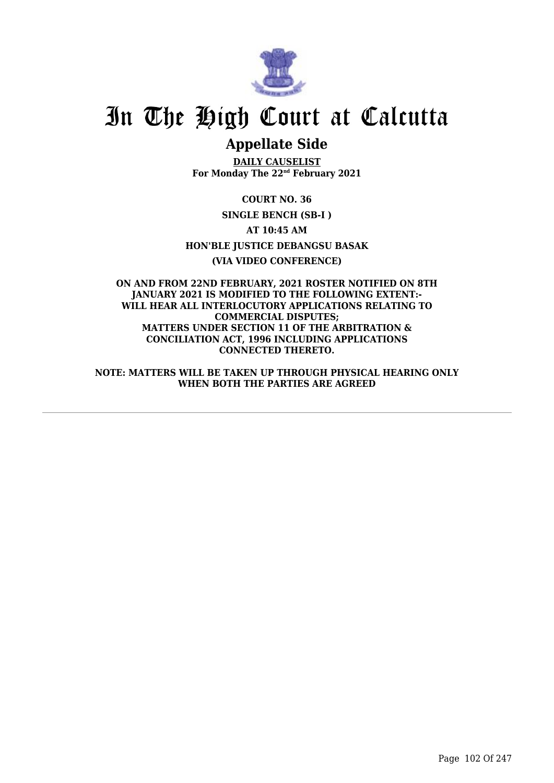

# In The High Court at Calcutta

## **Appellate Side**

**DAILY CAUSELIST For Monday The 22nd February 2021**

**COURT NO. 36 SINGLE BENCH (SB-I ) AT 10:45 AM HON'BLE JUSTICE DEBANGSU BASAK (VIA VIDEO CONFERENCE)**

**ON AND FROM 22ND FEBRUARY, 2021 ROSTER NOTIFIED ON 8TH JANUARY 2021 IS MODIFIED TO THE FOLLOWING EXTENT:- WILL HEAR ALL INTERLOCUTORY APPLICATIONS RELATING TO COMMERCIAL DISPUTES; MATTERS UNDER SECTION 11 OF THE ARBITRATION & CONCILIATION ACT, 1996 INCLUDING APPLICATIONS CONNECTED THERETO.**

**NOTE: MATTERS WILL BE TAKEN UP THROUGH PHYSICAL HEARING ONLY WHEN BOTH THE PARTIES ARE AGREED**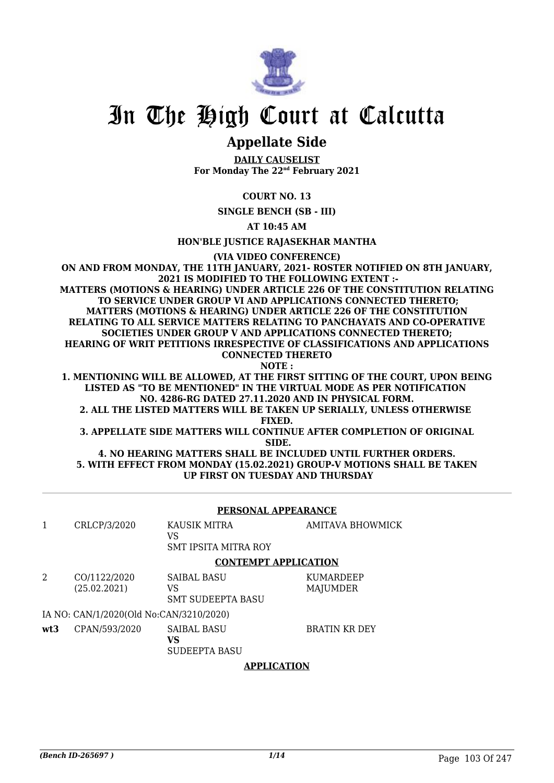

## In The High Court at Calcutta

### **Appellate Side**

**DAILY CAUSELIST For Monday The 22nd February 2021**

#### **COURT NO. 13**

**SINGLE BENCH (SB - III)**

**AT 10:45 AM**

**HON'BLE JUSTICE RAJASEKHAR MANTHA**

**(VIA VIDEO CONFERENCE)**

**ON AND FROM MONDAY, THE 11TH JANUARY, 2021- ROSTER NOTIFIED ON 8TH JANUARY, 2021 IS MODIFIED TO THE FOLLOWING EXTENT :- MATTERS (MOTIONS & HEARING) UNDER ARTICLE 226 OF THE CONSTITUTION RELATING TO SERVICE UNDER GROUP VI AND APPLICATIONS CONNECTED THERETO; MATTERS (MOTIONS & HEARING) UNDER ARTICLE 226 OF THE CONSTITUTION RELATING TO ALL SERVICE MATTERS RELATING TO PANCHAYATS AND CO-OPERATIVE SOCIETIES UNDER GROUP V AND APPLICATIONS CONNECTED THERETO; HEARING OF WRIT PETITIONS IRRESPECTIVE OF CLASSIFICATIONS AND APPLICATIONS CONNECTED THERETO NOTE :**

**1. MENTIONING WILL BE ALLOWED, AT THE FIRST SITTING OF THE COURT, UPON BEING LISTED AS "TO BE MENTIONED" IN THE VIRTUAL MODE AS PER NOTIFICATION NO. 4286-RG DATED 27.11.2020 AND IN PHYSICAL FORM.**

**2. ALL THE LISTED MATTERS WILL BE TAKEN UP SERIALLY, UNLESS OTHERWISE FIXED.**

**3. APPELLATE SIDE MATTERS WILL CONTINUE AFTER COMPLETION OF ORIGINAL SIDE.**

**4. NO HEARING MATTERS SHALL BE INCLUDED UNTIL FURTHER ORDERS. 5. WITH EFFECT FROM MONDAY (15.02.2021) GROUP-V MOTIONS SHALL BE TAKEN UP FIRST ON TUESDAY AND THURSDAY**

|      | PERSONAL APPEARANCE                     |                                                      |                              |  |
|------|-----------------------------------------|------------------------------------------------------|------------------------------|--|
|      | CRLCP/3/2020                            | KAUSIK MITRA<br>VS<br><b>SMT IPSITA MITRA ROY</b>    | AMITAVA BHOWMICK             |  |
|      |                                         | <b>CONTEMPT APPLICATION</b>                          |                              |  |
| 2    | CO/1122/2020<br>(25.02.2021)            | <b>SAIBAL BASU</b><br>VS<br><b>SMT SUDEEPTA BASU</b> | <b>KUMARDEEP</b><br>MAJUMDER |  |
|      | IA NO: CAN/1/2020(Old No:CAN/3210/2020) |                                                      |                              |  |
| wt.3 | CPAN/593/2020                           | <b>SAIBAL BASU</b><br>VS<br><b>SUDEEPTA BASU</b>     | <b>BRATIN KR DEY</b>         |  |

#### **APPLICATION**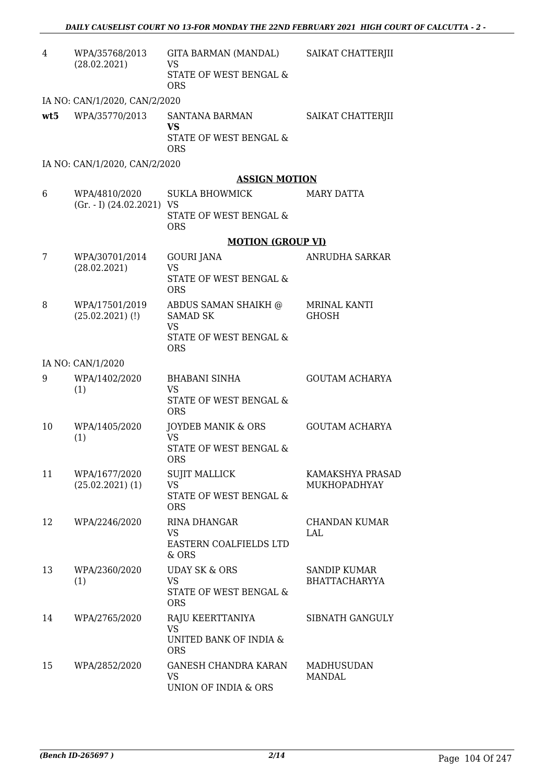| 4   | WPA/35768/2013<br>(28.02.2021)                 | GITA BARMAN (MANDAL)<br>VS<br>STATE OF WEST BENGAL &<br><b>ORS</b>            | SAIKAT CHATTERJII                           |
|-----|------------------------------------------------|-------------------------------------------------------------------------------|---------------------------------------------|
|     | IA NO: CAN/1/2020, CAN/2/2020                  |                                                                               |                                             |
| wt5 | WPA/35770/2013                                 | SANTANA BARMAN<br><b>VS</b><br>STATE OF WEST BENGAL &<br><b>ORS</b>           | SAIKAT CHATTERJII                           |
|     | IA NO: CAN/1/2020, CAN/2/2020                  |                                                                               |                                             |
|     |                                                | <b>ASSIGN MOTION</b>                                                          |                                             |
| 6   | WPA/4810/2020<br>$(Gr. - I)$ $(24.02.2021)$ VS | <b>SUKLA BHOWMICK</b><br>STATE OF WEST BENGAL &                               | <b>MARY DATTA</b>                           |
|     |                                                | <b>ORS</b><br><b>MOTION (GROUP VI)</b>                                        |                                             |
| 7   | WPA/30701/2014                                 | <b>GOURI JANA</b>                                                             | ANRUDHA SARKAR                              |
|     | (28.02.2021)                                   | <b>VS</b><br>STATE OF WEST BENGAL &<br><b>ORS</b>                             |                                             |
| 8   | WPA/17501/2019<br>$(25.02.2021)$ (!)           | ABDUS SAMAN SHAIKH @<br><b>SAMAD SK</b><br>VS                                 | <b>MRINAL KANTI</b><br>GHOSH                |
|     |                                                | STATE OF WEST BENGAL &<br><b>ORS</b>                                          |                                             |
|     | IA NO: CAN/1/2020                              |                                                                               |                                             |
| 9   | WPA/1402/2020<br>(1)                           | <b>BHABANI SINHA</b><br><b>VS</b><br>STATE OF WEST BENGAL &<br><b>ORS</b>     | <b>GOUTAM ACHARYA</b>                       |
| 10  | WPA/1405/2020<br>(1)                           | JOYDEB MANIK & ORS<br><b>VS</b><br>STATE OF WEST BENGAL &<br><b>ORS</b>       | <b>GOUTAM ACHARYA</b>                       |
| 11  | WPA/1677/2020<br>$(25.02.2021)$ (1)            | <b>SUJIT MALLICK</b><br><b>VS</b><br>STATE OF WEST BENGAL &<br><b>ORS</b>     | KAMAKSHYA PRASAD<br><b>MUKHOPADHYAY</b>     |
| 12  | WPA/2246/2020                                  | RINA DHANGAR<br>VS.<br>EASTERN COALFIELDS LTD<br>$&$ ORS                      | CHANDAN KUMAR<br>LAL                        |
| 13  | WPA/2360/2020<br>(1)                           | <b>UDAY SK &amp; ORS</b><br><b>VS</b><br>STATE OF WEST BENGAL &<br><b>ORS</b> | <b>SANDIP KUMAR</b><br><b>BHATTACHARYYA</b> |
| 14  | WPA/2765/2020                                  | RAJU KEERTTANIYA<br><b>VS</b><br>UNITED BANK OF INDIA &<br><b>ORS</b>         | SIBNATH GANGULY                             |
| 15  | WPA/2852/2020                                  | <b>GANESH CHANDRA KARAN</b><br>VS<br>UNION OF INDIA & ORS                     | <b>MADHUSUDAN</b><br><b>MANDAL</b>          |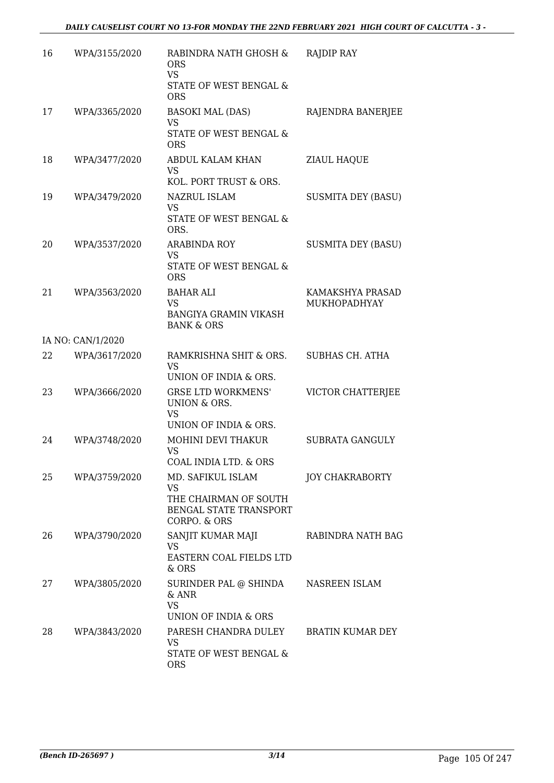| 16 | WPA/3155/2020     | RABINDRA NATH GHOSH &<br><b>ORS</b><br><b>VS</b><br>STATE OF WEST BENGAL &<br><b>ORS</b>          | RAJDIP RAY                       |
|----|-------------------|---------------------------------------------------------------------------------------------------|----------------------------------|
| 17 | WPA/3365/2020     | <b>BASOKI MAL (DAS)</b><br><b>VS</b><br>STATE OF WEST BENGAL &<br><b>ORS</b>                      | RAJENDRA BANERJEE                |
| 18 | WPA/3477/2020     | ABDUL KALAM KHAN<br><b>VS</b><br>KOL. PORT TRUST & ORS.                                           | <b>ZIAUL HAQUE</b>               |
| 19 | WPA/3479/2020     | NAZRUL ISLAM<br><b>VS</b><br>STATE OF WEST BENGAL &<br>ORS.                                       | <b>SUSMITA DEY (BASU)</b>        |
| 20 | WPA/3537/2020     | <b>ARABINDA ROY</b><br><b>VS</b><br>STATE OF WEST BENGAL &<br><b>ORS</b>                          | <b>SUSMITA DEY (BASU)</b>        |
| 21 | WPA/3563/2020     | BAHAR ALI<br><b>VS</b><br>BANGIYA GRAMIN VIKASH<br><b>BANK &amp; ORS</b>                          | KAMAKSHYA PRASAD<br>MUKHOPADHYAY |
|    | IA NO: CAN/1/2020 |                                                                                                   |                                  |
| 22 | WPA/3617/2020     | RAMKRISHNA SHIT & ORS.<br><b>VS</b><br>UNION OF INDIA & ORS.                                      | SUBHAS CH. ATHA                  |
| 23 | WPA/3666/2020     | <b>GRSE LTD WORKMENS'</b><br>UNION & ORS.<br><b>VS</b><br>UNION OF INDIA & ORS.                   | VICTOR CHATTERJEE                |
| 24 | WPA/3748/2020     | MOHINI DEVI THAKUR<br><b>VS</b><br>COAL INDIA LTD. & ORS                                          | SUBRATA GANGULY                  |
| 25 | WPA/3759/2020     | MD. SAFIKUL ISLAM<br>VS<br>THE CHAIRMAN OF SOUTH<br><b>BENGAL STATE TRANSPORT</b><br>CORPO. & ORS | <b>JOY CHAKRABORTY</b>           |
| 26 | WPA/3790/2020     | SANJIT KUMAR MAJI<br>VS<br>EASTERN COAL FIELDS LTD<br>& ORS                                       | RABINDRA NATH BAG                |
| 27 | WPA/3805/2020     | SURINDER PAL @ SHINDA<br>& ANR<br><b>VS</b><br>UNION OF INDIA & ORS                               | NASREEN ISLAM                    |
| 28 | WPA/3843/2020     | PARESH CHANDRA DULEY<br>VS<br>STATE OF WEST BENGAL &<br><b>ORS</b>                                | <b>BRATIN KUMAR DEY</b>          |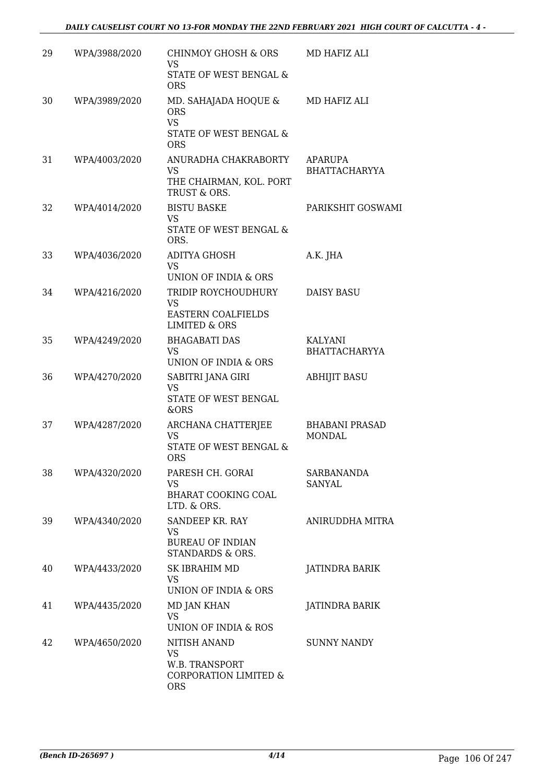| 29 | WPA/3988/2020 | CHINMOY GHOSH & ORS<br>VS.<br>STATE OF WEST BENGAL &<br><b>ORS</b>                        | MD HAFIZ ALI                           |
|----|---------------|-------------------------------------------------------------------------------------------|----------------------------------------|
| 30 | WPA/3989/2020 | MD. SAHAJADA HOQUE &<br><b>ORS</b><br><b>VS</b><br>STATE OF WEST BENGAL &<br><b>ORS</b>   | MD HAFIZ ALI                           |
| 31 | WPA/4003/2020 | ANURADHA CHAKRABORTY<br>VS<br>THE CHAIRMAN, KOL. PORT<br>TRUST & ORS.                     | <b>APARUPA</b><br><b>BHATTACHARYYA</b> |
| 32 | WPA/4014/2020 | <b>BISTU BASKE</b><br><b>VS</b><br>STATE OF WEST BENGAL &<br>ORS.                         | PARIKSHIT GOSWAMI                      |
| 33 | WPA/4036/2020 | <b>ADITYA GHOSH</b><br>VS<br>UNION OF INDIA & ORS                                         | A.K. JHA                               |
| 34 | WPA/4216/2020 | TRIDIP ROYCHOUDHURY<br><b>VS</b><br><b>EASTERN COALFIELDS</b><br><b>LIMITED &amp; ORS</b> | <b>DAISY BASU</b>                      |
| 35 | WPA/4249/2020 | <b>BHAGABATI DAS</b><br>VS.<br>UNION OF INDIA & ORS                                       | KALYANI<br><b>BHATTACHARYYA</b>        |
| 36 | WPA/4270/2020 | SABITRI JANA GIRI<br><b>VS</b><br>STATE OF WEST BENGAL<br>&ORS                            | <b>ABHIJIT BASU</b>                    |
| 37 | WPA/4287/2020 | ARCHANA CHATTERJEE<br><b>VS</b><br><b>STATE OF WEST BENGAL &amp;</b><br><b>ORS</b>        | <b>BHABANI PRASAD</b><br>MONDAL        |
| 38 | WPA/4320/2020 | PARESH CH. GORAI<br>VS<br><b>BHARAT COOKING COAL</b><br>LTD. & ORS.                       | SARBANANDA<br>SANYAL                   |
| 39 | WPA/4340/2020 | SANDEEP KR. RAY<br>VS<br><b>BUREAU OF INDIAN</b><br>STANDARDS & ORS.                      | ANIRUDDHA MITRA                        |
| 40 | WPA/4433/2020 | SK IBRAHIM MD<br>VS.<br>UNION OF INDIA & ORS                                              | JATINDRA BARIK                         |
| 41 | WPA/4435/2020 | MD JAN KHAN<br>VS.<br>UNION OF INDIA & ROS                                                | JATINDRA BARIK                         |
| 42 | WPA/4650/2020 | NITISH ANAND<br>VS<br>W.B. TRANSPORT<br><b>CORPORATION LIMITED &amp;</b><br><b>ORS</b>    | <b>SUNNY NANDY</b>                     |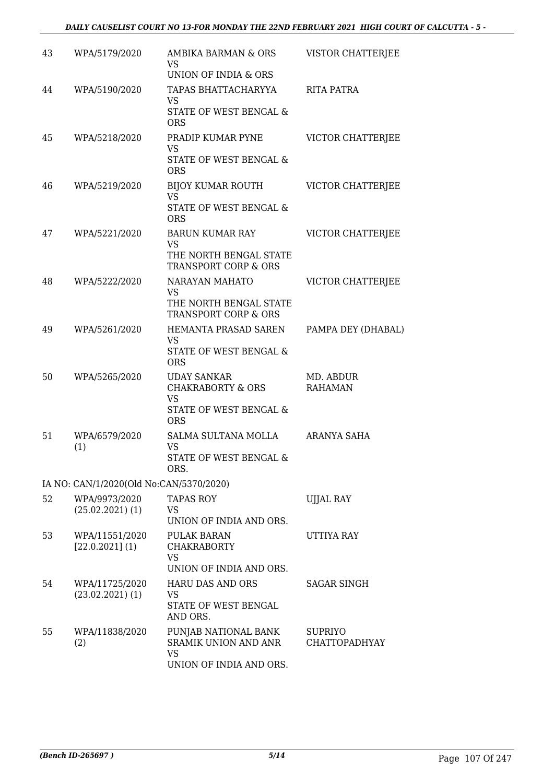| 43 | WPA/5179/2020                           | AMBIKA BARMAN & ORS<br><b>VS</b><br>UNION OF INDIA & ORS                                                | VISTOR CHATTERJEE                      |
|----|-----------------------------------------|---------------------------------------------------------------------------------------------------------|----------------------------------------|
| 44 | WPA/5190/2020                           | TAPAS BHATTACHARYYA<br>VS.<br>STATE OF WEST BENGAL &<br><b>ORS</b>                                      | RITA PATRA                             |
| 45 | WPA/5218/2020                           | PRADIP KUMAR PYNE<br><b>VS</b><br>STATE OF WEST BENGAL &<br><b>ORS</b>                                  | VICTOR CHATTERJEE                      |
| 46 | WPA/5219/2020                           | BIJOY KUMAR ROUTH<br>VS<br>STATE OF WEST BENGAL &<br><b>ORS</b>                                         | VICTOR CHATTERJEE                      |
| 47 | WPA/5221/2020                           | <b>BARUN KUMAR RAY</b><br>VS<br>THE NORTH BENGAL STATE<br><b>TRANSPORT CORP &amp; ORS</b>               | <b>VICTOR CHATTERJEE</b>               |
| 48 | WPA/5222/2020                           | NARAYAN MAHATO<br><b>VS</b><br>THE NORTH BENGAL STATE<br><b>TRANSPORT CORP &amp; ORS</b>                | VICTOR CHATTERJEE                      |
| 49 | WPA/5261/2020                           | HEMANTA PRASAD SAREN<br><b>VS</b><br>STATE OF WEST BENGAL &<br><b>ORS</b>                               | PAMPA DEY (DHABAL)                     |
| 50 | WPA/5265/2020                           | <b>UDAY SANKAR</b><br><b>CHAKRABORTY &amp; ORS</b><br><b>VS</b><br>STATE OF WEST BENGAL &<br><b>ORS</b> | MD. ABDUR<br><b>RAHAMAN</b>            |
| 51 | WPA/6579/2020<br>(1)                    | SALMA SULTANA MOLLA<br><b>VS</b><br>STATE OF WEST BENGAL &<br>ORS.                                      | <b>ARANYA SAHA</b>                     |
|    | IA NO: CAN/1/2020(Old No:CAN/5370/2020) |                                                                                                         |                                        |
| 52 | WPA/9973/2020<br>$(25.02.2021)$ (1)     | TAPAS ROY<br>VS.<br>UNION OF INDIA AND ORS.                                                             | <b>UJJAL RAY</b>                       |
| 53 | WPA/11551/2020<br>[22.0.2021](1)        | PULAK BARAN<br>CHAKRABORTY<br><b>VS</b><br>UNION OF INDIA AND ORS.                                      | UTTIYA RAY                             |
| 54 | WPA/11725/2020<br>$(23.02.2021)$ (1)    | <b>HARU DAS AND ORS</b><br><b>VS</b><br>STATE OF WEST BENGAL<br>AND ORS.                                | <b>SAGAR SINGH</b>                     |
| 55 | WPA/11838/2020<br>(2)                   | PUNJAB NATIONAL BANK<br>SRAMIK UNION AND ANR<br><b>VS</b><br>UNION OF INDIA AND ORS.                    | <b>SUPRIYO</b><br><b>CHATTOPADHYAY</b> |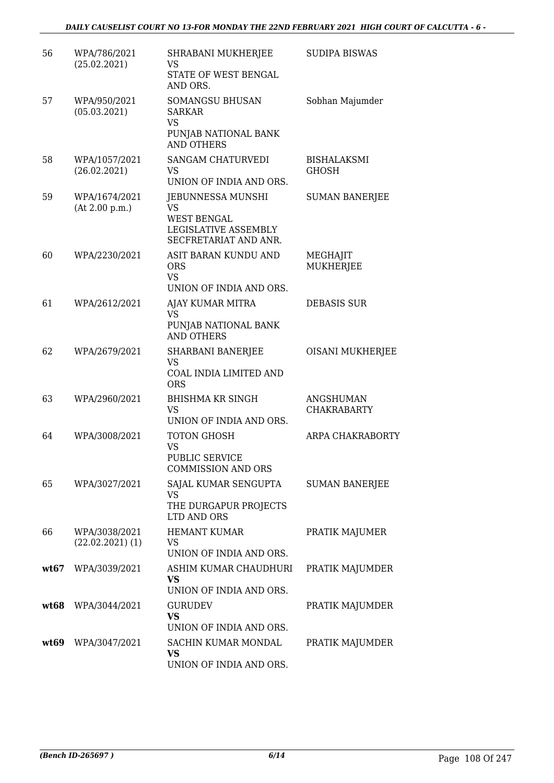| 56   | WPA/786/2021<br>(25.02.2021)        | SHRABANI MUKHERJEE<br>VS<br>STATE OF WEST BENGAL                                               | <b>SUDIPA BISWAS</b>               |
|------|-------------------------------------|------------------------------------------------------------------------------------------------|------------------------------------|
| 57   | WPA/950/2021                        | AND ORS.<br><b>SOMANGSU BHUSAN</b>                                                             | Sobhan Majumder                    |
|      | (05.03.2021)                        | <b>SARKAR</b><br><b>VS</b><br>PUNJAB NATIONAL BANK<br><b>AND OTHERS</b>                        |                                    |
| 58   | WPA/1057/2021<br>(26.02.2021)       | <b>SANGAM CHATURVEDI</b><br>VS<br>UNION OF INDIA AND ORS.                                      | <b>BISHALAKSMI</b><br><b>GHOSH</b> |
| 59   | WPA/1674/2021<br>(At 2.00 p.m.)     | JEBUNNESSA MUNSHI<br>VS<br><b>WEST BENGAL</b><br>LEGISLATIVE ASSEMBLY<br>SECFRETARIAT AND ANR. | <b>SUMAN BANERJEE</b>              |
| 60   | WPA/2230/2021                       | ASIT BARAN KUNDU AND<br><b>ORS</b><br><b>VS</b><br>UNION OF INDIA AND ORS.                     | MEGHAJIT<br>MUKHERJEE              |
| 61   | WPA/2612/2021                       | AJAY KUMAR MITRA<br><b>VS</b><br>PUNJAB NATIONAL BANK<br><b>AND OTHERS</b>                     | <b>DEBASIS SUR</b>                 |
| 62   | WPA/2679/2021                       | <b>SHARBANI BANERJEE</b><br>VS<br>COAL INDIA LIMITED AND<br><b>ORS</b>                         | OISANI MUKHERJEE                   |
| 63   | WPA/2960/2021                       | <b>BHISHMA KR SINGH</b><br><b>VS</b><br>UNION OF INDIA AND ORS.                                | ANGSHUMAN<br><b>CHAKRABARTY</b>    |
| 64   | WPA/3008/2021                       | TOTON GHOSH<br><b>VS</b><br>PUBLIC SERVICE<br><b>COMMISSION AND ORS</b>                        | <b>ARPA CHAKRABORTY</b>            |
| 65   | WPA/3027/2021                       | SAJAL KUMAR SENGUPTA<br>VS<br>THE DURGAPUR PROJECTS<br>LTD AND ORS                             | <b>SUMAN BANERJEE</b>              |
| 66   | WPA/3038/2021<br>$(22.02.2021)$ (1) | <b>HEMANT KUMAR</b><br>VS<br>UNION OF INDIA AND ORS.                                           | PRATIK MAJUMER                     |
| wt67 | WPA/3039/2021                       | ASHIM KUMAR CHAUDHURI<br><b>VS</b><br>UNION OF INDIA AND ORS.                                  | PRATIK MAJUMDER                    |
|      | wt68 WPA/3044/2021                  | GURUDEV<br>VS<br>UNION OF INDIA AND ORS.                                                       | PRATIK MAJUMDER                    |
| wt69 | WPA/3047/2021                       | SACHIN KUMAR MONDAL<br>VS<br>UNION OF INDIA AND ORS.                                           | PRATIK MAJUMDER                    |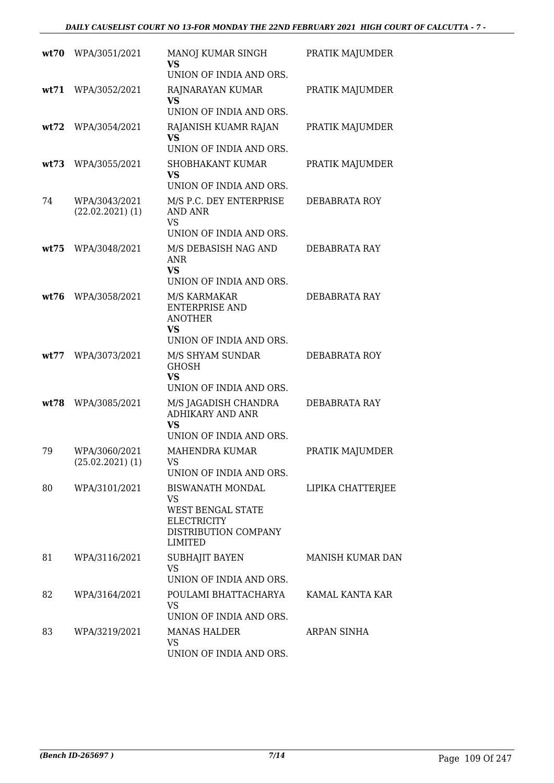| wt70 | WPA/3051/2021                         | MANOJ KUMAR SINGH<br><b>VS</b>                                                                              | PRATIK MAJUMDER   |
|------|---------------------------------------|-------------------------------------------------------------------------------------------------------------|-------------------|
| wt71 | WPA/3052/2021                         | UNION OF INDIA AND ORS.<br>RAJNARAYAN KUMAR                                                                 | PRATIK MAJUMDER   |
|      |                                       | <b>VS</b><br>UNION OF INDIA AND ORS.                                                                        |                   |
| wt72 | WPA/3054/2021                         | RAJANISH KUAMR RAJAN<br>VS<br>UNION OF INDIA AND ORS.                                                       | PRATIK MAJUMDER   |
| wt73 | WPA/3055/2021                         | <b>SHOBHAKANT KUMAR</b><br><b>VS</b><br>UNION OF INDIA AND ORS.                                             | PRATIK MAJUMDER   |
| 74   | WPA/3043/2021<br>$(22.02.2021)$ $(1)$ | M/S P.C. DEY ENTERPRISE<br>AND ANR<br><b>VS</b><br>UNION OF INDIA AND ORS.                                  | DEBABRATA ROY     |
| wt75 | WPA/3048/2021                         | M/S DEBASISH NAG AND<br><b>ANR</b><br><b>VS</b><br>UNION OF INDIA AND ORS.                                  | DEBABRATA RAY     |
| wt76 | WPA/3058/2021                         | M/S KARMAKAR<br><b>ENTERPRISE AND</b><br><b>ANOTHER</b><br><b>VS</b><br>UNION OF INDIA AND ORS.             | DEBABRATA RAY     |
| wt77 | WPA/3073/2021                         | M/S SHYAM SUNDAR<br><b>GHOSH</b><br><b>VS</b><br>UNION OF INDIA AND ORS.                                    | DEBABRATA ROY     |
| wt78 | WPA/3085/2021                         | M/S JAGADISH CHANDRA<br><b>ADHIKARY AND ANR</b><br><b>VS</b><br>UNION OF INDIA AND ORS.                     | DEBABRATA RAY     |
| 79   | WPA/3060/2021<br>$(25.02.2021)$ $(1)$ | <b>MAHENDRA KUMAR</b><br>VS<br>UNION OF INDIA AND ORS.                                                      | PRATIK MAJUMDER   |
| 80   | WPA/3101/2021                         | BISWANATH MONDAL<br>VS<br><b>WEST BENGAL STATE</b><br><b>ELECTRICITY</b><br>DISTRIBUTION COMPANY<br>LIMITED | LIPIKA CHATTERJEE |
| 81   | WPA/3116/2021                         | SUBHAJIT BAYEN<br>VS<br>UNION OF INDIA AND ORS.                                                             | MANISH KUMAR DAN  |
| 82   | WPA/3164/2021                         | POULAMI BHATTACHARYA<br>VS<br>UNION OF INDIA AND ORS.                                                       | KAMAL KANTA KAR   |
| 83   | WPA/3219/2021                         | <b>MANAS HALDER</b><br><b>VS</b><br>UNION OF INDIA AND ORS.                                                 | ARPAN SINHA       |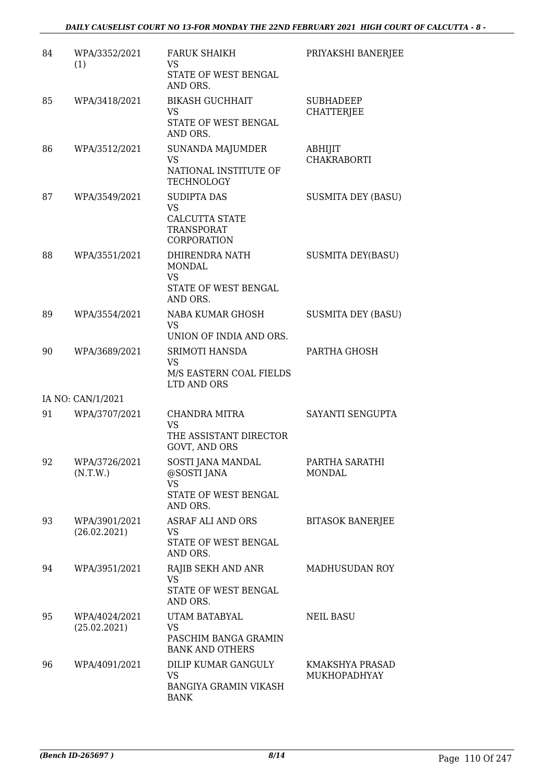| 84 | WPA/3352/2021<br>(1)          | <b>FARUK SHAIKH</b><br><b>VS</b><br>STATE OF WEST BENGAL<br>AND ORS.                  | PRIYAKSHI BANERJEE                    |
|----|-------------------------------|---------------------------------------------------------------------------------------|---------------------------------------|
| 85 | WPA/3418/2021                 | <b>BIKASH GUCHHAIT</b><br>VS<br>STATE OF WEST BENGAL<br>AND ORS.                      | <b>SUBHADEEP</b><br><b>CHATTERJEE</b> |
| 86 | WPA/3512/2021                 | SUNANDA MAJUMDER<br><b>VS</b><br>NATIONAL INSTITUTE OF<br><b>TECHNOLOGY</b>           | ABHIJIT<br><b>CHAKRABORTI</b>         |
| 87 | WPA/3549/2021                 | <b>SUDIPTA DAS</b><br><b>VS</b><br>CALCUTTA STATE<br><b>TRANSPORAT</b><br>CORPORATION | <b>SUSMITA DEY (BASU)</b>             |
| 88 | WPA/3551/2021                 | DHIRENDRA NATH<br>MONDAL<br><b>VS</b><br>STATE OF WEST BENGAL<br>AND ORS.             | <b>SUSMITA DEY(BASU)</b>              |
| 89 | WPA/3554/2021                 | NABA KUMAR GHOSH<br><b>VS</b><br>UNION OF INDIA AND ORS.                              | <b>SUSMITA DEY (BASU)</b>             |
| 90 | WPA/3689/2021                 | SRIMOTI HANSDA<br><b>VS</b><br>M/S EASTERN COAL FIELDS<br>LTD AND ORS                 | PARTHA GHOSH                          |
|    | IA NO: CAN/1/2021             |                                                                                       |                                       |
| 91 | WPA/3707/2021                 | CHANDRA MITRA<br><b>VS</b><br>THE ASSISTANT DIRECTOR<br>GOVT, AND ORS                 | SAYANTI SENGUPTA                      |
| 92 | WPA/3726/2021<br>(N.T.W.)     | SOSTI JANA MANDAL<br>@SOSTI JANA<br><b>VS</b><br>STATE OF WEST BENGAL<br>AND ORS.     | PARTHA SARATHI<br>MONDAL              |
| 93 | WPA/3901/2021<br>(26.02.2021) | ASRAF ALI AND ORS<br><b>VS</b><br>STATE OF WEST BENGAL<br>AND ORS.                    | <b>BITASOK BANERJEE</b>               |
| 94 | WPA/3951/2021                 | RAJIB SEKH AND ANR<br><b>VS</b><br>STATE OF WEST BENGAL<br>AND ORS.                   | MADHUSUDAN ROY                        |
| 95 | WPA/4024/2021<br>(25.02.2021) | UTAM BATABYAL<br><b>VS</b><br>PASCHIM BANGA GRAMIN<br><b>BANK AND OTHERS</b>          | <b>NEIL BASU</b>                      |
| 96 | WPA/4091/2021                 | DILIP KUMAR GANGULY<br><b>VS</b><br><b>BANGIYA GRAMIN VIKASH</b><br><b>BANK</b>       | KMAKSHYA PRASAD<br>MUKHOPADHYAY       |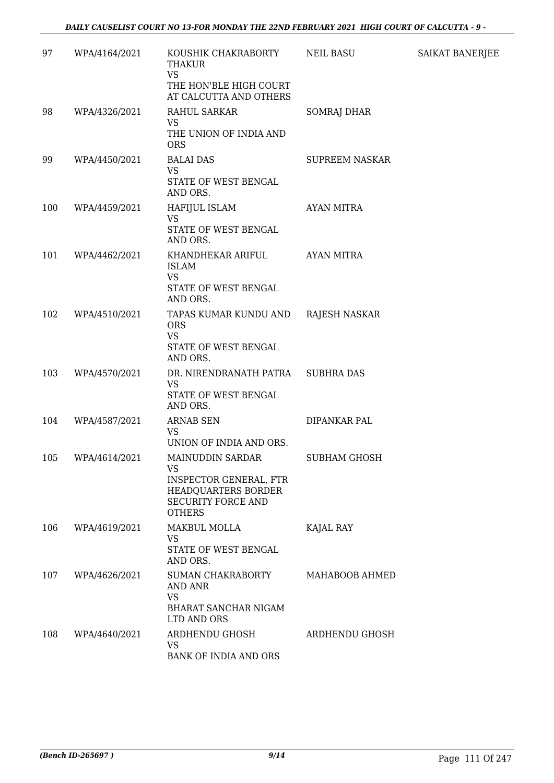| 97  | WPA/4164/2021 | KOUSHIK CHAKRABORTY<br>THAKUR<br><b>VS</b>                                                                             | NEIL BASU             | <b>SAIKAT BANERJEE</b> |
|-----|---------------|------------------------------------------------------------------------------------------------------------------------|-----------------------|------------------------|
|     |               | THE HON'BLE HIGH COURT<br>AT CALCUTTA AND OTHERS                                                                       |                       |                        |
| 98  | WPA/4326/2021 | RAHUL SARKAR                                                                                                           | <b>SOMRAJ DHAR</b>    |                        |
|     |               | <b>VS</b><br>THE UNION OF INDIA AND<br><b>ORS</b>                                                                      |                       |                        |
| 99  | WPA/4450/2021 | <b>BALAI DAS</b>                                                                                                       | <b>SUPREEM NASKAR</b> |                        |
|     |               | <b>VS</b><br>STATE OF WEST BENGAL<br>AND ORS.                                                                          |                       |                        |
| 100 | WPA/4459/2021 | HAFIJUL ISLAM                                                                                                          | <b>AYAN MITRA</b>     |                        |
|     |               | VS<br>STATE OF WEST BENGAL<br>AND ORS.                                                                                 |                       |                        |
| 101 | WPA/4462/2021 | KHANDHEKAR ARIFUL                                                                                                      | <b>AYAN MITRA</b>     |                        |
|     |               | <b>ISLAM</b><br><b>VS</b><br>STATE OF WEST BENGAL<br>AND ORS.                                                          |                       |                        |
| 102 | WPA/4510/2021 | TAPAS KUMAR KUNDU AND<br><b>ORS</b><br><b>VS</b>                                                                       | RAJESH NASKAR         |                        |
|     |               | STATE OF WEST BENGAL<br>AND ORS.                                                                                       |                       |                        |
| 103 | WPA/4570/2021 | DR. NIRENDRANATH PATRA                                                                                                 | <b>SUBHRA DAS</b>     |                        |
|     |               | <b>VS</b><br>STATE OF WEST BENGAL<br>AND ORS.                                                                          |                       |                        |
| 104 | WPA/4587/2021 | <b>ARNAB SEN</b>                                                                                                       | DIPANKAR PAL          |                        |
|     |               | VS<br>UNION OF INDIA AND ORS.                                                                                          |                       |                        |
| 105 | WPA/4614/2021 | MAINUDDIN SARDAR                                                                                                       | <b>SUBHAM GHOSH</b>   |                        |
|     |               | <b>VS</b><br><b>INSPECTOR GENERAL, FTR</b><br><b>HEADQUARTERS BORDER</b><br><b>SECURITY FORCE AND</b><br><b>OTHERS</b> |                       |                        |
| 106 | WPA/4619/2021 | MAKBUL MOLLA                                                                                                           | KAJAL RAY             |                        |
|     |               | VS.<br>STATE OF WEST BENGAL<br>AND ORS.                                                                                |                       |                        |
| 107 | WPA/4626/2021 | <b>SUMAN CHAKRABORTY</b><br><b>AND ANR</b><br><b>VS</b>                                                                | MAHABOOB AHMED        |                        |
|     |               | <b>BHARAT SANCHAR NIGAM</b><br>LTD AND ORS                                                                             |                       |                        |
| 108 | WPA/4640/2021 | ARDHENDU GHOSH<br><b>VS</b><br>BANK OF INDIA AND ORS                                                                   | ARDHENDU GHOSH        |                        |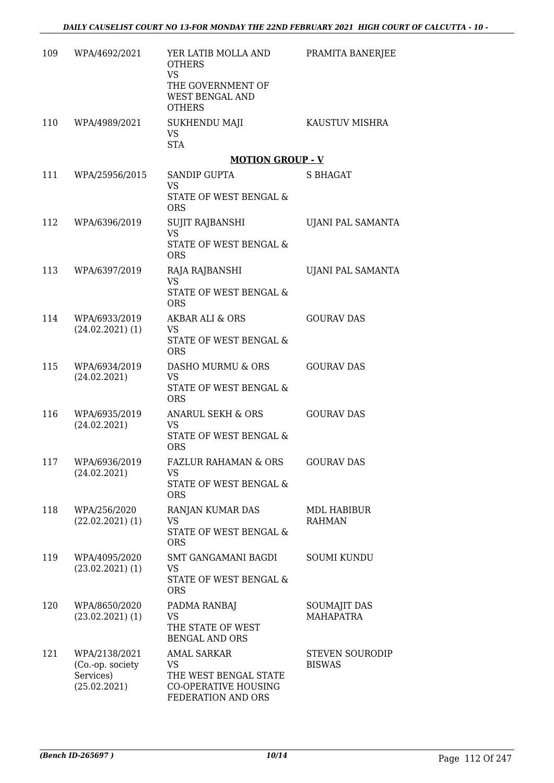| 109 | WPA/4692/2021                                                  | YER LATIB MOLLA AND<br><b>OTHERS</b><br><b>VS</b><br>THE GOVERNMENT OF<br>WEST BENGAL AND<br><b>OTHERS</b> | PRAMITA BANERJEE                        |
|-----|----------------------------------------------------------------|------------------------------------------------------------------------------------------------------------|-----------------------------------------|
|     | 110 WPA/4989/2021                                              | <b>SUKHENDU MAJI</b><br><b>VS</b><br><b>STA</b>                                                            | KAUSTUV MISHRA                          |
|     |                                                                | <b>MOTION GROUP - V</b>                                                                                    |                                         |
|     | 111 WPA/25956/2015                                             | <b>SANDIP GUPTA</b><br><b>VS</b><br>STATE OF WEST BENGAL &<br><b>ORS</b>                                   | <b>S BHAGAT</b>                         |
|     | 112 WPA/6396/2019                                              | SUJIT RAJBANSHI<br><b>VS</b><br>STATE OF WEST BENGAL &<br><b>ORS</b>                                       | UJANI PAL SAMANTA                       |
|     | 113 WPA/6397/2019                                              | RAJA RAJBANSHI<br><b>VS</b><br>STATE OF WEST BENGAL &<br><b>ORS</b>                                        | UJANI PAL SAMANTA                       |
| 114 | WPA/6933/2019<br>$(24.02.2021)$ (1)                            | AKBAR ALI & ORS<br><b>VS</b><br>STATE OF WEST BENGAL &<br><b>ORS</b>                                       | <b>GOURAV DAS</b>                       |
| 115 | WPA/6934/2019<br>(24.02.2021)                                  | DASHO MURMU & ORS<br><b>VS</b><br>STATE OF WEST BENGAL &<br><b>ORS</b>                                     | <b>GOURAV DAS</b>                       |
| 116 | WPA/6935/2019<br>(24.02.2021)                                  | ANARUL SEKH & ORS<br>VS<br>STATE OF WEST BENGAL &<br><b>ORS</b>                                            | <b>GOURAV DAS</b>                       |
| 117 | WPA/6936/2019<br>(24.02.2021)                                  | FAZLUR RAHAMAN & ORS<br>VS.<br>STATE OF WEST BENGAL &<br><b>ORS</b>                                        | GOURAV DAS                              |
| 118 | WPA/256/2020<br>$(22.02.2021)$ (1)                             | RANJAN KUMAR DAS<br>VS<br>STATE OF WEST BENGAL &<br><b>ORS</b>                                             | <b>MDL HABIBUR</b><br><b>RAHMAN</b>     |
| 119 | WPA/4095/2020<br>$(23.02.2021)$ (1)                            | SMT GANGAMANI BAGDI<br>VS<br>STATE OF WEST BENGAL &<br><b>ORS</b>                                          | <b>SOUMI KUNDU</b>                      |
| 120 | WPA/8650/2020<br>$(23.02.2021)$ (1)                            | PADMA RANBAJ<br><b>VS</b><br>THE STATE OF WEST<br><b>BENGAL AND ORS</b>                                    | <b>SOUMAJIT DAS</b><br><b>MAHAPATRA</b> |
| 121 | WPA/2138/2021<br>(Co.-op. society<br>Services)<br>(25.02.2021) | <b>AMAL SARKAR</b><br>VS<br>THE WEST BENGAL STATE<br><b>CO-OPERATIVE HOUSING</b><br>FEDERATION AND ORS     | <b>STEVEN SOURODIP</b><br><b>BISWAS</b> |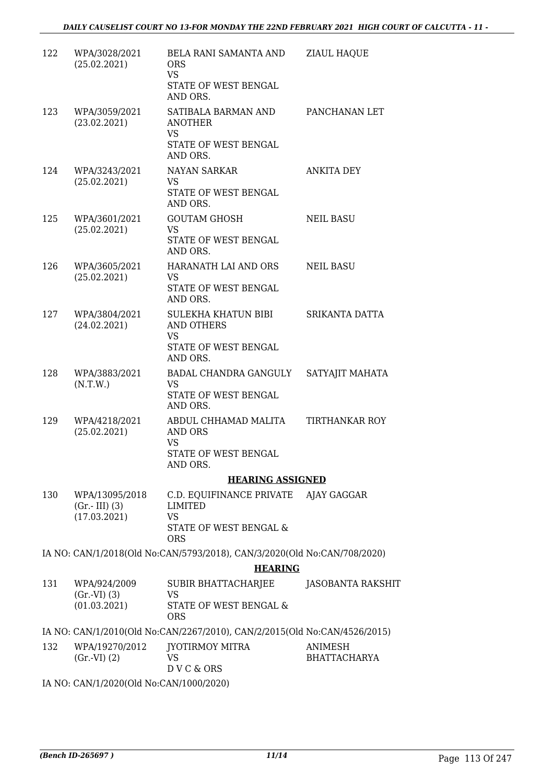| 122 | WPA/3028/2021<br>(25.02.2021)                     | BELA RANI SAMANTA AND<br><b>ORS</b><br><b>VS</b><br>STATE OF WEST BENGAL<br>AND ORS.                        | <b>ZIAUL HAQUE</b>             |
|-----|---------------------------------------------------|-------------------------------------------------------------------------------------------------------------|--------------------------------|
| 123 | WPA/3059/2021<br>(23.02.2021)                     | SATIBALA BARMAN AND<br><b>ANOTHER</b><br><b>VS</b><br>STATE OF WEST BENGAL                                  | PANCHANAN LET                  |
| 124 | WPA/3243/2021<br>(25.02.2021)                     | AND ORS.<br>NAYAN SARKAR<br>VS.<br>STATE OF WEST BENGAL<br>AND ORS.                                         | <b>ANKITA DEY</b>              |
| 125 | WPA/3601/2021<br>(25.02.2021)                     | <b>GOUTAM GHOSH</b><br>VS<br>STATE OF WEST BENGAL<br>AND ORS.                                               | <b>NEIL BASU</b>               |
| 126 | WPA/3605/2021<br>(25.02.2021)                     | HARANATH LAI AND ORS<br>VS<br>STATE OF WEST BENGAL<br>AND ORS.                                              | <b>NEIL BASU</b>               |
| 127 | WPA/3804/2021<br>(24.02.2021)                     | SULEKHA KHATUN BIBI<br>AND OTHERS<br><b>VS</b><br>STATE OF WEST BENGAL<br>AND ORS.                          | SRIKANTA DATTA                 |
| 128 | WPA/3883/2021<br>(N.T.W.)                         | BADAL CHANDRA GANGULY<br>VS<br>STATE OF WEST BENGAL<br>AND ORS.                                             | SATYAJIT MAHATA                |
| 129 | WPA/4218/2021<br>(25.02.2021)                     | ABDUL CHHAMAD MALITA<br>AND ORS<br><b>VS</b><br>STATE OF WEST BENGAL<br>AND ORS.                            | <b>TIRTHANKAR ROY</b>          |
|     |                                                   | <b>HEARING ASSIGNED</b>                                                                                     |                                |
| 130 | WPA/13095/2018<br>$(Gr.-III)$ (3)<br>(17.03.2021) | C.D. EQUIFINANCE PRIVATE AJAY GAGGAR<br><b>LIMITED</b><br><b>VS</b><br>STATE OF WEST BENGAL &<br><b>ORS</b> |                                |
|     |                                                   | IA NO: CAN/1/2018(Old No:CAN/5793/2018), CAN/3/2020(Old No:CAN/708/2020)                                    |                                |
|     |                                                   | <b>HEARING</b>                                                                                              |                                |
| 131 | WPA/924/2009<br>(Gr.VI) (3)<br>(01.03.2021)       | SUBIR BHATTACHARJEE<br>VS<br>STATE OF WEST BENGAL &                                                         | JASOBANTA RAKSHIT              |
|     |                                                   | <b>ORS</b><br>IA NO: CAN/1/2010(Old No:CAN/2267/2010), CAN/2/2015(Old No:CAN/4526/2015)                     |                                |
| 132 | WPA/19270/2012<br>$(Gr.-VI) (2)$                  | JYOTIRMOY MITRA<br><b>VS</b><br>DVC&ORS                                                                     | ANIMESH<br><b>BHATTACHARYA</b> |

IA NO: CAN/1/2020(Old No:CAN/1000/2020)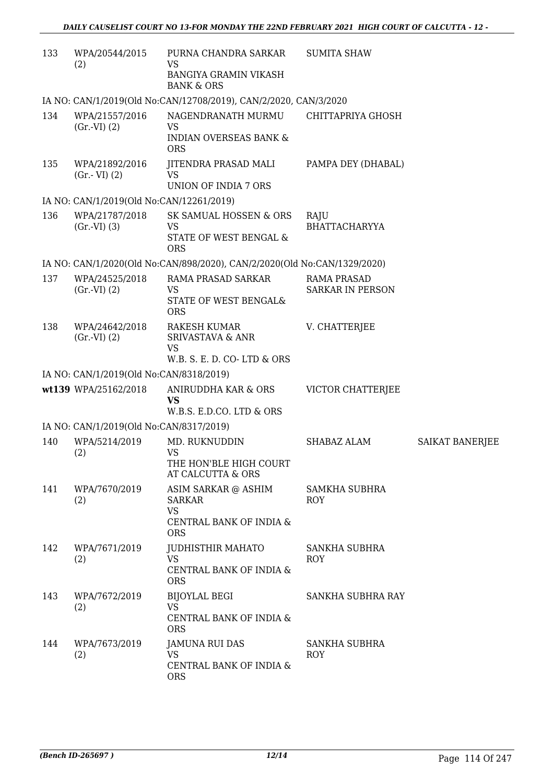| 133 | WPA/20544/2015<br>(2)                    | PURNA CHANDRA SARKAR<br>VS<br><b>BANGIYA GRAMIN VIKASH</b><br><b>BANK &amp; ORS</b>        | <b>SUMITA SHAW</b>                            |                        |
|-----|------------------------------------------|--------------------------------------------------------------------------------------------|-----------------------------------------------|------------------------|
|     |                                          | IA NO: CAN/1/2019(Old No:CAN/12708/2019), CAN/2/2020, CAN/3/2020                           |                                               |                        |
| 134 | WPA/21557/2016<br>(Gr.VI) (2)            | NAGENDRANATH MURMU<br><b>VS</b><br><b>INDIAN OVERSEAS BANK &amp;</b><br><b>ORS</b>         | CHITTAPRIYA GHOSH                             |                        |
| 135 | WPA/21892/2016<br>$(Gr.-VI)$ $(2)$       | JITENDRA PRASAD MALI<br><b>VS</b><br><b>UNION OF INDIA 7 ORS</b>                           | PAMPA DEY (DHABAL)                            |                        |
|     | IA NO: CAN/1/2019(Old No:CAN/12261/2019) |                                                                                            |                                               |                        |
| 136 | WPA/21787/2018<br>(Gr.VI) (3)            | SK SAMUAL HOSSEN & ORS<br><b>VS</b><br>STATE OF WEST BENGAL &<br><b>ORS</b>                | RAJU<br><b>BHATTACHARYYA</b>                  |                        |
|     |                                          | IA NO: CAN/1/2020(Old No:CAN/898/2020), CAN/2/2020(Old No:CAN/1329/2020)                   |                                               |                        |
| 137 | WPA/24525/2018<br>(Gr.VI) (2)            | RAMA PRASAD SARKAR<br>VS<br>STATE OF WEST BENGAL&<br><b>ORS</b>                            | <b>RAMA PRASAD</b><br><b>SARKAR IN PERSON</b> |                        |
| 138 | WPA/24642/2018<br>(Gr.VI) (2)            | RAKESH KUMAR<br><b>SRIVASTAVA &amp; ANR</b><br><b>VS</b><br>W.B. S. E. D. CO-LTD & ORS     | V. CHATTERJEE                                 |                        |
|     | IA NO: CAN/1/2019(Old No:CAN/8318/2019)  |                                                                                            |                                               |                        |
|     | wt139 WPA/25162/2018                     | ANIRUDDHA KAR & ORS<br><b>VS</b><br>W.B.S. E.D.CO. LTD & ORS                               | VICTOR CHATTERJEE                             |                        |
|     | IA NO: CAN/1/2019(Old No:CAN/8317/2019)  |                                                                                            |                                               |                        |
| 140 | WPA/5214/2019<br>(2)                     | MD. RUKNUDDIN<br>VS<br>THE HON'BLE HIGH COURT<br>AT CALCUTTA & ORS                         | SHABAZ ALAM                                   | <b>SAIKAT BANERJEE</b> |
| 141 | WPA/7670/2019<br>(2)                     | ASIM SARKAR @ ASHIM<br><b>SARKAR</b><br><b>VS</b><br>CENTRAL BANK OF INDIA &<br><b>ORS</b> | <b>SAMKHA SUBHRA</b><br><b>ROY</b>            |                        |
| 142 | WPA/7671/2019<br>(2)                     | JUDHISTHIR MAHATO<br><b>VS</b><br>CENTRAL BANK OF INDIA &<br><b>ORS</b>                    | <b>SANKHA SUBHRA</b><br><b>ROY</b>            |                        |
| 143 | WPA/7672/2019<br>(2)                     | <b>BIJOYLAL BEGI</b><br><b>VS</b><br>CENTRAL BANK OF INDIA &<br><b>ORS</b>                 | SANKHA SUBHRA RAY                             |                        |
| 144 | WPA/7673/2019<br>(2)                     | <b>JAMUNA RUI DAS</b><br><b>VS</b><br>CENTRAL BANK OF INDIA &<br><b>ORS</b>                | <b>SANKHA SUBHRA</b><br><b>ROY</b>            |                        |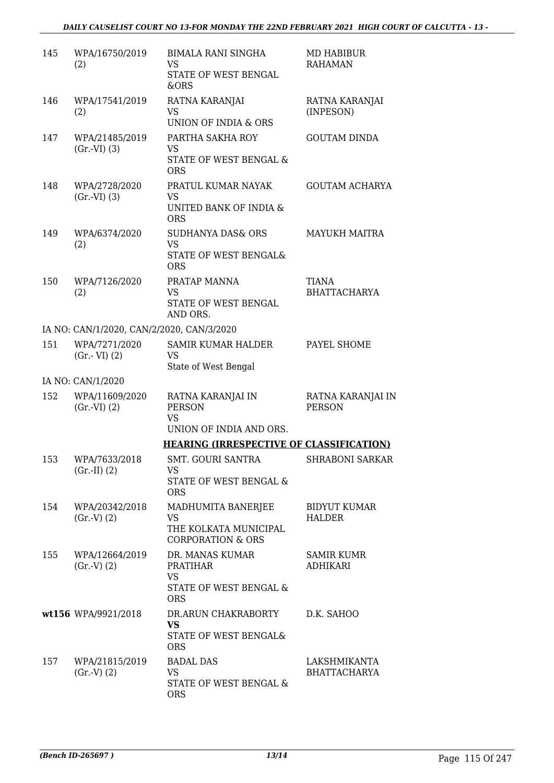| 145 | WPA/16750/2019<br>(2)                     | <b>BIMALA RANI SINGHA</b><br><b>VS</b><br>STATE OF WEST BENGAL<br>&ORS                      | MD HABIBUR<br><b>RAHAMAN</b>         |
|-----|-------------------------------------------|---------------------------------------------------------------------------------------------|--------------------------------------|
| 146 | WPA/17541/2019<br>(2)                     | RATNA KARANJAI<br>VS<br><b>UNION OF INDIA &amp; ORS</b>                                     | RATNA KARANJAI<br>(INPESON)          |
| 147 | WPA/21485/2019<br>(Gr.VI) (3)             | PARTHA SAKHA ROY<br><b>VS</b><br>STATE OF WEST BENGAL &<br><b>ORS</b>                       | <b>GOUTAM DINDA</b>                  |
| 148 | WPA/2728/2020<br>(Gr.VI) (3)              | PRATUL KUMAR NAYAK<br><b>VS</b><br>UNITED BANK OF INDIA &<br><b>ORS</b>                     | <b>GOUTAM ACHARYA</b>                |
| 149 | WPA/6374/2020<br>(2)                      | <b>SUDHANYA DAS&amp; ORS</b><br><b>VS</b><br><b>STATE OF WEST BENGAL&amp;</b><br><b>ORS</b> | <b>MAYUKH MAITRA</b>                 |
| 150 | WPA/7126/2020<br>(2)                      | PRATAP MANNA<br><b>VS</b><br>STATE OF WEST BENGAL<br>AND ORS.                               | <b>TIANA</b><br><b>BHATTACHARYA</b>  |
|     | IA NO: CAN/1/2020, CAN/2/2020, CAN/3/2020 |                                                                                             |                                      |
| 151 | WPA/7271/2020<br>$(Gr.-VI)$ $(2)$         | <b>SAMIR KUMAR HALDER</b><br><b>VS</b><br>State of West Bengal                              | PAYEL SHOME                          |
|     | IA NO: CAN/1/2020                         |                                                                                             |                                      |
| 152 | WPA/11609/2020<br>(Gr.VI) (2)             | RATNA KARANJAI IN<br><b>PERSON</b><br><b>VS</b><br>UNION OF INDIA AND ORS.                  | RATNA KARANJAI IN<br><b>PERSON</b>   |
|     |                                           | <b>HEARING (IRRESPECTIVE OF CLASSIFICATION)</b>                                             |                                      |
| 153 | WPA/7633/2018<br>$(Gr.-II) (2)$           | SMT. GOURI SANTRA<br>VS<br>STATE OF WEST BENGAL &<br><b>ORS</b>                             | SHRABONI SARKAR                      |
| 154 | WPA/20342/2018<br>(Gr.V) (2)              | MADHUMITA BANERJEE<br><b>VS</b><br>THE KOLKATA MUNICIPAL<br><b>CORPORATION &amp; ORS</b>    | <b>BIDYUT KUMAR</b><br><b>HALDER</b> |
| 155 | WPA/12664/2019<br>(Gr.V) (2)              | DR. MANAS KUMAR<br><b>PRATIHAR</b><br><b>VS</b><br>STATE OF WEST BENGAL &<br><b>ORS</b>     | <b>SAMIR KUMR</b><br><b>ADHIKARI</b> |
|     | wt156 WPA/9921/2018                       | DR.ARUN CHAKRABORTY<br><b>VS</b><br>STATE OF WEST BENGAL&<br><b>ORS</b>                     | D.K. SAHOO                           |
| 157 | WPA/21815/2019<br>(Gr.V) (2)              | <b>BADAL DAS</b><br>VS<br>STATE OF WEST BENGAL &<br><b>ORS</b>                              | LAKSHMIKANTA<br><b>BHATTACHARYA</b>  |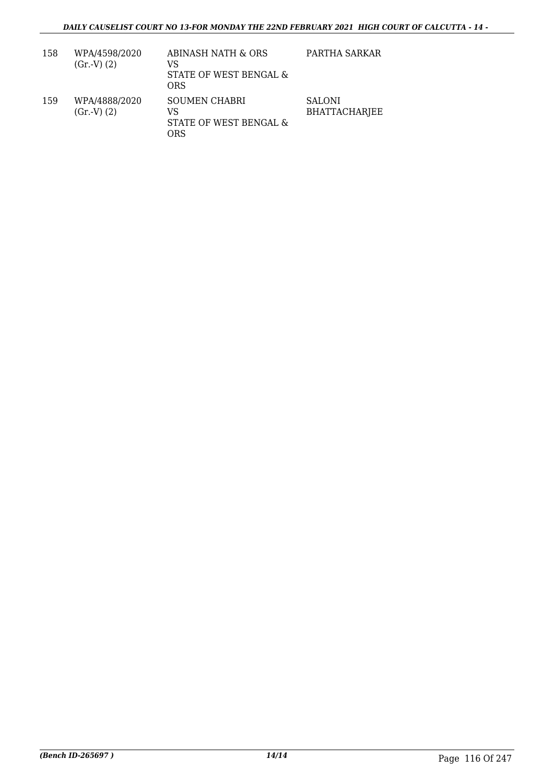| 158 | WPA/4598/2020<br>(Gr.V) (2) | ABINASH NATH & ORS<br>VS<br>STATE OF WEST BENGAL &<br>ORS   | PARTHA SARKAR                         |
|-----|-----------------------------|-------------------------------------------------------------|---------------------------------------|
| 159 | WPA/4888/2020<br>(Gr.V) (2) | <b>SOUMEN CHABRI</b><br>VS<br>STATE OF WEST BENGAL &<br>ORS | <b>SALONI</b><br><b>BHATTACHARJEE</b> |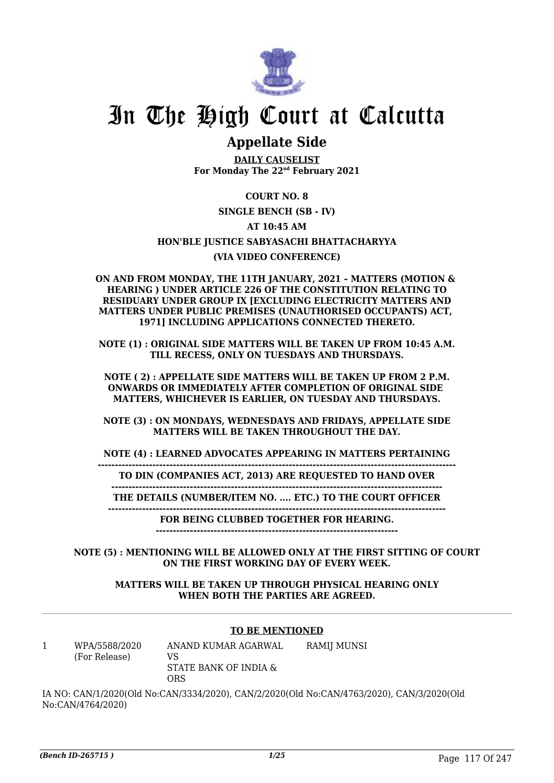

## In The High Court at Calcutta

### **Appellate Side**

**DAILY CAUSELIST For Monday The 22nd February 2021**

#### **COURT NO. 8**

#### **SINGLE BENCH (SB - IV)**

#### **AT 10:45 AM**

#### **HON'BLE JUSTICE SABYASACHI BHATTACHARYYA**

#### **(VIA VIDEO CONFERENCE)**

**ON AND FROM MONDAY, THE 11TH JANUARY, 2021 – MATTERS (MOTION & HEARING ) UNDER ARTICLE 226 OF THE CONSTITUTION RELATING TO RESIDUARY UNDER GROUP IX [EXCLUDING ELECTRICITY MATTERS AND MATTERS UNDER PUBLIC PREMISES (UNAUTHORISED OCCUPANTS) ACT, 1971] INCLUDING APPLICATIONS CONNECTED THERETO.**

**NOTE (1) : ORIGINAL SIDE MATTERS WILL BE TAKEN UP FROM 10:45 A.M. TILL RECESS, ONLY ON TUESDAYS AND THURSDAYS.**

**NOTE ( 2) : APPELLATE SIDE MATTERS WILL BE TAKEN UP FROM 2 P.M. ONWARDS OR IMMEDIATELY AFTER COMPLETION OF ORIGINAL SIDE MATTERS, WHICHEVER IS EARLIER, ON TUESDAY AND THURSDAYS.**

**NOTE (3) : ON MONDAYS, WEDNESDAYS AND FRIDAYS, APPELLATE SIDE MATTERS WILL BE TAKEN THROUGHOUT THE DAY.**

**NOTE (4) : LEARNED ADVOCATES APPEARING IN MATTERS PERTAINING**

**---------------------------------------------------------------------------------------------------------**

**TO DIN (COMPANIES ACT, 2013) ARE REQUESTED TO HAND OVER -------------------------------------------------------------------------------------------------**

**THE DETAILS (NUMBER/ITEM NO. .... ETC.) TO THE COURT OFFICER**

**--------------------------------------------------------------------------------------------------- FOR BEING CLUBBED TOGETHER FOR HEARING.**

**-----------------------------------------------------------------------**

**NOTE (5) : MENTIONING WILL BE ALLOWED ONLY AT THE FIRST SITTING OF COURT ON THE FIRST WORKING DAY OF EVERY WEEK.**

**MATTERS WILL BE TAKEN UP THROUGH PHYSICAL HEARING ONLY WHEN BOTH THE PARTIES ARE AGREED.**

#### **TO BE MENTIONED**

1 WPA/5588/2020 (For Release)

ANAND KUMAR AGARWAL VS STATE BANK OF INDIA & ORS RAMIJ MUNSI

IA NO: CAN/1/2020(Old No:CAN/3334/2020), CAN/2/2020(Old No:CAN/4763/2020), CAN/3/2020(Old No:CAN/4764/2020)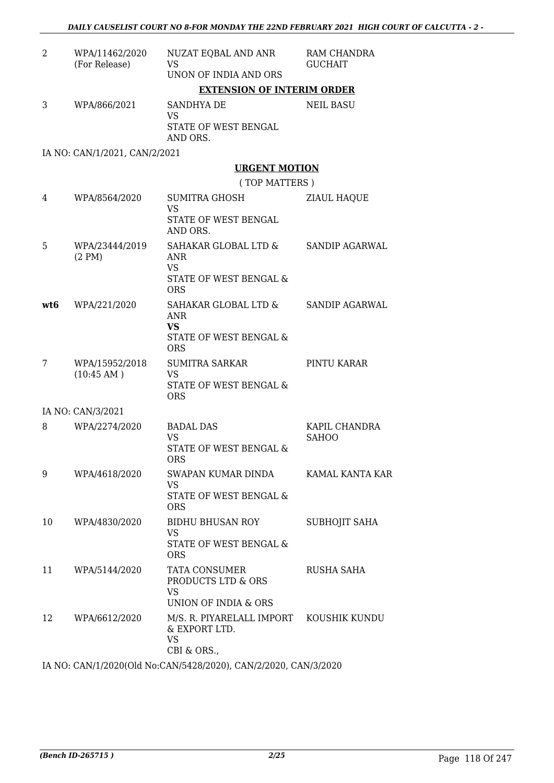| 2   | WPA/11462/2020<br>(For Release) | NUZAT EQBAL AND ANR<br><b>VS</b><br>UNON OF INDIA AND ORS                                              | RAM CHANDRA<br><b>GUCHAIT</b> |
|-----|---------------------------------|--------------------------------------------------------------------------------------------------------|-------------------------------|
|     |                                 | <b>EXTENSION OF INTERIM ORDER</b>                                                                      |                               |
| 3   | WPA/866/2021                    | SANDHYA DE<br><b>VS</b><br>STATE OF WEST BENGAL<br>AND ORS.                                            | <b>NEIL BASU</b>              |
|     | IA NO: CAN/1/2021, CAN/2/2021   |                                                                                                        |                               |
|     |                                 | <b>URGENT MOTION</b>                                                                                   |                               |
|     |                                 | (TOP MATTERS)                                                                                          |                               |
| 4   | WPA/8564/2020                   | SUMITRA GHOSH<br><b>VS</b><br>STATE OF WEST BENGAL<br>AND ORS.                                         | ZIAUL HAQUE                   |
| 5   | WPA/23444/2019<br>(2 PM)        | SAHAKAR GLOBAL LTD & SANDIP AGARWAL<br><b>ANR</b><br><b>VS</b><br>STATE OF WEST BENGAL &<br><b>ORS</b> |                               |
| wt6 | WPA/221/2020                    | SAHAKAR GLOBAL LTD & SANDIP AGARWAL<br><b>ANR</b><br><b>VS</b><br>STATE OF WEST BENGAL &<br><b>ORS</b> |                               |
| 7   | WPA/15952/2018<br>(10:45 AM)    | SUMITRA SARKAR<br>VS.<br>STATE OF WEST BENGAL &<br><b>ORS</b>                                          | PINTU KARAR                   |
|     | IA NO: CAN/3/2021               |                                                                                                        |                               |
| 8   | WPA/2274/2020                   | <b>BADAL DAS</b><br><b>VS</b><br>STATE OF WEST BENGAL &<br><b>ORS</b>                                  | KAPIL CHANDRA<br><b>SAHOO</b> |
| 9   | WPA/4618/2020                   | SWAPAN KUMAR DINDA<br>VS<br>STATE OF WEST BENGAL &<br><b>ORS</b>                                       | KAMAL KANTA KAR               |
| 10  | WPA/4830/2020                   | BIDHU BHUSAN ROY<br><b>VS</b><br>STATE OF WEST BENGAL &<br><b>ORS</b>                                  | <b>SUBHOJIT SAHA</b>          |
| 11  | WPA/5144/2020                   | <b>TATA CONSUMER</b><br>PRODUCTS LTD & ORS<br><b>VS</b><br>UNION OF INDIA & ORS                        | RUSHA SAHA                    |
| 12  | WPA/6612/2020                   | M/S. R. PIYARELALL IMPORT KOUSHIK KUNDU<br>& EXPORT LTD.<br><b>VS</b><br>CBI & ORS.,                   |                               |
|     |                                 | IA NO CANTA (2020) (OLI N. CANTE (2012020) CANTO (2020)                                                |                               |

IA NO: CAN/1/2020(Old No:CAN/5428/2020), CAN/2/2020, CAN/3/2020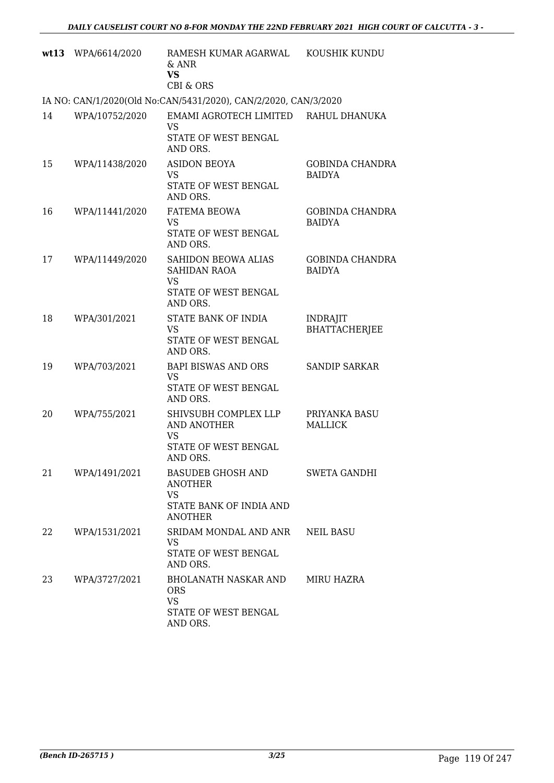| wt13 | WPA/6614/2020  | RAMESH KUMAR AGARWAL<br>$&$ ANR<br><b>VS</b><br><b>CBI &amp; ORS</b>                 | KOUSHIK KUNDU                           |
|------|----------------|--------------------------------------------------------------------------------------|-----------------------------------------|
|      |                | IA NO: CAN/1/2020(Old No:CAN/5431/2020), CAN/2/2020, CAN/3/2020                      |                                         |
| 14   | WPA/10752/2020 | EMAMI AGROTECH LIMITED<br><b>VS</b><br>STATE OF WEST BENGAL<br>AND ORS.              | RAHUL DHANUKA                           |
| 15   | WPA/11438/2020 | <b>ASIDON BEOYA</b><br><b>VS</b><br>STATE OF WEST BENGAL<br>AND ORS.                 | <b>GOBINDA CHANDRA</b><br><b>BAIDYA</b> |
| 16   | WPA/11441/2020 | <b>FATEMA BEOWA</b><br><b>VS</b><br>STATE OF WEST BENGAL<br>AND ORS.                 | <b>GOBINDA CHANDRA</b><br><b>BAIDYA</b> |
| 17   | WPA/11449/2020 | <b>SAHIDON BEOWA ALIAS</b><br>SAHIDAN RAOA<br>VS<br>STATE OF WEST BENGAL<br>AND ORS. | <b>GOBINDA CHANDRA</b><br><b>BAIDYA</b> |
| 18   | WPA/301/2021   | STATE BANK OF INDIA<br><b>VS</b><br>STATE OF WEST BENGAL<br>AND ORS.                 | <b>INDRAJIT</b><br><b>BHATTACHERJEE</b> |
| 19   | WPA/703/2021   | <b>BAPI BISWAS AND ORS</b><br>VS<br>STATE OF WEST BENGAL<br>AND ORS.                 | <b>SANDIP SARKAR</b>                    |
| 20   | WPA/755/2021   | SHIVSUBH COMPLEX LLP<br>AND ANOTHER<br>VS<br>STATE OF WEST BENGAL<br>AND ORS.        | PRIYANKA BASU<br><b>MALLICK</b>         |
| 21   | WPA/1491/2021  | BASUDEB GHOSH AND<br>ANOTHER<br>VS<br>STATE BANK OF INDIA AND<br><b>ANOTHER</b>      | <b>SWETA GANDHI</b>                     |
| 22   | WPA/1531/2021  | SRIDAM MONDAL AND ANR<br>VS<br>STATE OF WEST BENGAL<br>AND ORS.                      | <b>NEIL BASU</b>                        |
| 23   | WPA/3727/2021  | BHOLANATH NASKAR AND<br><b>ORS</b><br><b>VS</b><br>STATE OF WEST BENGAL<br>AND ORS.  | MIRU HAZRA                              |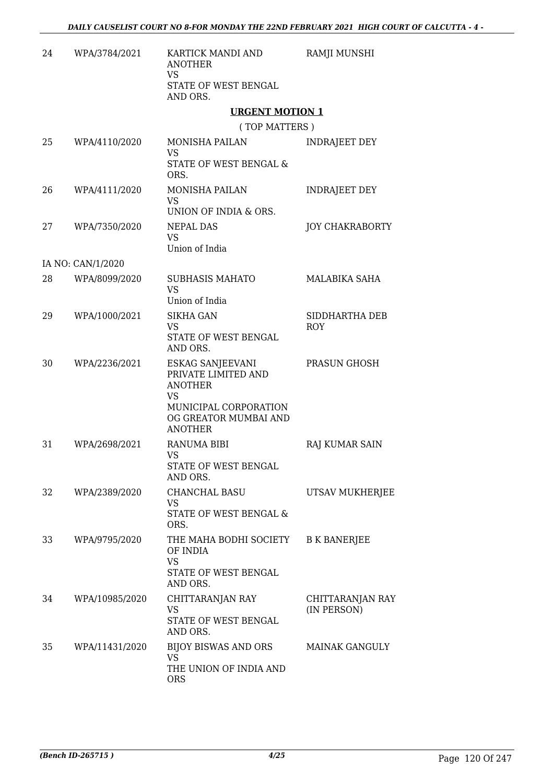| 24 | WPA/3784/2021     | KARTICK MANDI AND<br><b>ANOTHER</b><br><b>VS</b><br>STATE OF WEST BENGAL<br>AND ORS.                                                       | RAMJI MUNSHI                    |
|----|-------------------|--------------------------------------------------------------------------------------------------------------------------------------------|---------------------------------|
|    |                   | <b>URGENT MOTION 1</b>                                                                                                                     |                                 |
|    |                   | (TOP MATTERS)                                                                                                                              |                                 |
| 25 | WPA/4110/2020     | MONISHA PAILAN<br><b>VS</b>                                                                                                                | <b>INDRAJEET DEY</b>            |
|    |                   | STATE OF WEST BENGAL &<br>ORS.                                                                                                             |                                 |
| 26 | WPA/4111/2020     | MONISHA PAILAN<br><b>VS</b><br>UNION OF INDIA & ORS.                                                                                       | <b>INDRAJEET DEY</b>            |
| 27 | WPA/7350/2020     | <b>NEPAL DAS</b><br><b>VS</b><br>Union of India                                                                                            | <b>JOY CHAKRABORTY</b>          |
|    | IA NO: CAN/1/2020 |                                                                                                                                            |                                 |
| 28 | WPA/8099/2020     | <b>SUBHASIS MAHATO</b><br><b>VS</b><br>Union of India                                                                                      | MALABIKA SAHA                   |
| 29 | WPA/1000/2021     | <b>SIKHA GAN</b><br><b>VS</b><br>STATE OF WEST BENGAL<br>AND ORS.                                                                          | SIDDHARTHA DEB<br><b>ROY</b>    |
| 30 | WPA/2236/2021     | ESKAG SANJEEVANI<br>PRIVATE LIMITED AND<br><b>ANOTHER</b><br><b>VS</b><br>MUNICIPAL CORPORATION<br>OG GREATOR MUMBAI AND<br><b>ANOTHER</b> | PRASUN GHOSH                    |
| 31 | WPA/2698/2021     | <b>RANUMA BIBI</b><br>VS<br>STATE OF WEST BENGAL<br>AND ORS.                                                                               | <b>RAJ KUMAR SAIN</b>           |
| 32 | WPA/2389/2020     | CHANCHAL BASU<br><b>VS</b><br>STATE OF WEST BENGAL &<br>ORS.                                                                               | UTSAV MUKHERJEE                 |
| 33 | WPA/9795/2020     | THE MAHA BODHI SOCIETY<br>OF INDIA<br><b>VS</b><br>STATE OF WEST BENGAL<br>AND ORS.                                                        | <b>B K BANERJEE</b>             |
| 34 | WPA/10985/2020    | CHITTARANJAN RAY<br>VS<br>STATE OF WEST BENGAL<br>AND ORS.                                                                                 | CHITTARANJAN RAY<br>(IN PERSON) |
| 35 | WPA/11431/2020    | BIJOY BISWAS AND ORS<br>VS.<br>THE UNION OF INDIA AND<br><b>ORS</b>                                                                        | <b>MAINAK GANGULY</b>           |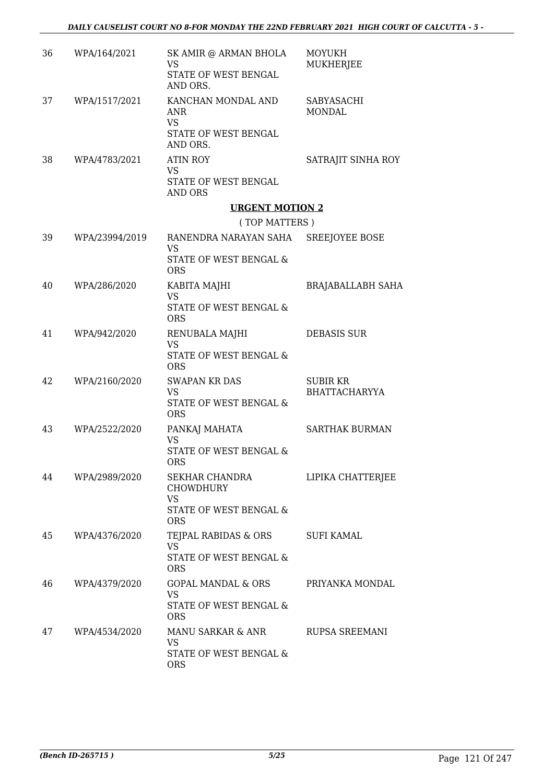| 36 | WPA/164/2021   | SK AMIR @ ARMAN BHOLA<br>VS<br>STATE OF WEST BENGAL<br>AND ORS.                           | <b>MOYUKH</b><br>MUKHERJEE              |
|----|----------------|-------------------------------------------------------------------------------------------|-----------------------------------------|
| 37 | WPA/1517/2021  | KANCHAN MONDAL AND<br>ANR<br><b>VS</b><br>STATE OF WEST BENGAL<br>AND ORS.                | SABYASACHI<br><b>MONDAL</b>             |
| 38 | WPA/4783/2021  | <b>ATIN ROY</b><br><b>VS</b><br>STATE OF WEST BENGAL<br>AND ORS                           | SATRAJIT SINHA ROY                      |
|    |                | <b>URGENT MOTION 2</b>                                                                    |                                         |
|    |                | (TOP MATTERS)                                                                             |                                         |
| 39 | WPA/23994/2019 | RANENDRA NARAYAN SAHA SREEJOYEE BOSE<br><b>VS</b><br>STATE OF WEST BENGAL &<br><b>ORS</b> |                                         |
| 40 | WPA/286/2020   | KABITA MAJHI<br><b>VS</b>                                                                 | <b>BRAJABALLABH SAHA</b>                |
|    |                | STATE OF WEST BENGAL &<br><b>ORS</b>                                                      |                                         |
| 41 | WPA/942/2020   | RENUBALA MAJHI<br>VS<br>STATE OF WEST BENGAL &<br><b>ORS</b>                              | <b>DEBASIS SUR</b>                      |
| 42 | WPA/2160/2020  | <b>SWAPAN KR DAS</b><br><b>VS</b><br><b>STATE OF WEST BENGAL &amp;</b><br><b>ORS</b>      | <b>SUBIR KR</b><br><b>BHATTACHARYYA</b> |
| 43 | WPA/2522/2020  | PANKAJ MAHATA<br>VS<br>STATE OF WEST BENGAL &<br>ORS                                      | <b>SARTHAK BURMAN</b>                   |
| 44 | WPA/2989/2020  | SEKHAR CHANDRA<br><b>CHOWDHURY</b><br><b>VS</b><br>STATE OF WEST BENGAL &                 | LIPIKA CHATTERJEE                       |
| 45 | WPA/4376/2020  | <b>ORS</b><br>TEJPAL RABIDAS & ORS<br>VS.<br>STATE OF WEST BENGAL &<br><b>ORS</b>         | SUFI KAMAL                              |
| 46 | WPA/4379/2020  | GOPAL MANDAL & ORS<br>VS<br>STATE OF WEST BENGAL &<br><b>ORS</b>                          | PRIYANKA MONDAL                         |
| 47 | WPA/4534/2020  | MANU SARKAR & ANR<br>VS<br>STATE OF WEST BENGAL &<br><b>ORS</b>                           | RUPSA SREEMANI                          |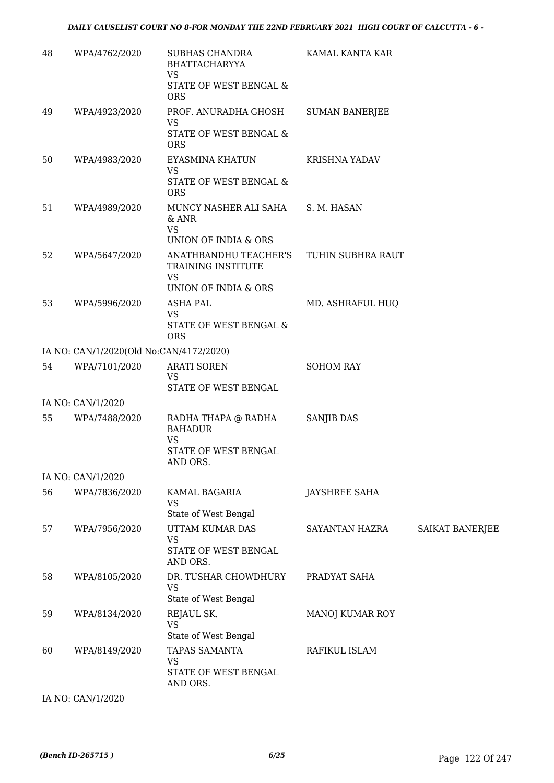| 48 | WPA/4762/2020                           | SUBHAS CHANDRA<br><b>BHATTACHARYYA</b><br><b>VS</b>                        | KAMAL KANTA KAR       |                        |
|----|-----------------------------------------|----------------------------------------------------------------------------|-----------------------|------------------------|
|    |                                         | STATE OF WEST BENGAL &<br><b>ORS</b>                                       |                       |                        |
| 49 | WPA/4923/2020                           | PROF. ANURADHA GHOSH<br>VS                                                 | <b>SUMAN BANERJEE</b> |                        |
|    |                                         | STATE OF WEST BENGAL &<br><b>ORS</b>                                       |                       |                        |
| 50 | WPA/4983/2020                           | EYASMINA KHATUN<br><b>VS</b>                                               | <b>KRISHNA YADAV</b>  |                        |
|    |                                         | STATE OF WEST BENGAL &<br><b>ORS</b>                                       |                       |                        |
| 51 | WPA/4989/2020                           | MUNCY NASHER ALI SAHA<br>& ANR<br><b>VS</b>                                | S. M. HASAN           |                        |
|    |                                         | UNION OF INDIA & ORS                                                       |                       |                        |
| 52 | WPA/5647/2020                           | ANATHBANDHU TEACHER'S<br>TRAINING INSTITUTE<br><b>VS</b>                   | TUHIN SUBHRA RAUT     |                        |
|    |                                         | UNION OF INDIA & ORS                                                       |                       |                        |
| 53 | WPA/5996/2020                           | <b>ASHA PAL</b>                                                            | MD. ASHRAFUL HUQ      |                        |
|    |                                         | <b>VS</b><br>STATE OF WEST BENGAL &<br><b>ORS</b>                          |                       |                        |
|    | IA NO: CAN/1/2020(Old No:CAN/4172/2020) |                                                                            |                       |                        |
| 54 | WPA/7101/2020                           | <b>ARATI SOREN</b><br><b>VS</b><br>STATE OF WEST BENGAL                    | <b>SOHOM RAY</b>      |                        |
|    | IA NO: CAN/1/2020                       |                                                                            |                       |                        |
| 55 | WPA/7488/2020                           | RADHA THAPA @ RADHA<br><b>BAHADUR</b><br><b>VS</b><br>STATE OF WEST BENGAL | SANJIB DAS            |                        |
|    |                                         | AND ORS.                                                                   |                       |                        |
|    | IA NO: CAN/1/2020                       |                                                                            |                       |                        |
| 56 | WPA/7836/2020                           | KAMAL BAGARIA<br>VS                                                        | <b>JAYSHREE SAHA</b>  |                        |
|    |                                         | State of West Bengal                                                       |                       |                        |
| 57 | WPA/7956/2020                           | UTTAM KUMAR DAS<br><b>VS</b><br>STATE OF WEST BENGAL<br>AND ORS.           | SAYANTAN HAZRA        | <b>SAIKAT BANERJEE</b> |
| 58 | WPA/8105/2020                           | DR. TUSHAR CHOWDHURY<br><b>VS</b><br>State of West Bengal                  | PRADYAT SAHA          |                        |
| 59 | WPA/8134/2020                           | REJAUL SK.<br><b>VS</b>                                                    | MANOJ KUMAR ROY       |                        |
|    |                                         | State of West Bengal                                                       |                       |                        |
| 60 | WPA/8149/2020                           | TAPAS SAMANTA<br><b>VS</b><br>STATE OF WEST BENGAL                         | RAFIKUL ISLAM         |                        |
|    |                                         | AND ORS.                                                                   |                       |                        |

IA NO: CAN/1/2020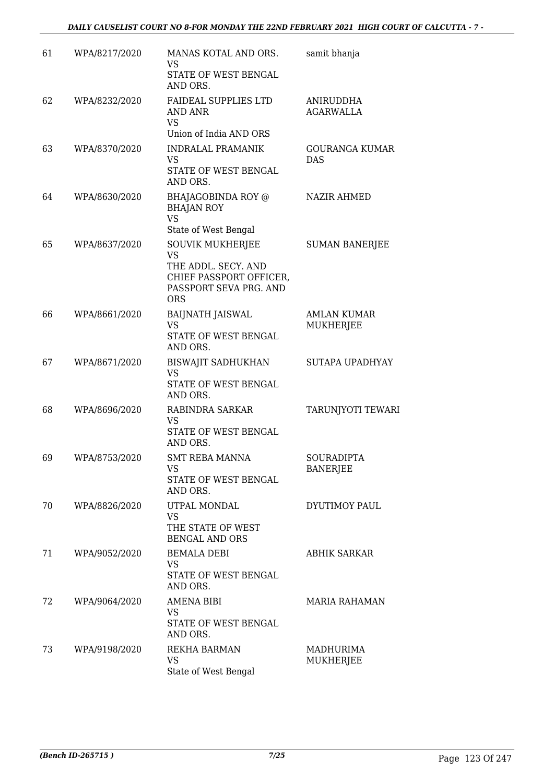#### *DAILY CAUSELIST COURT NO 8-FOR MONDAY THE 22ND FEBRUARY 2021 HIGH COURT OF CALCUTTA - 7 -*

| 61 | WPA/8217/2020 | MANAS KOTAL AND ORS.<br>VS<br>STATE OF WEST BENGAL<br>AND ORS.                                                                 | samit bhanja                           |
|----|---------------|--------------------------------------------------------------------------------------------------------------------------------|----------------------------------------|
| 62 | WPA/8232/2020 | <b>FAIDEAL SUPPLIES LTD</b><br>AND ANR<br><b>VS</b><br>Union of India AND ORS                                                  | ANIRUDDHA<br><b>AGARWALLA</b>          |
| 63 | WPA/8370/2020 | <b>INDRALAL PRAMANIK</b><br><b>VS</b><br>STATE OF WEST BENGAL<br>AND ORS.                                                      | <b>GOURANGA KUMAR</b><br><b>DAS</b>    |
| 64 | WPA/8630/2020 | BHAJAGOBINDA ROY @<br><b>BHAJAN ROY</b><br><b>VS</b><br>State of West Bengal                                                   | <b>NAZIR AHMED</b>                     |
| 65 | WPA/8637/2020 | <b>SOUVIK MUKHERJEE</b><br><b>VS</b><br>THE ADDL. SECY. AND<br>CHIEF PASSPORT OFFICER,<br>PASSPORT SEVA PRG. AND<br><b>ORS</b> | <b>SUMAN BANERJEE</b>                  |
| 66 | WPA/8661/2020 | <b>BAIJNATH JAISWAL</b><br><b>VS</b><br>STATE OF WEST BENGAL<br>AND ORS.                                                       | <b>AMLAN KUMAR</b><br><b>MUKHERJEE</b> |
| 67 | WPA/8671/2020 | <b>BISWAJIT SADHUKHAN</b><br>VS<br>STATE OF WEST BENGAL<br>AND ORS.                                                            | SUTAPA UPADHYAY                        |
| 68 | WPA/8696/2020 | RABINDRA SARKAR<br>VS<br>STATE OF WEST BENGAL<br>AND ORS.                                                                      | TARUNJYOTI TEWARI                      |
| 69 | WPA/8753/2020 | SMT REBA MANNA<br>VS.<br>STATE OF WEST BENGAL<br>AND ORS.                                                                      | SOURADIPTA<br><b>BANERJEE</b>          |
| 70 | WPA/8826/2020 | UTPAL MONDAL<br><b>VS</b><br>THE STATE OF WEST<br><b>BENGAL AND ORS</b>                                                        | DYUTIMOY PAUL                          |
| 71 | WPA/9052/2020 | <b>BEMALA DEBI</b><br>VS.<br>STATE OF WEST BENGAL<br>AND ORS.                                                                  | <b>ABHIK SARKAR</b>                    |
| 72 | WPA/9064/2020 | <b>AMENA BIBI</b><br>VS.<br>STATE OF WEST BENGAL<br>AND ORS.                                                                   | <b>MARIA RAHAMAN</b>                   |
| 73 | WPA/9198/2020 | REKHA BARMAN<br>VS<br>State of West Bengal                                                                                     | MADHURIMA<br>MUKHERJEE                 |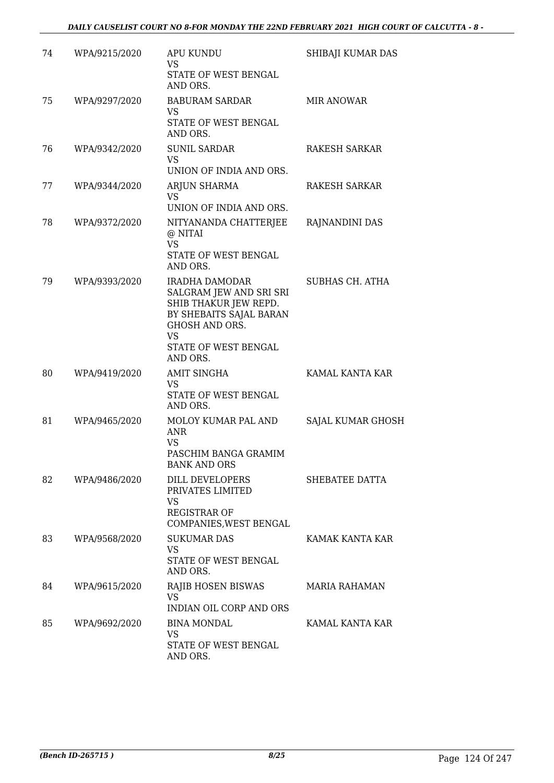| 74 | WPA/9215/2020 | <b>APU KUNDU</b><br>VS<br>STATE OF WEST BENGAL<br>AND ORS.                                                                                                        | SHIBAJI KUMAR DAS    |
|----|---------------|-------------------------------------------------------------------------------------------------------------------------------------------------------------------|----------------------|
| 75 | WPA/9297/2020 | <b>BABURAM SARDAR</b><br>VS<br>STATE OF WEST BENGAL<br>AND ORS.                                                                                                   | <b>MIR ANOWAR</b>    |
| 76 | WPA/9342/2020 | <b>SUNIL SARDAR</b><br><b>VS</b><br>UNION OF INDIA AND ORS.                                                                                                       | RAKESH SARKAR        |
| 77 | WPA/9344/2020 | ARJUN SHARMA<br><b>VS</b><br>UNION OF INDIA AND ORS.                                                                                                              | RAKESH SARKAR        |
| 78 | WPA/9372/2020 | NITYANANDA CHATTERJEE<br>@ NITAI<br><b>VS</b><br>STATE OF WEST BENGAL<br>AND ORS.                                                                                 | RAJNANDINI DAS       |
| 79 | WPA/9393/2020 | IRADHA DAMODAR<br>SALGRAM JEW AND SRI SRI<br>SHIB THAKUR JEW REPD.<br>BY SHEBAITS SAJAL BARAN<br><b>GHOSH AND ORS.</b><br>VS.<br>STATE OF WEST BENGAL<br>AND ORS. | SUBHAS CH. ATHA      |
| 80 | WPA/9419/2020 | <b>AMIT SINGHA</b><br>VS<br>STATE OF WEST BENGAL<br>AND ORS.                                                                                                      | KAMAL KANTA KAR      |
| 81 | WPA/9465/2020 | MOLOY KUMAR PAL AND<br>ANR<br>VS<br>PASCHIM BANGA GRAMIM<br><b>BANK AND ORS</b>                                                                                   | SAJAL KUMAR GHOSH    |
| 82 | WPA/9486/2020 | DILL DEVELOPERS<br>PRIVATES LIMITED<br>VS<br><b>REGISTRAR OF</b><br>COMPANIES, WEST BENGAL                                                                        | SHEBATEE DATTA       |
| 83 | WPA/9568/2020 | <b>SUKUMAR DAS</b><br>VS<br>STATE OF WEST BENGAL<br>AND ORS.                                                                                                      | KAMAK KANTA KAR      |
| 84 | WPA/9615/2020 | RAJIB HOSEN BISWAS<br><b>VS</b><br><b>INDIAN OIL CORP AND ORS</b>                                                                                                 | <b>MARIA RAHAMAN</b> |
| 85 | WPA/9692/2020 | BINA MONDAL<br><b>VS</b><br>STATE OF WEST BENGAL<br>AND ORS.                                                                                                      | KAMAL KANTA KAR      |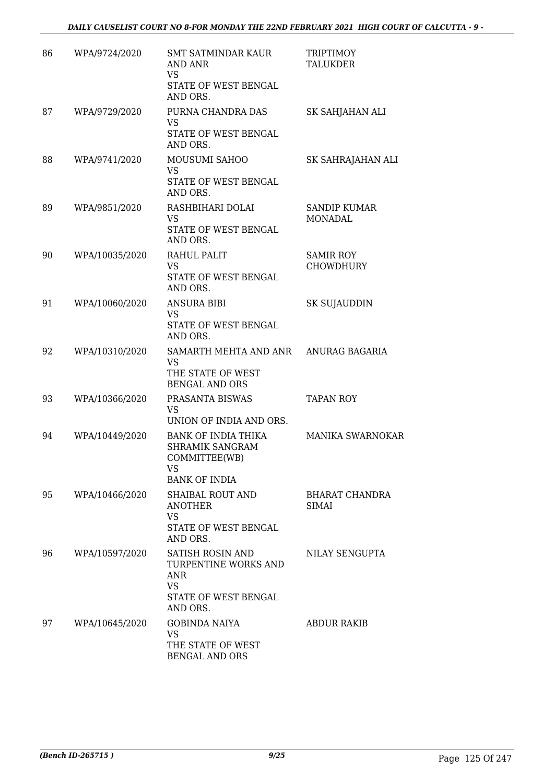| 86 | WPA/9724/2020  | <b>SMT SATMINDAR KAUR</b><br>AND ANR<br><b>VS</b><br>STATE OF WEST BENGAL<br>AND ORS.                   | <b>TRIPTIMOY</b><br><b>TALUKDER</b>   |
|----|----------------|---------------------------------------------------------------------------------------------------------|---------------------------------------|
| 87 | WPA/9729/2020  | PURNA CHANDRA DAS<br><b>VS</b><br>STATE OF WEST BENGAL<br>AND ORS.                                      | SK SAHJAHAN ALI                       |
| 88 | WPA/9741/2020  | MOUSUMI SAHOO<br><b>VS</b><br>STATE OF WEST BENGAL<br>AND ORS.                                          | SK SAHRAJAHAN ALI                     |
| 89 | WPA/9851/2020  | RASHBIHARI DOLAI<br><b>VS</b><br>STATE OF WEST BENGAL<br>AND ORS.                                       | <b>SANDIP KUMAR</b><br>MONADAL        |
| 90 | WPA/10035/2020 | RAHUL PALIT<br><b>VS</b><br>STATE OF WEST BENGAL<br>AND ORS.                                            | <b>SAMIR ROY</b><br><b>CHOWDHURY</b>  |
| 91 | WPA/10060/2020 | <b>ANSURA BIBI</b><br>VS<br>STATE OF WEST BENGAL<br>AND ORS.                                            | SK SUJAUDDIN                          |
| 92 | WPA/10310/2020 | SAMARTH MEHTA AND ANR<br><b>VS</b><br>THE STATE OF WEST<br><b>BENGAL AND ORS</b>                        | ANURAG BAGARIA                        |
| 93 | WPA/10366/2020 | PRASANTA BISWAS<br><b>VS</b><br>UNION OF INDIA AND ORS.                                                 | <b>TAPAN ROY</b>                      |
| 94 | WPA/10449/2020 | <b>BANK OF INDIA THIKA</b><br>SHRAMIK SANGRAM<br>COMMITTEE(WB)<br>VS<br><b>BANK OF INDIA</b>            | <b>MANIKA SWARNOKAR</b>               |
| 95 | WPA/10466/2020 | SHAIBAL ROUT AND<br><b>ANOTHER</b><br><b>VS</b><br>STATE OF WEST BENGAL<br>AND ORS.                     | <b>BHARAT CHANDRA</b><br><b>SIMAI</b> |
| 96 | WPA/10597/2020 | SATISH ROSIN AND<br>TURPENTINE WORKS AND<br><b>ANR</b><br><b>VS</b><br>STATE OF WEST BENGAL<br>AND ORS. | NILAY SENGUPTA                        |
| 97 | WPA/10645/2020 | <b>GOBINDA NAIYA</b><br><b>VS</b><br>THE STATE OF WEST<br>BENGAL AND ORS                                | ABDUR RAKIB                           |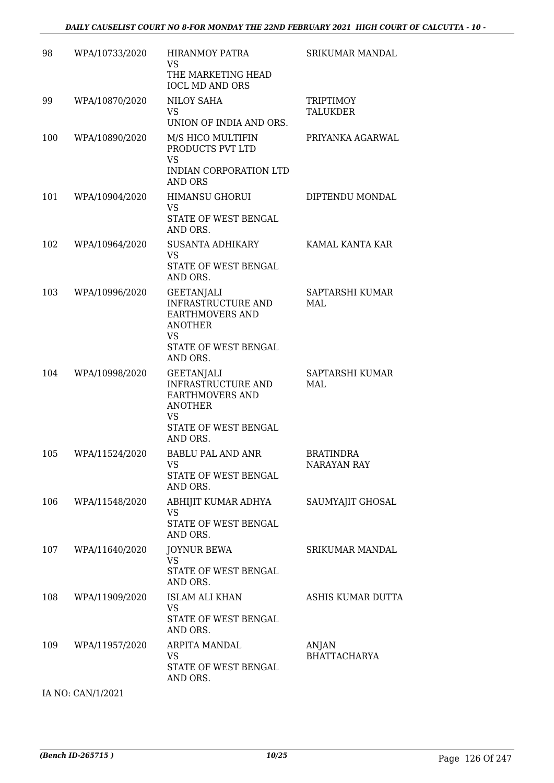| 98  | WPA/10733/2020    | <b>HIRANMOY PATRA</b><br><b>VS</b><br>THE MARKETING HEAD<br><b>IOCL MD AND ORS</b>                                                          | <b>SRIKUMAR MANDAL</b>          |
|-----|-------------------|---------------------------------------------------------------------------------------------------------------------------------------------|---------------------------------|
| 99  | WPA/10870/2020    | <b>NILOY SAHA</b><br>VS<br>UNION OF INDIA AND ORS.                                                                                          | <b>TRIPTIMOY</b><br>TALUKDER    |
| 100 | WPA/10890/2020    | M/S HICO MULTIFIN<br>PRODUCTS PVT LTD<br><b>VS</b><br>INDIAN CORPORATION LTD<br>AND ORS                                                     | PRIYANKA AGARWAL                |
| 101 | WPA/10904/2020    | <b>HIMANSU GHORUI</b><br><b>VS</b><br>STATE OF WEST BENGAL<br>AND ORS.                                                                      | DIPTENDU MONDAL                 |
| 102 | WPA/10964/2020    | <b>SUSANTA ADHIKARY</b><br>VS<br>STATE OF WEST BENGAL<br>AND ORS.                                                                           | KAMAL KANTA KAR                 |
| 103 | WPA/10996/2020    | <b>GEETANJALI</b><br><b>INFRASTRUCTURE AND</b><br><b>EARTHMOVERS AND</b><br><b>ANOTHER</b><br><b>VS</b><br>STATE OF WEST BENGAL<br>AND ORS. | SAPTARSHI KUMAR<br>MAL          |
| 104 | WPA/10998/2020    | <b>GEETANJALI</b><br><b>INFRASTRUCTURE AND</b><br><b>EARTHMOVERS AND</b><br><b>ANOTHER</b><br><b>VS</b><br>STATE OF WEST BENGAL<br>AND ORS. | SAPTARSHI KUMAR<br>MAL          |
| 105 | WPA/11524/2020    | <b>BABLU PAL AND ANR</b><br>VS<br>STATE OF WEST BENGAL<br>AND ORS.                                                                          | <b>BRATINDRA</b><br>NARAYAN RAY |
| 106 | WPA/11548/2020    | ABHIJIT KUMAR ADHYA<br><b>VS</b><br>STATE OF WEST BENGAL<br>AND ORS.                                                                        | SAUMYAJIT GHOSAL                |
| 107 | WPA/11640/2020    | <b>JOYNUR BEWA</b><br>VS.<br>STATE OF WEST BENGAL<br>AND ORS.                                                                               | SRIKUMAR MANDAL                 |
| 108 | WPA/11909/2020    | <b>ISLAM ALI KHAN</b><br><b>VS</b><br>STATE OF WEST BENGAL<br>AND ORS.                                                                      | ASHIS KUMAR DUTTA               |
| 109 | WPA/11957/2020    | ARPITA MANDAL<br><b>VS</b><br>STATE OF WEST BENGAL<br>AND ORS.                                                                              | ANJAN<br><b>BHATTACHARYA</b>    |
|     | IA NO: CAN/1/2021 |                                                                                                                                             |                                 |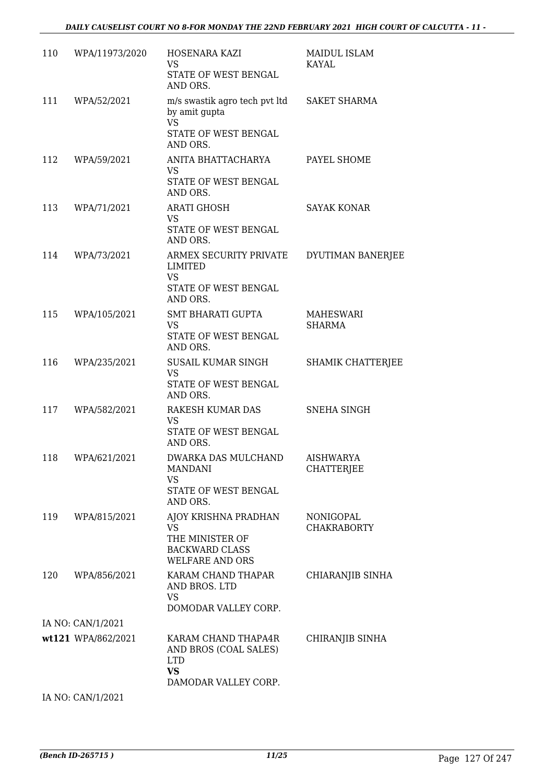| 110 | WPA/11973/2020     | HOSENARA KAZI<br><b>VS</b><br>STATE OF WEST BENGAL<br>AND ORS.                                                | <b>MAIDUL ISLAM</b><br>KAYAL          |
|-----|--------------------|---------------------------------------------------------------------------------------------------------------|---------------------------------------|
| 111 | WPA/52/2021        | m/s swastik agro tech pvt ltd<br>by amit qupta<br><b>VS</b>                                                   | <b>SAKET SHARMA</b>                   |
|     |                    | STATE OF WEST BENGAL<br>AND ORS.                                                                              |                                       |
| 112 | WPA/59/2021        | ANITA BHATTACHARYA<br><b>VS</b><br>STATE OF WEST BENGAL<br>AND ORS.                                           | PAYEL SHOME                           |
| 113 | WPA/71/2021        | <b>ARATI GHOSH</b><br><b>VS</b><br>STATE OF WEST BENGAL                                                       | <b>SAYAK KONAR</b>                    |
| 114 | WPA/73/2021        | AND ORS.<br>ARMEX SECURITY PRIVATE<br>LIMITED<br><b>VS</b>                                                    | DYUTIMAN BANERJEE                     |
|     |                    | STATE OF WEST BENGAL<br>AND ORS.                                                                              |                                       |
| 115 | WPA/105/2021       | <b>SMT BHARATI GUPTA</b><br>VS<br>STATE OF WEST BENGAL                                                        | MAHESWARI<br><b>SHARMA</b>            |
| 116 | WPA/235/2021       | AND ORS.<br>SUSAIL KUMAR SINGH<br><b>VS</b><br>STATE OF WEST BENGAL                                           | SHAMIK CHATTERJEE                     |
| 117 | WPA/582/2021       | AND ORS.<br>RAKESH KUMAR DAS<br><b>VS</b><br>STATE OF WEST BENGAL<br>AND ORS.                                 | SNEHA SINGH                           |
| 118 | WPA/621/2021       | DWARKA DAS MULCHAND<br><b>MANDANI</b><br>VS<br>STATE OF WEST BENGAL                                           | <b>AISHWARYA</b><br><b>CHATTERJEE</b> |
| 119 | WPA/815/2021       | AND ORS.<br>AJOY KRISHNA PRADHAN<br>VS.<br>THE MINISTER OF<br><b>BACKWARD CLASS</b><br><b>WELFARE AND ORS</b> | NONIGOPAL<br><b>CHAKRABORTY</b>       |
| 120 | WPA/856/2021       | KARAM CHAND THAPAR<br>AND BROS. LTD<br>VS<br>DOMODAR VALLEY CORP.                                             | CHIARANJIB SINHA                      |
|     | IA NO: CAN/1/2021  |                                                                                                               |                                       |
|     | wt121 WPA/862/2021 | KARAM CHAND THAPA4R<br>AND BROS (COAL SALES)<br><b>LTD</b><br><b>VS</b>                                       | CHIRANJIB SINHA                       |
|     | IA NO: CAN/1/2021  | DAMODAR VALLEY CORP.                                                                                          |                                       |
|     |                    |                                                                                                               |                                       |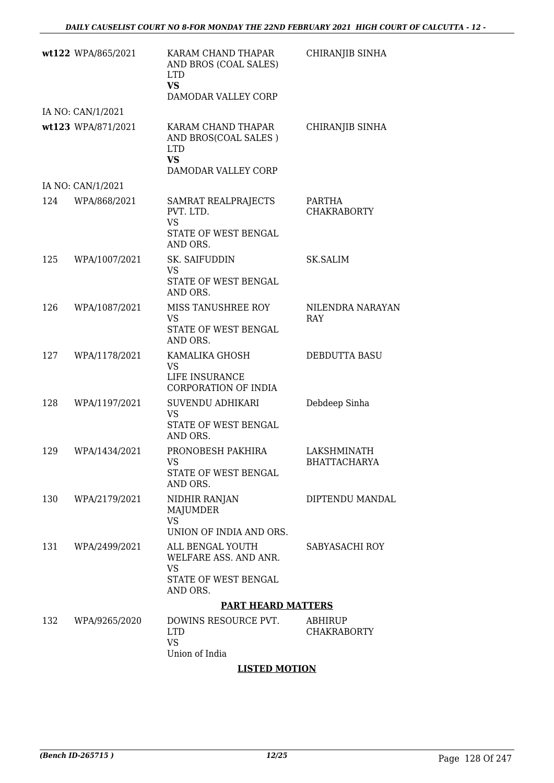|     | wt122 WPA/865/2021 | KARAM CHAND THAPAR<br>AND BROS (COAL SALES)<br><b>LTD</b><br><b>VS</b><br>DAMODAR VALLEY CORP | CHIRANJIB SINHA                    |
|-----|--------------------|-----------------------------------------------------------------------------------------------|------------------------------------|
|     | IA NO: CAN/1/2021  |                                                                                               |                                    |
|     | wt123 WPA/871/2021 | KARAM CHAND THAPAR<br>AND BROS(COAL SALES)<br><b>LTD</b><br><b>VS</b><br>DAMODAR VALLEY CORP  | CHIRANJIB SINHA                    |
|     | IA NO: CAN/1/2021  |                                                                                               |                                    |
| 124 | WPA/868/2021       | SAMRAT REALPRAJECTS<br>PVT. LTD.<br><b>VS</b><br>STATE OF WEST BENGAL<br>AND ORS.             | PARTHA<br><b>CHAKRABORTY</b>       |
| 125 | WPA/1007/2021      | SK. SAIFUDDIN<br><b>VS</b><br>STATE OF WEST BENGAL<br>AND ORS.                                | SK.SALIM                           |
| 126 | WPA/1087/2021      | MISS TANUSHREE ROY<br>VS<br>STATE OF WEST BENGAL<br>AND ORS.                                  | NILENDRA NARAYAN<br>RAY            |
| 127 | WPA/1178/2021      | KAMALIKA GHOSH<br>VS<br>LIFE INSURANCE<br>CORPORATION OF INDIA                                | DEBDUTTA BASU                      |
| 128 | WPA/1197/2021      | SUVENDU ADHIKARI<br>VS<br>STATE OF WEST BENGAL<br>AND ORS.                                    | Debdeep Sinha                      |
| 129 | WPA/1434/2021      | PRONOBESH PAKHIRA<br>VS<br>STATE OF WEST BENGAL<br>AND ORS.                                   | LAKSHMINATH<br><b>BHATTACHARYA</b> |
| 130 | WPA/2179/2021      | NIDHIR RANJAN<br>MAJUMDER<br><b>VS</b><br>UNION OF INDIA AND ORS.                             | DIPTENDU MANDAL                    |
| 131 | WPA/2499/2021      | ALL BENGAL YOUTH<br>WELFARE ASS. AND ANR.<br>VS<br>STATE OF WEST BENGAL<br>AND ORS.           | SABYASACHI ROY                     |
|     |                    | <b>PART HEARD MATTERS</b>                                                                     |                                    |
| 132 | WPA/9265/2020      | DOWINS RESOURCE PVT.<br><b>LTD</b><br><b>VS</b><br>Union of India                             | ABHIRUP<br><b>CHAKRABORTY</b>      |

#### **LISTED MOTION**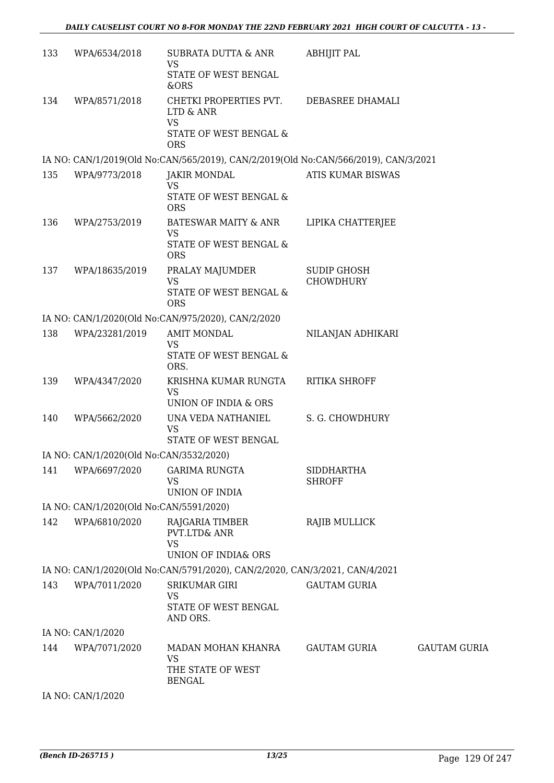| 133 | WPA/6534/2018                           | SUBRATA DUTTA & ANR                                                                       | <b>ABHIJIT PAL</b>                     |                     |
|-----|-----------------------------------------|-------------------------------------------------------------------------------------------|----------------------------------------|---------------------|
|     |                                         | <b>VS</b><br>STATE OF WEST BENGAL<br>&ORS                                                 |                                        |                     |
| 134 | WPA/8571/2018                           | CHETKI PROPERTIES PVT.<br>LTD & ANR<br><b>VS</b>                                          | DEBASREE DHAMALI                       |                     |
|     |                                         | STATE OF WEST BENGAL &<br><b>ORS</b>                                                      |                                        |                     |
|     |                                         | IA NO: CAN/1/2019(Old No:CAN/565/2019), CAN/2/2019(Old No:CAN/566/2019), CAN/3/2021       |                                        |                     |
| 135 | WPA/9773/2018                           | <b>JAKIR MONDAL</b><br><b>VS</b>                                                          | ATIS KUMAR BISWAS                      |                     |
|     |                                         | STATE OF WEST BENGAL &<br><b>ORS</b>                                                      |                                        |                     |
| 136 | WPA/2753/2019                           | <b>BATESWAR MAITY &amp; ANR</b><br><b>VS</b>                                              | LIPIKA CHATTERJEE                      |                     |
|     |                                         | STATE OF WEST BENGAL &<br><b>ORS</b>                                                      |                                        |                     |
| 137 | WPA/18635/2019                          | PRALAY MAJUMDER<br><b>VS</b>                                                              | <b>SUDIP GHOSH</b><br><b>CHOWDHURY</b> |                     |
|     |                                         | STATE OF WEST BENGAL &<br><b>ORS</b>                                                      |                                        |                     |
|     |                                         | IA NO: CAN/1/2020(Old No:CAN/975/2020), CAN/2/2020                                        |                                        |                     |
| 138 | WPA/23281/2019                          | <b>AMIT MONDAL</b><br><b>VS</b>                                                           | NILANJAN ADHIKARI                      |                     |
|     |                                         | STATE OF WEST BENGAL &<br>ORS.                                                            |                                        |                     |
| 139 | WPA/4347/2020                           | KRISHNA KUMAR RUNGTA<br><b>VS</b>                                                         | <b>RITIKA SHROFF</b>                   |                     |
| 140 | WPA/5662/2020                           | UNION OF INDIA & ORS<br>UNA VEDA NATHANIEL                                                | S. G. CHOWDHURY                        |                     |
|     |                                         | <b>VS</b><br>STATE OF WEST BENGAL                                                         |                                        |                     |
|     | IA NO: CAN/1/2020(Old No:CAN/3532/2020) |                                                                                           |                                        |                     |
| 141 | WPA/6697/2020                           | <b>GARIMA RUNGTA</b><br><b>VS</b>                                                         | <b>SIDDHARTHA</b><br><b>SHROFF</b>     |                     |
|     |                                         | UNION OF INDIA                                                                            |                                        |                     |
|     | IA NO: CAN/1/2020(Old No:CAN/5591/2020) |                                                                                           |                                        |                     |
| 142 | WPA/6810/2020                           | RAJGARIA TIMBER<br><b>PVT.LTD&amp; ANR</b><br><b>VS</b><br><b>UNION OF INDIA&amp; ORS</b> | <b>RAJIB MULLICK</b>                   |                     |
|     |                                         | IA NO: CAN/1/2020(Old No:CAN/5791/2020), CAN/2/2020, CAN/3/2021, CAN/4/2021               |                                        |                     |
| 143 | WPA/7011/2020                           | <b>SRIKUMAR GIRI</b>                                                                      | <b>GAUTAM GURIA</b>                    |                     |
|     |                                         | <b>VS</b><br>STATE OF WEST BENGAL<br>AND ORS.                                             |                                        |                     |
|     | IA NO: CAN/1/2020                       |                                                                                           |                                        |                     |
| 144 | WPA/7071/2020                           | MADAN MOHAN KHANRA                                                                        | GAUTAM GURIA                           | <b>GAUTAM GURIA</b> |
|     |                                         | VS<br>THE STATE OF WEST<br><b>BENGAL</b>                                                  |                                        |                     |
|     | IA NO: CAN/1/2020                       |                                                                                           |                                        |                     |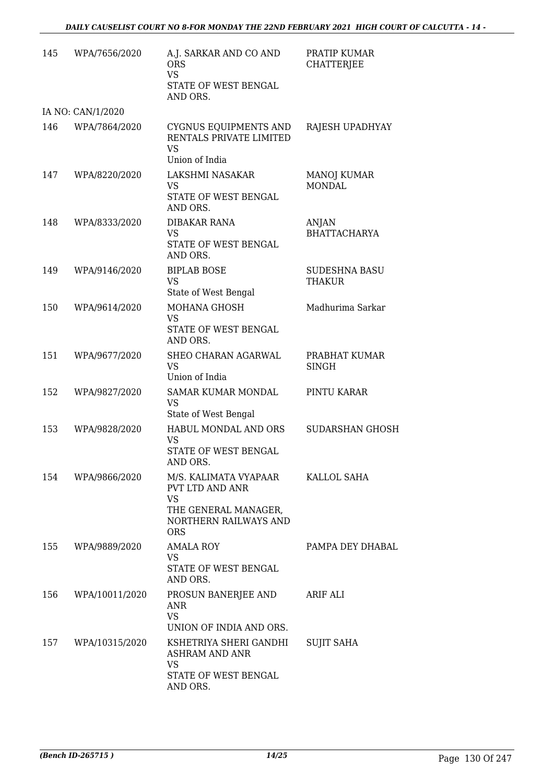| 145 | WPA/7656/2020     | A.J. SARKAR AND CO AND<br><b>ORS</b><br><b>VS</b><br>STATE OF WEST BENGAL<br>AND ORS.                                | PRATIP KUMAR<br><b>CHATTERJEE</b>     |
|-----|-------------------|----------------------------------------------------------------------------------------------------------------------|---------------------------------------|
|     | IA NO: CAN/1/2020 |                                                                                                                      |                                       |
| 146 | WPA/7864/2020     | CYGNUS EQUIPMENTS AND<br>RENTALS PRIVATE LIMITED<br><b>VS</b><br>Union of India                                      | RAJESH UPADHYAY                       |
| 147 | WPA/8220/2020     | LAKSHMI NASAKAR<br>VS<br>STATE OF WEST BENGAL<br>AND ORS.                                                            | <b>MANOJ KUMAR</b><br><b>MONDAL</b>   |
| 148 | WPA/8333/2020     | DIBAKAR RANA<br>VS<br>STATE OF WEST BENGAL<br>AND ORS.                                                               | ANJAN<br><b>BHATTACHARYA</b>          |
| 149 | WPA/9146/2020     | <b>BIPLAB BOSE</b><br><b>VS</b><br>State of West Bengal                                                              | <b>SUDESHNA BASU</b><br><b>THAKUR</b> |
| 150 | WPA/9614/2020     | <b>MOHANA GHOSH</b><br><b>VS</b><br>STATE OF WEST BENGAL<br>AND ORS.                                                 | Madhurima Sarkar                      |
| 151 | WPA/9677/2020     | SHEO CHARAN AGARWAL<br>VS<br>Union of India                                                                          | PRABHAT KUMAR<br><b>SINGH</b>         |
| 152 | WPA/9827/2020     | SAMAR KUMAR MONDAL<br><b>VS</b><br>State of West Bengal                                                              | PINTU KARAR                           |
| 153 | WPA/9828/2020     | HABUL MONDAL AND ORS<br>VS<br>STATE OF WEST BENGAL<br>AND ORS.                                                       | <b>SUDARSHAN GHOSH</b>                |
| 154 | WPA/9866/2020     | M/S. KALIMATA VYAPAAR<br>PVT LTD AND ANR<br><b>VS</b><br>THE GENERAL MANAGER,<br>NORTHERN RAILWAYS AND<br><b>ORS</b> | KALLOL SAHA                           |
| 155 | WPA/9889/2020     | AMALA ROY<br>VS<br>STATE OF WEST BENGAL<br>AND ORS.                                                                  | PAMPA DEY DHABAL                      |
| 156 | WPA/10011/2020    | PROSUN BANERJEE AND<br>ANR<br><b>VS</b><br>UNION OF INDIA AND ORS.                                                   | ARIF ALI                              |
| 157 | WPA/10315/2020    | KSHETRIYA SHERI GANDHI<br>ASHRAM AND ANR<br>VS<br>STATE OF WEST BENGAL<br>AND ORS.                                   | <b>SUJIT SAHA</b>                     |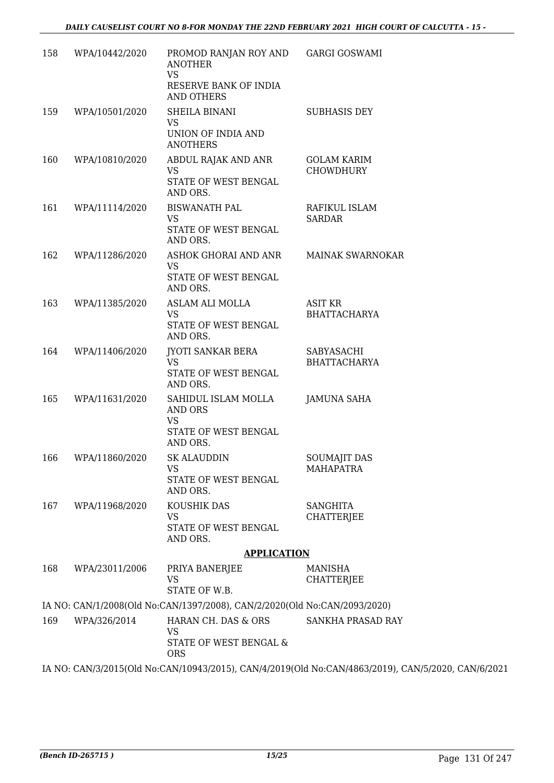| 158                                                                                                | WPA/10442/2020 | PROMOD RANJAN ROY AND GARGI GOSWAMI<br><b>ANOTHER</b><br><b>VS</b><br>RESERVE BANK OF INDIA<br>AND OTHERS |                                         |  |
|----------------------------------------------------------------------------------------------------|----------------|-----------------------------------------------------------------------------------------------------------|-----------------------------------------|--|
| 159                                                                                                | WPA/10501/2020 | SHEILA BINANI<br>VS<br>UNION OF INDIA AND<br><b>ANOTHERS</b>                                              | <b>SUBHASIS DEY</b>                     |  |
| 160                                                                                                | WPA/10810/2020 | ABDUL RAJAK AND ANR<br><b>VS</b><br>STATE OF WEST BENGAL<br>AND ORS.                                      | GOLAM KARIM<br><b>CHOWDHURY</b>         |  |
| 161                                                                                                | WPA/11114/2020 | <b>BISWANATH PAL</b><br>VS<br>STATE OF WEST BENGAL<br>AND ORS.                                            | RAFIKUL ISLAM<br><b>SARDAR</b>          |  |
| 162                                                                                                | WPA/11286/2020 | ASHOK GHORAI AND ANR<br><b>VS</b><br>STATE OF WEST BENGAL<br>AND ORS.                                     | MAINAK SWARNOKAR                        |  |
| 163                                                                                                | WPA/11385/2020 | ASLAM ALI MOLLA<br><b>VS</b><br>STATE OF WEST BENGAL<br>AND ORS.                                          | <b>ASIT KR</b><br><b>BHATTACHARYA</b>   |  |
| 164                                                                                                | WPA/11406/2020 | <b>JYOTI SANKAR BERA</b><br><b>VS</b><br>STATE OF WEST BENGAL<br>AND ORS.                                 | SABYASACHI<br><b>BHATTACHARYA</b>       |  |
| 165                                                                                                | WPA/11631/2020 | SAHIDUL ISLAM MOLLA<br>AND ORS<br><b>VS</b><br>STATE OF WEST BENGAL<br>AND ORS.                           | <b>JAMUNA SAHA</b>                      |  |
| 166                                                                                                | WPA/11860/2020 | <b>SK ALAUDDIN</b><br><b>VS</b><br>STATE OF WEST BENGAL<br>AND ORS.                                       | <b>SOUMAJIT DAS</b><br><b>MAHAPATRA</b> |  |
| 167                                                                                                | WPA/11968/2020 | KOUSHIK DAS<br><b>VS</b><br>STATE OF WEST BENGAL<br>AND ORS.                                              | <b>SANGHITA</b><br><b>CHATTERJEE</b>    |  |
|                                                                                                    |                | <b>APPLICATION</b>                                                                                        |                                         |  |
| 168                                                                                                | WPA/23011/2006 | PRIYA BANERJEE<br><b>VS</b><br>STATE OF W.B.                                                              | <b>MANISHA</b><br><b>CHATTERJEE</b>     |  |
|                                                                                                    |                | IA NO: CAN/1/2008(Old No:CAN/1397/2008), CAN/2/2020(Old No:CAN/2093/2020)                                 |                                         |  |
| 169                                                                                                | WPA/326/2014   | HARAN CH. DAS & ORS<br>VS<br>STATE OF WEST BENGAL &<br><b>ORS</b>                                         | SANKHA PRASAD RAY                       |  |
| IA NO: CAN/3/2015(Old No:CAN/10943/2015), CAN/4/2019(Old No:CAN/4863/2019), CAN/5/2020, CAN/6/2021 |                |                                                                                                           |                                         |  |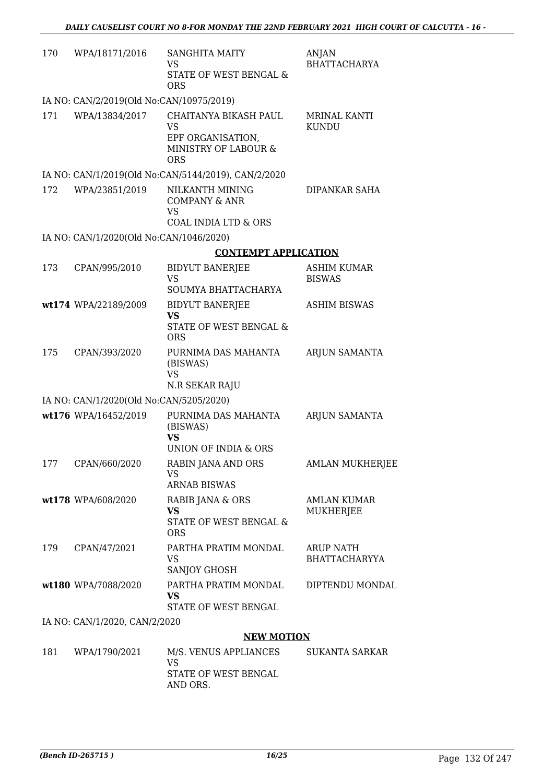| 170 | WPA/18171/2016                           | <b>SANGHITA MAITY</b><br><b>VS</b><br>STATE OF WEST BENGAL &<br><b>ORS</b>                    | ANJAN<br><b>BHATTACHARYA</b>             |
|-----|------------------------------------------|-----------------------------------------------------------------------------------------------|------------------------------------------|
|     | IA NO: CAN/2/2019(Old No:CAN/10975/2019) |                                                                                               |                                          |
| 171 | WPA/13834/2017                           | CHAITANYA BIKASH PAUL<br><b>VS</b><br>EPF ORGANISATION,<br>MINISTRY OF LABOUR &<br><b>ORS</b> | <b>MRINAL KANTI</b><br><b>KUNDU</b>      |
|     |                                          | IA NO: CAN/1/2019(Old No:CAN/5144/2019), CAN/2/2020                                           |                                          |
| 172 | WPA/23851/2019                           | NILKANTH MINING<br><b>COMPANY &amp; ANR</b><br><b>VS</b>                                      | DIPANKAR SAHA                            |
|     |                                          | COAL INDIA LTD & ORS                                                                          |                                          |
|     | IA NO: CAN/1/2020(Old No:CAN/1046/2020)  |                                                                                               |                                          |
|     |                                          | <b>CONTEMPT APPLICATION</b>                                                                   |                                          |
| 173 | CPAN/995/2010                            | <b>BIDYUT BANERJEE</b><br><b>VS</b><br>SOUMYA BHATTACHARYA                                    | <b>ASHIM KUMAR</b><br><b>BISWAS</b>      |
|     | wt174 WPA/22189/2009                     | <b>BIDYUT BANERJEE</b><br><b>VS</b><br>STATE OF WEST BENGAL &<br><b>ORS</b>                   | <b>ASHIM BISWAS</b>                      |
| 175 | CPAN/393/2020                            | PURNIMA DAS MAHANTA<br>(BISWAS)<br><b>VS</b><br>N.R SEKAR RAJU                                | ARJUN SAMANTA                            |
|     | IA NO: CAN/1/2020(Old No:CAN/5205/2020)  |                                                                                               |                                          |
|     | wt176 WPA/16452/2019                     | PURNIMA DAS MAHANTA<br>(BISWAS)<br><b>VS</b><br><b>UNION OF INDIA &amp; ORS</b>               | ARJUN SAMANTA                            |
|     | 177 CPAN/660/2020                        | RABIN JANA AND ORS<br>VS<br><b>ARNAB BISWAS</b>                                               | <b>AMLAN MUKHERJEE</b>                   |
|     | wt178 WPA/608/2020                       | RABIB JANA & ORS<br><b>VS</b><br>STATE OF WEST BENGAL &<br><b>ORS</b>                         | <b>AMLAN KUMAR</b><br>MUKHERJEE          |
| 179 | CPAN/47/2021                             | PARTHA PRATIM MONDAL<br>VS<br>SANJOY GHOSH                                                    | <b>ARUP NATH</b><br><b>BHATTACHARYYA</b> |
|     | wt180 WPA/7088/2020                      | PARTHA PRATIM MONDAL<br>VS<br>STATE OF WEST BENGAL                                            | DIPTENDU MONDAL                          |
|     | IA NO: CAN/1/2020, CAN/2/2020            |                                                                                               |                                          |
|     |                                          | <b>NEW MOTION</b>                                                                             |                                          |
| 181 | WPA/1790/2021                            | M/S. VENUS APPLIANCES                                                                         | SUKANTA SARKAR                           |

| 181 | WPA/1790/2021 | M/S. VENUS APPLIANCES<br>VS<br>STATE OF WEST BENGAL | SUKANTA SARKAR |
|-----|---------------|-----------------------------------------------------|----------------|
|     |               | AND ORS.                                            |                |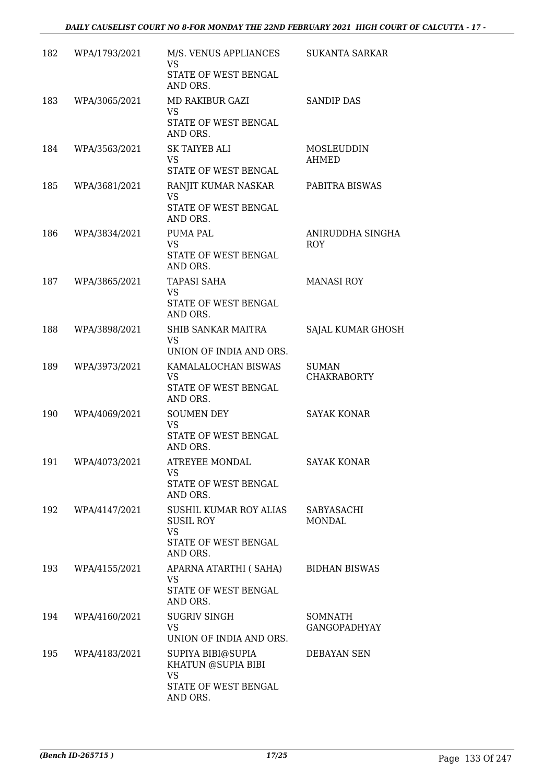| 182 | WPA/1793/2021     | M/S. VENUS APPLIANCES<br><b>VS</b>                                                          | <b>SUKANTA SARKAR</b>              |
|-----|-------------------|---------------------------------------------------------------------------------------------|------------------------------------|
|     |                   | STATE OF WEST BENGAL<br>AND ORS.                                                            |                                    |
| 183 | WPA/3065/2021     | <b>MD RAKIBUR GAZI</b><br><b>VS</b><br>STATE OF WEST BENGAL<br>AND ORS.                     | <b>SANDIP DAS</b>                  |
| 184 | WPA/3563/2021     | <b>SK TAIYEB ALI</b><br><b>VS</b><br>STATE OF WEST BENGAL                                   | MOSLEUDDIN<br>AHMED                |
| 185 | WPA/3681/2021     | RANJIT KUMAR NASKAR<br><b>VS</b><br>STATE OF WEST BENGAL<br>AND ORS.                        | PABITRA BISWAS                     |
| 186 | WPA/3834/2021     | <b>PUMA PAL</b><br><b>VS</b><br>STATE OF WEST BENGAL<br>AND ORS.                            | ANIRUDDHA SINGHA<br><b>ROY</b>     |
| 187 | WPA/3865/2021     | <b>TAPASI SAHA</b><br><b>VS</b><br>STATE OF WEST BENGAL<br>AND ORS.                         | <b>MANASI ROY</b>                  |
| 188 | WPA/3898/2021     | SHIB SANKAR MAITRA<br><b>VS</b><br>UNION OF INDIA AND ORS.                                  | SAJAL KUMAR GHOSH                  |
| 189 | WPA/3973/2021     | KAMALALOCHAN BISWAS<br><b>VS</b><br>STATE OF WEST BENGAL<br>AND ORS.                        | <b>SUMAN</b><br><b>CHAKRABORTY</b> |
| 190 | WPA/4069/2021     | <b>SOUMEN DEY</b><br><b>VS</b><br>STATE OF WEST BENGAL<br>AND ORS.                          | <b>SAYAK KONAR</b>                 |
|     | 191 WPA/4073/2021 | ATREYEE MONDAL<br>VS<br>STATE OF WEST BENGAL<br>AND ORS.                                    | <b>SAYAK KONAR</b>                 |
| 192 | WPA/4147/2021     | SUSHIL KUMAR ROY ALIAS<br><b>SUSIL ROY</b><br><b>VS</b><br>STATE OF WEST BENGAL<br>AND ORS. | SABYASACHI<br>MONDAL               |
| 193 | WPA/4155/2021     | APARNA ATARTHI ( SAHA)<br><b>VS</b><br>STATE OF WEST BENGAL<br>AND ORS.                     | <b>BIDHAN BISWAS</b>               |
| 194 | WPA/4160/2021     | <b>SUGRIV SINGH</b><br>VS<br>UNION OF INDIA AND ORS.                                        | SOMNATH<br><b>GANGOPADHYAY</b>     |
| 195 | WPA/4183/2021     | SUPIYA BIBI@SUPIA<br>KHATUN @SUPIA BIBI<br><b>VS</b><br>STATE OF WEST BENGAL<br>AND ORS.    | DEBAYAN SEN                        |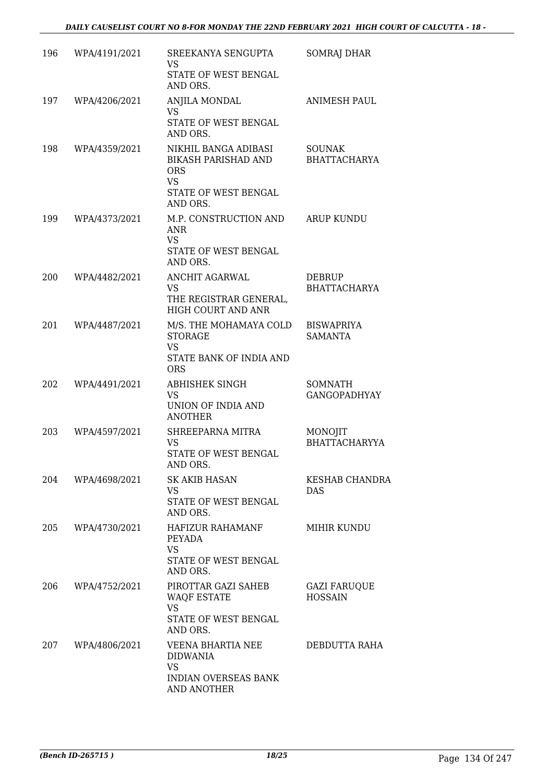| 196 | WPA/4191/2021 | SREEKANYA SENGUPTA<br>VS<br>STATE OF WEST BENGAL                                                                  | <b>SOMRAJ DHAR</b>                    |
|-----|---------------|-------------------------------------------------------------------------------------------------------------------|---------------------------------------|
| 197 | WPA/4206/2021 | AND ORS.<br>ANJILA MONDAL                                                                                         | <b>ANIMESH PAUL</b>                   |
|     |               | VS.<br>STATE OF WEST BENGAL<br>AND ORS.                                                                           |                                       |
| 198 | WPA/4359/2021 | NIKHIL BANGA ADIBASI<br><b>BIKASH PARISHAD AND</b><br><b>ORS</b><br><b>VS</b><br>STATE OF WEST BENGAL<br>AND ORS. | <b>SOUNAK</b><br><b>BHATTACHARYA</b>  |
| 199 | WPA/4373/2021 | M.P. CONSTRUCTION AND<br><b>ANR</b><br><b>VS</b><br>STATE OF WEST BENGAL<br>AND ORS.                              | <b>ARUP KUNDU</b>                     |
| 200 | WPA/4482/2021 | <b>ANCHIT AGARWAL</b><br><b>VS</b><br>THE REGISTRAR GENERAL,<br>HIGH COURT AND ANR                                | <b>DEBRUP</b><br><b>BHATTACHARYA</b>  |
| 201 | WPA/4487/2021 | M/S. THE MOHAMAYA COLD<br><b>STORAGE</b><br><b>VS</b><br>STATE BANK OF INDIA AND<br><b>ORS</b>                    | <b>BISWAPRIYA</b><br><b>SAMANTA</b>   |
| 202 | WPA/4491/2021 | ABHISHEK SINGH<br>VS<br>UNION OF INDIA AND<br><b>ANOTHER</b>                                                      | <b>SOMNATH</b><br><b>GANGOPADHYAY</b> |
| 203 | WPA/4597/2021 | SHREEPARNA MITRA<br>VS<br>STATE OF WEST BENGAL<br>AND ORS.                                                        | MONOJIT<br><b>BHATTACHARYYA</b>       |
| 204 | WPA/4698/2021 | SK AKIB HASAN<br>VS<br>STATE OF WEST BENGAL<br>AND ORS.                                                           | KESHAB CHANDRA<br>DAS                 |
| 205 | WPA/4730/2021 | HAFIZUR RAHAMANF<br>PEYADA<br><b>VS</b><br>STATE OF WEST BENGAL<br>AND ORS.                                       | MIHIR KUNDU                           |
| 206 | WPA/4752/2021 | PIROTTAR GAZI SAHEB<br><b>WAQF ESTATE</b><br><b>VS</b><br>STATE OF WEST BENGAL<br>AND ORS.                        | <b>GAZI FARUQUE</b><br><b>HOSSAIN</b> |
| 207 | WPA/4806/2021 | VEENA BHARTIA NEE<br><b>DIDWANIA</b><br><b>VS</b><br><b>INDIAN OVERSEAS BANK</b><br>AND ANOTHER                   | DEBDUTTA RAHA                         |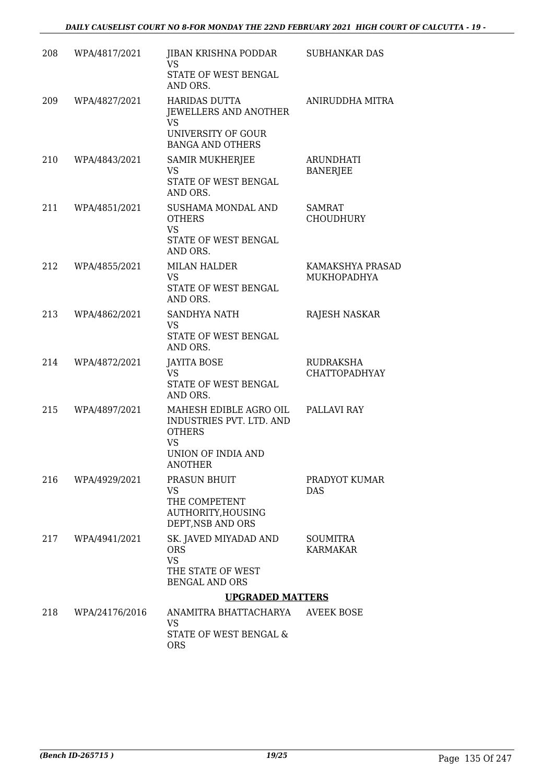| 208 | WPA/4817/2021  | JIBAN KRISHNA PODDAR<br>VS                                                                                               | <b>SUBHANKAR DAS</b>                |
|-----|----------------|--------------------------------------------------------------------------------------------------------------------------|-------------------------------------|
|     |                | STATE OF WEST BENGAL<br>AND ORS.                                                                                         |                                     |
| 209 | WPA/4827/2021  | <b>HARIDAS DUTTA</b><br><b>JEWELLERS AND ANOTHER</b><br>VS<br>UNIVERSITY OF GOUR<br><b>BANGA AND OTHERS</b>              | ANIRUDDHA MITRA                     |
| 210 | WPA/4843/2021  | <b>SAMIR MUKHERJEE</b><br><b>VS</b><br>STATE OF WEST BENGAL<br>AND ORS.                                                  | <b>ARUNDHATI</b><br><b>BANERJEE</b> |
| 211 | WPA/4851/2021  | SUSHAMA MONDAL AND<br><b>OTHERS</b><br><b>VS</b><br>STATE OF WEST BENGAL<br>AND ORS.                                     | SAMRAT<br><b>CHOUDHURY</b>          |
| 212 | WPA/4855/2021  | <b>MILAN HALDER</b><br><b>VS</b><br>STATE OF WEST BENGAL<br>AND ORS.                                                     | KAMAKSHYA PRASAD<br>MUKHOPADHYA     |
| 213 | WPA/4862/2021  | SANDHYA NATH<br>VS<br>STATE OF WEST BENGAL<br>AND ORS.                                                                   | RAJESH NASKAR                       |
| 214 | WPA/4872/2021  | <b>JAYITA BOSE</b><br><b>VS</b><br>STATE OF WEST BENGAL<br>AND ORS.                                                      | RUDRAKSHA<br><b>CHATTOPADHYAY</b>   |
| 215 | WPA/4897/2021  | MAHESH EDIBLE AGRO OIL<br>INDUSTRIES PVT. LTD. AND<br><b>OTHERS</b><br><b>VS</b><br>UNION OF INDIA AND<br><b>ANOTHER</b> | PALLAVI RAY                         |
| 216 | WPA/4929/2021  | PRASUN BHUIT<br>VS<br>THE COMPETENT<br>AUTHORITY, HOUSING<br>DEPT, NSB AND ORS                                           | PRADYOT KUMAR<br><b>DAS</b>         |
| 217 | WPA/4941/2021  | SK. JAVED MIYADAD AND<br><b>ORS</b><br><b>VS</b><br>THE STATE OF WEST<br><b>BENGAL AND ORS</b>                           | <b>SOUMITRA</b><br>KARMAKAR         |
|     |                | <b>UPGRADED MATTERS</b>                                                                                                  |                                     |
| 218 | WPA/24176/2016 | ANAMITRA BHATTACHARYA<br>VS.<br>STATE OF WEST BENGAL &<br><b>ORS</b>                                                     | AVEEK BOSE                          |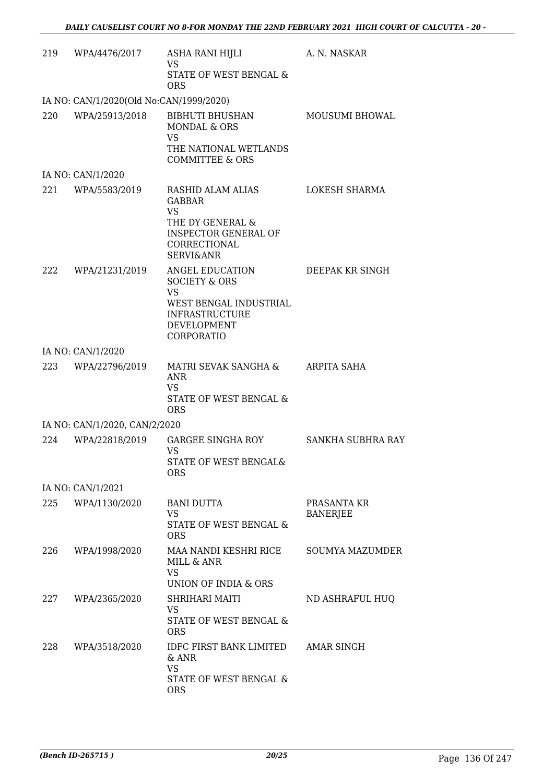| 219 | WPA/4476/2017                           | ASHA RANI HIJLI<br><b>VS</b><br><b>STATE OF WEST BENGAL &amp;</b>                                                                          | A. N. NASKAR                   |
|-----|-----------------------------------------|--------------------------------------------------------------------------------------------------------------------------------------------|--------------------------------|
|     | IA NO: CAN/1/2020(Old No:CAN/1999/2020) | <b>ORS</b>                                                                                                                                 |                                |
|     | 220 WPA/25913/2018                      | BIBHUTI BHUSHAN<br><b>MONDAL &amp; ORS</b><br>VS<br>THE NATIONAL WETLANDS<br>COMMITTEE & ORS                                               | MOUSUMI BHOWAL                 |
|     | IA NO: CAN/1/2020                       |                                                                                                                                            |                                |
|     | 221 WPA/5583/2019                       | RASHID ALAM ALIAS<br><b>GABBAR</b><br><b>VS</b><br>THE DY GENERAL &<br><b>INSPECTOR GENERAL OF</b><br>CORRECTIONAL<br><b>SERVI&amp;ANR</b> | LOKESH SHARMA                  |
|     | 222 WPA/21231/2019                      | ANGEL EDUCATION<br><b>SOCIETY &amp; ORS</b><br>VS<br>WEST BENGAL INDUSTRIAL<br><b>INFRASTRUCTURE</b><br>DEVELOPMENT<br>CORPORATIO          | DEEPAK KR SINGH                |
|     | IA NO: CAN/1/2020                       |                                                                                                                                            |                                |
|     | 223 WPA/22796/2019                      | MATRI SEVAK SANGHA & ARPITA SAHA<br><b>ANR</b><br><b>VS</b><br>STATE OF WEST BENGAL &<br><b>ORS</b>                                        |                                |
|     | IA NO: CAN/1/2020, CAN/2/2020           |                                                                                                                                            |                                |
| 224 | WPA/22818/2019                          | GARGEE SINGHA ROY<br><b>VS</b><br>STATE OF WEST BENGAL&<br><b>ORS</b>                                                                      | SANKHA SUBHRA RAY              |
|     | IA NO: CAN/1/2021                       |                                                                                                                                            |                                |
| 225 | WPA/1130/2020                           | <b>BANI DUTTA</b><br>VS.<br>STATE OF WEST BENGAL &<br><b>ORS</b>                                                                           | PRASANTA KR<br><b>BANERJEE</b> |
| 226 | WPA/1998/2020                           | MAA NANDI KESHRI RICE<br>MILL & ANR<br><b>VS</b>                                                                                           | <b>SOUMYA MAZUMDER</b>         |
|     |                                         | UNION OF INDIA & ORS                                                                                                                       |                                |
| 227 | WPA/2365/2020                           | SHRIHARI MAITI<br>VS<br>STATE OF WEST BENGAL &<br><b>ORS</b>                                                                               | ND ASHRAFUL HUQ                |
| 228 | WPA/3518/2020                           | <b>IDFC FIRST BANK LIMITED</b><br>$&$ ANR<br><b>VS</b><br>STATE OF WEST BENGAL &<br><b>ORS</b>                                             | AMAR SINGH                     |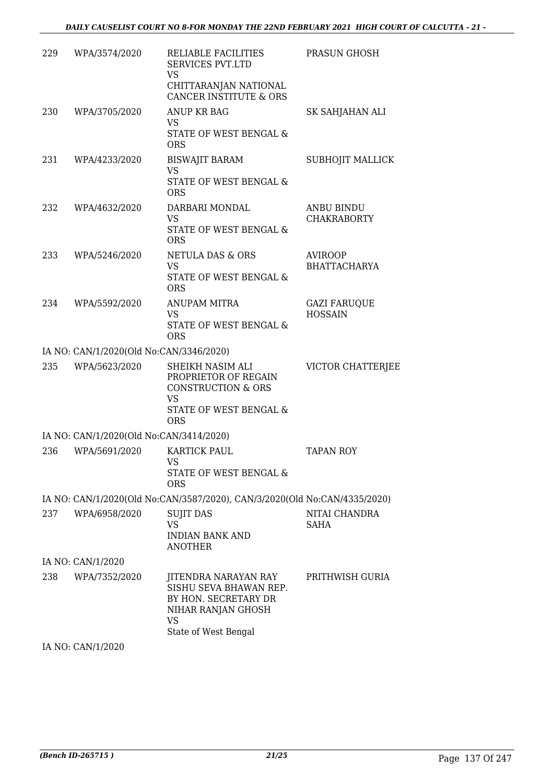| 229 | WPA/3574/2020                           | RELIABLE FACILITIES<br><b>SERVICES PVT.LTD</b><br>VS<br>CHITTARANJAN NATIONAL<br><b>CANCER INSTITUTE &amp; ORS</b>             | PRASUN GHOSH                            |
|-----|-----------------------------------------|--------------------------------------------------------------------------------------------------------------------------------|-----------------------------------------|
| 230 | WPA/3705/2020                           | <b>ANUP KR BAG</b><br>VS<br>STATE OF WEST BENGAL &<br><b>ORS</b>                                                               | SK SAHJAHAN ALI                         |
| 231 | WPA/4233/2020                           | <b>BISWAJIT BARAM</b><br><b>VS</b><br>STATE OF WEST BENGAL &<br><b>ORS</b>                                                     | SUBHOJIT MALLICK                        |
| 232 | WPA/4632/2020                           | DARBARI MONDAL<br><b>VS</b><br>STATE OF WEST BENGAL &<br><b>ORS</b>                                                            | <b>ANBU BINDU</b><br><b>CHAKRABORTY</b> |
| 233 | WPA/5246/2020                           | <b>NETULA DAS &amp; ORS</b><br><b>VS</b><br>STATE OF WEST BENGAL &<br><b>ORS</b>                                               | <b>AVIROOP</b><br><b>BHATTACHARYA</b>   |
| 234 | WPA/5592/2020                           | ANUPAM MITRA<br><b>VS</b><br>STATE OF WEST BENGAL &<br><b>ORS</b>                                                              | <b>GAZI FARUQUE</b><br><b>HOSSAIN</b>   |
|     | IA NO: CAN/1/2020(Old No:CAN/3346/2020) |                                                                                                                                |                                         |
| 235 | WPA/5623/2020                           | SHEIKH NASIM ALI<br>PROPRIETOR OF REGAIN<br><b>CONSTRUCTION &amp; ORS</b><br><b>VS</b><br>STATE OF WEST BENGAL &<br><b>ORS</b> | VICTOR CHATTERJEE                       |
|     | IA NO: CAN/1/2020(Old No:CAN/3414/2020) |                                                                                                                                |                                         |
| 236 | WPA/5691/2020                           | KARTICK PAUL<br>VS<br>STATE OF WEST BENGAL &<br><b>ORS</b>                                                                     | <b>TAPAN ROY</b>                        |
|     |                                         | IA NO: CAN/1/2020(Old No:CAN/3587/2020), CAN/3/2020(Old No:CAN/4335/2020)                                                      |                                         |
| 237 | WPA/6958/2020                           | <b>SUJIT DAS</b><br><b>VS</b><br><b>INDIAN BANK AND</b><br><b>ANOTHER</b>                                                      | NITAI CHANDRA<br>SAHA                   |
|     | IA NO: CAN/1/2020                       |                                                                                                                                |                                         |
| 238 | WPA/7352/2020                           | JITENDRA NARAYAN RAY<br>SISHU SEVA BHAWAN REP.<br>BY HON. SECRETARY DR<br>NIHAR RANJAN GHOSH<br><b>VS</b>                      | PRITHWISH GURIA                         |
|     |                                         | State of West Bengal                                                                                                           |                                         |

IA NO: CAN/1/2020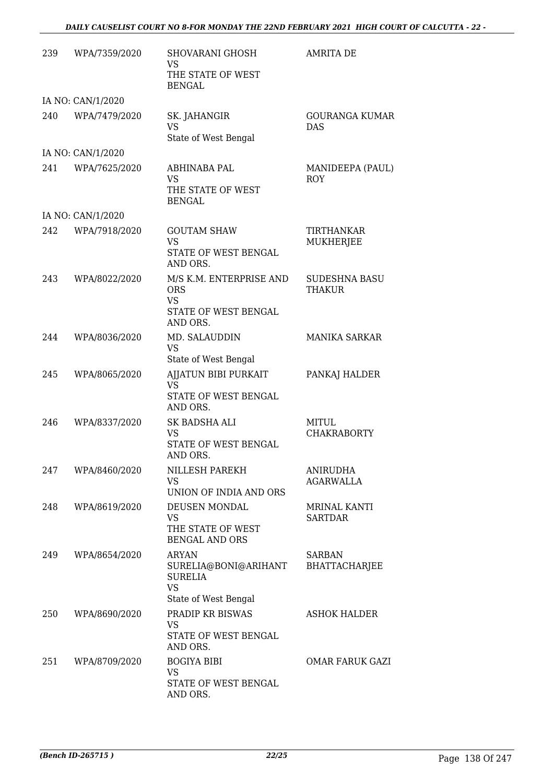#### *DAILY CAUSELIST COURT NO 8-FOR MONDAY THE 22ND FEBRUARY 2021 HIGH COURT OF CALCUTTA - 22 -*

| 239  | WPA/7359/2020     | SHOVARANI GHOSH<br>VS<br>THE STATE OF WEST<br><b>BENGAL</b>                                 | <b>AMRITA DE</b>                      |
|------|-------------------|---------------------------------------------------------------------------------------------|---------------------------------------|
|      | IA NO: CAN/1/2020 |                                                                                             |                                       |
| 240  | WPA/7479/2020     | SK. JAHANGIR<br><b>VS</b><br>State of West Bengal                                           | GOURANGA KUMAR<br><b>DAS</b>          |
|      | IA NO: CAN/1/2020 |                                                                                             |                                       |
| 241  | WPA/7625/2020     | ABHINABA PAL<br>VS<br>THE STATE OF WEST<br><b>BENGAL</b>                                    | MANIDEEPA (PAUL)<br><b>ROY</b>        |
|      | IA NO: CAN/1/2020 |                                                                                             |                                       |
| 2.42 | WPA/7918/2020     | <b>GOUTAM SHAW</b><br><b>VS</b><br>STATE OF WEST BENGAL<br>AND ORS.                         | TIRTHANKAR<br>MUKHERJEE               |
| 243  | WPA/8022/2020     | M/S K.M. ENTERPRISE AND<br><b>ORS</b><br><b>VS</b><br>STATE OF WEST BENGAL<br>AND ORS.      | <b>SUDESHNA BASU</b><br>THAKUR        |
| 244  | WPA/8036/2020     | MD. SALAUDDIN<br><b>VS</b><br>State of West Bengal                                          | <b>MANIKA SARKAR</b>                  |
| 245  | WPA/8065/2020     | AJJATUN BIBI PURKAIT<br>VS<br>STATE OF WEST BENGAL<br>AND ORS.                              | PANKAJ HALDER                         |
| 246  | WPA/8337/2020     | SK BADSHA ALI<br>VS<br>STATE OF WEST BENGAL<br>AND ORS.                                     | MITUL<br><b>CHAKRABORTY</b>           |
| 247  | WPA/8460/2020     | NILLESH PAREKH<br>VS<br>UNION OF INDIA AND ORS                                              | <b>ANIRUDHA</b><br><b>AGARWALLA</b>   |
| 248  | WPA/8619/2020     | DEUSEN MONDAL<br>VS<br>THE STATE OF WEST<br><b>BENGAL AND ORS</b>                           | <b>MRINAL KANTI</b><br><b>SARTDAR</b> |
| 249  | WPA/8654/2020     | <b>ARYAN</b><br>SURELIA@BONI@ARIHANT<br><b>SURELIA</b><br><b>VS</b><br>State of West Bengal | <b>SARBAN</b><br><b>BHATTACHARJEE</b> |
| 250  | WPA/8690/2020     | PRADIP KR BISWAS<br>VS.<br>STATE OF WEST BENGAL<br>AND ORS.                                 | <b>ASHOK HALDER</b>                   |
| 251  | WPA/8709/2020     | <b>BOGIYA BIBI</b><br><b>VS</b><br>STATE OF WEST BENGAL<br>AND ORS.                         | OMAR FARUK GAZI                       |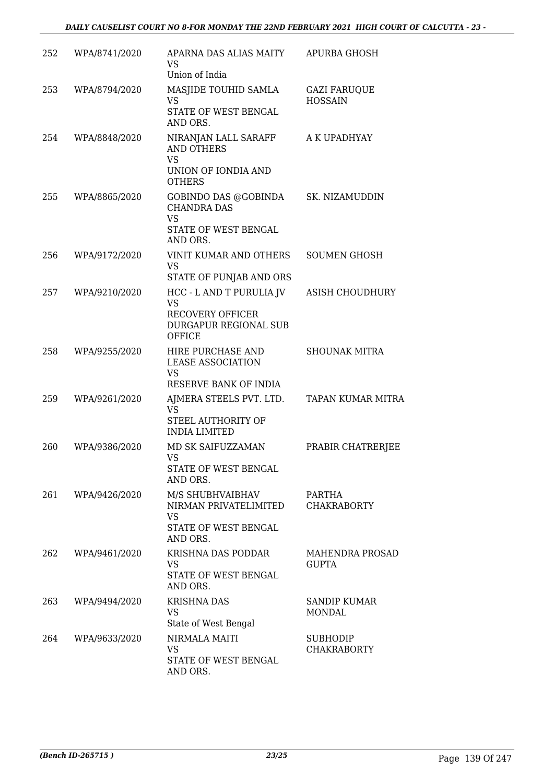#### *DAILY CAUSELIST COURT NO 8-FOR MONDAY THE 22ND FEBRUARY 2021 HIGH COURT OF CALCUTTA - 23 -*

| 252 | WPA/8741/2020 | APARNA DAS ALIAS MAITY<br>VS<br>Union of India                                                      | <b>APURBA GHOSH</b>                    |
|-----|---------------|-----------------------------------------------------------------------------------------------------|----------------------------------------|
| 253 | WPA/8794/2020 | MASJIDE TOUHID SAMLA<br>VS<br>STATE OF WEST BENGAL<br>AND ORS.                                      | <b>GAZI FARUQUE</b><br><b>HOSSAIN</b>  |
| 254 | WPA/8848/2020 | NIRANJAN LALL SARAFF<br><b>AND OTHERS</b><br><b>VS</b><br>UNION OF IONDIA AND<br><b>OTHERS</b>      | A K UPADHYAY                           |
| 255 | WPA/8865/2020 | GOBINDO DAS @GOBINDA<br><b>CHANDRA DAS</b><br><b>VS</b><br>STATE OF WEST BENGAL<br>AND ORS.         | SK. NIZAMUDDIN                         |
| 256 | WPA/9172/2020 | VINIT KUMAR AND OTHERS<br><b>VS</b><br>STATE OF PUNJAB AND ORS                                      | <b>SOUMEN GHOSH</b>                    |
| 257 | WPA/9210/2020 | HCC - L AND T PURULIA JV<br><b>VS</b><br>RECOVERY OFFICER<br>DURGAPUR REGIONAL SUB<br><b>OFFICE</b> | <b>ASISH CHOUDHURY</b>                 |
| 258 | WPA/9255/2020 | HIRE PURCHASE AND<br><b>LEASE ASSOCIATION</b><br><b>VS</b><br>RESERVE BANK OF INDIA                 | <b>SHOUNAK MITRA</b>                   |
| 259 | WPA/9261/2020 | AJMERA STEELS PVT. LTD.<br>VS<br>STEEL AUTHORITY OF<br><b>INDIA LIMITED</b>                         | <b>TAPAN KUMAR MITRA</b>               |
| 260 | WPA/9386/2020 | MD SK SAIFUZZAMAN<br>VS<br>STATE OF WEST BENGAL<br>AND ORS.                                         | PRABIR CHATRERJEE                      |
| 261 | WPA/9426/2020 | M/S SHUBHVAIBHAV<br>NIRMAN PRIVATELIMITED<br><b>VS</b><br>STATE OF WEST BENGAL<br>AND ORS.          | PARTHA<br><b>CHAKRABORTY</b>           |
| 262 | WPA/9461/2020 | KRISHNA DAS PODDAR<br><b>VS</b><br>STATE OF WEST BENGAL<br>AND ORS.                                 | <b>MAHENDRA PROSAD</b><br><b>GUPTA</b> |
| 263 | WPA/9494/2020 | <b>KRISHNA DAS</b><br><b>VS</b><br>State of West Bengal                                             | <b>SANDIP KUMAR</b><br><b>MONDAL</b>   |
| 264 | WPA/9633/2020 | NIRMALA MAITI<br>VS<br>STATE OF WEST BENGAL<br>AND ORS.                                             | <b>SUBHODIP</b><br><b>CHAKRABORTY</b>  |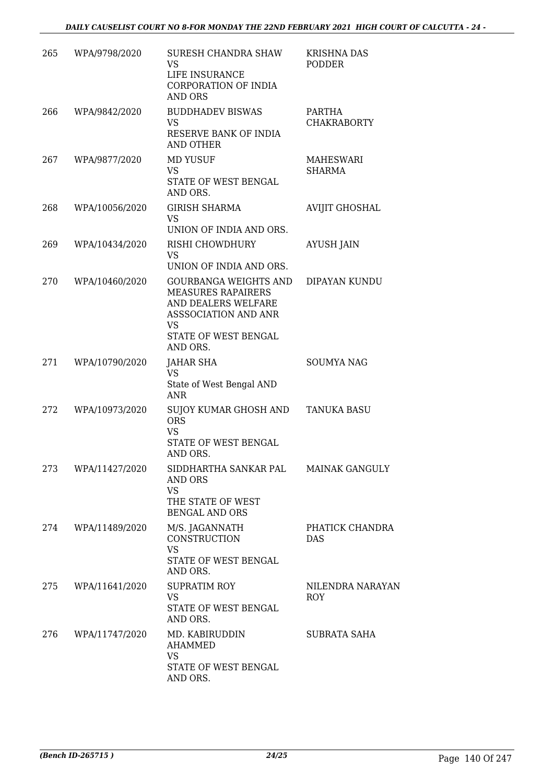| 265 | WPA/9798/2020  | SURESH CHANDRA SHAW<br>VS<br>LIFE INSURANCE<br>CORPORATION OF INDIA<br><b>AND ORS</b>                                                              | <b>KRISHNA DAS</b><br><b>PODDER</b> |
|-----|----------------|----------------------------------------------------------------------------------------------------------------------------------------------------|-------------------------------------|
| 266 | WPA/9842/2020  | <b>BUDDHADEV BISWAS</b><br><b>VS</b><br>RESERVE BANK OF INDIA<br>AND OTHER                                                                         | PARTHA<br><b>CHAKRABORTY</b>        |
| 267 | WPA/9877/2020  | <b>MD YUSUF</b><br>VS.<br>STATE OF WEST BENGAL<br>AND ORS.                                                                                         | MAHESWARI<br><b>SHARMA</b>          |
| 268 | WPA/10056/2020 | <b>GIRISH SHARMA</b><br>VS<br>UNION OF INDIA AND ORS.                                                                                              | AVIJIT GHOSHAL                      |
| 269 | WPA/10434/2020 | RISHI CHOWDHURY<br>VS<br>UNION OF INDIA AND ORS.                                                                                                   | <b>AYUSH JAIN</b>                   |
| 270 | WPA/10460/2020 | <b>GOURBANGA WEIGHTS AND</b><br><b>MEASURES RAPAIRERS</b><br>AND DEALERS WELFARE<br>ASSSOCIATION AND ANR<br>VS<br>STATE OF WEST BENGAL<br>AND ORS. | DIPAYAN KUNDU                       |
| 271 | WPA/10790/2020 | JAHAR SHA<br><b>VS</b><br>State of West Bengal AND<br>ANR                                                                                          | <b>SOUMYA NAG</b>                   |
| 272 | WPA/10973/2020 | SUJOY KUMAR GHOSH AND<br><b>ORS</b><br><b>VS</b><br>STATE OF WEST BENGAL<br>AND ORS.                                                               | <b>TANUKA BASU</b>                  |
| 273 | WPA/11427/2020 | SIDDHARTHA SANKAR PAL<br><b>AND ORS</b><br><b>VS</b><br>THE STATE OF WEST<br><b>BENGAL AND ORS</b>                                                 | <b>MAINAK GANGULY</b>               |
| 274 | WPA/11489/2020 | M/S. JAGANNATH<br>CONSTRUCTION<br><b>VS</b><br>STATE OF WEST BENGAL<br>AND ORS.                                                                    | PHATICK CHANDRA<br><b>DAS</b>       |
| 275 | WPA/11641/2020 | <b>SUPRATIM ROY</b><br><b>VS</b><br>STATE OF WEST BENGAL<br>AND ORS.                                                                               | NILENDRA NARAYAN<br>ROY             |
| 276 | WPA/11747/2020 | MD. KABIRUDDIN<br><b>AHAMMED</b><br>VS.<br>STATE OF WEST BENGAL<br>AND ORS.                                                                        | <b>SUBRATA SAHA</b>                 |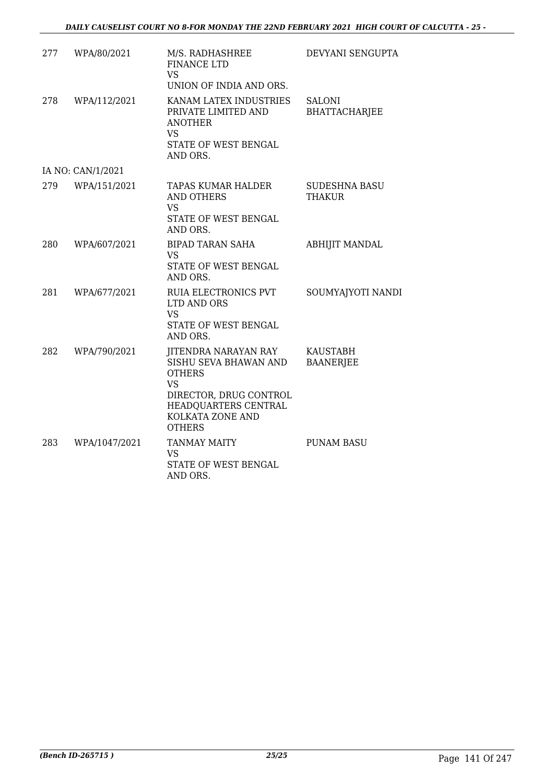| 277 | WPA/80/2021       | M/S. RADHASHREE<br><b>FINANCE LTD</b><br><b>VS</b><br>UNION OF INDIA AND ORS.                                                                                             | DEVYANI SENGUPTA                      |
|-----|-------------------|---------------------------------------------------------------------------------------------------------------------------------------------------------------------------|---------------------------------------|
| 278 | WPA/112/2021      | KANAM LATEX INDUSTRIES<br>PRIVATE LIMITED AND<br><b>ANOTHER</b><br><b>VS</b><br>STATE OF WEST BENGAL<br>AND ORS.                                                          | <b>SALONI</b><br><b>BHATTACHARJEE</b> |
|     | IA NO: CAN/1/2021 |                                                                                                                                                                           |                                       |
| 279 | WPA/151/2021      | TAPAS KUMAR HALDER<br><b>AND OTHERS</b><br>VS<br>STATE OF WEST BENGAL<br>AND ORS.                                                                                         | <b>SUDESHNA BASU</b><br><b>THAKUR</b> |
| 280 | WPA/607/2021      | <b>BIPAD TARAN SAHA</b><br><b>VS</b><br>STATE OF WEST BENGAL<br>AND ORS.                                                                                                  | <b>ABHIJIT MANDAL</b>                 |
| 281 | WPA/677/2021      | RUIA ELECTRONICS PVT<br>LTD AND ORS<br><b>VS</b><br>STATE OF WEST BENGAL<br>AND ORS.                                                                                      | SOUMYAJYOTI NANDI                     |
| 282 | WPA/790/2021      | <b>JITENDRA NARAYAN RAY</b><br>SISHU SEVA BHAWAN AND<br><b>OTHERS</b><br><b>VS</b><br>DIRECTOR, DRUG CONTROL<br>HEADQUARTERS CENTRAL<br>KOLKATA ZONE AND<br><b>OTHERS</b> | <b>KAUSTABH</b><br><b>BAANERJEE</b>   |
| 283 | WPA/1047/2021     | <b>TANMAY MAITY</b><br><b>VS</b><br>STATE OF WEST BENGAL<br>AND ORS.                                                                                                      | <b>PUNAM BASU</b>                     |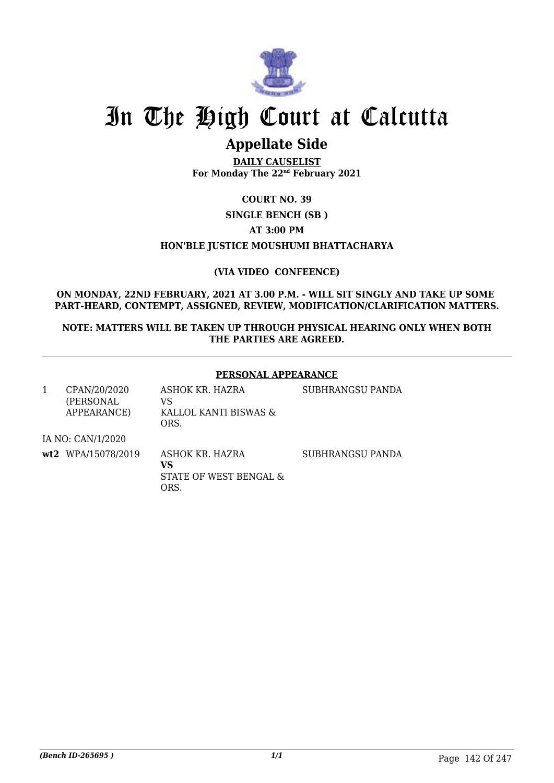

# In The High Court at Calcutta

## **Appellate Side**

**DAILY CAUSELIST For Monday The 22nd February 2021**

**COURT NO. 39**

**SINGLE BENCH (SB )**

**AT 3:00 PM**

#### **HON'BLE JUSTICE MOUSHUMI BHATTACHARYA**

**(VIA VIDEO CONFEENCE)**

**ON MONDAY, 22ND FEBRUARY, 2021 AT 3.00 P.M. - WILL SIT SINGLY AND TAKE UP SOME PART-HEARD, CONTEMPT, ASSIGNED, REVIEW, MODIFICATION/CLARIFICATION MATTERS.**

**NOTE: MATTERS WILL BE TAKEN UP THROUGH PHYSICAL HEARING ONLY WHEN BOTH THE PARTIES ARE AGREED.**

#### **PERSONAL APPEARANCE**

| CPAN/20/2020 | ASHOK KR. HAZRA       |
|--------------|-----------------------|
| (PERSONAL)   | VS.                   |
| APPEARANCE)  | KALLOL KANTI BISWAS & |
|              | ORS.                  |

SUBHRANGSU PANDA

IA NO: CAN/1/2020

**wt2** WPA/15078/2019 ASHOK KR. HAZRA

**VS** STATE OF WEST BENGAL & ORS.

SUBHRANGSU PANDA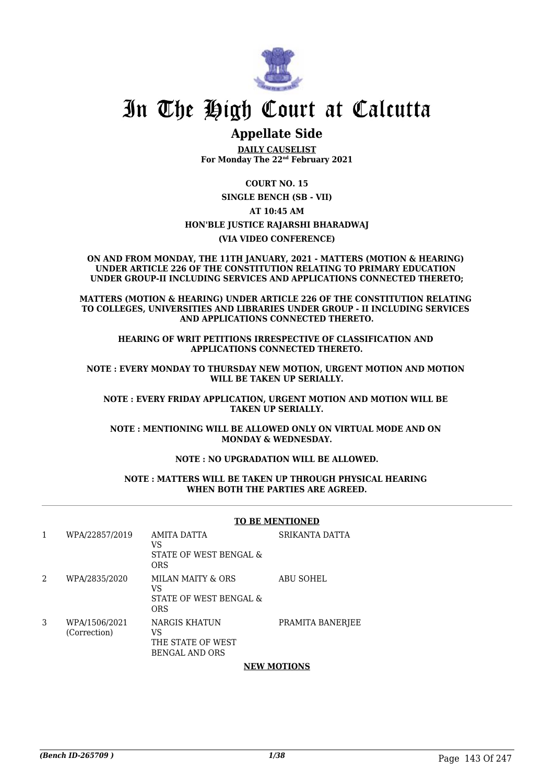

# In The High Court at Calcutta

# **Appellate Side**

**DAILY CAUSELIST For Monday The 22nd February 2021**

**COURT NO. 15 SINGLE BENCH (SB - VII) AT 10:45 AM HON'BLE JUSTICE RAJARSHI BHARADWAJ (VIA VIDEO CONFERENCE)**

**ON AND FROM MONDAY, THE 11TH JANUARY, 2021 - MATTERS (MOTION & HEARING) UNDER ARTICLE 226 OF THE CONSTITUTION RELATING TO PRIMARY EDUCATION UNDER GROUP-II INCLUDING SERVICES AND APPLICATIONS CONNECTED THERETO;**

**MATTERS (MOTION & HEARING) UNDER ARTICLE 226 OF THE CONSTITUTION RELATING TO COLLEGES, UNIVERSITIES AND LIBRARIES UNDER GROUP - II INCLUDING SERVICES AND APPLICATIONS CONNECTED THERETO.**

**HEARING OF WRIT PETITIONS IRRESPECTIVE OF CLASSIFICATION AND APPLICATIONS CONNECTED THERETO.**

**NOTE : EVERY MONDAY TO THURSDAY NEW MOTION, URGENT MOTION AND MOTION WILL BE TAKEN UP SERIALLY.**

**NOTE : EVERY FRIDAY APPLICATION, URGENT MOTION AND MOTION WILL BE TAKEN UP SERIALLY.**

**NOTE : MENTIONING WILL BE ALLOWED ONLY ON VIRTUAL MODE AND ON MONDAY & WEDNESDAY.**

# **NOTE : NO UPGRADATION WILL BE ALLOWED.**

#### **NOTE : MATTERS WILL BE TAKEN UP THROUGH PHYSICAL HEARING WHEN BOTH THE PARTIES ARE AGREED.**

## **TO BE MENTIONED**

| 1 | WPA/22857/2019                | AMITA DATTA<br>VS<br>STATE OF WEST BENGAL &<br><b>ORS</b>         | SRIKANTA DATTA   |
|---|-------------------------------|-------------------------------------------------------------------|------------------|
| 2 | WPA/2835/2020                 | MILAN MAITY & ORS<br>VS<br>STATE OF WEST BENGAL &<br>ORS          | <b>ABU SOHEL</b> |
| 3 | WPA/1506/2021<br>(Correction) | NARGIS KHATUN<br>VS<br>THE STATE OF WEST<br><b>BENGAL AND ORS</b> | PRAMITA BANERJEE |

## **NEW MOTIONS**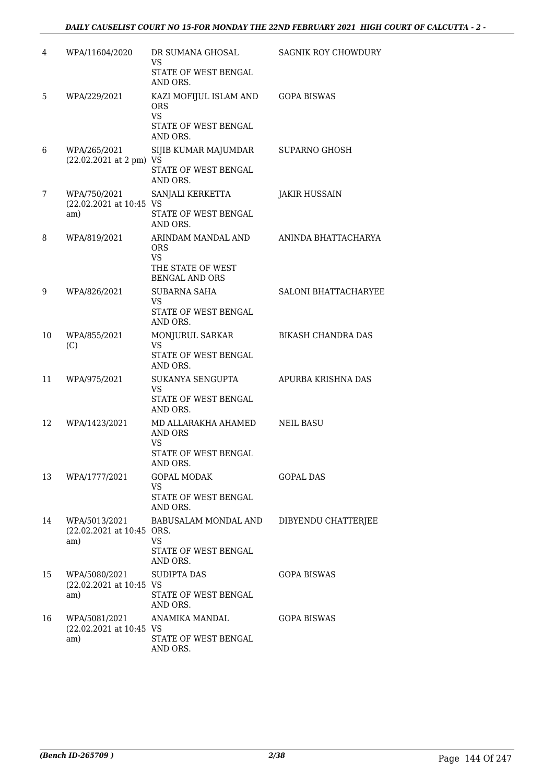| 4  | WPA/11604/2020                                    | DR SUMANA GHOSAL<br><b>VS</b><br>STATE OF WEST BENGAL<br>AND ORS.                           | SAGNIK ROY CHOWDURY  |
|----|---------------------------------------------------|---------------------------------------------------------------------------------------------|----------------------|
| 5  | WPA/229/2021                                      | KAZI MOFIJUL ISLAM AND<br><b>ORS</b><br><b>VS</b><br>STATE OF WEST BENGAL<br>AND ORS.       | <b>GOPA BISWAS</b>   |
| 6  | WPA/265/2021<br>(22.02.2021 at 2 pm) VS           | SIJIB KUMAR MAJUMDAR<br>STATE OF WEST BENGAL<br>AND ORS.                                    | <b>SUPARNO GHOSH</b> |
| 7  | WPA/750/2021<br>(22.02.2021 at 10:45 VS<br>am)    | SANJALI KERKETTA<br>STATE OF WEST BENGAL<br>AND ORS.                                        | <b>JAKIR HUSSAIN</b> |
| 8  | WPA/819/2021                                      | ARINDAM MANDAL AND<br><b>ORS</b><br><b>VS</b><br>THE STATE OF WEST<br><b>BENGAL AND ORS</b> | ANINDA BHATTACHARYA  |
| 9  | WPA/826/2021                                      | <b>SUBARNA SAHA</b><br>VS.<br>STATE OF WEST BENGAL<br>AND ORS.                              | SALONI BHATTACHARYEE |
| 10 | WPA/855/2021<br>(C)                               | MONJURUL SARKAR<br>VS.<br>STATE OF WEST BENGAL<br>AND ORS.                                  | BIKASH CHANDRA DAS   |
| 11 | WPA/975/2021                                      | SUKANYA SENGUPTA<br><b>VS</b><br>STATE OF WEST BENGAL<br>AND ORS.                           | APURBA KRISHNA DAS   |
| 12 | WPA/1423/2021                                     | MD ALLARAKHA AHAMED<br>AND ORS<br><b>VS</b><br>STATE OF WEST BENGAL<br>AND ORS.             | <b>NEIL BASU</b>     |
| 13 | WPA/1777/2021                                     | GOPAL MODAK<br><b>VS</b><br>STATE OF WEST BENGAL<br>AND ORS.                                | GOPAL DAS            |
| 14 | WPA/5013/2021<br>(22.02.2021 at 10:45 ORS.<br>am) | BABUSALAM MONDAL AND<br>VS.<br>STATE OF WEST BENGAL<br>AND ORS.                             | DIBYENDU CHATTERJEE  |
| 15 | WPA/5080/2021<br>(22.02.2021 at 10:45 VS<br>am)   | <b>SUDIPTA DAS</b><br>STATE OF WEST BENGAL<br>AND ORS.                                      | GOPA BISWAS          |
| 16 | WPA/5081/2021<br>(22.02.2021 at 10:45 VS<br>am)   | ANAMIKA MANDAL<br>STATE OF WEST BENGAL<br>AND ORS.                                          | <b>GOPA BISWAS</b>   |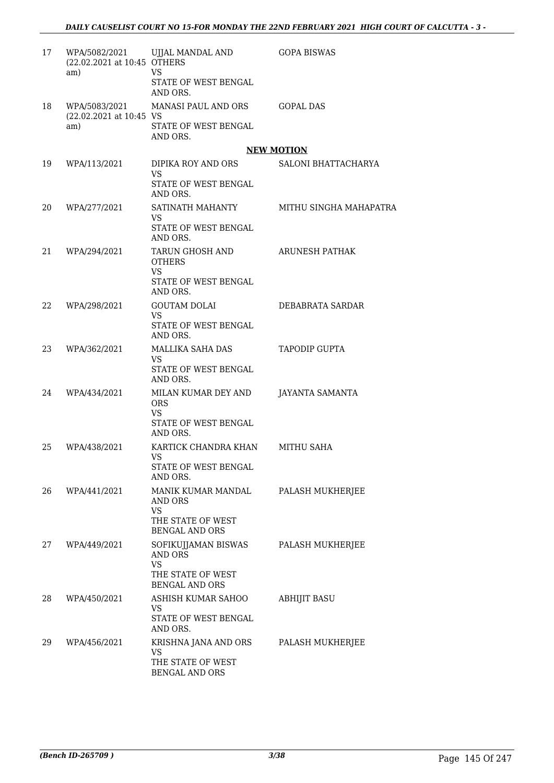| 17 | WPA/5082/2021<br>(22.02.2021 at 10:45 OTHERS<br>am) | UJJAL MANDAL AND<br><b>VS</b>                                                             | <b>GOPA BISWAS</b>     |
|----|-----------------------------------------------------|-------------------------------------------------------------------------------------------|------------------------|
|    |                                                     | STATE OF WEST BENGAL<br>AND ORS.                                                          |                        |
| 18 | WPA/5083/2021                                       | MANASI PAUL AND ORS                                                                       | <b>GOPAL DAS</b>       |
|    | (22.02.2021 at 10:45 VS<br>am)                      | STATE OF WEST BENGAL<br>AND ORS.                                                          |                        |
|    |                                                     |                                                                                           | <b>NEW MOTION</b>      |
| 19 | WPA/113/2021                                        | DIPIKA ROY AND ORS<br><b>VS</b><br>STATE OF WEST BENGAL                                   | SALONI BHATTACHARYA    |
|    |                                                     | AND ORS.                                                                                  |                        |
| 20 | WPA/277/2021                                        | SATINATH MAHANTY<br>VS.<br>STATE OF WEST BENGAL                                           | MITHU SINGHA MAHAPATRA |
|    |                                                     | AND ORS.                                                                                  |                        |
| 21 | WPA/294/2021                                        | TARUN GHOSH AND<br><b>OTHERS</b><br>VS.                                                   | ARUNESH PATHAK         |
|    |                                                     | STATE OF WEST BENGAL<br>AND ORS.                                                          |                        |
| 22 | WPA/298/2021                                        | <b>GOUTAM DOLAI</b><br><b>VS</b><br>STATE OF WEST BENGAL                                  | DEBABRATA SARDAR       |
| 23 | WPA/362/2021                                        | AND ORS.<br>MALLIKA SAHA DAS                                                              | <b>TAPODIP GUPTA</b>   |
|    |                                                     | <b>VS</b><br>STATE OF WEST BENGAL                                                         |                        |
|    |                                                     | AND ORS.                                                                                  |                        |
| 24 | WPA/434/2021                                        | MILAN KUMAR DEY AND<br><b>ORS</b><br><b>VS</b>                                            | JAYANTA SAMANTA        |
|    |                                                     | STATE OF WEST BENGAL<br>AND ORS.                                                          |                        |
| 25 | WPA/438/2021                                        | KARTICK CHANDRA KHAN<br><b>VS</b><br>STATE OF WEST BENGAL<br>AND ORS.                     | MITHU SAHA             |
| 26 | WPA/441/2021                                        | MANIK KUMAR MANDAL<br>AND ORS<br><b>VS</b><br>THE STATE OF WEST<br><b>BENGAL AND ORS</b>  | PALASH MUKHERJEE       |
| 27 | WPA/449/2021                                        | SOFIKUJJAMAN BISWAS<br>AND ORS<br><b>VS</b><br>THE STATE OF WEST<br><b>BENGAL AND ORS</b> | PALASH MUKHERJEE       |
| 28 | WPA/450/2021                                        | ASHISH KUMAR SAHOO<br>VS.<br>STATE OF WEST BENGAL<br>AND ORS.                             | ABHIJIT BASU           |
| 29 | WPA/456/2021                                        | KRISHNA JANA AND ORS<br>VS.<br>THE STATE OF WEST<br>BENGAL AND ORS                        | PALASH MUKHERJEE       |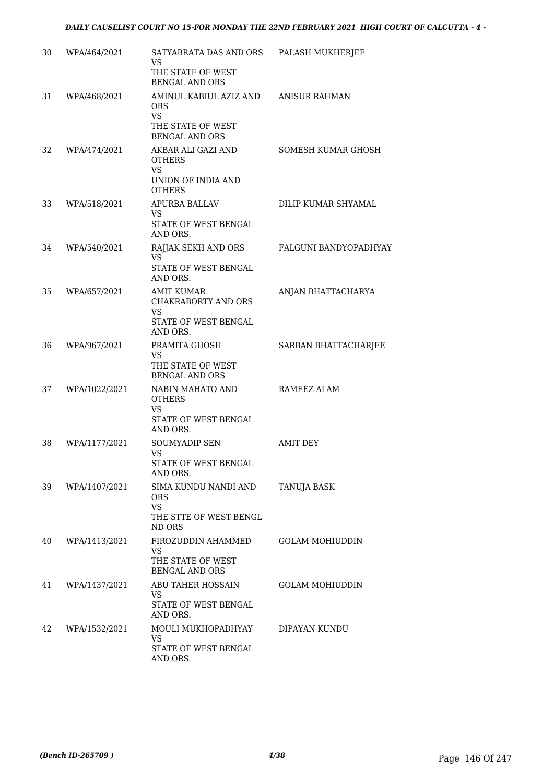| 30 | WPA/464/2021  | SATYABRATA DAS AND ORS<br>VS<br>THE STATE OF WEST<br><b>BENGAL AND ORS</b>                      | PALASH MUKHERJEE       |
|----|---------------|-------------------------------------------------------------------------------------------------|------------------------|
| 31 | WPA/468/2021  | AMINUL KABIUL AZIZ AND<br><b>ORS</b><br><b>VS</b><br>THE STATE OF WEST<br><b>BENGAL AND ORS</b> | ANISUR RAHMAN          |
| 32 | WPA/474/2021  | AKBAR ALI GAZI AND<br><b>OTHERS</b><br>VS<br>UNION OF INDIA AND<br><b>OTHERS</b>                | SOMESH KUMAR GHOSH     |
| 33 | WPA/518/2021  | APURBA BALLAV<br>VS.<br>STATE OF WEST BENGAL<br>AND ORS.                                        | DILIP KUMAR SHYAMAL    |
| 34 | WPA/540/2021  | RAJJAK SEKH AND ORS<br><b>VS</b><br><b>STATE OF WEST BENGAL</b><br>AND ORS.                     | FALGUNI BANDYOPADHYAY  |
| 35 | WPA/657/2021  | <b>AMIT KUMAR</b><br><b>CHAKRABORTY AND ORS</b><br>VS.<br>STATE OF WEST BENGAL<br>AND ORS.      | ANJAN BHATTACHARYA     |
| 36 | WPA/967/2021  | PRAMITA GHOSH<br><b>VS</b><br>THE STATE OF WEST<br><b>BENGAL AND ORS</b>                        | SARBAN BHATTACHARJEE   |
| 37 | WPA/1022/2021 | NABIN MAHATO AND<br><b>OTHERS</b><br>VS<br>STATE OF WEST BENGAL<br>AND ORS.                     | RAMEEZ ALAM            |
| 38 | WPA/1177/2021 | <b>SOUMYADIP SEN</b><br>VS<br>STATE OF WEST BENGAL<br>AND ORS.                                  | <b>AMIT DEY</b>        |
| 39 | WPA/1407/2021 | SIMA KUNDU NANDI AND<br>ORS<br>VS.<br>THE STTE OF WEST BENGL<br>ND ORS                          | <b>TANUJA BASK</b>     |
| 40 | WPA/1413/2021 | FIROZUDDIN AHAMMED<br><b>VS</b><br>THE STATE OF WEST<br><b>BENGAL AND ORS</b>                   | <b>GOLAM MOHIUDDIN</b> |
| 41 | WPA/1437/2021 | ABU TAHER HOSSAIN<br>VS.<br>STATE OF WEST BENGAL<br>AND ORS.                                    | <b>GOLAM MOHIUDDIN</b> |
| 42 | WPA/1532/2021 | MOULI MUKHOPADHYAY<br>VS.<br>STATE OF WEST BENGAL<br>AND ORS.                                   | DIPAYAN KUNDU          |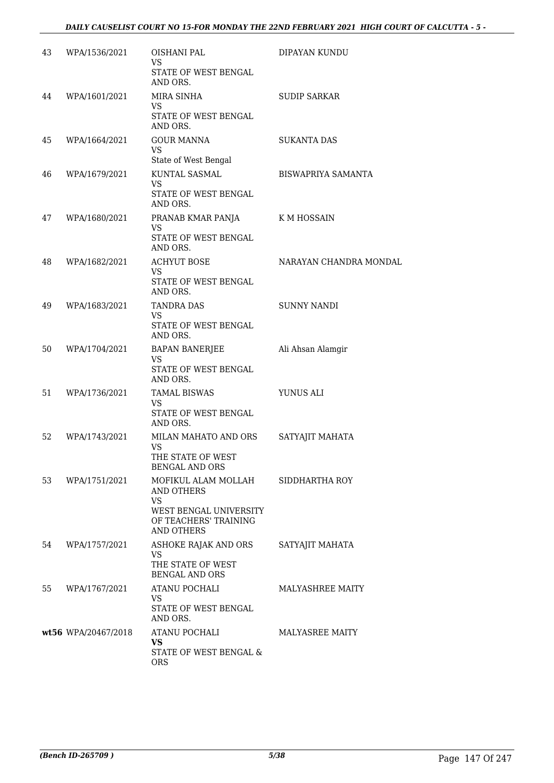| 43 | WPA/1536/2021       | OISHANI PAL<br><b>VS</b><br>STATE OF WEST BENGAL<br>AND ORS.                                                           | DIPAYAN KUNDU             |
|----|---------------------|------------------------------------------------------------------------------------------------------------------------|---------------------------|
| 44 | WPA/1601/2021       | MIRA SINHA<br>VS.<br>STATE OF WEST BENGAL<br>AND ORS.                                                                  | <b>SUDIP SARKAR</b>       |
| 45 | WPA/1664/2021       | <b>GOUR MANNA</b><br><b>VS</b><br>State of West Bengal                                                                 | <b>SUKANTA DAS</b>        |
| 46 | WPA/1679/2021       | KUNTAL SASMAL<br><b>VS</b><br>STATE OF WEST BENGAL<br>AND ORS.                                                         | <b>BISWAPRIYA SAMANTA</b> |
| 47 | WPA/1680/2021       | PRANAB KMAR PANJA<br><b>VS</b><br>STATE OF WEST BENGAL<br>AND ORS.                                                     | K M HOSSAIN               |
| 48 | WPA/1682/2021       | <b>ACHYUT BOSE</b><br>VS.<br>STATE OF WEST BENGAL<br>AND ORS.                                                          | NARAYAN CHANDRA MONDAL    |
| 49 | WPA/1683/2021       | <b>TANDRA DAS</b><br><b>VS</b><br>STATE OF WEST BENGAL<br>AND ORS.                                                     | <b>SUNNY NANDI</b>        |
| 50 | WPA/1704/2021       | <b>BAPAN BANERJEE</b><br><b>VS</b><br>STATE OF WEST BENGAL<br>AND ORS.                                                 | Ali Ahsan Alamgir         |
| 51 | WPA/1736/2021       | <b>TAMAL BISWAS</b><br><b>VS</b><br>STATE OF WEST BENGAL<br>AND ORS.                                                   | YUNUS ALI                 |
| 52 | WPA/1743/2021       | MILAN MAHATO AND ORS<br>VS.<br>THE STATE OF WEST<br><b>BENGAL AND ORS</b>                                              | SATYAJIT MAHATA           |
| 53 | WPA/1751/2021       | MOFIKUL ALAM MOLLAH<br>AND OTHERS<br><b>VS</b><br>WEST BENGAL UNIVERSITY<br>OF TEACHERS' TRAINING<br><b>AND OTHERS</b> | SIDDHARTHA ROY            |
| 54 | WPA/1757/2021       | ASHOKE RAJAK AND ORS<br>VS.<br>THE STATE OF WEST<br><b>BENGAL AND ORS</b>                                              | SATYAJIT MAHATA           |
| 55 | WPA/1767/2021       | ATANU POCHALI<br><b>VS</b><br>STATE OF WEST BENGAL<br>AND ORS.                                                         | <b>MALYASHREE MAITY</b>   |
|    | wt56 WPA/20467/2018 | ATANU POCHALI<br><b>VS</b><br>STATE OF WEST BENGAL &<br><b>ORS</b>                                                     | <b>MALYASREE MAITY</b>    |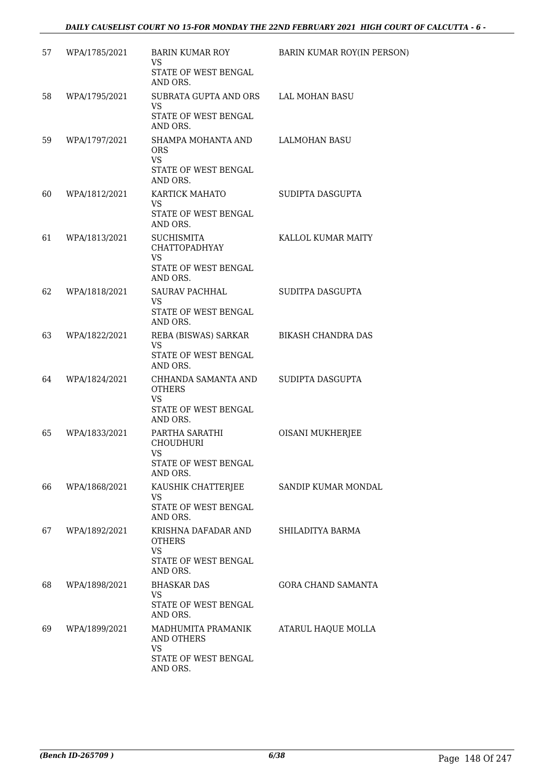| 57 | WPA/1785/2021 | BARIN KUMAR ROY<br>VS.<br>STATE OF WEST BENGAL    | BARIN KUMAR ROY(IN PERSON) |
|----|---------------|---------------------------------------------------|----------------------------|
|    |               | AND ORS.                                          |                            |
| 58 | WPA/1795/2021 | SUBRATA GUPTA AND ORS<br>VS.                      | LAL MOHAN BASU             |
|    |               | STATE OF WEST BENGAL<br>AND ORS.                  |                            |
| 59 | WPA/1797/2021 | SHAMPA MOHANTA AND<br><b>ORS</b><br><b>VS</b>     | LALMOHAN BASU              |
|    |               | STATE OF WEST BENGAL<br>AND ORS.                  |                            |
| 60 | WPA/1812/2021 | KARTICK MAHATO<br>VS.                             | SUDIPTA DASGUPTA           |
|    |               | STATE OF WEST BENGAL<br>AND ORS.                  |                            |
| 61 | WPA/1813/2021 | <b>SUCHISMITA</b><br><b>CHATTOPADHYAY</b><br>VS.  | KALLOL KUMAR MAITY         |
|    |               | STATE OF WEST BENGAL<br>AND ORS.                  |                            |
| 62 | WPA/1818/2021 | <b>SAURAV PACHHAL</b><br>VS.                      | SUDITPA DASGUPTA           |
|    |               | STATE OF WEST BENGAL<br>AND ORS.                  |                            |
| 63 | WPA/1822/2021 | REBA (BISWAS) SARKAR<br><b>VS</b>                 | <b>BIKASH CHANDRA DAS</b>  |
|    |               | STATE OF WEST BENGAL<br>AND ORS.                  |                            |
| 64 | WPA/1824/2021 | CHHANDA SAMANTA AND<br><b>OTHERS</b><br>VS.       | SUDIPTA DASGUPTA           |
|    |               | STATE OF WEST BENGAL<br>AND ORS.                  |                            |
| 65 | WPA/1833/2021 | PARTHA SARATHI<br><b>CHOUDHURI</b><br><b>VS</b>   | OISANI MUKHERJEE           |
|    |               | STATE OF WEST BENGAL<br>AND ORS.                  |                            |
| 66 | WPA/1868/2021 | KAUSHIK CHATTERJEE<br>VS.                         | SANDIP KUMAR MONDAL        |
|    |               | STATE OF WEST BENGAL<br>AND ORS.                  |                            |
| 67 | WPA/1892/2021 | KRISHNA DAFADAR AND<br><b>OTHERS</b><br><b>VS</b> | SHILADITYA BARMA           |
|    |               | STATE OF WEST BENGAL<br>AND ORS.                  |                            |
| 68 | WPA/1898/2021 | <b>BHASKAR DAS</b><br>VS.                         | <b>GORA CHAND SAMANTA</b>  |
|    |               | STATE OF WEST BENGAL<br>AND ORS.                  |                            |
| 69 | WPA/1899/2021 | MADHUMITA PRAMANIK<br>AND OTHERS                  | ATARUL HAQUE MOLLA         |
|    |               | VS.<br>STATE OF WEST BENGAL<br>AND ORS.           |                            |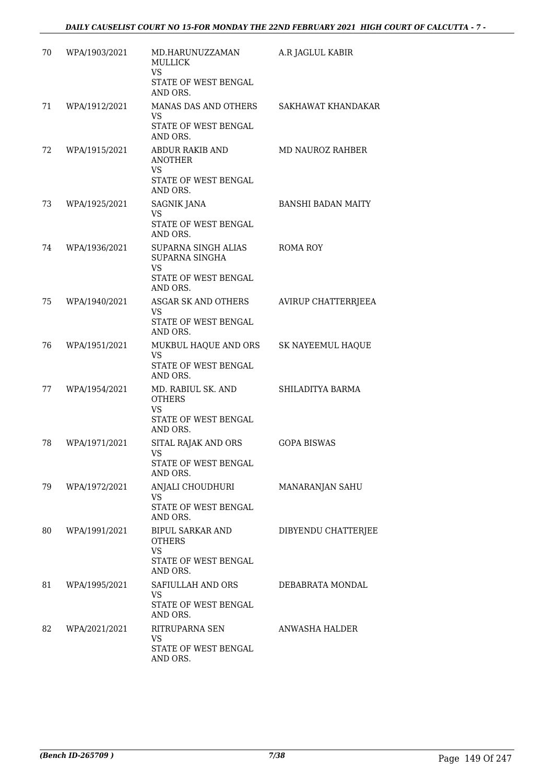| 70 | WPA/1903/2021 | MD.HARUNUZZAMAN<br><b>MULLICK</b><br><b>VS</b><br>STATE OF WEST BENGAL<br>AND ORS.   | A.R JAGLUL KABIR          |
|----|---------------|--------------------------------------------------------------------------------------|---------------------------|
| 71 | WPA/1912/2021 | MANAS DAS AND OTHERS<br>VS.<br>STATE OF WEST BENGAL<br>AND ORS.                      | SAKHAWAT KHANDAKAR        |
| 72 | WPA/1915/2021 | ABDUR RAKIB AND<br><b>ANOTHER</b><br>VS.<br>STATE OF WEST BENGAL<br>AND ORS.         | <b>MD NAUROZ RAHBER</b>   |
| 73 | WPA/1925/2021 | <b>SAGNIK JANA</b><br><b>VS</b><br>STATE OF WEST BENGAL<br>AND ORS.                  | <b>BANSHI BADAN MAITY</b> |
| 74 | WPA/1936/2021 | SUPARNA SINGH ALIAS<br>SUPARNA SINGHA<br>VS<br>STATE OF WEST BENGAL<br>AND ORS.      | <b>ROMA ROY</b>           |
| 75 | WPA/1940/2021 | ASGAR SK AND OTHERS<br>VS.<br>STATE OF WEST BENGAL<br>AND ORS.                       | AVIRUP CHATTERRJEEA       |
| 76 | WPA/1951/2021 | MUKBUL HAQUE AND ORS<br>VS.<br>STATE OF WEST BENGAL<br>AND ORS.                      | SK NAYEEMUL HAQUE         |
| 77 | WPA/1954/2021 | MD. RABIUL SK. AND<br><b>OTHERS</b><br><b>VS</b><br>STATE OF WEST BENGAL<br>AND ORS. | SHILADITYA BARMA          |
| 78 | WPA/1971/2021 | SITAL RAJAK AND ORS<br>VS<br>STATE OF WEST BENGAL<br>AND ORS.                        | <b>GOPA BISWAS</b>        |
| 79 | WPA/1972/2021 | ANJALI CHOUDHURI<br>VS.<br>STATE OF WEST BENGAL<br>AND ORS.                          | MANARANJAN SAHU           |
| 80 | WPA/1991/2021 | BIPUL SARKAR AND<br><b>OTHERS</b><br><b>VS</b><br>STATE OF WEST BENGAL<br>AND ORS.   | DIBYENDU CHATTERJEE       |
| 81 | WPA/1995/2021 | SAFIULLAH AND ORS<br>VS.<br>STATE OF WEST BENGAL<br>AND ORS.                         | DEBABRATA MONDAL          |
| 82 | WPA/2021/2021 | RITRUPARNA SEN<br>VS.<br>STATE OF WEST BENGAL<br>AND ORS.                            | ANWASHA HALDER            |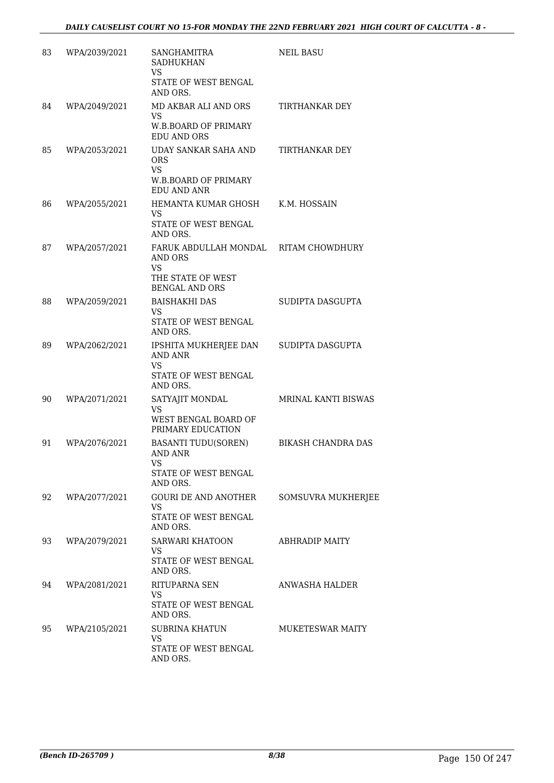| 83 | WPA/2039/2021 | SANGHAMITRA<br><b>SADHUKHAN</b><br>VS.<br>STATE OF WEST BENGAL<br>AND ORS.                                         | <b>NEIL BASU</b>        |
|----|---------------|--------------------------------------------------------------------------------------------------------------------|-------------------------|
| 84 | WPA/2049/2021 | MD AKBAR ALI AND ORS<br>VS.<br><b>W.B.BOARD OF PRIMARY</b><br><b>EDU AND ORS</b>                                   | TIRTHANKAR DEY          |
| 85 | WPA/2053/2021 | UDAY SANKAR SAHA AND<br><b>ORS</b><br>VS<br><b>W.B.BOARD OF PRIMARY</b><br><b>EDU AND ANR</b>                      | TIRTHANKAR DEY          |
| 86 | WPA/2055/2021 | HEMANTA KUMAR GHOSH<br>VS<br>STATE OF WEST BENGAL<br>AND ORS.                                                      | K.M. HOSSAIN            |
| 87 | WPA/2057/2021 | FARUK ABDULLAH MONDAL RITAM CHOWDHURY<br><b>AND ORS</b><br><b>VS</b><br>THE STATE OF WEST<br><b>BENGAL AND ORS</b> |                         |
| 88 | WPA/2059/2021 | <b>BAISHAKHI DAS</b><br>VS.<br>STATE OF WEST BENGAL<br>AND ORS.                                                    | SUDIPTA DASGUPTA        |
| 89 | WPA/2062/2021 | IPSHITA MUKHERJEE DAN<br>AND ANR<br>VS<br>STATE OF WEST BENGAL<br>AND ORS.                                         | SUDIPTA DASGUPTA        |
| 90 | WPA/2071/2021 | SATYAJIT MONDAL<br>VS<br>WEST BENGAL BOARD OF<br>PRIMARY EDUCATION                                                 | MRINAL KANTI BISWAS     |
| 91 | WPA/2076/2021 | <b>BASANTI TUDU(SOREN)</b><br><b>AND ANR</b><br>VS<br>STATE OF WEST BENGAL<br>AND ORS.                             | BIKASH CHANDRA DAS      |
| 92 | WPA/2077/2021 | GOURI DE AND ANOTHER<br>VS.<br>STATE OF WEST BENGAL<br>AND ORS.                                                    | SOMSUVRA MUKHERJEE      |
| 93 | WPA/2079/2021 | SARWARI KHATOON<br>VS.<br>STATE OF WEST BENGAL<br>AND ORS.                                                         | <b>ABHRADIP MAITY</b>   |
| 94 | WPA/2081/2021 | RITUPARNA SEN<br>VS.<br>STATE OF WEST BENGAL<br>AND ORS.                                                           | ANWASHA HALDER          |
| 95 | WPA/2105/2021 | SUBRINA KHATUN<br><b>VS</b><br>STATE OF WEST BENGAL<br>AND ORS.                                                    | <b>MUKETESWAR MAITY</b> |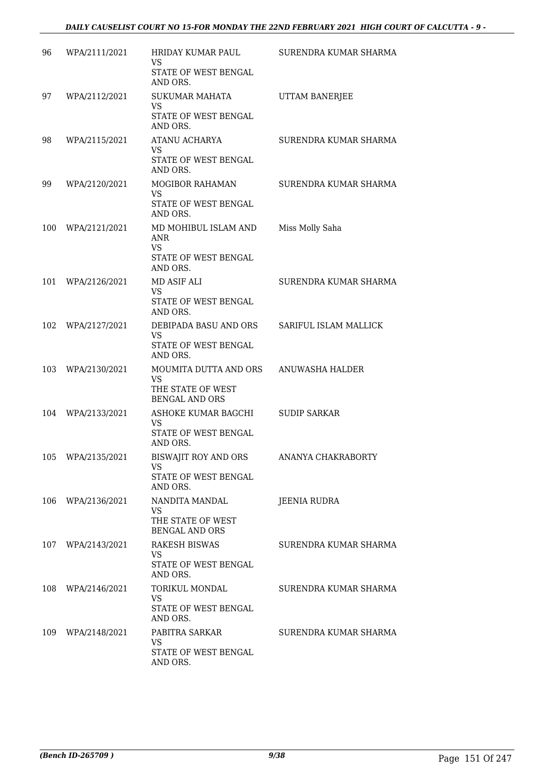| 96  | WPA/2111/2021 | HRIDAY KUMAR PAUL<br>VS.<br>STATE OF WEST BENGAL | SURENDRA KUMAR SHARMA |
|-----|---------------|--------------------------------------------------|-----------------------|
|     |               | AND ORS.                                         |                       |
| 97  | WPA/2112/2021 | <b>SUKUMAR MAHATA</b><br>VS.                     | UTTAM BANERJEE        |
|     |               | STATE OF WEST BENGAL<br>AND ORS.                 |                       |
| 98  | WPA/2115/2021 | ATANU ACHARYA                                    | SURENDRA KUMAR SHARMA |
|     |               | <b>VS</b><br>STATE OF WEST BENGAL<br>AND ORS.    |                       |
| 99  | WPA/2120/2021 | MOGIBOR RAHAMAN                                  | SURENDRA KUMAR SHARMA |
|     |               | VS.<br>STATE OF WEST BENGAL<br>AND ORS.          |                       |
| 100 | WPA/2121/2021 | MD MOHIBUL ISLAM AND<br><b>ANR</b><br><b>VS</b>  | Miss Molly Saha       |
|     |               | STATE OF WEST BENGAL<br>AND ORS.                 |                       |
| 101 | WPA/2126/2021 | MD ASIF ALI<br>VS.                               | SURENDRA KUMAR SHARMA |
|     |               | STATE OF WEST BENGAL<br>AND ORS.                 |                       |
| 102 | WPA/2127/2021 | DEBIPADA BASU AND ORS<br>VS.                     | SARIFUL ISLAM MALLICK |
|     |               | STATE OF WEST BENGAL<br>AND ORS.                 |                       |
| 103 | WPA/2130/2021 | MOUMITA DUTTA AND ORS<br><b>VS</b>               | ANUWASHA HALDER       |
|     |               | THE STATE OF WEST<br><b>BENGAL AND ORS</b>       |                       |
| 104 | WPA/2133/2021 | ASHOKE KUMAR BAGCHI                              | <b>SUDIP SARKAR</b>   |
|     |               | <b>VS</b><br>STATE OF WEST BENGAL<br>AND ORS.    |                       |
| 105 | WPA/2135/2021 | <b>BISWAJIT ROY AND ORS</b><br><b>VS</b>         | ANANYA CHAKRABORTY    |
|     |               | STATE OF WEST BENGAL<br>AND ORS.                 |                       |
| 106 | WPA/2136/2021 | NANDITA MANDAL<br>VS.                            | JEENIA RUDRA          |
|     |               | THE STATE OF WEST<br><b>BENGAL AND ORS</b>       |                       |
| 107 | WPA/2143/2021 | <b>RAKESH BISWAS</b><br><b>VS</b>                | SURENDRA KUMAR SHARMA |
|     |               | STATE OF WEST BENGAL<br>AND ORS.                 |                       |
| 108 | WPA/2146/2021 | <b>TORIKUL MONDAL</b><br>VS.                     | SURENDRA KUMAR SHARMA |
|     |               | STATE OF WEST BENGAL<br>AND ORS.                 |                       |
| 109 | WPA/2148/2021 | PABITRA SARKAR                                   | SURENDRA KUMAR SHARMA |
|     |               | VS.<br>STATE OF WEST BENGAL<br>AND ORS.          |                       |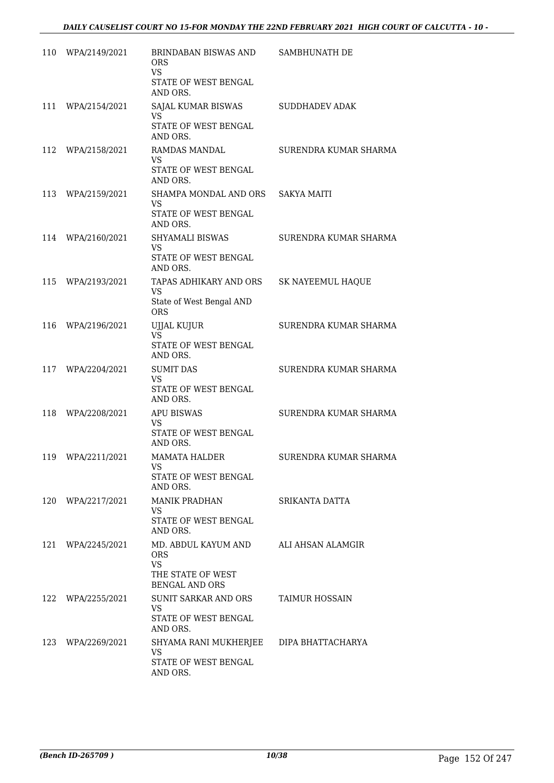| 110 | WPA/2149/2021 | <b>BRINDABAN BISWAS AND</b><br><b>ORS</b><br><b>VS</b><br>STATE OF WEST BENGAL<br>AND ORS.   | SAMBHUNATH DE         |
|-----|---------------|----------------------------------------------------------------------------------------------|-----------------------|
| 111 | WPA/2154/2021 | SAJAL KUMAR BISWAS<br>VS<br>STATE OF WEST BENGAL<br>AND ORS.                                 | <b>SUDDHADEV ADAK</b> |
| 112 | WPA/2158/2021 | RAMDAS MANDAL<br>VS<br>STATE OF WEST BENGAL<br>AND ORS.                                      | SURENDRA KUMAR SHARMA |
| 113 | WPA/2159/2021 | SHAMPA MONDAL AND ORS<br>VS.<br>STATE OF WEST BENGAL<br>AND ORS.                             | <b>SAKYA MAITI</b>    |
| 114 | WPA/2160/2021 | <b>SHYAMALI BISWAS</b><br>VS<br>STATE OF WEST BENGAL<br>AND ORS.                             | SURENDRA KUMAR SHARMA |
| 115 | WPA/2193/2021 | TAPAS ADHIKARY AND ORS<br><b>VS</b><br>State of West Bengal AND<br><b>ORS</b>                | SK NAYEEMUL HAQUE     |
| 116 | WPA/2196/2021 | UJJAL KUJUR<br><b>VS</b><br>STATE OF WEST BENGAL<br>AND ORS.                                 | SURENDRA KUMAR SHARMA |
| 117 | WPA/2204/2021 | <b>SUMIT DAS</b><br><b>VS</b><br>STATE OF WEST BENGAL<br>AND ORS.                            | SURENDRA KUMAR SHARMA |
| 118 | WPA/2208/2021 | <b>APU BISWAS</b><br>VS<br>STATE OF WEST BENGAL<br>AND ORS.                                  | SURENDRA KUMAR SHARMA |
| 119 | WPA/2211/2021 | MAMATA HALDER<br><b>VS</b><br>STATE OF WEST BENGAL<br>AND ORS.                               | SURENDRA KUMAR SHARMA |
| 120 | WPA/2217/2021 | <b>MANIK PRADHAN</b><br>VS.<br><b>STATE OF WEST BENGAL</b><br>AND ORS.                       | SRIKANTA DATTA        |
| 121 | WPA/2245/2021 | MD. ABDUL KAYUM AND<br><b>ORS</b><br><b>VS</b><br>THE STATE OF WEST<br><b>BENGAL AND ORS</b> | ALI AHSAN ALAMGIR     |
| 122 | WPA/2255/2021 | SUNIT SARKAR AND ORS<br>VS.<br>STATE OF WEST BENGAL<br>AND ORS.                              | TAIMUR HOSSAIN        |
| 123 | WPA/2269/2021 | SHYAMA RANI MUKHERJEE<br><b>VS</b><br>STATE OF WEST BENGAL<br>AND ORS.                       | DIPA BHATTACHARYA     |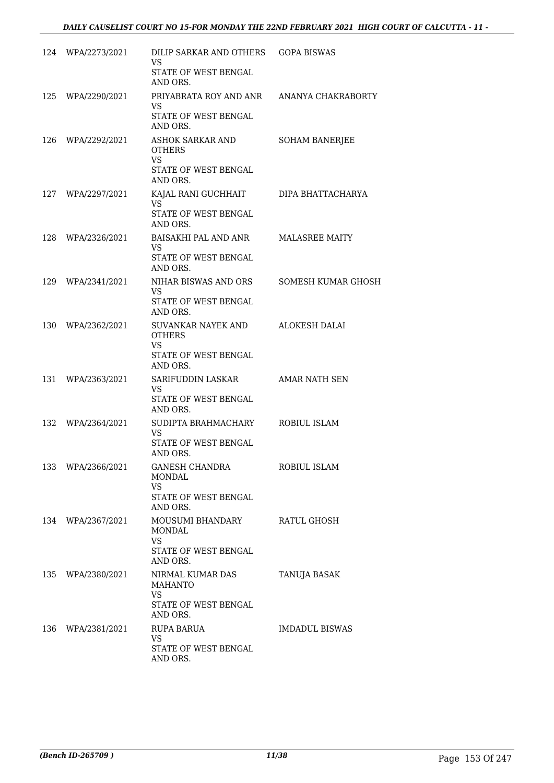|     | 124 WPA/2273/2021 | DILIP SARKAR AND OTHERS<br>VS<br>STATE OF WEST BENGAL<br>AND ORS.                  | <b>GOPA BISWAS</b>    |
|-----|-------------------|------------------------------------------------------------------------------------|-----------------------|
| 125 | WPA/2290/2021     | PRIYABRATA ROY AND ANR<br>VS<br>STATE OF WEST BENGAL<br>AND ORS.                   | ANANYA CHAKRABORTY    |
| 126 | WPA/2292/2021     | ASHOK SARKAR AND<br><b>OTHERS</b><br><b>VS</b><br>STATE OF WEST BENGAL<br>AND ORS. | SOHAM BANERJEE        |
| 127 | WPA/2297/2021     | KAJAL RANI GUCHHAIT<br><b>VS</b><br>STATE OF WEST BENGAL<br>AND ORS.               | DIPA BHATTACHARYA     |
| 128 | WPA/2326/2021     | BAISAKHI PAL AND ANR<br>VS<br>STATE OF WEST BENGAL<br>AND ORS.                     | <b>MALASREE MAITY</b> |
| 129 | WPA/2341/2021     | NIHAR BISWAS AND ORS<br>VS.<br>STATE OF WEST BENGAL<br>AND ORS.                    | SOMESH KUMAR GHOSH    |
| 130 | WPA/2362/2021     | SUVANKAR NAYEK AND<br><b>OTHERS</b><br>VS<br>STATE OF WEST BENGAL<br>AND ORS.      | <b>ALOKESH DALAI</b>  |
| 131 | WPA/2363/2021     | SARIFUDDIN LASKAR<br>VS.<br>STATE OF WEST BENGAL<br>AND ORS.                       | AMAR NATH SEN         |
| 132 | WPA/2364/2021     | SUDIPTA BRAHMACHARY<br>VS.<br>STATE OF WEST BENGAL<br>AND ORS.                     | ROBIUL ISLAM          |
|     | 133 WPA/2366/2021 | GANESH CHANDRA<br><b>MONDAL</b><br>VS.<br>STATE OF WEST BENGAL<br>AND ORS.         | ROBIUL ISLAM          |
| 134 | WPA/2367/2021     | MOUSUMI BHANDARY<br><b>MONDAL</b><br><b>VS</b><br>STATE OF WEST BENGAL<br>AND ORS. | RATUL GHOSH           |
| 135 | WPA/2380/2021     | NIRMAL KUMAR DAS<br><b>MAHANTO</b><br>VS.<br>STATE OF WEST BENGAL<br>AND ORS.      | TANUJA BASAK          |
| 136 | WPA/2381/2021     | RUPA BARUA<br><b>VS</b><br>STATE OF WEST BENGAL<br>AND ORS.                        | <b>IMDADUL BISWAS</b> |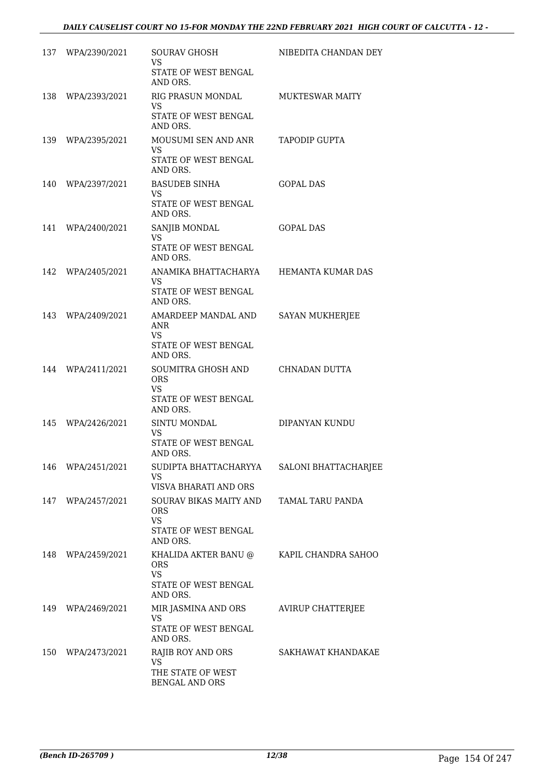|     | 137 WPA/2390/2021 | SOURAV GHOSH<br>VS.<br>STATE OF WEST BENGAL                                         | NIBEDITA CHANDAN DEY     |
|-----|-------------------|-------------------------------------------------------------------------------------|--------------------------|
|     | 138 WPA/2393/2021 | AND ORS.<br>RIG PRASUN MONDAL<br>VS<br>STATE OF WEST BENGAL<br>AND ORS.             | <b>MUKTESWAR MAITY</b>   |
|     | 139 WPA/2395/2021 | MOUSUMI SEN AND ANR<br>VS.<br>STATE OF WEST BENGAL                                  | TAPODIP GUPTA            |
|     | 140 WPA/2397/2021 | AND ORS.<br><b>BASUDEB SINHA</b><br>VS.<br>STATE OF WEST BENGAL<br>AND ORS.         | GOPAL DAS                |
|     | 141 WPA/2400/2021 | SANJIB MONDAL<br>VS.<br><b>STATE OF WEST BENGAL</b><br>AND ORS.                     | <b>GOPAL DAS</b>         |
| 142 | WPA/2405/2021     | ANAMIKA BHATTACHARYA<br>VS.<br>STATE OF WEST BENGAL<br>AND ORS.                     | HEMANTA KUMAR DAS        |
| 143 | WPA/2409/2021     | AMARDEEP MANDAL AND<br>ANR<br>VS.<br>STATE OF WEST BENGAL<br>AND ORS.               | <b>SAYAN MUKHERJEE</b>   |
| 144 | WPA/2411/2021     | SOUMITRA GHOSH AND<br><b>ORS</b><br>VS.<br>STATE OF WEST BENGAL<br>AND ORS.         | CHNADAN DUTTA            |
| 145 | WPA/2426/2021     | SINTU MONDAL<br>VS.<br>STATE OF WEST BENGAL<br>AND ORS.                             | DIPANYAN KUNDU           |
| 146 | WPA/2451/2021     | SUDIPTA BHATTACHARYYA<br><b>VS</b><br>VISVA BHARATI AND ORS                         | SALONI BHATTACHARJEE     |
|     | 147 WPA/2457/2021 | SOURAV BIKAS MAITY AND<br><b>ORS</b><br>VS.<br>STATE OF WEST BENGAL<br>AND ORS.     | TAMAL TARU PANDA         |
| 148 | WPA/2459/2021     | KHALIDA AKTER BANU @<br><b>ORS</b><br><b>VS</b><br>STATE OF WEST BENGAL<br>AND ORS. | KAPIL CHANDRA SAHOO      |
| 149 | WPA/2469/2021     | MIR JASMINA AND ORS<br>VS.<br>STATE OF WEST BENGAL<br>AND ORS.                      | <b>AVIRUP CHATTERJEE</b> |
| 150 | WPA/2473/2021     | RAJIB ROY AND ORS<br>VS.<br>THE STATE OF WEST<br>BENGAL AND ORS                     | SAKHAWAT KHANDAKAE       |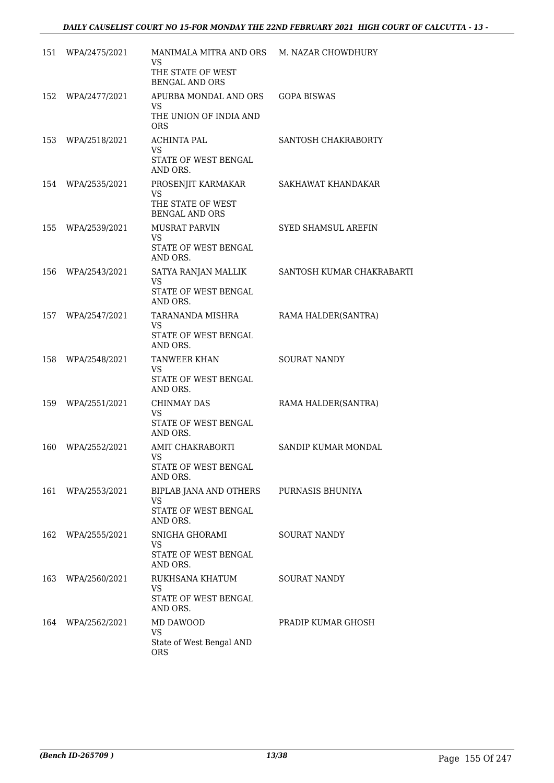|     | 151 WPA/2475/2021 | MANIMALA MITRA AND ORS                                              | M. NAZAR CHOWDHURY        |
|-----|-------------------|---------------------------------------------------------------------|---------------------------|
|     |                   | VS.<br>THE STATE OF WEST<br><b>BENGAL AND ORS</b>                   |                           |
| 152 | WPA/2477/2021     | APURBA MONDAL AND ORS<br>VS.                                        | <b>GOPA BISWAS</b>        |
|     |                   | THE UNION OF INDIA AND<br><b>ORS</b>                                |                           |
|     | 153 WPA/2518/2021 | <b>ACHINTA PAL</b><br><b>VS</b><br>STATE OF WEST BENGAL<br>AND ORS. | SANTOSH CHAKRABORTY       |
| 154 | WPA/2535/2021     | PROSENJIT KARMAKAR<br><b>VS</b>                                     | SAKHAWAT KHANDAKAR        |
|     |                   | THE STATE OF WEST<br><b>BENGAL AND ORS</b>                          |                           |
| 155 | WPA/2539/2021     | MUSRAT PARVIN<br><b>VS</b><br>STATE OF WEST BENGAL                  | SYED SHAMSUL AREFIN       |
|     |                   | AND ORS.                                                            |                           |
| 156 | WPA/2543/2021     | SATYA RANJAN MALLIK<br><b>VS</b><br>STATE OF WEST BENGAL            | SANTOSH KUMAR CHAKRABARTI |
|     | 157 WPA/2547/2021 | AND ORS.<br>TARANANDA MISHRA                                        | RAMA HALDER(SANTRA)       |
|     |                   | VS.<br>STATE OF WEST BENGAL<br>AND ORS.                             |                           |
| 158 | WPA/2548/2021     | TANWEER KHAN<br>VS.                                                 | <b>SOURAT NANDY</b>       |
|     |                   | STATE OF WEST BENGAL<br>AND ORS.                                    |                           |
| 159 | WPA/2551/2021     | <b>CHINMAY DAS</b><br>VS                                            | RAMA HALDER(SANTRA)       |
|     |                   | STATE OF WEST BENGAL<br>AND ORS.                                    |                           |
| 160 | WPA/2552/2021     | AMIT CHAKRABORTI<br>VS                                              | SANDIP KUMAR MONDAL       |
|     |                   | STATE OF WEST BENGAL<br>AND ORS.                                    |                           |
| 161 | WPA/2553/2021     | BIPLAB JANA AND OTHERS<br><b>VS</b>                                 | PURNASIS BHUNIYA          |
|     |                   | STATE OF WEST BENGAL<br>AND ORS.                                    |                           |
| 162 | WPA/2555/2021     | SNIGHA GHORAMI<br>VS.                                               | <b>SOURAT NANDY</b>       |
|     |                   | <b>STATE OF WEST BENGAL</b><br>AND ORS.                             |                           |
| 163 | WPA/2560/2021     | RUKHSANA KHATUM<br>VS.                                              | SOURAT NANDY              |
|     |                   | STATE OF WEST BENGAL<br>AND ORS.                                    |                           |
| 164 | WPA/2562/2021     | MD DAWOOD                                                           | PRADIP KUMAR GHOSH        |
|     |                   | VS.<br>State of West Bengal AND<br><b>ORS</b>                       |                           |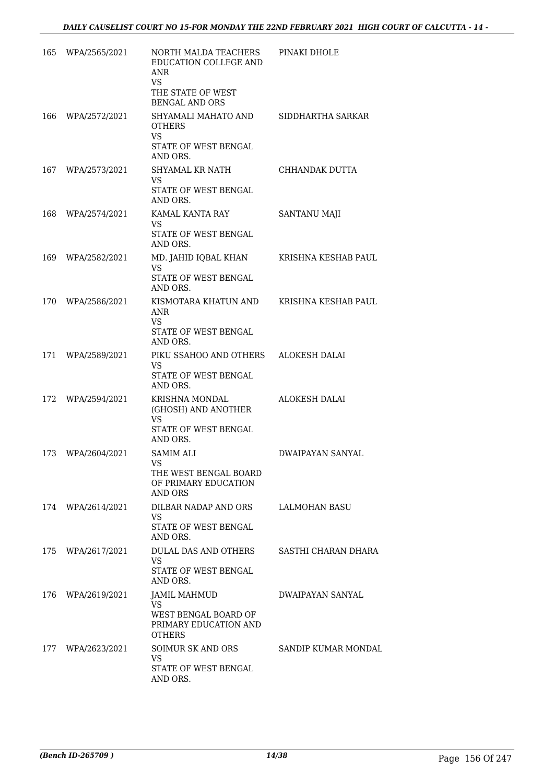| 165 | WPA/2565/2021     | NORTH MALDA TEACHERS<br>EDUCATION COLLEGE AND<br>ANR<br><b>VS</b>                                 | PINAKI DHOLE            |
|-----|-------------------|---------------------------------------------------------------------------------------------------|-------------------------|
|     |                   | THE STATE OF WEST<br><b>BENGAL AND ORS</b>                                                        |                         |
| 166 | WPA/2572/2021     | SHYAMALI MAHATO AND<br><b>OTHERS</b><br><b>VS</b>                                                 | SIDDHARTHA SARKAR       |
|     |                   | STATE OF WEST BENGAL<br>AND ORS.                                                                  |                         |
| 167 | WPA/2573/2021     | SHYAMAL KR NATH<br>VS.<br>STATE OF WEST BENGAL                                                    | CHHANDAK DUTTA          |
|     |                   | AND ORS.                                                                                          |                         |
| 168 | WPA/2574/2021     | KAMAL KANTA RAY<br>VS.<br>STATE OF WEST BENGAL<br>AND ORS.                                        | <b>SANTANU MAJI</b>     |
|     | 169 WPA/2582/2021 | MD. JAHID IQBAL KHAN<br>VS.<br>STATE OF WEST BENGAL<br>AND ORS.                                   | KRISHNA KESHAB PAUL     |
|     | 170 WPA/2586/2021 | KISMOTARA KHATUN AND<br><b>ANR</b><br><b>VS</b><br>STATE OF WEST BENGAL<br>AND ORS.               | KRISHNA KESHAB PAUL     |
|     | 171 WPA/2589/2021 | PIKU SSAHOO AND OTHERS<br>VS<br>STATE OF WEST BENGAL<br>AND ORS.                                  | ALOKESH DALAI           |
| 172 | WPA/2594/2021     | KRISHNA MONDAL<br>(GHOSH) AND ANOTHER<br><b>VS</b>                                                | <b>ALOKESH DALAI</b>    |
|     |                   | STATE OF WEST BENGAL<br>AND ORS.                                                                  |                         |
|     | 173 WPA/2604/2021 | <b>SAMIM ALI</b><br>VS FOR THE STREET<br>THE WEST BENGAL BOARD<br>OF PRIMARY EDUCATION<br>AND ORS | <b>DWAIPAYAN SANYAL</b> |
|     | 174 WPA/2614/2021 | DILBAR NADAP AND ORS<br>VS.<br>STATE OF WEST BENGAL<br>AND ORS.                                   | LALMOHAN BASU           |
|     | 175 WPA/2617/2021 | DULAL DAS AND OTHERS<br>VS.<br>STATE OF WEST BENGAL<br>AND ORS.                                   | SASTHI CHARAN DHARA     |
|     | 176 WPA/2619/2021 | <b>JAMIL MAHMUD</b><br><b>VS</b>                                                                  | DWAIPAYAN SANYAL        |
|     |                   | WEST BENGAL BOARD OF<br>PRIMARY EDUCATION AND<br><b>OTHERS</b>                                    |                         |
|     | 177 WPA/2623/2021 | SOIMUR SK AND ORS<br>VS.                                                                          | SANDIP KUMAR MONDAL     |
|     |                   | STATE OF WEST BENGAL<br>AND ORS.                                                                  |                         |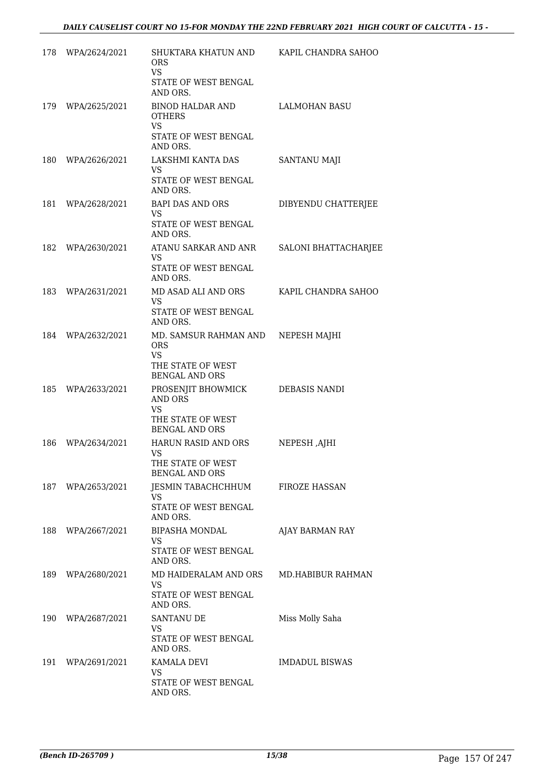| 178 | WPA/2624/2021     | SHUKTARA KHATUN AND<br><b>ORS</b><br><b>VS</b>                                                 | KAPIL CHANDRA SAHOO      |
|-----|-------------------|------------------------------------------------------------------------------------------------|--------------------------|
|     |                   | STATE OF WEST BENGAL<br>AND ORS.                                                               |                          |
|     | 179 WPA/2625/2021 | BINOD HALDAR AND<br><b>OTHERS</b><br><b>VS</b>                                                 | <b>LALMOHAN BASU</b>     |
|     |                   | STATE OF WEST BENGAL<br>AND ORS.                                                               |                          |
| 180 | WPA/2626/2021     | LAKSHMI KANTA DAS<br><b>VS</b><br>STATE OF WEST BENGAL<br>AND ORS.                             | <b>SANTANU MAJI</b>      |
| 181 | WPA/2628/2021     | BAPI DAS AND ORS<br><b>VS</b><br>STATE OF WEST BENGAL<br>AND ORS.                              | DIBYENDU CHATTERJEE      |
|     | 182 WPA/2630/2021 | ATANU SARKAR AND ANR<br><b>VS</b><br>STATE OF WEST BENGAL<br>AND ORS.                          | SALONI BHATTACHARJEE     |
| 183 | WPA/2631/2021     | MD ASAD ALI AND ORS<br>VS.<br>STATE OF WEST BENGAL<br>AND ORS.                                 | KAPIL CHANDRA SAHOO      |
| 184 | WPA/2632/2021     | MD. SAMSUR RAHMAN AND<br><b>ORS</b><br><b>VS</b><br>THE STATE OF WEST<br><b>BENGAL AND ORS</b> | NEPESH MAJHI             |
| 185 | WPA/2633/2021     | PROSENJIT BHOWMICK<br>AND ORS<br><b>VS</b><br>THE STATE OF WEST<br>BENGAL AND ORS              | DEBASIS NANDI            |
| 186 | WPA/2634/2021     | HARUN RASID AND ORS<br>VS<br>THE STATE OF WEST<br><b>BENGAL AND ORS</b>                        | NEPESH, AJHI             |
|     | 187 WPA/2653/2021 | JESMIN TABACHCHHUM<br>VS.<br>STATE OF WEST BENGAL<br>AND ORS.                                  | <b>FIROZE HASSAN</b>     |
|     | 188 WPA/2667/2021 | <b>BIPASHA MONDAL</b><br>VS.<br>STATE OF WEST BENGAL<br>AND ORS.                               | AJAY BARMAN RAY          |
|     | 189 WPA/2680/2021 | MD HAIDERALAM AND ORS<br>VS<br>STATE OF WEST BENGAL<br>AND ORS.                                | <b>MD.HABIBUR RAHMAN</b> |
|     | 190 WPA/2687/2021 | <b>SANTANU DE</b><br><b>VS</b><br>STATE OF WEST BENGAL<br>AND ORS.                             | Miss Molly Saha          |
| 191 | WPA/2691/2021     | KAMALA DEVI<br>VS<br>STATE OF WEST BENGAL<br>AND ORS.                                          | <b>IMDADUL BISWAS</b>    |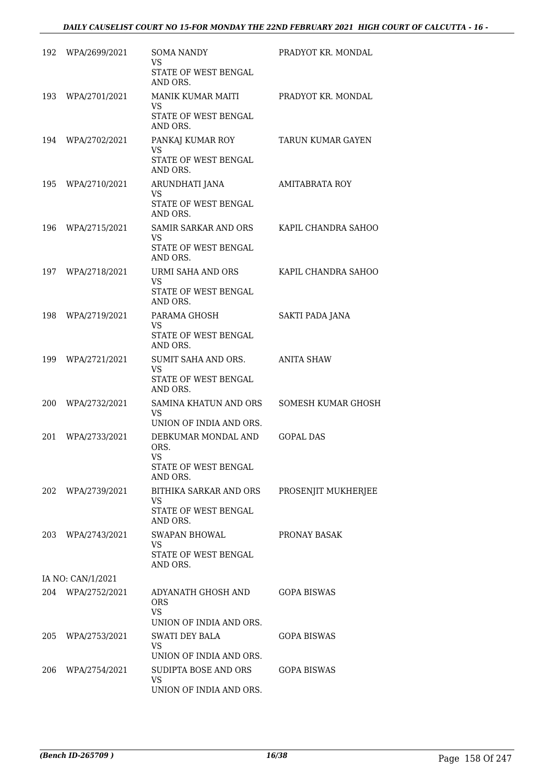| 192 | WPA/2699/2021     | <b>SOMA NANDY</b><br>VS<br>STATE OF WEST BENGAL<br>AND ORS.                        | PRADYOT KR. MONDAL     |
|-----|-------------------|------------------------------------------------------------------------------------|------------------------|
| 193 | WPA/2701/2021     | MANIK KUMAR MAITI<br>VS<br>STATE OF WEST BENGAL<br>AND ORS.                        | PRADYOT KR. MONDAL     |
| 194 | WPA/2702/2021     | PANKAJ KUMAR ROY<br>VS<br>STATE OF WEST BENGAL                                     | TARUN KUMAR GAYEN      |
| 195 | WPA/2710/2021     | AND ORS.<br>ARUNDHATI JANA<br>VS<br>STATE OF WEST BENGAL<br>AND ORS.               | <b>AMITABRATA ROY</b>  |
| 196 | WPA/2715/2021     | <b>SAMIR SARKAR AND ORS</b><br>VS.<br>STATE OF WEST BENGAL<br>AND ORS.             | KAPIL CHANDRA SAHOO    |
| 197 | WPA/2718/2021     | URMI SAHA AND ORS<br><b>VS</b><br>STATE OF WEST BENGAL<br>AND ORS.                 | KAPIL CHANDRA SAHOO    |
| 198 | WPA/2719/2021     | PARAMA GHOSH<br>VS<br>STATE OF WEST BENGAL<br>AND ORS.                             | <b>SAKTI PADA JANA</b> |
| 199 | WPA/2721/2021     | SUMIT SAHA AND ORS.<br>VS<br>STATE OF WEST BENGAL<br>AND ORS.                      | <b>ANITA SHAW</b>      |
| 200 | WPA/2732/2021     | SAMINA KHATUN AND ORS<br>VS<br>UNION OF INDIA AND ORS.                             | SOMESH KUMAR GHOSH     |
| 201 | WPA/2733/2021     | DEBKUMAR MONDAL AND<br>ORS.<br>VS<br>STATE OF WEST BENGAL<br>AND ORS.              | <b>GOPAL DAS</b>       |
|     | 202 WPA/2739/2021 | BITHIKA SARKAR AND ORS<br>VS.<br>STATE OF WEST BENGAL<br>AND ORS.                  | PROSENJIT MUKHERJEE    |
|     | 203 WPA/2743/2021 | <b>SWAPAN BHOWAL</b><br>VS.<br>STATE OF WEST BENGAL<br>AND ORS.                    | PRONAY BASAK           |
|     | IA NO: CAN/1/2021 |                                                                                    |                        |
|     | 204 WPA/2752/2021 | ADYANATH GHOSH AND<br><b>ORS</b><br><b>VS</b>                                      | GOPA BISWAS            |
| 205 | WPA/2753/2021     | UNION OF INDIA AND ORS.<br><b>SWATI DEY BALA</b><br>VS.<br>UNION OF INDIA AND ORS. | GOPA BISWAS            |
| 206 | WPA/2754/2021     | SUDIPTA BOSE AND ORS<br><b>VS</b><br>UNION OF INDIA AND ORS.                       | <b>GOPA BISWAS</b>     |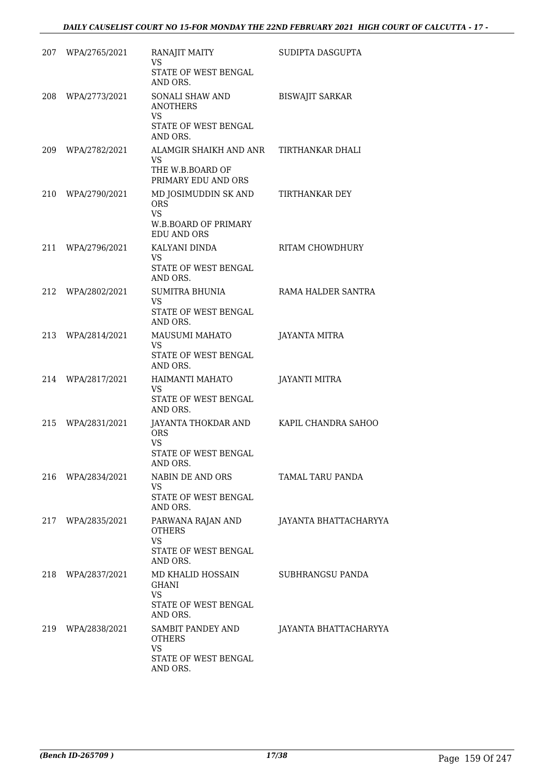|     | 207 WPA/2765/2021 | RANAJIT MAITY                                                                                                               | SUDIPTA DASGUPTA       |
|-----|-------------------|-----------------------------------------------------------------------------------------------------------------------------|------------------------|
|     |                   | <b>VS</b><br>STATE OF WEST BENGAL<br>AND ORS.                                                                               |                        |
|     | 208 WPA/2773/2021 | SONALI SHAW AND<br><b>ANOTHERS</b><br><b>VS</b><br>STATE OF WEST BENGAL<br>AND ORS.                                         | <b>BISWAJIT SARKAR</b> |
|     | 209 WPA/2782/2021 | ALAMGIR SHAIKH AND ANR<br>VS.<br>THE W.B.BOARD OF                                                                           | TIRTHANKAR DHALI       |
| 210 | WPA/2790/2021     | PRIMARY EDU AND ORS<br>MD JOSIMUDDIN SK AND<br><b>ORS</b><br><b>VS</b><br><b>W.B.BOARD OF PRIMARY</b><br><b>EDU AND ORS</b> | TIRTHANKAR DEY         |
| 211 | WPA/2796/2021     | KALYANI DINDA<br>VS.<br><b>STATE OF WEST BENGAL</b><br>AND ORS.                                                             | RITAM CHOWDHURY        |
| 212 | WPA/2802/2021     | SUMITRA BHUNIA<br>VS.<br>STATE OF WEST BENGAL<br>AND ORS.                                                                   | RAMA HALDER SANTRA     |
| 213 | WPA/2814/2021     | <b>MAUSUMI MAHATO</b><br><b>VS</b><br>STATE OF WEST BENGAL<br>AND ORS.                                                      | JAYANTA MITRA          |
| 214 | WPA/2817/2021     | HAIMANTI MAHATO<br>VS.<br>STATE OF WEST BENGAL<br>AND ORS.                                                                  | JAYANTI MITRA          |
| 215 | WPA/2831/2021     | JAYANTA THOKDAR AND<br><b>ORS</b><br><b>VS</b><br><b>STATE OF WEST BENGAL</b><br>AND ORS.                                   | KAPIL CHANDRA SAHOO    |
|     | 216 WPA/2834/2021 | NABIN DE AND ORS<br><b>VS</b><br>STATE OF WEST BENGAL<br>AND ORS.                                                           | TAMAL TARU PANDA       |
| 217 | WPA/2835/2021     | PARWANA RAJAN AND<br><b>OTHERS</b><br><b>VS</b>                                                                             | JAYANTA BHATTACHARYYA  |
|     |                   | STATE OF WEST BENGAL<br>AND ORS.                                                                                            |                        |
| 218 | WPA/2837/2021     | MD KHALID HOSSAIN<br><b>GHANI</b><br><b>VS</b><br>STATE OF WEST BENGAL                                                      | SUBHRANGSU PANDA       |
|     |                   | AND ORS.                                                                                                                    |                        |
|     | 219 WPA/2838/2021 | SAMBIT PANDEY AND<br>OTHERS<br><b>VS</b>                                                                                    | JAYANTA BHATTACHARYYA  |
|     |                   | STATE OF WEST BENGAL<br>AND ORS.                                                                                            |                        |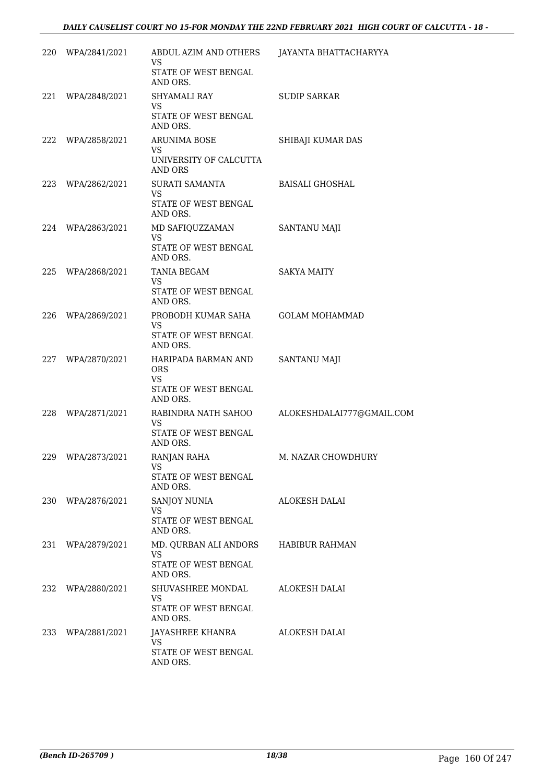| 220 | WPA/2841/2021     | ABDUL AZIM AND OTHERS<br>VS                    | JAYANTA BHATTACHARYYA     |
|-----|-------------------|------------------------------------------------|---------------------------|
|     |                   | STATE OF WEST BENGAL<br>AND ORS.               |                           |
|     | 221 WPA/2848/2021 | SHYAMALI RAY<br><b>VS</b>                      | <b>SUDIP SARKAR</b>       |
|     |                   | STATE OF WEST BENGAL<br>AND ORS.               |                           |
| 222 | WPA/2858/2021     | <b>ARUNIMA BOSE</b><br>VS.                     | SHIBAJI KUMAR DAS         |
|     |                   | UNIVERSITY OF CALCUTTA<br>AND ORS              |                           |
|     | 223 WPA/2862/2021 | SURATI SAMANTA<br>VS.                          | BAISALI GHOSHAL           |
|     |                   | STATE OF WEST BENGAL<br>AND ORS.               |                           |
|     | 224 WPA/2863/2021 | MD SAFIQUZZAMAN<br><b>VS</b>                   | SANTANU MAJI              |
|     |                   | STATE OF WEST BENGAL<br>AND ORS.               |                           |
| 225 | WPA/2868/2021     | TANIA BEGAM<br><b>VS</b>                       | <b>SAKYA MAITY</b>        |
|     |                   | STATE OF WEST BENGAL<br>AND ORS.               |                           |
| 226 | WPA/2869/2021     | PROBODH KUMAR SAHA<br><b>VS</b>                | <b>GOLAM MOHAMMAD</b>     |
|     |                   | STATE OF WEST BENGAL<br>AND ORS.               |                           |
| 227 | WPA/2870/2021     | HARIPADA BARMAN AND<br><b>ORS</b><br><b>VS</b> | <b>SANTANU MAJI</b>       |
|     |                   | STATE OF WEST BENGAL<br>AND ORS.               |                           |
| 228 | WPA/2871/2021     | RABINDRA NATH SAHOO<br>VS.                     | ALOKESHDALAI777@GMAIL.COM |
|     |                   | STATE OF WEST BENGAL<br>AND ORS.               |                           |
| 229 | WPA/2873/2021     | RANJAN RAHA<br><b>VS</b>                       | M. NAZAR CHOWDHURY        |
|     |                   | STATE OF WEST BENGAL<br>AND ORS.               |                           |
| 230 | WPA/2876/2021     | SANJOY NUNIA<br><b>VS</b>                      | ALOKESH DALAI             |
|     |                   | STATE OF WEST BENGAL<br>AND ORS.               |                           |
| 231 | WPA/2879/2021     | MD. QURBAN ALI ANDORS<br><b>VS</b>             | <b>HABIBUR RAHMAN</b>     |
|     |                   | STATE OF WEST BENGAL<br>AND ORS.               |                           |
| 232 | WPA/2880/2021     | SHUVASHREE MONDAL<br><b>VS</b>                 | <b>ALOKESH DALAI</b>      |
|     |                   | STATE OF WEST BENGAL<br>AND ORS.               |                           |
| 233 | WPA/2881/2021     | JAYASHREE KHANRA<br><b>VS</b>                  | ALOKESH DALAI             |
|     |                   | STATE OF WEST BENGAL<br>AND ORS.               |                           |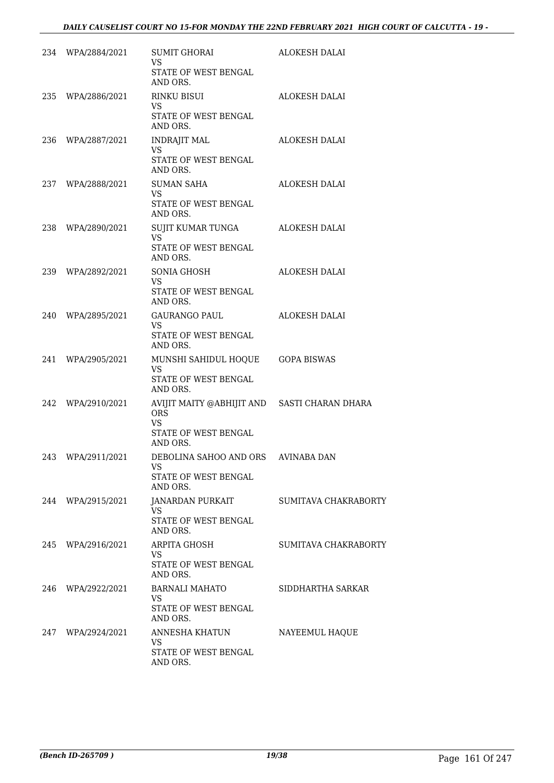|     | 234 WPA/2884/2021 | SUMIT GHORAI<br>VS.<br>STATE OF WEST BENGAL                                                                 | ALOKESH DALAI        |
|-----|-------------------|-------------------------------------------------------------------------------------------------------------|----------------------|
|     |                   | AND ORS.                                                                                                    |                      |
|     | 235 WPA/2886/2021 | <b>RINKU BISUI</b><br>VS.                                                                                   | ALOKESH DALAI        |
|     |                   | STATE OF WEST BENGAL<br>AND ORS.                                                                            |                      |
|     | 236 WPA/2887/2021 | <b>INDRAJIT MAL</b><br>VS<br><b>STATE OF WEST BENGAL</b><br>AND ORS.                                        | ALOKESH DALAI        |
|     | 237 WPA/2888/2021 | <b>SUMAN SAHA</b><br><b>VS</b><br>STATE OF WEST BENGAL<br>AND ORS.                                          | ALOKESH DALAI        |
|     | 238 WPA/2890/2021 | SUJIT KUMAR TUNGA<br>VS <sup>-</sup><br>STATE OF WEST BENGAL<br>AND ORS.                                    | ALOKESH DALAI        |
|     | 239 WPA/2892/2021 | SONIA GHOSH<br><b>VS</b><br>STATE OF WEST BENGAL<br>AND ORS.                                                | ALOKESH DALAI        |
|     | 240 WPA/2895/2021 | GAURANGO PAUL<br>VS.<br>STATE OF WEST BENGAL<br>AND ORS.                                                    | ALOKESH DALAI        |
|     | 241 WPA/2905/2021 | MUNSHI SAHIDUL HOQUE GOPA BISWAS<br><b>VS</b><br>STATE OF WEST BENGAL<br>AND ORS.                           |                      |
|     | 242 WPA/2910/2021 | AVIJIT MAITY @ABHIJIT AND SASTI CHARAN DHARA<br><b>ORS</b><br><b>VS</b><br>STATE OF WEST BENGAL<br>AND ORS. |                      |
| 243 | WPA/2911/2021     | DEBOLINA SAHOO AND ORS<br><b>VS</b><br>STATE OF WEST BENGAL<br>AND ORS.                                     | AVINABA DAN          |
|     | 244 WPA/2915/2021 | JANARDAN PURKAIT<br>VS.<br>STATE OF WEST BENGAL<br>AND ORS.                                                 | SUMITAVA CHAKRABORTY |
| 245 | WPA/2916/2021     | <b>ARPITA GHOSH</b><br><b>VS</b><br><b>STATE OF WEST BENGAL</b><br>AND ORS.                                 | SUMITAVA CHAKRABORTY |
| 246 | WPA/2922/2021     | <b>BARNALI MAHATO</b><br>VS.<br>STATE OF WEST BENGAL<br>AND ORS.                                            | SIDDHARTHA SARKAR    |
| 247 | WPA/2924/2021     | ANNESHA KHATUN<br><b>VS</b><br>STATE OF WEST BENGAL<br>AND ORS.                                             | NAYEEMUL HAQUE       |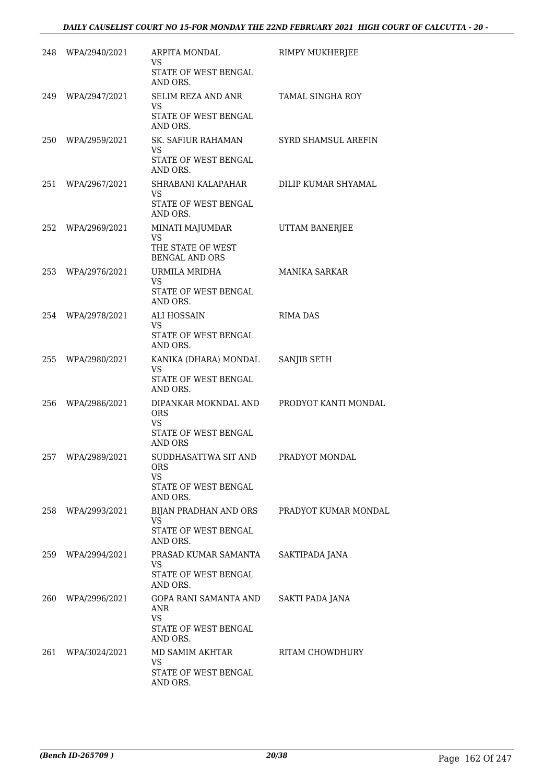|     | 248 WPA/2940/2021 | ARPITA MONDAL<br>VS.<br>STATE OF WEST BENGAL                                              | RIMPY MUKHERJEE         |
|-----|-------------------|-------------------------------------------------------------------------------------------|-------------------------|
|     | 249 WPA/2947/2021 | AND ORS.<br>SELIM REZA AND ANR<br>VS.<br>STATE OF WEST BENGAL                             | <b>TAMAL SINGHA ROY</b> |
| 250 | WPA/2959/2021     | AND ORS.<br>SK. SAFIUR RAHAMAN<br>VS<br>STATE OF WEST BENGAL                              | SYRD SHAMSUL AREFIN     |
| 251 | WPA/2967/2021     | AND ORS.<br>SHRABANI KALAPAHAR<br>VS<br>STATE OF WEST BENGAL<br>AND ORS.                  | DILIP KUMAR SHYAMAL     |
| 252 | WPA/2969/2021     | MINATI MAJUMDAR<br><b>VS</b><br>THE STATE OF WEST<br><b>BENGAL AND ORS</b>                | UTTAM BANERJEE          |
| 253 | WPA/2976/2021     | URMILA MRIDHA<br>VS.<br>STATE OF WEST BENGAL<br>AND ORS.                                  | <b>MANIKA SARKAR</b>    |
|     | 254 WPA/2978/2021 | ALI HOSSAIN<br><b>VS</b><br>STATE OF WEST BENGAL                                          | <b>RIMA DAS</b>         |
| 255 | WPA/2980/2021     | AND ORS.<br>KANIKA (DHARA) MONDAL<br><b>VS</b><br>STATE OF WEST BENGAL<br>AND ORS.        | SANJIB SETH             |
| 256 | WPA/2986/2021     | DIPANKAR MOKNDAL AND<br><b>ORS</b><br><b>VS</b><br>STATE OF WEST BENGAL<br><b>AND ORS</b> | PRODYOT KANTI MONDAL    |
| 257 | WPA/2989/2021     | SUDDHASATTWA SIT AND<br><b>ORS</b><br>VS.<br>STATE OF WEST BENGAL<br>AND ORS.             | PRADYOT MONDAL          |
| 258 | WPA/2993/2021     | BIJAN PRADHAN AND ORS<br><b>VS</b><br>STATE OF WEST BENGAL<br>AND ORS.                    | PRADYOT KUMAR MONDAL    |
| 259 | WPA/2994/2021     | PRASAD KUMAR SAMANTA<br>VS.<br>STATE OF WEST BENGAL<br>AND ORS.                           | SAKTIPADA JANA          |
| 260 | WPA/2996/2021     | GOPA RANI SAMANTA AND<br>ANR<br><b>VS</b><br>STATE OF WEST BENGAL                         | SAKTI PADA JANA         |
| 261 | WPA/3024/2021     | AND ORS.<br>MD SAMIM AKHTAR<br><b>VS</b><br>STATE OF WEST BENGAL<br>AND ORS.              | <b>RITAM CHOWDHURY</b>  |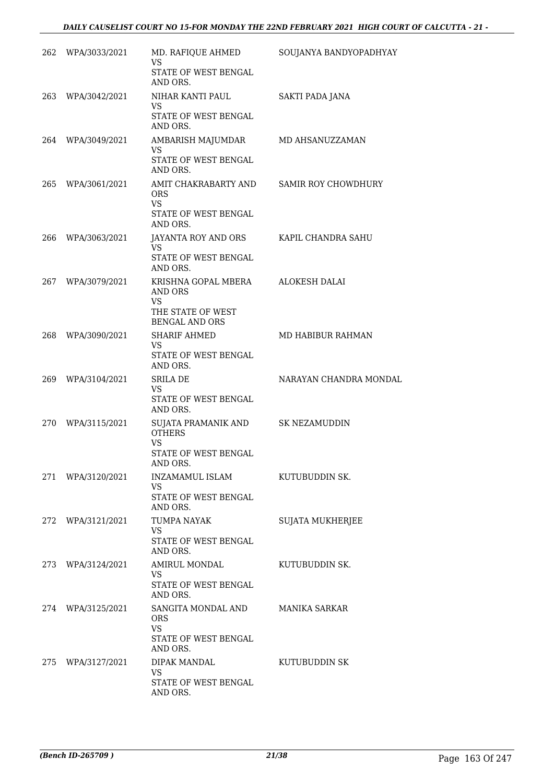|     | 262 WPA/3033/2021 | MD. RAFIQUE AHMED<br><b>VS</b>                                            | SOUJANYA BANDYOPADHYAY     |
|-----|-------------------|---------------------------------------------------------------------------|----------------------------|
|     |                   | STATE OF WEST BENGAL<br>AND ORS.                                          |                            |
| 263 | WPA/3042/2021     | NIHAR KANTI PAUL<br>VS.                                                   | SAKTI PADA JANA            |
|     |                   | STATE OF WEST BENGAL<br>AND ORS.                                          |                            |
| 264 | WPA/3049/2021     | AMBARISH MAJUMDAR<br>VS.                                                  | MD AHSANUZZAMAN            |
|     |                   | STATE OF WEST BENGAL<br>AND ORS.                                          |                            |
| 265 | WPA/3061/2021     | AMIT CHAKRABARTY AND<br><b>ORS</b><br><b>VS</b>                           | <b>SAMIR ROY CHOWDHURY</b> |
|     |                   | STATE OF WEST BENGAL<br>AND ORS.                                          |                            |
| 266 | WPA/3063/2021     | JAYANTA ROY AND ORS<br><b>VS</b>                                          | KAPIL CHANDRA SAHU         |
|     |                   | STATE OF WEST BENGAL<br>AND ORS.                                          |                            |
| 267 | WPA/3079/2021     | KRISHNA GOPAL MBERA<br><b>AND ORS</b><br>VS.                              | ALOKESH DALAI              |
|     |                   | THE STATE OF WEST<br><b>BENGAL AND ORS</b>                                |                            |
| 268 | WPA/3090/2021     | <b>SHARIF AHMED</b><br>VS.<br>STATE OF WEST BENGAL                        | MD HABIBUR RAHMAN          |
| 269 | WPA/3104/2021     | AND ORS.<br>SRILA DE                                                      | NARAYAN CHANDRA MONDAL     |
|     |                   | VS.<br>STATE OF WEST BENGAL<br>AND ORS.                                   |                            |
| 270 | WPA/3115/2021     | SUJATA PRAMANIK AND<br><b>OTHERS</b><br><b>VS</b><br>STATE OF WEST BENGAL | <b>SK NEZAMUDDIN</b>       |
|     |                   | AND ORS.                                                                  |                            |
| 271 | WPA/3120/2021     | INZAMAMUL ISLAM<br>VS.<br>STATE OF WEST BENGAL                            | KUTUBUDDIN SK.             |
| 272 | WPA/3121/2021     | AND ORS.<br><b>TUMPA NAYAK</b>                                            | <b>SUJATA MUKHERJEE</b>    |
|     |                   | <b>VS</b><br>STATE OF WEST BENGAL<br>AND ORS.                             |                            |
| 273 | WPA/3124/2021     | AMIRUL MONDAL<br><b>VS</b>                                                | KUTUBUDDIN SK.             |
|     |                   | STATE OF WEST BENGAL<br>AND ORS.                                          |                            |
| 274 | WPA/3125/2021     | SANGITA MONDAL AND<br><b>ORS</b><br><b>VS</b>                             | <b>MANIKA SARKAR</b>       |
|     |                   | STATE OF WEST BENGAL<br>AND ORS.                                          |                            |
| 275 | WPA/3127/2021     | DIPAK MANDAL<br><b>VS</b>                                                 | KUTUBUDDIN SK              |
|     |                   | STATE OF WEST BENGAL<br>AND ORS.                                          |                            |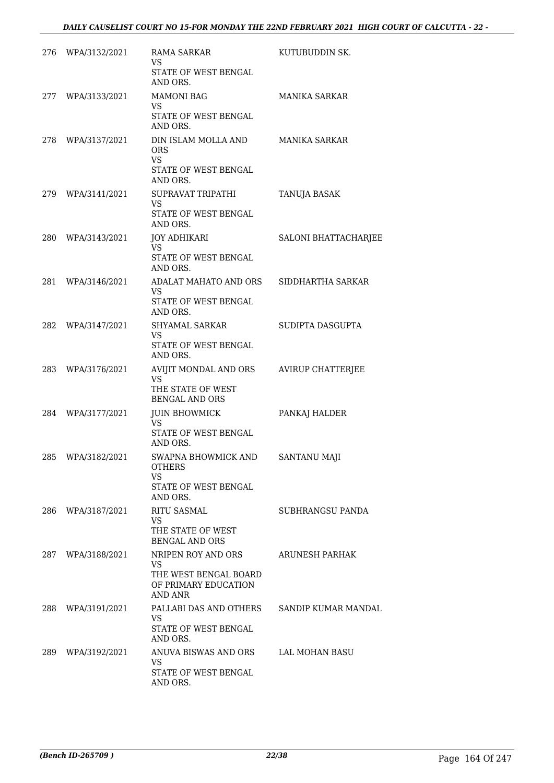| 276 | WPA/3132/2021     | RAMA SARKAR<br>VS.<br>STATE OF WEST BENGAL                                                  | KUTUBUDDIN SK.           |
|-----|-------------------|---------------------------------------------------------------------------------------------|--------------------------|
|     | 277 WPA/3133/2021 | AND ORS.<br><b>MAMONI BAG</b><br>VS<br>STATE OF WEST BENGAL                                 | <b>MANIKA SARKAR</b>     |
| 278 | WPA/3137/2021     | AND ORS.<br>DIN ISLAM MOLLA AND<br><b>ORS</b><br>VS.<br>STATE OF WEST BENGAL                | <b>MANIKA SARKAR</b>     |
|     | 279 WPA/3141/2021 | AND ORS.<br>SUPRAVAT TRIPATHI<br>VS.<br>STATE OF WEST BENGAL                                | TANUJA BASAK             |
| 280 | WPA/3143/2021     | AND ORS.<br>JOY ADHIKARI<br>VS.<br>STATE OF WEST BENGAL<br>AND ORS.                         | SALONI BHATTACHARJEE     |
| 281 | WPA/3146/2021     | ADALAT MAHATO AND ORS<br>VS.<br>STATE OF WEST BENGAL<br>AND ORS.                            | SIDDHARTHA SARKAR        |
| 282 | WPA/3147/2021     | SHYAMAL SARKAR<br>VS.<br>STATE OF WEST BENGAL<br>AND ORS.                                   | SUDIPTA DASGUPTA         |
| 283 | WPA/3176/2021     | AVIJIT MONDAL AND ORS<br><b>VS</b><br>THE STATE OF WEST                                     | <b>AVIRUP CHATTERJEE</b> |
| 284 | WPA/3177/2021     | <b>BENGAL AND ORS</b><br><b>JUIN BHOWMICK</b><br>VS.<br>STATE OF WEST BENGAL<br>AND ORS.    | PANKAJ HALDER            |
| 285 | WPA/3182/2021     | SWAPNA BHOWMICK AND<br><b>OTHERS</b><br>VS<br><b>STATE OF WEST BENGAL</b><br>AND ORS.       | <b>SANTANU MAJI</b>      |
| 286 | WPA/3187/2021     | <b>RITU SASMAL</b><br>VS.<br>THE STATE OF WEST<br><b>BENGAL AND ORS</b>                     | SUBHRANGSU PANDA         |
| 287 | WPA/3188/2021     | NRIPEN ROY AND ORS<br><b>VS</b><br>THE WEST BENGAL BOARD<br>OF PRIMARY EDUCATION<br>AND ANR | ARUNESH PARHAK           |
| 288 | WPA/3191/2021     | PALLABI DAS AND OTHERS<br><b>VS</b><br>STATE OF WEST BENGAL<br>AND ORS.                     | SANDIP KUMAR MANDAL      |
| 289 | WPA/3192/2021     | ANUVA BISWAS AND ORS<br>VS.<br>STATE OF WEST BENGAL<br>AND ORS.                             | LAL MOHAN BASU           |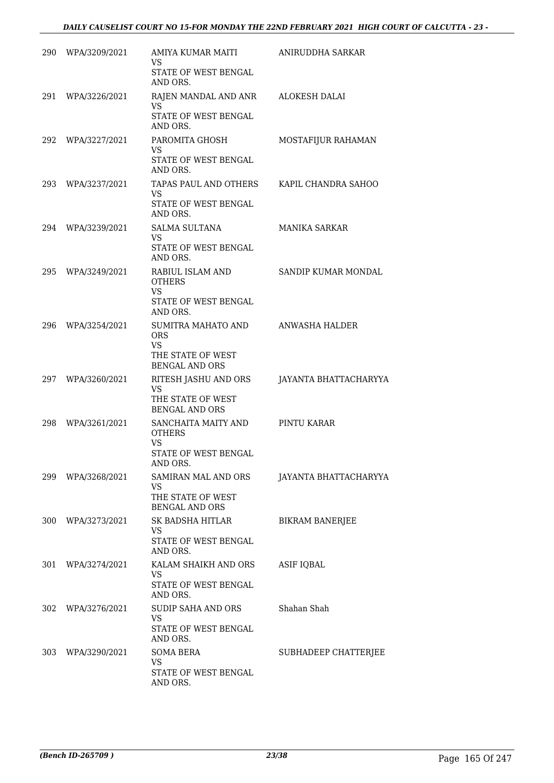|     | 290 WPA/3209/2021 | AMIYA KUMAR MAITI<br>VS.                                           | ANIRUDDHA SARKAR       |
|-----|-------------------|--------------------------------------------------------------------|------------------------|
|     |                   | STATE OF WEST BENGAL<br>AND ORS.                                   |                        |
|     | 291 WPA/3226/2021 | RAJEN MANDAL AND ANR<br>VS.                                        | ALOKESH DALAI          |
|     |                   | STATE OF WEST BENGAL<br>AND ORS.                                   |                        |
| 292 | WPA/3227/2021     | PAROMITA GHOSH<br>VS.                                              | MOSTAFIJUR RAHAMAN     |
|     |                   | STATE OF WEST BENGAL<br>AND ORS.                                   |                        |
|     | 293 WPA/3237/2021 | TAPAS PAUL AND OTHERS<br>VS.                                       | KAPIL CHANDRA SAHOO    |
|     |                   | STATE OF WEST BENGAL<br>AND ORS.                                   |                        |
|     | 294 WPA/3239/2021 | <b>SALMA SULTANA</b><br>VS.                                        | MANIKA SARKAR          |
|     |                   | STATE OF WEST BENGAL<br>AND ORS.                                   |                        |
| 295 | WPA/3249/2021     | RABIUL ISLAM AND<br><b>OTHERS</b><br><b>VS</b>                     | SANDIP KUMAR MONDAL    |
|     |                   | STATE OF WEST BENGAL<br>AND ORS.                                   |                        |
| 296 | WPA/3254/2021     | SUMITRA MAHATO AND<br><b>ORS</b><br><b>VS</b><br>THE STATE OF WEST | ANWASHA HALDER         |
|     |                   | <b>BENGAL AND ORS</b>                                              |                        |
| 297 | WPA/3260/2021     | RITESH JASHU AND ORS<br><b>VS</b>                                  | JAYANTA BHATTACHARYYA  |
|     |                   | THE STATE OF WEST<br><b>BENGAL AND ORS</b>                         |                        |
| 298 | WPA/3261/2021     | SANCHAITA MAITY AND<br><b>OTHERS</b><br>VS                         | PINTU KARAR            |
|     |                   | STATE OF WEST BENGAL<br>AND ORS.                                   |                        |
| 299 | WPA/3268/2021     | SAMIRAN MAL AND ORS<br><b>VS</b>                                   | JAYANTA BHATTACHARYYA  |
|     |                   | THE STATE OF WEST<br><b>BENGAL AND ORS</b>                         |                        |
| 300 | WPA/3273/2021     | SK BADSHA HITLAR<br>VS.                                            | <b>BIKRAM BANERJEE</b> |
|     |                   | STATE OF WEST BENGAL<br>AND ORS.                                   |                        |
| 301 | WPA/3274/2021     | KALAM SHAIKH AND ORS<br><b>VS</b>                                  | ASIF IQBAL             |
|     |                   | STATE OF WEST BENGAL<br>AND ORS.                                   |                        |
| 302 | WPA/3276/2021     | <b>SUDIP SAHA AND ORS</b><br>VS                                    | Shahan Shah            |
|     |                   | STATE OF WEST BENGAL<br>AND ORS.                                   |                        |
| 303 | WPA/3290/2021     | <b>SOMA BERA</b><br><b>VS</b>                                      | SUBHADEEP CHATTERJEE   |
|     |                   | STATE OF WEST BENGAL<br>AND ORS.                                   |                        |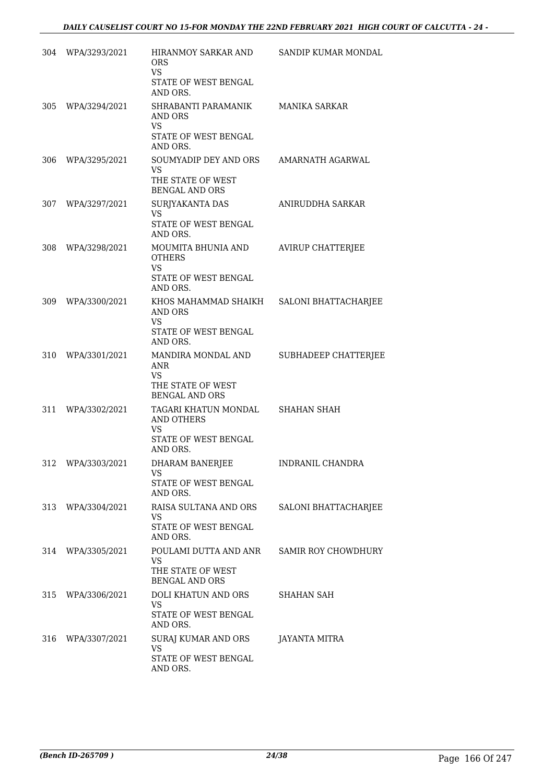|     | 304 WPA/3293/2021 | HIRANMOY SARKAR AND<br><b>ORS</b><br><b>VS</b><br>STATE OF WEST BENGAL                            | SANDIP KUMAR MONDAL        |
|-----|-------------------|---------------------------------------------------------------------------------------------------|----------------------------|
|     |                   | AND ORS.                                                                                          |                            |
|     | 305 WPA/3294/2021 | SHRABANTI PARAMANIK<br>AND ORS<br><b>VS</b><br>STATE OF WEST BENGAL<br>AND ORS.                   | MANIKA SARKAR              |
| 306 | WPA/3295/2021     | SOUMYADIP DEY AND ORS AMARNATH AGARWAL<br><b>VS</b><br>THE STATE OF WEST<br><b>BENGAL AND ORS</b> |                            |
| 307 | WPA/3297/2021     | SURJYAKANTA DAS<br>VS.<br>STATE OF WEST BENGAL<br>AND ORS.                                        | ANIRUDDHA SARKAR           |
| 308 | WPA/3298/2021     | MOUMITA BHUNIA AND<br><b>OTHERS</b><br><b>VS</b><br>STATE OF WEST BENGAL                          | <b>AVIRUP CHATTERJEE</b>   |
|     |                   | AND ORS.                                                                                          |                            |
| 309 | WPA/3300/2021     | KHOS MAHAMMAD SHAIKH SALONI BHATTACHARJEE<br><b>AND ORS</b><br><b>VS</b>                          |                            |
|     |                   | STATE OF WEST BENGAL<br>AND ORS.                                                                  |                            |
|     | 310 WPA/3301/2021 | MANDIRA MONDAL AND<br><b>ANR</b><br>VS<br>THE STATE OF WEST<br><b>BENGAL AND ORS</b>              | SUBHADEEP CHATTERJEE       |
|     | 311 WPA/3302/2021 | TAGARI KHATUN MONDAL<br><b>AND OTHERS</b><br><b>VS</b><br>STATE OF WEST BENGAL<br>AND ORS.        | <b>SHAHAN SHAH</b>         |
|     | 312 WPA/3303/2021 | DHARAM BANERJEE<br>VS.<br>STATE OF WEST BENGAL<br>AND ORS.                                        | <b>INDRANIL CHANDRA</b>    |
|     | 313 WPA/3304/2021 | RAISA SULTANA AND ORS<br>VS.<br>STATE OF WEST BENGAL<br>AND ORS.                                  | SALONI BHATTACHARJEE       |
|     | 314 WPA/3305/2021 | POULAMI DUTTA AND ANR<br>VS<br>THE STATE OF WEST<br><b>BENGAL AND ORS</b>                         | <b>SAMIR ROY CHOWDHURY</b> |
|     | 315 WPA/3306/2021 | DOLI KHATUN AND ORS<br>VS.<br>STATE OF WEST BENGAL<br>AND ORS.                                    | SHAHAN SAH                 |
|     | 316 WPA/3307/2021 | SURAJ KUMAR AND ORS<br><b>VS</b><br>STATE OF WEST BENGAL<br>AND ORS.                              | JAYANTA MITRA              |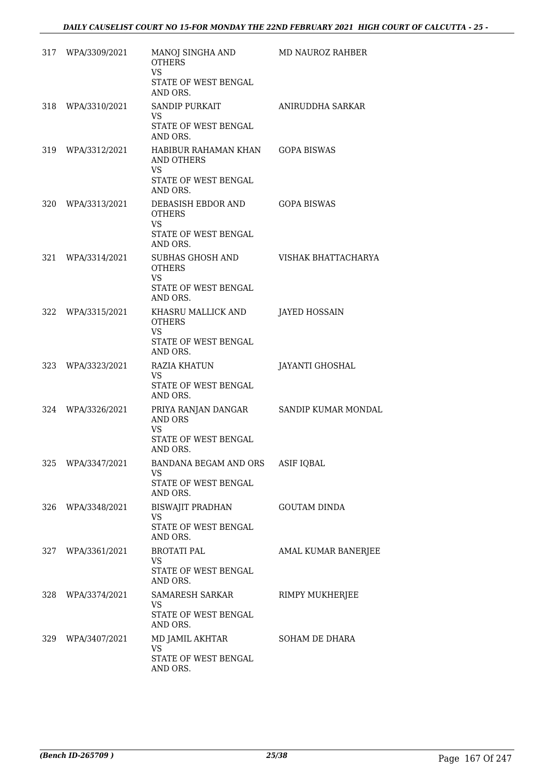| 317 WPA/3309/2021 | MANOJ SINGHA AND<br><b>OTHERS</b><br><b>VS</b><br>STATE OF WEST BENGAL<br>AND ORS.              | MD NAUROZ RAHBER     |
|-------------------|-------------------------------------------------------------------------------------------------|----------------------|
| 318 WPA/3310/2021 | <b>SANDIP PURKAIT</b><br>VS.<br>STATE OF WEST BENGAL<br>AND ORS.                                | ANIRUDDHA SARKAR     |
| 319 WPA/3312/2021 | HABIBUR RAHAMAN KHAN GOPA BISWAS<br>AND OTHERS<br><b>VS</b><br>STATE OF WEST BENGAL<br>AND ORS. |                      |
| 320 WPA/3313/2021 | DEBASISH EBDOR AND<br><b>OTHERS</b><br>VS.<br>STATE OF WEST BENGAL<br>AND ORS.                  | <b>GOPA BISWAS</b>   |
| 321 WPA/3314/2021 | SUBHAS GHOSH AND<br><b>OTHERS</b><br><b>VS</b><br>STATE OF WEST BENGAL                          | VISHAK BHATTACHARYA  |
| 322 WPA/3315/2021 | AND ORS.<br>KHASRU MALLICK AND                                                                  | <b>JAYED HOSSAIN</b> |
|                   | <b>OTHERS</b><br>VS.<br>STATE OF WEST BENGAL<br>AND ORS.                                        |                      |
| 323 WPA/3323/2021 | RAZIA KHATUN<br>VS.<br>STATE OF WEST BENGAL<br>AND ORS.                                         | JAYANTI GHOSHAL      |
| 324 WPA/3326/2021 | PRIYA RANJAN DANGAR<br><b>AND ORS</b><br><b>VS</b><br>STATE OF WEST BENGAL<br>AND ORS.          | SANDIP KUMAR MONDAL  |
| 325 WPA/3347/2021 | BANDANA BEGAM AND ORS<br>VS.<br>STATE OF WEST BENGAL<br>AND ORS.                                | <b>ASIF IQBAL</b>    |
| 326 WPA/3348/2021 | BISWAJIT PRADHAN<br>VS.<br>STATE OF WEST BENGAL<br>AND ORS.                                     | <b>GOUTAM DINDA</b>  |
| 327 WPA/3361/2021 | <b>BROTATI PAL</b><br>VS.<br>STATE OF WEST BENGAL<br>AND ORS.                                   | AMAL KUMAR BANERJEE  |
| 328 WPA/3374/2021 | SAMARESH SARKAR<br>VS.<br>STATE OF WEST BENGAL<br>AND ORS.                                      | RIMPY MUKHERJEE      |
| 329 WPA/3407/2021 | MD JAMIL AKHTAR<br>VS.<br>STATE OF WEST BENGAL<br>AND ORS.                                      | SOHAM DE DHARA       |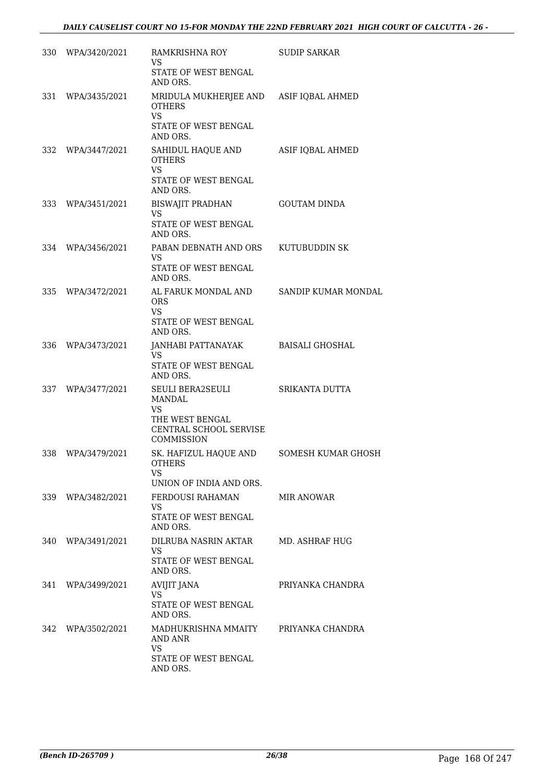|     | 330 WPA/3420/2021 | RAMKRISHNA ROY<br>VS<br>STATE OF WEST BENGAL<br>AND ORS.                                                 | <b>SUDIP SARKAR</b>   |
|-----|-------------------|----------------------------------------------------------------------------------------------------------|-----------------------|
| 331 | WPA/3435/2021     | MRIDULA MUKHERJEE AND ASIF IQBAL AHMED<br><b>OTHERS</b><br><b>VS</b><br>STATE OF WEST BENGAL<br>AND ORS. |                       |
| 332 | WPA/3447/2021     | SAHIDUL HAQUE AND<br><b>OTHERS</b><br><b>VS</b><br>STATE OF WEST BENGAL                                  | ASIF IQBAL AHMED      |
| 333 | WPA/3451/2021     | AND ORS.<br>BISWAJIT PRADHAN<br><b>VS</b><br>STATE OF WEST BENGAL<br>AND ORS.                            | <b>GOUTAM DINDA</b>   |
| 334 | WPA/3456/2021     | PABAN DEBNATH AND ORS<br>VS.<br>STATE OF WEST BENGAL<br>AND ORS.                                         | KUTUBUDDIN SK         |
| 335 | WPA/3472/2021     | AL FARUK MONDAL AND<br><b>ORS</b><br><b>VS</b><br>STATE OF WEST BENGAL<br>AND ORS.                       | SANDIP KUMAR MONDAL   |
| 336 | WPA/3473/2021     | JANHABI PATTANAYAK<br>VS.<br>STATE OF WEST BENGAL<br>AND ORS.                                            | BAISALI GHOSHAL       |
| 337 | WPA/3477/2021     | SEULI BERA2SEULI<br>MANDAL<br><b>VS</b><br>THE WEST BENGAL<br>CENTRAL SCHOOL SERVISE<br>COMMISSION       | SRIKANTA DUTTA        |
| 338 | WPA/3479/2021     | SK. HAFIZUL HAQUE AND<br><b>OTHERS</b><br>VS<br>UNION OF INDIA AND ORS.                                  | SOMESH KUMAR GHOSH    |
|     | 339 WPA/3482/2021 | FERDOUSI RAHAMAN<br>VS<br><b>STATE OF WEST BENGAL</b><br>AND ORS.                                        | MIR ANOWAR            |
| 340 | WPA/3491/2021     | DILRUBA NASRIN AKTAR<br><b>VS</b><br>STATE OF WEST BENGAL<br>AND ORS.                                    | <b>MD. ASHRAF HUG</b> |
| 341 | WPA/3499/2021     | <b>AVIJIT JANA</b><br>VS.<br>STATE OF WEST BENGAL<br>AND ORS.                                            | PRIYANKA CHANDRA      |
|     | 342 WPA/3502/2021 | MADHUKRISHNA MMAITY<br>AND ANR<br>VS.<br>STATE OF WEST BENGAL<br>AND ORS.                                | PRIYANKA CHANDRA      |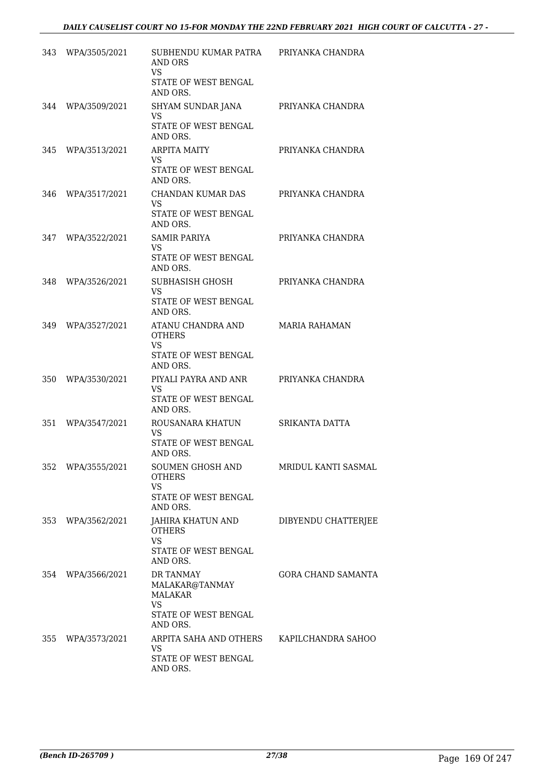| 343 | WPA/3505/2021     | SUBHENDU KUMAR PATRA<br><b>AND ORS</b><br>VS<br>STATE OF WEST BENGAL<br>AND ORS.        | PRIYANKA CHANDRA          |
|-----|-------------------|-----------------------------------------------------------------------------------------|---------------------------|
| 344 | WPA/3509/2021     | SHYAM SUNDAR JANA<br>VS<br>STATE OF WEST BENGAL<br>AND ORS.                             | PRIYANKA CHANDRA          |
| 345 | WPA/3513/2021     | <b>ARPITA MAITY</b><br>VS.<br><b>STATE OF WEST BENGAL</b><br>AND ORS.                   | PRIYANKA CHANDRA          |
| 346 | WPA/3517/2021     | CHANDAN KUMAR DAS<br>VS.<br>STATE OF WEST BENGAL<br>AND ORS.                            | PRIYANKA CHANDRA          |
| 347 | WPA/3522/2021     | <b>SAMIR PARIYA</b><br>VS.<br>STATE OF WEST BENGAL<br>AND ORS.                          | PRIYANKA CHANDRA          |
| 348 | WPA/3526/2021     | SUBHASISH GHOSH<br>VS.<br>STATE OF WEST BENGAL<br>AND ORS.                              | PRIYANKA CHANDRA          |
| 349 | WPA/3527/2021     | ATANU CHANDRA AND<br><b>OTHERS</b><br><b>VS</b><br>STATE OF WEST BENGAL<br>AND ORS.     | MARIA RAHAMAN             |
| 350 | WPA/3530/2021     | PIYALI PAYRA AND ANR<br>VS.<br>STATE OF WEST BENGAL<br>AND ORS.                         | PRIYANKA CHANDRA          |
| 351 | WPA/3547/2021     | ROUSANARA KHATUN<br>VS.<br>STATE OF WEST BENGAL<br>AND ORS.                             | <b>SRIKANTA DATTA</b>     |
| 352 | WPA/3555/2021     | SOUMEN GHOSH AND<br><b>OTHERS</b><br>VS<br>STATE OF WEST BENGAL<br>AND ORS.             | MRIDUL KANTI SASMAL       |
| 353 | WPA/3562/2021     | JAHIRA KHATUN AND<br><b>OTHERS</b><br><b>VS</b><br>STATE OF WEST BENGAL                 | DIBYENDU CHATTERJEE       |
| 354 | WPA/3566/2021     | AND ORS.<br>DR TANMAY<br>MALAKAR@TANMAY<br>MALAKAR<br><b>VS</b><br>STATE OF WEST BENGAL | <b>GORA CHAND SAMANTA</b> |
|     | 355 WPA/3573/2021 | AND ORS.<br>ARPITA SAHA AND OTHERS<br>VS.<br>STATE OF WEST BENGAL<br>AND ORS.           | KAPILCHANDRA SAHOO        |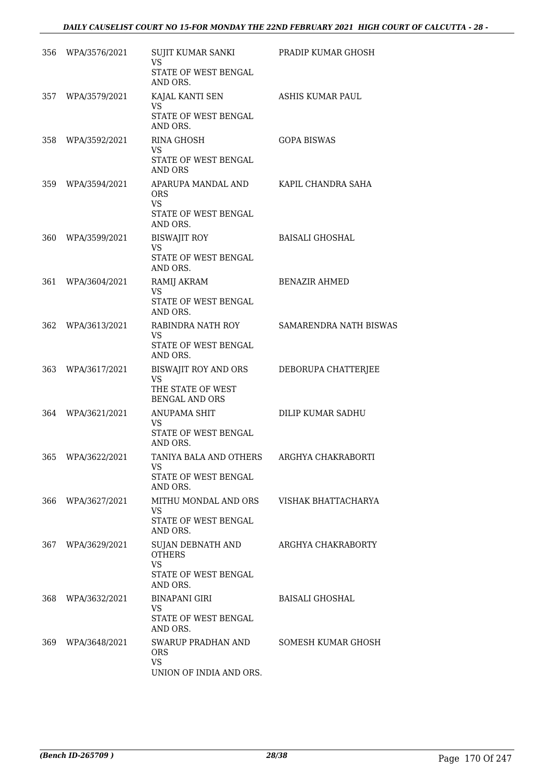| 356 | WPA/3576/2021 | SUJIT KUMAR SANKI<br><b>VS</b><br>STATE OF WEST BENGAL                              | PRADIP KUMAR GHOSH     |
|-----|---------------|-------------------------------------------------------------------------------------|------------------------|
| 357 | WPA/3579/2021 | AND ORS.<br>KAJAL KANTI SEN<br>VS<br>STATE OF WEST BENGAL<br>AND ORS.               | ASHIS KUMAR PAUL       |
| 358 | WPA/3592/2021 | <b>RINA GHOSH</b><br>VS.<br>STATE OF WEST BENGAL<br><b>AND ORS</b>                  | <b>GOPA BISWAS</b>     |
| 359 | WPA/3594/2021 | APARUPA MANDAL AND<br>ORS<br>VS<br>STATE OF WEST BENGAL<br>AND ORS.                 | KAPIL CHANDRA SAHA     |
| 360 | WPA/3599/2021 | <b>BISWAJIT ROY</b><br><b>VS</b><br>STATE OF WEST BENGAL<br>AND ORS.                | <b>BAISALI GHOSHAL</b> |
| 361 | WPA/3604/2021 | RAMIJ AKRAM<br><b>VS</b><br><b>STATE OF WEST BENGAL</b><br>AND ORS.                 | <b>BENAZIR AHMED</b>   |
| 362 | WPA/3613/2021 | RABINDRA NATH ROY<br>VS.<br>STATE OF WEST BENGAL<br>AND ORS.                        | SAMARENDRA NATH BISWAS |
| 363 | WPA/3617/2021 | BISWAJIT ROY AND ORS<br><b>VS</b><br>THE STATE OF WEST<br><b>BENGAL AND ORS</b>     | DEBORUPA CHATTERJEE    |
| 364 | WPA/3621/2021 | <b>ANUPAMA SHIT</b><br>VS.<br>STATE OF WEST BENGAL<br>AND ORS.                      | DILIP KUMAR SADHU      |
| 365 | WPA/3622/2021 | TANIYA BALA AND OTHERS<br><b>VS</b><br>STATE OF WEST BENGAL<br>AND ORS.             | ARGHYA CHAKRABORTI     |
| 366 | WPA/3627/2021 | MITHU MONDAL AND ORS<br>VS<br>STATE OF WEST BENGAL<br>AND ORS.                      | VISHAK BHATTACHARYA    |
| 367 | WPA/3629/2021 | SUJAN DEBNATH AND<br><b>OTHERS</b><br><b>VS</b><br>STATE OF WEST BENGAL<br>AND ORS. | ARGHYA CHAKRABORTY     |
| 368 | WPA/3632/2021 | <b>BINAPANI GIRI</b><br>VS<br>STATE OF WEST BENGAL<br>AND ORS.                      | <b>BAISALI GHOSHAL</b> |
| 369 | WPA/3648/2021 | SWARUP PRADHAN AND<br><b>ORS</b><br><b>VS</b><br>UNION OF INDIA AND ORS.            | SOMESH KUMAR GHOSH     |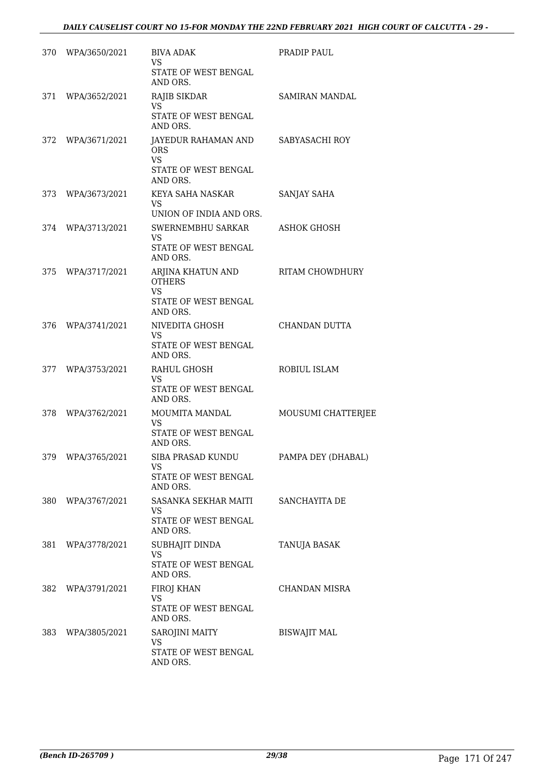|       | 370 WPA/3650/2021 | <b>BIVA ADAK</b><br><b>VS</b><br>STATE OF WEST BENGAL           | PRADIP PAUL         |
|-------|-------------------|-----------------------------------------------------------------|---------------------|
|       |                   | AND ORS.                                                        |                     |
|       | 371 WPA/3652/2021 | RAJIB SIKDAR<br><b>VS</b>                                       | SAMIRAN MANDAL      |
|       |                   | STATE OF WEST BENGAL<br>AND ORS.                                |                     |
|       | 372 WPA/3671/2021 | JAYEDUR RAHAMAN AND SABYASACHI ROY<br><b>ORS</b><br><b>VS</b>   |                     |
|       |                   | STATE OF WEST BENGAL<br>AND ORS.                                |                     |
| 373   | WPA/3673/2021     | KEYA SAHA NASKAR<br>VS.<br>UNION OF INDIA AND ORS.              | <b>SANJAY SAHA</b>  |
|       | 374 WPA/3713/2021 | SWERNEMBHU SARKAR                                               | <b>ASHOK GHOSH</b>  |
|       |                   | <b>VS</b><br>STATE OF WEST BENGAL<br>AND ORS.                   |                     |
|       | 375 WPA/3717/2021 | ARJINA KHATUN AND<br><b>OTHERS</b>                              | RITAM CHOWDHURY     |
|       |                   | <b>VS</b><br>STATE OF WEST BENGAL<br>AND ORS.                   |                     |
| 376   | WPA/3741/2021     | NIVEDITA GHOSH<br><b>VS</b><br>STATE OF WEST BENGAL             | CHANDAN DUTTA       |
| 377   | WPA/3753/2021     | AND ORS.<br>RAHUL GHOSH                                         | ROBIUL ISLAM        |
|       |                   | VS.<br>STATE OF WEST BENGAL<br>AND ORS.                         |                     |
| 378   | WPA/3762/2021     | MOUMITA MANDAL<br><b>VS</b><br>STATE OF WEST BENGAL<br>AND ORS. | MOUSUMI CHATTERJEE  |
| 379   | WPA/3765/2021     | SIBA PRASAD KUNDU<br>VS<br>STATE OF WEST BENGAL<br>AND ORS.     | PAMPA DEY (DHABAL)  |
| 380 - | WPA/3767/2021     | SASANKA SEKHAR MAITI                                            | SANCHAYITA DE       |
|       |                   | VS<br><b>STATE OF WEST BENGAL</b><br>AND ORS.                   |                     |
| 381   | WPA/3778/2021     | SUBHAJIT DINDA<br><b>VS</b><br>STATE OF WEST BENGAL<br>AND ORS. | TANUJA BASAK        |
| 382   | WPA/3791/2021     | FIROJ KHAN<br>VS.<br>STATE OF WEST BENGAL<br>AND ORS.           | CHANDAN MISRA       |
| 383   | WPA/3805/2021     | SAROJINI MAITY<br>VS.<br>STATE OF WEST BENGAL<br>AND ORS.       | <b>BISWAJIT MAL</b> |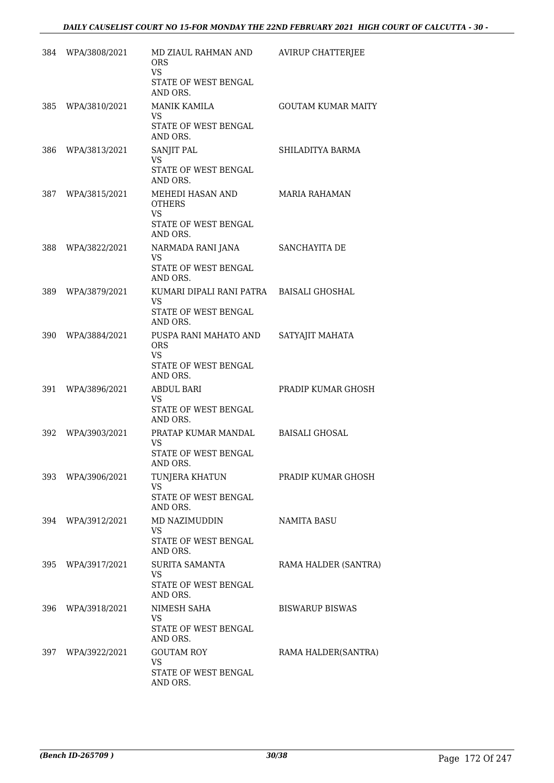|     | 384 WPA/3808/2021 | MD ZIAUL RAHMAN AND<br><b>ORS</b>              | <b>AVIRUP CHATTERJEE</b>  |
|-----|-------------------|------------------------------------------------|---------------------------|
|     |                   | <b>VS</b><br>STATE OF WEST BENGAL<br>AND ORS.  |                           |
| 385 | WPA/3810/2021     | <b>MANIK KAMILA</b><br>VS.                     | <b>GOUTAM KUMAR MAITY</b> |
|     |                   | STATE OF WEST BENGAL<br>AND ORS.               |                           |
| 386 | WPA/3813/2021     | SANJIT PAL<br>VS                               | SHILADITYA BARMA          |
|     |                   | STATE OF WEST BENGAL<br>AND ORS.               |                           |
|     | 387 WPA/3815/2021 | MEHEDI HASAN AND<br><b>OTHERS</b><br><b>VS</b> | <b>MARIA RAHAMAN</b>      |
|     |                   | STATE OF WEST BENGAL<br>AND ORS.               |                           |
| 388 | WPA/3822/2021     | NARMADA RANI JANA<br>VS                        | SANCHAYITA DE             |
|     |                   | STATE OF WEST BENGAL<br>AND ORS.               |                           |
| 389 | WPA/3879/2021     | KUMARI DIPALI RANI PATRA<br><b>VS</b>          | <b>BAISALI GHOSHAL</b>    |
|     |                   | STATE OF WEST BENGAL<br>AND ORS.               |                           |
| 390 | WPA/3884/2021     | PUSPA RANI MAHATO AND<br><b>ORS</b>            | SATYAJIT MAHATA           |
|     |                   | VS.<br>STATE OF WEST BENGAL<br>AND ORS.        |                           |
| 391 | WPA/3896/2021     | ABDUL BARI<br>VS.                              | PRADIP KUMAR GHOSH        |
|     |                   | STATE OF WEST BENGAL<br>AND ORS.               |                           |
| 392 | WPA/3903/2021     | PRATAP KUMAR MANDAL<br>VS                      | <b>BAISALI GHOSAL</b>     |
|     |                   | STATE OF WEST BENGAL<br>AND ORS.               |                           |
| 393 | WPA/3906/2021     | TUNJERA KHATUN<br>VS                           | PRADIP KUMAR GHOSH        |
|     |                   | STATE OF WEST BENGAL<br>AND ORS.               |                           |
| 394 | WPA/3912/2021     | MD NAZIMUDDIN<br>VS                            | <b>NAMITA BASU</b>        |
|     |                   | STATE OF WEST BENGAL<br>AND ORS.               |                           |
| 395 | WPA/3917/2021     | SURITA SAMANTA<br>VS                           | RAMA HALDER (SANTRA)      |
|     |                   | STATE OF WEST BENGAL<br>AND ORS.               |                           |
| 396 | WPA/3918/2021     | NIMESH SAHA<br>VS                              | <b>BISWARUP BISWAS</b>    |
|     |                   | STATE OF WEST BENGAL<br>AND ORS.               |                           |
| 397 | WPA/3922/2021     | <b>GOUTAM ROY</b><br>VS.                       | RAMA HALDER(SANTRA)       |
|     |                   | STATE OF WEST BENGAL<br>AND ORS.               |                           |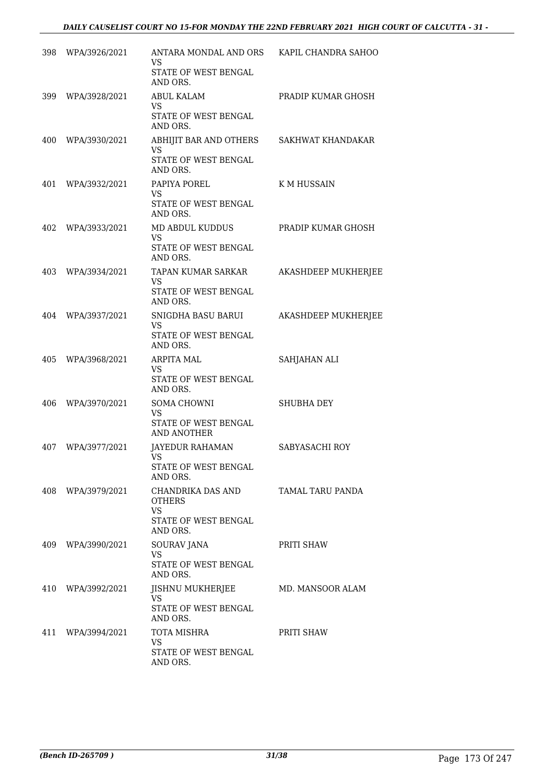| 398 | WPA/3926/2021     | ANTARA MONDAL AND ORS KAPIL CHANDRA SAHOO<br>VS.<br>STATE OF WEST BENGAL<br>AND ORS. |                            |
|-----|-------------------|--------------------------------------------------------------------------------------|----------------------------|
|     | 399 WPA/3928/2021 | <b>ABUL KALAM</b><br>VS.<br>STATE OF WEST BENGAL                                     | PRADIP KUMAR GHOSH         |
|     | 400 WPA/3930/2021 | AND ORS.<br>ABHIJIT BAR AND OTHERS<br>VS<br>STATE OF WEST BENGAL<br>AND ORS.         | SAKHWAT KHANDAKAR          |
| 401 | WPA/3932/2021     | PAPIYA POREL<br>VS.<br>STATE OF WEST BENGAL<br>AND ORS.                              | K M HUSSAIN                |
| 402 | WPA/3933/2021     | MD ABDUL KUDDUS<br><b>VS</b><br>STATE OF WEST BENGAL<br>AND ORS.                     | PRADIP KUMAR GHOSH         |
| 403 | WPA/3934/2021     | TAPAN KUMAR SARKAR<br>VS.<br>STATE OF WEST BENGAL<br>AND ORS.                        | <b>AKASHDEEP MUKHERJEE</b> |
| 404 | WPA/3937/2021     | SNIGDHA BASU BARUI<br>VS.<br>STATE OF WEST BENGAL<br>AND ORS.                        | AKASHDEEP MUKHERJEE        |
| 405 | WPA/3968/2021     | <b>ARPITA MAL</b><br>VS.<br>STATE OF WEST BENGAL<br>AND ORS.                         | SAHJAHAN ALI               |
| 406 | WPA/3970/2021     | SOMA CHOWNI<br><b>VS</b><br>STATE OF WEST BENGAL<br>AND ANOTHER                      | <b>SHUBHA DEY</b>          |
| 407 | WPA/3977/2021     | JAYEDUR RAHAMAN<br>VS<br>STATE OF WEST BENGAL<br>AND ORS.                            | SABYASACHI ROY             |
|     | 408 WPA/3979/2021 | CHANDRIKA DAS AND<br><b>OTHERS</b><br>VS.<br>STATE OF WEST BENGAL                    | TAMAL TARU PANDA           |
|     | 409 WPA/3990/2021 | AND ORS.<br><b>SOURAV JANA</b><br><b>VS</b><br>STATE OF WEST BENGAL<br>AND ORS.      | PRITI SHAW                 |
| 410 | WPA/3992/2021     | JISHNU MUKHERJEE<br>VS.<br>STATE OF WEST BENGAL<br>AND ORS.                          | MD. MANSOOR ALAM           |
| 411 | WPA/3994/2021     | TOTA MISHRA<br>VS.<br>STATE OF WEST BENGAL<br>AND ORS.                               | PRITI SHAW                 |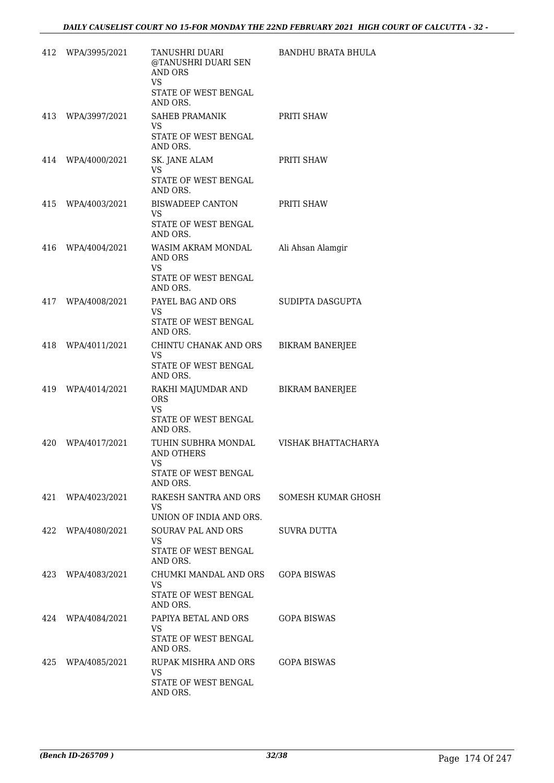| 412 | WPA/3995/2021     | TANUSHRI DUARI<br>@TANUSHRI DUARI SEN<br><b>AND ORS</b><br>VS.                            | BANDHU BRATA BHULA        |
|-----|-------------------|-------------------------------------------------------------------------------------------|---------------------------|
|     |                   | STATE OF WEST BENGAL<br>AND ORS.                                                          |                           |
|     | 413 WPA/3997/2021 | SAHEB PRAMANIK<br>VS.                                                                     | PRITI SHAW                |
|     |                   | STATE OF WEST BENGAL<br>AND ORS.                                                          |                           |
|     | 414 WPA/4000/2021 | SK. JANE ALAM<br>VS.<br>STATE OF WEST BENGAL<br>AND ORS.                                  | PRITI SHAW                |
|     | 415 WPA/4003/2021 | BISWADEEP CANTON<br>VS<br>STATE OF WEST BENGAL<br>AND ORS.                                | PRITI SHAW                |
| 416 | WPA/4004/2021     | WASIM AKRAM MONDAL<br>AND ORS<br><b>VS</b><br>STATE OF WEST BENGAL<br>AND ORS.            | Ali Ahsan Alamgir         |
|     | 417 WPA/4008/2021 | PAYEL BAG AND ORS<br>VS.<br>STATE OF WEST BENGAL<br>AND ORS.                              | SUDIPTA DASGUPTA          |
|     | 418 WPA/4011/2021 | CHINTU CHANAK AND ORS<br>VS.<br>STATE OF WEST BENGAL<br>AND ORS.                          | <b>BIKRAM BANERJEE</b>    |
|     | 419 WPA/4014/2021 | RAKHI MAJUMDAR AND<br><b>ORS</b><br>VS<br>STATE OF WEST BENGAL<br>AND ORS.                | <b>BIKRAM BANERJEE</b>    |
| 420 | WPA/4017/2021     | TUHIN SUBHRA MONDAL<br><b>AND OTHERS</b><br><b>VS</b><br>STATE OF WEST BENGAL<br>AND ORS. | VISHAK BHATTACHARYA       |
|     | 421 WPA/4023/2021 | RAKESH SANTRA AND ORS<br>VS.<br>UNION OF INDIA AND ORS.                                   | <b>SOMESH KUMAR GHOSH</b> |
|     | 422 WPA/4080/2021 | <b>SOURAV PAL AND ORS</b><br>VS.<br>STATE OF WEST BENGAL<br>AND ORS.                      | SUVRA DUTTA               |
|     | 423 WPA/4083/2021 | CHUMKI MANDAL AND ORS GOPA BISWAS<br>VS.<br>STATE OF WEST BENGAL<br>AND ORS.              |                           |
|     | 424 WPA/4084/2021 | PAPIYA BETAL AND ORS<br>VS.<br>STATE OF WEST BENGAL<br>AND ORS.                           | GOPA BISWAS               |
|     | 425 WPA/4085/2021 | RUPAK MISHRA AND ORS<br>VS.<br>STATE OF WEST BENGAL<br>AND ORS.                           | GOPA BISWAS               |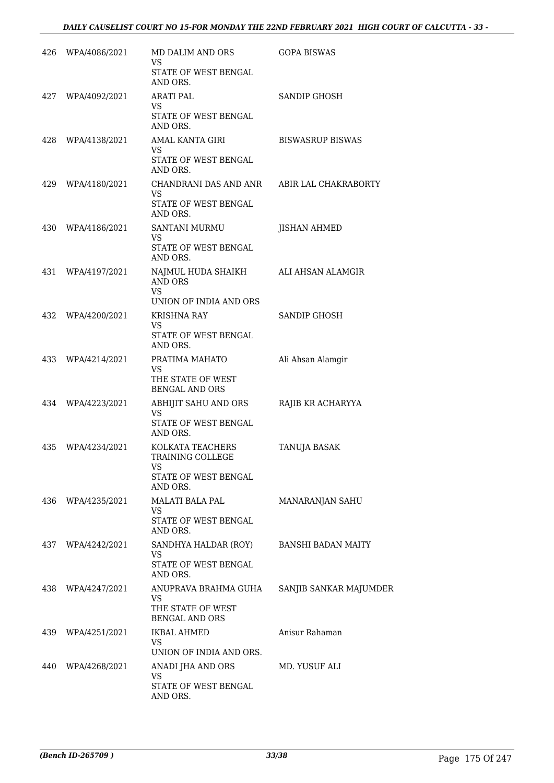| 426 | WPA/4086/2021 | <b>MD DALIM AND ORS</b><br>VS.                                                        | <b>GOPA BISWAS</b>        |
|-----|---------------|---------------------------------------------------------------------------------------|---------------------------|
|     |               | STATE OF WEST BENGAL<br>AND ORS.                                                      |                           |
| 427 | WPA/4092/2021 | <b>ARATI PAL</b><br>VS<br>STATE OF WEST BENGAL<br>AND ORS.                            | SANDIP GHOSH              |
| 428 | WPA/4138/2021 | AMAL KANTA GIRI<br>VS.<br>STATE OF WEST BENGAL<br>AND ORS.                            | <b>BISWASRUP BISWAS</b>   |
| 429 | WPA/4180/2021 | CHANDRANI DAS AND ANR<br><b>VS</b><br>STATE OF WEST BENGAL<br>AND ORS.                | ABIR LAL CHAKRABORTY      |
| 430 | WPA/4186/2021 | SANTANI MURMU<br>VS.<br>STATE OF WEST BENGAL<br>AND ORS.                              | <b>JISHAN AHMED</b>       |
| 431 | WPA/4197/2021 | NAJMUL HUDA SHAIKH<br><b>AND ORS</b><br><b>VS</b><br>UNION OF INDIA AND ORS           | ALI AHSAN ALAMGIR         |
| 432 | WPA/4200/2021 | <b>KRISHNA RAY</b><br>VS.<br>STATE OF WEST BENGAL<br>AND ORS.                         | SANDIP GHOSH              |
| 433 | WPA/4214/2021 | PRATIMA MAHATO<br>VS<br>THE STATE OF WEST<br><b>BENGAL AND ORS</b>                    | Ali Ahsan Alamgir         |
| 434 | WPA/4223/2021 | ABHIJIT SAHU AND ORS<br>VS<br>STATE OF WEST BENGAL<br>AND ORS.                        | RAJIB KR ACHARYYA         |
| 435 | WPA/4234/2021 | KOLKATA TEACHERS<br>TRAINING COLLEGE<br><b>VS</b><br>STATE OF WEST BENGAL<br>AND ORS. | TANUJA BASAK              |
| 436 | WPA/4235/2021 | <b>MALATI BALA PAL</b><br>VS.<br>STATE OF WEST BENGAL<br>AND ORS.                     | MANARANJAN SAHU           |
| 437 | WPA/4242/2021 | SANDHYA HALDAR (ROY)<br><b>VS</b><br>STATE OF WEST BENGAL<br>AND ORS.                 | <b>BANSHI BADAN MAITY</b> |
| 438 | WPA/4247/2021 | ANUPRAVA BRAHMA GUHA<br>VS<br>THE STATE OF WEST<br><b>BENGAL AND ORS</b>              | SANJIB SANKAR MAJUMDER    |
| 439 | WPA/4251/2021 | <b>IKBAL AHMED</b><br>VS<br>UNION OF INDIA AND ORS.                                   | Anisur Rahaman            |
| 440 | WPA/4268/2021 | ANADI JHA AND ORS<br><b>VS</b><br>STATE OF WEST BENGAL<br>AND ORS.                    | MD. YUSUF ALI             |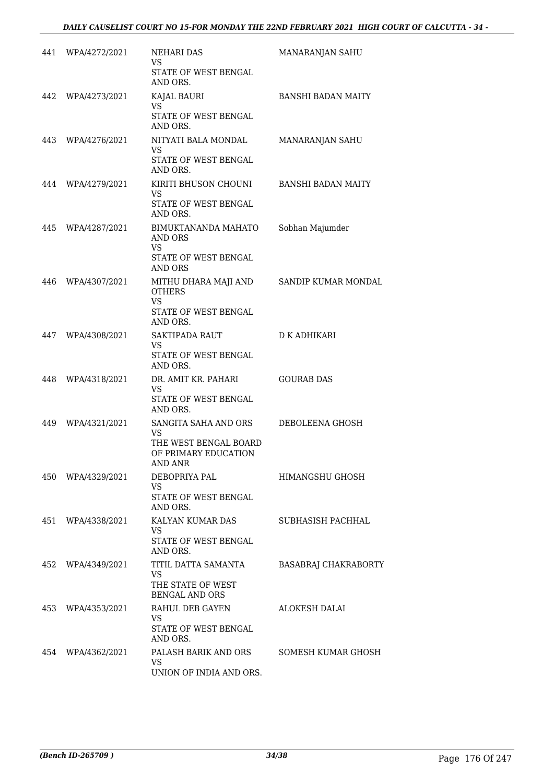|     | 441 WPA/4272/2021 | <b>NEHARI DAS</b><br><b>VS</b><br>STATE OF WEST BENGAL<br>AND ORS.                            | MANARANJAN SAHU             |
|-----|-------------------|-----------------------------------------------------------------------------------------------|-----------------------------|
| 442 | WPA/4273/2021     | KAJAL BAURI<br>VS.<br>STATE OF WEST BENGAL<br>AND ORS.                                        | <b>BANSHI BADAN MAITY</b>   |
|     | 443 WPA/4276/2021 | NITYATI BALA MONDAL<br><b>VS</b><br>STATE OF WEST BENGAL<br>AND ORS.                          | MANARANJAN SAHU             |
|     | 444 WPA/4279/2021 | KIRITI BHUSON CHOUNI<br>VS.<br>STATE OF WEST BENGAL<br>AND ORS.                               | BANSHI BADAN MAITY          |
| 445 | WPA/4287/2021     | BIMUKTANANDA MAHATO<br>AND ORS<br>VS.<br>STATE OF WEST BENGAL<br>AND ORS                      | Sobhan Majumder             |
| 446 | WPA/4307/2021     | MITHU DHARA MAJI AND<br><b>OTHERS</b><br>VS.<br>STATE OF WEST BENGAL<br>AND ORS.              | SANDIP KUMAR MONDAL         |
| 447 | WPA/4308/2021     | SAKTIPADA RAUT<br><b>VS</b><br>STATE OF WEST BENGAL<br>AND ORS.                               | <b>D K ADHIKARI</b>         |
| 448 | WPA/4318/2021     | DR. AMIT KR. PAHARI<br><b>VS</b><br>STATE OF WEST BENGAL<br>AND ORS.                          | <b>GOURAB DAS</b>           |
| 449 | WPA/4321/2021     | SANGITA SAHA AND ORS<br><b>VS</b><br>THE WEST BENGAL BOARD<br>OF PRIMARY EDUCATION<br>AND ANR | DEBOLEENA GHOSH             |
|     | 450 WPA/4329/2021 | DEBOPRIYA PAL<br><b>VS</b><br>STATE OF WEST BENGAL<br>AND ORS.                                | HIMANGSHU GHOSH             |
|     | 451 WPA/4338/2021 | KALYAN KUMAR DAS<br>VS<br>STATE OF WEST BENGAL<br>AND ORS.                                    | SUBHASISH PACHHAL           |
|     | 452 WPA/4349/2021 | TITIL DATTA SAMANTA<br>VS.<br>THE STATE OF WEST<br><b>BENGAL AND ORS</b>                      | <b>BASABRAJ CHAKRABORTY</b> |
|     | 453 WPA/4353/2021 | RAHUL DEB GAYEN<br>VS.<br>STATE OF WEST BENGAL<br>AND ORS.                                    | ALOKESH DALAI               |
|     | 454 WPA/4362/2021 | PALASH BARIK AND ORS<br>VS.<br>UNION OF INDIA AND ORS.                                        | SOMESH KUMAR GHOSH          |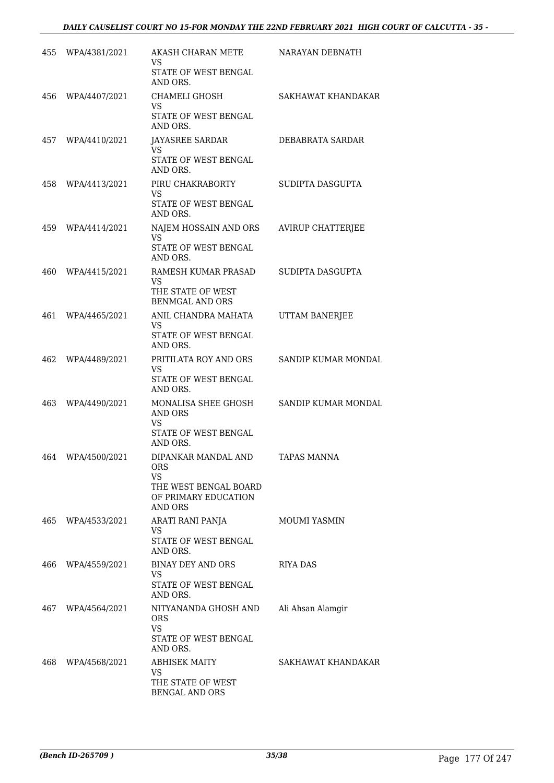| 455 | WPA/4381/2021     | AKASH CHARAN METE<br>VS<br>STATE OF WEST BENGAL                                                                               | NARAYAN DEBNATH     |
|-----|-------------------|-------------------------------------------------------------------------------------------------------------------------------|---------------------|
| 456 | WPA/4407/2021     | AND ORS.<br>CHAMELI GHOSH<br>VS<br>STATE OF WEST BENGAL<br>AND ORS.                                                           | SAKHAWAT KHANDAKAR  |
|     | 457 WPA/4410/2021 | <b>JAYASREE SARDAR</b><br>VS<br>STATE OF WEST BENGAL<br>AND ORS.                                                              | DEBABRATA SARDAR    |
| 458 | WPA/4413/2021     | PIRU CHAKRABORTY<br>VS.<br>STATE OF WEST BENGAL<br>AND ORS.                                                                   | SUDIPTA DASGUPTA    |
| 459 | WPA/4414/2021     | NAJEM HOSSAIN AND ORS<br><b>VS</b><br>STATE OF WEST BENGAL<br>AND ORS.                                                        | AVIRUP CHATTERJEE   |
| 460 | WPA/4415/2021     | RAMESH KUMAR PRASAD<br><b>VS</b><br>THE STATE OF WEST<br><b>BENMGAL AND ORS</b>                                               | SUDIPTA DASGUPTA    |
| 461 | WPA/4465/2021     | ANIL CHANDRA MAHATA<br><b>VS</b><br>STATE OF WEST BENGAL<br>AND ORS.                                                          | UTTAM BANERJEE      |
| 462 | WPA/4489/2021     | PRITILATA ROY AND ORS<br>VS<br>STATE OF WEST BENGAL<br>AND ORS.                                                               | SANDIP KUMAR MONDAL |
| 463 | WPA/4490/2021     | MONALISA SHEE GHOSH<br><b>AND ORS</b><br>VS.<br>STATE OF WEST BENGAL                                                          | SANDIP KUMAR MONDAL |
| 464 | WPA/4500/2021     | AND ORS.<br>DIPANKAR MANDAL AND<br><b>ORS</b><br><b>VS</b><br>THE WEST BENGAL BOARD<br>OF PRIMARY EDUCATION<br><b>AND ORS</b> | <b>TAPAS MANNA</b>  |
| 465 | WPA/4533/2021     | ARATI RANI PANJA<br>VS.<br>STATE OF WEST BENGAL<br>AND ORS.                                                                   | <b>MOUMI YASMIN</b> |
| 466 | WPA/4559/2021     | BINAY DEY AND ORS<br>VS<br>STATE OF WEST BENGAL<br>AND ORS.                                                                   | RIYA DAS            |
| 467 | WPA/4564/2021     | NITYANANDA GHOSH AND<br><b>ORS</b><br>VS.<br>STATE OF WEST BENGAL<br>AND ORS.                                                 | Ali Ahsan Alamgir   |
|     | 468 WPA/4568/2021 | <b>ABHISEK MAITY</b><br>VS.<br>THE STATE OF WEST<br>BENGAL AND ORS                                                            | SAKHAWAT KHANDAKAR  |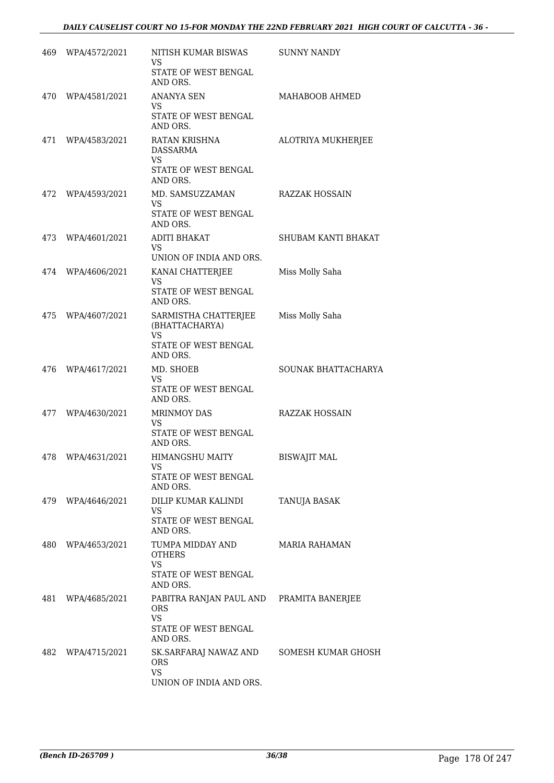|      | 469 WPA/4572/2021 | NITISH KUMAR BISWAS<br>VS                             | <b>SUNNY NANDY</b>    |
|------|-------------------|-------------------------------------------------------|-----------------------|
|      |                   | STATE OF WEST BENGAL<br>AND ORS.                      |                       |
|      | 470 WPA/4581/2021 | <b>ANANYA SEN</b><br>VS                               | MAHABOOB AHMED        |
|      |                   | STATE OF WEST BENGAL<br>AND ORS.                      |                       |
|      | 471 WPA/4583/2021 | RATAN KRISHNA<br>DASSARMA<br><b>VS</b>                | ALOTRIYA MUKHERJEE    |
|      |                   | <b>STATE OF WEST BENGAL</b><br>AND ORS.               |                       |
|      | 472 WPA/4593/2021 | MD. SAMSUZZAMAN<br>VS.                                | RAZZAK HOSSAIN        |
|      |                   | STATE OF WEST BENGAL<br>AND ORS.                      |                       |
|      | 473 WPA/4601/2021 | <b>ADITI BHAKAT</b><br>VS.<br>UNION OF INDIA AND ORS. | SHUBAM KANTI BHAKAT   |
|      | 474 WPA/4606/2021 | KANAI CHATTERJEE                                      | Miss Molly Saha       |
|      |                   | VS<br>STATE OF WEST BENGAL<br>AND ORS.                |                       |
| 475  | WPA/4607/2021     | SARMISTHA CHATTERJEE<br>(BHATTACHARYA)<br><b>VS</b>   | Miss Molly Saha       |
|      |                   | STATE OF WEST BENGAL<br>AND ORS.                      |                       |
| 476  | WPA/4617/2021     | MD. SHOEB<br>VS                                       | SOUNAK BHATTACHARYA   |
|      |                   | STATE OF WEST BENGAL<br>AND ORS.                      |                       |
| 477  | WPA/4630/2021     | <b>MRINMOY DAS</b><br><b>VS</b>                       | <b>RAZZAK HOSSAIN</b> |
|      |                   | STATE OF WEST BENGAL<br>AND ORS.                      |                       |
| 478  | WPA/4631/2021     | HIMANGSHU MAITY<br>VS                                 | <b>BISWAJIT MAL</b>   |
|      |                   | STATE OF WEST BENGAL<br>AND ORS.                      |                       |
|      | 479 WPA/4646/2021 | DILIP KUMAR KALINDI<br>VS.                            | TANUJA BASAK          |
|      |                   | STATE OF WEST BENGAL<br>AND ORS.                      |                       |
| 480  | WPA/4653/2021     | TUMPA MIDDAY AND<br><b>OTHERS</b><br>VS               | <b>MARIA RAHAMAN</b>  |
|      |                   | STATE OF WEST BENGAL<br>AND ORS.                      |                       |
| 481  | WPA/4685/2021     | PABITRA RANJAN PAUL AND<br><b>ORS</b><br><b>VS</b>    | PRAMITA BANERJEE      |
|      |                   | STATE OF WEST BENGAL<br>AND ORS.                      |                       |
| 482. | WPA/4715/2021     | SK.SARFARAJ NAWAZ AND<br><b>ORS</b><br><b>VS</b>      | SOMESH KUMAR GHOSH    |
|      |                   | UNION OF INDIA AND ORS.                               |                       |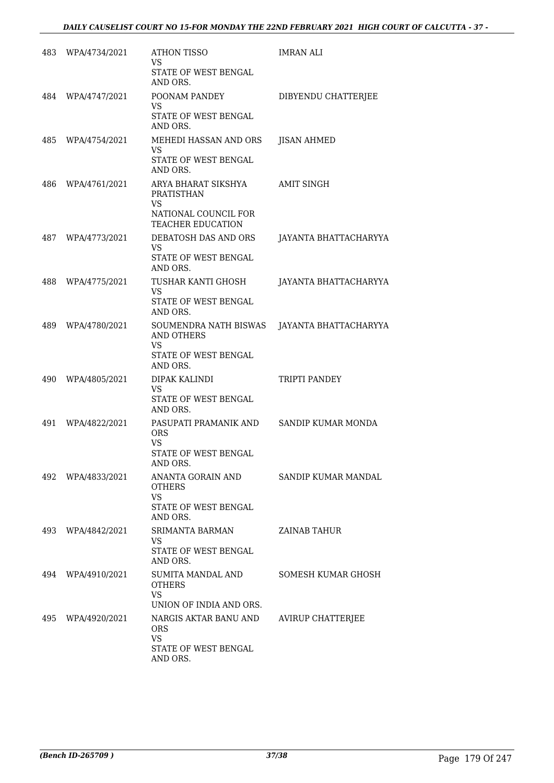|     | 483 WPA/4734/2021 | ATHON TISSO<br>VS.<br>STATE OF WEST BENGAL<br>AND ORS.                                                    | IMRAN ALI                |
|-----|-------------------|-----------------------------------------------------------------------------------------------------------|--------------------------|
|     | 484 WPA/4747/2021 | POONAM PANDEY<br>VS.<br>STATE OF WEST BENGAL<br>AND ORS.                                                  | DIBYENDU CHATTERJEE      |
|     | 485 WPA/4754/2021 | MEHEDI HASSAN AND ORS<br>VS<br>STATE OF WEST BENGAL<br>AND ORS.                                           | <b>JISAN AHMED</b>       |
| 486 | WPA/4761/2021     | ARYA BHARAT SIKSHYA<br><b>PRATISTHAN</b><br><b>VS</b><br>NATIONAL COUNCIL FOR<br><b>TEACHER EDUCATION</b> | AMIT SINGH               |
| 487 | WPA/4773/2021     | DEBATOSH DAS AND ORS<br>VS.<br><b>STATE OF WEST BENGAL</b><br>AND ORS.                                    | JAYANTA BHATTACHARYYA    |
| 488 | WPA/4775/2021     | TUSHAR KANTI GHOSH<br><b>VS</b><br>STATE OF WEST BENGAL<br>AND ORS.                                       | JAYANTA BHATTACHARYYA    |
| 489 | WPA/4780/2021     | SOUMENDRA NATH BISWAS<br><b>AND OTHERS</b><br>VS<br>STATE OF WEST BENGAL<br>AND ORS.                      | JAYANTA BHATTACHARYYA    |
| 490 | WPA/4805/2021     | DIPAK KALINDI<br><b>VS</b><br>STATE OF WEST BENGAL<br>AND ORS.                                            | TRIPTI PANDEY            |
| 491 | WPA/4822/2021     | PASUPATI PRAMANIK AND<br><b>ORS</b><br>VS<br>STATE OF WEST BENGAL<br>AND ORS.                             | SANDIP KUMAR MONDA       |
| 492 | WPA/4833/2021     | ANANTA GORAIN AND<br><b>OTHERS</b><br><b>VS</b><br>STATE OF WEST BENGAL<br>AND ORS.                       | SANDIP KUMAR MANDAL      |
| 493 | WPA/4842/2021     | SRIMANTA BARMAN<br>VS<br>STATE OF WEST BENGAL<br>AND ORS.                                                 | ZAINAR TAHUR             |
| 494 | WPA/4910/2021     | SUMITA MANDAL AND<br><b>OTHERS</b><br><b>VS</b><br>UNION OF INDIA AND ORS.                                | SOMESH KUMAR GHOSH       |
| 495 | WPA/4920/2021     | NARGIS AKTAR BANU AND<br><b>ORS</b><br><b>VS</b><br>STATE OF WEST BENGAL<br>AND ORS.                      | <b>AVIRUP CHATTERJEE</b> |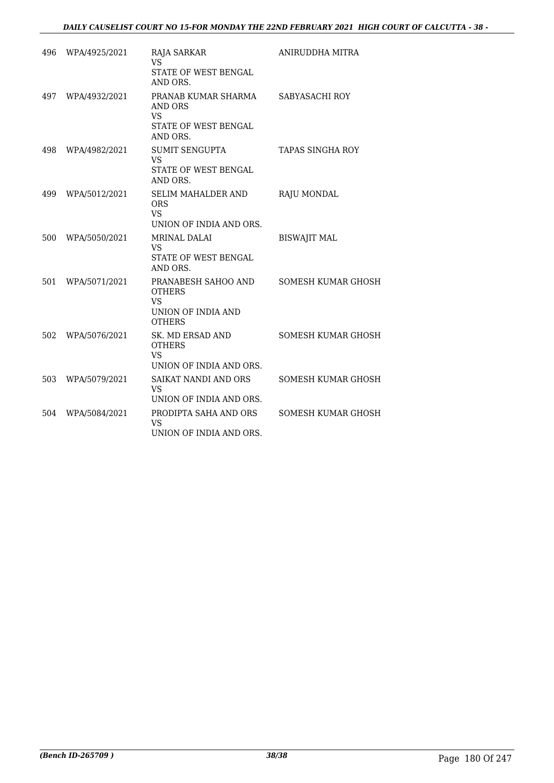| 496 | WPA/4925/2021 |                                                                                          | ANIRUDDHA MITRA           |
|-----|---------------|------------------------------------------------------------------------------------------|---------------------------|
|     |               | RAJA SARKAR<br><b>VS</b><br>STATE OF WEST BENGAL<br>AND ORS.                             |                           |
| 497 | WPA/4932/2021 | PRANAB KUMAR SHARMA<br><b>AND ORS</b><br><b>VS</b><br>STATE OF WEST BENGAL<br>AND ORS.   | SABYASACHI ROY            |
| 498 | WPA/4982/2021 | <b>SUMIT SENGUPTA</b><br><b>VS</b><br>STATE OF WEST BENGAL<br>AND ORS.                   | <b>TAPAS SINGHA ROY</b>   |
| 499 | WPA/5012/2021 | <b>SELIM MAHALDER AND</b><br><b>ORS</b><br><b>VS</b><br>UNION OF INDIA AND ORS.          | RAJU MONDAL               |
| 500 | WPA/5050/2021 | <b>MRINAL DALAI</b><br>VS.<br>STATE OF WEST BENGAL<br>AND ORS.                           | <b>BISWAJIT MAL</b>       |
| 501 | WPA/5071/2021 | PRANABESH SAHOO AND<br><b>OTHERS</b><br><b>VS</b><br>UNION OF INDIA AND<br><b>OTHERS</b> | SOMESH KUMAR GHOSH        |
| 502 | WPA/5076/2021 | SK. MD ERSAD AND<br><b>OTHERS</b><br><b>VS</b><br>UNION OF INDIA AND ORS.                | <b>SOMESH KUMAR GHOSH</b> |
| 503 | WPA/5079/2021 | SAIKAT NANDI AND ORS<br><b>VS</b><br>UNION OF INDIA AND ORS.                             | SOMESH KUMAR GHOSH        |
| 504 | WPA/5084/2021 | PRODIPTA SAHA AND ORS<br><b>VS</b><br>UNION OF INDIA AND ORS.                            | SOMESH KUMAR GHOSH        |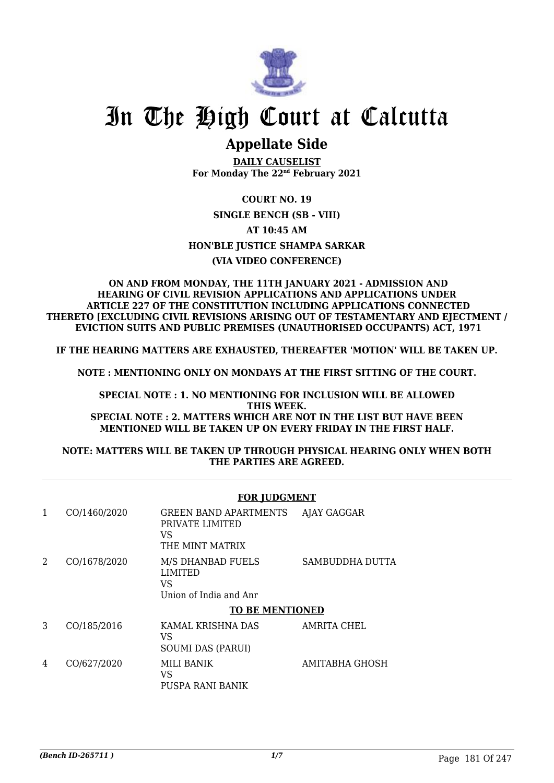

## **Appellate Side**

**DAILY CAUSELIST For Monday The 22nd February 2021**

### **COURT NO. 19 SINGLE BENCH (SB - VIII) AT 10:45 AM HON'BLE JUSTICE SHAMPA SARKAR (VIA VIDEO CONFERENCE)**

#### **ON AND FROM MONDAY, THE 11TH JANUARY 2021 - ADMISSION AND HEARING OF CIVIL REVISION APPLICATIONS AND APPLICATIONS UNDER ARTICLE 227 OF THE CONSTITUTION INCLUDING APPLICATIONS CONNECTED THERETO [EXCLUDING CIVIL REVISIONS ARISING OUT OF TESTAMENTARY AND EJECTMENT / EVICTION SUITS AND PUBLIC PREMISES (UNAUTHORISED OCCUPANTS) ACT, 1971**

**IF THE HEARING MATTERS ARE EXHAUSTED, THEREAFTER 'MOTION' WILL BE TAKEN UP.**

**NOTE : MENTIONING ONLY ON MONDAYS AT THE FIRST SITTING OF THE COURT.**

**SPECIAL NOTE : 1. NO MENTIONING FOR INCLUSION WILL BE ALLOWED THIS WEEK. SPECIAL NOTE : 2. MATTERS WHICH ARE NOT IN THE LIST BUT HAVE BEEN MENTIONED WILL BE TAKEN UP ON EVERY FRIDAY IN THE FIRST HALF.**

#### **NOTE: MATTERS WILL BE TAKEN UP THROUGH PHYSICAL HEARING ONLY WHEN BOTH THE PARTIES ARE AGREED.**

|   |              | <b>FOR JUDGMENT</b>                                                 |                 |  |
|---|--------------|---------------------------------------------------------------------|-----------------|--|
| 1 | CO/1460/2020 | GREEN BAND APARTMENTS<br>PRIVATE LIMITED<br>VS<br>THE MINT MATRIX   | AJAY GAGGAR     |  |
| 2 | CO/1678/2020 | M/S DHANBAD FUELS<br><b>LIMITED</b><br>VS<br>Union of India and Anr | SAMBUDDHA DUTTA |  |
|   |              | <b>TO BE MENTIONED</b>                                              |                 |  |
| 3 | CO/185/2016  | KAMAL KRISHNA DAS<br>VS.<br><b>SOUMI DAS (PARUI)</b>                | AMRITA CHEL     |  |
| 4 | CO/627/2020  | MILI BANIK<br>VS.<br>PUSPA RANI BANIK                               | AMITABHA GHOSH  |  |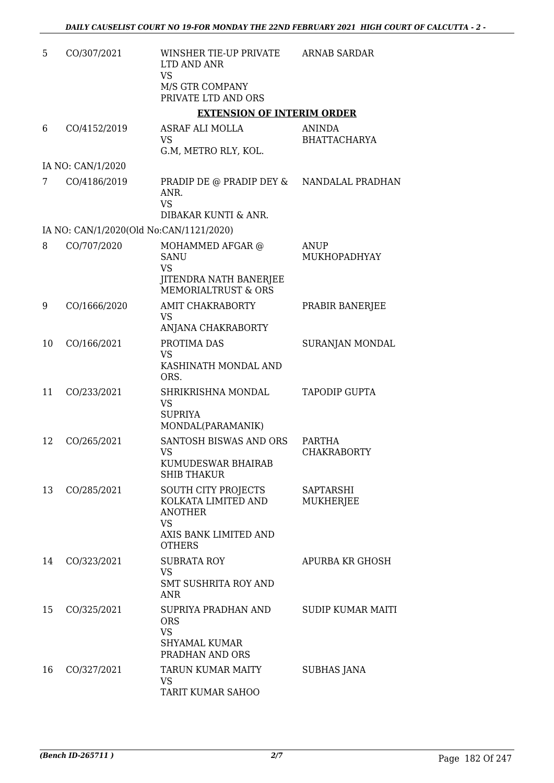| 5  | CO/307/2021       | WINSHER TIE-UP PRIVATE<br>LTD AND ANR                                                                        | <b>ARNAB SARDAR</b>                  |
|----|-------------------|--------------------------------------------------------------------------------------------------------------|--------------------------------------|
|    |                   | <b>VS</b><br>M/S GTR COMPANY<br>PRIVATE LTD AND ORS                                                          |                                      |
|    |                   | <b>EXTENSION OF INTERIM ORDER</b>                                                                            |                                      |
| 6  | CO/4152/2019      | ASRAF ALI MOLLA<br>VS<br>G.M, METRO RLY, KOL.                                                                | <b>ANINDA</b><br><b>BHATTACHARYA</b> |
|    | IA NO: CAN/1/2020 |                                                                                                              |                                      |
| 7  | CO/4186/2019      | PRADIP DE @ PRADIP DEY & NANDALAL PRADHAN<br>ANR.<br><b>VS</b><br>DIBAKAR KUNTI & ANR.                       |                                      |
|    |                   | IA NO: CAN/1/2020(Old No:CAN/1121/2020)                                                                      |                                      |
| 8  | CO/707/2020       | MOHAMMED AFGAR @<br><b>SANU</b><br>VS<br>JITENDRA NATH BANERJEE<br>MEMORIALTRUST & ORS                       | ANUP<br>MUKHOPADHYAY                 |
| 9  | CO/1666/2020      | AMIT CHAKRABORTY<br>VS<br>ANJANA CHAKRABORTY                                                                 | PRABIR BANERJEE                      |
| 10 | CO/166/2021       | PROTIMA DAS<br><b>VS</b><br>KASHINATH MONDAL AND<br>ORS.                                                     | SURANJAN MONDAL                      |
| 11 | CO/233/2021       | SHRIKRISHNA MONDAL<br>VS<br><b>SUPRIYA</b><br>MONDAL(PARAMANIK)                                              | <b>TAPODIP GUPTA</b>                 |
| 12 | CO/265/2021       | SANTOSH BISWAS AND ORS<br>VS<br>KUMUDESWAR BHAIRAB<br><b>SHIB THAKUR</b>                                     | PARTHA<br><b>CHAKRABORTY</b>         |
| 13 | CO/285/2021       | SOUTH CITY PROJECTS<br>KOLKATA LIMITED AND<br><b>ANOTHER</b><br>VS<br>AXIS BANK LIMITED AND<br><b>OTHERS</b> | SAPTARSHI<br><b>MUKHERJEE</b>        |
| 14 | CO/323/2021       | <b>SUBRATA ROY</b><br><b>VS</b><br><b>SMT SUSHRITA ROY AND</b><br><b>ANR</b>                                 | APURBA KR GHOSH                      |
| 15 | CO/325/2021       | SUPRIYA PRADHAN AND<br><b>ORS</b><br>VS<br>SHYAMAL KUMAR<br>PRADHAN AND ORS                                  | <b>SUDIP KUMAR MAITI</b>             |
| 16 | CO/327/2021       | TARUN KUMAR MAITY<br>VS<br>TARIT KUMAR SAHOO                                                                 | <b>SUBHAS JANA</b>                   |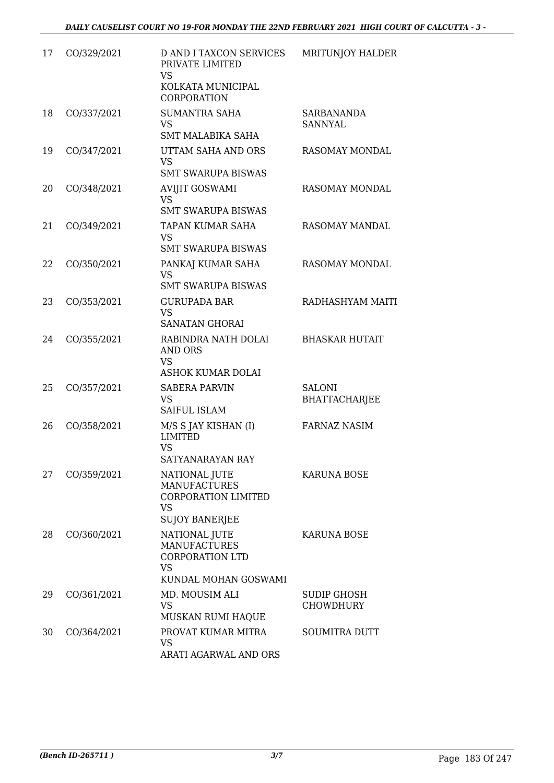| 17 | CO/329/2021 | <b>D AND I TAXCON SERVICES</b><br>PRIVATE LIMITED<br><b>VS</b><br>KOLKATA MUNICIPAL<br><b>CORPORATION</b> | MRITUNJOY HALDER                      |
|----|-------------|-----------------------------------------------------------------------------------------------------------|---------------------------------------|
| 18 | CO/337/2021 | <b>SUMANTRA SAHA</b><br><b>VS</b><br><b>SMT MALABIKA SAHA</b>                                             | <b>SARBANANDA</b><br><b>SANNYAL</b>   |
| 19 | CO/347/2021 | UTTAM SAHA AND ORS<br><b>VS</b><br><b>SMT SWARUPA BISWAS</b>                                              | RASOMAY MONDAL                        |
| 20 | CO/348/2021 | <b>AVIJIT GOSWAMI</b><br><b>VS</b><br><b>SMT SWARUPA BISWAS</b>                                           | RASOMAY MONDAL                        |
| 21 | CO/349/2021 | TAPAN KUMAR SAHA<br><b>VS</b><br><b>SMT SWARUPA BISWAS</b>                                                | RASOMAY MANDAL                        |
| 22 | CO/350/2021 | PANKAJ KUMAR SAHA<br><b>VS</b><br><b>SMT SWARUPA BISWAS</b>                                               | RASOMAY MONDAL                        |
| 23 | CO/353/2021 | <b>GURUPADA BAR</b><br><b>VS</b><br><b>SANATAN GHORAI</b>                                                 | RADHASHYAM MAITI                      |
| 24 | CO/355/2021 | RABINDRA NATH DOLAI<br><b>AND ORS</b><br><b>VS</b><br>ASHOK KUMAR DOLAI                                   | <b>BHASKAR HUTAIT</b>                 |
| 25 | CO/357/2021 | <b>SABERA PARVIN</b><br><b>VS</b><br><b>SAIFUL ISLAM</b>                                                  | <b>SALONI</b><br><b>BHATTACHARJEE</b> |
| 26 | CO/358/2021 | M/S S JAY KISHAN (I)<br><b>LIMITED</b><br><b>VS</b><br>SATYANARAYAN RAY                                   | <b>FARNAZ NASIM</b>                   |
| 27 | CO/359/2021 | NATIONAL JUTE<br><b>MANUFACTURES</b><br><b>CORPORATION LIMITED</b><br><b>VS</b><br><b>SUJOY BANERJEE</b>  | <b>KARUNA BOSE</b>                    |
| 28 | CO/360/2021 | NATIONAL JUTE<br><b>MANUFACTURES</b><br>CORPORATION LTD<br><b>VS</b><br>KUNDAL MOHAN GOSWAMI              | <b>KARUNA BOSE</b>                    |
| 29 | CO/361/2021 | MD. MOUSIM ALI<br><b>VS</b><br>MUSKAN RUMI HAQUE                                                          | SUDIP GHOSH<br><b>CHOWDHURY</b>       |
| 30 | CO/364/2021 | PROVAT KUMAR MITRA<br><b>VS</b><br>ARATI AGARWAL AND ORS                                                  | <b>SOUMITRA DUTT</b>                  |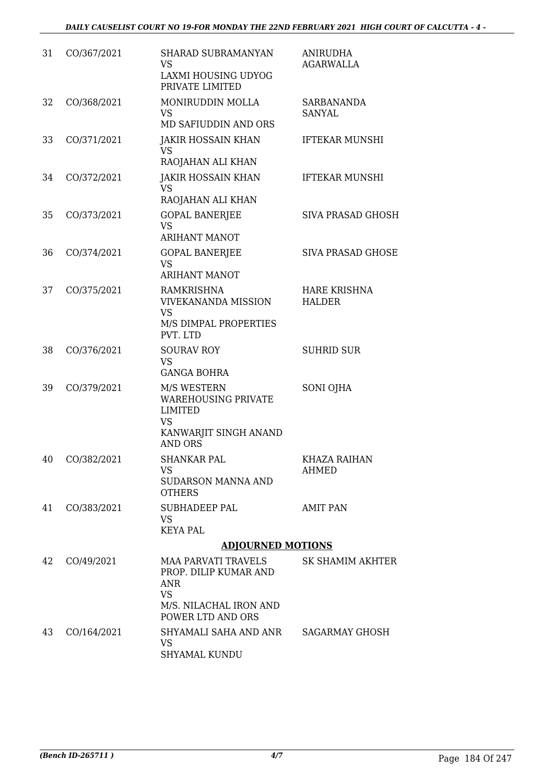| 31 | CO/367/2021    | SHARAD SUBRAMANYAN<br>VS<br>LAXMI HOUSING UDYOG<br>PRIVATE LIMITED                                                  | <b>ANIRUDHA</b><br><b>AGARWALLA</b>  |
|----|----------------|---------------------------------------------------------------------------------------------------------------------|--------------------------------------|
| 32 | CO/368/2021    | MONIRUDDIN MOLLA<br><b>VS</b><br>MD SAFIUDDIN AND ORS                                                               | <b>SARBANANDA</b><br><b>SANYAL</b>   |
| 33 | CO/371/2021    | JAKIR HOSSAIN KHAN<br><b>VS</b><br>RAOJAHAN ALI KHAN                                                                | <b>IFTEKAR MUNSHI</b>                |
| 34 | CO/372/2021    | <b>JAKIR HOSSAIN KHAN</b><br><b>VS</b><br>RAOJAHAN ALI KHAN                                                         | <b>IFTEKAR MUNSHI</b>                |
| 35 | CO/373/2021    | <b>GOPAL BANERJEE</b><br><b>VS</b><br><b>ARIHANT MANOT</b>                                                          | SIVA PRASAD GHOSH                    |
| 36 | CO/374/2021    | <b>GOPAL BANERJEE</b><br><b>VS</b><br><b>ARIHANT MANOT</b>                                                          | <b>SIVA PRASAD GHOSE</b>             |
| 37 | CO/375/2021    | <b>RAMKRISHNA</b><br><b>VIVEKANANDA MISSION</b><br><b>VS</b><br>M/S DIMPAL PROPERTIES<br>PVT. LTD                   | <b>HARE KRISHNA</b><br><b>HALDER</b> |
| 38 | CO/376/2021    | <b>SOURAV ROY</b><br>VS.<br><b>GANGA BOHRA</b>                                                                      | <b>SUHRID SUR</b>                    |
| 39 | CO/379/2021    | M/S WESTERN<br><b>WAREHOUSING PRIVATE</b><br><b>LIMITED</b><br><b>VS</b><br>KANWARJIT SINGH ANAND<br><b>AND ORS</b> | <b>SONI OJHA</b>                     |
|    | 40 CO/382/2021 | <b>SHANKAR PAL</b><br>VS.<br><b>SUDARSON MANNA AND</b><br><b>OTHERS</b>                                             | <b>KHAZA RAIHAN</b><br>AHMED         |
| 41 | CO/383/2021    | <b>SUBHADEEP PAL</b><br><b>VS</b><br><b>KEYA PAL</b>                                                                | <b>AMIT PAN</b>                      |
|    |                | <b>ADJOURNED MOTIONS</b>                                                                                            |                                      |
| 42 | CO/49/2021     | <b>MAA PARVATI TRAVELS</b><br>PROP. DILIP KUMAR AND<br>ANR<br><b>VS</b>                                             | <b>SK SHAMIM AKHTER</b>              |
|    |                | M/S. NILACHAL IRON AND<br>POWER LTD AND ORS                                                                         |                                      |
| 43 | CO/164/2021    | SHYAMALI SAHA AND ANR<br><b>VS</b><br>SHYAMAL KUNDU                                                                 | SAGARMAY GHOSH                       |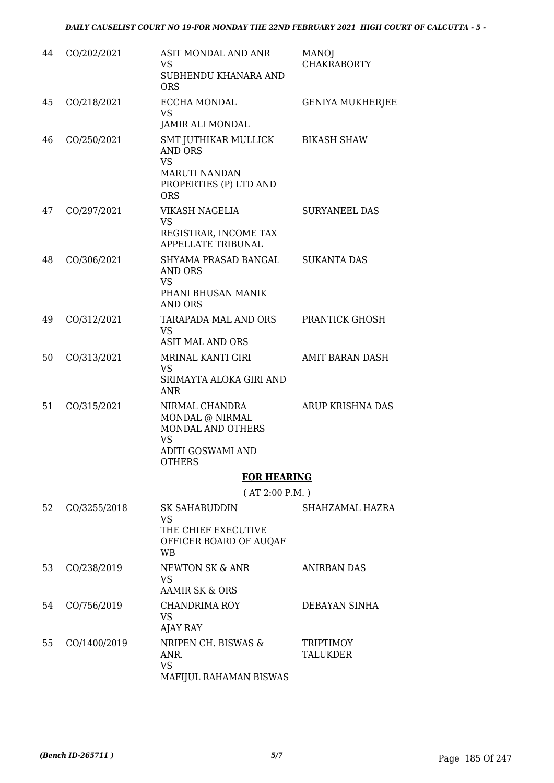| 44 | CO/202/2021  | ASIT MONDAL AND ANR<br>VS<br>SUBHENDU KHANARA AND<br><b>ORS</b>                                                     | <b>MANOJ</b><br><b>CHAKRABORTY</b>  |
|----|--------------|---------------------------------------------------------------------------------------------------------------------|-------------------------------------|
| 45 | CO/218/2021  | ECCHA MONDAL<br><b>VS</b><br>JAMIR ALI MONDAL                                                                       | <b>GENIYA MUKHERJEE</b>             |
| 46 | CO/250/2021  | SMT JUTHIKAR MULLICK<br><b>AND ORS</b><br><b>VS</b><br><b>MARUTI NANDAN</b><br>PROPERTIES (P) LTD AND<br><b>ORS</b> | <b>BIKASH SHAW</b>                  |
| 47 | CO/297/2021  | VIKASH NAGELIA<br><b>VS</b><br>REGISTRAR, INCOME TAX<br><b>APPELLATE TRIBUNAL</b>                                   | <b>SURYANEEL DAS</b>                |
| 48 | CO/306/2021  | SHYAMA PRASAD BANGAL<br><b>AND ORS</b><br><b>VS</b><br>PHANI BHUSAN MANIK<br><b>AND ORS</b>                         | <b>SUKANTA DAS</b>                  |
| 49 | CO/312/2021  | TARAPADA MAL AND ORS<br><b>VS</b><br><b>ASIT MAL AND ORS</b>                                                        | PRANTICK GHOSH                      |
| 50 | CO/313/2021  | MRINAL KANTI GIRI<br><b>VS</b><br>SRIMAYTA ALOKA GIRI AND<br><b>ANR</b>                                             | <b>AMIT BARAN DASH</b>              |
| 51 | CO/315/2021  | NIRMAL CHANDRA<br>MONDAL @ NIRMAL<br>MONDAL AND OTHERS<br><b>VS</b><br>ADITI GOSWAMI AND<br><b>OTHERS</b>           | <b>ARUP KRISHNA DAS</b>             |
|    |              | <b>FOR HEARING</b>                                                                                                  |                                     |
|    |              | (AT 2:00 P.M.)                                                                                                      |                                     |
| 52 | CO/3255/2018 | <b>SK SAHABUDDIN</b><br><b>VS</b><br>THE CHIEF EXECUTIVE<br>OFFICER BOARD OF AUQAF<br><b>WB</b>                     | SHAHZAMAL HAZRA                     |
| 53 | CO/238/2019  | NEWTON SK & ANR<br><b>VS</b><br><b>AAMIR SK &amp; ORS</b>                                                           | <b>ANIRBAN DAS</b>                  |
| 54 | CO/756/2019  | <b>CHANDRIMA ROY</b><br><b>VS</b><br>AJAY RAY                                                                       | DEBAYAN SINHA                       |
| 55 | CO/1400/2019 | NRIPEN CH. BISWAS &<br>ANR.<br><b>VS</b><br>MAFIJUL RAHAMAN BISWAS                                                  | <b>TRIPTIMOY</b><br><b>TALUKDER</b> |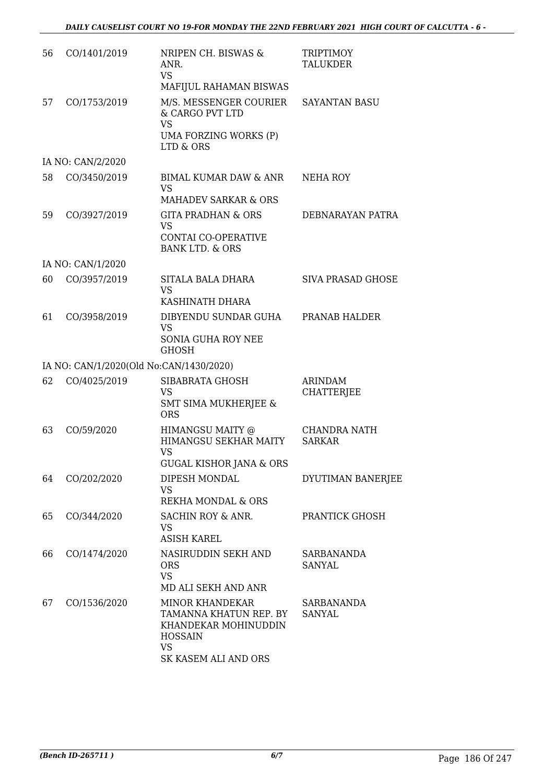| 56 | CO/1401/2019      | NRIPEN CH. BISWAS &<br>ANR.<br><b>VS</b><br>MAFIJUL RAHAMAN BISWAS                                                              | <b>TRIPTIMOY</b><br><b>TALUKDER</b> |
|----|-------------------|---------------------------------------------------------------------------------------------------------------------------------|-------------------------------------|
| 57 | CO/1753/2019      | M/S. MESSENGER COURIER<br>& CARGO PVT LTD<br><b>VS</b><br>UMA FORZING WORKS (P)<br>LTD & ORS                                    | <b>SAYANTAN BASU</b>                |
|    | IA NO: CAN/2/2020 |                                                                                                                                 |                                     |
| 58 | CO/3450/2019      | BIMAL KUMAR DAW & ANR<br><b>VS</b><br><b>MAHADEV SARKAR &amp; ORS</b>                                                           | <b>NEHA ROY</b>                     |
| 59 | CO/3927/2019      | <b>GITA PRADHAN &amp; ORS</b><br><b>VS</b><br><b>CONTAI CO-OPERATIVE</b><br><b>BANK LTD. &amp; ORS</b>                          | DEBNARAYAN PATRA                    |
|    | IA NO: CAN/1/2020 |                                                                                                                                 |                                     |
| 60 | CO/3957/2019      | SITALA BALA DHARA<br><b>VS</b><br>KASHINATH DHARA                                                                               | SIVA PRASAD GHOSE                   |
| 61 | CO/3958/2019      | DIBYENDU SUNDAR GUHA<br><b>VS</b><br><b>SONIA GUHA ROY NEE</b><br><b>GHOSH</b>                                                  | PRANAB HALDER                       |
|    |                   | IA NO: CAN/1/2020(Old No:CAN/1430/2020)                                                                                         |                                     |
| 62 | CO/4025/2019      | SIBABRATA GHOSH<br><b>VS</b><br><b>SMT SIMA MUKHERJEE &amp;</b><br><b>ORS</b>                                                   | <b>ARINDAM</b><br><b>CHATTERJEE</b> |
| 63 | CO/59/2020        | HIMANGSU MAITY @<br>HIMANGSU SEKHAR MAITY<br><b>VS</b><br><b>GUGAL KISHOR JANA &amp; ORS</b>                                    | CHANDRA NATH<br><b>SARKAR</b>       |
| 64 | CO/202/2020       | DIPESH MONDAL<br><b>VS</b><br>REKHA MONDAL & ORS                                                                                | DYUTIMAN BANERJEE                   |
| 65 | CO/344/2020       | SACHIN ROY & ANR.<br>VS.<br><b>ASISH KAREL</b>                                                                                  | PRANTICK GHOSH                      |
| 66 | CO/1474/2020      | NASIRUDDIN SEKH AND<br><b>ORS</b><br><b>VS</b><br>MD ALI SEKH AND ANR                                                           | SARBANANDA<br><b>SANYAL</b>         |
| 67 | CO/1536/2020      | <b>MINOR KHANDEKAR</b><br>TAMANNA KHATUN REP. BY<br>KHANDEKAR MOHINUDDIN<br><b>HOSSAIN</b><br><b>VS</b><br>SK KASEM ALI AND ORS | SARBANANDA<br><b>SANYAL</b>         |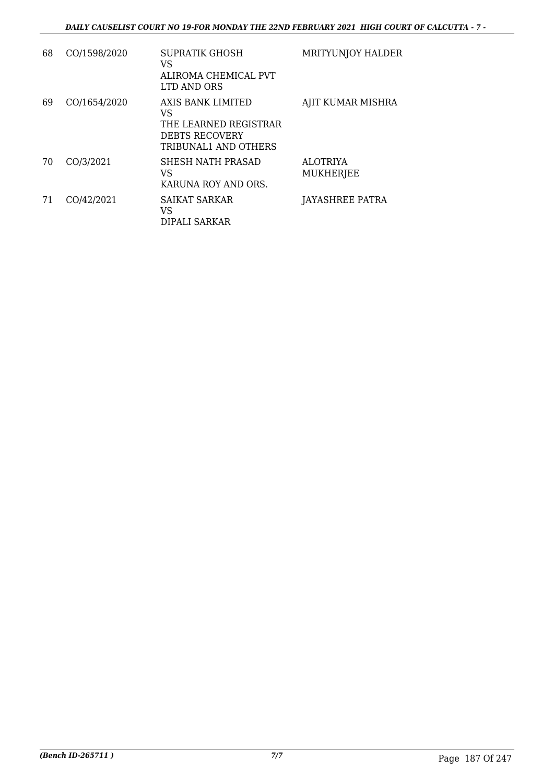| 68 | CO/1598/2020 | SUPRATIK GHOSH<br>VS<br>ALIROMA CHEMICAL PVT<br>LTD AND ORS                                       | <b>MRITYUNJOY HALDER</b>            |
|----|--------------|---------------------------------------------------------------------------------------------------|-------------------------------------|
| 69 | CO/1654/2020 | AXIS BANK LIMITED<br>VS<br>THE LEARNED REGISTRAR<br><b>DEBTS RECOVERY</b><br>TRIBUNAL1 AND OTHERS | AJIT KUMAR MISHRA                   |
| 70 | CO/3/2021    | SHESH NATH PRASAD<br>VS<br>KARUNA ROY AND ORS.                                                    | <b>ALOTRIYA</b><br><b>MUKHERJEE</b> |
| 71 | CO/42/2021   | <b>SAIKAT SARKAR</b><br>VS<br>DIPALI SARKAR                                                       | <b>JAYASHREE PATRA</b>              |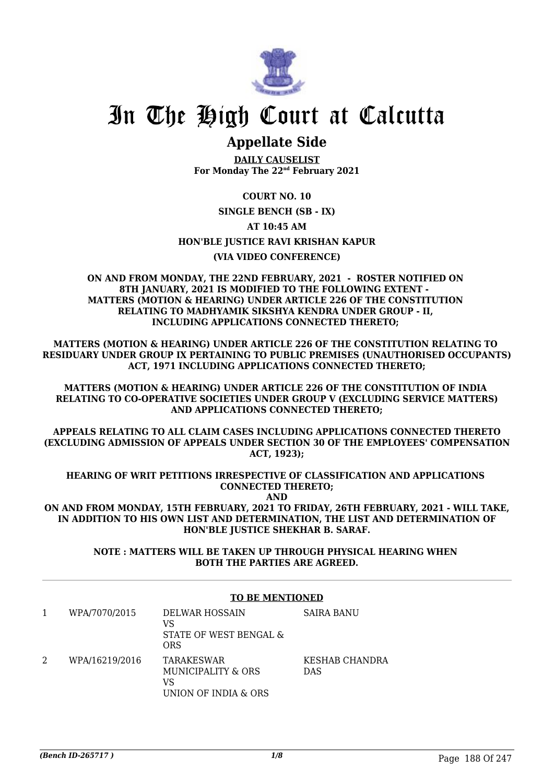

## **Appellate Side**

**DAILY CAUSELIST For Monday The 22nd February 2021**

#### **COURT NO. 10**

**SINGLE BENCH (SB - IX)**

#### **AT 10:45 AM**

#### **HON'BLE JUSTICE RAVI KRISHAN KAPUR**

#### **(VIA VIDEO CONFERENCE)**

#### **ON AND FROM MONDAY, THE 22ND FEBRUARY, 2021 - ROSTER NOTIFIED ON 8TH JANUARY, 2021 IS MODIFIED TO THE FOLLOWING EXTENT - MATTERS (MOTION & HEARING) UNDER ARTICLE 226 OF THE CONSTITUTION RELATING TO MADHYAMIK SIKSHYA KENDRA UNDER GROUP - II, INCLUDING APPLICATIONS CONNECTED THERETO;**

**MATTERS (MOTION & HEARING) UNDER ARTICLE 226 OF THE CONSTITUTION RELATING TO RESIDUARY UNDER GROUP IX PERTAINING TO PUBLIC PREMISES (UNAUTHORISED OCCUPANTS) ACT, 1971 INCLUDING APPLICATIONS CONNECTED THERETO;**

**MATTERS (MOTION & HEARING) UNDER ARTICLE 226 OF THE CONSTITUTION OF INDIA RELATING TO CO-OPERATIVE SOCIETIES UNDER GROUP V (EXCLUDING SERVICE MATTERS) AND APPLICATIONS CONNECTED THERETO;**

**APPEALS RELATING TO ALL CLAIM CASES INCLUDING APPLICATIONS CONNECTED THERETO (EXCLUDING ADMISSION OF APPEALS UNDER SECTION 30 OF THE EMPLOYEES' COMPENSATION ACT, 1923);**

**HEARING OF WRIT PETITIONS IRRESPECTIVE OF CLASSIFICATION AND APPLICATIONS CONNECTED THERETO;**

**AND ON AND FROM MONDAY, 15TH FEBRUARY, 2021 TO FRIDAY, 26TH FEBRUARY, 2021 - WILL TAKE, IN ADDITION TO HIS OWN LIST AND DETERMINATION, THE LIST AND DETERMINATION OF**

> **NOTE : MATTERS WILL BE TAKEN UP THROUGH PHYSICAL HEARING WHEN BOTH THE PARTIES ARE AGREED.**

**HON'BLE JUSTICE SHEKHAR B. SARAF.**

#### **TO BE MENTIONED**

| WPA/7070/2015  | <b>DELWAR HOSSAIN</b><br>VS<br>STATE OF WEST BENGAL &<br><b>ORS</b> | <b>SAIRA BANU</b>            |
|----------------|---------------------------------------------------------------------|------------------------------|
| WPA/16219/2016 | TARAKESWAR<br>MUNICIPALITY & ORS<br>VS<br>UNION OF INDIA & ORS      | KESHAB CHANDRA<br><b>DAS</b> |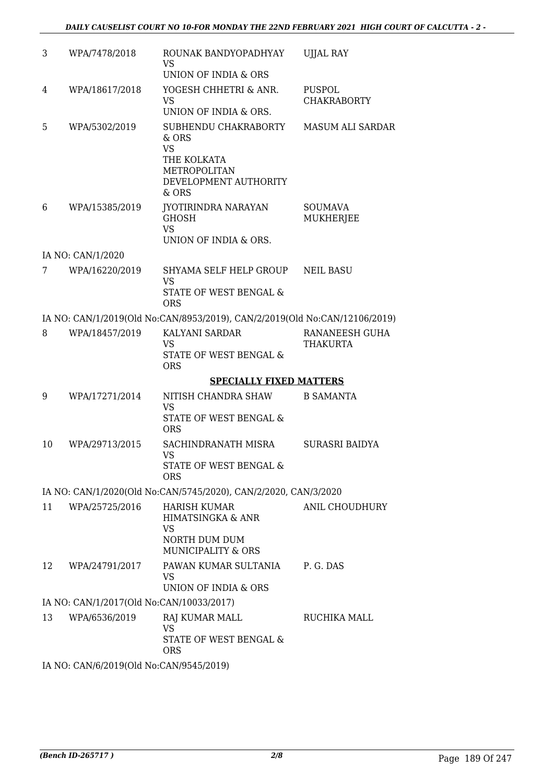| 3  | WPA/7478/2018                            | ROUNAK BANDYOPADHYAY<br>VS<br>UNION OF INDIA & ORS                                                          | <b>UJJAL RAY</b>             |
|----|------------------------------------------|-------------------------------------------------------------------------------------------------------------|------------------------------|
| 4  | WPA/18617/2018                           | YOGESH CHHETRI & ANR.<br><b>VS</b><br>UNION OF INDIA & ORS.                                                 | PUSPOL<br><b>CHAKRABORTY</b> |
| 5  | WPA/5302/2019                            | SUBHENDU CHAKRABORTY<br>& ORS<br><b>VS</b><br>THE KOLKATA<br>METROPOLITAN<br>DEVELOPMENT AUTHORITY<br>& ORS | MASUM ALI SARDAR             |
| 6  | WPA/15385/2019                           | JYOTIRINDRA NARAYAN<br><b>GHOSH</b><br><b>VS</b><br>UNION OF INDIA & ORS.                                   | <b>SOUMAVA</b><br>MUKHERJEE  |
|    | IA NO: CAN/1/2020                        |                                                                                                             |                              |
| 7  | WPA/16220/2019                           | SHYAMA SELF HELP GROUP<br><b>VS</b><br>STATE OF WEST BENGAL &<br><b>ORS</b>                                 | <b>NEIL BASU</b>             |
|    |                                          | IA NO: CAN/1/2019(Old No:CAN/8953/2019), CAN/2/2019(Old No:CAN/12106/2019)                                  |                              |
| 8  | WPA/18457/2019                           | KALYANI SARDAR<br><b>VS</b><br>STATE OF WEST BENGAL &<br><b>ORS</b>                                         | RANANEESH GUHA<br>THAKURTA   |
|    |                                          | <b>SPECIALLY FIXED MATTERS</b>                                                                              |                              |
| 9  | WPA/17271/2014                           | NITISH CHANDRA SHAW<br><b>VS</b><br>STATE OF WEST BENGAL &<br><b>ORS</b>                                    | <b>B SAMANTA</b>             |
| 10 | WPA/29713/2015                           | SACHINDRANATH MISRA<br>VS<br>STATE OF WEST BENGAL &<br><b>ORS</b>                                           | SURASRI BAIDYA               |
|    |                                          | IA NO: CAN/1/2020(Old No:CAN/5745/2020), CAN/2/2020, CAN/3/2020                                             |                              |
| 11 | WPA/25725/2016                           | <b>HARISH KUMAR</b><br><b>HIMATSINGKA &amp; ANR</b><br>VS<br>NORTH DUM DUM<br><b>MUNICIPALITY &amp; ORS</b> | ANIL CHOUDHURY               |
| 12 | WPA/24791/2017                           | PAWAN KUMAR SULTANIA<br>VS.<br>UNION OF INDIA & ORS                                                         | P. G. DAS                    |
|    | IA NO: CAN/1/2017(Old No:CAN/10033/2017) |                                                                                                             |                              |
| 13 | WPA/6536/2019                            | RAJ KUMAR MALL<br><b>VS</b><br>STATE OF WEST BENGAL &<br><b>ORS</b>                                         | RUCHIKA MALL                 |
|    | IA NO: CAN/6/2019(Old No:CAN/9545/2019)  |                                                                                                             |                              |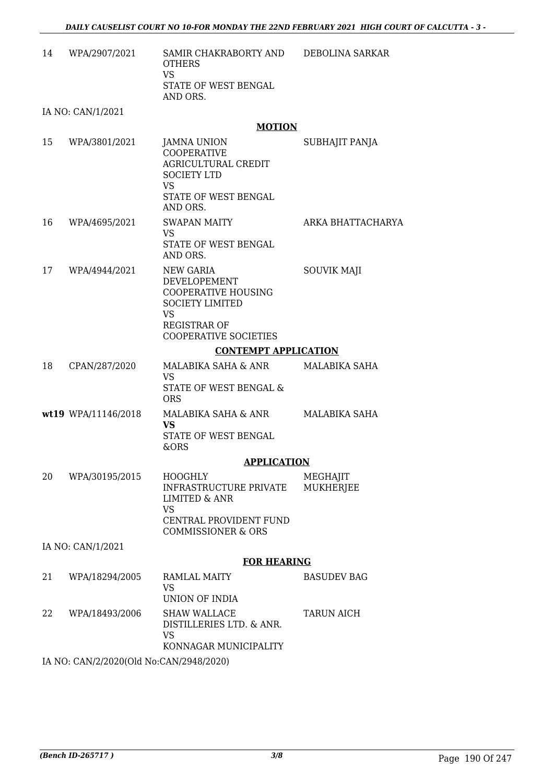14 WPA/2907/2021 SAMIR CHAKRABORTY AND OTHERS VS STATE OF WEST BENGAL AND ORS. DEBOLINA SARKAR

IA NO: CAN/1/2021

#### **MOTION**

| 15 | WPA/3801/2021       | <b>JAMNA UNION</b><br><b>COOPERATIVE</b><br>AGRICULTURAL CREDIT<br><b>SOCIETY LTD</b><br>VS.<br>STATE OF WEST BENGAL<br>AND ORS.                             | SUBHAJIT PANJA               |
|----|---------------------|--------------------------------------------------------------------------------------------------------------------------------------------------------------|------------------------------|
| 16 | WPA/4695/2021       | <b>SWAPAN MAITY</b><br><b>VS</b><br>STATE OF WEST BENGAL<br>AND ORS.                                                                                         | ARKA BHATTACHARYA            |
| 17 | WPA/4944/2021       | <b>NEW GARIA</b><br>DEVELOPEMENT<br><b>COOPERATIVE HOUSING</b><br><b>SOCIETY LIMITED</b><br><b>VS</b><br><b>REGISTRAR OF</b><br><b>COOPERATIVE SOCIETIES</b> | <b>SOUVIK MAJI</b>           |
|    |                     | <b>CONTEMPT APPLICATION</b>                                                                                                                                  |                              |
| 18 | CPAN/287/2020       | MALABIKA SAHA & ANR<br>VS<br>STATE OF WEST BENGAL &<br><b>ORS</b>                                                                                            | MALABIKA SAHA                |
|    | wt19 WPA/11146/2018 | MALABIKA SAHA & ANR<br>VS.<br>STATE OF WEST BENGAL<br>&ORS                                                                                                   | MALABIKA SAHA                |
|    |                     | <b>APPLICATION</b>                                                                                                                                           |                              |
| 20 | WPA/30195/2015      | <b>HOOGHLY</b><br><b>INFRASTRUCTURE PRIVATE</b><br><b>LIMITED &amp; ANR</b><br><b>VS</b><br>CENTRAL PROVIDENT FUND<br><b>COMMISSIONER &amp; ORS</b>          | MEGHAJIT<br><b>MUKHERJEE</b> |
|    | IA NO: CAN/1/2021   |                                                                                                                                                              |                              |
|    |                     | <b>FOR HEARING</b>                                                                                                                                           |                              |
| 21 | WPA/18294/2005      | <b>RAMLAL MAITY</b><br><b>VS</b><br>UNION OF INDIA                                                                                                           | <b>BASUDEV BAG</b>           |
| 22 | WPA/18493/2006      | <b>SHAW WALLACE</b><br>DISTILLERIES LTD. & ANR.<br><b>VS</b><br>KONNAGAR MUNICIPALITY                                                                        | <b>TARUN AICH</b>            |
|    |                     |                                                                                                                                                              |                              |

IA NO: CAN/2/2020(Old No:CAN/2948/2020)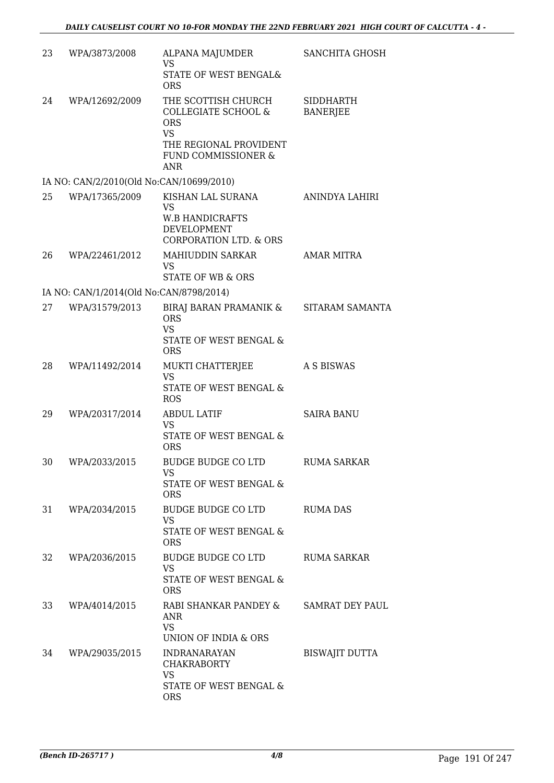| 23 | WPA/3873/2008                            | ALPANA MAJUMDER<br><b>VS</b><br>STATE OF WEST BENGAL&                                                      | SANCHITA GHOSH     |
|----|------------------------------------------|------------------------------------------------------------------------------------------------------------|--------------------|
| 24 | WPA/12692/2009                           | <b>ORS</b><br>THE SCOTTISH CHURCH                                                                          | SIDDHARTH          |
|    |                                          | COLLEGIATE SCHOOL &<br><b>ORS</b><br><b>VS</b><br>THE REGIONAL PROVIDENT<br><b>FUND COMMISSIONER &amp;</b> | <b>BANERJEE</b>    |
|    | IA NO: CAN/2/2010(Old No:CAN/10699/2010) | ANR                                                                                                        |                    |
| 25 | WPA/17365/2009                           | KISHAN LAL SURANA                                                                                          | ANINDYA LAHIRI     |
|    |                                          | <b>VS</b><br><b>W.B HANDICRAFTS</b><br>DEVELOPMENT<br><b>CORPORATION LTD. &amp; ORS</b>                    |                    |
| 26 | WPA/22461/2012                           | MAHIUDDIN SARKAR<br><b>VS</b><br><b>STATE OF WB &amp; ORS</b>                                              | <b>AMAR MITRA</b>  |
|    | IA NO: CAN/1/2014(Old No:CAN/8798/2014)  |                                                                                                            |                    |
| 27 | WPA/31579/2013                           | BIRAJ BARAN PRAMANIK & SITARAM SAMANTA<br><b>ORS</b><br><b>VS</b>                                          |                    |
|    |                                          | STATE OF WEST BENGAL &<br><b>ORS</b>                                                                       |                    |
| 28 | WPA/11492/2014                           | MUKTI CHATTERJEE<br><b>VS</b><br>STATE OF WEST BENGAL &<br><b>ROS</b>                                      | A S BISWAS         |
| 29 | WPA/20317/2014                           | <b>ABDUL LATIF</b><br><b>VS</b>                                                                            | <b>SAIRA BANU</b>  |
|    |                                          | STATE OF WEST BENGAL &<br><b>ORS</b>                                                                       |                    |
| 30 | WPA/2033/2015                            | BUDGE BUDGE CO LTD<br>VS.<br>STATE OF WEST BENGAL &<br><b>ORS</b>                                          | <b>RUMA SARKAR</b> |
| 31 | WPA/2034/2015                            | BUDGE BUDGE CO LTD                                                                                         | <b>RUMA DAS</b>    |
|    |                                          | <b>VS</b><br>STATE OF WEST BENGAL &<br><b>ORS</b>                                                          |                    |
| 32 | WPA/2036/2015                            | BUDGE BUDGE CO LTD<br><b>VS</b><br>STATE OF WEST BENGAL &<br><b>ORS</b>                                    | RUMA SARKAR        |
| 33 | WPA/4014/2015                            | RABI SHANKAR PANDEY &<br>ANR<br>VS.<br>UNION OF INDIA & ORS                                                | SAMRAT DEY PAUL    |
| 34 | WPA/29035/2015                           | <b>INDRANARAYAN</b><br><b>CHAKRABORTY</b><br>VS                                                            | BISWAJIT DUTTA     |
|    |                                          | STATE OF WEST BENGAL &<br><b>ORS</b>                                                                       |                    |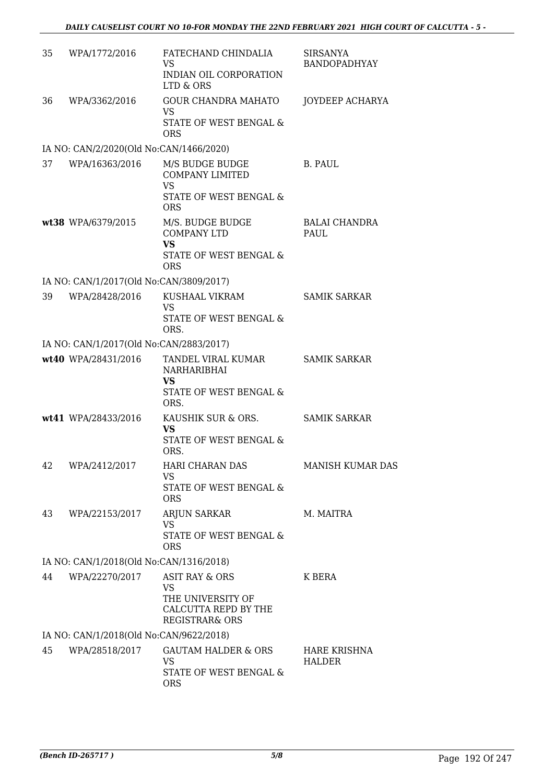| 35 | WPA/1772/2016                           | FATECHAND CHINDALIA<br>VS.<br>INDIAN OIL CORPORATION<br>LTD & ORS                              | SIRSANYA<br><b>BANDOPADHYAY</b> |
|----|-----------------------------------------|------------------------------------------------------------------------------------------------|---------------------------------|
| 36 | WPA/3362/2016                           | <b>GOUR CHANDRA MAHATO</b><br>VS.<br>STATE OF WEST BENGAL &<br><b>ORS</b>                      | JOYDEEP ACHARYA                 |
|    | IA NO: CAN/2/2020(Old No:CAN/1466/2020) |                                                                                                |                                 |
| 37 | WPA/16363/2016                          | M/S BUDGE BUDGE<br><b>COMPANY LIMITED</b><br><b>VS</b><br>STATE OF WEST BENGAL &<br><b>ORS</b> | B. PAUL                         |
|    | wt38 WPA/6379/2015                      | M/S. BUDGE BUDGE<br><b>COMPANY LTD</b><br><b>VS</b><br>STATE OF WEST BENGAL &<br><b>ORS</b>    | <b>BALAI CHANDRA</b><br>PAUL    |
|    | IA NO: CAN/1/2017(Old No:CAN/3809/2017) |                                                                                                |                                 |
| 39 | WPA/28428/2016                          | KUSHAAL VIKRAM<br><b>VS</b><br>STATE OF WEST BENGAL &<br>ORS.                                  | <b>SAMIK SARKAR</b>             |
|    | IA NO: CAN/1/2017(Old No:CAN/2883/2017) |                                                                                                |                                 |
|    | wt40 WPA/28431/2016                     | TANDEL VIRAL KUMAR<br>NARHARIBHAI<br>VS<br>STATE OF WEST BENGAL &<br>ORS.                      | <b>SAMIK SARKAR</b>             |
|    | wt41 WPA/28433/2016                     | KAUSHIK SUR & ORS.<br><b>VS</b><br>STATE OF WEST BENGAL &<br>ORS.                              | <b>SAMIK SARKAR</b>             |
| 42 | WPA/2412/2017                           | <b>HARI CHARAN DAS</b><br>VS<br>STATE OF WEST BENGAL &<br><b>ORS</b>                           | <b>MANISH KUMAR DAS</b>         |
| 43 | WPA/22153/2017                          | ARJUN SARKAR<br><b>VS</b><br>STATE OF WEST BENGAL &<br><b>ORS</b>                              | M. MAITRA                       |
|    | IA NO: CAN/1/2018(Old No:CAN/1316/2018) |                                                                                                |                                 |
| 44 | WPA/22270/2017                          | ASIT RAY & ORS<br>VS<br>THE UNIVERSITY OF<br>CALCUTTA REPD BY THE<br>REGISTRAR& ORS            | K BERA                          |
|    | IA NO: CAN/1/2018(Old No:CAN/9622/2018) |                                                                                                |                                 |
| 45 | WPA/28518/2017                          | <b>GAUTAM HALDER &amp; ORS</b><br><b>VS</b><br>STATE OF WEST BENGAL &<br><b>ORS</b>            | HARE KRISHNA<br><b>HALDER</b>   |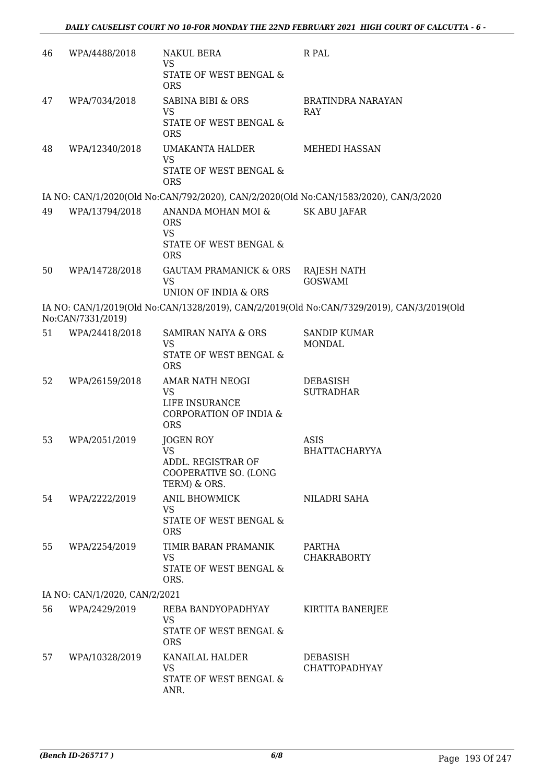| 46 | WPA/4488/2018                 | <b>NAKUL BERA</b><br><b>VS</b>                                                         | R PAL                                                                                     |
|----|-------------------------------|----------------------------------------------------------------------------------------|-------------------------------------------------------------------------------------------|
|    |                               | STATE OF WEST BENGAL &<br><b>ORS</b>                                                   |                                                                                           |
| 47 | WPA/7034/2018                 | <b>SABINA BIBI &amp; ORS</b><br>VS                                                     | <b>BRATINDRA NARAYAN</b><br>RAY                                                           |
|    |                               | STATE OF WEST BENGAL &<br><b>ORS</b>                                                   |                                                                                           |
| 48 | WPA/12340/2018                | <b>UMAKANTA HALDER</b><br><b>VS</b><br><b>STATE OF WEST BENGAL &amp;</b><br><b>ORS</b> | <b>MEHEDI HASSAN</b>                                                                      |
|    |                               |                                                                                        | IA NO: CAN/1/2020(Old No:CAN/792/2020), CAN/2/2020(Old No:CAN/1583/2020), CAN/3/2020      |
| 49 | WPA/13794/2018                | ANANDA MOHAN MOI &<br><b>ORS</b>                                                       | <b>SK ABU JAFAR</b>                                                                       |
|    |                               | <b>VS</b><br>STATE OF WEST BENGAL &<br><b>ORS</b>                                      |                                                                                           |
| 50 | WPA/14728/2018                | <b>GAUTAM PRAMANICK &amp; ORS</b><br><b>VS</b><br>UNION OF INDIA & ORS                 | RAJESH NATH<br><b>GOSWAMI</b>                                                             |
|    |                               |                                                                                        | IA NO: CAN/1/2019(Old No:CAN/1328/2019), CAN/2/2019(Old No:CAN/7329/2019), CAN/3/2019(Old |
|    | No:CAN/7331/2019)             |                                                                                        |                                                                                           |
| 51 | WPA/24418/2018                | <b>SAMIRAN NAIYA &amp; ORS</b><br><b>VS</b><br>STATE OF WEST BENGAL &                  | <b>SANDIP KUMAR</b><br><b>MONDAL</b>                                                      |
|    |                               | <b>ORS</b>                                                                             |                                                                                           |
| 52 | WPA/26159/2018                | AMAR NATH NEOGI<br><b>VS</b>                                                           | <b>DEBASISH</b><br><b>SUTRADHAR</b>                                                       |
|    |                               | LIFE INSURANCE<br>CORPORATION OF INDIA &<br><b>ORS</b>                                 |                                                                                           |
| 53 | WPA/2051/2019                 | JOGEN ROY                                                                              | <b>ASIS</b>                                                                               |
|    |                               | VS<br>ADDL. REGISTRAR OF<br>COOPERATIVE SO. (LONG<br>TERM) & ORS.                      | <b>BHATTACHARYYA</b>                                                                      |
| 54 | WPA/2222/2019                 | <b>ANIL BHOWMICK</b>                                                                   | NILADRI SAHA                                                                              |
|    |                               | <b>VS</b><br>STATE OF WEST BENGAL &<br><b>ORS</b>                                      |                                                                                           |
| 55 | WPA/2254/2019                 | TIMIR BARAN PRAMANIK<br><b>VS</b>                                                      | PARTHA<br><b>CHAKRABORTY</b>                                                              |
|    |                               | STATE OF WEST BENGAL &<br>ORS.                                                         |                                                                                           |
|    | IA NO: CAN/1/2020, CAN/2/2021 |                                                                                        |                                                                                           |
| 56 | WPA/2429/2019                 | REBA BANDYOPADHYAY<br>VS                                                               | KIRTITA BANERJEE                                                                          |
|    |                               | STATE OF WEST BENGAL &<br><b>ORS</b>                                                   |                                                                                           |
| 57 | WPA/10328/2019                | KANAILAL HALDER<br><b>VS</b>                                                           | <b>DEBASISH</b><br><b>CHATTOPADHYAY</b>                                                   |
|    |                               | STATE OF WEST BENGAL &<br>ANR.                                                         |                                                                                           |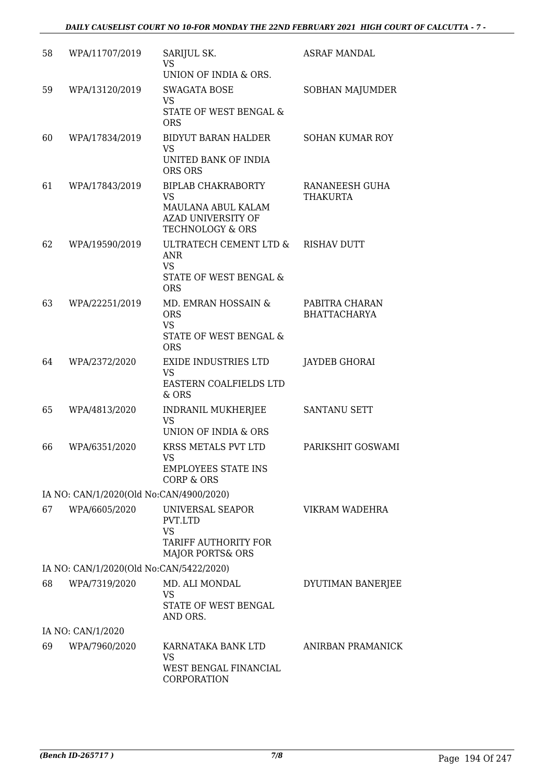| 58 | WPA/11707/2019                          | SARIJUL SK.<br>VS<br>UNION OF INDIA & ORS.                                                                               | <b>ASRAF MANDAL</b>                   |
|----|-----------------------------------------|--------------------------------------------------------------------------------------------------------------------------|---------------------------------------|
| 59 | WPA/13120/2019                          | <b>SWAGATA BOSE</b><br><b>VS</b><br>STATE OF WEST BENGAL &<br><b>ORS</b>                                                 | SOBHAN MAJUMDER                       |
| 60 | WPA/17834/2019                          | <b>BIDYUT BARAN HALDER</b><br><b>VS</b><br>UNITED BANK OF INDIA                                                          | <b>SOHAN KUMAR ROY</b>                |
|    |                                         | ORS ORS                                                                                                                  |                                       |
| 61 | WPA/17843/2019                          | <b>BIPLAB CHAKRABORTY</b><br><b>VS</b><br>MAULANA ABUL KALAM<br><b>AZAD UNIVERSITY OF</b><br><b>TECHNOLOGY &amp; ORS</b> | RANANEESH GUHA<br>THAKURTA            |
| 62 | WPA/19590/2019                          | ULTRATECH CEMENT LTD &<br>ANR<br><b>VS</b><br>STATE OF WEST BENGAL &<br><b>ORS</b>                                       | <b>RISHAV DUTT</b>                    |
| 63 | WPA/22251/2019                          | MD. EMRAN HOSSAIN &<br><b>ORS</b><br><b>VS</b><br>STATE OF WEST BENGAL &<br><b>ORS</b>                                   | PABITRA CHARAN<br><b>BHATTACHARYA</b> |
| 64 | WPA/2372/2020                           | <b>EXIDE INDUSTRIES LTD</b><br><b>VS</b><br>EASTERN COALFIELDS LTD<br>& ORS                                              | <b>JAYDEB GHORAI</b>                  |
| 65 | WPA/4813/2020                           | INDRANIL MUKHERJEE<br><b>VS</b><br>UNION OF INDIA & ORS                                                                  | <b>SANTANU SETT</b>                   |
| 66 | WPA/6351/2020                           | KRSS METALS PVT LTD<br>VS.<br><b>EMPLOYEES STATE INS</b><br>CORP & ORS                                                   | PARIKSHIT GOSWAMI                     |
|    | IA NO: CAN/1/2020(Old No:CAN/4900/2020) |                                                                                                                          |                                       |
| 67 | WPA/6605/2020                           | UNIVERSAL SEAPOR<br>PVT.LTD<br><b>VS</b><br>TARIFF AUTHORITY FOR<br><b>MAJOR PORTS&amp; ORS</b>                          | VIKRAM WADEHRA                        |
|    | IA NO: CAN/1/2020(Old No:CAN/5422/2020) |                                                                                                                          |                                       |
| 68 | WPA/7319/2020                           | MD. ALI MONDAL<br><b>VS</b><br>STATE OF WEST BENGAL<br>AND ORS.                                                          | DYUTIMAN BANERJEE                     |
|    | IA NO: CAN/1/2020                       |                                                                                                                          |                                       |
| 69 | WPA/7960/2020                           | KARNATAKA BANK LTD<br>VS<br>WEST BENGAL FINANCIAL<br>CORPORATION                                                         | ANIRBAN PRAMANICK                     |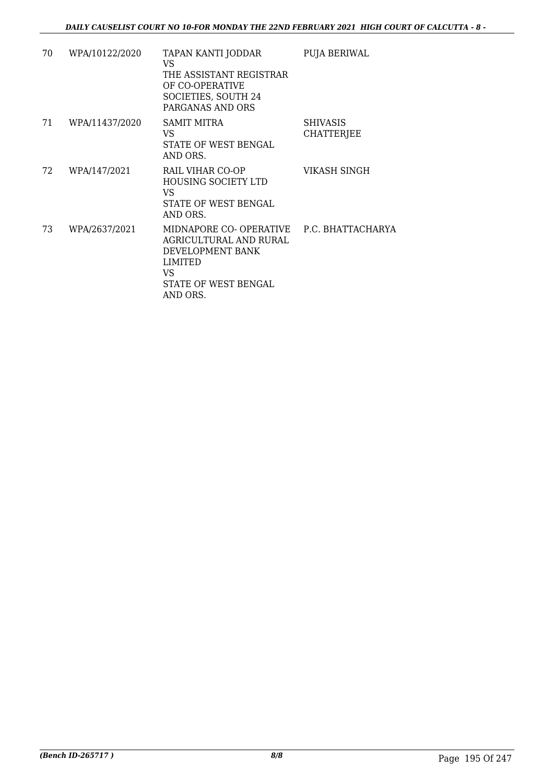| 70 | WPA/10122/2020 | TAPAN KANTI JODDAR<br>VS.<br>THE ASSISTANT REGISTRAR<br>OF CO-OPERATIVE<br>SOCIETIES, SOUTH 24<br>PARGANAS AND ORS                           | PUJA BERIWAL                         |
|----|----------------|----------------------------------------------------------------------------------------------------------------------------------------------|--------------------------------------|
| 71 | WPA/11437/2020 | SAMIT MITRA<br>VS.<br>STATE OF WEST BENGAL<br>AND ORS.                                                                                       | <b>SHIVASIS</b><br><b>CHATTERJEE</b> |
| 72 | WPA/147/2021   | RAIL VIHAR CO-OP<br><b>HOUSING SOCIETY LTD</b><br>VS.<br>STATE OF WEST BENGAL<br>AND ORS.                                                    | VIKASH SINGH                         |
| 73 | WPA/2637/2021  | MIDNAPORE CO-OPERATIVE P.C. BHATTACHARYA<br>AGRICULTURAL AND RURAL<br>DEVELOPMENT BANK<br>LIMITED<br>VS.<br>STATE OF WEST BENGAL<br>AND ORS. |                                      |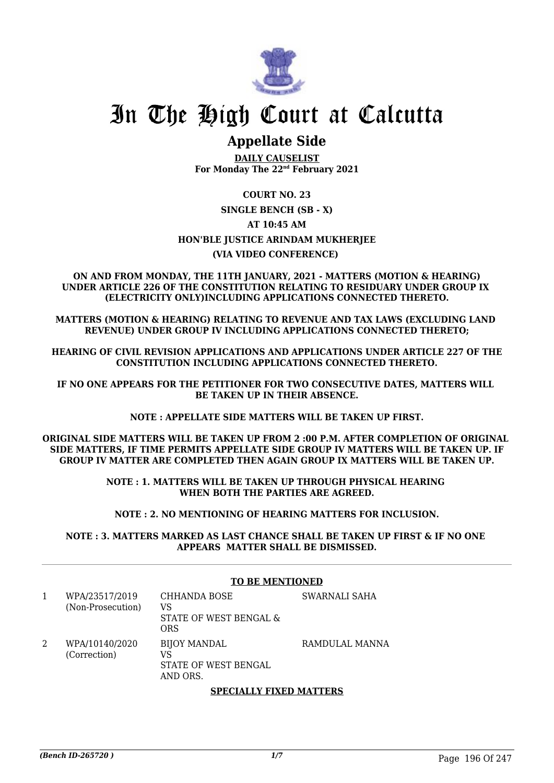

## **Appellate Side**

**DAILY CAUSELIST For Monday The 22nd February 2021**

#### **COURT NO. 23**

#### **SINGLE BENCH (SB - X) AT 10:45 AM**

#### **HON'BLE JUSTICE ARINDAM MUKHERJEE**

#### **(VIA VIDEO CONFERENCE)**

#### **ON AND FROM MONDAY, THE 11TH JANUARY, 2021 - MATTERS (MOTION & HEARING) UNDER ARTICLE 226 OF THE CONSTITUTION RELATING TO RESIDUARY UNDER GROUP IX (ELECTRICITY ONLY)INCLUDING APPLICATIONS CONNECTED THERETO.**

**MATTERS (MOTION & HEARING) RELATING TO REVENUE AND TAX LAWS (EXCLUDING LAND REVENUE) UNDER GROUP IV INCLUDING APPLICATIONS CONNECTED THERETO;**

**HEARING OF CIVIL REVISION APPLICATIONS AND APPLICATIONS UNDER ARTICLE 227 OF THE CONSTITUTION INCLUDING APPLICATIONS CONNECTED THERETO.**

**IF NO ONE APPEARS FOR THE PETITIONER FOR TWO CONSECUTIVE DATES, MATTERS WILL BE TAKEN UP IN THEIR ABSENCE.**

**NOTE : APPELLATE SIDE MATTERS WILL BE TAKEN UP FIRST.**

**ORIGINAL SIDE MATTERS WILL BE TAKEN UP FROM 2 :00 P.M. AFTER COMPLETION OF ORIGINAL SIDE MATTERS, IF TIME PERMITS APPELLATE SIDE GROUP IV MATTERS WILL BE TAKEN UP. IF GROUP IV MATTER ARE COMPLETED THEN AGAIN GROUP IX MATTERS WILL BE TAKEN UP.**

> **NOTE : 1. MATTERS WILL BE TAKEN UP THROUGH PHYSICAL HEARING WHEN BOTH THE PARTIES ARE AGREED.**

**NOTE : 2. NO MENTIONING OF HEARING MATTERS FOR INCLUSION.**

**NOTE : 3. MATTERS MARKED AS LAST CHANCE SHALL BE TAKEN UP FIRST & IF NO ONE APPEARS MATTER SHALL BE DISMISSED.**

|                                     | <b>TO BE MENTIONED</b>                                        |                |  |
|-------------------------------------|---------------------------------------------------------------|----------------|--|
| WPA/23517/2019<br>(Non-Prosecution) | CHHANDA BOSE<br>VS<br>STATE OF WEST BENGAL &<br><b>ORS</b>    | SWARNALI SAHA  |  |
| WPA/10140/2020<br>(Correction)      | <b>BIJOY MANDAL</b><br>VS<br>STATE OF WEST BENGAL<br>AND ORS. | RAMDULAL MANNA |  |

#### **SPECIALLY FIXED MATTERS**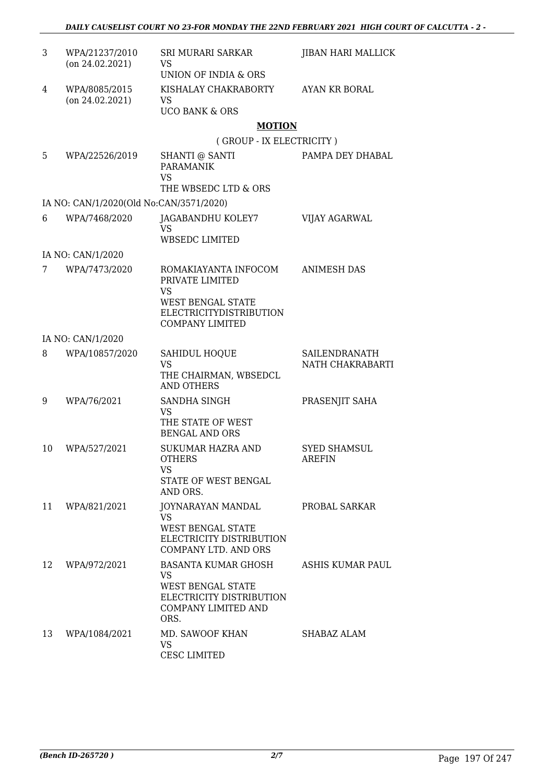| 3  | WPA/21237/2010<br>$($ on 24.02.2021 $)$ | SRI MURARI SARKAR<br>VS<br>UNION OF INDIA & ORS                                                                                              | <b>JIBAN HARI MALLICK</b>         |
|----|-----------------------------------------|----------------------------------------------------------------------------------------------------------------------------------------------|-----------------------------------|
| 4  | WPA/8085/2015<br>$($ on 24.02.2021 $)$  | KISHALAY CHAKRABORTY<br>VS<br><b>UCO BANK &amp; ORS</b>                                                                                      | AYAN KR BORAL                     |
|    |                                         | <b>MOTION</b>                                                                                                                                |                                   |
|    |                                         | (GROUP - IX ELECTRICITY)                                                                                                                     |                                   |
| 5  | WPA/22526/2019                          | SHANTI @ SANTI<br><b>PARAMANIK</b><br>VS<br>THE WBSEDC LTD & ORS                                                                             | PAMPA DEY DHABAL                  |
|    | IA NO: CAN/1/2020(Old No:CAN/3571/2020) |                                                                                                                                              |                                   |
| 6  | WPA/7468/2020                           | JAGABANDHU KOLEY7<br>VS<br><b>WBSEDC LIMITED</b>                                                                                             | VIJAY AGARWAL                     |
|    | IA NO: CAN/1/2020                       |                                                                                                                                              |                                   |
| 7  | WPA/7473/2020                           | ROMAKIAYANTA INFOCOM<br>PRIVATE LIMITED<br><b>VS</b><br><b>WEST BENGAL STATE</b><br><b>ELECTRICITYDISTRIBUTION</b><br><b>COMPANY LIMITED</b> | <b>ANIMESH DAS</b>                |
|    | IA NO: CAN/1/2020                       |                                                                                                                                              |                                   |
| 8  | WPA/10857/2020                          | SAHIDUL HOQUE<br>VS<br>THE CHAIRMAN, WBSEDCL<br><b>AND OTHERS</b>                                                                            | SAILENDRANATH<br>NATH CHAKRABARTI |
| 9  | WPA/76/2021                             | SANDHA SINGH<br>VS<br>THE STATE OF WEST<br><b>BENGAL AND ORS</b>                                                                             | PRASENJIT SAHA                    |
| 10 | WPA/527/2021                            | <b>SUKUMAR HAZRA AND</b><br>OTHERS<br>VS<br>STATE OF WEST BENGAL<br>AND ORS.                                                                 | <b>SYED SHAMSUL</b><br>AREFIN     |
| 11 | WPA/821/2021                            | JOYNARAYAN MANDAL<br>VS<br><b>WEST BENGAL STATE</b><br>ELECTRICITY DISTRIBUTION<br><b>COMPANY LTD. AND ORS</b>                               | PROBAL SARKAR                     |
| 12 | WPA/972/2021                            | BASANTA KUMAR GHOSH<br>VS<br>WEST BENGAL STATE<br>ELECTRICITY DISTRIBUTION<br><b>COMPANY LIMITED AND</b><br>ORS.                             | ASHIS KUMAR PAUL                  |
| 13 | WPA/1084/2021                           | MD. SAWOOF KHAN<br>VS.<br><b>CESC LIMITED</b>                                                                                                | SHABAZ ALAM                       |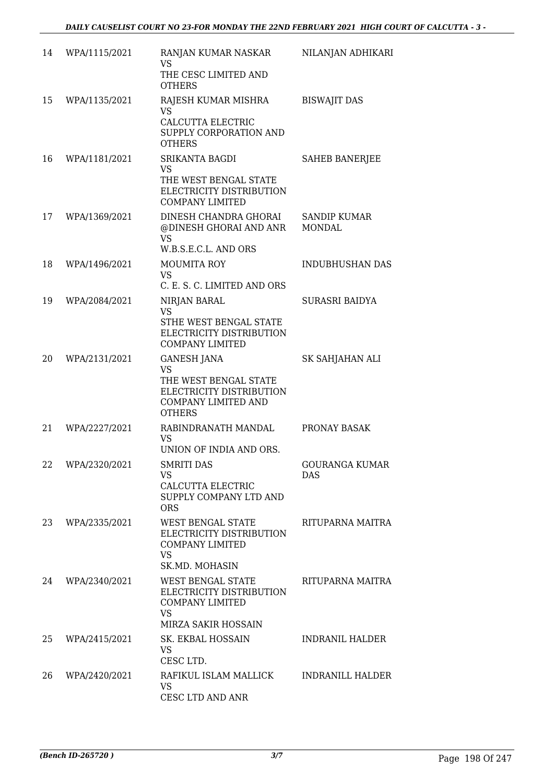| 14 | WPA/1115/2021 | RANJAN KUMAR NASKAR<br><b>VS</b><br>THE CESC LIMITED AND<br><b>OTHERS</b>                                                           | NILANJAN ADHIKARI             |
|----|---------------|-------------------------------------------------------------------------------------------------------------------------------------|-------------------------------|
| 15 | WPA/1135/2021 | RAJESH KUMAR MISHRA<br>VS<br>CALCUTTA ELECTRIC<br>SUPPLY CORPORATION AND<br><b>OTHERS</b>                                           | <b>BISWAJIT DAS</b>           |
| 16 | WPA/1181/2021 | <b>SRIKANTA BAGDI</b><br><b>VS</b><br>THE WEST BENGAL STATE<br>ELECTRICITY DISTRIBUTION<br><b>COMPANY LIMITED</b>                   | <b>SAHEB BANERJEE</b>         |
| 17 | WPA/1369/2021 | DINESH CHANDRA GHORAI<br>@DINESH GHORAI AND ANR<br><b>VS</b><br>W.B.S.E.C.L. AND ORS                                                | SANDIP KUMAR<br><b>MONDAL</b> |
| 18 | WPA/1496/2021 | <b>MOUMITA ROY</b><br><b>VS</b><br>C. E. S. C. LIMITED AND ORS                                                                      | <b>INDUBHUSHAN DAS</b>        |
| 19 | WPA/2084/2021 | NIRJAN BARAL<br>VS<br>STHE WEST BENGAL STATE<br>ELECTRICITY DISTRIBUTION<br><b>COMPANY LIMITED</b>                                  | <b>SURASRI BAIDYA</b>         |
| 20 | WPA/2131/2021 | <b>GANESH JANA</b><br><b>VS</b><br>THE WEST BENGAL STATE<br>ELECTRICITY DISTRIBUTION<br><b>COMPANY LIMITED AND</b><br><b>OTHERS</b> | SK SAHJAHAN ALI               |
| 21 | WPA/2227/2021 | RABINDRANATH MANDAL<br>VS<br>UNION OF INDIA AND ORS.                                                                                | PRONAY BASAK                  |
| 22 | WPA/2320/2021 | <b>SMRITI DAS</b><br>VS<br>CALCUTTA ELECTRIC<br>SUPPLY COMPANY LTD AND<br><b>ORS</b>                                                | <b>GOURANGA KUMAR</b><br>DAS  |
| 23 | WPA/2335/2021 | WEST BENGAL STATE<br>ELECTRICITY DISTRIBUTION<br><b>COMPANY LIMITED</b><br><b>VS</b><br>SK.MD. MOHASIN                              | RITUPARNA MAITRA              |
| 24 | WPA/2340/2021 | WEST BENGAL STATE<br>ELECTRICITY DISTRIBUTION<br><b>COMPANY LIMITED</b><br><b>VS</b><br>MIRZA SAKIR HOSSAIN                         | RITUPARNA MAITRA              |
| 25 | WPA/2415/2021 | SK. EKBAL HOSSAIN<br>VS<br>CESC LTD.                                                                                                | INDRANIL HALDER               |
| 26 | WPA/2420/2021 | RAFIKUL ISLAM MALLICK<br>VS.<br>CESC LTD AND ANR                                                                                    | <b>INDRANILL HALDER</b>       |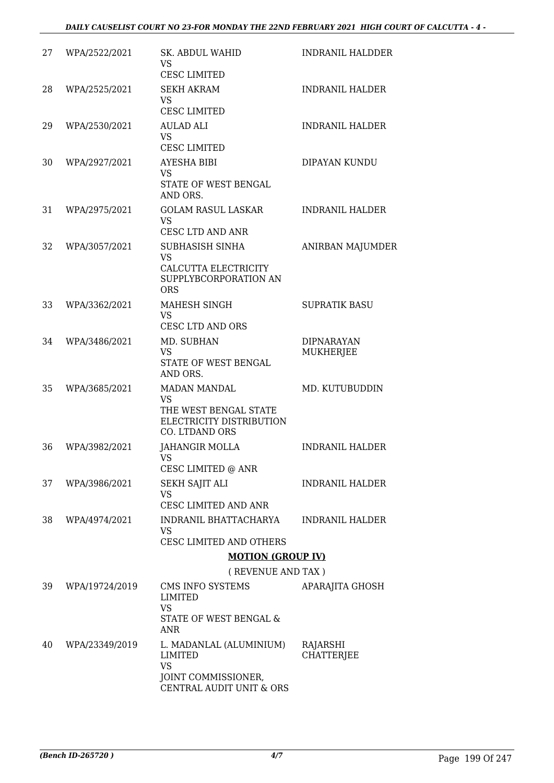#### *DAILY CAUSELIST COURT NO 23-FOR MONDAY THE 22ND FEBRUARY 2021 HIGH COURT OF CALCUTTA - 4 -*

| 27 | WPA/2522/2021  | <b>SK. ABDUL WAHID</b><br><b>VS</b><br><b>CESC LIMITED</b>   | <b>INDRANIL HALDDER</b>               |
|----|----------------|--------------------------------------------------------------|---------------------------------------|
| 28 | WPA/2525/2021  | <b>SEKH AKRAM</b><br><b>VS</b><br><b>CESC LIMITED</b>        | <b>INDRANIL HALDER</b>                |
| 29 | WPA/2530/2021  | <b>AULAD ALI</b><br><b>VS</b>                                | <b>INDRANIL HALDER</b>                |
|    |                | <b>CESC LIMITED</b>                                          |                                       |
| 30 | WPA/2927/2021  | <b>AYESHA BIBI</b><br><b>VS</b><br>STATE OF WEST BENGAL      | DIPAYAN KUNDU                         |
|    |                | AND ORS.                                                     |                                       |
| 31 | WPA/2975/2021  | <b>GOLAM RASUL LASKAR</b><br><b>VS</b><br>CESC LTD AND ANR   | <b>INDRANIL HALDER</b>                |
| 32 | WPA/3057/2021  | SUBHASISH SINHA<br><b>VS</b>                                 | ANIRBAN MAJUMDER                      |
|    |                | CALCUTTA ELECTRICITY<br>SUPPLYBCORPORATION AN<br><b>ORS</b>  |                                       |
| 33 | WPA/3362/2021  | MAHESH SINGH<br><b>VS</b><br><b>CESC LTD AND ORS</b>         | <b>SUPRATIK BASU</b>                  |
| 34 | WPA/3486/2021  | MD. SUBHAN<br><b>VS</b>                                      | <b>DIPNARAYAN</b><br><b>MUKHERJEE</b> |
|    |                | STATE OF WEST BENGAL<br>AND ORS.                             |                                       |
| 35 | WPA/3685/2021  | <b>MADAN MANDAL</b><br><b>VS</b><br>THE WEST BENGAL STATE    | MD. KUTUBUDDIN                        |
|    |                | ELECTRICITY DISTRIBUTION<br>CO. LTDAND ORS                   |                                       |
| 36 | WPA/3982/2021  | <b>JAHANGIR MOLLA</b><br>VS FOR THE VS<br>CESC LIMITED @ ANR | <b>INDRANIL HALDER</b>                |
| 37 | WPA/3986/2021  | <b>SEKH SAJIT ALI</b>                                        | <b>INDRANIL HALDER</b>                |
|    |                | VS<br>CESC LIMITED AND ANR                                   |                                       |
| 38 | WPA/4974/2021  | INDRANIL BHATTACHARYA<br><b>VS</b>                           | <b>INDRANIL HALDER</b>                |
|    |                | CESC LIMITED AND OTHERS                                      |                                       |
|    |                | <b>MOTION (GROUP IV)</b>                                     |                                       |
|    |                | (REVENUE AND TAX)                                            |                                       |
| 39 | WPA/19724/2019 | CMS INFO SYSTEMS<br>LIMITED<br>VS                            | APARAJITA GHOSH                       |
|    |                | STATE OF WEST BENGAL &<br>ANR                                |                                       |
| 40 | WPA/23349/2019 | L. MADANLAL (ALUMINIUM)<br>LIMITED<br><b>VS</b>              | RAJARSHI<br><b>CHATTERJEE</b>         |
|    |                | JOINT COMMISSIONER,<br>CENTRAL AUDIT UNIT & ORS              |                                       |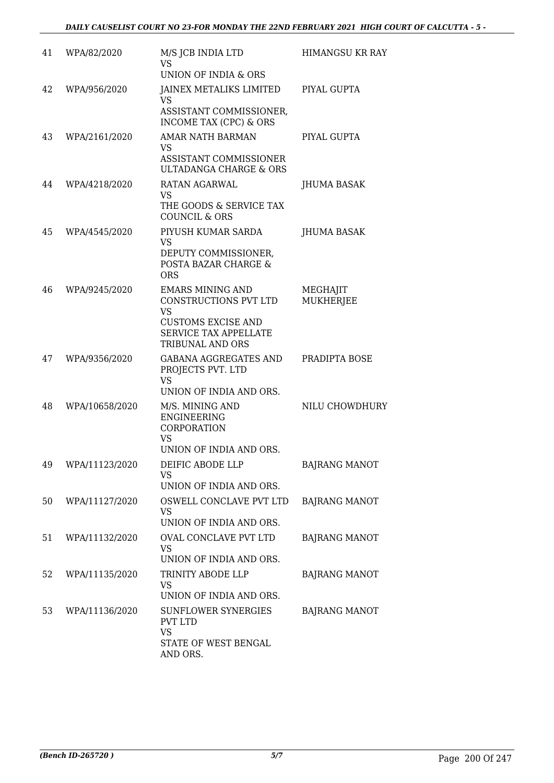| 41 | WPA/82/2020    | M/S JCB INDIA LTD<br>VS<br>UNION OF INDIA & ORS                                                                                         | <b>HIMANGSU KR RAY</b>       |
|----|----------------|-----------------------------------------------------------------------------------------------------------------------------------------|------------------------------|
| 42 | WPA/956/2020   | JAINEX METALIKS LIMITED<br>VS<br>ASSISTANT COMMISSIONER,<br>INCOME TAX (CPC) & ORS                                                      | PIYAL GUPTA                  |
| 43 | WPA/2161/2020  | <b>AMAR NATH BARMAN</b><br>VS<br>ASSISTANT COMMISSIONER<br><b>ULTADANGA CHARGE &amp; ORS</b>                                            | PIYAL GUPTA                  |
| 44 | WPA/4218/2020  | RATAN AGARWAL<br>VS<br>THE GOODS & SERVICE TAX<br><b>COUNCIL &amp; ORS</b>                                                              | JHUMA BASAK                  |
| 45 | WPA/4545/2020  | PIYUSH KUMAR SARDA<br>VS<br>DEPUTY COMMISSIONER,<br>POSTA BAZAR CHARGE &<br><b>ORS</b>                                                  | JHUMA BASAK                  |
| 46 | WPA/9245/2020  | <b>EMARS MINING AND</b><br>CONSTRUCTIONS PVT LTD<br><b>VS</b><br><b>CUSTOMS EXCISE AND</b><br>SERVICE TAX APPELLATE<br>TRIBUNAL AND ORS | MEGHAJIT<br><b>MUKHERJEE</b> |
| 47 | WPA/9356/2020  | <b>GABANA AGGREGATES AND</b><br>PROJECTS PVT. LTD<br><b>VS</b><br>UNION OF INDIA AND ORS.                                               | PRADIPTA BOSE                |
| 48 | WPA/10658/2020 | M/S. MINING AND<br><b>ENGINEERING</b><br>CORPORATION<br><b>VS</b><br>UNION OF INDIA AND ORS.                                            | NILU CHOWDHURY               |
| 49 | WPA/11123/2020 | DEIFIC ABODE LLP<br><b>VS</b><br>UNION OF INDIA AND ORS.                                                                                | <b>BAJRANG MANOT</b>         |
| 50 | WPA/11127/2020 | OSWELL CONCLAVE PVT LTD<br><b>VS</b><br>UNION OF INDIA AND ORS.                                                                         | <b>BAJRANG MANOT</b>         |
| 51 | WPA/11132/2020 | OVAL CONCLAVE PVT LTD<br>VS<br>UNION OF INDIA AND ORS.                                                                                  | <b>BAJRANG MANOT</b>         |
| 52 | WPA/11135/2020 | TRINITY ABODE LLP<br>VS<br>UNION OF INDIA AND ORS.                                                                                      | <b>BAJRANG MANOT</b>         |
| 53 | WPA/11136/2020 | SUNFLOWER SYNERGIES<br><b>PVT LTD</b><br><b>VS</b><br>STATE OF WEST BENGAL<br>AND ORS.                                                  | <b>BAJRANG MANOT</b>         |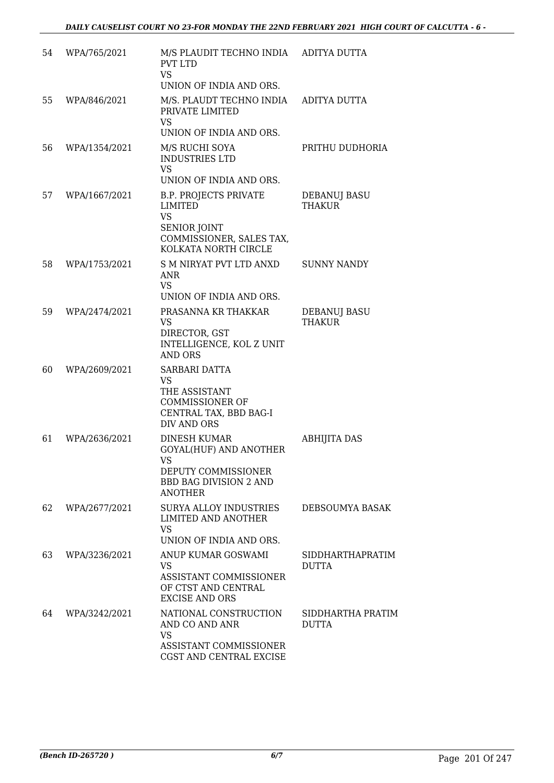| 54 | WPA/765/2021  | M/S PLAUDIT TECHNO INDIA ADITYA DUTTA<br><b>PVT LTD</b><br><b>VS</b><br>UNION OF INDIA AND ORS.                                        |                                         |
|----|---------------|----------------------------------------------------------------------------------------------------------------------------------------|-----------------------------------------|
| 55 | WPA/846/2021  | M/S. PLAUDT TECHNO INDIA<br>PRIVATE LIMITED<br>VS                                                                                      | ADITYA DUTTA                            |
|    |               | UNION OF INDIA AND ORS.                                                                                                                |                                         |
| 56 | WPA/1354/2021 | M/S RUCHI SOYA<br><b>INDUSTRIES LTD</b><br><b>VS</b>                                                                                   | PRITHU DUDHORIA                         |
|    |               | UNION OF INDIA AND ORS.                                                                                                                |                                         |
| 57 | WPA/1667/2021 | <b>B.P. PROJECTS PRIVATE</b><br><b>LIMITED</b><br><b>VS</b><br><b>SENIOR JOINT</b><br>COMMISSIONER, SALES TAX,<br>KOLKATA NORTH CIRCLE | DEBANUJ BASU<br><b>THAKUR</b>           |
| 58 | WPA/1753/2021 | S M NIRYAT PVT LTD ANXD<br>ANR<br><b>VS</b>                                                                                            | <b>SUNNY NANDY</b>                      |
|    |               | UNION OF INDIA AND ORS.                                                                                                                |                                         |
| 59 | WPA/2474/2021 | PRASANNA KR THAKKAR<br>VS<br>DIRECTOR, GST<br>INTELLIGENCE, KOL Z UNIT<br><b>AND ORS</b>                                               | DEBANUJ BASU<br>THAKUR                  |
| 60 | WPA/2609/2021 | SARBARI DATTA<br>VS<br>THE ASSISTANT<br><b>COMMISSIONER OF</b><br>CENTRAL TAX, BBD BAG-I<br>DIV AND ORS                                |                                         |
| 61 | WPA/2636/2021 | <b>DINESH KUMAR</b><br>GOYAL(HUF) AND ANOTHER<br>VS<br>DEPUTY COMMISSIONER<br><b>BBD BAG DIVISION 2 AND</b><br><b>ANOTHER</b>          | <b>ABHIJITA DAS</b>                     |
| 62 | WPA/2677/2021 | <b>SURYA ALLOY INDUSTRIES</b><br>LIMITED AND ANOTHER<br><b>VS</b><br>UNION OF INDIA AND ORS.                                           | DEBSOUMYA BASAK                         |
| 63 | WPA/3236/2021 | ANUP KUMAR GOSWAMI<br>VS<br>ASSISTANT COMMISSIONER<br>OF CTST AND CENTRAL<br><b>EXCISE AND ORS</b>                                     | <b>SIDDHARTHAPRATIM</b><br><b>DUTTA</b> |
| 64 | WPA/3242/2021 | NATIONAL CONSTRUCTION<br>AND CO AND ANR<br><b>VS</b><br>ASSISTANT COMMISSIONER<br>CGST AND CENTRAL EXCISE                              | SIDDHARTHA PRATIM<br><b>DUTTA</b>       |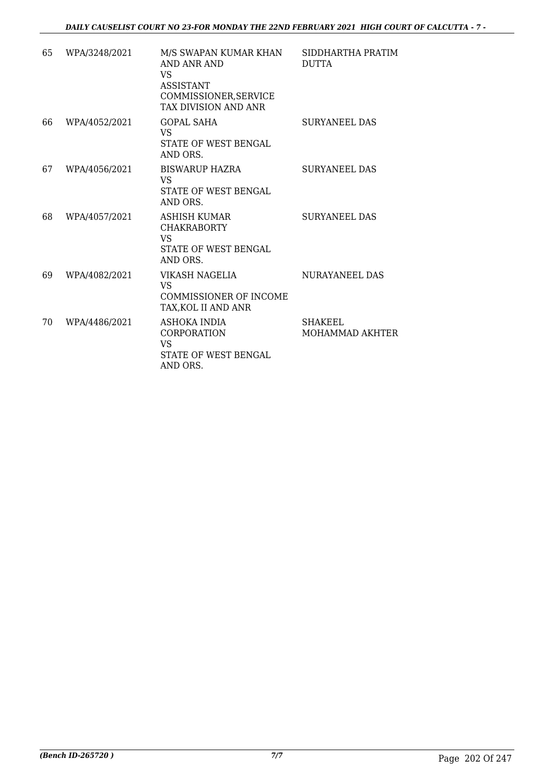| 65 | WPA/3248/2021 | M/S SWAPAN KUMAR KHAN<br><b>AND ANR AND</b><br>VS<br><b>ASSISTANT</b><br>COMMISSIONER, SERVICE<br>TAX DIVISION AND ANR | SIDDHARTHA PRATIM<br><b>DUTTA</b> |
|----|---------------|------------------------------------------------------------------------------------------------------------------------|-----------------------------------|
| 66 | WPA/4052/2021 | <b>GOPAL SAHA</b><br>VS<br>STATE OF WEST BENGAL<br>AND ORS.                                                            | <b>SURYANEEL DAS</b>              |
| 67 | WPA/4056/2021 | BISWARUP HAZRA<br><b>VS</b><br><b>STATE OF WEST BENGAL</b><br>AND ORS.                                                 | <b>SURYANEEL DAS</b>              |
| 68 | WPA/4057/2021 | ASHISH KUMAR<br><b>CHAKRABORTY</b><br>VS<br>STATE OF WEST BENGAL<br>AND ORS.                                           | <b>SURYANEEL DAS</b>              |
| 69 | WPA/4082/2021 | VIKASH NAGELIA<br>VS<br><b>COMMISSIONER OF INCOME</b><br>TAX, KOL II AND ANR                                           | NURAYANEEL DAS                    |
| 70 | WPA/4486/2021 | ASHOKA INDIA<br><b>CORPORATION</b><br>VS<br>STATE OF WEST BENGAL<br>AND ORS.                                           | <b>SHAKEEL</b><br>MOHAMMAD AKHTER |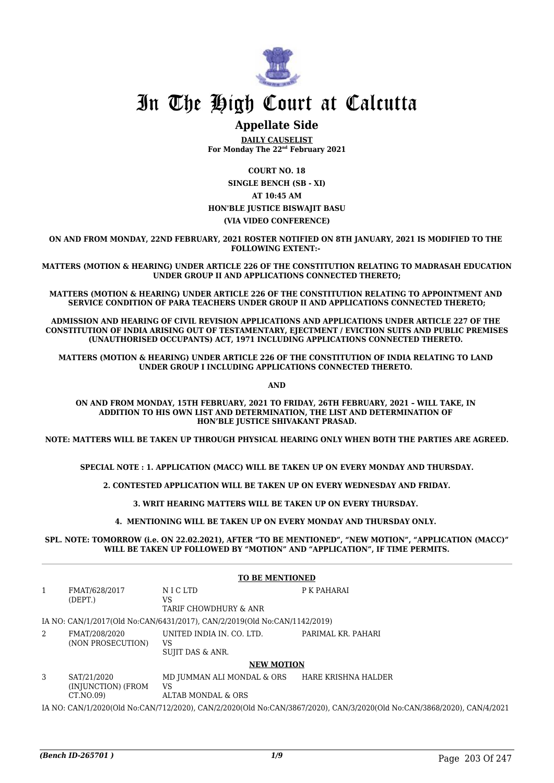

### **Appellate Side**

**DAILY CAUSELIST For Monday The 22nd February 2021**

**COURT NO. 18 SINGLE BENCH (SB - XI) AT 10:45 AM HON'BLE JUSTICE BISWAJIT BASU (VIA VIDEO CONFERENCE)**

**ON AND FROM MONDAY, 22ND FEBRUARY, 2021 ROSTER NOTIFIED ON 8TH JANUARY, 2021 IS MODIFIED TO THE FOLLOWING EXTENT:-** 

**MATTERS (MOTION & HEARING) UNDER ARTICLE 226 OF THE CONSTITUTION RELATING TO MADRASAH EDUCATION UNDER GROUP II AND APPLICATIONS CONNECTED THERETO;**

**MATTERS (MOTION & HEARING) UNDER ARTICLE 226 OF THE CONSTITUTION RELATING TO APPOINTMENT AND SERVICE CONDITION OF PARA TEACHERS UNDER GROUP II AND APPLICATIONS CONNECTED THERETO;**

**ADMISSION AND HEARING OF CIVIL REVISION APPLICATIONS AND APPLICATIONS UNDER ARTICLE 227 OF THE CONSTITUTION OF INDIA ARISING OUT OF TESTAMENTARY, EJECTMENT / EVICTION SUITS AND PUBLIC PREMISES (UNAUTHORISED OCCUPANTS) ACT, 1971 INCLUDING APPLICATIONS CONNECTED THERETO.** 

**MATTERS (MOTION & HEARING) UNDER ARTICLE 226 OF THE CONSTITUTION OF INDIA RELATING TO LAND UNDER GROUP I INCLUDING APPLICATIONS CONNECTED THERETO.** 

**AND**

**ON AND FROM MONDAY, 15TH FEBRUARY, 2021 TO FRIDAY, 26TH FEBRUARY, 2021 – WILL TAKE, IN ADDITION TO HIS OWN LIST AND DETERMINATION, THE LIST AND DETERMINATION OF HON'BLE JUSTICE SHIVAKANT PRASAD.**

**NOTE: MATTERS WILL BE TAKEN UP THROUGH PHYSICAL HEARING ONLY WHEN BOTH THE PARTIES ARE AGREED.**

**SPECIAL NOTE : 1. APPLICATION (MACC) WILL BE TAKEN UP ON EVERY MONDAY AND THURSDAY.**

**2. CONTESTED APPLICATION WILL BE TAKEN UP ON EVERY WEDNESDAY AND FRIDAY.**

**3. WRIT HEARING MATTERS WILL BE TAKEN UP ON EVERY THURSDAY.** 

**4. MENTIONING WILL BE TAKEN UP ON EVERY MONDAY AND THURSDAY ONLY.** 

**SPL. NOTE: TOMORROW (i.e. ON 22.02.2021), AFTER "TO BE MENTIONED", "NEW MOTION", "APPLICATION (MACC)" WILL BE TAKEN UP FOLLOWED BY "MOTION" AND "APPLICATION", IF TIME PERMITS.**

|   | <b>TO BE MENTIONED</b>                                                                                                 |                                                                           |                     |  |  |
|---|------------------------------------------------------------------------------------------------------------------------|---------------------------------------------------------------------------|---------------------|--|--|
| 1 | FMAT/628/2017<br>(DEFT.)                                                                                               | N I C LTD<br>VS<br>TARIF CHOWDHURY & ANR                                  | P K PAHARAI         |  |  |
|   |                                                                                                                        | IA NO: CAN/1/2017(Old No:CAN/6431/2017), CAN/2/2019(Old No:CAN/1142/2019) |                     |  |  |
| 2 | FMAT/208/2020<br>(NON PROSECUTION)                                                                                     | UNITED INDIA IN. CO. LTD.<br>VS<br>SUJIT DAS & ANR.                       | PARIMAL KR. PAHARI  |  |  |
|   |                                                                                                                        | <b>NEW MOTION</b>                                                         |                     |  |  |
| 3 | SAT/21/2020<br>(INJUNCTION) (FROM<br>CT.NO.09)                                                                         | MD JUMMAN ALI MONDAL & ORS<br>VS<br>ALTAB MONDAL & ORS                    | HARE KRISHNA HALDER |  |  |
|   | IA NO: CAN/1/2020(Old No:CAN/712/2020), CAN/2/2020(Old No:CAN/3867/2020), CAN/3/2020(Old No:CAN/3868/2020), CAN/4/2021 |                                                                           |                     |  |  |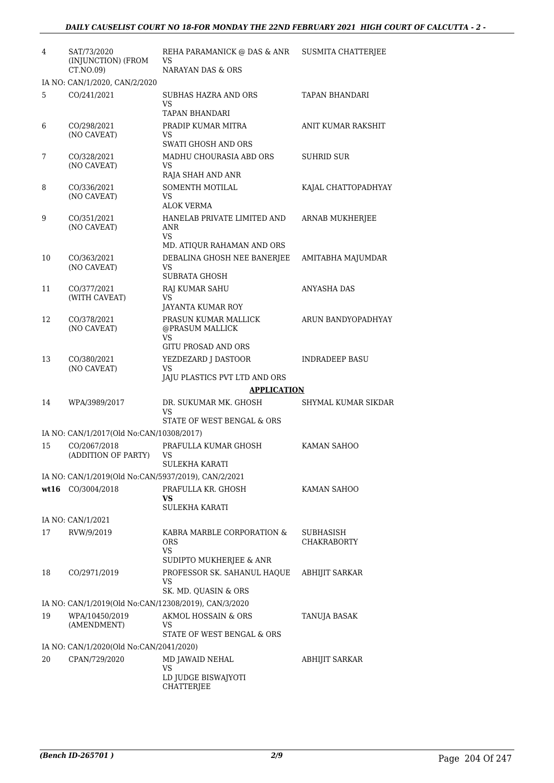| 4  | SAT/73/2020<br>(INJUNCTION) (FROM<br>CT.NO.09)                         | REHA PARAMANICK @ DAS & ANR<br>VS<br>NARAYAN DAS & ORS                                   | <b>SUSMITA CHATTERJEE</b>       |
|----|------------------------------------------------------------------------|------------------------------------------------------------------------------------------|---------------------------------|
|    | IA NO: CAN/1/2020, CAN/2/2020                                          |                                                                                          |                                 |
| 5  | CO/241/2021                                                            | SUBHAS HAZRA AND ORS<br>VS.<br><b>TAPAN BHANDARI</b>                                     | TAPAN BHANDARI                  |
| 6  | CO/298/2021<br>(NO CAVEAT)                                             | PRADIP KUMAR MITRA<br>VS<br><b>SWATI GHOSH AND ORS</b>                                   | ANIT KUMAR RAKSHIT              |
| 7  | CO/328/2021<br>(NO CAVEAT)                                             | MADHU CHOURASIA ABD ORS<br>VS.<br>RAJA SHAH AND ANR                                      | <b>SUHRID SUR</b>               |
| 8  | CO/336/2021<br>(NO CAVEAT)                                             | SOMENTH MOTILAL<br>VS<br><b>ALOK VERMA</b>                                               | KAJAL CHATTOPADHYAY             |
| 9  | CO/351/2021<br>(NO CAVEAT)                                             | HANELAB PRIVATE LIMITED AND<br>ANR<br>VS.                                                | ARNAB MUKHERJEE                 |
| 10 | CO/363/2021<br>(NO CAVEAT)                                             | MD. ATIQUR RAHAMAN AND ORS<br>DEBALINA GHOSH NEE BANERJEE<br>VS.<br>SUBRATA GHOSH        | AMITABHA MAJUMDAR               |
| 11 | CO/377/2021<br>(WITH CAVEAT)                                           | RAJ KUMAR SAHU<br>VS                                                                     | ANYASHA DAS                     |
| 12 | CO/378/2021<br>(NO CAVEAT)                                             | JAYANTA KUMAR ROY<br>PRASUN KUMAR MALLICK<br>@PRASUM MALLICK<br>VS.                      | ARUN BANDYOPADHYAY              |
| 13 | CO/380/2021<br>(NO CAVEAT)                                             | <b>GITU PROSAD AND ORS</b><br>YEZDEZARD J DASTOOR<br>VS<br>JAJU PLASTICS PVT LTD AND ORS | <b>INDRADEEP BASU</b>           |
|    |                                                                        | <b>APPLICATION</b>                                                                       |                                 |
| 14 | WPA/3989/2017                                                          | DR. SUKUMAR MK. GHOSH<br>VS                                                              | SHYMAL KUMAR SIKDAR             |
|    |                                                                        | STATE OF WEST BENGAL & ORS                                                               |                                 |
|    | IA NO: CAN/1/2017(Old No:CAN/10308/2017)<br>CO/2067/2018               |                                                                                          |                                 |
| 15 | (ADDITION OF PARTY)                                                    | PRAFULLA KUMAR GHOSH<br>VS<br><b>SULEKHA KARATI</b>                                      | KAMAN SAHOO                     |
|    | IA NO: CAN/1/2019(Old No:CAN/5937/2019), CAN/2/2021                    |                                                                                          |                                 |
|    | wt16 CO/3004/2018                                                      | PRAFULLA KR. GHOSH<br>VS<br><b>SULEKHA KARATI</b>                                        | KAMAN SAHOO                     |
|    | IA NO: CAN/1/2021                                                      |                                                                                          |                                 |
| 17 | RVW/9/2019                                                             | KABRA MARBLE CORPORATION &<br><b>ORS</b><br>VS                                           | SUBHASISH<br><b>CHAKRABORTY</b> |
| 18 | CO/2971/2019                                                           | SUDIPTO MUKHERJEE & ANR<br>PROFESSOR SK. SAHANUL HAQUE<br>VS                             | ABHIJIT SARKAR                  |
|    |                                                                        | SK. MD. QUASIN & ORS                                                                     |                                 |
| 19 | IA NO: CAN/1/2019(Old No:CAN/12308/2019), CAN/3/2020<br>WPA/10450/2019 | AKMOL HOSSAIN & ORS                                                                      |                                 |
|    | (AMENDMENT)                                                            | VS.<br>STATE OF WEST BENGAL & ORS                                                        | TANUJA BASAK                    |
|    | IA NO: CAN/1/2020(Old No:CAN/2041/2020)                                |                                                                                          |                                 |
| 20 | CPAN/729/2020                                                          | MD JAWAID NEHAL<br>VS<br>LD JUDGE BISWAJYOTI                                             | ABHIJIT SARKAR                  |
|    |                                                                        | CHATTERJEE                                                                               |                                 |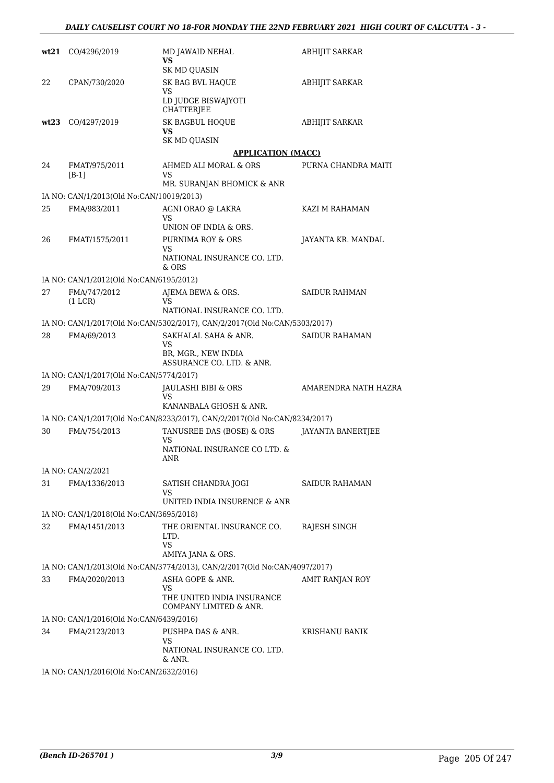|      | wt21 CO/4296/2019                        | MD JAWAID NEHAL<br>VS<br><b>SK MD QUASIN</b>                              | ABHIJIT SARKAR         |
|------|------------------------------------------|---------------------------------------------------------------------------|------------------------|
| 22   | CPAN/730/2020                            | SK BAG BVL HAQUE<br>VS                                                    | <b>ABHIJIT SARKAR</b>  |
|      |                                          | LD JUDGE BISWAJYOTI<br><b>CHATTERJEE</b>                                  |                        |
| wt23 | CO/4297/2019                             | SK BAGBUL HOQUE<br>VS.                                                    | <b>ABHIJIT SARKAR</b>  |
|      |                                          | SK MD QUASIN                                                              |                        |
|      |                                          | <b>APPLICATION (MACC)</b>                                                 |                        |
| 24   | FMAT/975/2011<br>$[B-1]$                 | AHMED ALI MORAL & ORS<br>VS                                               | PURNA CHANDRA MAITI    |
|      |                                          | MR. SURANJAN BHOMICK & ANR                                                |                        |
|      | IA NO: CAN/1/2013(Old No:CAN/10019/2013) |                                                                           |                        |
| 25   | FMA/983/2011                             | AGNI ORAO @ LAKRA<br>VS<br>UNION OF INDIA & ORS.                          | KAZI M RAHAMAN         |
| 26   | FMAT/1575/2011                           | PURNIMA ROY & ORS                                                         | JAYANTA KR. MANDAL     |
|      |                                          | VS<br>NATIONAL INSURANCE CO. LTD.                                         |                        |
|      |                                          | & ORS                                                                     |                        |
|      | IA NO: CAN/1/2012(Old No:CAN/6195/2012)  |                                                                           |                        |
| 27   | FMA/747/2012<br>(1 LCR)                  | AJEMA BEWA & ORS.<br>VS<br>NATIONAL INSURANCE CO. LTD.                    | <b>SAIDUR RAHMAN</b>   |
|      |                                          | IA NO: CAN/1/2017(Old No:CAN/5302/2017), CAN/2/2017(Old No:CAN/5303/2017) |                        |
| 28   | FMA/69/2013                              | SAKHALAL SAHA & ANR.<br>VS                                                | <b>SAIDUR RAHAMAN</b>  |
|      |                                          | BR, MGR., NEW INDIA<br>ASSURANCE CO. LTD. & ANR.                          |                        |
|      | IA NO: CAN/1/2017(Old No:CAN/5774/2017)  |                                                                           |                        |
| 29   | FMA/709/2013                             | JAULASHI BIBI & ORS<br>VS                                                 | AMARENDRA NATH HAZRA   |
|      |                                          | KANANBALA GHOSH & ANR.                                                    |                        |
|      |                                          | IA NO: CAN/1/2017(Old No:CAN/8233/2017), CAN/2/2017(Old No:CAN/8234/2017) |                        |
| 30   | FMA/754/2013                             | TANUSREE DAS (BOSE) & ORS<br>VS                                           | JAYANTA BANERTJEE      |
|      |                                          | NATIONAL INSURANCE CO LTD. &<br>ANR                                       |                        |
|      | IA NO: CAN/2/2021                        |                                                                           |                        |
| 31   | FMA/1336/2013                            | SATISH CHANDRA JOGI<br>VS                                                 | SAIDUR RAHAMAN         |
|      |                                          | UNITED INDIA INSURENCE & ANR                                              |                        |
|      | IA NO: CAN/1/2018(Old No:CAN/3695/2018)  |                                                                           |                        |
| 32   | FMA/1451/2013                            | THE ORIENTAL INSURANCE CO.<br>LTD.<br><b>VS</b>                           | RAJESH SINGH           |
|      |                                          | AMIYA JANA & ORS.                                                         |                        |
|      |                                          | IA NO: CAN/1/2013(Old No:CAN/3774/2013), CAN/2/2017(Old No:CAN/4097/2017) |                        |
| 33   | FMA/2020/2013                            | ASHA GOPE & ANR.                                                          | <b>AMIT RANJAN ROY</b> |
|      |                                          | VS<br>THE UNITED INDIA INSURANCE<br>COMPANY LIMITED & ANR.                |                        |
|      | IA NO: CAN/1/2016(Old No:CAN/6439/2016)  |                                                                           |                        |
| 34   | FMA/2123/2013                            | PUSHPA DAS & ANR.                                                         | KRISHANU BANIK         |
|      |                                          | VS<br>NATIONAL INSURANCE CO. LTD.<br>& ANR.                               |                        |
|      | IA NO: CAN/1/2016(Old No:CAN/2632/2016)  |                                                                           |                        |
|      |                                          |                                                                           |                        |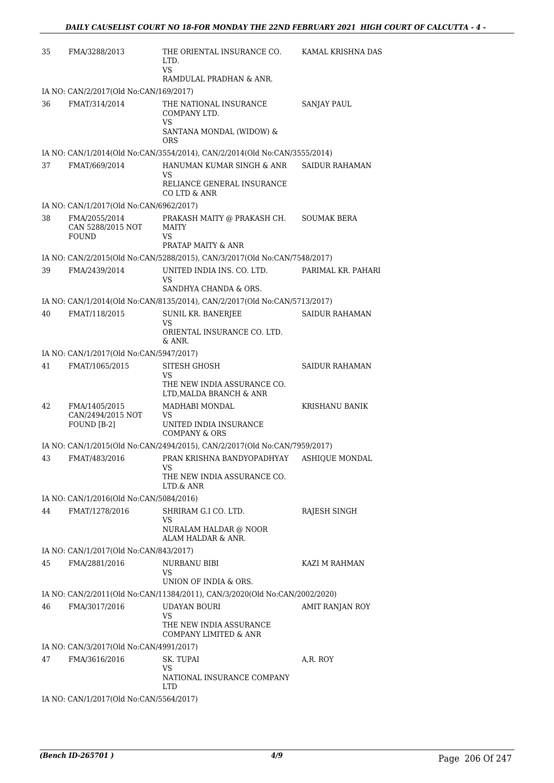| 35 | FMA/3288/2013                                             | THE ORIENTAL INSURANCE CO.<br>LTD.<br>VS<br>RAMDULAL PRADHAN & ANR.                    | KAMAL KRISHNA DAS     |
|----|-----------------------------------------------------------|----------------------------------------------------------------------------------------|-----------------------|
|    | IA NO: CAN/2/2017(Old No:CAN/169/2017)                    |                                                                                        |                       |
| 36 | FMAT/314/2014                                             | THE NATIONAL INSURANCE<br>COMPANY LTD.<br>VS<br>SANTANA MONDAL (WIDOW) &<br><b>ORS</b> | <b>SANJAY PAUL</b>    |
|    |                                                           | IA NO: CAN/1/2014(Old No:CAN/3554/2014), CAN/2/2014(Old No:CAN/3555/2014)              |                       |
| 37 | FMAT/669/2014                                             | HANUMAN KUMAR SINGH & ANR                                                              | SAIDUR RAHAMAN        |
|    |                                                           | VS<br>RELIANCE GENERAL INSURANCE<br>CO LTD & ANR                                       |                       |
|    | IA NO: CAN/1/2017(Old No:CAN/6962/2017)                   |                                                                                        |                       |
| 38 | FMA/2055/2014<br>CAN 5288/2015 NOT<br><b>FOUND</b>        | PRAKASH MAITY @ PRAKASH CH.<br><b>MAITY</b><br>VS                                      | <b>SOUMAK BERA</b>    |
|    |                                                           | PRATAP MAITY & ANR                                                                     |                       |
|    |                                                           | IA NO: CAN/2/2015(Old No:CAN/5288/2015), CAN/3/2017(Old No:CAN/7548/2017)              |                       |
| 39 | FMA/2439/2014                                             | UNITED INDIA INS. CO. LTD.<br>VS<br>SANDHYA CHANDA & ORS.                              | PARIMAL KR. PAHARI    |
|    |                                                           | IA NO: CAN/1/2014(Old No:CAN/8135/2014), CAN/2/2017(Old No:CAN/5713/2017)              |                       |
| 40 | FMAT/118/2015                                             | SUNIL KR. BANERJEE                                                                     | SAIDUR RAHAMAN        |
|    |                                                           | VS<br>ORIENTAL INSURANCE CO. LTD.                                                      |                       |
|    |                                                           | & ANR.                                                                                 |                       |
| 41 | IA NO: CAN/1/2017(Old No:CAN/5947/2017)<br>FMAT/1065/2015 | SITESH GHOSH                                                                           | SAIDUR RAHAMAN        |
|    |                                                           | VS<br>THE NEW INDIA ASSURANCE CO.<br>LTD, MALDA BRANCH & ANR                           |                       |
| 42 | FMA/1405/2015                                             | MADHABI MONDAL                                                                         | <b>KRISHANU BANIK</b> |
|    | CAN/2494/2015 NOT<br>FOUND [B-2]                          | VS<br>UNITED INDIA INSURANCE<br>COMPANY & ORS                                          |                       |
|    |                                                           | IA NO: CAN/1/2015(Old No:CAN/2494/2015), CAN/2/2017(Old No:CAN/7959/2017)              |                       |
| 43 | FMAT/483/2016                                             | PRAN KRISHNA BANDYOPADHYAY                                                             | <b>ASHIOUE MONDAL</b> |
|    |                                                           | VS<br>THE NEW INDIA ASSURANCE CO.                                                      |                       |
|    |                                                           | LTD.& ANR                                                                              |                       |
|    | IA NO: CAN/1/2016(Old No:CAN/5084/2016)                   |                                                                                        |                       |
| 44 | FMAT/1278/2016                                            | SHRIRAM G.I CO. LTD.<br>VS<br>NURALAM HALDAR @ NOOR                                    | RAJESH SINGH          |
|    |                                                           | ALAM HALDAR & ANR.                                                                     |                       |
|    | IA NO: CAN/1/2017(Old No:CAN/843/2017)                    |                                                                                        |                       |
| 45 | FMA/2881/2016                                             | NURBANU BIBI<br>VS<br>UNION OF INDIA & ORS.                                            | KAZI M RAHMAN         |
|    |                                                           | IA NO: CAN/2/2011(Old No:CAN/11384/2011), CAN/3/2020(Old No:CAN/2002/2020)             |                       |
| 46 | FMA/3017/2016                                             | <b>UDAYAN BOURI</b>                                                                    | AMIT RANJAN ROY       |
|    |                                                           | VS<br>THE NEW INDIA ASSURANCE<br>COMPANY LIMITED & ANR                                 |                       |
|    | IA NO: CAN/3/2017(Old No:CAN/4991/2017)                   |                                                                                        |                       |
| 47 | FMA/3616/2016                                             | SK. TUPAI<br>VS<br>NATIONAL INSURANCE COMPANY<br><b>LTD</b>                            | A,R. ROY              |
|    | IA NO: CAN/1/2017(Old No:CAN/5564/2017)                   |                                                                                        |                       |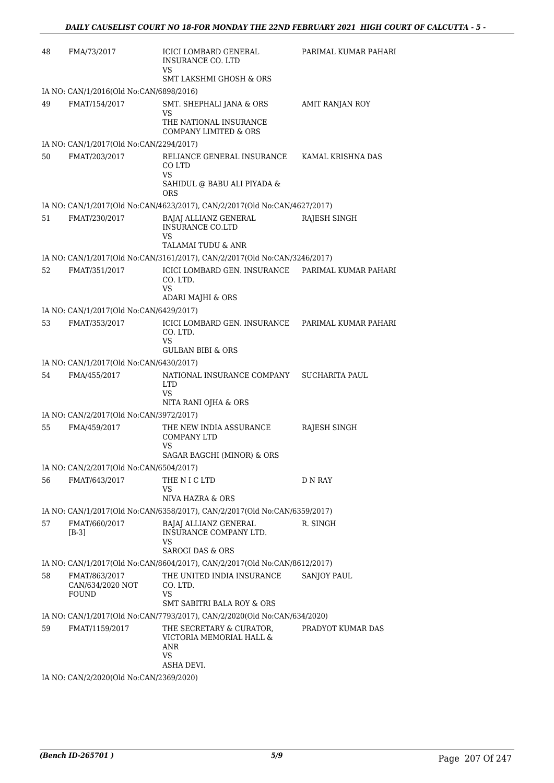| 48 | FMA/73/2017                                       | ICICI LOMBARD GENERAL<br><b>INSURANCE CO. LTD</b>                                                   | PARIMAL KUMAR PAHARI  |
|----|---------------------------------------------------|-----------------------------------------------------------------------------------------------------|-----------------------|
|    |                                                   | VS<br><b>SMT LAKSHMI GHOSH &amp; ORS</b>                                                            |                       |
|    | IA NO: CAN/1/2016(Old No:CAN/6898/2016)           |                                                                                                     |                       |
| 49 | FMAT/154/2017                                     | SMT. SHEPHALI JANA & ORS<br>VS<br>THE NATIONAL INSURANCE<br><b>COMPANY LIMITED &amp; ORS</b>        | AMIT RANJAN ROY       |
|    | IA NO: CAN/1/2017(Old No:CAN/2294/2017)           |                                                                                                     |                       |
| 50 | FMAT/203/2017                                     | RELIANCE GENERAL INSURANCE<br>CO LTD<br>VS<br>SAHIDUL @ BABU ALI PIYADA &                           | KAMAL KRISHNA DAS     |
|    |                                                   | <b>ORS</b>                                                                                          |                       |
|    |                                                   | IA NO: CAN/1/2017(Old No:CAN/4623/2017), CAN/2/2017(Old No:CAN/4627/2017)                           |                       |
| 51 | FMAT/230/2017                                     | BAJAJ ALLIANZ GENERAL<br><b>INSURANCE CO.LTD</b><br>VS<br>TALAMAI TUDU & ANR                        | RAJESH SINGH          |
|    |                                                   | IA NO: CAN/1/2017(Old No:CAN/3161/2017), CAN/2/2017(Old No:CAN/3246/2017)                           |                       |
| 52 | FMAT/351/2017                                     | ICICI LOMBARD GEN. INSURANCE<br>CO. LTD.<br>VS.<br>ADARI MAJHI & ORS                                | PARIMAL KUMAR PAHARI  |
|    | IA NO: CAN/1/2017(Old No:CAN/6429/2017)           |                                                                                                     |                       |
| 53 | FMAT/353/2017                                     | ICICI LOMBARD GEN. INSURANCE PARIMAL KUMAR PAHARI<br>CO. LTD.<br>VS<br><b>GULBAN BIBI &amp; ORS</b> |                       |
|    | IA NO: CAN/1/2017(Old No:CAN/6430/2017)           |                                                                                                     |                       |
| 54 | FMA/455/2017                                      | NATIONAL INSURANCE COMPANY<br>LTD<br><b>VS</b><br>NITA RANI OJHA & ORS                              | <b>SUCHARITA PAUL</b> |
|    | IA NO: CAN/2/2017(Old No:CAN/3972/2017)           |                                                                                                     |                       |
| 55 | FMA/459/2017                                      | THE NEW INDIA ASSURANCE<br><b>COMPANY LTD</b><br>VS<br>SAGAR BAGCHI (MINOR) & ORS                   | RAJESH SINGH          |
|    | IA NO: CAN/2/2017(Old No:CAN/6504/2017)           |                                                                                                     |                       |
| 56 | FMAT/643/2017                                     | THE N I C LTD<br>VS<br>NIVA HAZRA & ORS                                                             | D N RAY               |
|    |                                                   | IA NO: CAN/1/2017(Old No:CAN/6358/2017), CAN/2/2017(Old No:CAN/6359/2017)                           |                       |
| 57 | FMAT/660/2017<br>$[B-3]$                          | BAJAJ ALLIANZ GENERAL<br><b>INSURANCE COMPANY LTD.</b><br>VS<br><b>SAROGI DAS &amp; ORS</b>         | R. SINGH              |
|    |                                                   | IA NO: CAN/1/2017(Old No:CAN/8604/2017), CAN/2/2017(Old No:CAN/8612/2017)                           |                       |
| 58 | FMAT/863/2017<br>CAN/634/2020 NOT<br><b>FOUND</b> | THE UNITED INDIA INSURANCE<br>CO. LTD.<br>VS<br>SMT SABITRI BALA ROY & ORS                          | <b>SANJOY PAUL</b>    |
|    |                                                   | IA NO: CAN/1/2017(Old No:CAN/7793/2017), CAN/2/2020(Old No:CAN/634/2020)                            |                       |
| 59 | FMAT/1159/2017                                    | THE SECRETARY & CURATOR,<br>VICTORIA MEMORIAL HALL &<br>ANR<br>VS<br>ASHA DEVI.                     | PRADYOT KUMAR DAS     |
|    | IA NO: CAN/2/2020(Old No:CAN/2369/2020)           |                                                                                                     |                       |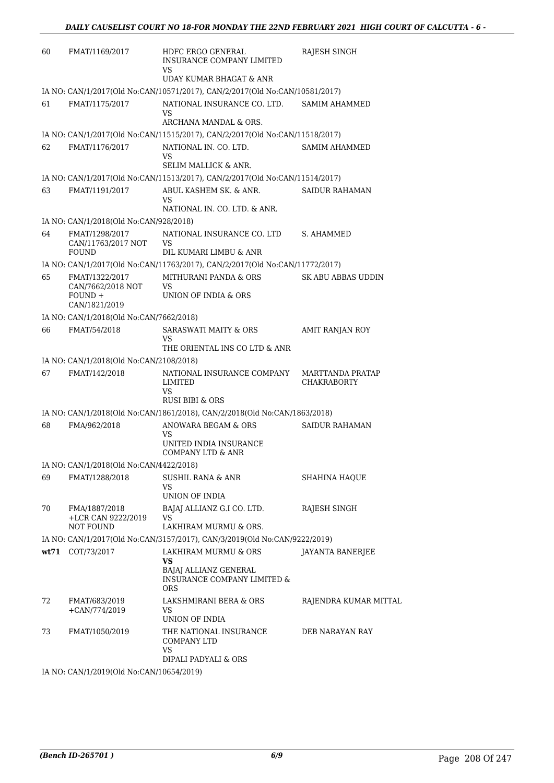| 60 | FMAT/1169/2017                                          | HDFC ERGO GENERAL<br><b>INSURANCE COMPANY LIMITED</b>                                                 | RAJESH SINGH                           |
|----|---------------------------------------------------------|-------------------------------------------------------------------------------------------------------|----------------------------------------|
|    |                                                         | VS<br>UDAY KUMAR BHAGAT & ANR                                                                         |                                        |
|    |                                                         | IA NO: CAN/1/2017(Old No:CAN/10571/2017), CAN/2/2017(Old No:CAN/10581/2017)                           |                                        |
| 61 | FMAT/1175/2017                                          | NATIONAL INSURANCE CO. LTD.<br>VS                                                                     | <b>SAMIM AHAMMED</b>                   |
|    |                                                         | ARCHANA MANDAL & ORS.                                                                                 |                                        |
|    |                                                         | IA NO: CAN/1/2017(Old No:CAN/11515/2017), CAN/2/2017(Old No:CAN/11518/2017)                           |                                        |
| 62 | FMAT/1176/2017                                          | NATIONAL IN. CO. LTD.<br>VS<br>SELIM MALLICK & ANR.                                                   | <b>SAMIM AHAMMED</b>                   |
|    |                                                         | IA NO: CAN/1/2017(Old No:CAN/11513/2017), CAN/2/2017(Old No:CAN/11514/2017)                           |                                        |
| 63 | FMAT/1191/2017                                          | ABUL KASHEM SK. & ANR.<br>VS                                                                          | <b>SAIDUR RAHAMAN</b>                  |
|    |                                                         | NATIONAL IN. CO. LTD. & ANR.                                                                          |                                        |
|    | IA NO: CAN/1/2018(Old No:CAN/928/2018)                  |                                                                                                       |                                        |
| 64 | FMAT/1298/2017<br>CAN/11763/2017 NOT                    | NATIONAL INSURANCE CO. LTD<br>VS                                                                      | S. AHAMMED                             |
|    | <b>FOUND</b>                                            | DIL KUMARI LIMBU & ANR<br>IA NO: CAN/1/2017(Old No:CAN/11763/2017), CAN/2/2017(Old No:CAN/11772/2017) |                                        |
| 65 | FMAT/1322/2017                                          | MITHURANI PANDA & ORS                                                                                 | SK ABU ABBAS UDDIN                     |
|    | CAN/7662/2018 NOT<br>$FOUND +$<br>CAN/1821/2019         | VS<br>UNION OF INDIA & ORS                                                                            |                                        |
|    | IA NO: CAN/1/2018(Old No:CAN/7662/2018)                 |                                                                                                       |                                        |
| 66 | FMAT/54/2018                                            | SARASWATI MAITY & ORS<br>VS                                                                           | AMIT RANJAN ROY                        |
|    |                                                         | THE ORIENTAL INS CO LTD & ANR                                                                         |                                        |
|    | IA NO: CAN/1/2018(Old No:CAN/2108/2018)                 |                                                                                                       |                                        |
| 67 | FMAT/142/2018                                           | NATIONAL INSURANCE COMPANY<br><b>LIMITED</b><br>VS                                                    | MARTTANDA PRATAP<br><b>CHAKRABORTY</b> |
|    |                                                         | RUSI BIBI & ORS                                                                                       |                                        |
|    |                                                         | IA NO: CAN/1/2018(Old No:CAN/1861/2018), CAN/2/2018(Old No:CAN/1863/2018)                             |                                        |
| 68 | FMA/962/2018                                            | ANOWARA BEGAM & ORS<br>VS                                                                             | <b>SAIDUR RAHAMAN</b>                  |
|    |                                                         | UNITED INDIA INSURANCE<br>COMPANY LTD & ANR                                                           |                                        |
|    | IA NO: CAN/1/2018(Old No:CAN/4422/2018)                 |                                                                                                       |                                        |
| 69 | FMAT/1288/2018                                          | <b>SUSHIL RANA &amp; ANR</b><br>VS                                                                    | <b>SHAHINA HAQUE</b>                   |
|    |                                                         | UNION OF INDIA                                                                                        |                                        |
| 70 | FMA/1887/2018<br>+LCR CAN 9222/2019<br><b>NOT FOUND</b> | BAJAJ ALLIANZ G.I CO. LTD.<br>VS<br>LAKHIRAM MURMU & ORS.                                             | RAJESH SINGH                           |
|    |                                                         | IA NO: CAN/1/2017(Old No:CAN/3157/2017), CAN/3/2019(Old No:CAN/9222/2019)                             |                                        |
|    | wt71 COT/73/2017                                        | LAKHIRAM MURMU & ORS                                                                                  | JAYANTA BANERJEE                       |
|    |                                                         | VS<br>BAJAJ ALLIANZ GENERAL<br><b>INSURANCE COMPANY LIMITED &amp;</b><br><b>ORS</b>                   |                                        |
| 72 | FMAT/683/2019<br>$+CAN/774/2019$                        | LAKSHMIRANI BERA & ORS<br>VS<br>UNION OF INDIA                                                        | RAJENDRA KUMAR MITTAL                  |
| 73 | FMAT/1050/2019                                          | THE NATIONAL INSURANCE<br>COMPANY LTD<br>VS<br>DIPALI PADYALI & ORS                                   | DEB NARAYAN RAY                        |
|    |                                                         |                                                                                                       |                                        |

IA NO: CAN/1/2019(Old No:CAN/10654/2019)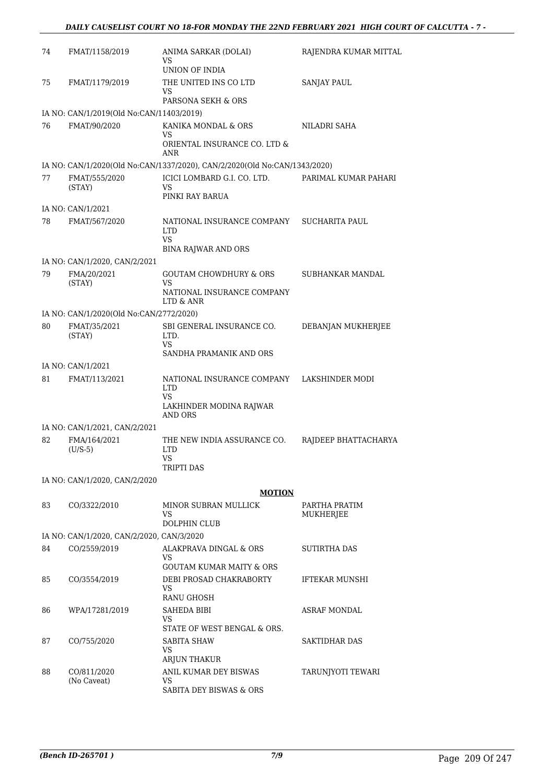| 74 | FMAT/1158/2019                            | ANIMA SARKAR (DOLAI)<br>VS<br>UNION OF INDIA                                          | RAJENDRA KUMAR MITTAL      |
|----|-------------------------------------------|---------------------------------------------------------------------------------------|----------------------------|
| 75 | FMAT/1179/2019                            | THE UNITED INS CO LTD<br>VS<br>PARSONA SEKH & ORS                                     | <b>SANJAY PAUL</b>         |
|    | IA NO: CAN/1/2019(Old No:CAN/11403/2019)  |                                                                                       |                            |
| 76 | FMAT/90/2020                              | KANIKA MONDAL & ORS<br>VS<br>ORIENTAL INSURANCE CO. LTD &<br>ANR                      | NILADRI SAHA               |
|    |                                           | IA NO: CAN/1/2020(Old No:CAN/1337/2020), CAN/2/2020(Old No:CAN/1343/2020)             |                            |
| 77 | FMAT/555/2020<br>(STAY)                   | ICICI LOMBARD G.I. CO. LTD.<br>VS<br>PINKI RAY BARUA                                  | PARIMAL KUMAR PAHARI       |
|    | IA NO: CAN/1/2021                         |                                                                                       |                            |
| 78 | FMAT/567/2020                             | NATIONAL INSURANCE COMPANY<br><b>LTD</b><br>VS<br><b>BINA RAJWAR AND ORS</b>          | SUCHARITA PAUL             |
|    | IA NO: CAN/1/2020, CAN/2/2021             |                                                                                       |                            |
| 79 | FMA/20/2021<br>(STAY)                     | <b>GOUTAM CHOWDHURY &amp; ORS</b><br>VS<br>NATIONAL INSURANCE COMPANY<br>LTD & ANR    | SUBHANKAR MANDAL           |
|    | IA NO: CAN/1/2020(Old No:CAN/2772/2020)   |                                                                                       |                            |
| 80 | FMAT/35/2021<br>(STAY)                    | SBI GENERAL INSURANCE CO.<br>LTD.<br>VS<br>SANDHA PRAMANIK AND ORS                    | DEBANJAN MUKHERJEE         |
|    | IA NO: CAN/1/2021                         |                                                                                       |                            |
| 81 | FMAT/113/2021                             | NATIONAL INSURANCE COMPANY<br><b>LTD</b><br>VS.<br>LAKHINDER MODINA RAJWAR<br>AND ORS | LAKSHINDER MODI            |
|    | IA NO: CAN/1/2021, CAN/2/2021             |                                                                                       |                            |
| 82 | FMA/164/2021<br>$(U/S-5)$                 | THE NEW INDIA ASSURANCE CO.<br><b>LTD</b><br>VS.<br>TRIPTI DAS                        | RAJDEEP BHATTACHARYA       |
|    | IA NO: CAN/1/2020, CAN/2/2020             |                                                                                       |                            |
|    |                                           | <b>MOTION</b>                                                                         |                            |
| 83 | CO/3322/2010                              | MINOR SUBRAN MULLICK<br>VS<br>DOLPHIN CLUB                                            | PARTHA PRATIM<br>MUKHERJEE |
|    | IA NO: CAN/1/2020, CAN/2/2020, CAN/3/2020 |                                                                                       |                            |
| 84 | CO/2559/2019                              | ALAKPRAVA DINGAL & ORS<br>VS<br><b>GOUTAM KUMAR MAITY &amp; ORS</b>                   | SUTIRTHA DAS               |
| 85 | CO/3554/2019                              | DEBI PROSAD CHAKRABORTY<br>VS<br>RANU GHOSH                                           | <b>IFTEKAR MUNSHI</b>      |
| 86 | WPA/17281/2019                            | SAHEDA BIBI<br>VS<br>STATE OF WEST BENGAL & ORS.                                      | ASRAF MONDAL               |
| 87 | CO/755/2020                               | SABITA SHAW<br>VS<br>ARJUN THAKUR                                                     | <b>SAKTIDHAR DAS</b>       |
| 88 | CO/811/2020<br>(No Caveat)                | ANIL KUMAR DEY BISWAS<br>VS<br>SABITA DEY BISWAS & ORS                                | TARUNJYOTI TEWARI          |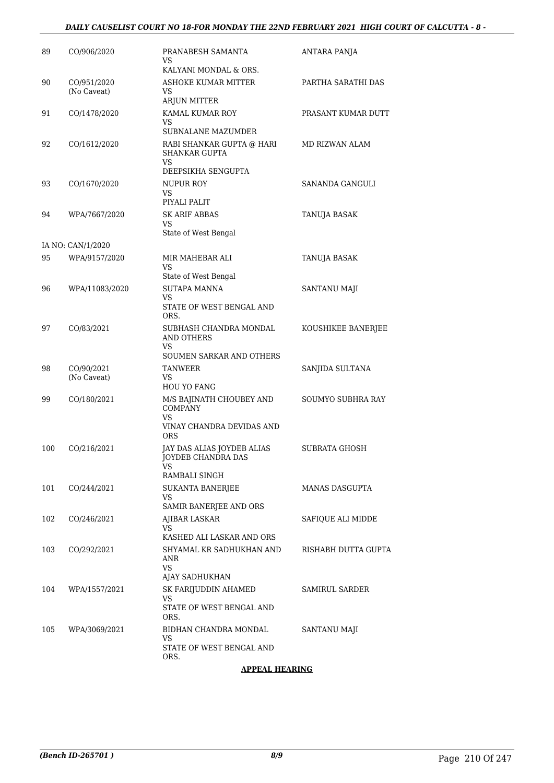#### *DAILY CAUSELIST COURT NO 18-FOR MONDAY THE 22ND FEBRUARY 2021 HIGH COURT OF CALCUTTA - 8 -*

| 89  | CO/906/2020                | PRANABESH SAMANTA<br>VS<br>KALYANI MONDAL & ORS.                              | ANTARA PANJA             |
|-----|----------------------------|-------------------------------------------------------------------------------|--------------------------|
| 90  | CO/951/2020<br>(No Caveat) | ASHOKE KUMAR MITTER<br>VS<br>ARJUN MITTER                                     | PARTHA SARATHI DAS       |
| 91  | CO/1478/2020               | KAMAL KUMAR ROY<br>VS<br><b>SUBNALANE MAZUMDER</b>                            | PRASANT KUMAR DUTT       |
| 92  | CO/1612/2020               | RABI SHANKAR GUPTA @ HARI<br><b>SHANKAR GUPTA</b><br>VS<br>DEEPSIKHA SENGUPTA | MD RIZWAN ALAM           |
| 93  | CO/1670/2020               | NUPUR ROY<br>VS<br>PIYALI PALIT                                               | SANANDA GANGULI          |
| 94  | WPA/7667/2020              | <b>SK ARIF ABBAS</b><br>VS<br>State of West Bengal                            | TANUJA BASAK             |
|     | IA NO: CAN/1/2020          |                                                                               |                          |
| 95  | WPA/9157/2020              | MIR MAHEBAR ALI<br>VS                                                         | TANUJA BASAK             |
| 96  | WPA/11083/2020             | State of West Bengal<br><b>SUTAPA MANNA</b><br>VS                             | SANTANU MAJI             |
|     |                            | STATE OF WEST BENGAL AND<br>ORS.                                              |                          |
| 97  | CO/83/2021                 | SUBHASH CHANDRA MONDAL<br><b>AND OTHERS</b><br>VS<br>SOUMEN SARKAR AND OTHERS | KOUSHIKEE BANERJEE       |
| 98  | CO/90/2021<br>(No Caveat)  | <b>TANWEER</b><br>VS<br><b>HOU YO FANG</b>                                    | SANJIDA SULTANA          |
| 99  | CO/180/2021                | M/S BAJINATH CHOUBEY AND<br><b>COMPANY</b><br>VS<br>VINAY CHANDRA DEVIDAS AND | <b>SOUMYO SUBHRA RAY</b> |
| 100 | CO/216/2021                | <b>ORS</b><br>JAY DAS ALIAS JOYDEB ALIAS<br>JOYDEB CHANDRA DAS<br>VS.         | SUBRATA GHOSH            |
| 101 |                            | RAMBALI SINGH                                                                 | MANAS DASGUPTA           |
|     | CO/244/2021                | SUKANTA BANERJEE<br>VS<br>SAMIR BANERJEE AND ORS                              |                          |
| 102 | CO/246/2021                | AJIBAR LASKAR<br>VS<br>KASHED ALI LASKAR AND ORS                              | SAFIQUE ALI MIDDE        |
| 103 | CO/292/2021                | SHYAMAL KR SADHUKHAN AND<br>ANR<br>VS<br>AJAY SADHUKHAN                       | RISHABH DUTTA GUPTA      |
| 104 | WPA/1557/2021              | SK FARIJUDDIN AHAMED<br>VS<br>STATE OF WEST BENGAL AND                        | SAMIRUL SARDER           |
| 105 | WPA/3069/2021              | ORS.<br>BIDHAN CHANDRA MONDAL<br>VS<br>STATE OF WEST BENGAL AND<br>ORS.       | SANTANU MAJI             |

#### **APPEAL HEARING**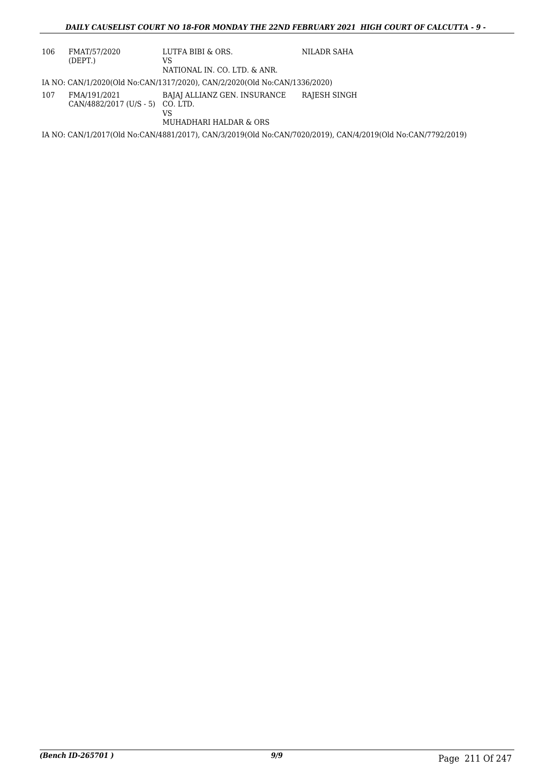#### *DAILY CAUSELIST COURT NO 18-FOR MONDAY THE 22ND FEBRUARY 2021 HIGH COURT OF CALCUTTA - 9 -*

| 106 | FMAT/57/2020<br>(DEPT.)                            | LUTFA BIBI & ORS.<br>VS<br>NATIONAL IN. CO. LTD. & ANR.                   | NILADR SAHA                                                                                                 |
|-----|----------------------------------------------------|---------------------------------------------------------------------------|-------------------------------------------------------------------------------------------------------------|
|     |                                                    | IA NO: CAN/1/2020(Old No:CAN/1317/2020), CAN/2/2020(Old No:CAN/1336/2020) |                                                                                                             |
| 107 | FMA/191/2021<br>$CAN/4882/2017$ (U/S - 5) CO. LTD. | BAJAJ ALLIANZ GEN. INSURANCE<br>VS<br>MUHADHARI HALDAR & ORS              | RAJESH SINGH                                                                                                |
|     |                                                    |                                                                           | IA NO: CAN/1/2017(Old No:CAN/4881/2017), CAN/3/2019(Old No:CAN/7020/2019), CAN/4/2019(Old No:CAN/7792/2019) |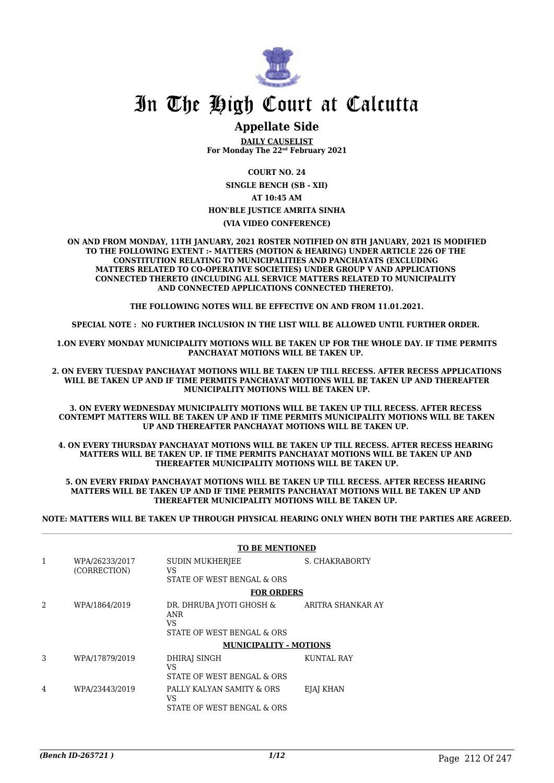

### **Appellate Side**

**DAILY CAUSELIST For Monday The 22nd February 2021**

**COURT NO. 24**

**SINGLE BENCH (SB - XII)**

**AT 10:45 AM**

## **HON'BLE JUSTICE AMRITA SINHA**

**(VIA VIDEO CONFERENCE)**

**ON AND FROM MONDAY, 11TH JANUARY, 2021 ROSTER NOTIFIED ON 8TH JANUARY, 2021 IS MODIFIED TO THE FOLLOWING EXTENT :- MATTERS (MOTION & HEARING) UNDER ARTICLE 226 OF THE CONSTITUTION RELATING TO MUNICIPALITIES AND PANCHAYATS (EXCLUDING MATTERS RELATED TO CO-OPERATIVE SOCIETIES) UNDER GROUP V AND APPLICATIONS CONNECTED THERETO (INCLUDING ALL SERVICE MATTERS RELATED TO MUNICIPALITY AND CONNECTED APPLICATIONS CONNECTED THERETO).** 

**THE FOLLOWING NOTES WILL BE EFFECTIVE ON AND FROM 11.01.2021.**

**SPECIAL NOTE : NO FURTHER INCLUSION IN THE LIST WILL BE ALLOWED UNTIL FURTHER ORDER.** 

**1.ON EVERY MONDAY MUNICIPALITY MOTIONS WILL BE TAKEN UP FOR THE WHOLE DAY. IF TIME PERMITS PANCHAYAT MOTIONS WILL BE TAKEN UP.** 

**2. ON EVERY TUESDAY PANCHAYAT MOTIONS WILL BE TAKEN UP TILL RECESS. AFTER RECESS APPLICATIONS WILL BE TAKEN UP AND IF TIME PERMITS PANCHAYAT MOTIONS WILL BE TAKEN UP AND THEREAFTER MUNICIPALITY MOTIONS WILL BE TAKEN UP.**

**3. ON EVERY WEDNESDAY MUNICIPALITY MOTIONS WILL BE TAKEN UP TILL RECESS. AFTER RECESS CONTEMPT MATTERS WILL BE TAKEN UP AND IF TIME PERMITS MUNICIPALITY MOTIONS WILL BE TAKEN UP AND THEREAFTER PANCHAYAT MOTIONS WILL BE TAKEN UP.** 

**4. ON EVERY THURSDAY PANCHAYAT MOTIONS WILL BE TAKEN UP TILL RECESS. AFTER RECESS HEARING MATTERS WILL BE TAKEN UP. IF TIME PERMITS PANCHAYAT MOTIONS WILL BE TAKEN UP AND THEREAFTER MUNICIPALITY MOTIONS WILL BE TAKEN UP.**

**5. ON EVERY FRIDAY PANCHAYAT MOTIONS WILL BE TAKEN UP TILL RECESS. AFTER RECESS HEARING MATTERS WILL BE TAKEN UP AND IF TIME PERMITS PANCHAYAT MOTIONS WILL BE TAKEN UP AND THEREAFTER MUNICIPALITY MOTIONS WILL BE TAKEN UP.** 

**NOTE: MATTERS WILL BE TAKEN UP THROUGH PHYSICAL HEARING ONLY WHEN BOTH THE PARTIES ARE AGREED.**

|   |                                | <b>TO BE MENTIONED</b>                                        |                       |
|---|--------------------------------|---------------------------------------------------------------|-----------------------|
| 1 | WPA/26233/2017<br>(CORRECTION) | <b>SUDIN MUKHERJEE</b><br>VS                                  | <b>S. CHAKRABORTY</b> |
|   |                                | STATE OF WEST BENGAL & ORS                                    |                       |
|   |                                | <b>FOR ORDERS</b>                                             |                       |
| 2 | WPA/1864/2019                  | DR. DHRUBA IYOTI GHOSH &<br><b>ANR</b><br>VS                  | ARITRA SHANKAR AY     |
|   |                                | STATE OF WEST BENGAL & ORS                                    |                       |
|   |                                | <b>MUNICIPALITY - MOTIONS</b>                                 |                       |
| 3 | WPA/17879/2019                 | DHIRAI SINGH<br>VS<br>STATE OF WEST BENGAL & ORS              | KUNTAL RAY            |
| 4 | WPA/23443/2019                 | PALLY KALYAN SAMITY & ORS<br>VS<br>STATE OF WEST BENGAL & ORS | EJAJ KHAN             |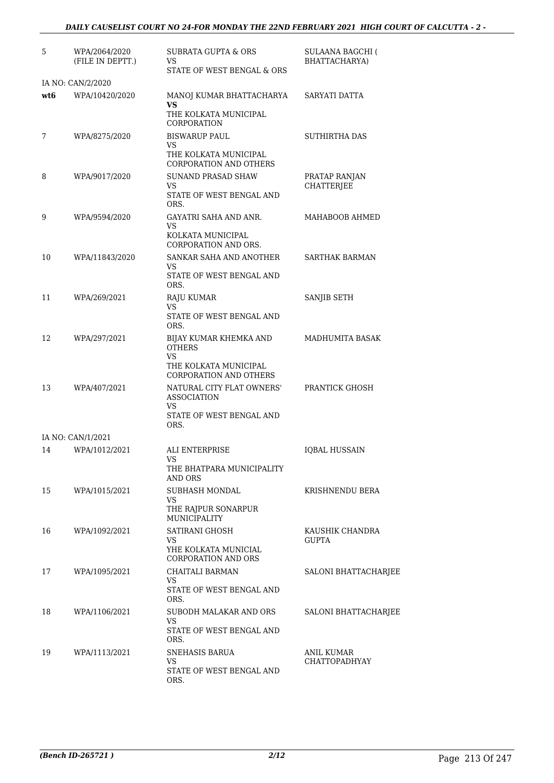| 5   | WPA/2064/2020<br>(FILE IN DEPTT.) | <b>SUBRATA GUPTA &amp; ORS</b><br>VS<br>STATE OF WEST BENGAL & ORS                                       | <b>SULAANA BAGCHI (</b><br>BHATTACHARYA) |
|-----|-----------------------------------|----------------------------------------------------------------------------------------------------------|------------------------------------------|
|     | IA NO: CAN/2/2020                 |                                                                                                          |                                          |
| wt6 | WPA/10420/2020                    | MANOJ KUMAR BHATTACHARYA<br>VS<br>THE KOLKATA MUNICIPAL<br>CORPORATION                                   | SARYATI DATTA                            |
| 7   | WPA/8275/2020                     | <b>BISWARUP PAUL</b><br>VS<br>THE KOLKATA MUNICIPAL                                                      | <b>SUTHIRTHA DAS</b>                     |
| 8   | WPA/9017/2020                     | <b>CORPORATION AND OTHERS</b><br><b>SUNAND PRASAD SHAW</b><br>VS.<br>STATE OF WEST BENGAL AND<br>ORS.    | PRATAP RANJAN<br><b>CHATTERJEE</b>       |
| 9   | WPA/9594/2020                     | GAYATRI SAHA AND ANR.<br>VS<br>KOLKATA MUNICIPAL                                                         | MAHABOOB AHMED                           |
| 10  | WPA/11843/2020                    | CORPORATION AND ORS.<br>SANKAR SAHA AND ANOTHER<br>VS<br>STATE OF WEST BENGAL AND                        | <b>SARTHAK BARMAN</b>                    |
| 11  | WPA/269/2021                      | ORS.<br>RAJU KUMAR<br>VS<br>STATE OF WEST BENGAL AND                                                     | SANJIB SETH                              |
| 12  | WPA/297/2021                      | ORS.<br>BIJAY KUMAR KHEMKA AND<br><b>OTHERS</b><br>VS<br>THE KOLKATA MUNICIPAL<br>CORPORATION AND OTHERS | MADHUMITA BASAK                          |
| 13  | WPA/407/2021                      | NATURAL CITY FLAT OWNERS'<br><b>ASSOCIATION</b><br>VS<br>STATE OF WEST BENGAL AND<br>ORS.                | PRANTICK GHOSH                           |
|     | IA NO: CAN/1/2021                 |                                                                                                          |                                          |
| 14  | WPA/1012/2021                     | ALI ENTERPRISE<br><b>VS</b><br>THE BHATPARA MUNICIPALITY<br>AND ORS                                      | <b>IQBAL HUSSAIN</b>                     |
| 15  | WPA/1015/2021                     | SUBHASH MONDAL<br>VS.<br>THE RAJPUR SONARPUR<br>MUNICIPALITY                                             | KRISHNENDU BERA                          |
| 16  | WPA/1092/2021                     | SATIRANI GHOSH<br>VS<br>YHE KOLKATA MUNICIAL<br><b>CORPORATION AND ORS</b>                               | KAUSHIK CHANDRA<br><b>GUPTA</b>          |
| 17  | WPA/1095/2021                     | CHAITALI BARMAN<br>VS.<br>STATE OF WEST BENGAL AND<br>ORS.                                               | SALONI BHATTACHARJEE                     |
| 18  | WPA/1106/2021                     | SUBODH MALAKAR AND ORS<br>VS<br>STATE OF WEST BENGAL AND<br>ORS.                                         | SALONI BHATTACHARJEE                     |
| 19  | WPA/1113/2021                     | SNEHASIS BARUA<br>VS<br>STATE OF WEST BENGAL AND<br>ORS.                                                 | ANIL KUMAR<br><b>CHATTOPADHYAY</b>       |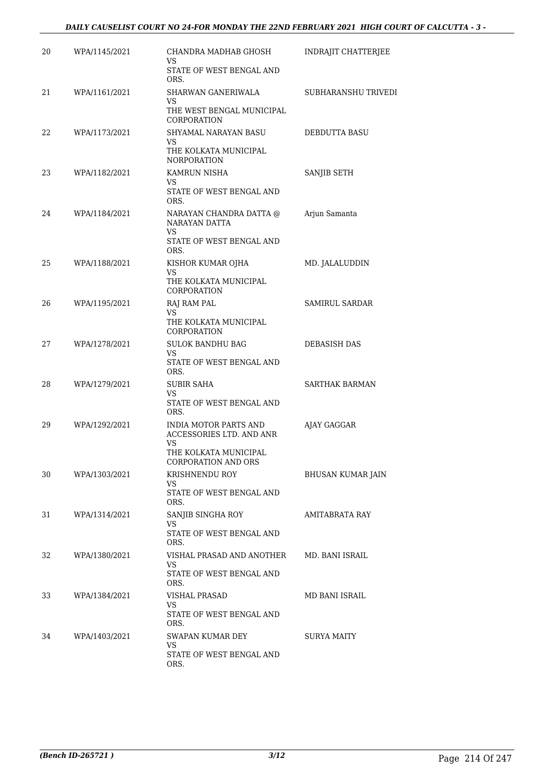#### *DAILY CAUSELIST COURT NO 24-FOR MONDAY THE 22ND FEBRUARY 2021 HIGH COURT OF CALCUTTA - 3 -*

| 20 | WPA/1145/2021 | CHANDRA MADHAB GHOSH<br>VS                                     | INDRAJIT CHATTERJEE   |
|----|---------------|----------------------------------------------------------------|-----------------------|
|    |               | STATE OF WEST BENGAL AND<br>ORS.                               |                       |
| 21 | WPA/1161/2021 | SHARWAN GANERIWALA<br>VS                                       | SUBHARANSHU TRIVEDI   |
|    |               | THE WEST BENGAL MUNICIPAL<br>CORPORATION                       |                       |
| 22 | WPA/1173/2021 | SHYAMAL NARAYAN BASU<br>VS<br>THE KOLKATA MUNICIPAL            | DEBDUTTA BASU         |
|    |               | <b>NORPORATION</b>                                             |                       |
| 23 | WPA/1182/2021 | KAMRUN NISHA<br>VS.                                            | SANJIB SETH           |
|    |               | STATE OF WEST BENGAL AND<br>ORS.                               |                       |
| 24 | WPA/1184/2021 | NARAYAN CHANDRA DATTA @<br>NARAYAN DATTA<br>VS.                | Arjun Samanta         |
|    |               | STATE OF WEST BENGAL AND<br>ORS.                               |                       |
| 25 | WPA/1188/2021 | KISHOR KUMAR OJHA<br>VS                                        | MD. JALALUDDIN        |
|    |               | THE KOLKATA MUNICIPAL<br>CORPORATION                           |                       |
| 26 | WPA/1195/2021 | RAJ RAM PAL<br>VS.                                             | <b>SAMIRUL SARDAR</b> |
|    |               | THE KOLKATA MUNICIPAL<br>CORPORATION                           |                       |
| 27 | WPA/1278/2021 | <b>SULOK BANDHU BAG</b><br>VS.                                 | DEBASISH DAS          |
|    |               | STATE OF WEST BENGAL AND<br>ORS.                               |                       |
| 28 | WPA/1279/2021 | SUBIR SAHA<br>VS                                               | <b>SARTHAK BARMAN</b> |
|    |               | STATE OF WEST BENGAL AND<br>ORS.                               |                       |
| 29 | WPA/1292/2021 | <b>INDIA MOTOR PARTS AND</b><br>ACCESSORIES LTD. AND ANR<br>VS | AJAY GAGGAR           |
|    |               | THE KOLKATA MUNICIPAL<br>CORPORATION AND ORS                   |                       |
| 30 | WPA/1303/2021 | KRISHNENDU ROY<br>VS                                           | BHUSAN KUMAR JAIN     |
|    |               | STATE OF WEST BENGAL AND<br>ORS.                               |                       |
| 31 | WPA/1314/2021 | SANJIB SINGHA ROY<br>VS                                        | AMITABRATA RAY        |
|    |               | STATE OF WEST BENGAL AND<br>ORS.                               |                       |
| 32 | WPA/1380/2021 | VISHAL PRASAD AND ANOTHER<br>VS                                | MD. BANI ISRAIL       |
|    |               | STATE OF WEST BENGAL AND<br>ORS.                               |                       |
| 33 | WPA/1384/2021 | VISHAL PRASAD<br>VS                                            | MD BANI ISRAIL        |
|    |               | STATE OF WEST BENGAL AND<br>ORS.                               |                       |
| 34 | WPA/1403/2021 | SWAPAN KUMAR DEY<br>VS                                         | SURYA MAITY           |
|    |               | STATE OF WEST BENGAL AND<br>ORS.                               |                       |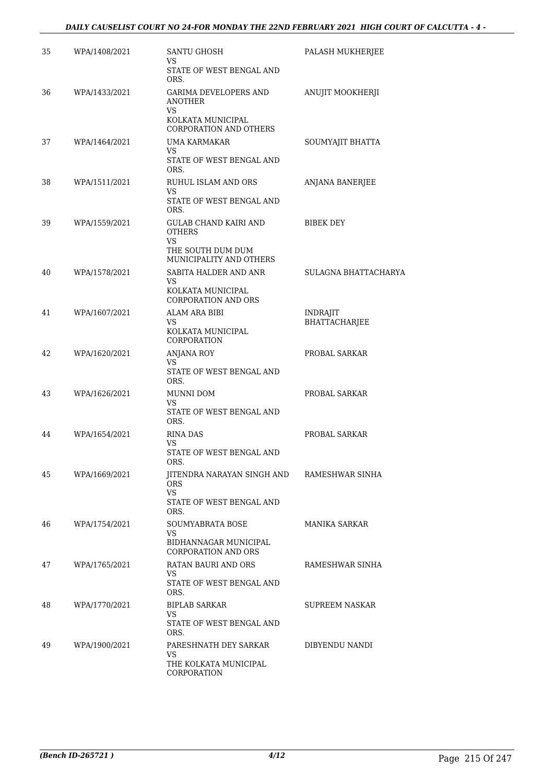| 35 | WPA/1408/2021 | <b>SANTU GHOSH</b><br>VS                                                 | PALASH MUKHERJEE                        |
|----|---------------|--------------------------------------------------------------------------|-----------------------------------------|
|    |               | STATE OF WEST BENGAL AND<br>ORS.                                         |                                         |
| 36 | WPA/1433/2021 | GARIMA DEVELOPERS AND<br><b>ANOTHER</b><br>VS                            | ANUJIT MOOKHERJI                        |
|    |               | KOLKATA MUNICIPAL<br>CORPORATION AND OTHERS                              |                                         |
| 37 | WPA/1464/2021 | <b>UMA KARMAKAR</b><br>VS<br>STATE OF WEST BENGAL AND<br>ORS.            | SOUMYAJIT BHATTA                        |
| 38 | WPA/1511/2021 | RUHUL ISLAM AND ORS<br>VS.<br>STATE OF WEST BENGAL AND<br>ORS.           | ANJANA BANERJEE                         |
| 39 | WPA/1559/2021 | <b>GULAB CHAND KAIRI AND</b><br><b>OTHERS</b><br>VS<br>THE SOUTH DUM DUM | BIBEK DEY                               |
|    |               | MUNICIPALITY AND OTHERS                                                  |                                         |
| 40 | WPA/1578/2021 | SABITA HALDER AND ANR<br>VS.                                             | SULAGNA BHATTACHARYA                    |
|    |               | KOLKATA MUNICIPAL<br><b>CORPORATION AND ORS</b>                          |                                         |
| 41 | WPA/1607/2021 | <b>ALAM ARA BIBI</b><br>VS.<br>KOLKATA MUNICIPAL                         | <b>INDRAJIT</b><br><b>BHATTACHARJEE</b> |
| 42 | WPA/1620/2021 | CORPORATION<br><b>ANJANA ROY</b><br>VS                                   | PROBAL SARKAR                           |
|    |               | STATE OF WEST BENGAL AND<br>ORS.                                         |                                         |
| 43 | WPA/1626/2021 | MUNNI DOM<br>VS.<br>STATE OF WEST BENGAL AND<br>ORS.                     | PROBAL SARKAR                           |
| 44 | WPA/1654/2021 | RINA DAS<br>VS<br>STATE OF WEST BENGAL AND                               | PROBAL SARKAR                           |
|    |               | ORS.                                                                     |                                         |
| 45 | WPA/1669/2021 | <b>IITENDRA NARAYAN SINGH AND RAMESHWAR SINHA</b><br><b>ORS</b><br>VS.   |                                         |
|    |               | STATE OF WEST BENGAL AND<br>ORS.                                         |                                         |
| 46 | WPA/1754/2021 | SOUMYABRATA BOSE<br>VS.                                                  | MANIKA SARKAR                           |
|    |               | BIDHANNAGAR MUNICIPAL<br><b>CORPORATION AND ORS</b>                      |                                         |
| 47 | WPA/1765/2021 | RATAN BAURI AND ORS<br>VS.                                               | RAMESHWAR SINHA                         |
|    |               | STATE OF WEST BENGAL AND<br>ORS.                                         |                                         |
| 48 | WPA/1770/2021 | <b>BIPLAB SARKAR</b><br>VS                                               | SUPREEM NASKAR                          |
|    |               | STATE OF WEST BENGAL AND<br>ORS.                                         |                                         |
| 49 | WPA/1900/2021 | PARESHNATH DEY SARKAR<br>VS.                                             | DIBYENDU NANDI                          |
|    |               | THE KOLKATA MUNICIPAL<br>CORPORATION                                     |                                         |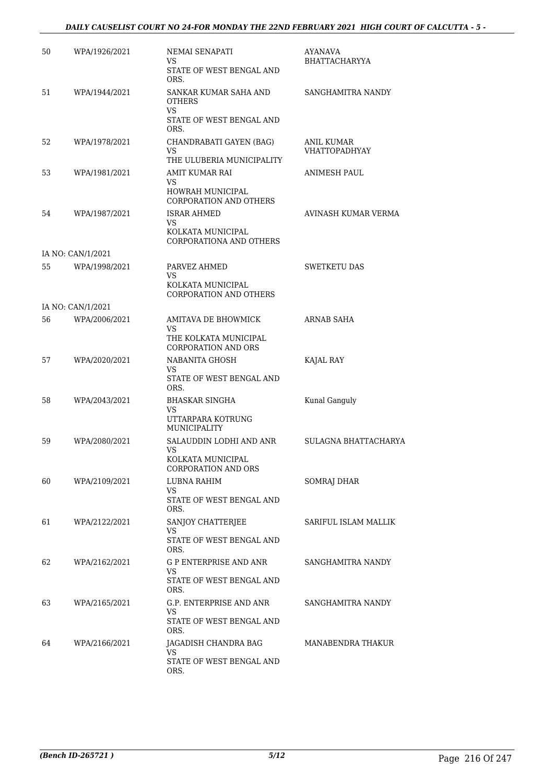## *DAILY CAUSELIST COURT NO 24-FOR MONDAY THE 22ND FEBRUARY 2021 HIGH COURT OF CALCUTTA - 5 -*

| 50 | WPA/1926/2021     | NEMAI SENAPATI<br>VS                                        | AYANAVA<br><b>BHATTACHARYYA</b>    |
|----|-------------------|-------------------------------------------------------------|------------------------------------|
|    |                   | STATE OF WEST BENGAL AND<br>ORS.                            |                                    |
| 51 | WPA/1944/2021     | SANKAR KUMAR SAHA AND<br><b>OTHERS</b><br>VS                | SANGHAMITRA NANDY                  |
|    |                   | STATE OF WEST BENGAL AND<br>ORS.                            |                                    |
| 52 | WPA/1978/2021     | CHANDRABATI GAYEN (BAG)<br>VS.<br>THE ULUBERIA MUNICIPALITY | ANIL KUMAR<br><b>VHATTOPADHYAY</b> |
| 53 | WPA/1981/2021     | AMIT KUMAR RAI                                              | ANIMESH PAUL                       |
|    |                   | VS<br>HOWRAH MUNICIPAL<br>CORPORATION AND OTHERS            |                                    |
| 54 | WPA/1987/2021     | <b>ISRAR AHMED</b><br>VS.                                   | AVINASH KUMAR VERMA                |
|    |                   | KOLKATA MUNICIPAL<br>CORPORATIONA AND OTHERS                |                                    |
|    | IA NO: CAN/1/2021 |                                                             |                                    |
| 55 | WPA/1998/2021     | PARVEZ AHMED<br>VS                                          | <b>SWETKETU DAS</b>                |
|    |                   | KOLKATA MUNICIPAL<br><b>CORPORATION AND OTHERS</b>          |                                    |
|    | IA NO: CAN/1/2021 |                                                             |                                    |
| 56 | WPA/2006/2021     | AMITAVA DE BHOWMICK<br>VS.<br>THE KOLKATA MUNICIPAL         | ARNAB SAHA                         |
|    |                   | <b>CORPORATION AND ORS</b>                                  |                                    |
| 57 | WPA/2020/2021     | NABANITA GHOSH<br>VS.                                       | KAJAL RAY                          |
|    |                   | STATE OF WEST BENGAL AND<br>ORS.                            |                                    |
| 58 | WPA/2043/2021     | <b>BHASKAR SINGHA</b><br>VS                                 | Kunal Ganguly                      |
|    |                   | UTTARPARA KOTRUNG<br><b>MUNICIPALITY</b>                    |                                    |
| 59 | WPA/2080/2021     | SALAUDDIN LODHI AND ANR<br>VS                               | SULAGNA BHATTACHARYA               |
|    |                   | KOLKATA MUNICIPAL<br><b>CORPORATION AND ORS</b>             |                                    |
| 60 | WPA/2109/2021     | LUBNA RAHIM<br>VS.                                          | SOMRAJ DHAR                        |
|    |                   | STATE OF WEST BENGAL AND<br>ORS.                            |                                    |
| 61 | WPA/2122/2021     | SANJOY CHATTERJEE<br>VS.                                    | SARIFUL ISLAM MALLIK               |
|    |                   | STATE OF WEST BENGAL AND<br>ORS.                            |                                    |
| 62 | WPA/2162/2021     | <b>G P ENTERPRISE AND ANR</b><br>VS.                        | SANGHAMITRA NANDY                  |
|    |                   | STATE OF WEST BENGAL AND<br>ORS.                            |                                    |
| 63 | WPA/2165/2021     | G.P. ENTERPRISE AND ANR<br>VS                               | SANGHAMITRA NANDY                  |
|    |                   | STATE OF WEST BENGAL AND<br>ORS.                            |                                    |
| 64 | WPA/2166/2021     | JAGADISH CHANDRA BAG<br>VS.                                 | MANABENDRA THAKUR                  |
|    |                   | STATE OF WEST BENGAL AND<br>ORS.                            |                                    |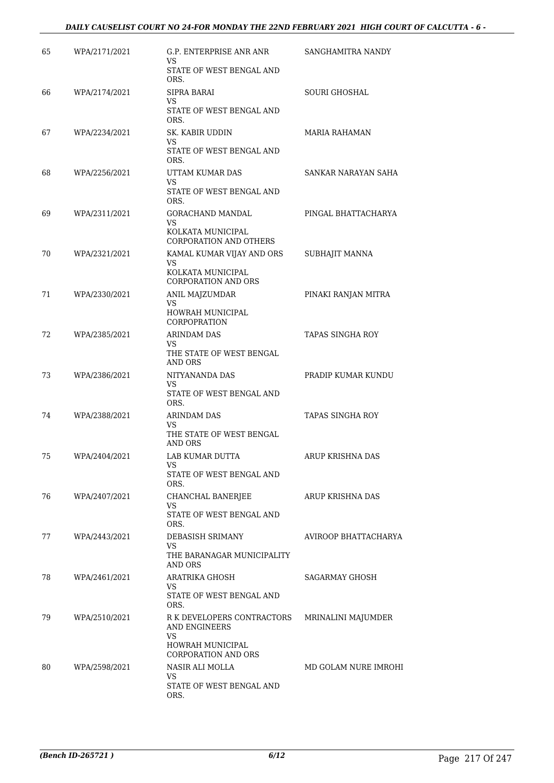## *DAILY CAUSELIST COURT NO 24-FOR MONDAY THE 22ND FEBRUARY 2021 HIGH COURT OF CALCUTTA - 6 -*

| 65 | WPA/2171/2021 | G.P. ENTERPRISE ANR ANR<br>VS                   | SANGHAMITRA NANDY       |
|----|---------------|-------------------------------------------------|-------------------------|
|    |               | STATE OF WEST BENGAL AND<br>ORS.                |                         |
| 66 | WPA/2174/2021 | <b>SIPRA BARAI</b><br>VS                        | SOURI GHOSHAL           |
|    |               | STATE OF WEST BENGAL AND<br>ORS.                |                         |
| 67 | WPA/2234/2021 | SK. KABIR UDDIN<br>VS                           | MARIA RAHAMAN           |
|    |               | STATE OF WEST BENGAL AND<br>ORS.                |                         |
| 68 | WPA/2256/2021 | UTTAM KUMAR DAS<br>VS                           | SANKAR NARAYAN SAHA     |
|    |               | STATE OF WEST BENGAL AND<br>ORS.                |                         |
| 69 | WPA/2311/2021 | GORACHAND MANDAL<br>VS                          | PINGAL BHATTACHARYA     |
|    |               | KOLKATA MUNICIPAL<br>CORPORATION AND OTHERS     |                         |
| 70 | WPA/2321/2021 | KAMAL KUMAR VIJAY AND ORS<br>VS                 | SUBHAJIT MANNA          |
|    |               | KOLKATA MUNICIPAL<br><b>CORPORATION AND ORS</b> |                         |
| 71 | WPA/2330/2021 | ANIL MAJZUMDAR<br>VS.                           | PINAKI RANJAN MITRA     |
|    |               | HOWRAH MUNICIPAL<br><b>CORPOPRATION</b>         |                         |
| 72 | WPA/2385/2021 | <b>ARINDAM DAS</b><br>VS                        | TAPAS SINGHA ROY        |
|    |               | THE STATE OF WEST BENGAL<br><b>AND ORS</b>      |                         |
| 73 | WPA/2386/2021 | NITYANANDA DAS<br>VS                            | PRADIP KUMAR KUNDU      |
|    |               | STATE OF WEST BENGAL AND<br>ORS.                |                         |
| 74 | WPA/2388/2021 | <b>ARINDAM DAS</b><br>VS                        | <b>TAPAS SINGHA ROY</b> |
|    |               | THE STATE OF WEST BENGAL<br><b>AND ORS</b>      |                         |
| 75 | WPA/2404/2021 | LAB KUMAR DUTTA<br>VS                           | ARUP KRISHNA DAS        |
|    |               | STATE OF WEST BENGAL AND<br>ORS.                |                         |
| 76 | WPA/2407/2021 | CHANCHAL BANERJEE<br>VS                         | ARUP KRISHNA DAS        |
|    |               | STATE OF WEST BENGAL AND<br>ORS.                |                         |
| 77 | WPA/2443/2021 | DEBASISH SRIMANY<br>VS                          | AVIROOP BHATTACHARYA    |
|    |               | THE BARANAGAR MUNICIPALITY<br><b>AND ORS</b>    |                         |
| 78 | WPA/2461/2021 | ARATRIKA GHOSH<br>VS                            | SAGARMAY GHOSH          |
|    |               | STATE OF WEST BENGAL AND<br>ORS.                |                         |
| 79 | WPA/2510/2021 | R K DEVELOPERS CONTRACTORS<br>AND ENGINEERS     | MRINALINI MAJUMDER      |
|    |               | VS<br>HOWRAH MUNICIPAL                          |                         |
|    |               | <b>CORPORATION AND ORS</b>                      |                         |
| 80 | WPA/2598/2021 | NASIR ALI MOLLA<br>VS                           | MD GOLAM NURE IMROHI    |
|    |               | STATE OF WEST BENGAL AND<br>ORS.                |                         |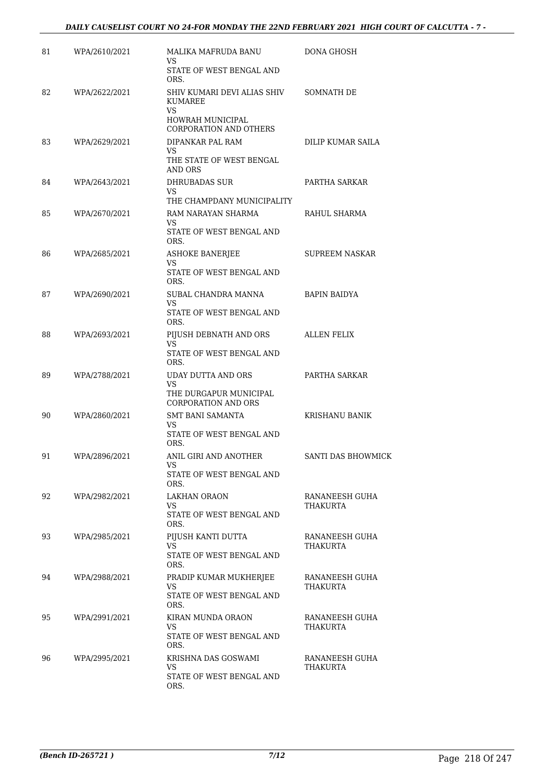| 81 | WPA/2610/2021 | MALIKA MAFRUDA BANU<br>VS                                  | DONA GHOSH                 |
|----|---------------|------------------------------------------------------------|----------------------------|
|    |               | STATE OF WEST BENGAL AND<br>ORS.                           |                            |
| 82 | WPA/2622/2021 | SHIV KUMARI DEVI ALIAS SHIV<br><b>KUMAREE</b><br><b>VS</b> | SOMNATH DE                 |
|    |               | HOWRAH MUNICIPAL<br>CORPORATION AND OTHERS                 |                            |
| 83 | WPA/2629/2021 | DIPANKAR PAL RAM<br>VS                                     | DILIP KUMAR SAILA          |
|    |               | THE STATE OF WEST BENGAL<br>AND ORS                        |                            |
| 84 | WPA/2643/2021 | DHRUBADAS SUR<br>VS                                        | PARTHA SARKAR              |
|    |               | THE CHAMPDANY MUNICIPALITY                                 |                            |
| 85 | WPA/2670/2021 | RAM NARAYAN SHARMA<br>VS                                   | RAHUL SHARMA               |
|    |               | STATE OF WEST BENGAL AND<br>ORS.                           |                            |
| 86 | WPA/2685/2021 | <b>ASHOKE BANERJEE</b><br>VS                               | <b>SUPREEM NASKAR</b>      |
|    |               | STATE OF WEST BENGAL AND<br>ORS.                           |                            |
| 87 | WPA/2690/2021 | SUBAL CHANDRA MANNA<br><b>VS</b>                           | <b>BAPIN BAIDYA</b>        |
|    |               | STATE OF WEST BENGAL AND<br>ORS.                           |                            |
| 88 | WPA/2693/2021 | PIJUSH DEBNATH AND ORS<br>VS                               | <b>ALLEN FELIX</b>         |
|    |               | STATE OF WEST BENGAL AND<br>ORS.                           |                            |
| 89 | WPA/2788/2021 | UDAY DUTTA AND ORS<br><b>VS</b>                            | PARTHA SARKAR              |
|    |               | THE DURGAPUR MUNICIPAL<br><b>CORPORATION AND ORS</b>       |                            |
| 90 | WPA/2860/2021 | <b>SMT BANI SAMANTA</b>                                    | <b>KRISHANU BANIK</b>      |
|    |               | VS<br>STATE OF WEST BENGAL AND<br>ORS.                     |                            |
| 91 | WPA/2896/2021 | ANIL GIRI AND ANOTHER<br>VS                                | SANTI DAS BHOWMICK         |
|    |               | STATE OF WEST BENGAL AND<br>ORS.                           |                            |
| 92 | WPA/2982/2021 | <b>LAKHAN ORAON</b><br>VS                                  | RANANEESH GUHA<br>THAKURTA |
|    |               | STATE OF WEST BENGAL AND<br>ORS.                           |                            |
| 93 | WPA/2985/2021 | PIJUSH KANTI DUTTA<br>VS.                                  | RANANEESH GUHA<br>THAKURTA |
|    |               | STATE OF WEST BENGAL AND<br>ORS.                           |                            |
| 94 | WPA/2988/2021 | PRADIP KUMAR MUKHERJEE<br>VS                               | RANANEESH GUHA<br>THAKURTA |
|    |               | STATE OF WEST BENGAL AND<br>ORS.                           |                            |
| 95 | WPA/2991/2021 | KIRAN MUNDA ORAON<br>VS                                    | RANANEESH GUHA<br>THAKURTA |
|    |               | STATE OF WEST BENGAL AND<br>ORS.                           |                            |
| 96 | WPA/2995/2021 | KRISHNA DAS GOSWAMI<br>VS                                  | RANANEESH GUHA<br>THAKURTA |
|    |               | STATE OF WEST BENGAL AND<br>ORS.                           |                            |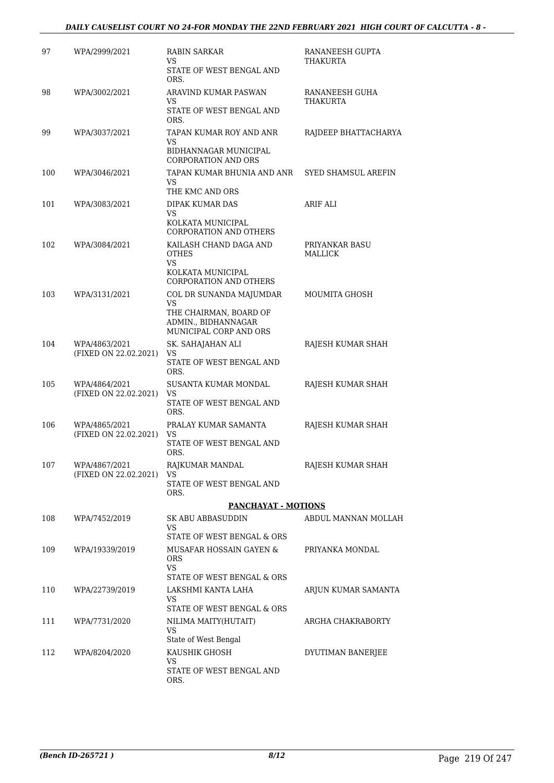## *DAILY CAUSELIST COURT NO 24-FOR MONDAY THE 22ND FEBRUARY 2021 HIGH COURT OF CALCUTTA - 8 -*

| 97  | WPA/2999/2021                          | RABIN SARKAR<br>VS<br>STATE OF WEST BENGAL AND                                                                                            | RANANEESH GUPTA<br>THAKURTA       |
|-----|----------------------------------------|-------------------------------------------------------------------------------------------------------------------------------------------|-----------------------------------|
| 98  | WPA/3002/2021                          | ORS.<br>ARAVIND KUMAR PASWAN<br>VS<br>STATE OF WEST BENGAL AND                                                                            | RANANEESH GUHA<br><b>THAKURTA</b> |
| 99  | WPA/3037/2021                          | ORS.<br>TAPAN KUMAR ROY AND ANR<br>VS.<br>BIDHANNAGAR MUNICIPAL                                                                           | RAJDEEP BHATTACHARYA              |
| 100 | WPA/3046/2021                          | <b>CORPORATION AND ORS</b><br>TAPAN KUMAR BHUNIA AND ANR<br>VS.                                                                           | <b>SYED SHAMSUL AREFIN</b>        |
| 101 | WPA/3083/2021                          | THE KMC AND ORS<br>DIPAK KUMAR DAS<br>VS<br>KOLKATA MUNICIPAL                                                                             | ARIF ALI                          |
| 102 | WPA/3084/2021                          | <b>CORPORATION AND OTHERS</b><br>KAILASH CHAND DAGA AND<br><b>OTHES</b><br><b>VS</b><br>KOLKATA MUNICIPAL                                 | PRIYANKAR BASU<br>MALLICK         |
| 103 | WPA/3131/2021                          | CORPORATION AND OTHERS<br>COL DR SUNANDA MAJUMDAR<br><b>VS</b><br>THE CHAIRMAN, BOARD OF<br>ADMIN., BIDHANNAGAR<br>MUNICIPAL CORP AND ORS | MOUMITA GHOSH                     |
| 104 | WPA/4863/2021<br>(FIXED ON 22.02.2021) | SK. SAHAJAHAN ALI<br>VS<br>STATE OF WEST BENGAL AND<br>ORS.                                                                               | RAJESH KUMAR SHAH                 |
| 105 | WPA/4864/2021<br>(FIXED ON 22.02.2021) | SUSANTA KUMAR MONDAL<br>VS<br>STATE OF WEST BENGAL AND<br>ORS.                                                                            | RAJESH KUMAR SHAH                 |
| 106 | WPA/4865/2021<br>(FIXED ON 22.02.2021) | PRALAY KUMAR SAMANTA<br>VS<br>STATE OF WEST BENGAL AND<br>ORS.                                                                            | RAJESH KUMAR SHAH                 |
| 107 | WPA/4867/2021<br>(FIXED ON 22.02.2021) | RAJKUMAR MANDAL<br>VS<br>STATE OF WEST BENGAL AND<br>ORS.                                                                                 | RAJESH KUMAR SHAH                 |
|     |                                        | <b>PANCHAYAT - MOTIONS</b>                                                                                                                |                                   |
| 108 | WPA/7452/2019                          | SK ABU ABBASUDDIN<br>VS<br>STATE OF WEST BENGAL & ORS                                                                                     | ABDUL MANNAN MOLLAH               |
| 109 | WPA/19339/2019                         | MUSAFAR HOSSAIN GAYEN &<br>ORS.<br>VS.<br>STATE OF WEST BENGAL & ORS                                                                      | PRIYANKA MONDAL                   |
| 110 | WPA/22739/2019                         | LAKSHMI KANTA LAHA<br>VS.<br>STATE OF WEST BENGAL & ORS                                                                                   | ARJUN KUMAR SAMANTA               |
| 111 | WPA/7731/2020                          | NILIMA MAITY(HUTAIT)<br><b>VS</b>                                                                                                         | ARGHA CHAKRABORTY                 |
| 112 | WPA/8204/2020                          | State of West Bengal<br>KAUSHIK GHOSH<br>VS<br>STATE OF WEST BENGAL AND<br>ORS.                                                           | DYUTIMAN BANERJEE                 |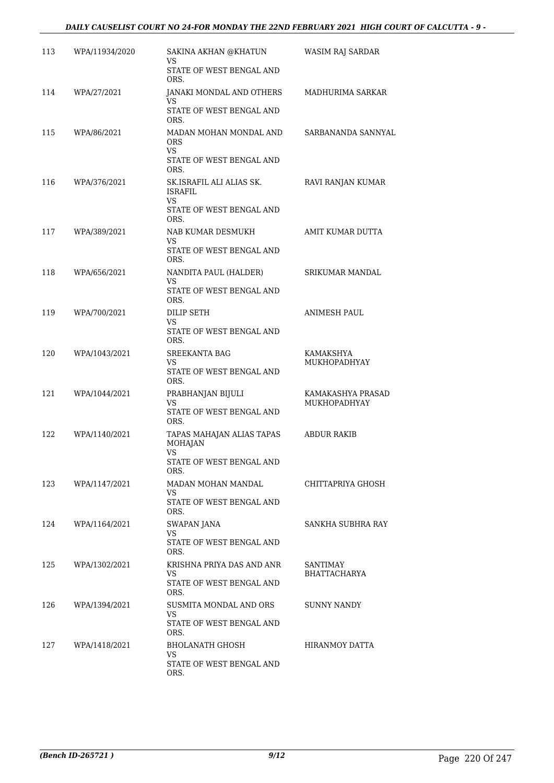## *DAILY CAUSELIST COURT NO 24-FOR MONDAY THE 22ND FEBRUARY 2021 HIGH COURT OF CALCUTTA - 9 -*

| 113 | WPA/11934/2020 | SAKINA AKHAN @KHATUN<br>VS                                                      | WASIM RAJ SARDAR                         |
|-----|----------------|---------------------------------------------------------------------------------|------------------------------------------|
|     |                | STATE OF WEST BENGAL AND<br>ORS.                                                |                                          |
| 114 | WPA/27/2021    | JANAKI MONDAL AND OTHERS<br>VS.                                                 | MADHURIMA SARKAR                         |
|     |                | STATE OF WEST BENGAL AND<br>ORS.                                                |                                          |
| 115 | WPA/86/2021    | MADAN MOHAN MONDAL AND<br><b>ORS</b><br>VS.<br>STATE OF WEST BENGAL AND<br>ORS. | SARBANANDA SANNYAL                       |
| 116 | WPA/376/2021   | SK.ISRAFIL ALI ALIAS SK.<br><b>ISRAFIL</b><br>VS                                | RAVI RANJAN KUMAR                        |
|     |                | STATE OF WEST BENGAL AND<br>ORS.                                                |                                          |
| 117 | WPA/389/2021   | NAB KUMAR DESMUKH<br>VS                                                         | AMIT KUMAR DUTTA                         |
|     |                | STATE OF WEST BENGAL AND<br>ORS.                                                |                                          |
| 118 | WPA/656/2021   | NANDITA PAUL (HALDER)<br>VS                                                     | <b>SRIKUMAR MANDAL</b>                   |
|     |                | STATE OF WEST BENGAL AND<br>ORS.                                                |                                          |
| 119 | WPA/700/2021   | <b>DILIP SETH</b><br>VS<br>STATE OF WEST BENGAL AND<br>ORS.                     | <b>ANIMESH PAUL</b>                      |
| 120 | WPA/1043/2021  | SREEKANTA BAG<br>VS<br>STATE OF WEST BENGAL AND<br>ORS.                         | KAMAKSHYA<br><b>MUKHOPADHYAY</b>         |
| 121 | WPA/1044/2021  | PRABHANJAN BIJULI<br>VS<br>STATE OF WEST BENGAL AND<br>ORS.                     | KAMAKASHYA PRASAD<br><b>MUKHOPADHYAY</b> |
| 122 | WPA/1140/2021  | TAPAS MAHAJAN ALIAS TAPAS<br><b>MOHAJAN</b><br><b>VS</b>                        | ABDUR RAKIB                              |
|     |                | STATE OF WEST BENGAL AND<br>ORS.                                                |                                          |
| 123 | WPA/1147/2021  | MADAN MOHAN MANDAL<br>VS                                                        | CHITTAPRIYA GHOSH                        |
|     |                | STATE OF WEST BENGAL AND<br>ORS.                                                |                                          |
| 124 | WPA/1164/2021  | <b>SWAPAN JANA</b><br>VS                                                        | SANKHA SUBHRA RAY                        |
|     |                | STATE OF WEST BENGAL AND<br>ORS.                                                |                                          |
| 125 | WPA/1302/2021  | KRISHNA PRIYA DAS AND ANR<br>VS                                                 | SANTIMAY<br><b>BHATTACHARYA</b>          |
|     |                | STATE OF WEST BENGAL AND<br>ORS.                                                |                                          |
| 126 | WPA/1394/2021  | SUSMITA MONDAL AND ORS<br>VS<br>STATE OF WEST BENGAL AND<br>ORS.                | SUNNY NANDY                              |
| 127 | WPA/1418/2021  | BHOLANATH GHOSH                                                                 | HIRANMOY DATTA                           |
|     |                | VS<br>STATE OF WEST BENGAL AND<br>ORS.                                          |                                          |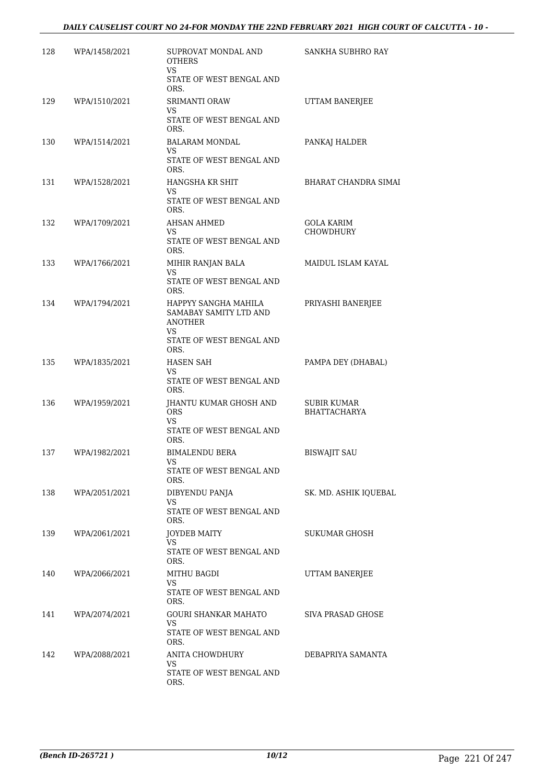| 128 | WPA/1458/2021 | SUPROVAT MONDAL AND<br><b>OTHERS</b>                             | SANKHA SUBHRO RAY                         |
|-----|---------------|------------------------------------------------------------------|-------------------------------------------|
|     |               | VS.<br>STATE OF WEST BENGAL AND<br>ORS.                          |                                           |
| 129 | WPA/1510/2021 | SRIMANTI ORAW                                                    | UTTAM BANERJEE                            |
|     |               | VS<br>STATE OF WEST BENGAL AND<br>ORS.                           |                                           |
| 130 | WPA/1514/2021 | <b>BALARAM MONDAL</b><br>VS.                                     | PANKAJ HALDER                             |
|     |               | STATE OF WEST BENGAL AND<br>ORS.                                 |                                           |
| 131 | WPA/1528/2021 | HANGSHA KR SHIT<br><b>VS</b>                                     | BHARAT CHANDRA SIMAI                      |
|     |               | STATE OF WEST BENGAL AND<br>ORS.                                 |                                           |
| 132 | WPA/1709/2021 | AHSAN AHMED<br>VS.                                               | GOLA KARIM<br><b>CHOWDHURY</b>            |
|     |               | STATE OF WEST BENGAL AND<br>ORS.                                 |                                           |
| 133 | WPA/1766/2021 | MIHIR RANJAN BALA<br>VS                                          | MAIDUL ISLAM KAYAL                        |
|     |               | STATE OF WEST BENGAL AND<br>ORS.                                 |                                           |
| 134 | WPA/1794/2021 | HAPPYY SANGHA MAHILA<br>SAMABAY SAMITY LTD AND<br>ANOTHER<br>VS. | PRIYASHI BANERJEE                         |
|     |               | STATE OF WEST BENGAL AND<br>ORS.                                 |                                           |
| 135 | WPA/1835/2021 | HASEN SAH<br>VS.<br>STATE OF WEST BENGAL AND                     | PAMPA DEY (DHABAL)                        |
|     |               | ORS.                                                             |                                           |
| 136 | WPA/1959/2021 | JHANTU KUMAR GHOSH AND<br><b>ORS</b><br>VS.                      | <b>SUBIR KUMAR</b><br><b>BHATTACHARYA</b> |
|     |               | STATE OF WEST BENGAL AND<br>ORS.                                 |                                           |
| 137 | WPA/1982/2021 | <b>BIMALENDU BERA</b><br>VS                                      | <b>BISWAJIT SAU</b>                       |
|     |               | STATE OF WEST BENGAL AND<br>ORS.                                 |                                           |
| 138 | WPA/2051/2021 | DIBYENDU PANJA<br>VS                                             | SK. MD. ASHIK IQUEBAL                     |
|     |               | STATE OF WEST BENGAL AND<br>ORS.                                 |                                           |
| 139 | WPA/2061/2021 | <b>JOYDEB MAITY</b><br>VS.                                       | SUKUMAR GHOSH                             |
|     |               | STATE OF WEST BENGAL AND<br>ORS.                                 |                                           |
| 140 | WPA/2066/2021 | MITHU BAGDI<br>VS.                                               | UTTAM BANERJEE                            |
|     |               | STATE OF WEST BENGAL AND<br>ORS.                                 |                                           |
| 141 | WPA/2074/2021 | GOURI SHANKAR MAHATO<br>VS.                                      | SIVA PRASAD GHOSE                         |
|     |               | STATE OF WEST BENGAL AND<br>ORS.                                 |                                           |
| 142 | WPA/2088/2021 | ANITA CHOWDHURY<br>VS                                            | DEBAPRIYA SAMANTA                         |
|     |               | STATE OF WEST BENGAL AND<br>ORS.                                 |                                           |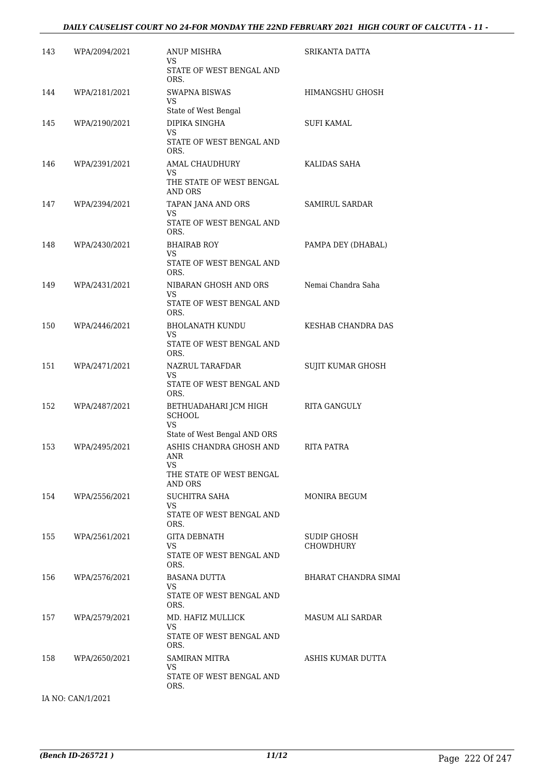#### *DAILY CAUSELIST COURT NO 24-FOR MONDAY THE 22ND FEBRUARY 2021 HIGH COURT OF CALCUTTA - 11 -*

| 143 | WPA/2094/2021     | ANUP MISHRA<br>VS                                                                                | SRIKANTA DATTA           |
|-----|-------------------|--------------------------------------------------------------------------------------------------|--------------------------|
|     |                   | STATE OF WEST BENGAL AND<br>ORS.                                                                 |                          |
| 144 | WPA/2181/2021     | SWAPNA BISWAS<br>VS.<br>State of West Bengal                                                     | HIMANGSHU GHOSH          |
| 145 | WPA/2190/2021     | DIPIKA SINGHA<br>VS<br>STATE OF WEST BENGAL AND                                                  | SUFI KAMAL               |
| 146 | WPA/2391/2021     | ORS.<br>AMAL CHAUDHURY<br>VS<br>THE STATE OF WEST BENGAL<br>AND ORS                              | KALIDAS SAHA             |
| 147 | WPA/2394/2021     | TAPAN JANA AND ORS<br>VS<br>STATE OF WEST BENGAL AND<br>ORS.                                     | SAMIRUL SARDAR           |
| 148 | WPA/2430/2021     | <b>BHAIRAB ROY</b><br>VS.<br>STATE OF WEST BENGAL AND<br>ORS.                                    | PAMPA DEY (DHABAL)       |
| 149 | WPA/2431/2021     | NIBARAN GHOSH AND ORS<br>VS.<br>STATE OF WEST BENGAL AND<br>ORS.                                 | Nemai Chandra Saha       |
| 150 | WPA/2446/2021     | BHOLANATH KUNDU<br>VS.<br>STATE OF WEST BENGAL AND<br>ORS.                                       | KESHAB CHANDRA DAS       |
| 151 | WPA/2471/2021     | NAZRUL TARAFDAR<br>VS.<br>STATE OF WEST BENGAL AND<br>ORS.                                       | SUJIT KUMAR GHOSH        |
| 152 | WPA/2487/2021     | BETHUADAHARI JCM HIGH<br><b>SCHOOL</b><br>VS.                                                    | RITA GANGULY             |
| 153 | WPA/2495/2021     | State of West Bengal AND ORS<br>ASHIS CHANDRA GHOSH AND<br>ANR<br>VS<br>THE STATE OF WEST BENGAL | RITA PATRA               |
| 154 | WPA/2556/2021     | AND ORS<br>SUCHITRA SAHA<br>VS.<br>STATE OF WEST BENGAL AND<br>ORS.                              | MONIRA BEGUM             |
| 155 | WPA/2561/2021     | GITA DEBNATH<br>VS.<br>STATE OF WEST BENGAL AND<br>ORS.                                          | SUDIP GHOSH<br>CHOWDHURY |
| 156 | WPA/2576/2021     | <b>BASANA DUTTA</b><br>VS.<br>STATE OF WEST BENGAL AND<br>ORS.                                   | BHARAT CHANDRA SIMAI     |
| 157 | WPA/2579/2021     | MD. HAFIZ MULLICK<br>VS.<br>STATE OF WEST BENGAL AND                                             | <b>MASUM ALI SARDAR</b>  |
| 158 | WPA/2650/2021     | ORS.<br>SAMIRAN MITRA<br>VS.<br>STATE OF WEST BENGAL AND<br>ORS.                                 | ASHIS KUMAR DUTTA        |
|     | IA NO: CAN/1/2021 |                                                                                                  |                          |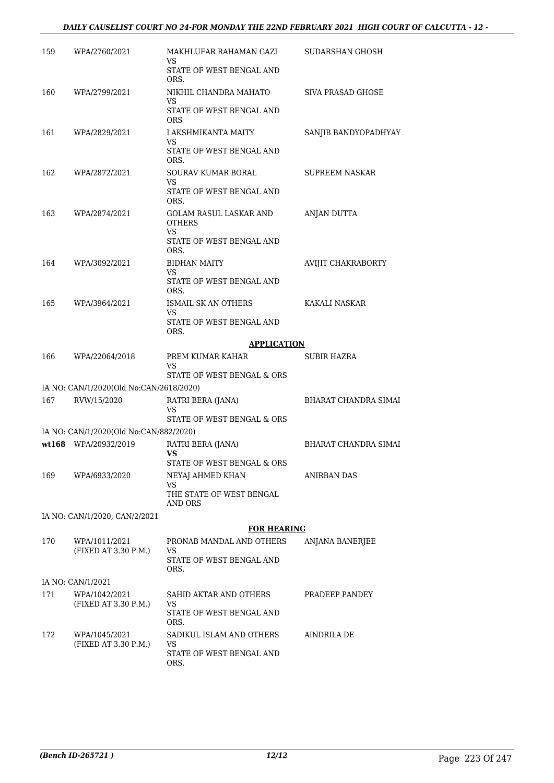### *DAILY CAUSELIST COURT NO 24-FOR MONDAY THE 22ND FEBRUARY 2021 HIGH COURT OF CALCUTTA - 12 -*

| 159 | WPA/2760/2021                           | MAKHLUFAR RAHAMAN GAZI<br>VS                          | SUDARSHAN GHOSH             |
|-----|-----------------------------------------|-------------------------------------------------------|-----------------------------|
|     |                                         | STATE OF WEST BENGAL AND<br>ORS.                      |                             |
| 160 | WPA/2799/2021                           | NIKHIL CHANDRA MAHATO<br>VS                           | SIVA PRASAD GHOSE           |
|     |                                         | STATE OF WEST BENGAL AND<br><b>ORS</b>                |                             |
| 161 | WPA/2829/2021                           | LAKSHMIKANTA MAITY<br>VS                              | SANJIB BANDYOPADHYAY        |
|     |                                         | STATE OF WEST BENGAL AND<br>ORS.                      |                             |
| 162 | WPA/2872/2021                           | SOURAV KUMAR BORAL                                    | <b>SUPREEM NASKAR</b>       |
|     |                                         | VS<br>STATE OF WEST BENGAL AND<br>ORS.                |                             |
| 163 | WPA/2874/2021                           | GOLAM RASUL LASKAR AND<br><b>OTHERS</b>               | ANJAN DUTTA                 |
|     |                                         | VS<br>STATE OF WEST BENGAL AND<br>ORS.                |                             |
| 164 | WPA/3092/2021                           | <b>BIDHAN MAITY</b>                                   | AVIJIT CHAKRABORTY          |
|     |                                         | VS<br>STATE OF WEST BENGAL AND<br>ORS.                |                             |
| 165 | WPA/3964/2021                           | ISMAIL SK AN OTHERS                                   | KAKALI NASKAR               |
|     |                                         | VS<br>STATE OF WEST BENGAL AND<br>ORS.                |                             |
|     |                                         | <b>APPLICATION</b>                                    |                             |
| 166 | WPA/22064/2018                          | PREM KUMAR KAHAR<br>VS                                | SUBIR HAZRA                 |
|     |                                         | STATE OF WEST BENGAL & ORS                            |                             |
|     | IA NO: CAN/1/2020(Old No:CAN/2618/2020) |                                                       |                             |
| 167 | RVW/15/2020                             | RATRI BERA (JANA)<br>VS<br>STATE OF WEST BENGAL & ORS | BHARAT CHANDRA SIMAI        |
|     | IA NO: CAN/1/2020(Old No:CAN/882/2020)  |                                                       |                             |
|     | wt168 WPA/20932/2019                    | RATRI BERA (JANA)<br>VS                               | <b>BHARAT CHANDRA SIMAI</b> |
|     |                                         | STATE OF WEST BENGAL & ORS                            |                             |
| 169 | WPA/6933/2020                           | NEYAJ AHMED KHAN<br>VS                                | ANIRBAN DAS                 |
|     |                                         | THE STATE OF WEST BENGAL<br>AND ORS                   |                             |
|     | IA NO: CAN/1/2020, CAN/2/2021           |                                                       |                             |
|     |                                         | <b>FOR HEARING</b>                                    |                             |
| 170 | WPA/1011/2021<br>(FIXED AT 3.30 P.M.)   | PRONAB MANDAL AND OTHERS<br>VS                        | ANJANA BANERJEE             |
|     |                                         | STATE OF WEST BENGAL AND<br>ORS.                      |                             |
|     | IA NO: CAN/1/2021                       |                                                       |                             |
| 171 | WPA/1042/2021                           | SAHID AKTAR AND OTHERS                                | PRADEEP PANDEY              |
|     | (FIXED AT 3.30 P.M.)                    | VS<br>STATE OF WEST BENGAL AND<br>ORS.                |                             |
| 172 | WPA/1045/2021<br>(FIXED AT 3.30 P.M.)   | SADIKUL ISLAM AND OTHERS<br>VS                        | AINDRILA DE                 |
|     |                                         | STATE OF WEST BENGAL AND<br>ORS.                      |                             |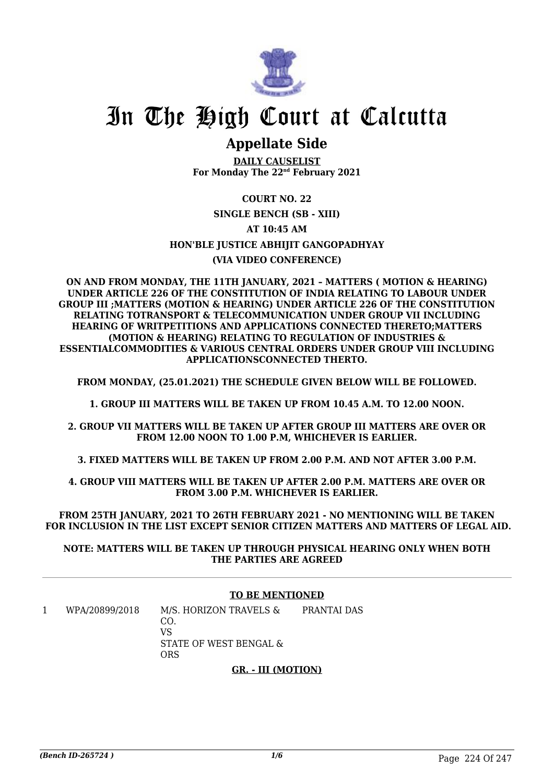

# In The High Court at Calcutta

# **Appellate Side**

**DAILY CAUSELIST For Monday The 22nd February 2021**

**COURT NO. 22 SINGLE BENCH (SB - XIII) AT 10:45 AM HON'BLE JUSTICE ABHIJIT GANGOPADHYAY (VIA VIDEO CONFERENCE)**

**ON AND FROM MONDAY, THE 11TH JANUARY, 2021 – MATTERS ( MOTION & HEARING) UNDER ARTICLE 226 OF THE CONSTITUTION OF INDIA RELATING TO LABOUR UNDER GROUP III ;MATTERS (MOTION & HEARING) UNDER ARTICLE 226 OF THE CONSTITUTION RELATING TOTRANSPORT & TELECOMMUNICATION UNDER GROUP VII INCLUDING HEARING OF WRITPETITIONS AND APPLICATIONS CONNECTED THERETO;MATTERS (MOTION & HEARING) RELATING TO REGULATION OF INDUSTRIES & ESSENTIALCOMMODITIES & VARIOUS CENTRAL ORDERS UNDER GROUP VIII INCLUDING APPLICATIONSCONNECTED THERTO.**

**FROM MONDAY, (25.01.2021) THE SCHEDULE GIVEN BELOW WILL BE FOLLOWED.**

**1. GROUP III MATTERS WILL BE TAKEN UP FROM 10.45 A.M. TO 12.00 NOON.**

**2. GROUP VII MATTERS WILL BE TAKEN UP AFTER GROUP III MATTERS ARE OVER OR FROM 12.00 NOON TO 1.00 P.M, WHICHEVER IS EARLIER.**

**3. FIXED MATTERS WILL BE TAKEN UP FROM 2.00 P.M. AND NOT AFTER 3.00 P.M.**

**4. GROUP VIII MATTERS WILL BE TAKEN UP AFTER 2.00 P.M. MATTERS ARE OVER OR FROM 3.00 P.M. WHICHEVER IS EARLIER.**

**FROM 25TH JANUARY, 2021 TO 26TH FEBRUARY 2021 - NO MENTIONING WILL BE TAKEN FOR INCLUSION IN THE LIST EXCEPT SENIOR CITIZEN MATTERS AND MATTERS OF LEGAL AID.**

**NOTE: MATTERS WILL BE TAKEN UP THROUGH PHYSICAL HEARING ONLY WHEN BOTH THE PARTIES ARE AGREED**

# **TO BE MENTIONED**

1 WPA/20899/2018 M/S. HORIZON TRAVELS & CO. VS STATE OF WEST BENGAL & ORS PRANTAI DAS

### **GR. - III (MOTION)**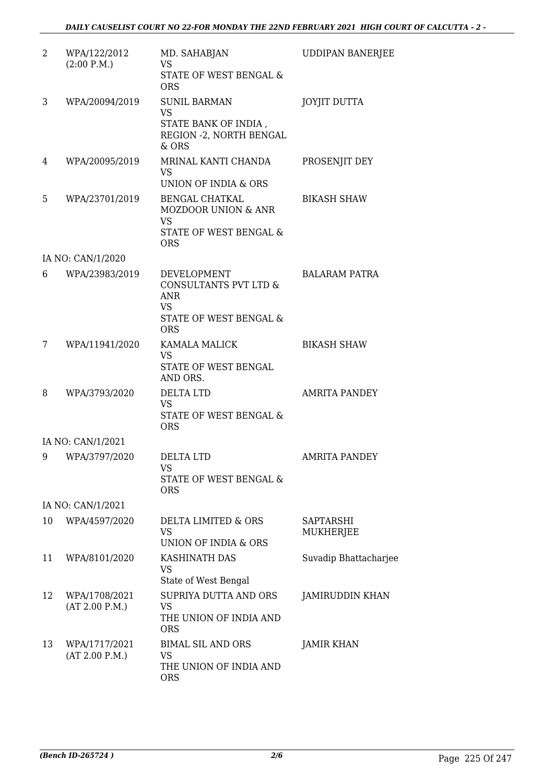| 2  | WPA/122/2012<br>(2:00 P.M.)     | MD. SAHABJAN<br><b>VS</b><br>STATE OF WEST BENGAL &<br><b>ORS</b>                                              | <b>UDDIPAN BANERJEE</b> |
|----|---------------------------------|----------------------------------------------------------------------------------------------------------------|-------------------------|
| 3  | WPA/20094/2019                  | <b>SUNIL BARMAN</b><br><b>VS</b><br>STATE BANK OF INDIA,<br>REGION - 2, NORTH BENGAL<br>$&$ ORS                | <b>JOYJIT DUTTA</b>     |
| 4  | WPA/20095/2019                  | MRINAL KANTI CHANDA<br><b>VS</b><br>UNION OF INDIA & ORS                                                       | PROSENJIT DEY           |
| 5  | WPA/23701/2019                  | <b>BENGAL CHATKAL</b><br><b>MOZDOOR UNION &amp; ANR</b><br><b>VS</b><br>STATE OF WEST BENGAL &<br><b>ORS</b>   | <b>BIKASH SHAW</b>      |
|    | IA NO: CAN/1/2020               |                                                                                                                |                         |
| 6  | WPA/23983/2019                  | <b>DEVELOPMENT</b><br>CONSULTANTS PVT LTD &<br><b>ANR</b><br><b>VS</b><br>STATE OF WEST BENGAL &<br><b>ORS</b> | <b>BALARAM PATRA</b>    |
| 7  | WPA/11941/2020                  | KAMALA MALICK<br><b>VS</b><br>STATE OF WEST BENGAL<br>AND ORS.                                                 | <b>BIKASH SHAW</b>      |
| 8  | WPA/3793/2020                   | <b>DELTA LTD</b><br><b>VS</b><br>STATE OF WEST BENGAL &<br><b>ORS</b>                                          | <b>AMRITA PANDEY</b>    |
|    | IA NO: CAN/1/2021               |                                                                                                                |                         |
| 9  | WPA/3797/2020                   | DELTA LTD<br><b>VS</b><br>STATE OF WEST BENGAL &<br><b>ORS</b>                                                 | AMRITA PANDEY           |
|    | IA NO: CAN/1/2021               |                                                                                                                |                         |
| 10 | WPA/4597/2020                   | DELTA LIMITED & ORS<br><b>VS</b><br><b>UNION OF INDIA &amp; ORS</b>                                            | SAPTARSHI<br>MUKHERJEE  |
| 11 | WPA/8101/2020                   | KASHINATH DAS<br><b>VS</b><br>State of West Bengal                                                             | Suvadip Bhattacharjee   |
| 12 | WPA/1708/2021<br>(AT 2.00 P.M.) | SUPRIYA DUTTA AND ORS<br><b>VS</b><br>THE UNION OF INDIA AND<br><b>ORS</b>                                     | JAMIRUDDIN KHAN         |
| 13 | WPA/1717/2021<br>(AT 2.00 P.M.) | <b>BIMAL SIL AND ORS</b><br><b>VS</b><br>THE UNION OF INDIA AND<br><b>ORS</b>                                  | <b>JAMIR KHAN</b>       |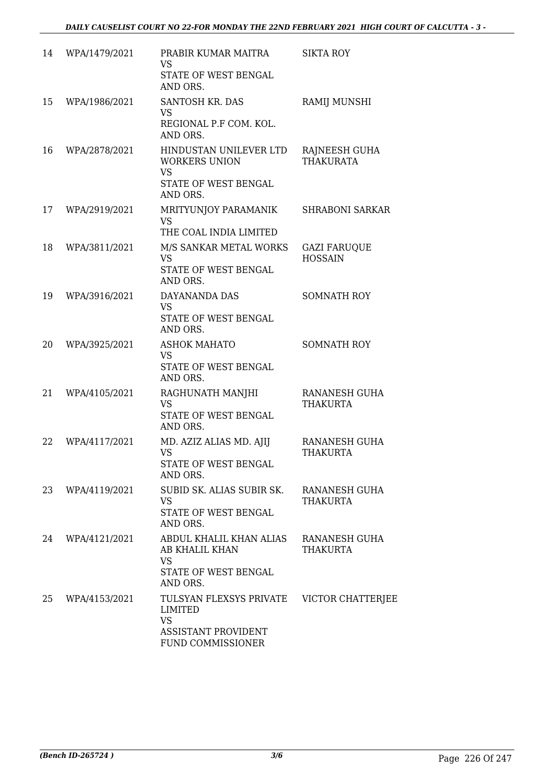| 14 | WPA/1479/2021 | PRABIR KUMAR MAITRA<br><b>VS</b><br>STATE OF WEST BENGAL<br>AND ORS.                                      | <b>SIKTA ROY</b>                      |
|----|---------------|-----------------------------------------------------------------------------------------------------------|---------------------------------------|
| 15 | WPA/1986/2021 | SANTOSH KR. DAS<br><b>VS</b><br>REGIONAL P.F COM. KOL.<br>AND ORS.                                        | RAMIJ MUNSHI                          |
| 16 | WPA/2878/2021 | HINDUSTAN UNILEVER LTD<br><b>WORKERS UNION</b><br><b>VS</b><br>STATE OF WEST BENGAL<br>AND ORS.           | RAJNEESH GUHA<br><b>THAKURATA</b>     |
| 17 | WPA/2919/2021 | MRITYUNJOY PARAMANIK<br><b>VS</b><br>THE COAL INDIA LIMITED                                               | <b>SHRABONI SARKAR</b>                |
| 18 | WPA/3811/2021 | M/S SANKAR METAL WORKS<br><b>VS</b><br>STATE OF WEST BENGAL<br>AND ORS.                                   | <b>GAZI FARUQUE</b><br><b>HOSSAIN</b> |
| 19 | WPA/3916/2021 | DAYANANDA DAS<br><b>VS</b><br>STATE OF WEST BENGAL<br>AND ORS.                                            | <b>SOMNATH ROY</b>                    |
| 20 | WPA/3925/2021 | <b>ASHOK MAHATO</b><br><b>VS</b><br>STATE OF WEST BENGAL<br>AND ORS.                                      | <b>SOMNATH ROY</b>                    |
| 21 | WPA/4105/2021 | RAGHUNATH MANJHI<br><b>VS</b><br>STATE OF WEST BENGAL<br>AND ORS.                                         | RANANESH GUHA<br><b>THAKURTA</b>      |
| 22 | WPA/4117/2021 | MD. AZIZ ALIAS MD. AJIJ<br><b>VS</b><br>STATE OF WEST BENGAL<br>AND ORS.                                  | RANANESH GUHA<br>THAKURTA             |
| 23 | WPA/4119/2021 | SUBID SK. ALIAS SUBIR SK.<br><b>VS</b><br>STATE OF WEST BENGAL<br>AND ORS.                                | RANANESH GUHA<br>THAKURTA             |
| 24 | WPA/4121/2021 | ABDUL KHALIL KHAN ALIAS<br><b>AB KHALIL KHAN</b><br><b>VS</b><br>STATE OF WEST BENGAL<br>AND ORS.         | RANANESH GUHA<br>THAKURTA             |
| 25 | WPA/4153/2021 | TULSYAN FLEXSYS PRIVATE<br><b>LIMITED</b><br><b>VS</b><br><b>ASSISTANT PROVIDENT</b><br>FUND COMMISSIONER | VICTOR CHATTERJEE                     |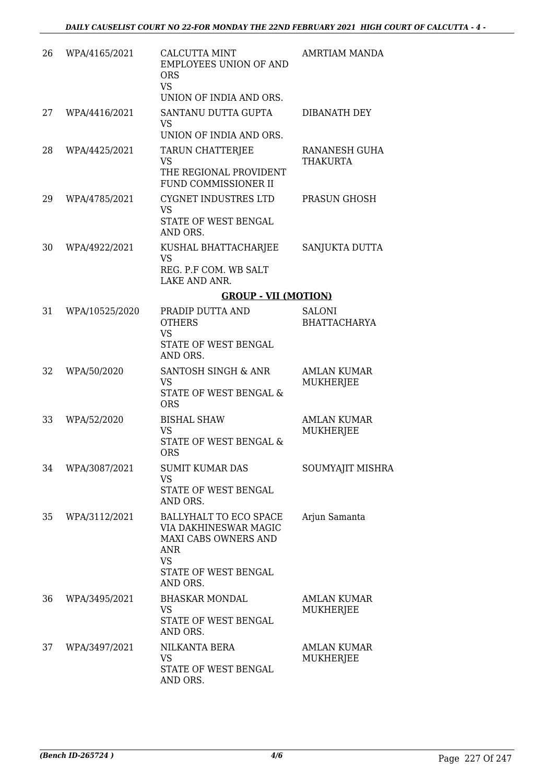| 26 | WPA/4165/2021  | <b>CALCUTTA MINT</b><br><b>EMPLOYEES UNION OF AND</b><br><b>ORS</b><br><b>VS</b><br>UNION OF INDIA AND ORS.                     | AMRTIAM MANDA                          |
|----|----------------|---------------------------------------------------------------------------------------------------------------------------------|----------------------------------------|
| 27 | WPA/4416/2021  | SANTANU DUTTA GUPTA<br><b>VS</b><br>UNION OF INDIA AND ORS.                                                                     | <b>DIBANATH DEY</b>                    |
| 28 | WPA/4425/2021  | TARUN CHATTERJEE<br><b>VS</b><br>THE REGIONAL PROVIDENT<br>FUND COMMISSIONER II                                                 | RANANESH GUHA<br><b>THAKURTA</b>       |
| 29 | WPA/4785/2021  | CYGNET INDUSTRES LTD<br><b>VS</b><br>STATE OF WEST BENGAL<br>AND ORS.                                                           | PRASUN GHOSH                           |
| 30 | WPA/4922/2021  | KUSHAL BHATTACHARJEE<br><b>VS</b><br>REG. P.F COM. WB SALT<br>LAKE AND ANR.                                                     | SANJUKTA DUTTA                         |
|    |                | <b>GROUP - VII (MOTION)</b>                                                                                                     |                                        |
| 31 | WPA/10525/2020 | PRADIP DUTTA AND<br><b>OTHERS</b><br><b>VS</b><br>STATE OF WEST BENGAL<br>AND ORS.                                              | <b>SALONI</b><br><b>BHATTACHARYA</b>   |
| 32 | WPA/50/2020    | SANTOSH SINGH & ANR<br><b>VS</b><br>STATE OF WEST BENGAL &<br><b>ORS</b>                                                        | AMLAN KUMAR<br><b>MUKHERJEE</b>        |
| 33 | WPA/52/2020    | <b>BISHAL SHAW</b><br><b>VS</b><br>STATE OF WEST BENGAL &<br><b>ORS</b>                                                         | <b>AMLAN KUMAR</b><br><b>MUKHERJEE</b> |
| 34 | WPA/3087/2021  | <b>SUMIT KUMAR DAS</b><br><b>VS</b><br>STATE OF WEST BENGAL<br>AND ORS.                                                         | SOUMYAJIT MISHRA                       |
| 35 | WPA/3112/2021  | BALLYHALT TO ECO SPACE<br>VIA DAKHINESWAR MAGIC<br>MAXI CABS OWNERS AND<br>ANR<br><b>VS</b><br>STATE OF WEST BENGAL<br>AND ORS. | Arjun Samanta                          |
| 36 | WPA/3495/2021  | <b>BHASKAR MONDAL</b><br><b>VS</b><br>STATE OF WEST BENGAL<br>AND ORS.                                                          | <b>AMLAN KUMAR</b><br>MUKHERJEE        |
| 37 | WPA/3497/2021  | NILKANTA BERA<br>VS<br>STATE OF WEST BENGAL<br>AND ORS.                                                                         | <b>AMLAN KUMAR</b><br>MUKHERJEE        |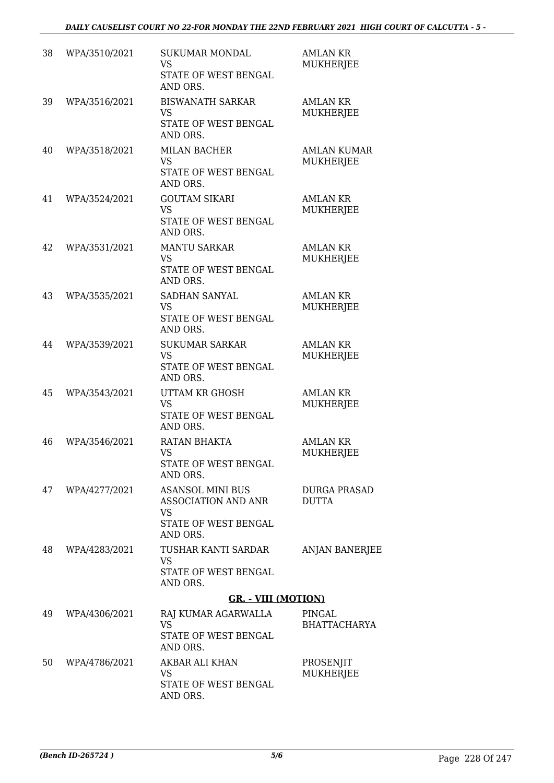| 38 | WPA/3510/2021 | <b>SUKUMAR MONDAL</b><br><b>VS</b><br>STATE OF WEST BENGAL<br>AND ORS.                          | <b>AMLAN KR</b><br><b>MUKHERJEE</b>    |
|----|---------------|-------------------------------------------------------------------------------------------------|----------------------------------------|
| 39 | WPA/3516/2021 | <b>BISWANATH SARKAR</b><br><b>VS</b><br>STATE OF WEST BENGAL<br>AND ORS.                        | <b>AMLAN KR</b><br><b>MUKHERJEE</b>    |
| 40 | WPA/3518/2021 | <b>MILAN BACHER</b><br><b>VS</b><br>STATE OF WEST BENGAL<br>AND ORS.                            | <b>AMLAN KUMAR</b><br><b>MUKHERJEE</b> |
| 41 | WPA/3524/2021 | <b>GOUTAM SIKARI</b><br><b>VS</b><br>STATE OF WEST BENGAL<br>AND ORS.                           | <b>AMLAN KR</b><br><b>MUKHERJEE</b>    |
| 42 | WPA/3531/2021 | <b>MANTU SARKAR</b><br><b>VS</b><br>STATE OF WEST BENGAL<br>AND ORS.                            | <b>AMLAN KR</b><br><b>MUKHERJEE</b>    |
| 43 | WPA/3535/2021 | SADHAN SANYAL<br><b>VS</b><br>STATE OF WEST BENGAL<br>AND ORS.                                  | <b>AMLAN KR</b><br><b>MUKHERJEE</b>    |
| 44 | WPA/3539/2021 | <b>SUKUMAR SARKAR</b><br><b>VS</b><br>STATE OF WEST BENGAL<br>AND ORS.                          | <b>AMLAN KR</b><br><b>MUKHERJEE</b>    |
| 45 | WPA/3543/2021 | <b>UTTAM KR GHOSH</b><br><b>VS</b><br>STATE OF WEST BENGAL<br>AND ORS.                          | <b>AMLAN KR</b><br>MUKHERJEE           |
| 46 | WPA/3546/2021 | RATAN BHAKTA<br><b>VS</b><br>STATE OF WEST BENGAL<br>AND ORS.                                   | <b>AMLAN KR</b><br><b>MUKHERJEE</b>    |
| 47 | WPA/4277/2021 | <b>ASANSOL MINI BUS</b><br>ASSOCIATION AND ANR<br><b>VS</b><br>STATE OF WEST BENGAL<br>AND ORS. | <b>DURGA PRASAD</b><br><b>DUTTA</b>    |
| 48 | WPA/4283/2021 | TUSHAR KANTI SARDAR<br>VS<br>STATE OF WEST BENGAL<br>AND ORS.                                   | <b>ANJAN BANERJEE</b>                  |
|    |               | <b>GR. - VIII (MOTION)</b>                                                                      |                                        |
| 49 | WPA/4306/2021 | RAJ KUMAR AGARWALLA<br><b>VS</b><br>STATE OF WEST BENGAL<br>AND ORS.                            | PINGAL<br><b>BHATTACHARYA</b>          |
| 50 | WPA/4786/2021 | AKBAR ALI KHAN<br>VS<br>STATE OF WEST BENGAL<br>AND ORS.                                        | PROSENJIT<br>MUKHERJEE                 |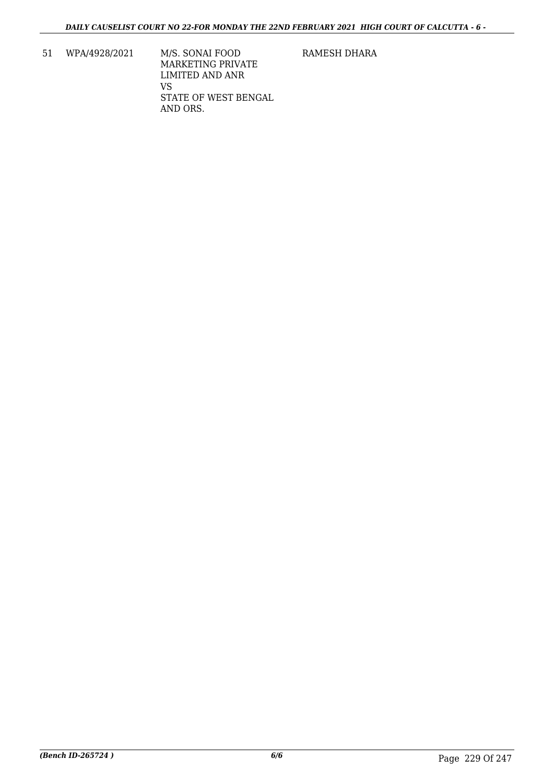- 51 WPA/4928/2021 M/S. SONAI FOOD MARKETING PRIVATE LIMITED AND ANR VS STATE OF WEST BENGAL AND ORS.
- RAMESH DHARA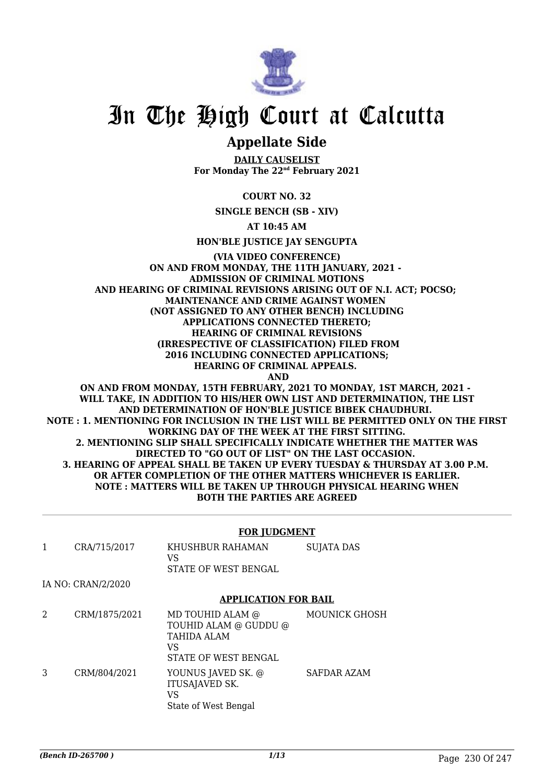

# In The High Court at Calcutta

# **Appellate Side**

**DAILY CAUSELIST For Monday The 22nd February 2021**

**COURT NO. 32**

**SINGLE BENCH (SB - XIV)**

**AT 10:45 AM**

**HON'BLE JUSTICE JAY SENGUPTA**

### **(VIA VIDEO CONFERENCE) ON AND FROM MONDAY, THE 11TH JANUARY, 2021 - ADMISSION OF CRIMINAL MOTIONS AND HEARING OF CRIMINAL REVISIONS ARISING OUT OF N.I. ACT; POCSO; MAINTENANCE AND CRIME AGAINST WOMEN (NOT ASSIGNED TO ANY OTHER BENCH) INCLUDING APPLICATIONS CONNECTED THERETO; HEARING OF CRIMINAL REVISIONS (IRRESPECTIVE OF CLASSIFICATION) FILED FROM 2016 INCLUDING CONNECTED APPLICATIONS; HEARING OF CRIMINAL APPEALS. AND ON AND FROM MONDAY, 15TH FEBRUARY, 2021 TO MONDAY, 1ST MARCH, 2021 -**

**WILL TAKE, IN ADDITION TO HIS/HER OWN LIST AND DETERMINATION, THE LIST AND DETERMINATION OF HON'BLE JUSTICE BIBEK CHAUDHURI. NOTE : 1. MENTIONING FOR INCLUSION IN THE LIST WILL BE PERMITTED ONLY ON THE FIRST WORKING DAY OF THE WEEK AT THE FIRST SITTING. 2. MENTIONING SLIP SHALL SPECIFICALLY INDICATE WHETHER THE MATTER WAS DIRECTED TO "GO OUT OF LIST" ON THE LAST OCCASION. 3. HEARING OF APPEAL SHALL BE TAKEN UP EVERY TUESDAY & THURSDAY AT 3.00 P.M. OR AFTER COMPLETION OF THE OTHER MATTERS WHICHEVER IS EARLIER. NOTE : MATTERS WILL BE TAKEN UP THROUGH PHYSICAL HEARING WHEN BOTH THE PARTIES ARE AGREED**

### **FOR JUDGMENT**

| CRA/715/2017 | KHUSHBUR RAHAMAN     | SUJATA DAS |
|--------------|----------------------|------------|
|              | VS                   |            |
|              | STATE OF WEST BENGAL |            |

IA NO: CRAN/2/2020

#### **APPLICATION FOR BAIL**

2 CRM/1875/2021 MD TOUHID ALAM @ TOUHID ALAM @ GUDDU @ TAHIDA ALAM VS STATE OF WEST BENGAL MOUNICK GHOSH 3 CRM/804/2021 YOUNUS JAVED SK. @ ITUSAJAVED SK. VS State of West Bengal SAFDAR AZAM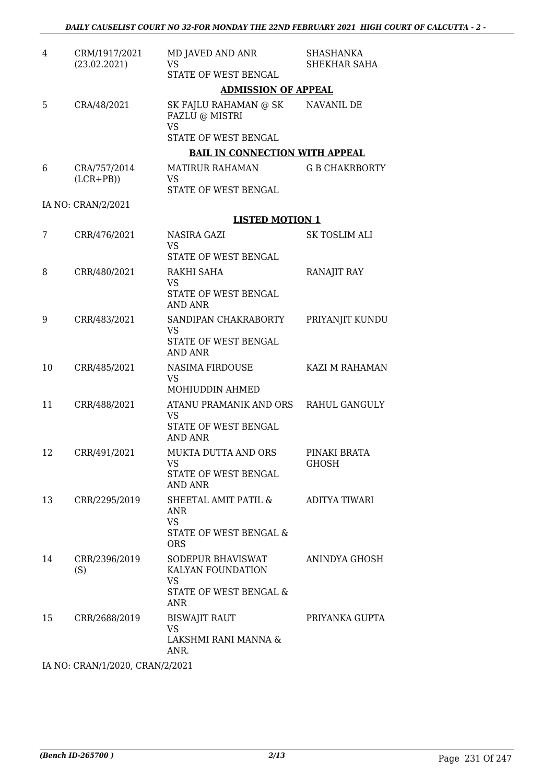| 4  | CRM/1917/2021<br>(23.02.2021) | MD JAVED AND ANR<br><b>VS</b><br>STATE OF WEST BENGAL                                       | <b>SHASHANKA</b><br>SHEKHAR SAHA |  |  |  |
|----|-------------------------------|---------------------------------------------------------------------------------------------|----------------------------------|--|--|--|
|    |                               | <b>ADMISSION OF APPEAL</b>                                                                  |                                  |  |  |  |
| 5  | CRA/48/2021                   | SK FAJLU RAHAMAN @ SK<br>FAZLU @ MISTRI<br><b>VS</b><br>STATE OF WEST BENGAL                | NAVANIL DE                       |  |  |  |
|    |                               | <b>BAIL IN CONNECTION WITH APPEAL</b>                                                       |                                  |  |  |  |
| 6  | CRA/757/2014<br>$(LCR+PB)$    | <b>MATIRUR RAHAMAN</b><br><b>VS</b><br>STATE OF WEST BENGAL                                 | <b>G B CHAKRBORTY</b>            |  |  |  |
|    | IA NO: CRAN/2/2021            |                                                                                             |                                  |  |  |  |
|    |                               | <b>LISTED MOTION 1</b>                                                                      |                                  |  |  |  |
| 7  | CRR/476/2021                  | NASIRA GAZI<br><b>VS</b>                                                                    | <b>SK TOSLIM ALI</b>             |  |  |  |
| 8  | CRR/480/2021                  | STATE OF WEST BENGAL<br>RAKHI SAHA<br><b>VS</b><br>STATE OF WEST BENGAL                     | RANAJIT RAY                      |  |  |  |
|    |                               | <b>AND ANR</b>                                                                              |                                  |  |  |  |
| 9  | CRR/483/2021                  | SANDIPAN CHAKRABORTY<br><b>VS</b><br>STATE OF WEST BENGAL<br><b>AND ANR</b>                 | PRIYANJIT KUNDU                  |  |  |  |
| 10 | CRR/485/2021                  | NASIMA FIRDOUSE<br><b>VS</b>                                                                | KAZI M RAHAMAN                   |  |  |  |
|    |                               | MOHIUDDIN AHMED                                                                             |                                  |  |  |  |
| 11 | CRR/488/2021                  | ATANU PRAMANIK AND ORS<br><b>VS</b><br>STATE OF WEST BENGAL                                 | <b>RAHUL GANGULY</b>             |  |  |  |
| 12 | CRR/491/2021                  | AND ANR<br><b>MUKTA DUTTA AND ORS</b><br>VS<br>STATE OF WEST BENGAL<br>AND ANR              | PINAKI BRATA<br>GHOSH            |  |  |  |
| 13 | CRR/2295/2019                 | SHEETAL AMIT PATIL &<br>ANR<br><b>VS</b>                                                    | ADITYA TIWARI                    |  |  |  |
|    |                               | STATE OF WEST BENGAL &<br><b>ORS</b>                                                        |                                  |  |  |  |
| 14 | CRR/2396/2019<br>(S)          | SODEPUR BHAVISWAT<br>KALYAN FOUNDATION<br><b>VS</b><br>STATE OF WEST BENGAL &<br><b>ANR</b> | ANINDYA GHOSH                    |  |  |  |
| 15 | CRR/2688/2019                 | <b>BISWAJIT RAUT</b><br>VS.<br>LAKSHMI RANI MANNA &<br>ANR.                                 | PRIYANKA GUPTA                   |  |  |  |
|    | IA NO CRANILLOODO CRANIQUOO1  |                                                                                             |                                  |  |  |  |

IA NO: CRAN/1/2020, CRAN/2/2021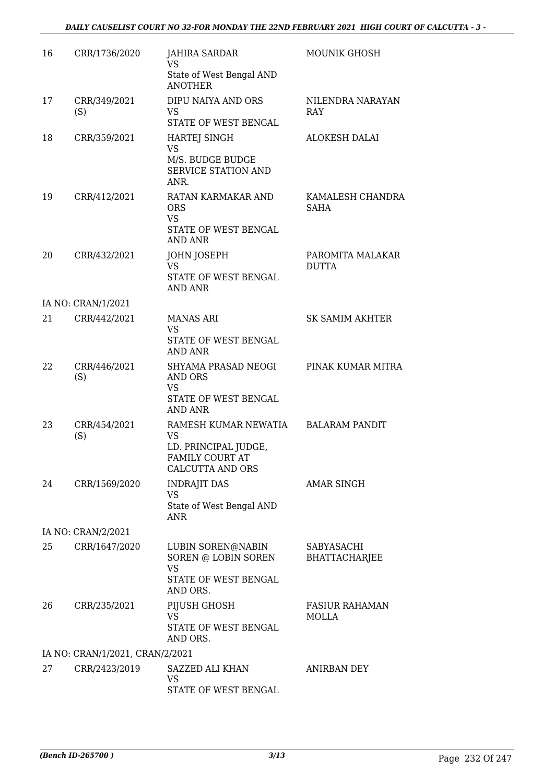| 16 | CRR/1736/2020                   | <b>JAHIRA SARDAR</b><br><b>VS</b><br>State of West Bengal AND<br><b>ANOTHER</b>                         | <b>MOUNIK GHOSH</b>                |
|----|---------------------------------|---------------------------------------------------------------------------------------------------------|------------------------------------|
| 17 | CRR/349/2021<br>(S)             | DIPU NAIYA AND ORS<br><b>VS</b><br>STATE OF WEST BENGAL                                                 | NILENDRA NARAYAN<br><b>RAY</b>     |
| 18 | CRR/359/2021                    | <b>HARTEJ SINGH</b><br><b>VS</b><br>M/S. BUDGE BUDGE<br>SERVICE STATION AND<br>ANR.                     | <b>ALOKESH DALAI</b>               |
| 19 | CRR/412/2021                    | RATAN KARMAKAR AND<br><b>ORS</b><br><b>VS</b><br>STATE OF WEST BENGAL                                   | KAMALESH CHANDRA<br>SAHA           |
| 20 | CRR/432/2021                    | <b>AND ANR</b><br>JOHN JOSEPH<br><b>VS</b><br>STATE OF WEST BENGAL<br>AND ANR                           | PAROMITA MALAKAR<br><b>DUTTA</b>   |
|    | IA NO: CRAN/1/2021              |                                                                                                         |                                    |
| 21 | CRR/442/2021                    | <b>MANAS ARI</b><br><b>VS</b><br>STATE OF WEST BENGAL<br>AND ANR                                        | <b>SK SAMIM AKHTER</b>             |
| 22 | CRR/446/2021<br>(S)             | SHYAMA PRASAD NEOGI<br>AND ORS<br><b>VS</b><br>STATE OF WEST BENGAL<br>AND ANR                          | PINAK KUMAR MITRA                  |
| 23 | CRR/454/2021<br>(S)             | RAMESH KUMAR NEWATIA<br><b>VS</b><br>LD. PRINCIPAL JUDGE,<br>FAMILY COURT AT<br><b>CALCUTTA AND ORS</b> | <b>BALARAM PANDIT</b>              |
| 24 | CRR/1569/2020                   | <b>INDRAJIT DAS</b><br>VS<br>State of West Bengal AND<br>ANR                                            | AMAR SINGH                         |
|    | IA NO: CRAN/2/2021              |                                                                                                         |                                    |
| 25 | CRR/1647/2020                   | LUBIN SOREN@NABIN<br>SOREN @ LOBIN SOREN<br><b>VS</b><br>STATE OF WEST BENGAL<br>AND ORS.               | SABYASACHI<br><b>BHATTACHARJEE</b> |
| 26 | CRR/235/2021                    | PIJUSH GHOSH<br>VS<br>STATE OF WEST BENGAL<br>AND ORS.                                                  | <b>FASIUR RAHAMAN</b><br>MOLLA     |
|    | IA NO: CRAN/1/2021, CRAN/2/2021 |                                                                                                         |                                    |
| 27 | CRR/2423/2019                   | SAZZED ALI KHAN<br><b>VS</b><br>STATE OF WEST BENGAL                                                    | <b>ANIRBAN DEY</b>                 |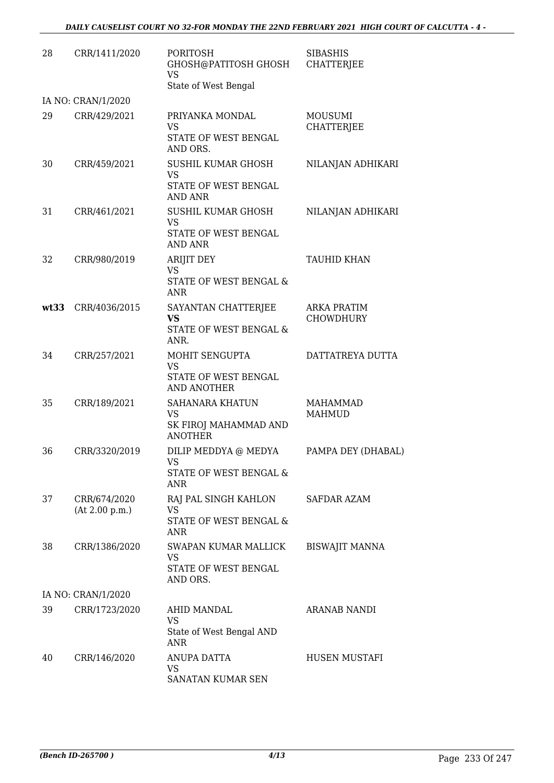| 28   | CRR/1411/2020                  | <b>PORITOSH</b><br>GHOSH@PATITOSH GHOSH<br><b>VS</b><br>State of West Bengal     | <b>SIBASHIS</b><br>CHATTERJEE          |
|------|--------------------------------|----------------------------------------------------------------------------------|----------------------------------------|
|      | IA NO: CRAN/1/2020             |                                                                                  |                                        |
| 29   | CRR/429/2021                   | PRIYANKA MONDAL<br><b>VS</b><br>STATE OF WEST BENGAL<br>AND ORS.                 | <b>MOUSUMI</b><br><b>CHATTERJEE</b>    |
| 30   | CRR/459/2021                   | <b>SUSHIL KUMAR GHOSH</b><br><b>VS</b><br>STATE OF WEST BENGAL<br><b>AND ANR</b> | NILANJAN ADHIKARI                      |
| 31   | CRR/461/2021                   | SUSHIL KUMAR GHOSH<br><b>VS</b><br>STATE OF WEST BENGAL<br>AND ANR               | NILANJAN ADHIKARI                      |
| 32   | CRR/980/2019                   | <b>ARIJIT DEY</b><br><b>VS</b><br>STATE OF WEST BENGAL &<br><b>ANR</b>           | <b>TAUHID KHAN</b>                     |
| wt33 | CRR/4036/2015                  | SAYANTAN CHATTERJEE<br><b>VS</b><br>STATE OF WEST BENGAL &<br>ANR.               | <b>ARKA PRATIM</b><br><b>CHOWDHURY</b> |
| 34   | CRR/257/2021                   | MOHIT SENGUPTA<br>VS<br>STATE OF WEST BENGAL<br><b>AND ANOTHER</b>               | DATTATREYA DUTTA                       |
| 35   | CRR/189/2021                   | <b>SAHANARA KHATUN</b><br><b>VS</b><br>SK FIROJ MAHAMMAD AND<br><b>ANOTHER</b>   | <b>MAHAMMAD</b><br><b>MAHMUD</b>       |
| 36   | CRR/3320/2019                  | DILIP MEDDYA @ MEDYA<br>VS.<br>STATE OF WEST BENGAL &<br><b>ANR</b>              | PAMPA DEY (DHABAL)                     |
| 37   | CRR/674/2020<br>(At 2.00 p.m.) | RAJ PAL SINGH KAHLON<br>VS<br>STATE OF WEST BENGAL &<br>ANR                      | <b>SAFDAR AZAM</b>                     |
| 38   | CRR/1386/2020                  | SWAPAN KUMAR MALLICK<br>VS<br>STATE OF WEST BENGAL<br>AND ORS.                   | <b>BISWAJIT MANNA</b>                  |
|      | IA NO: CRAN/1/2020             |                                                                                  |                                        |
| 39   | CRR/1723/2020                  | AHID MANDAL<br>VS<br>State of West Bengal AND<br>ANR                             | ARANAB NANDI                           |
| 40   | CRR/146/2020                   | ANUPA DATTA<br><b>VS</b><br>SANATAN KUMAR SEN                                    | HUSEN MUSTAFI                          |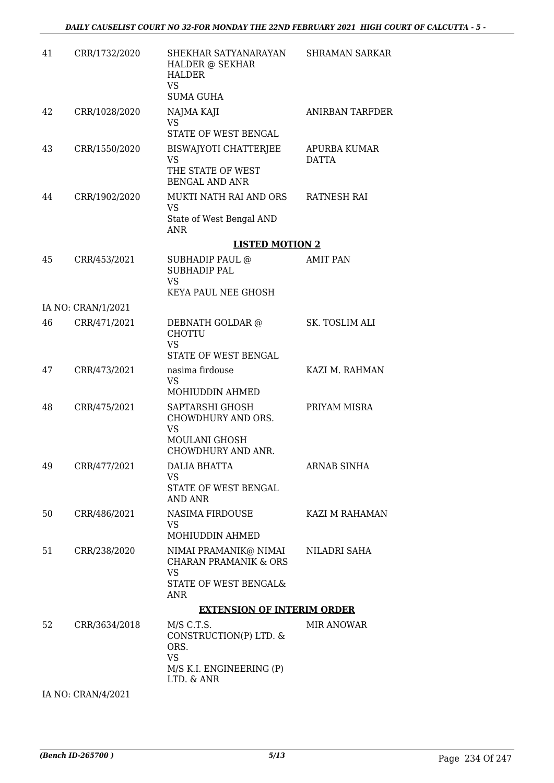| 41 | CRR/1732/2020      | SHEKHAR SATYANARAYAN<br>HALDER @ SEKHAR<br><b>HALDER</b><br><b>VS</b><br><b>SUMA GUHA</b>              | SHRAMAN SARKAR        |
|----|--------------------|--------------------------------------------------------------------------------------------------------|-----------------------|
| 42 | CRR/1028/2020      | NAJMA KAJI<br><b>VS</b><br>STATE OF WEST BENGAL                                                        | ANIRBAN TARFDER       |
| 43 | CRR/1550/2020      | BISWAJYOTI CHATTERJEE<br><b>VS</b><br>THE STATE OF WEST<br><b>BENGAL AND ANR</b>                       | APURBA KUMAR<br>DATTA |
| 44 | CRR/1902/2020      | MUKTI NATH RAI AND ORS<br><b>VS</b><br>State of West Bengal AND<br><b>ANR</b>                          | RATNESH RAI           |
|    |                    | <b>LISTED MOTION 2</b>                                                                                 |                       |
| 45 | CRR/453/2021       | SUBHADIP PAUL @<br><b>SUBHADIP PAL</b><br><b>VS</b><br>KEYA PAUL NEE GHOSH                             | <b>AMIT PAN</b>       |
|    | IA NO: CRAN/1/2021 |                                                                                                        |                       |
| 46 | CRR/471/2021       | DEBNATH GOLDAR @<br><b>CHOTTU</b><br><b>VS</b><br>STATE OF WEST BENGAL                                 | SK. TOSLIM ALI        |
| 47 | CRR/473/2021       | nasima firdouse<br><b>VS</b><br>MOHIUDDIN AHMED                                                        | KAZI M. RAHMAN        |
| 48 | CRR/475/2021       | SAPTARSHI GHOSH<br>CHOWDHURY AND ORS.<br><b>VS</b><br>MOULANI GHOSH<br>CHOWDHURY AND ANR.              | PRIYAM MISRA          |
| 49 | CRR/477/2021       | <b>DALIA BHATTA</b><br>VS.<br>STATE OF WEST BENGAL<br>AND ANR                                          | <b>ARNAB SINHA</b>    |
| 50 | CRR/486/2021       | NASIMA FIRDOUSE<br>VS.<br>MOHIUDDIN AHMED                                                              | KAZI M RAHAMAN        |
| 51 | CRR/238/2020       | NIMAI PRAMANIK@ NIMAI<br><b>CHARAN PRAMANIK &amp; ORS</b><br><b>VS</b><br>STATE OF WEST BENGAL&<br>ANR | NILADRI SAHA          |
|    |                    | <b>EXTENSION OF INTERIM ORDER</b>                                                                      |                       |
| 52 | CRR/3634/2018      | $M/S$ C.T.S.<br>CONSTRUCTION(P) LTD. &<br>ORS.<br><b>VS</b><br>M/S K.I. ENGINEERING (P)<br>LTD. & ANR  | <b>MIR ANOWAR</b>     |

IA NO: CRAN/4/2021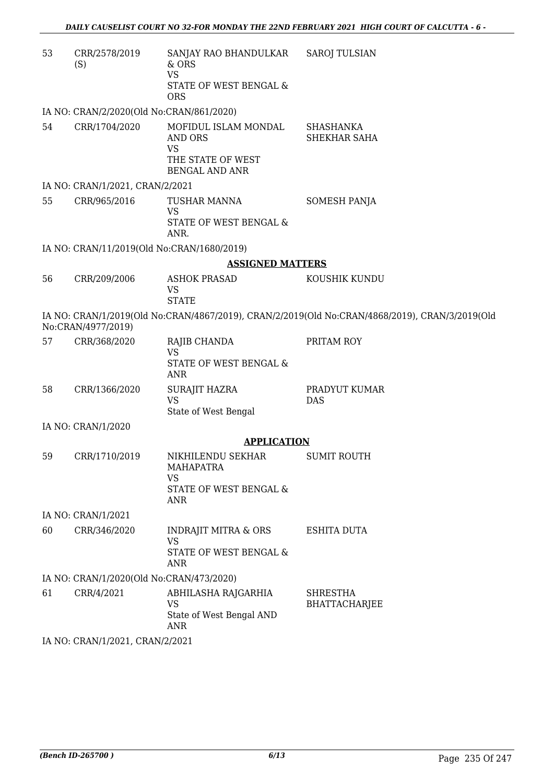| 53 | CRR/2578/2019<br>(S)                       | SANJAY RAO BHANDULKAR<br>& ORS<br><b>VS</b><br>STATE OF WEST BENGAL &<br><b>ORS</b>               | <b>SAROJ TULSIAN</b>                                                                           |
|----|--------------------------------------------|---------------------------------------------------------------------------------------------------|------------------------------------------------------------------------------------------------|
|    | IA NO: CRAN/2/2020(Old No:CRAN/861/2020)   |                                                                                                   |                                                                                                |
| 54 | CRR/1704/2020                              | MOFIDUL ISLAM MONDAL<br><b>AND ORS</b><br><b>VS</b><br>THE STATE OF WEST<br><b>BENGAL AND ANR</b> | <b>SHASHANKA</b><br>SHEKHAR SAHA                                                               |
|    | IA NO: CRAN/1/2021, CRAN/2/2021            |                                                                                                   |                                                                                                |
| 55 | CRR/965/2016                               | TUSHAR MANNA<br><b>VS</b><br>STATE OF WEST BENGAL &<br>ANR.                                       | SOMESH PANJA                                                                                   |
|    | IA NO: CRAN/11/2019(Old No:CRAN/1680/2019) |                                                                                                   |                                                                                                |
|    |                                            | <b>ASSIGNED MATTERS</b>                                                                           |                                                                                                |
| 56 | CRR/209/2006                               | <b>ASHOK PRASAD</b><br>VS<br><b>STATE</b>                                                         | KOUSHIK KUNDU                                                                                  |
|    | No:CRAN/4977/2019)                         |                                                                                                   | IA NO: CRAN/1/2019(Old No:CRAN/4867/2019), CRAN/2/2019(Old No:CRAN/4868/2019), CRAN/3/2019(Old |
| 57 | CRR/368/2020                               | RAJIB CHANDA<br><b>VS</b><br>STATE OF WEST BENGAL &<br><b>ANR</b>                                 | PRITAM ROY                                                                                     |
| 58 | CRR/1366/2020                              | SURAJIT HAZRA<br><b>VS</b><br>State of West Bengal                                                | PRADYUT KUMAR<br><b>DAS</b>                                                                    |
|    | IA NO: CRAN/1/2020                         |                                                                                                   |                                                                                                |
|    |                                            | <b>APPLICATION</b>                                                                                |                                                                                                |
| 59 | CRR/1710/2019                              | NIKHILENDU SEKHAR<br><b>MAHAPATRA</b><br><b>VS</b><br>STATE OF WEST BENGAL &<br>ANR               | <b>SUMIT ROUTH</b>                                                                             |
|    | IA NO: CRAN/1/2021                         |                                                                                                   |                                                                                                |
| 60 | CRR/346/2020                               | <b>INDRAJIT MITRA &amp; ORS</b><br><b>VS</b><br>STATE OF WEST BENGAL &<br>ANR                     | <b>ESHITA DUTA</b>                                                                             |
|    | IA NO: CRAN/1/2020(Old No:CRAN/473/2020)   |                                                                                                   |                                                                                                |
| 61 | CRR/4/2021                                 | ABHILASHA RAJGARHIA<br><b>VS</b><br>State of West Bengal AND<br>ANR                               | <b>SHRESTHA</b><br><b>BHATTACHARJEE</b>                                                        |
|    | IA NO: CRAN/1/2021, CRAN/2/2021            |                                                                                                   |                                                                                                |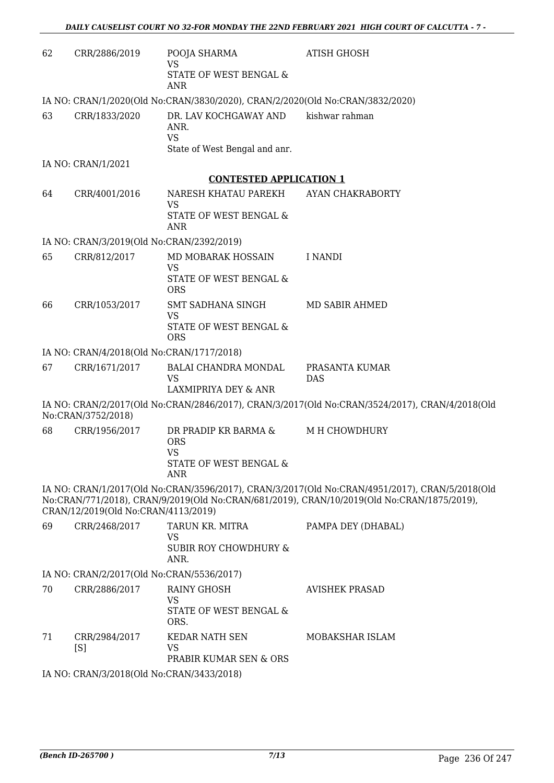| 62 | CRR/2886/2019                                              | POOJA SHARMA<br><b>VS</b>                                                        | <b>ATISH GHOSH</b>                                                                                                                                                                           |  |  |  |
|----|------------------------------------------------------------|----------------------------------------------------------------------------------|----------------------------------------------------------------------------------------------------------------------------------------------------------------------------------------------|--|--|--|
|    |                                                            | STATE OF WEST BENGAL &<br><b>ANR</b>                                             |                                                                                                                                                                                              |  |  |  |
|    |                                                            | IA NO: CRAN/1/2020(Old No:CRAN/3830/2020), CRAN/2/2020(Old No:CRAN/3832/2020)    |                                                                                                                                                                                              |  |  |  |
| 63 | CRR/1833/2020                                              | DR. LAV KOCHGAWAY AND<br>ANR.<br><b>VS</b>                                       | kishwar rahman                                                                                                                                                                               |  |  |  |
|    |                                                            | State of West Bengal and anr.                                                    |                                                                                                                                                                                              |  |  |  |
|    | IA NO: CRAN/1/2021                                         |                                                                                  |                                                                                                                                                                                              |  |  |  |
|    |                                                            | <b>CONTESTED APPLICATION 1</b>                                                   |                                                                                                                                                                                              |  |  |  |
| 64 | CRR/4001/2016                                              | NARESH KHATAU PAREKH<br>VS                                                       | AYAN CHAKRABORTY                                                                                                                                                                             |  |  |  |
|    |                                                            | STATE OF WEST BENGAL &<br><b>ANR</b>                                             |                                                                                                                                                                                              |  |  |  |
|    | IA NO: CRAN/3/2019(Old No:CRAN/2392/2019)                  |                                                                                  |                                                                                                                                                                                              |  |  |  |
| 65 | CRR/812/2017                                               | MD MOBARAK HOSSAIN<br><b>VS</b>                                                  | <b>I NANDI</b>                                                                                                                                                                               |  |  |  |
|    |                                                            | STATE OF WEST BENGAL &<br><b>ORS</b>                                             |                                                                                                                                                                                              |  |  |  |
| 66 | CRR/1053/2017                                              | SMT SADHANA SINGH<br><b>VS</b>                                                   | <b>MD SABIR AHMED</b>                                                                                                                                                                        |  |  |  |
|    |                                                            | STATE OF WEST BENGAL &<br><b>ORS</b>                                             |                                                                                                                                                                                              |  |  |  |
|    | IA NO: CRAN/4/2018(Old No:CRAN/1717/2018)                  |                                                                                  |                                                                                                                                                                                              |  |  |  |
| 67 | CRR/1671/2017                                              | BALAI CHANDRA MONDAL<br>VS<br>LAXMIPRIYA DEY & ANR                               | PRASANTA KUMAR<br>DAS                                                                                                                                                                        |  |  |  |
|    | No:CRAN/3752/2018)                                         |                                                                                  | IA NO: CRAN/2/2017(Old No:CRAN/2846/2017), CRAN/3/2017(Old No:CRAN/3524/2017), CRAN/4/2018(Old                                                                                               |  |  |  |
| 68 | CRR/1956/2017                                              | DR PRADIP KR BARMA &<br><b>ORS</b><br><b>VS</b><br>STATE OF WEST BENGAL &<br>ANR | M H CHOWDHURY                                                                                                                                                                                |  |  |  |
|    | CRAN/12/2019(Old No:CRAN/4113/2019)                        |                                                                                  | IA NO: CRAN/1/2017(Old No:CRAN/3596/2017), CRAN/3/2017(Old No:CRAN/4951/2017), CRAN/5/2018(Old<br>No:CRAN/771/2018), CRAN/9/2019(Old No:CRAN/681/2019), CRAN/10/2019(Old No:CRAN/1875/2019), |  |  |  |
| 69 | CRR/2468/2017                                              | TARUN KR. MITRA<br><b>VS</b><br><b>SUBIR ROY CHOWDHURY &amp;</b>                 | PAMPA DEY (DHABAL)                                                                                                                                                                           |  |  |  |
|    |                                                            | ANR.                                                                             |                                                                                                                                                                                              |  |  |  |
| 70 | IA NO: CRAN/2/2017(Old No:CRAN/5536/2017)<br>CRR/2886/2017 | <b>RAINY GHOSH</b>                                                               | <b>AVISHEK PRASAD</b>                                                                                                                                                                        |  |  |  |
|    |                                                            | VS<br>STATE OF WEST BENGAL &<br>ORS.                                             |                                                                                                                                                                                              |  |  |  |
| 71 | CRR/2984/2017<br>[S]                                       | KEDAR NATH SEN<br>VS<br>PRABIR KUMAR SEN & ORS                                   | MOBAKSHAR ISLAM                                                                                                                                                                              |  |  |  |
|    | IA NO: CRAN/3/2018(Old No:CRAN/3433/2018)                  |                                                                                  |                                                                                                                                                                                              |  |  |  |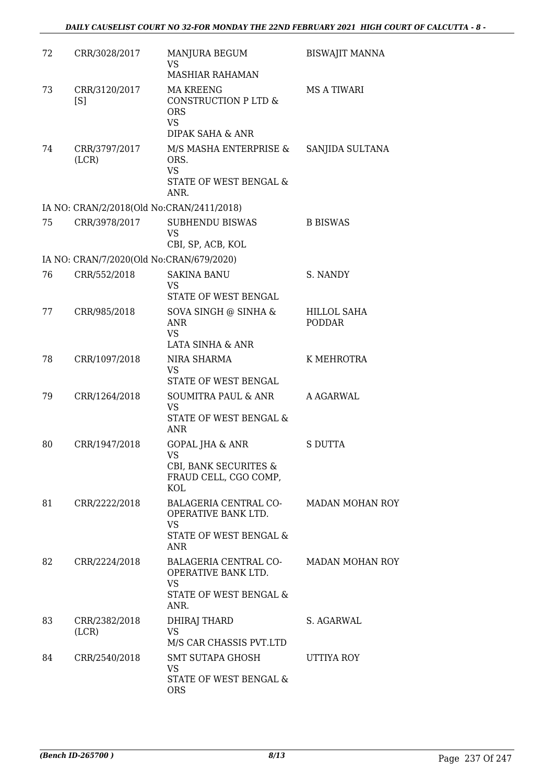| 72 | CRR/3028/2017                             | MANJURA BEGUM<br><b>VS</b>                                                                              | <b>BISWAJIT MANNA</b>        |
|----|-------------------------------------------|---------------------------------------------------------------------------------------------------------|------------------------------|
|    |                                           | <b>MASHIAR RAHAMAN</b>                                                                                  |                              |
| 73 | CRR/3120/2017<br>[S]                      | <b>MA KREENG</b><br>CONSTRUCTION P LTD &<br><b>ORS</b><br><b>VS</b>                                     | <b>MS A TIWARI</b>           |
| 74 | CRR/3797/2017<br>(LCR)                    | DIPAK SAHA & ANR<br>M/S MASHA ENTERPRISE &<br>ORS.<br><b>VS</b><br>STATE OF WEST BENGAL &<br>ANR.       | SANJIDA SULTANA              |
|    | IA NO: CRAN/2/2018(Old No:CRAN/2411/2018) |                                                                                                         |                              |
| 75 | CRR/3978/2017                             | <b>SUBHENDU BISWAS</b><br><b>VS</b><br>CBI, SP, ACB, KOL                                                | <b>B BISWAS</b>              |
|    | IA NO: CRAN/7/2020(Old No:CRAN/679/2020)  |                                                                                                         |                              |
| 76 | CRR/552/2018                              | <b>SAKINA BANU</b><br>VS<br>STATE OF WEST BENGAL                                                        | S. NANDY                     |
| 77 | CRR/985/2018                              | SOVA SINGH @ SINHA &<br><b>ANR</b><br><b>VS</b><br>LATA SINHA & ANR                                     | HILLOL SAHA<br><b>PODDAR</b> |
| 78 | CRR/1097/2018                             | NIRA SHARMA<br><b>VS</b><br>STATE OF WEST BENGAL                                                        | K MEHROTRA                   |
| 79 | CRR/1264/2018                             | SOUMITRA PAUL & ANR<br><b>VS</b><br>STATE OF WEST BENGAL &<br><b>ANR</b>                                | A AGARWAL                    |
| 80 | CRR/1947/2018                             | <b>GOPAL JHA &amp; ANR</b><br><b>VS</b><br>CBI, BANK SECURITES &<br>FRAUD CELL, CGO COMP,<br><b>KOL</b> | S DUTTA                      |
| 81 | CRR/2222/2018                             | BALAGERIA CENTRAL CO-<br>OPERATIVE BANK LTD.<br><b>VS</b><br>STATE OF WEST BENGAL &<br>ANR              | MADAN MOHAN ROY              |
| 82 | CRR/2224/2018                             | BALAGERIA CENTRAL CO-<br><b>OPERATIVE BANK LTD.</b><br><b>VS</b><br>STATE OF WEST BENGAL &<br>ANR.      | <b>MADAN MOHAN ROY</b>       |
| 83 | CRR/2382/2018<br>(LCR)                    | <b>DHIRAJ THARD</b><br>VS.<br>M/S CAR CHASSIS PVT.LTD                                                   | S. AGARWAL                   |
| 84 | CRR/2540/2018                             | SMT SUTAPA GHOSH<br><b>VS</b><br>STATE OF WEST BENGAL &<br><b>ORS</b>                                   | UTTIYA ROY                   |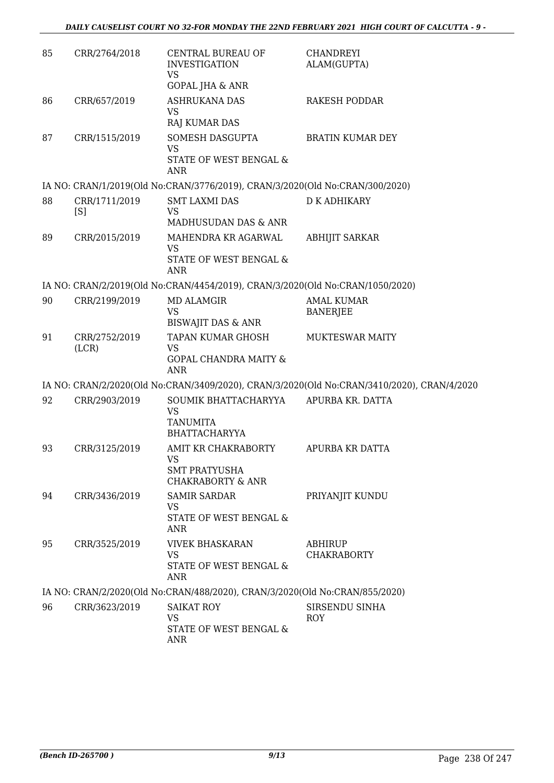| 85 | CRR/2764/2018          | CENTRAL BUREAU OF<br><b>INVESTIGATION</b><br><b>VS</b><br><b>GOPAL JHA &amp; ANR</b>    | <b>CHANDREYI</b><br>ALAM(GUPTA)                                                            |
|----|------------------------|-----------------------------------------------------------------------------------------|--------------------------------------------------------------------------------------------|
| 86 | CRR/657/2019           | <b>ASHRUKANA DAS</b>                                                                    | RAKESH PODDAR                                                                              |
|    |                        | <b>VS</b>                                                                               |                                                                                            |
|    |                        | RAJ KUMAR DAS                                                                           |                                                                                            |
| 87 | CRR/1515/2019          | SOMESH DASGUPTA<br><b>VS</b><br>STATE OF WEST BENGAL &<br><b>ANR</b>                    | <b>BRATIN KUMAR DEY</b>                                                                    |
|    |                        | IA NO: CRAN/1/2019(Old No:CRAN/3776/2019), CRAN/3/2020(Old No:CRAN/300/2020)            |                                                                                            |
| 88 | CRR/1711/2019<br>[S]   | <b>SMT LAXMI DAS</b><br><b>VS</b><br>MADHUSUDAN DAS & ANR                               | <b>D K ADHIKARY</b>                                                                        |
| 89 | CRR/2015/2019          | MAHENDRA KR AGARWAL                                                                     | <b>ABHIJIT SARKAR</b>                                                                      |
|    |                        | <b>VS</b>                                                                               |                                                                                            |
|    |                        | STATE OF WEST BENGAL &<br><b>ANR</b>                                                    |                                                                                            |
|    |                        | IA NO: CRAN/2/2019(Old No:CRAN/4454/2019), CRAN/3/2020(Old No:CRAN/1050/2020)           |                                                                                            |
| 90 | CRR/2199/2019          | <b>MD ALAMGIR</b><br><b>VS</b>                                                          | <b>AMAL KUMAR</b><br><b>BANERJEE</b>                                                       |
|    |                        | <b>BISWAJIT DAS &amp; ANR</b>                                                           |                                                                                            |
| 91 | CRR/2752/2019<br>(LCR) | <b>TAPAN KUMAR GHOSH</b><br><b>VS</b><br><b>GOPAL CHANDRA MAITY &amp;</b><br><b>ANR</b> | <b>MUKTESWAR MAITY</b>                                                                     |
|    |                        |                                                                                         | IA NO: CRAN/2/2020(Old No:CRAN/3409/2020), CRAN/3/2020(Old No:CRAN/3410/2020), CRAN/4/2020 |
| 92 | CRR/2903/2019          | SOUMIK BHATTACHARYYA<br><b>VS</b><br><b>TANUMITA</b><br><b>BHATTACHARYYA</b>            | APURBA KR. DATTA                                                                           |
| 93 | CRR/3125/2019          | AMIT KR CHAKRABORTY                                                                     | APURBA KR DATTA                                                                            |
|    |                        | <b>VS</b><br>SMT PRATYUSHA<br><b>CHAKRABORTY &amp; ANR</b>                              |                                                                                            |
| 94 | CRR/3436/2019          | <b>SAMIR SARDAR</b>                                                                     | PRIYANJIT KUNDU                                                                            |
|    |                        | VS<br>STATE OF WEST BENGAL &<br>ANR                                                     |                                                                                            |
| 95 | CRR/3525/2019          | <b>VIVEK BHASKARAN</b>                                                                  | <b>ABHIRUP</b>                                                                             |
|    |                        | <b>VS</b><br>STATE OF WEST BENGAL &<br><b>ANR</b>                                       | <b>CHAKRABORTY</b>                                                                         |
|    |                        | IA NO: CRAN/2/2020(Old No:CRAN/488/2020), CRAN/3/2020(Old No:CRAN/855/2020)             |                                                                                            |
| 96 | CRR/3623/2019          | <b>SAIKAT ROY</b><br>VS<br>STATE OF WEST BENGAL &<br><b>ANR</b>                         | SIRSENDU SINHA<br><b>ROY</b>                                                               |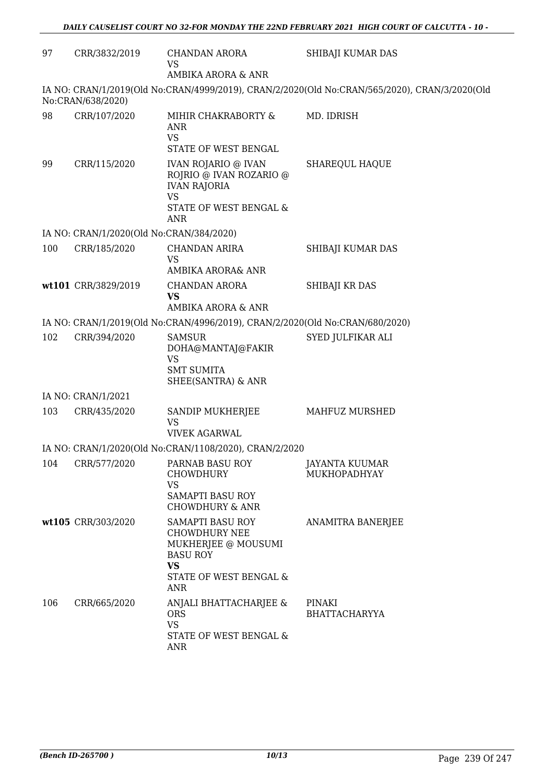| 97  | CRR/3832/2019                            | CHANDAN ARORA<br><b>VS</b>                                                                                                                     | SHIBAJI KUMAR DAS                                                                             |
|-----|------------------------------------------|------------------------------------------------------------------------------------------------------------------------------------------------|-----------------------------------------------------------------------------------------------|
|     |                                          | AMBIKA ARORA & ANR                                                                                                                             | IA NO: CRAN/1/2019(Old No:CRAN/4999/2019), CRAN/2/2020(Old No:CRAN/565/2020), CRAN/3/2020(Old |
|     | No:CRAN/638/2020)                        |                                                                                                                                                |                                                                                               |
| 98  | CRR/107/2020                             | MIHIR CHAKRABORTY &<br><b>ANR</b><br><b>VS</b><br>STATE OF WEST BENGAL                                                                         | MD. IDRISH                                                                                    |
| 99  | CRR/115/2020                             | <b>IVAN ROJARIO @ IVAN</b><br>ROJRIO @ IVAN ROZARIO @<br><b>IVAN RAJORIA</b><br><b>VS</b><br>STATE OF WEST BENGAL &<br>ANR                     | <b>SHAREQUL HAQUE</b>                                                                         |
|     | IA NO: CRAN/1/2020(Old No:CRAN/384/2020) |                                                                                                                                                |                                                                                               |
| 100 | CRR/185/2020                             | <b>CHANDAN ARIRA</b><br><b>VS</b><br>AMBIKA ARORA& ANR                                                                                         | SHIBAJI KUMAR DAS                                                                             |
|     | wt101 CRR/3829/2019                      | <b>CHANDAN ARORA</b><br><b>VS</b><br>AMBIKA ARORA & ANR                                                                                        | SHIBAJI KR DAS                                                                                |
|     |                                          | IA NO: CRAN/1/2019(Old No:CRAN/4996/2019), CRAN/2/2020(Old No:CRAN/680/2020)                                                                   |                                                                                               |
| 102 | CRR/394/2020                             | <b>SAMSUR</b><br>DOHA@MANTAJ@FAKIR<br><b>VS</b><br><b>SMT SUMITA</b><br>SHEE(SANTRA) & ANR                                                     | SYED JULFIKAR ALI                                                                             |
|     | IA NO: CRAN/1/2021                       |                                                                                                                                                |                                                                                               |
| 103 | CRR/435/2020                             | SANDIP MUKHERJEE<br><b>VS</b><br><b>VIVEK AGARWAL</b>                                                                                          | MAHFUZ MURSHED                                                                                |
|     |                                          | IA NO: CRAN/1/2020(Old No:CRAN/1108/2020), CRAN/2/2020                                                                                         |                                                                                               |
| 104 | CRR/577/2020                             | PARNAB BASU ROY<br><b>CHOWDHURY</b><br><b>VS</b><br>SAMAPTI BASU ROY<br><b>CHOWDHURY &amp; ANR</b>                                             | JAYANTA KUUMAR<br>MUKHOPADHYAY                                                                |
|     | wt105 CRR/303/2020                       | <b>SAMAPTI BASU ROY</b><br><b>CHOWDHURY NEE</b><br>MUKHERJEE @ MOUSUMI<br><b>BASU ROY</b><br><b>VS</b><br>STATE OF WEST BENGAL &<br><b>ANR</b> | ANAMITRA BANERJEE                                                                             |
| 106 | CRR/665/2020                             | ANJALI BHATTACHARJEE &<br><b>ORS</b><br><b>VS</b><br>STATE OF WEST BENGAL &<br>ANR                                                             | PINAKI<br><b>BHATTACHARYYA</b>                                                                |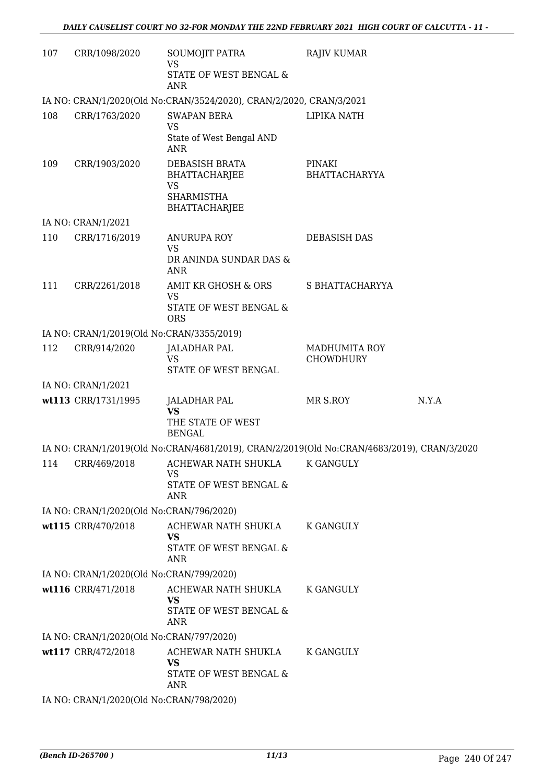| 107 | CRR/1098/2020                             | SOUMOJIT PATRA<br><b>VS</b><br>STATE OF WEST BENGAL &<br>ANR                                     | <b>RAJIV KUMAR</b>                    |       |
|-----|-------------------------------------------|--------------------------------------------------------------------------------------------------|---------------------------------------|-------|
|     |                                           | IA NO: CRAN/1/2020(Old No:CRAN/3524/2020), CRAN/2/2020, CRAN/3/2021                              |                                       |       |
| 108 | CRR/1763/2020                             | <b>SWAPAN BERA</b><br><b>VS</b><br>State of West Bengal AND<br>ANR                               | LIPIKA NATH                           |       |
| 109 | CRR/1903/2020                             | DEBASISH BRATA<br><b>BHATTACHARJEE</b><br><b>VS</b><br><b>SHARMISTHA</b><br><b>BHATTACHARJEE</b> | <b>PINAKI</b><br><b>BHATTACHARYYA</b> |       |
|     | IA NO: CRAN/1/2021                        |                                                                                                  |                                       |       |
| 110 | CRR/1716/2019                             | ANURUPA ROY<br><b>VS</b>                                                                         | <b>DEBASISH DAS</b>                   |       |
|     |                                           | DR ANINDA SUNDAR DAS &<br>ANR                                                                    |                                       |       |
| 111 | CRR/2261/2018                             | AMIT KR GHOSH & ORS                                                                              | S BHATTACHARYYA                       |       |
|     |                                           | <b>VS</b><br>STATE OF WEST BENGAL &<br><b>ORS</b>                                                |                                       |       |
|     | IA NO: CRAN/1/2019(Old No:CRAN/3355/2019) |                                                                                                  |                                       |       |
| 112 | CRR/914/2020                              | <b>JALADHAR PAL</b><br><b>VS</b>                                                                 | <b>MADHUMITA ROY</b><br>CHOWDHURY     |       |
|     | IA NO: CRAN/1/2021                        | STATE OF WEST BENGAL                                                                             |                                       |       |
|     | wt113 CRR/1731/1995                       | <b>JALADHAR PAL</b>                                                                              | MR S.ROY                              | N.Y.A |
|     |                                           | <b>VS</b><br>THE STATE OF WEST<br><b>BENGAL</b>                                                  |                                       |       |
|     |                                           | IA NO: CRAN/1/2019(Old No:CRAN/4681/2019), CRAN/2/2019(Old No:CRAN/4683/2019), CRAN/3/2020       |                                       |       |
| 114 | CRR/469/2018                              | ACHEWAR NATH SHUKLA                                                                              | K GANGULY                             |       |
|     |                                           | VS<br>STATE OF WEST BENGAL &<br>ANR                                                              |                                       |       |
|     | IA NO: CRAN/1/2020(Old No:CRAN/796/2020)  |                                                                                                  |                                       |       |
|     | wt115 CRR/470/2018                        | ACHEWAR NATH SHUKLA<br><b>VS</b><br>STATE OF WEST BENGAL &                                       | <b>K GANGULY</b>                      |       |
|     |                                           | ANR                                                                                              |                                       |       |
|     | IA NO: CRAN/1/2020(Old No:CRAN/799/2020)  |                                                                                                  |                                       |       |
|     | wt116 CRR/471/2018                        | ACHEWAR NATH SHUKLA<br><b>VS</b><br>STATE OF WEST BENGAL &<br>ANR                                | K GANGULY                             |       |
|     | IA NO: CRAN/1/2020(Old No:CRAN/797/2020)  |                                                                                                  |                                       |       |
|     | wt117 CRR/472/2018                        | ACHEWAR NATH SHUKLA<br><b>VS</b><br>STATE OF WEST BENGAL &                                       | K GANGULY                             |       |
|     | IA NO: CRAN/1/2020(Old No:CRAN/798/2020)  | <b>ANR</b>                                                                                       |                                       |       |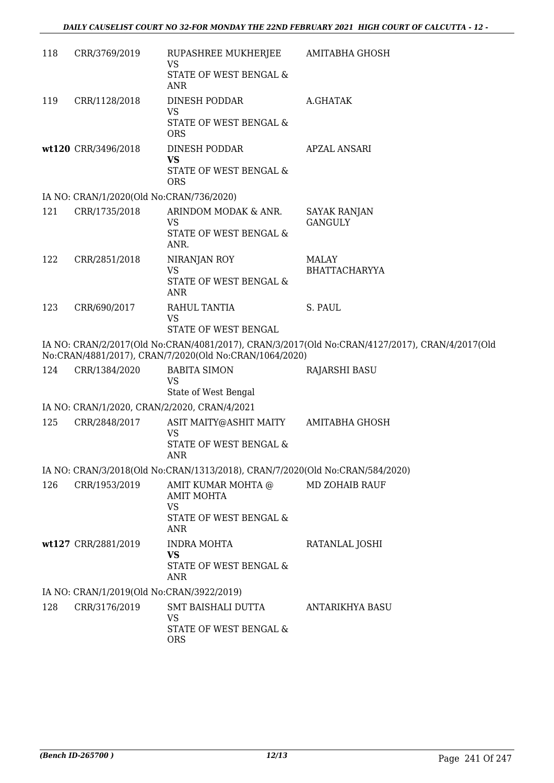| 118                                                                                                                                                      | CRR/3769/2019                                | RUPASHREE MUKHERJEE<br>VS<br>STATE OF WEST BENGAL &<br><b>ANR</b>                                       | AMITABHA GHOSH                        |  |
|----------------------------------------------------------------------------------------------------------------------------------------------------------|----------------------------------------------|---------------------------------------------------------------------------------------------------------|---------------------------------------|--|
| 119                                                                                                                                                      | CRR/1128/2018                                | <b>DINESH PODDAR</b><br><b>VS</b><br>STATE OF WEST BENGAL &<br><b>ORS</b>                               | A.GHATAK                              |  |
|                                                                                                                                                          | wt120 CRR/3496/2018                          | <b>DINESH PODDAR</b><br><b>VS</b><br>STATE OF WEST BENGAL &<br><b>ORS</b>                               | <b>APZAL ANSARI</b>                   |  |
|                                                                                                                                                          | IA NO: CRAN/1/2020(Old No:CRAN/736/2020)     |                                                                                                         |                                       |  |
| 121                                                                                                                                                      | CRR/1735/2018                                | ARINDOM MODAK & ANR.<br>VS<br>STATE OF WEST BENGAL &<br>ANR.                                            | <b>SAYAK RANJAN</b><br><b>GANGULY</b> |  |
| 122                                                                                                                                                      | CRR/2851/2018                                | NIRANJAN ROY<br><b>VS</b><br>STATE OF WEST BENGAL &<br><b>ANR</b>                                       | <b>MALAY</b><br><b>BHATTACHARYYA</b>  |  |
| 123                                                                                                                                                      | CRR/690/2017                                 | RAHUL TANTIA<br><b>VS</b><br>STATE OF WEST BENGAL                                                       | S. PAUL                               |  |
| IA NO: CRAN/2/2017(Old No:CRAN/4081/2017), CRAN/3/2017(Old No:CRAN/4127/2017), CRAN/4/2017(Old<br>No:CRAN/4881/2017), CRAN/7/2020(Old No:CRAN/1064/2020) |                                              |                                                                                                         |                                       |  |
| 124                                                                                                                                                      | CRR/1384/2020                                | <b>BABITA SIMON</b><br><b>VS</b><br>State of West Bengal                                                | <b>RAJARSHI BASU</b>                  |  |
|                                                                                                                                                          | IA NO: CRAN/1/2020, CRAN/2/2020, CRAN/4/2021 |                                                                                                         |                                       |  |
| 125                                                                                                                                                      | CRR/2848/2017                                | ASIT MAITY@ASHIT MAITY<br><b>VS</b><br>STATE OF WEST BENGAL &<br>ANR                                    | AMITABHA GHOSH                        |  |
|                                                                                                                                                          |                                              | IA NO: CRAN/3/2018(Old No:CRAN/1313/2018), CRAN/7/2020(Old No:CRAN/584/2020)                            |                                       |  |
| 126                                                                                                                                                      | CRR/1953/2019                                | AMIT KUMAR MOHTA @<br><b>AMIT MOHTA</b><br><b>VS</b><br><b>STATE OF WEST BENGAL &amp;</b><br><b>ANR</b> | MD ZOHAIB RAUF                        |  |
|                                                                                                                                                          | wt127 CRR/2881/2019                          | <b>INDRA MOHTA</b><br><b>VS</b><br>STATE OF WEST BENGAL &<br>ANR                                        | RATANLAL JOSHI                        |  |
| IA NO: CRAN/1/2019(Old No:CRAN/3922/2019)                                                                                                                |                                              |                                                                                                         |                                       |  |
| 128                                                                                                                                                      | CRR/3176/2019                                | SMT BAISHALI DUTTA<br>VS<br>STATE OF WEST BENGAL &<br><b>ORS</b>                                        | ANTARIKHYA BASU                       |  |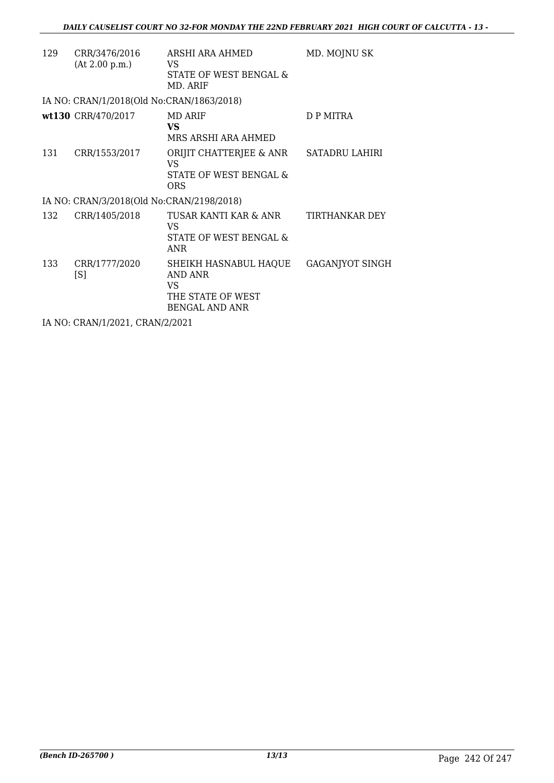| 129 | CRR/3476/2016<br>(At 2.00 p.m.)           | ARSHI ARA AHMED<br>VS.<br>STATE OF WEST BENGAL &<br>MD. ARIF                          | MD. MOJNU SK           |
|-----|-------------------------------------------|---------------------------------------------------------------------------------------|------------------------|
|     | IA NO: CRAN/1/2018(Old No:CRAN/1863/2018) |                                                                                       |                        |
|     | wt130 CRR/470/2017                        | <b>MD ARIF</b><br><b>VS</b><br>MRS ARSHI ARA AHMED                                    | D P MITRA              |
| 131 | CRR/1553/2017                             | ORIJIT CHATTERJEE & ANR<br>VS<br>STATE OF WEST BENGAL &<br><b>ORS</b>                 | <b>SATADRU LAHIRI</b>  |
|     | IA NO: CRAN/3/2018(Old No:CRAN/2198/2018) |                                                                                       |                        |
| 132 | CRR/1405/2018                             | TUSAR KANTI KAR & ANR<br>VS<br>STATE OF WEST BENGAL &<br>ANR                          | TIRTHANKAR DEY         |
| 133 | CRR/1777/2020<br>[S]                      | SHEIKH HASNABUL HAQUE<br>AND ANR<br>VS.<br>THE STATE OF WEST<br><b>BENGAL AND ANR</b> | <b>GAGANJYOT SINGH</b> |
|     | IA NO: CRAN/1/2021, CRAN/2/2021           |                                                                                       |                        |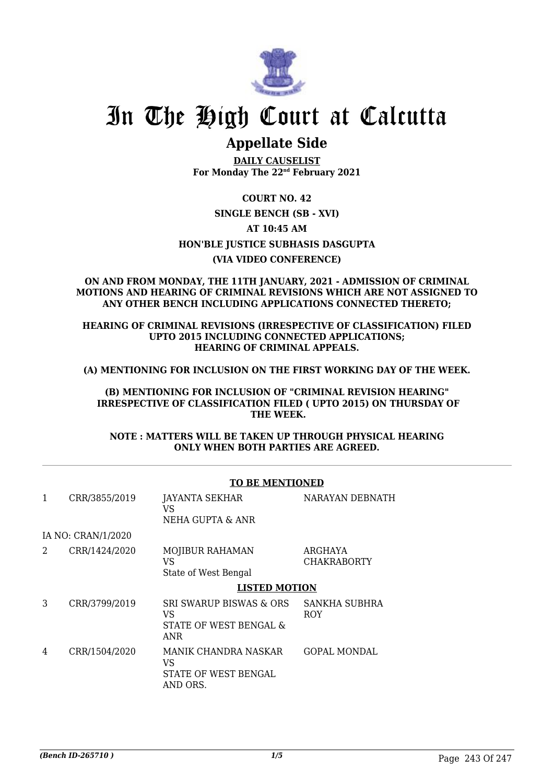

# In The High Court at Calcutta

# **Appellate Side**

**DAILY CAUSELIST For Monday The 22nd February 2021**

**COURT NO. 42**

## **SINGLE BENCH (SB - XVI)**

**AT 10:45 AM**

**HON'BLE JUSTICE SUBHASIS DASGUPTA**

# **(VIA VIDEO CONFERENCE)**

### **ON AND FROM MONDAY, THE 11TH JANUARY, 2021 - ADMISSION OF CRIMINAL MOTIONS AND HEARING OF CRIMINAL REVISIONS WHICH ARE NOT ASSIGNED TO ANY OTHER BENCH INCLUDING APPLICATIONS CONNECTED THERETO;**

**HEARING OF CRIMINAL REVISIONS (IRRESPECTIVE OF CLASSIFICATION) FILED UPTO 2015 INCLUDING CONNECTED APPLICATIONS; HEARING OF CRIMINAL APPEALS.**

**(A) MENTIONING FOR INCLUSION ON THE FIRST WORKING DAY OF THE WEEK.**

**(B) MENTIONING FOR INCLUSION OF "CRIMINAL REVISION HEARING" IRRESPECTIVE OF CLASSIFICATION FILED ( UPTO 2015) ON THURSDAY OF THE WEEK.**

**NOTE : MATTERS WILL BE TAKEN UP THROUGH PHYSICAL HEARING ONLY WHEN BOTH PARTIES ARE AGREED.**

|   |                    | TO BE MENTIONED                                                       |                               |  |
|---|--------------------|-----------------------------------------------------------------------|-------------------------------|--|
| 1 | CRR/3855/2019      | <b>JAYANTA SEKHAR</b><br>VS<br>NEHA GUPTA & ANR                       | NARAYAN DEBNATH               |  |
|   | IA NO: CRAN/1/2020 |                                                                       |                               |  |
| 2 | CRR/1424/2020      | <b>MOJIBUR RAHAMAN</b><br>VS<br>State of West Bengal                  | ARGHAYA<br><b>CHAKRABORTY</b> |  |
|   |                    | <b>LISTED MOTION</b>                                                  |                               |  |
| 3 | CRR/3799/2019      | SRI SWARUP BISWAS & ORS<br>VS<br>STATE OF WEST BENGAL &<br><b>ANR</b> | SANKHA SUBHRA<br><b>ROY</b>   |  |
| 4 | CRR/1504/2020      | MANIK CHANDRA NASKAR<br>VS<br>STATE OF WEST BENGAL<br>AND ORS.        | <b>GOPAL MONDAL</b>           |  |

# **TO BE MENTIONED**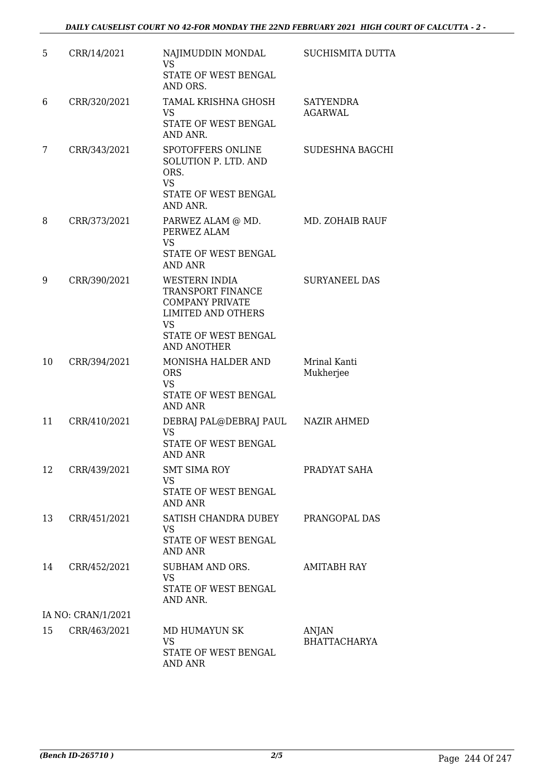| 5  | CRR/14/2021        | NAJIMUDDIN MONDAL<br><b>VS</b><br>STATE OF WEST BENGAL<br>AND ORS.                                                                             | SUCHISMITA DUTTA                   |
|----|--------------------|------------------------------------------------------------------------------------------------------------------------------------------------|------------------------------------|
| 6  | CRR/320/2021       | TAMAL KRISHNA GHOSH<br><b>VS</b><br>STATE OF WEST BENGAL<br>AND ANR.                                                                           | <b>SATYENDRA</b><br><b>AGARWAL</b> |
| 7  | CRR/343/2021       | SPOTOFFERS ONLINE<br><b>SOLUTION P. LTD. AND</b><br>ORS.<br><b>VS</b><br>STATE OF WEST BENGAL<br>AND ANR.                                      | SUDESHNA BAGCHI                    |
| 8  | CRR/373/2021       | PARWEZ ALAM @ MD.<br>PERWEZ ALAM<br><b>VS</b><br>STATE OF WEST BENGAL<br><b>AND ANR</b>                                                        | MD. ZOHAIB RAUF                    |
| 9  | CRR/390/2021       | WESTERN INDIA<br>TRANSPORT FINANCE<br><b>COMPANY PRIVATE</b><br><b>LIMITED AND OTHERS</b><br>VS.<br>STATE OF WEST BENGAL<br><b>AND ANOTHER</b> | <b>SURYANEEL DAS</b>               |
| 10 | CRR/394/2021       | MONISHA HALDER AND<br><b>ORS</b><br><b>VS</b><br>STATE OF WEST BENGAL<br><b>AND ANR</b>                                                        | Mrinal Kanti<br>Mukherjee          |
| 11 | CRR/410/2021       | DEBRAJ PAL@DEBRAJ PAUL<br><b>VS</b><br>STATE OF WEST BENGAL<br><b>AND ANR</b>                                                                  | NAZIR AHMED                        |
| 12 | CRR/439/2021       | <b>SMT SIMA ROY</b><br><b>VS</b><br>STATE OF WEST BENGAL<br><b>AND ANR</b>                                                                     | PRADYAT SAHA                       |
| 13 | CRR/451/2021       | SATISH CHANDRA DUBEY<br>VS<br>STATE OF WEST BENGAL<br><b>AND ANR</b>                                                                           | PRANGOPAL DAS                      |
| 14 | CRR/452/2021       | SUBHAM AND ORS.<br><b>VS</b><br>STATE OF WEST BENGAL<br>AND ANR.                                                                               | AMITABH RAY                        |
|    | IA NO: CRAN/1/2021 |                                                                                                                                                |                                    |
| 15 | CRR/463/2021       | MD HUMAYUN SK<br><b>VS</b><br>STATE OF WEST BENGAL<br>AND ANR                                                                                  | ANJAN<br><b>BHATTACHARYA</b>       |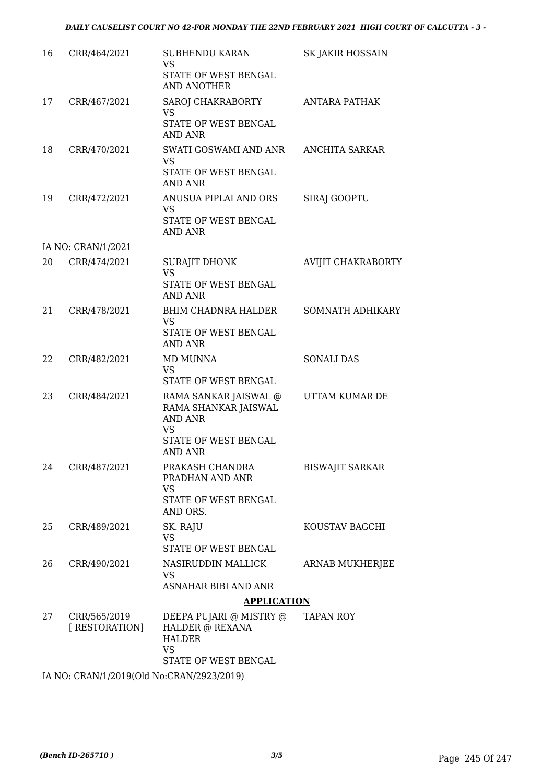| 16 | CRR/464/2021                   | SUBHENDU KARAN<br><b>VS</b><br>STATE OF WEST BENGAL<br><b>AND ANOTHER</b>                                       | <b>SK JAKIR HOSSAIN</b> |
|----|--------------------------------|-----------------------------------------------------------------------------------------------------------------|-------------------------|
| 17 | CRR/467/2021                   | SAROJ CHAKRABORTY<br><b>VS</b><br>STATE OF WEST BENGAL<br><b>AND ANR</b>                                        | <b>ANTARA PATHAK</b>    |
| 18 | CRR/470/2021                   | SWATI GOSWAMI AND ANR<br><b>VS</b><br>STATE OF WEST BENGAL<br><b>AND ANR</b>                                    | <b>ANCHITA SARKAR</b>   |
| 19 | CRR/472/2021                   | ANUSUA PIPLAI AND ORS<br>VS<br>STATE OF WEST BENGAL<br>AND ANR                                                  | SIRAJ GOOPTU            |
|    | IA NO: CRAN/1/2021             |                                                                                                                 |                         |
| 20 | CRR/474/2021                   | SURAJIT DHONK<br><b>VS</b><br>STATE OF WEST BENGAL                                                              | AVIJIT CHAKRABORTY      |
| 21 | CRR/478/2021                   | AND ANR<br><b>BHIM CHADNRA HALDER</b><br><b>VS</b><br>STATE OF WEST BENGAL<br><b>AND ANR</b>                    | SOMNATH ADHIKARY        |
| 22 | CRR/482/2021                   | MD MUNNA<br>VS<br>STATE OF WEST BENGAL                                                                          | <b>SONALI DAS</b>       |
| 23 | CRR/484/2021                   | RAMA SANKAR JAISWAL @<br>RAMA SHANKAR JAISWAL<br>AND ANR<br><b>VS</b><br>STATE OF WEST BENGAL<br><b>AND ANR</b> | UTTAM KUMAR DE          |
| 24 | CRR/487/2021                   | PRAKASH CHANDRA<br>PRADHAN AND ANR<br><b>VS</b><br>STATE OF WEST BENGAL<br>AND ORS.                             | <b>BISWAJIT SARKAR</b>  |
| 25 | CRR/489/2021                   | SK. RAJU<br><b>VS</b><br>STATE OF WEST BENGAL                                                                   | KOUSTAV BAGCHI          |
| 26 | CRR/490/2021                   | NASIRUDDIN MALLICK<br>VS                                                                                        | ARNAB MUKHERJEE         |
|    |                                | ASNAHAR BIBI AND ANR<br><b>APPLICATION</b>                                                                      |                         |
| 27 | CRR/565/2019<br>[ RESTORATION] | DEEPA PUJARI @ MISTRY @<br>HALDER @ REXANA<br><b>HALDER</b><br><b>VS</b><br>STATE OF WEST BENGAL                | TAPAN ROY               |

IA NO: CRAN/1/2019(Old No:CRAN/2923/2019)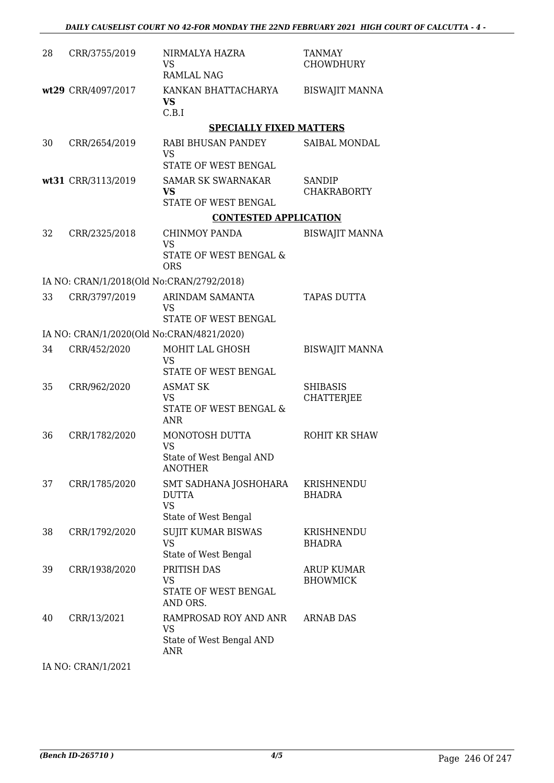| 28 | CRR/3755/2019                             | NIRMALYA HAZRA<br><b>VS</b><br><b>RAMLAL NAG</b>        | <b>TANMAY</b><br><b>CHOWDHURY</b>    |
|----|-------------------------------------------|---------------------------------------------------------|--------------------------------------|
|    | wt29 CRR/4097/2017                        | KANKAN BHATTACHARYA<br><b>VS</b><br>C.B.I               | <b>BISWAJIT MANNA</b>                |
|    |                                           | <b>SPECIALLY FIXED MATTERS</b>                          |                                      |
| 30 | CRR/2654/2019                             | RABI BHUSAN PANDEY<br><b>VS</b>                         | SAIBAL MONDAL                        |
|    |                                           | STATE OF WEST BENGAL                                    |                                      |
|    | wt31 CRR/3113/2019                        | <b>SAMAR SK SWARNAKAR</b><br><b>VS</b>                  | <b>SANDIP</b><br><b>CHAKRABORTY</b>  |
|    |                                           | STATE OF WEST BENGAL                                    |                                      |
|    |                                           | <b>CONTESTED APPLICATION</b>                            |                                      |
| 32 | CRR/2325/2018                             | <b>CHINMOY PANDA</b><br><b>VS</b>                       | <b>BISWAJIT MANNA</b>                |
|    |                                           | STATE OF WEST BENGAL &<br><b>ORS</b>                    |                                      |
|    | IA NO: CRAN/1/2018(Old No:CRAN/2792/2018) |                                                         |                                      |
| 33 | CRR/3797/2019                             | ARINDAM SAMANTA<br><b>VS</b>                            | TAPAS DUTTA                          |
|    |                                           | STATE OF WEST BENGAL                                    |                                      |
|    | IA NO: CRAN/1/2020(Old No:CRAN/4821/2020) |                                                         |                                      |
| 34 | CRR/452/2020                              | MOHIT LAL GHOSH<br>VS                                   | <b>BISWAJIT MANNA</b>                |
|    |                                           | STATE OF WEST BENGAL                                    |                                      |
| 35 | CRR/962/2020                              | <b>ASMAT SK</b><br><b>VS</b>                            | <b>SHIBASIS</b><br>CHATTERJEE        |
|    |                                           | STATE OF WEST BENGAL &<br><b>ANR</b>                    |                                      |
| 36 | CRR/1782/2020                             | MONOTOSH DUTTA                                          | ROHIT KR SHAW                        |
|    |                                           | <b>VS</b><br>State of West Bengal AND<br><b>ANOTHER</b> |                                      |
| 37 | CRR/1785/2020                             | SMT SADHANA JOSHOHARA                                   | KRISHNENDU                           |
|    |                                           | <b>DUTTA</b><br><b>VS</b>                               | BHADRA                               |
|    |                                           | State of West Bengal                                    |                                      |
| 38 | CRR/1792/2020                             | <b>SUJIT KUMAR BISWAS</b><br><b>VS</b>                  | KRISHNENDU<br><b>BHADRA</b>          |
|    |                                           | State of West Bengal                                    |                                      |
| 39 | CRR/1938/2020                             | PRITISH DAS<br><b>VS</b>                                | <b>ARUP KUMAR</b><br><b>BHOWMICK</b> |
|    |                                           | STATE OF WEST BENGAL<br>AND ORS.                        |                                      |
| 40 | CRR/13/2021                               | RAMPROSAD ROY AND ANR<br><b>VS</b>                      | <b>ARNAB DAS</b>                     |
|    |                                           | State of West Bengal AND<br><b>ANR</b>                  |                                      |

IA NO: CRAN/1/2021